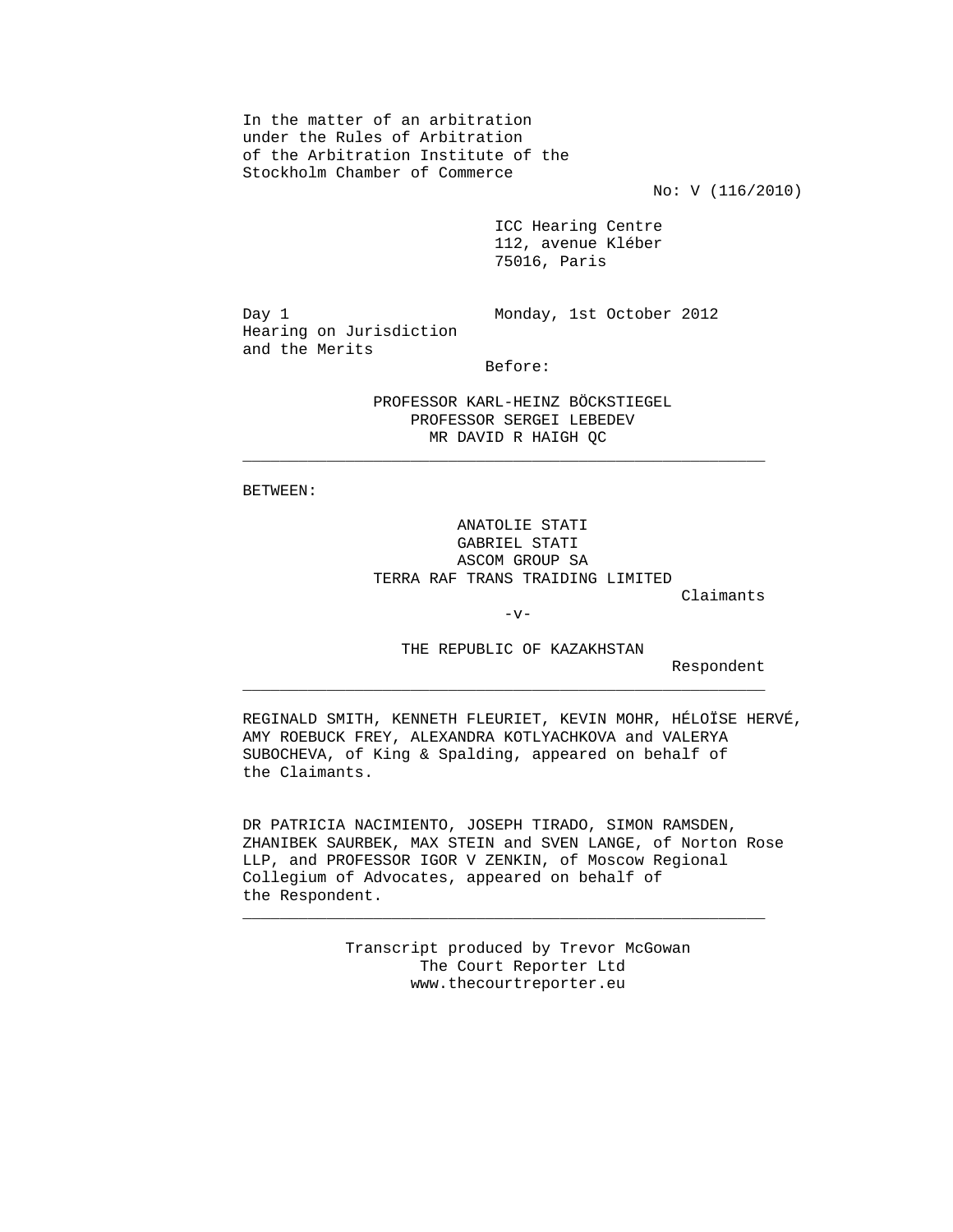In the matter of an arbitration under the Rules of Arbitration of the Arbitration Institute of the Stockholm Chamber of Commerce

No: V (116/2010)

 ICC Hearing Centre 112, avenue Kléber 75016, Paris

 Hearing on Jurisdiction and the Merits

Day 1 Monday, 1st October 2012

Before:

 PROFESSOR KARL-HEINZ BÖCKSTIEGEL PROFESSOR SERGEI LEBEDEV MR DAVID R HAIGH QC

 $\mathcal{L}_\text{max}$  , and the contract of the contract of the contract of the contract of the contract of the contract of the contract of the contract of the contract of the contract of the contract of the contract of the contr

 $\overline{\phantom{a}}$  ,  $\overline{\phantom{a}}$  ,  $\overline{\phantom{a}}$  ,  $\overline{\phantom{a}}$  ,  $\overline{\phantom{a}}$  ,  $\overline{\phantom{a}}$  ,  $\overline{\phantom{a}}$  ,  $\overline{\phantom{a}}$  ,  $\overline{\phantom{a}}$  ,  $\overline{\phantom{a}}$  ,  $\overline{\phantom{a}}$  ,  $\overline{\phantom{a}}$  ,  $\overline{\phantom{a}}$  ,  $\overline{\phantom{a}}$  ,  $\overline{\phantom{a}}$  ,  $\overline{\phantom{a}}$ 

 $\overline{\phantom{a}}$  ,  $\overline{\phantom{a}}$  ,  $\overline{\phantom{a}}$  ,  $\overline{\phantom{a}}$  ,  $\overline{\phantom{a}}$  ,  $\overline{\phantom{a}}$  ,  $\overline{\phantom{a}}$  ,  $\overline{\phantom{a}}$  ,  $\overline{\phantom{a}}$  ,  $\overline{\phantom{a}}$  ,  $\overline{\phantom{a}}$  ,  $\overline{\phantom{a}}$  ,  $\overline{\phantom{a}}$  ,  $\overline{\phantom{a}}$  ,  $\overline{\phantom{a}}$  ,  $\overline{\phantom{a}}$ 

BETWEEN:

 ANATOLIE STATI GABRIEL STATI ASCOM GROUP SA TERRA RAF TRANS TRAIDING LIMITED

Claimants

 $-v-$ 

THE REPUBLIC OF KAZAKHSTAN

Respondent

 REGINALD SMITH, KENNETH FLEURIET, KEVIN MOHR, HÉLOÏSE HERVÉ, AMY ROEBUCK FREY, ALEXANDRA KOTLYACHKOVA and VALERYA SUBOCHEVA, of King & Spalding, appeared on behalf of the Claimants.

 DR PATRICIA NACIMIENTO, JOSEPH TIRADO, SIMON RAMSDEN, ZHANIBEK SAURBEK, MAX STEIN and SVEN LANGE, of Norton Rose LLP, and PROFESSOR IGOR V ZENKIN, of Moscow Regional Collegium of Advocates, appeared on behalf of the Respondent.

> Transcript produced by Trevor McGowan The Court Reporter Ltd www.thecourtreporter.eu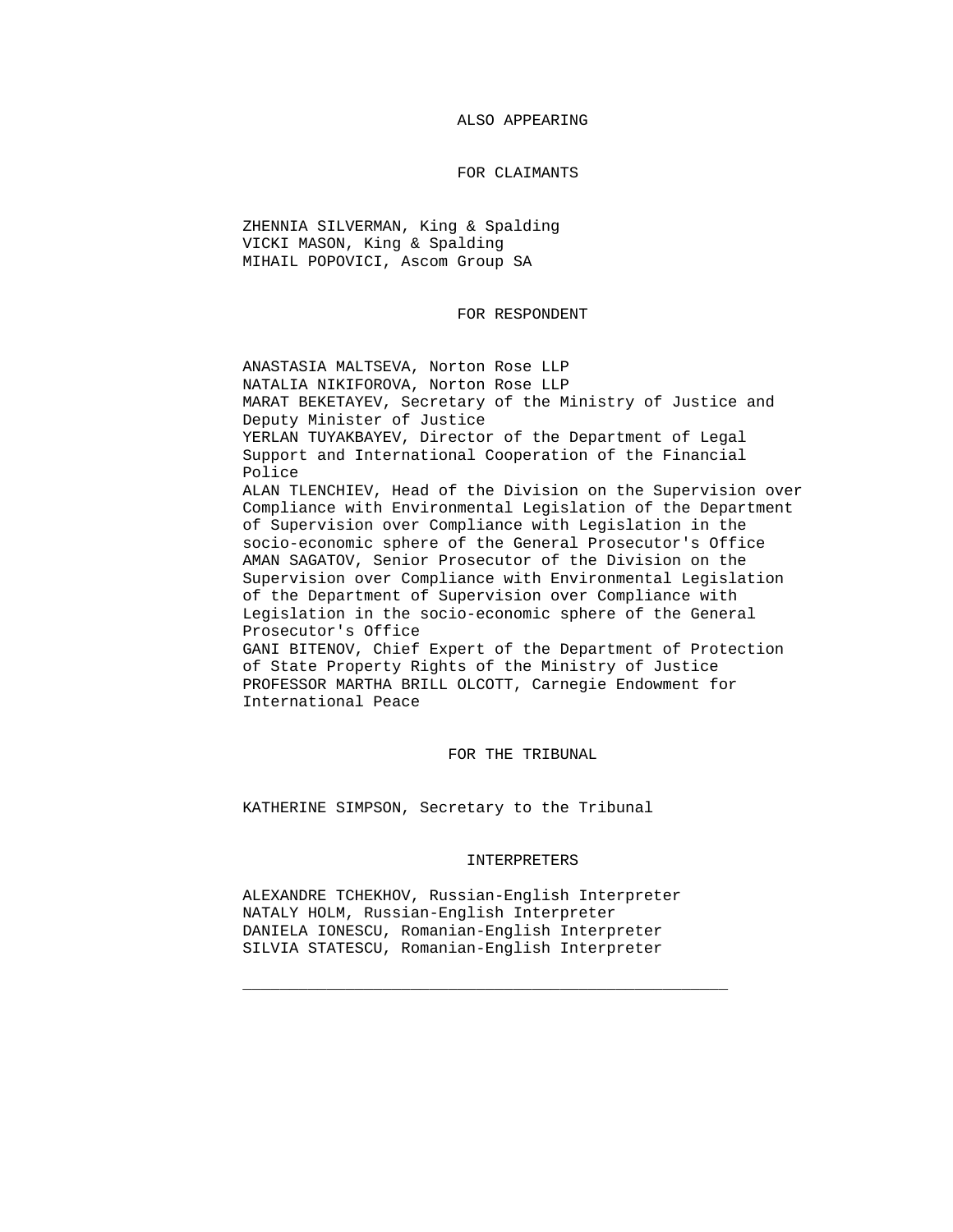ALSO APPEARING

## FOR CLAIMANTS

 ZHENNIA SILVERMAN, King & Spalding VICKI MASON, King & Spalding MIHAIL POPOVICI, Ascom Group SA

FOR RESPONDENT

 ANASTASIA MALTSEVA, Norton Rose LLP NATALIA NIKIFOROVA, Norton Rose LLP MARAT BEKETAYEV, Secretary of the Ministry of Justice and Deputy Minister of Justice YERLAN TUYAKBAYEV, Director of the Department of Legal Support and International Cooperation of the Financial Police ALAN TLENCHIEV, Head of the Division on the Supervision over Compliance with Environmental Legislation of the Department of Supervision over Compliance with Legislation in the socio-economic sphere of the General Prosecutor's Office AMAN SAGATOV, Senior Prosecutor of the Division on the Supervision over Compliance with Environmental Legislation of the Department of Supervision over Compliance with

 Legislation in the socio-economic sphere of the General Prosecutor's Office

 GANI BITENOV, Chief Expert of the Department of Protection of State Property Rights of the Ministry of Justice PROFESSOR MARTHA BRILL OLCOTT, Carnegie Endowment for International Peace

FOR THE TRIBUNAL

KATHERINE SIMPSON, Secretary to the Tribunal

## INTERPRETERS

 ALEXANDRE TCHEKHOV, Russian-English Interpreter NATALY HOLM, Russian-English Interpreter DANIELA IONESCU, Romanian-English Interpreter SILVIA STATESCU, Romanian-English Interpreter

 $\frac{1}{2}$  ,  $\frac{1}{2}$  ,  $\frac{1}{2}$  ,  $\frac{1}{2}$  ,  $\frac{1}{2}$  ,  $\frac{1}{2}$  ,  $\frac{1}{2}$  ,  $\frac{1}{2}$  ,  $\frac{1}{2}$  ,  $\frac{1}{2}$  ,  $\frac{1}{2}$  ,  $\frac{1}{2}$  ,  $\frac{1}{2}$  ,  $\frac{1}{2}$  ,  $\frac{1}{2}$  ,  $\frac{1}{2}$  ,  $\frac{1}{2}$  ,  $\frac{1}{2}$  ,  $\frac{1$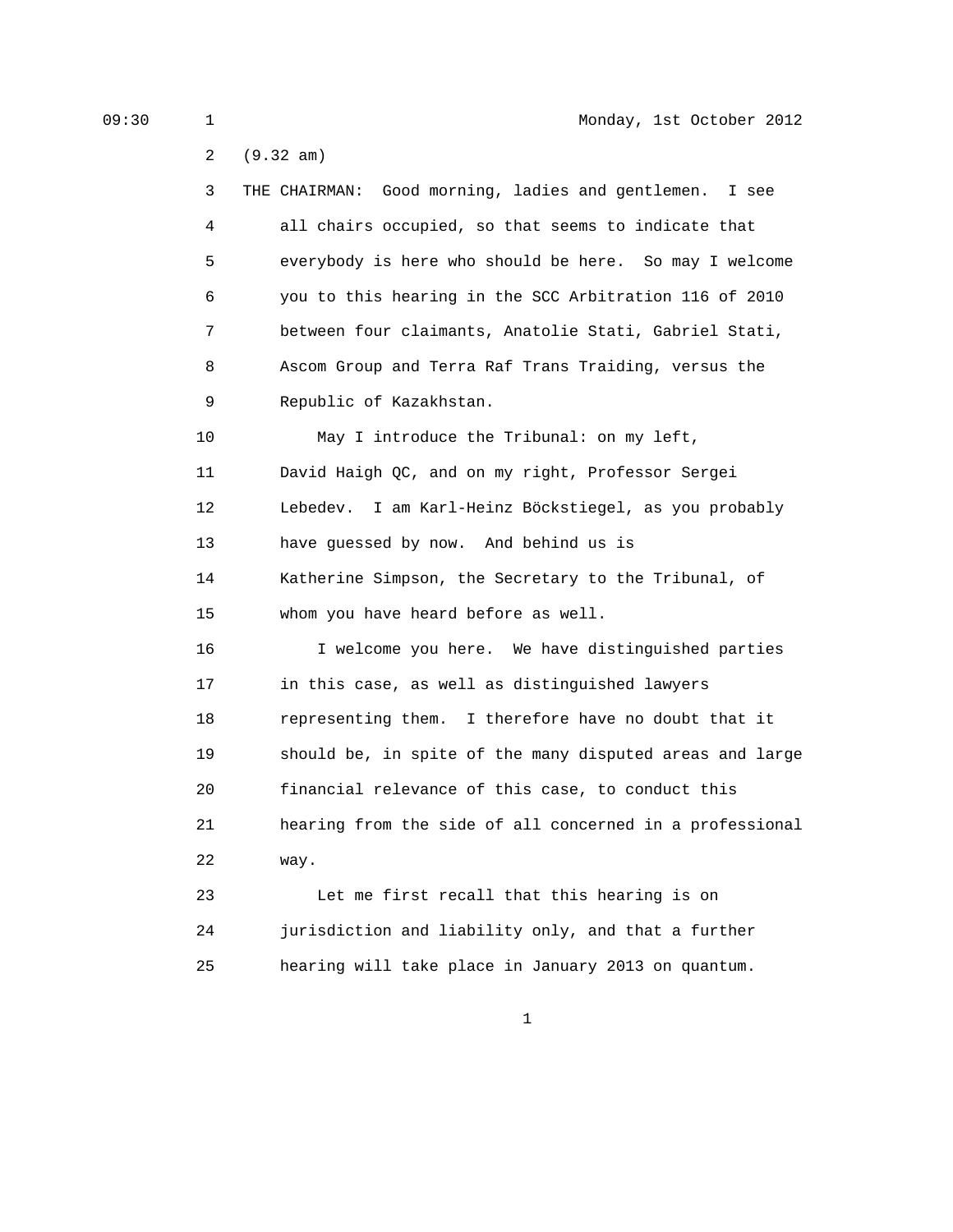2 (9.32 am)

| 3       | THE CHAIRMAN: Good morning, ladies and gentlemen.<br>I see |
|---------|------------------------------------------------------------|
| 4       | all chairs occupied, so that seems to indicate that        |
| 5       | everybody is here who should be here. So may I welcome     |
| 6       | you to this hearing in the SCC Arbitration 116 of 2010     |
| 7       | between four claimants, Anatolie Stati, Gabriel Stati,     |
| 8       | Ascom Group and Terra Raf Trans Traiding, versus the       |
| 9       | Republic of Kazakhstan.                                    |
| 10      | May I introduce the Tribunal: on my left,                  |
| 11      | David Haigh QC, and on my right, Professor Sergei          |
| $12 \,$ | Lebedev. I am Karl-Heinz Böckstiegel, as you probably      |
| 13      | have guessed by now. And behind us is                      |
| 14      | Katherine Simpson, the Secretary to the Tribunal, of       |
| 15      | whom you have heard before as well.                        |
| 16      | I welcome you here. We have distinguished parties          |
| 17      | in this case, as well as distinguished lawyers             |
| 18      | representing them. I therefore have no doubt that it       |
| 19      | should be, in spite of the many disputed areas and large   |
| 20      | financial relevance of this case, to conduct this          |
| 21      | hearing from the side of all concerned in a professional   |
| 22      | way.                                                       |
| 23      | Let me first recall that this hearing is on                |
|         |                                                            |

 24 jurisdiction and liability only, and that a further 25 hearing will take place in January 2013 on quantum.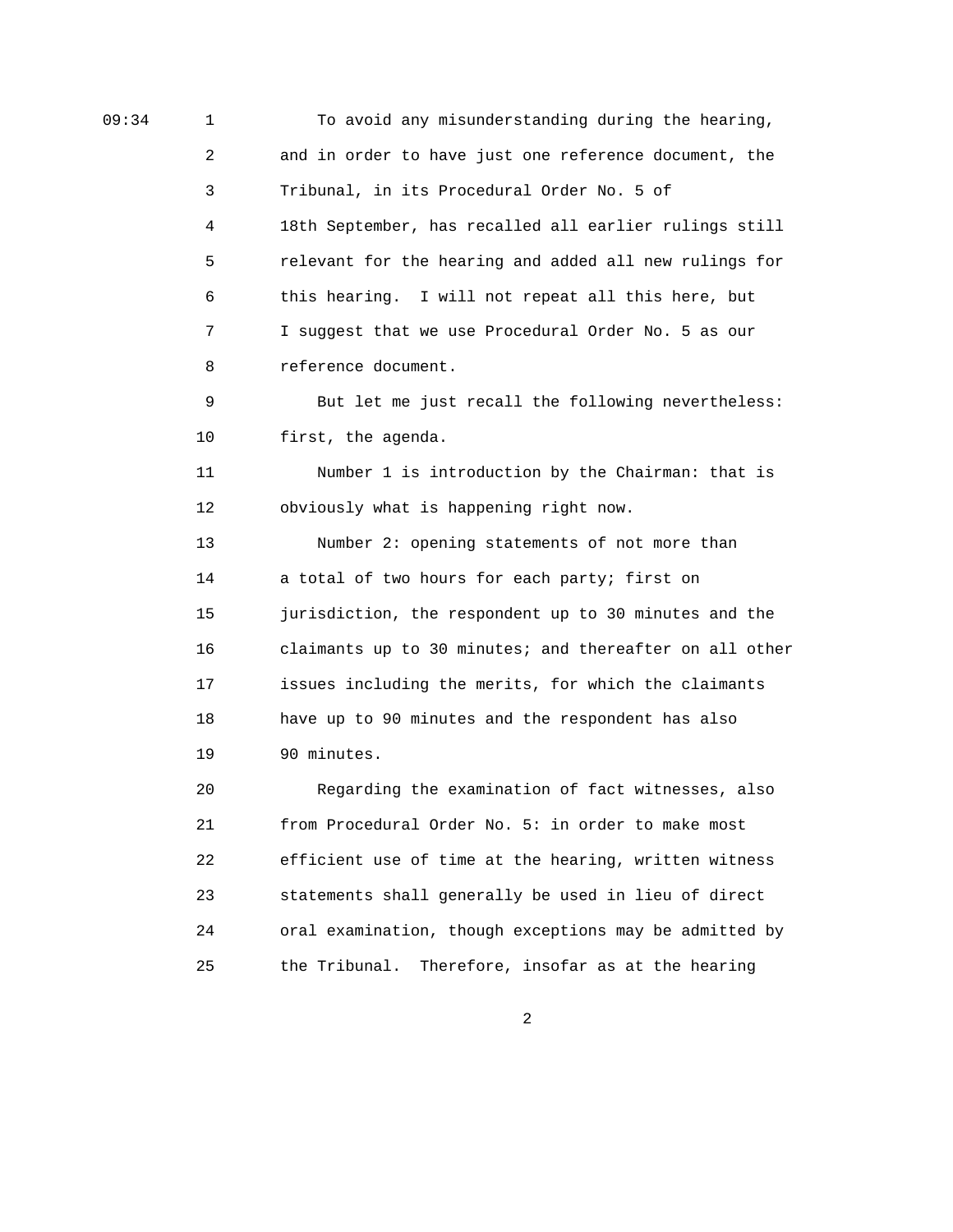09:34 1 To avoid any misunderstanding during the hearing, 2 and in order to have just one reference document, the 3 Tribunal, in its Procedural Order No. 5 of 4 18th September, has recalled all earlier rulings still 5 relevant for the hearing and added all new rulings for 6 this hearing. I will not repeat all this here, but 7 I suggest that we use Procedural Order No. 5 as our 8 reference document. 9 But let me just recall the following nevertheless: 10 first, the agenda. 11 Number 1 is introduction by the Chairman: that is 12 obviously what is happening right now. 13 Number 2: opening statements of not more than 14 a total of two hours for each party; first on 15 jurisdiction, the respondent up to 30 minutes and the 16 claimants up to 30 minutes; and thereafter on all other 17 issues including the merits, for which the claimants 18 have up to 90 minutes and the respondent has also 19 90 minutes. 20 Regarding the examination of fact witnesses, also 21 from Procedural Order No. 5: in order to make most 22 efficient use of time at the hearing, written witness 23 statements shall generally be used in lieu of direct 24 oral examination, though exceptions may be admitted by

2

25 the Tribunal. Therefore, insofar as at the hearing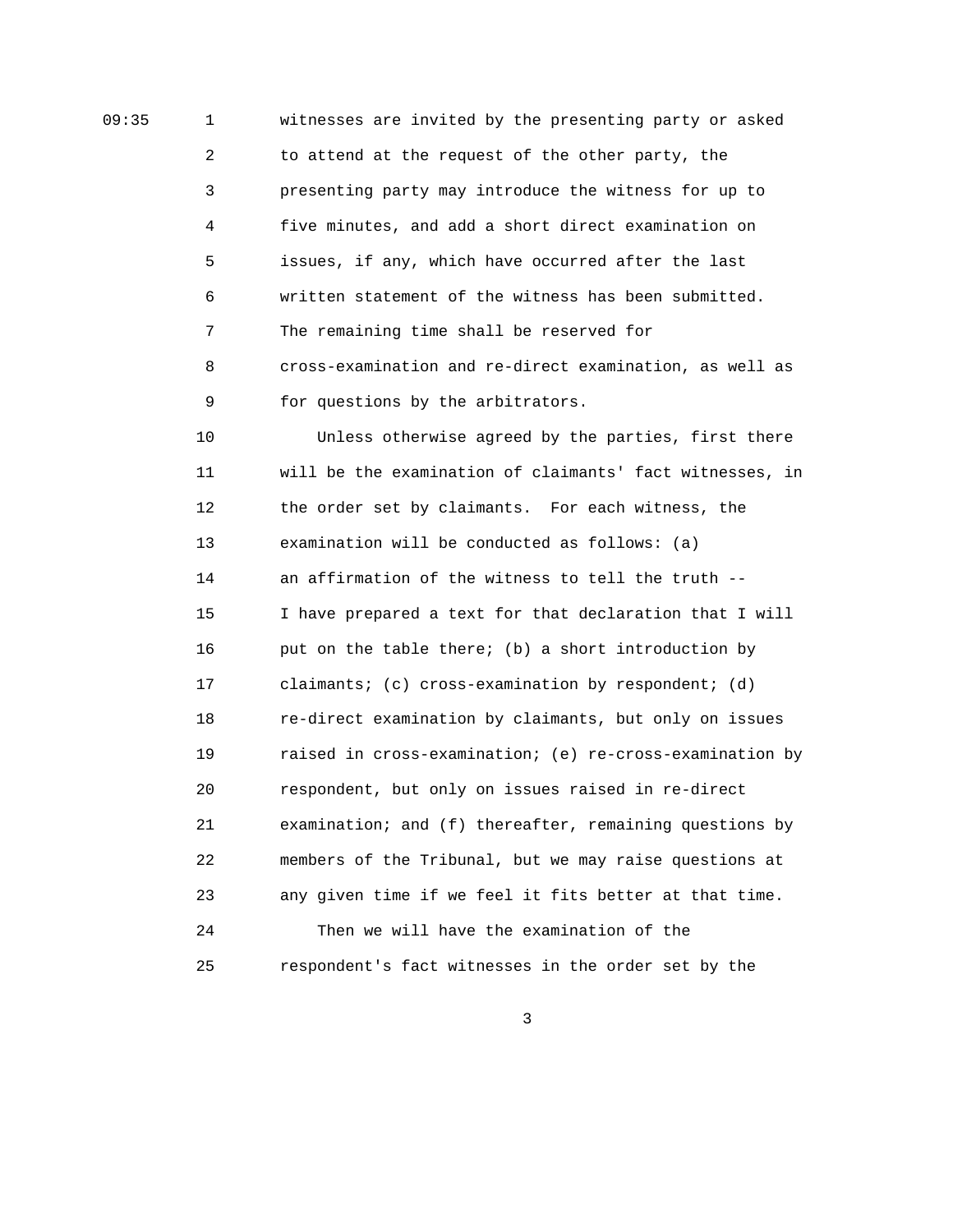09:35 1 witnesses are invited by the presenting party or asked 2 to attend at the request of the other party, the 3 presenting party may introduce the witness for up to 4 five minutes, and add a short direct examination on 5 issues, if any, which have occurred after the last 6 written statement of the witness has been submitted. 7 The remaining time shall be reserved for 8 cross-examination and re-direct examination, as well as 9 for questions by the arbitrators.

> 10 Unless otherwise agreed by the parties, first there 11 will be the examination of claimants' fact witnesses, in 12 the order set by claimants. For each witness, the 13 examination will be conducted as follows: (a) 14 an affirmation of the witness to tell the truth -- 15 I have prepared a text for that declaration that I will 16 put on the table there; (b) a short introduction by 17 claimants; (c) cross-examination by respondent; (d) 18 re-direct examination by claimants, but only on issues 19 raised in cross-examination; (e) re-cross-examination by 20 respondent, but only on issues raised in re-direct 21 examination; and (f) thereafter, remaining questions by 22 members of the Tribunal, but we may raise questions at 23 any given time if we feel it fits better at that time. 24 Then we will have the examination of the 25 respondent's fact witnesses in the order set by the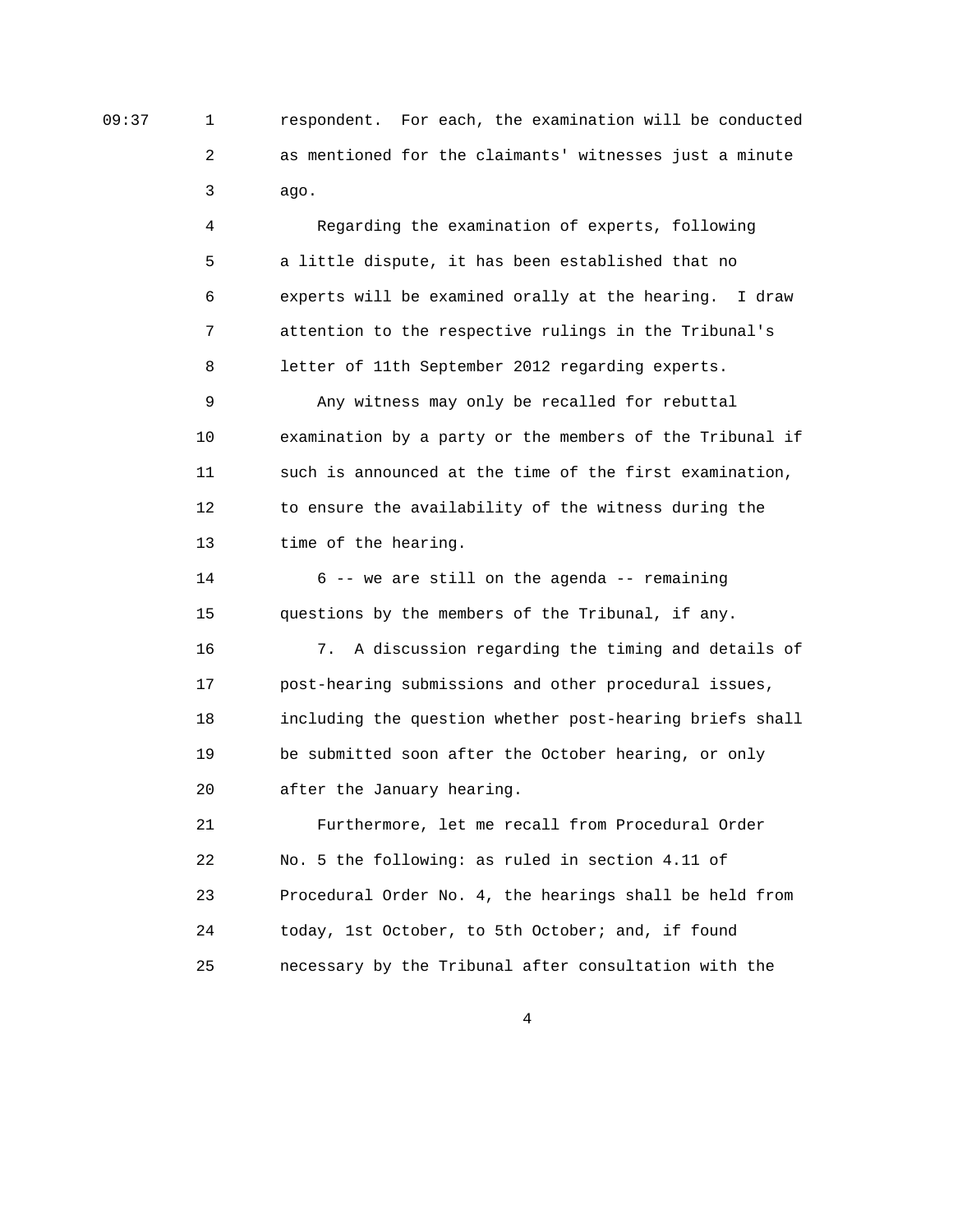09:37 1 respondent. For each, the examination will be conducted 2 as mentioned for the claimants' witnesses just a minute 3 ago.

> 4 Regarding the examination of experts, following 5 a little dispute, it has been established that no 6 experts will be examined orally at the hearing. I draw 7 attention to the respective rulings in the Tribunal's 8 letter of 11th September 2012 regarding experts.

 9 Any witness may only be recalled for rebuttal 10 examination by a party or the members of the Tribunal if 11 such is announced at the time of the first examination, 12 to ensure the availability of the witness during the 13 time of the hearing.

 14 6 -- we are still on the agenda -- remaining 15 questions by the members of the Tribunal, if any.

 16 7. A discussion regarding the timing and details of 17 post-hearing submissions and other procedural issues, 18 including the question whether post-hearing briefs shall 19 be submitted soon after the October hearing, or only 20 after the January hearing.

 21 Furthermore, let me recall from Procedural Order 22 No. 5 the following: as ruled in section 4.11 of 23 Procedural Order No. 4, the hearings shall be held from 24 today, 1st October, to 5th October; and, if found 25 necessary by the Tribunal after consultation with the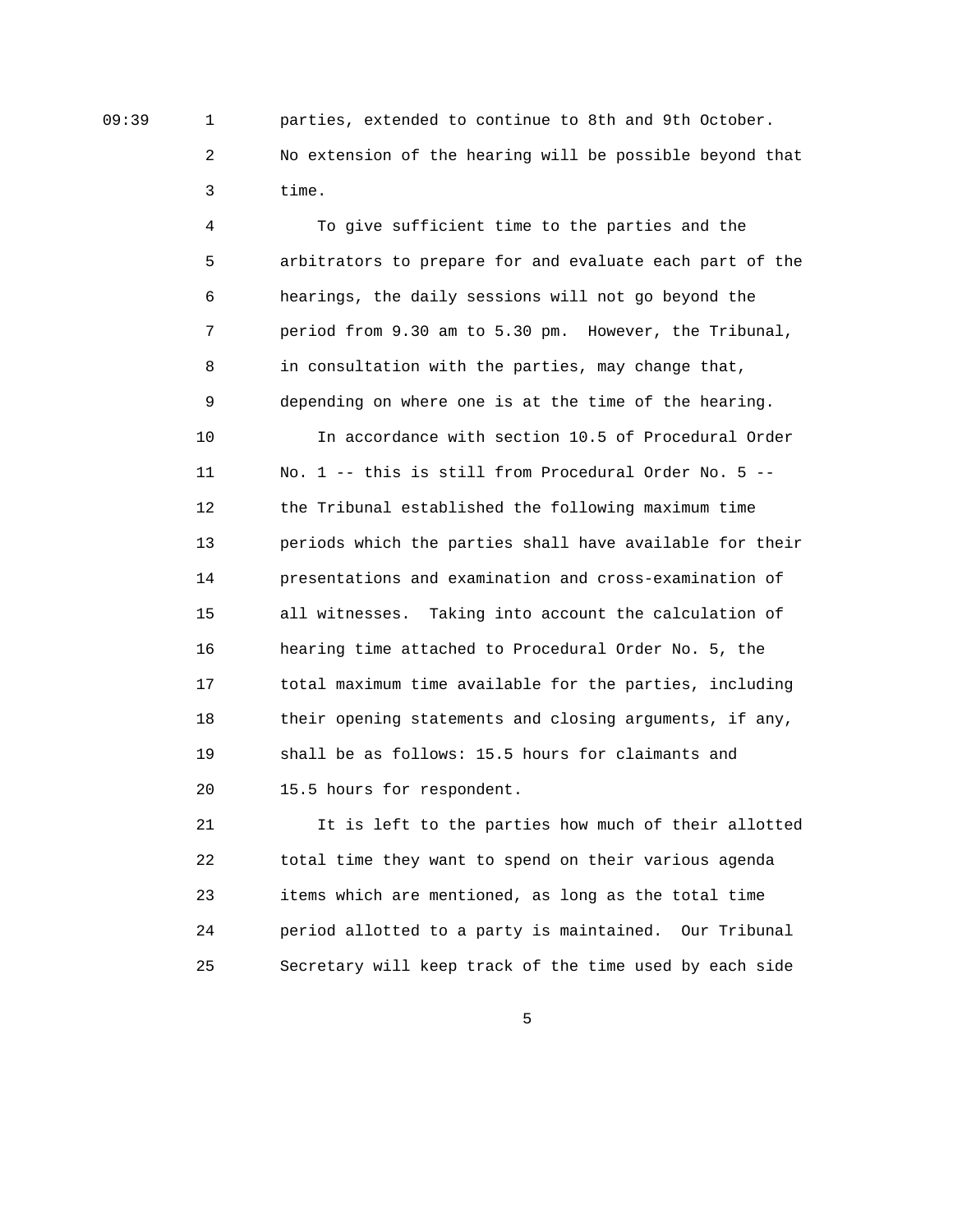09:39 1 parties, extended to continue to 8th and 9th October. 2 No extension of the hearing will be possible beyond that 3 time.

> 4 To give sufficient time to the parties and the 5 arbitrators to prepare for and evaluate each part of the 6 hearings, the daily sessions will not go beyond the 7 period from 9.30 am to 5.30 pm. However, the Tribunal, 8 in consultation with the parties, may change that, 9 depending on where one is at the time of the hearing. 10 In accordance with section 10.5 of Procedural Order 11 No. 1 -- this is still from Procedural Order No. 5 -- 12 the Tribunal established the following maximum time 13 periods which the parties shall have available for their 14 presentations and examination and cross-examination of 15 all witnesses. Taking into account the calculation of 16 hearing time attached to Procedural Order No. 5, the 17 total maximum time available for the parties, including 18 their opening statements and closing arguments, if any, 19 shall be as follows: 15.5 hours for claimants and 20 15.5 hours for respondent.

> 21 It is left to the parties how much of their allotted 22 total time they want to spend on their various agenda 23 items which are mentioned, as long as the total time 24 period allotted to a party is maintained. Our Tribunal 25 Secretary will keep track of the time used by each side

 $\sim$  5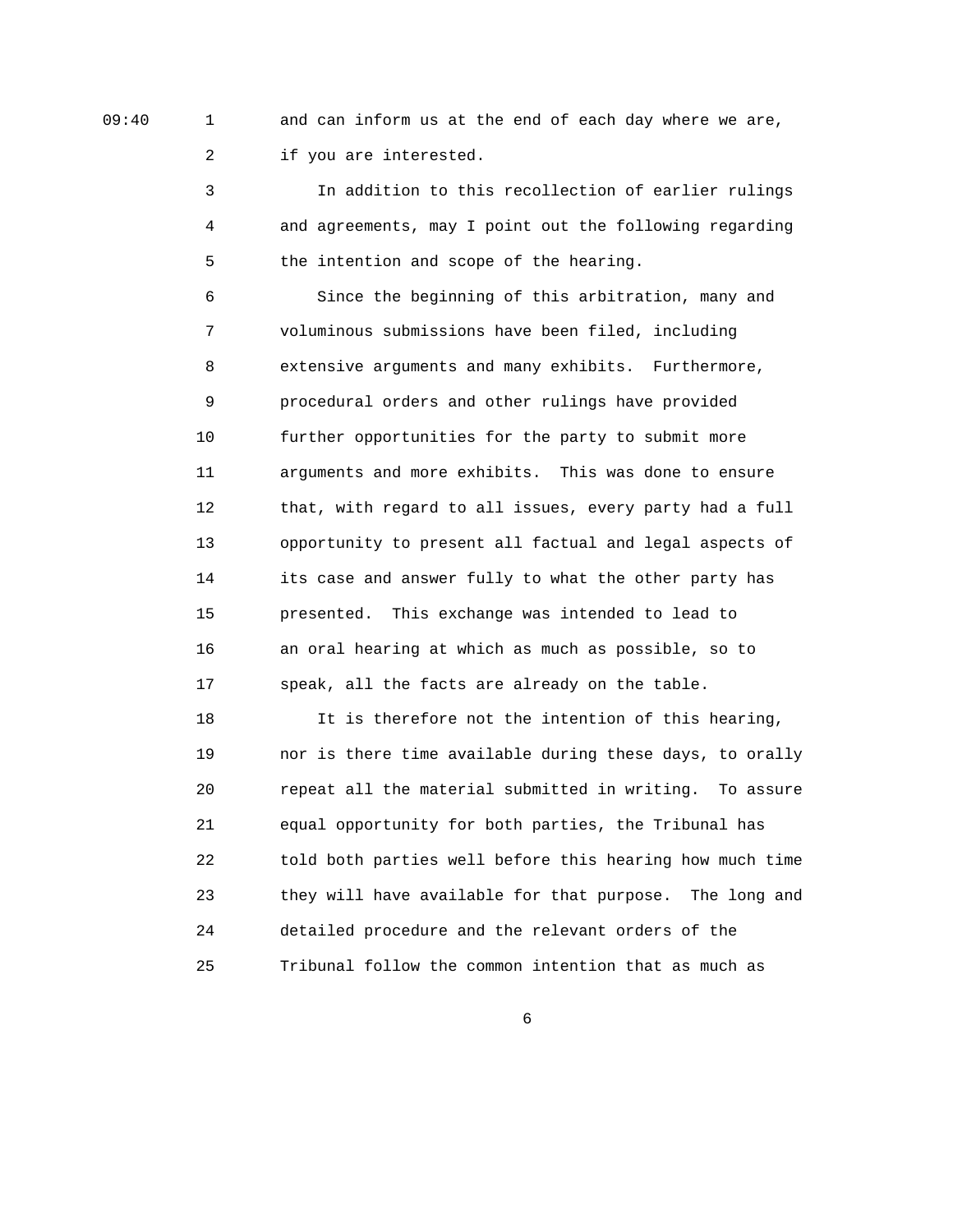09:40 1 and can inform us at the end of each day where we are, 2 if you are interested.

> 3 In addition to this recollection of earlier rulings 4 and agreements, may I point out the following regarding 5 the intention and scope of the hearing.

 6 Since the beginning of this arbitration, many and 7 voluminous submissions have been filed, including 8 extensive arguments and many exhibits. Furthermore, 9 procedural orders and other rulings have provided 10 further opportunities for the party to submit more 11 arguments and more exhibits. This was done to ensure 12 that, with regard to all issues, every party had a full 13 opportunity to present all factual and legal aspects of 14 its case and answer fully to what the other party has 15 presented. This exchange was intended to lead to 16 an oral hearing at which as much as possible, so to 17 speak, all the facts are already on the table.

 18 It is therefore not the intention of this hearing, 19 nor is there time available during these days, to orally 20 repeat all the material submitted in writing. To assure 21 equal opportunity for both parties, the Tribunal has 22 told both parties well before this hearing how much time 23 they will have available for that purpose. The long and 24 detailed procedure and the relevant orders of the 25 Tribunal follow the common intention that as much as

 $\overline{6}$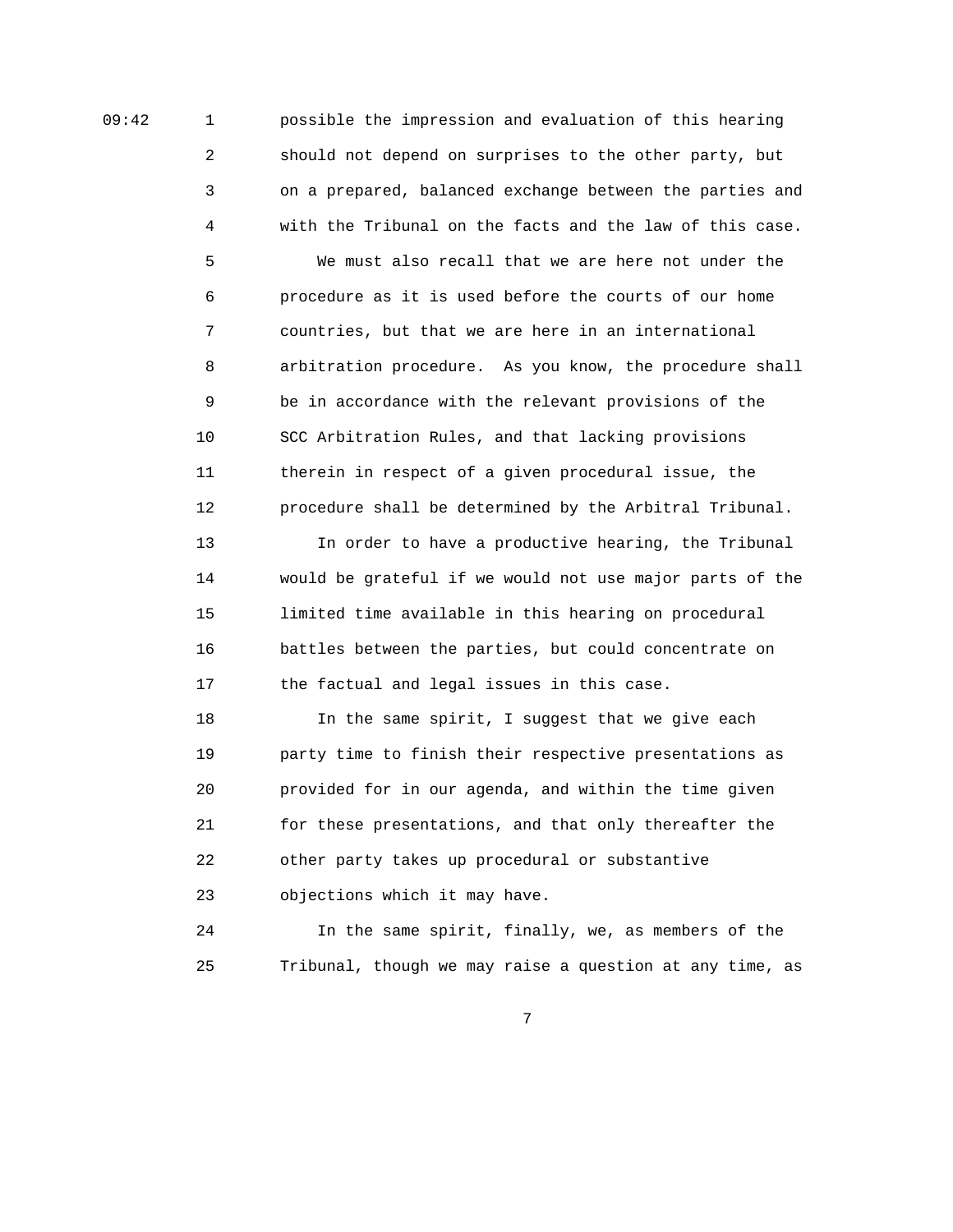09:42 1 possible the impression and evaluation of this hearing 2 should not depend on surprises to the other party, but 3 on a prepared, balanced exchange between the parties and 4 with the Tribunal on the facts and the law of this case.

> 5 We must also recall that we are here not under the 6 procedure as it is used before the courts of our home 7 countries, but that we are here in an international 8 arbitration procedure. As you know, the procedure shall 9 be in accordance with the relevant provisions of the 10 SCC Arbitration Rules, and that lacking provisions 11 therein in respect of a given procedural issue, the 12 procedure shall be determined by the Arbitral Tribunal.

> 13 In order to have a productive hearing, the Tribunal 14 would be grateful if we would not use major parts of the 15 limited time available in this hearing on procedural 16 battles between the parties, but could concentrate on 17 the factual and legal issues in this case.

 18 In the same spirit, I suggest that we give each 19 party time to finish their respective presentations as 20 provided for in our agenda, and within the time given 21 for these presentations, and that only thereafter the 22 other party takes up procedural or substantive 23 objections which it may have.

 24 In the same spirit, finally, we, as members of the 25 Tribunal, though we may raise a question at any time, as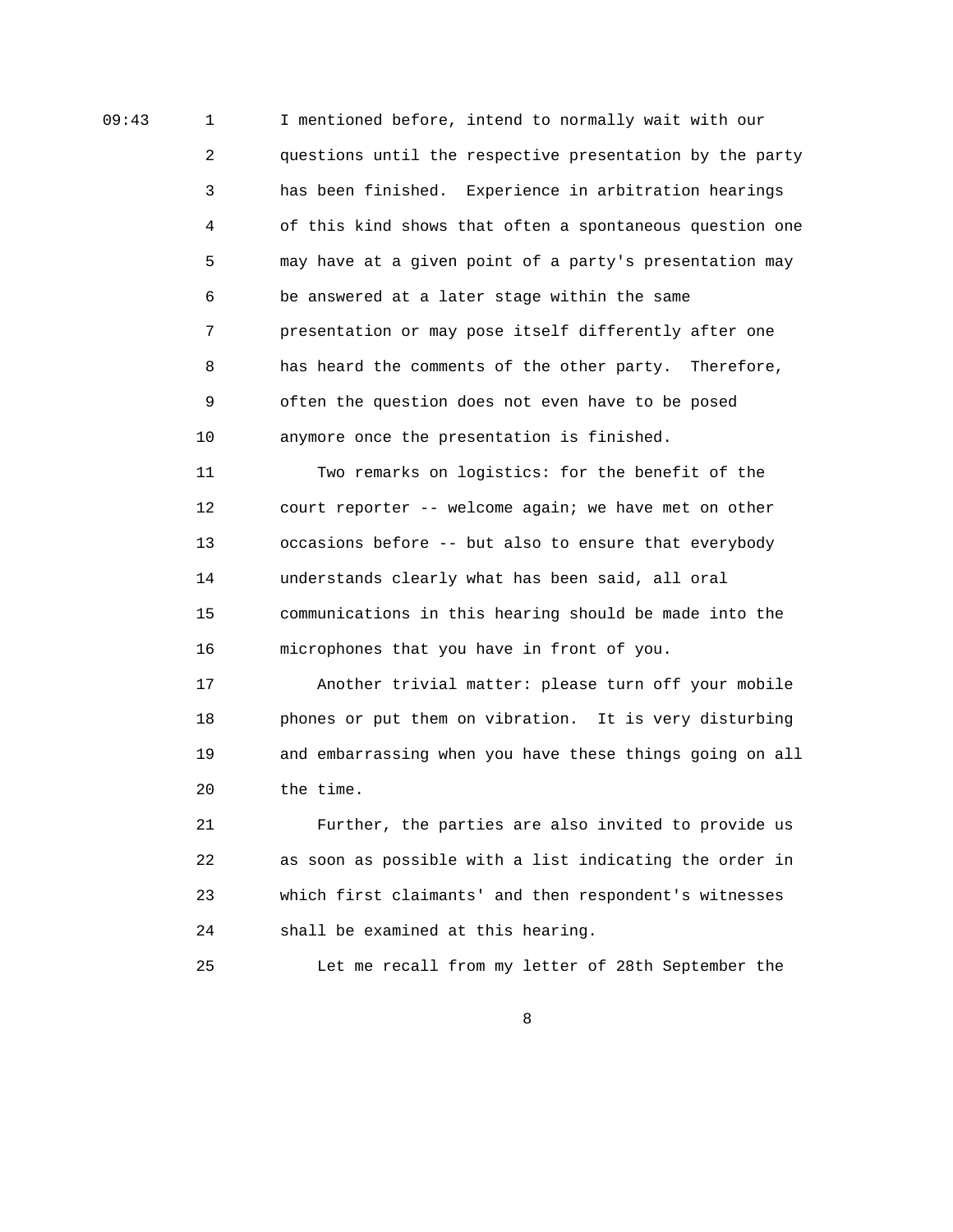09:43 1 I mentioned before, intend to normally wait with our 2 questions until the respective presentation by the party 3 has been finished. Experience in arbitration hearings 4 of this kind shows that often a spontaneous question one 5 may have at a given point of a party's presentation may 6 be answered at a later stage within the same 7 presentation or may pose itself differently after one 8 has heard the comments of the other party. Therefore, 9 often the question does not even have to be posed 10 anymore once the presentation is finished.

> 11 Two remarks on logistics: for the benefit of the 12 court reporter -- welcome again; we have met on other 13 occasions before -- but also to ensure that everybody 14 understands clearly what has been said, all oral 15 communications in this hearing should be made into the 16 microphones that you have in front of you.

 17 Another trivial matter: please turn off your mobile 18 phones or put them on vibration. It is very disturbing 19 and embarrassing when you have these things going on all 20 the time.

 21 Further, the parties are also invited to provide us 22 as soon as possible with a list indicating the order in 23 which first claimants' and then respondent's witnesses 24 shall be examined at this hearing.

25 Let me recall from my letter of 28th September the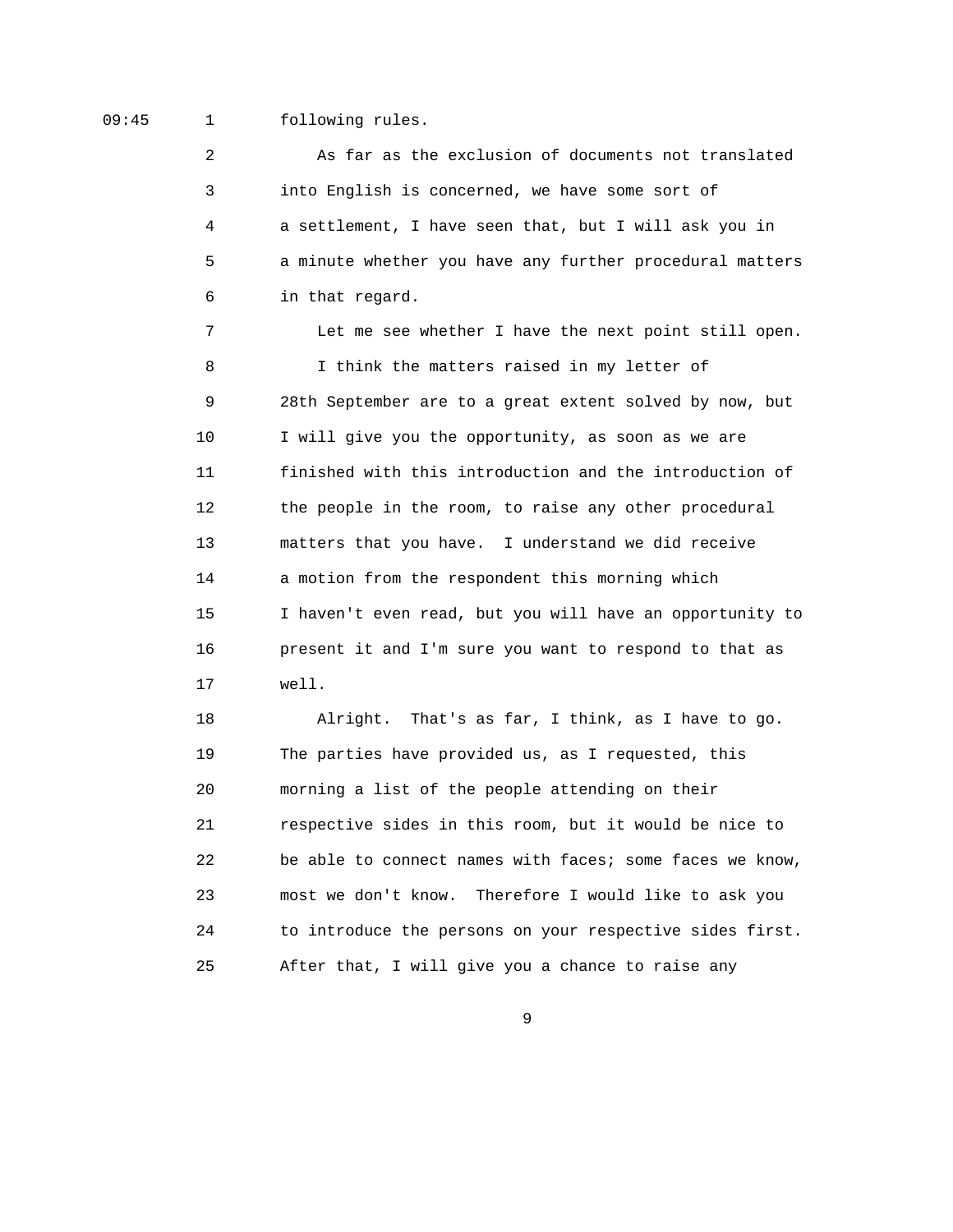## 09:45 1 following rules.

 2 As far as the exclusion of documents not translated 3 into English is concerned, we have some sort of 4 a settlement, I have seen that, but I will ask you in 5 a minute whether you have any further procedural matters 6 in that regard.

 7 Let me see whether I have the next point still open. 8 I think the matters raised in my letter of 9 28th September are to a great extent solved by now, but 10 I will give you the opportunity, as soon as we are 11 finished with this introduction and the introduction of 12 the people in the room, to raise any other procedural 13 matters that you have. I understand we did receive 14 a motion from the respondent this morning which 15 I haven't even read, but you will have an opportunity to 16 present it and I'm sure you want to respond to that as 17 well.

 18 Alright. That's as far, I think, as I have to go. 19 The parties have provided us, as I requested, this 20 morning a list of the people attending on their 21 respective sides in this room, but it would be nice to 22 be able to connect names with faces; some faces we know, 23 most we don't know. Therefore I would like to ask you 24 to introduce the persons on your respective sides first. 25 After that, I will give you a chance to raise any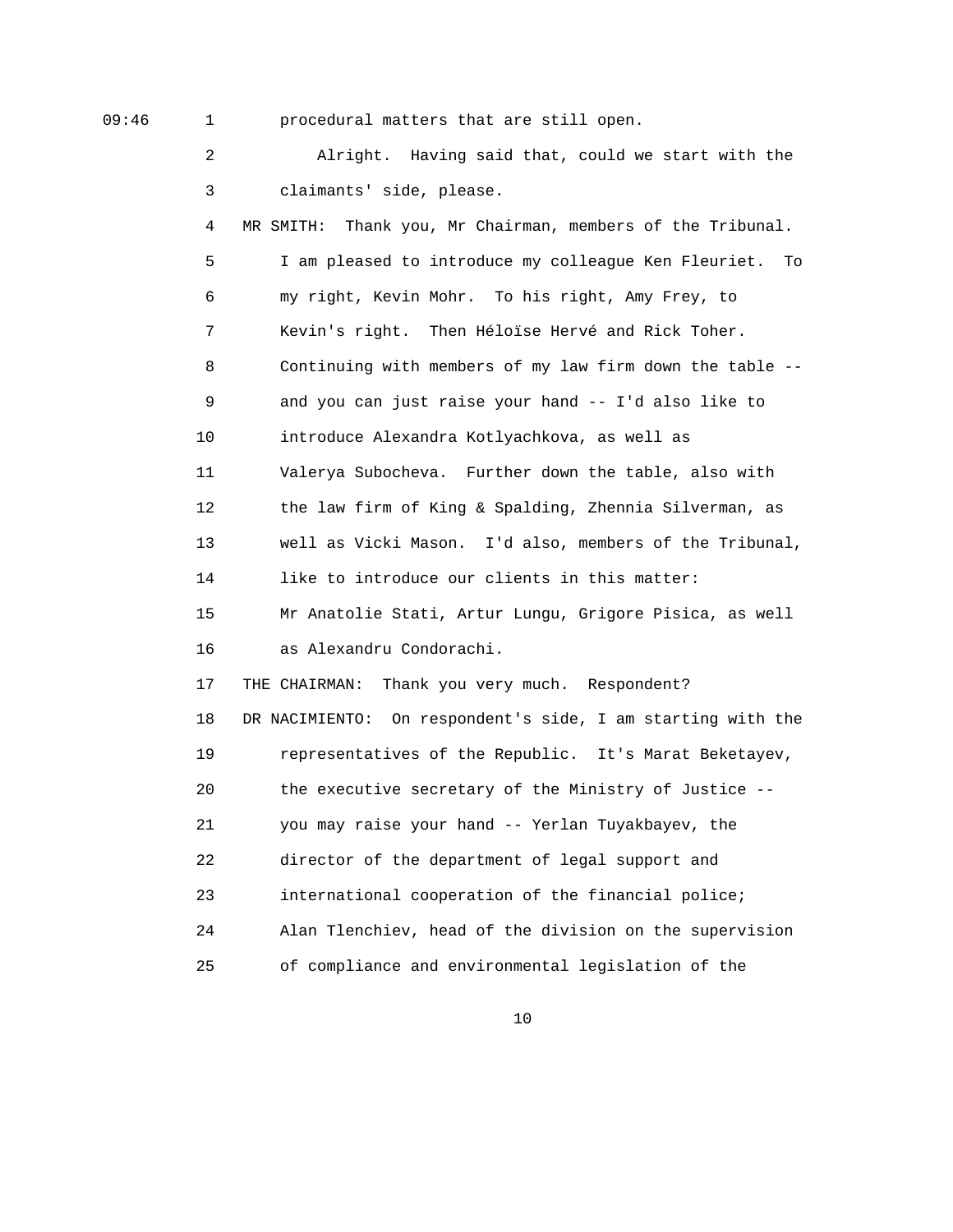09:46 1 procedural matters that are still open.

 2 Alright. Having said that, could we start with the 3 claimants' side, please. 4 MR SMITH: Thank you, Mr Chairman, members of the Tribunal. 5 I am pleased to introduce my colleague Ken Fleuriet. To 6 my right, Kevin Mohr. To his right, Amy Frey, to 7 Kevin's right. Then Héloïse Hervé and Rick Toher. 8 Continuing with members of my law firm down the table -- 9 and you can just raise your hand -- I'd also like to 10 introduce Alexandra Kotlyachkova, as well as 11 Valerya Subocheva. Further down the table, also with 12 the law firm of King & Spalding, Zhennia Silverman, as 13 well as Vicki Mason. I'd also, members of the Tribunal, 14 like to introduce our clients in this matter: 15 Mr Anatolie Stati, Artur Lungu, Grigore Pisica, as well 16 as Alexandru Condorachi. 17 THE CHAIRMAN: Thank you very much. Respondent? 18 DR NACIMIENTO: On respondent's side, I am starting with the 19 representatives of the Republic. It's Marat Beketayev, 20 the executive secretary of the Ministry of Justice -- 21 you may raise your hand -- Yerlan Tuyakbayev, the 22 director of the department of legal support and 23 international cooperation of the financial police; 24 Alan Tlenchiev, head of the division on the supervision 25 of compliance and environmental legislation of the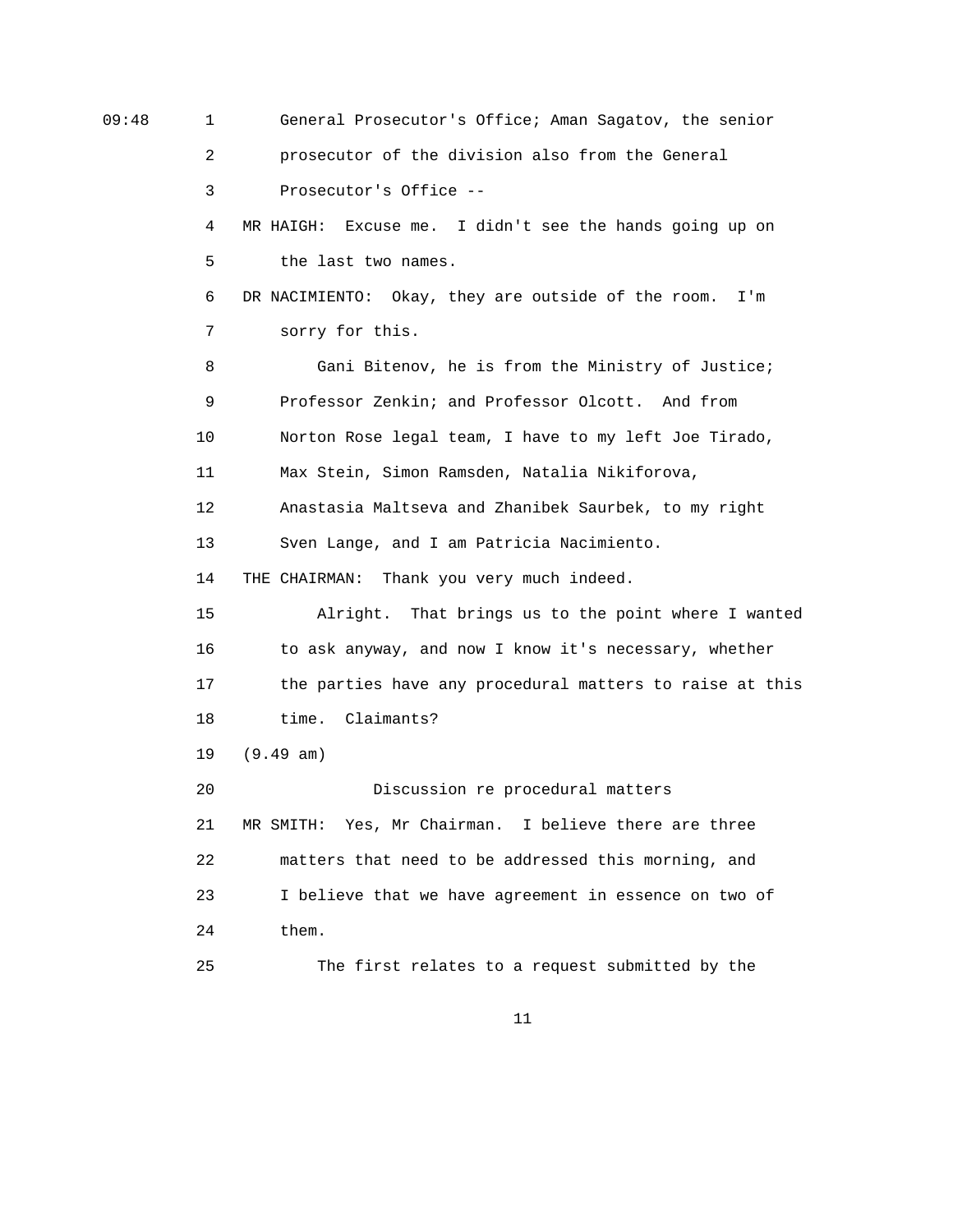| 09:48 | 1  | General Prosecutor's Office; Aman Sagatov, the senior      |
|-------|----|------------------------------------------------------------|
|       | 2  | prosecutor of the division also from the General           |
|       | 3  | Prosecutor's Office --                                     |
|       | 4  | Excuse me. I didn't see the hands going up on<br>MR HAIGH: |
|       | 5  | the last two names.                                        |
|       | 6  | DR NACIMIENTO: Okay, they are outside of the room.<br>I'm  |
|       | 7  | sorry for this.                                            |
|       | 8  | Gani Bitenov, he is from the Ministry of Justice;          |
|       | 9  | Professor Zenkin; and Professor Olcott. And from           |
|       | 10 | Norton Rose legal team, I have to my left Joe Tirado,      |
|       | 11 | Max Stein, Simon Ramsden, Natalia Nikiforova,              |
|       | 12 | Anastasia Maltseva and Zhanibek Saurbek, to my right       |
|       | 13 | Sven Lange, and I am Patricia Nacimiento.                  |
|       | 14 | THE CHAIRMAN: Thank you very much indeed.                  |
|       | 15 | Alright. That brings us to the point where I wanted        |
|       | 16 | to ask anyway, and now I know it's necessary, whether      |
|       | 17 | the parties have any procedural matters to raise at this   |
|       | 18 | time. Claimants?                                           |
|       | 19 | (9.49 am)                                                  |
|       | 20 | Discussion re procedural matters                           |
|       | 21 | MR SMITH: Yes, Mr Chairman. I believe there are three      |
|       | 22 | matters that need to be addressed this morning, and        |
|       | 23 | I believe that we have agreement in essence on two of      |
|       | 24 | them.                                                      |
|       | 25 | The first relates to a request submitted by the            |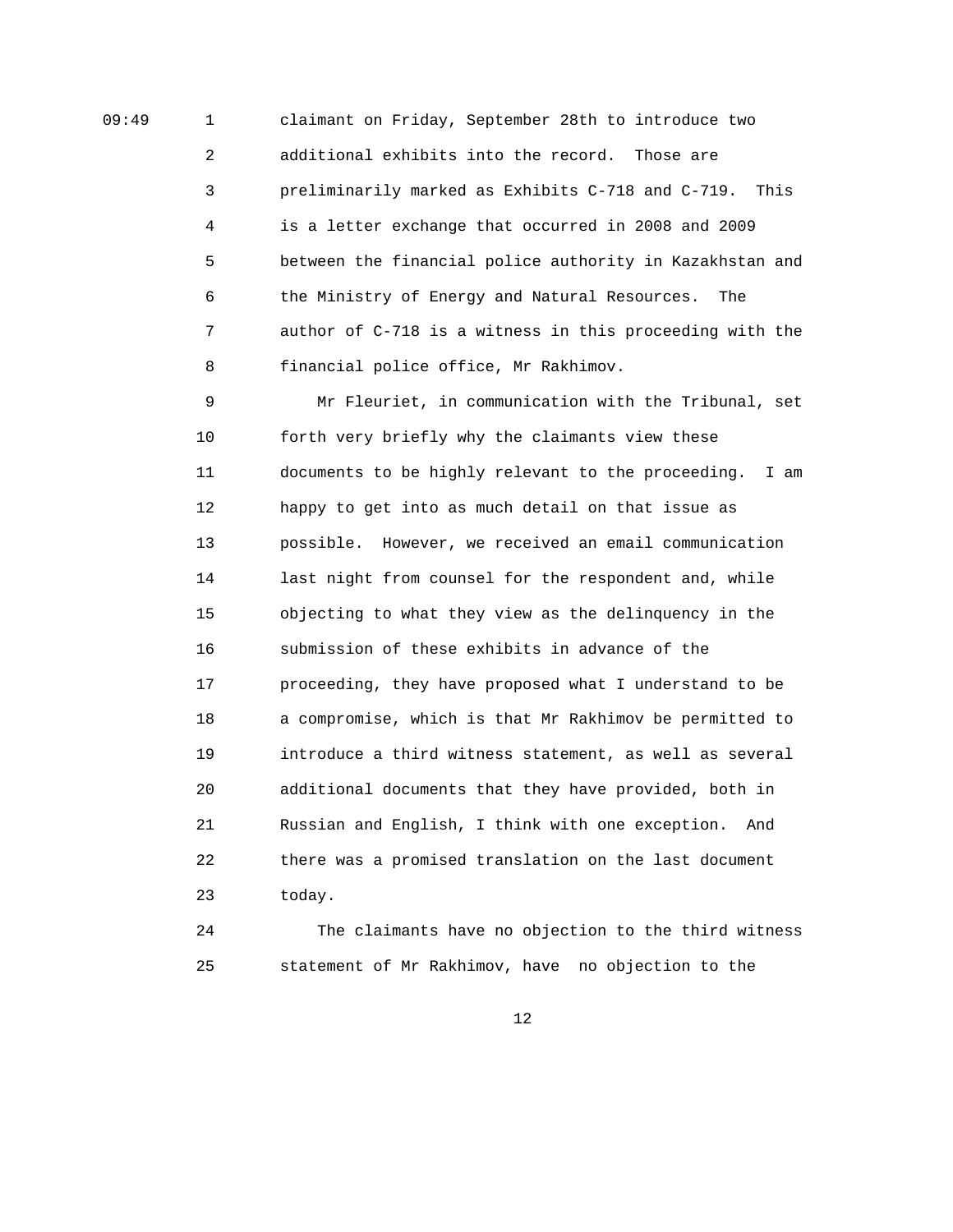09:49 1 claimant on Friday, September 28th to introduce two 2 additional exhibits into the record. Those are 3 preliminarily marked as Exhibits C-718 and C-719. This 4 is a letter exchange that occurred in 2008 and 2009 5 between the financial police authority in Kazakhstan and 6 the Ministry of Energy and Natural Resources. The 7 author of C-718 is a witness in this proceeding with the 8 financial police office, Mr Rakhimov.

> 9 Mr Fleuriet, in communication with the Tribunal, set 10 forth very briefly why the claimants view these 11 documents to be highly relevant to the proceeding. I am 12 happy to get into as much detail on that issue as 13 possible. However, we received an email communication 14 last night from counsel for the respondent and, while 15 objecting to what they view as the delinquency in the 16 submission of these exhibits in advance of the 17 proceeding, they have proposed what I understand to be 18 a compromise, which is that Mr Rakhimov be permitted to 19 introduce a third witness statement, as well as several 20 additional documents that they have provided, both in 21 Russian and English, I think with one exception. And 22 there was a promised translation on the last document 23 today.

> 24 The claimants have no objection to the third witness 25 statement of Mr Rakhimov, have no objection to the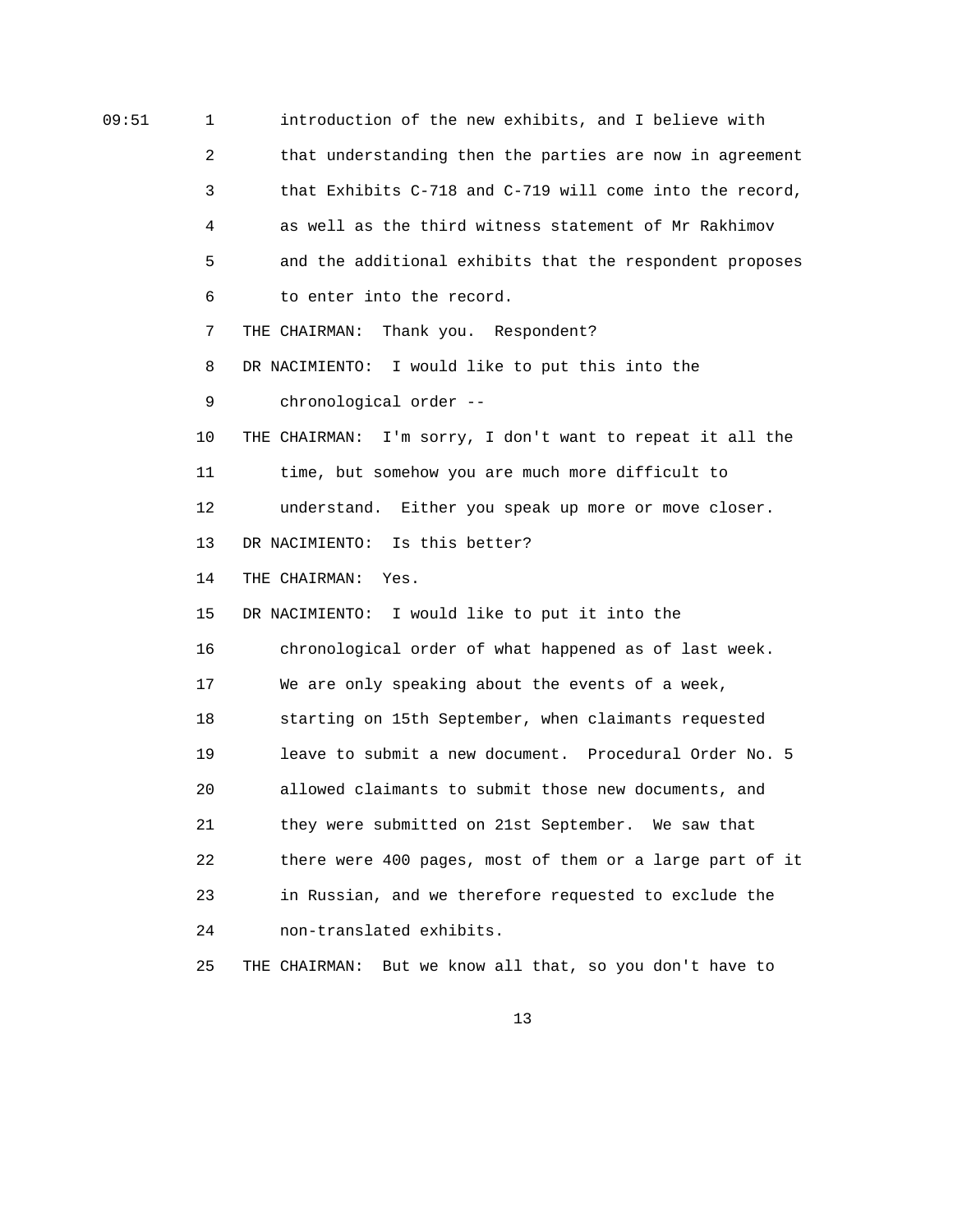09:51 1 introduction of the new exhibits, and I believe with 2 that understanding then the parties are now in agreement 3 that Exhibits C-718 and C-719 will come into the record, 4 as well as the third witness statement of Mr Rakhimov 5 and the additional exhibits that the respondent proposes 6 to enter into the record. 7 THE CHAIRMAN: Thank you. Respondent? 8 DR NACIMIENTO: I would like to put this into the 9 chronological order -- 10 THE CHAIRMAN: I'm sorry, I don't want to repeat it all the 11 time, but somehow you are much more difficult to 12 understand. Either you speak up more or move closer. 13 DR NACIMIENTO: Is this better? 14 THE CHAIRMAN: Yes. 15 DR NACIMIENTO: I would like to put it into the 16 chronological order of what happened as of last week. 17 We are only speaking about the events of a week, 18 starting on 15th September, when claimants requested 19 leave to submit a new document. Procedural Order No. 5 20 allowed claimants to submit those new documents, and 21 they were submitted on 21st September. We saw that 22 there were 400 pages, most of them or a large part of it 23 in Russian, and we therefore requested to exclude the 24 non-translated exhibits. 25 THE CHAIRMAN: But we know all that, so you don't have to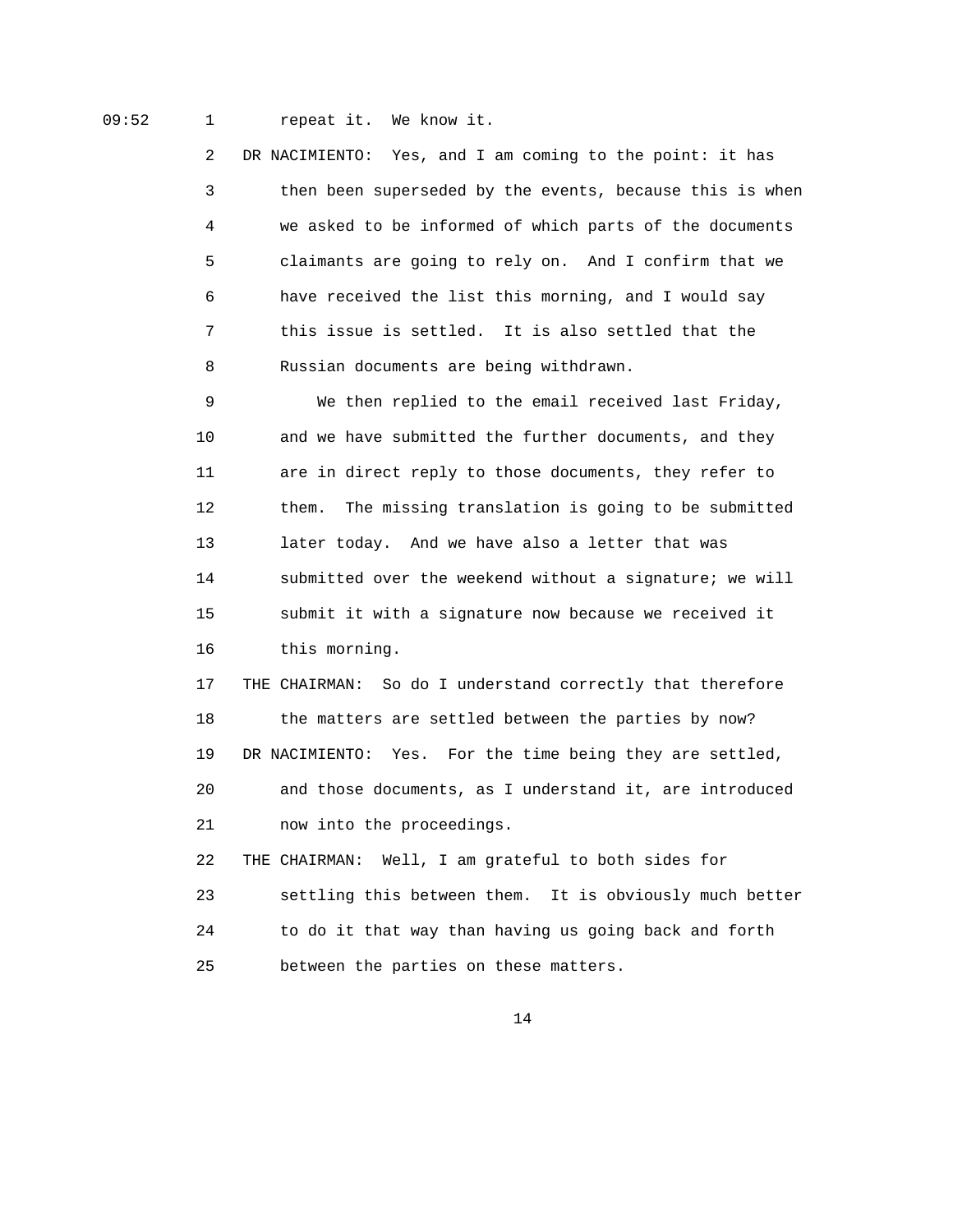09:52 1 repeat it. We know it.

 2 DR NACIMIENTO: Yes, and I am coming to the point: it has 3 then been superseded by the events, because this is when 4 we asked to be informed of which parts of the documents 5 claimants are going to rely on. And I confirm that we 6 have received the list this morning, and I would say 7 this issue is settled. It is also settled that the 8 Russian documents are being withdrawn.

 9 We then replied to the email received last Friday, 10 and we have submitted the further documents, and they 11 are in direct reply to those documents, they refer to 12 them. The missing translation is going to be submitted 13 later today. And we have also a letter that was 14 submitted over the weekend without a signature; we will 15 submit it with a signature now because we received it 16 this morning.

 17 THE CHAIRMAN: So do I understand correctly that therefore 18 the matters are settled between the parties by now? 19 DR NACIMIENTO: Yes. For the time being they are settled, 20 and those documents, as I understand it, are introduced 21 now into the proceedings.

 22 THE CHAIRMAN: Well, I am grateful to both sides for 23 settling this between them. It is obviously much better 24 to do it that way than having us going back and forth 25 between the parties on these matters.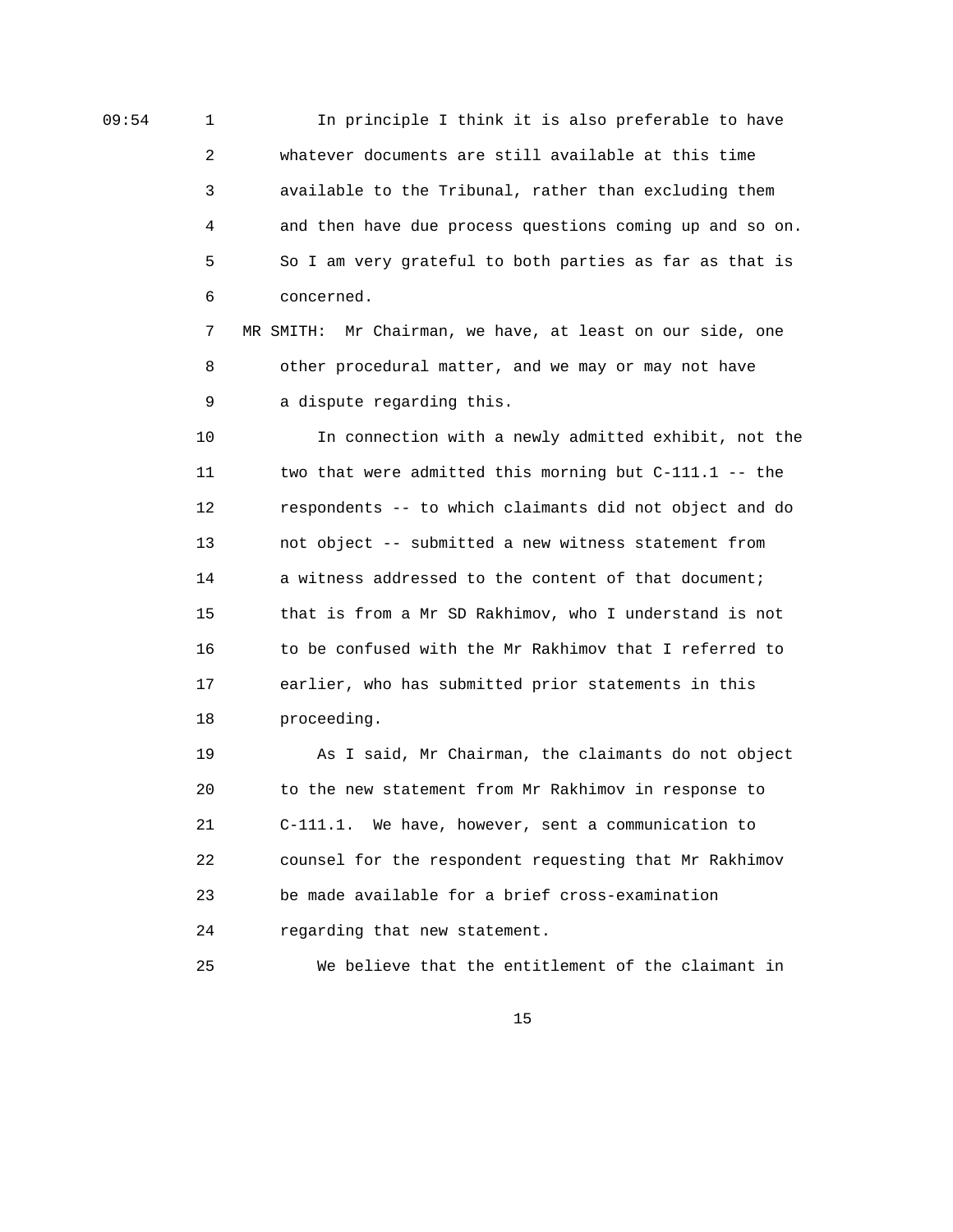09:54 1 In principle I think it is also preferable to have 2 whatever documents are still available at this time 3 available to the Tribunal, rather than excluding them 4 and then have due process questions coming up and so on. 5 So I am very grateful to both parties as far as that is 6 concerned.

> 7 MR SMITH: Mr Chairman, we have, at least on our side, one 8 other procedural matter, and we may or may not have 9 a dispute regarding this.

 10 In connection with a newly admitted exhibit, not the 11 two that were admitted this morning but C-111.1 -- the 12 respondents -- to which claimants did not object and do 13 not object -- submitted a new witness statement from 14 a witness addressed to the content of that document; 15 that is from a Mr SD Rakhimov, who I understand is not 16 to be confused with the Mr Rakhimov that I referred to 17 earlier, who has submitted prior statements in this 18 proceeding.

 19 As I said, Mr Chairman, the claimants do not object 20 to the new statement from Mr Rakhimov in response to 21 C-111.1. We have, however, sent a communication to 22 counsel for the respondent requesting that Mr Rakhimov 23 be made available for a brief cross-examination 24 regarding that new statement.

25 We believe that the entitlement of the claimant in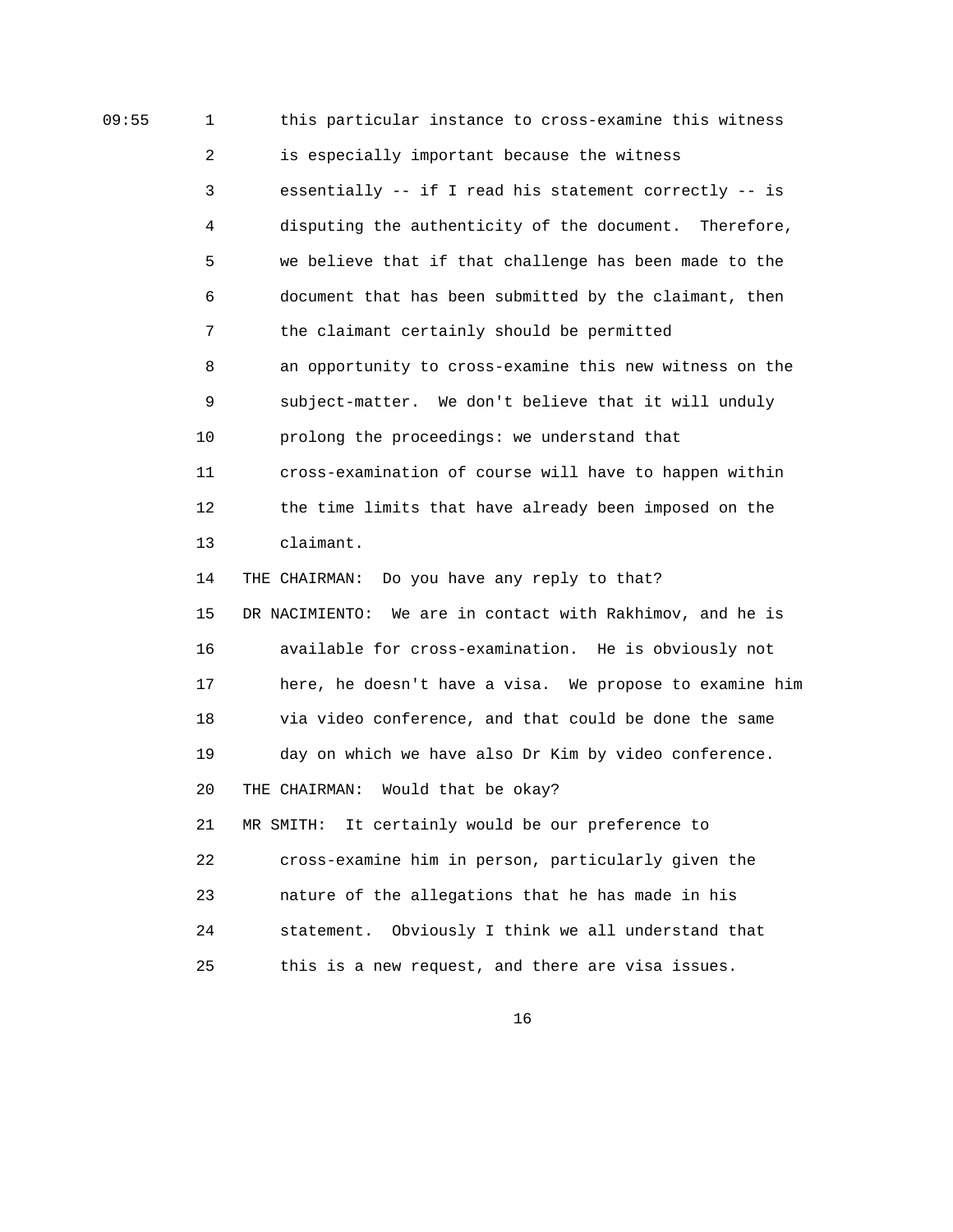09:55 1 this particular instance to cross-examine this witness 2 is especially important because the witness 3 essentially -- if I read his statement correctly -- is 4 disputing the authenticity of the document. Therefore, 5 we believe that if that challenge has been made to the 6 document that has been submitted by the claimant, then 7 the claimant certainly should be permitted 8 an opportunity to cross-examine this new witness on the 9 subject-matter. We don't believe that it will unduly 10 prolong the proceedings: we understand that 11 cross-examination of course will have to happen within 12 the time limits that have already been imposed on the 13 claimant. 14 THE CHAIRMAN: Do you have any reply to that? 15 DR NACIMIENTO: We are in contact with Rakhimov, and he is 16 available for cross-examination. He is obviously not 17 here, he doesn't have a visa. We propose to examine him 18 via video conference, and that could be done the same 19 day on which we have also Dr Kim by video conference. 20 THE CHAIRMAN: Would that be okay? 21 MR SMITH: It certainly would be our preference to 22 cross-examine him in person, particularly given the 23 nature of the allegations that he has made in his 24 statement. Obviously I think we all understand that 25 this is a new request, and there are visa issues.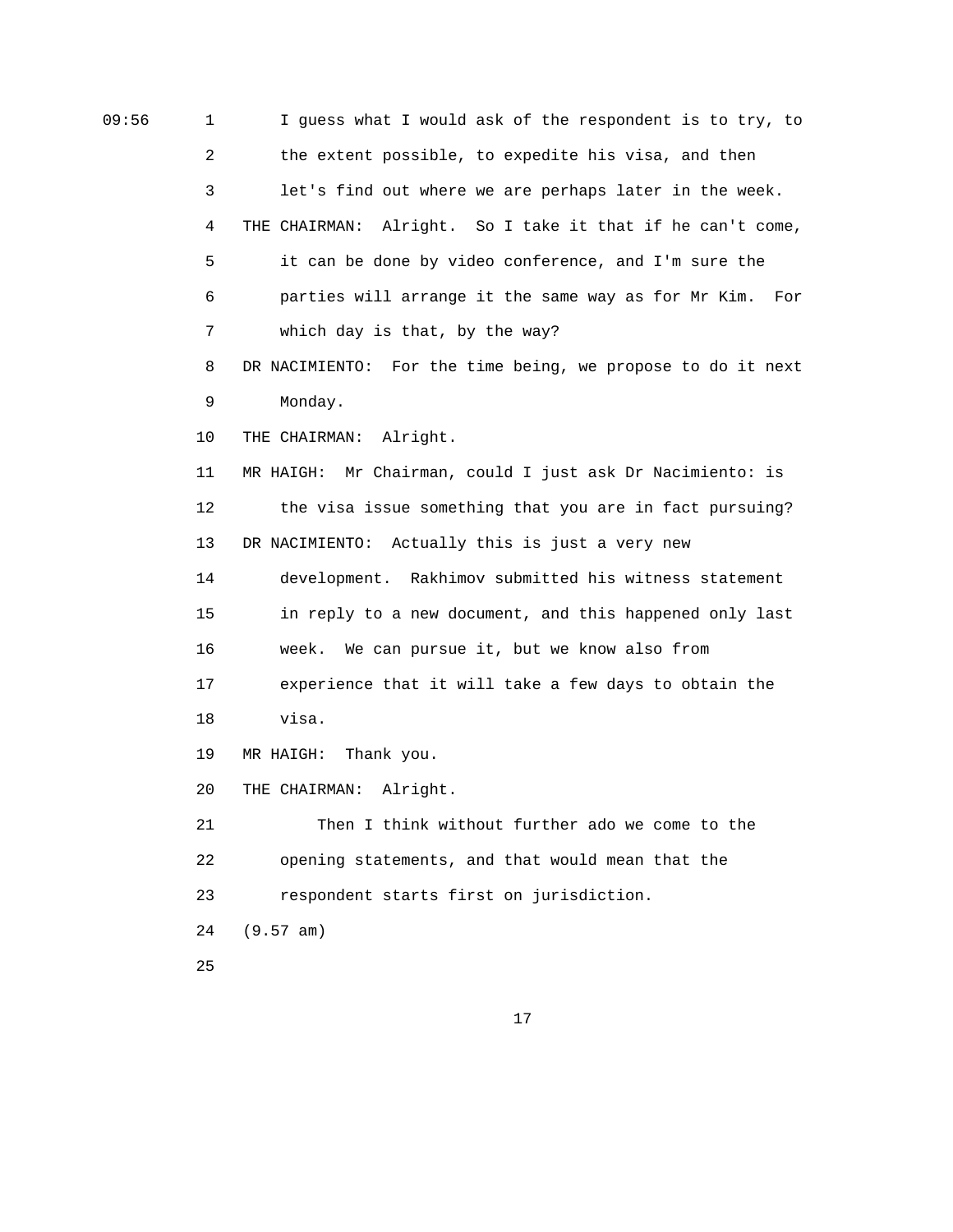09:56 1 I guess what I would ask of the respondent is to try, to 2 the extent possible, to expedite his visa, and then 3 let's find out where we are perhaps later in the week. 4 THE CHAIRMAN: Alright. So I take it that if he can't come, 5 it can be done by video conference, and I'm sure the 6 parties will arrange it the same way as for Mr Kim. For 7 which day is that, by the way? 8 DR NACIMIENTO: For the time being, we propose to do it next 9 Monday. 10 THE CHAIRMAN: Alright. 11 MR HAIGH: Mr Chairman, could I just ask Dr Nacimiento: is 12 the visa issue something that you are in fact pursuing? 13 DR NACIMIENTO: Actually this is just a very new 14 development. Rakhimov submitted his witness statement 15 in reply to a new document, and this happened only last 16 week. We can pursue it, but we know also from 17 experience that it will take a few days to obtain the 18 visa. 19 MR HAIGH: Thank you. 20 THE CHAIRMAN: Alright. 21 Then I think without further ado we come to the 22 opening statements, and that would mean that the 23 respondent starts first on jurisdiction. 24 (9.57 am) 25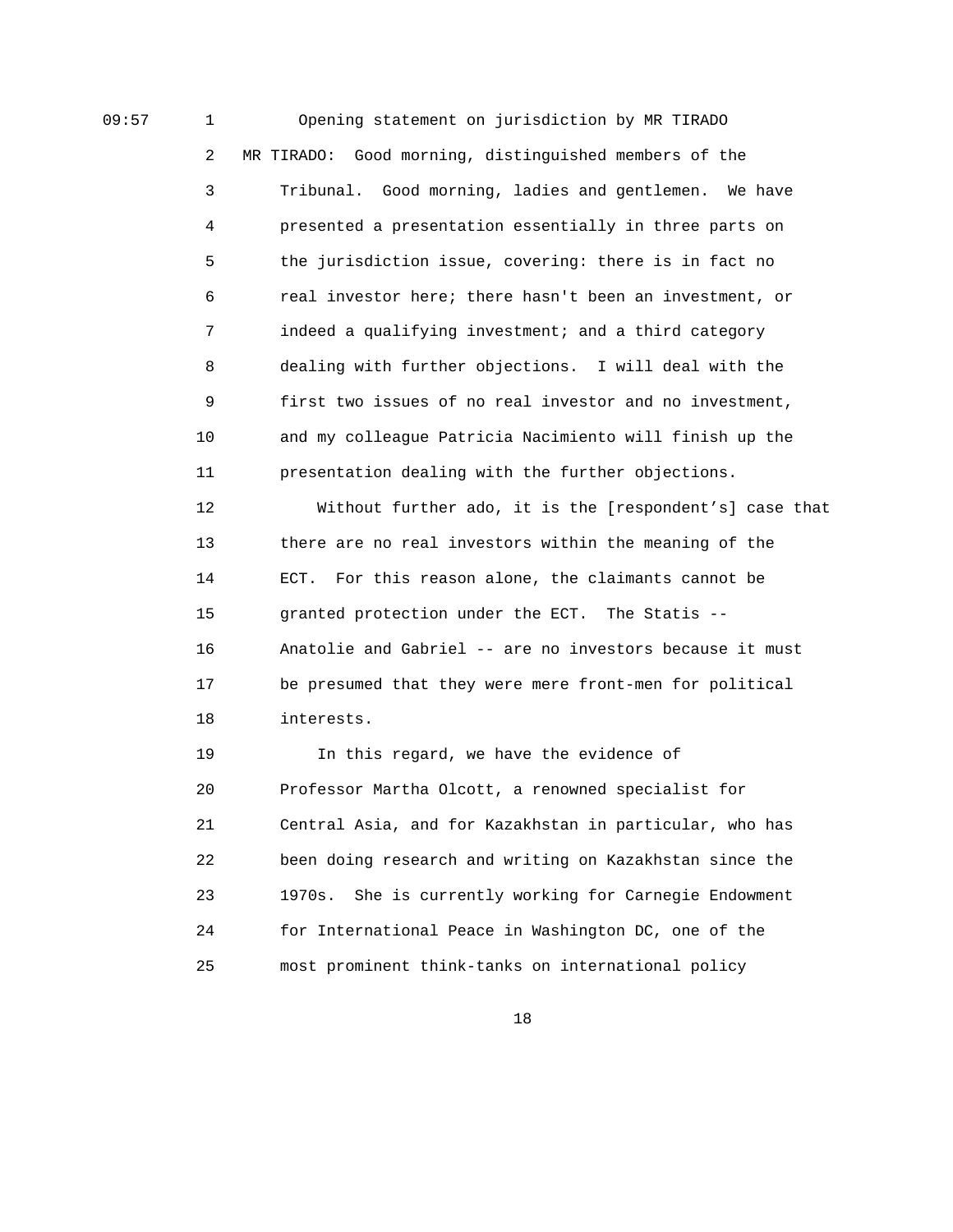09:57 1 Opening statement on jurisdiction by MR TIRADO 2 MR TIRADO: Good morning, distinguished members of the 3 Tribunal. Good morning, ladies and gentlemen. We have 4 presented a presentation essentially in three parts on 5 the jurisdiction issue, covering: there is in fact no 6 real investor here; there hasn't been an investment, or 7 indeed a qualifying investment; and a third category 8 dealing with further objections. I will deal with the 9 first two issues of no real investor and no investment, 10 and my colleague Patricia Nacimiento will finish up the 11 presentation dealing with the further objections.

> 12 Without further ado, it is the [respondent's] case that 13 there are no real investors within the meaning of the 14 ECT. For this reason alone, the claimants cannot be 15 granted protection under the ECT. The Statis -- 16 Anatolie and Gabriel -- are no investors because it must 17 be presumed that they were mere front-men for political 18 interests.

 19 In this regard, we have the evidence of 20 Professor Martha Olcott, a renowned specialist for 21 Central Asia, and for Kazakhstan in particular, who has 22 been doing research and writing on Kazakhstan since the 23 1970s. She is currently working for Carnegie Endowment 24 for International Peace in Washington DC, one of the 25 most prominent think-tanks on international policy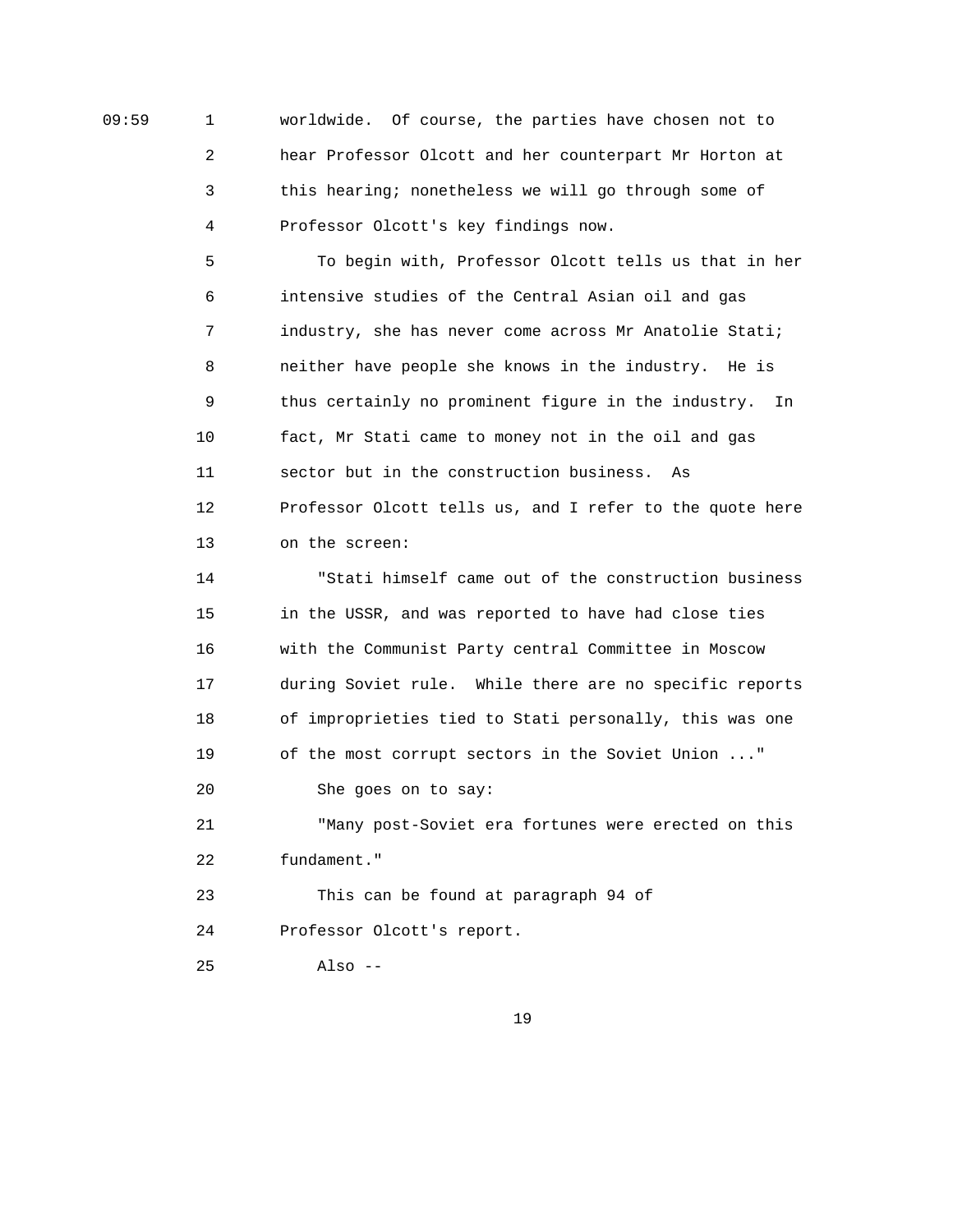09:59 1 worldwide. Of course, the parties have chosen not to 2 hear Professor Olcott and her counterpart Mr Horton at 3 this hearing; nonetheless we will go through some of 4 Professor Olcott's key findings now.

> 5 To begin with, Professor Olcott tells us that in her 6 intensive studies of the Central Asian oil and gas 7 industry, she has never come across Mr Anatolie Stati; 8 neither have people she knows in the industry. He is 9 thus certainly no prominent figure in the industry. In 10 fact, Mr Stati came to money not in the oil and gas 11 sector but in the construction business. As 12 Professor Olcott tells us, and I refer to the quote here 13 on the screen:

> 14 "Stati himself came out of the construction business 15 in the USSR, and was reported to have had close ties 16 with the Communist Party central Committee in Moscow 17 during Soviet rule. While there are no specific reports 18 of improprieties tied to Stati personally, this was one 19 of the most corrupt sectors in the Soviet Union ..." 20 She goes on to say:

 21 "Many post-Soviet era fortunes were erected on this 22 fundament."

 23 This can be found at paragraph 94 of 24 Professor Olcott's report.

25 Also --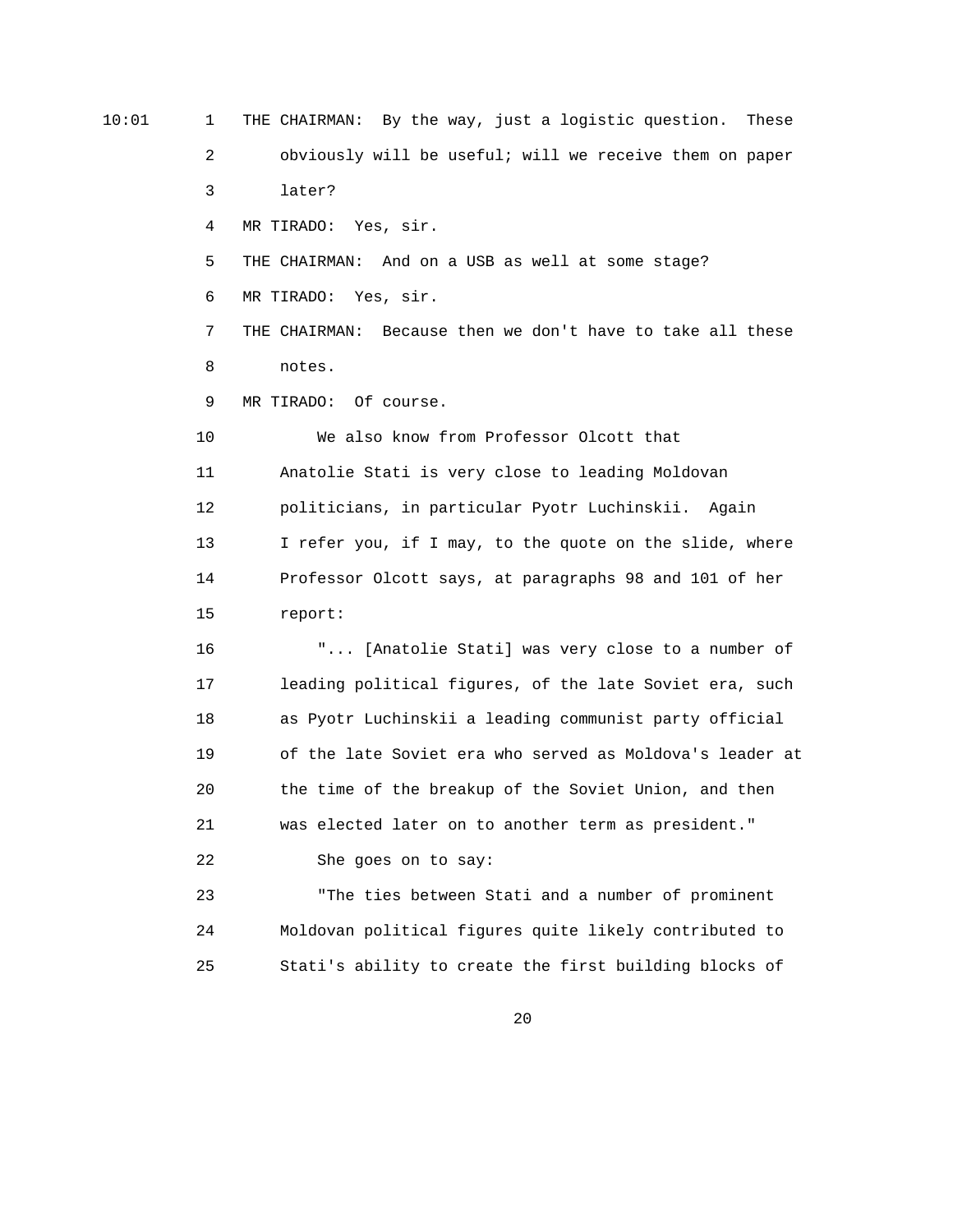10:01 1 THE CHAIRMAN: By the way, just a logistic question. These 2 obviously will be useful; will we receive them on paper 3 later? 4 MR TIRADO: Yes, sir. 5 THE CHAIRMAN: And on a USB as well at some stage? 6 MR TIRADO: Yes, sir. 7 THE CHAIRMAN: Because then we don't have to take all these 8 notes. 9 MR TIRADO: Of course. 10 We also know from Professor Olcott that 11 Anatolie Stati is very close to leading Moldovan 12 politicians, in particular Pyotr Luchinskii. Again 13 I refer you, if I may, to the quote on the slide, where 14 Professor Olcott says, at paragraphs 98 and 101 of her 15 report: 16 "... [Anatolie Stati] was very close to a number of 17 leading political figures, of the late Soviet era, such 18 as Pyotr Luchinskii a leading communist party official 19 of the late Soviet era who served as Moldova's leader at 20 the time of the breakup of the Soviet Union, and then 21 was elected later on to another term as president." 22 She goes on to say: 23 "The ties between Stati and a number of prominent 24 Moldovan political figures quite likely contributed to 25 Stati's ability to create the first building blocks of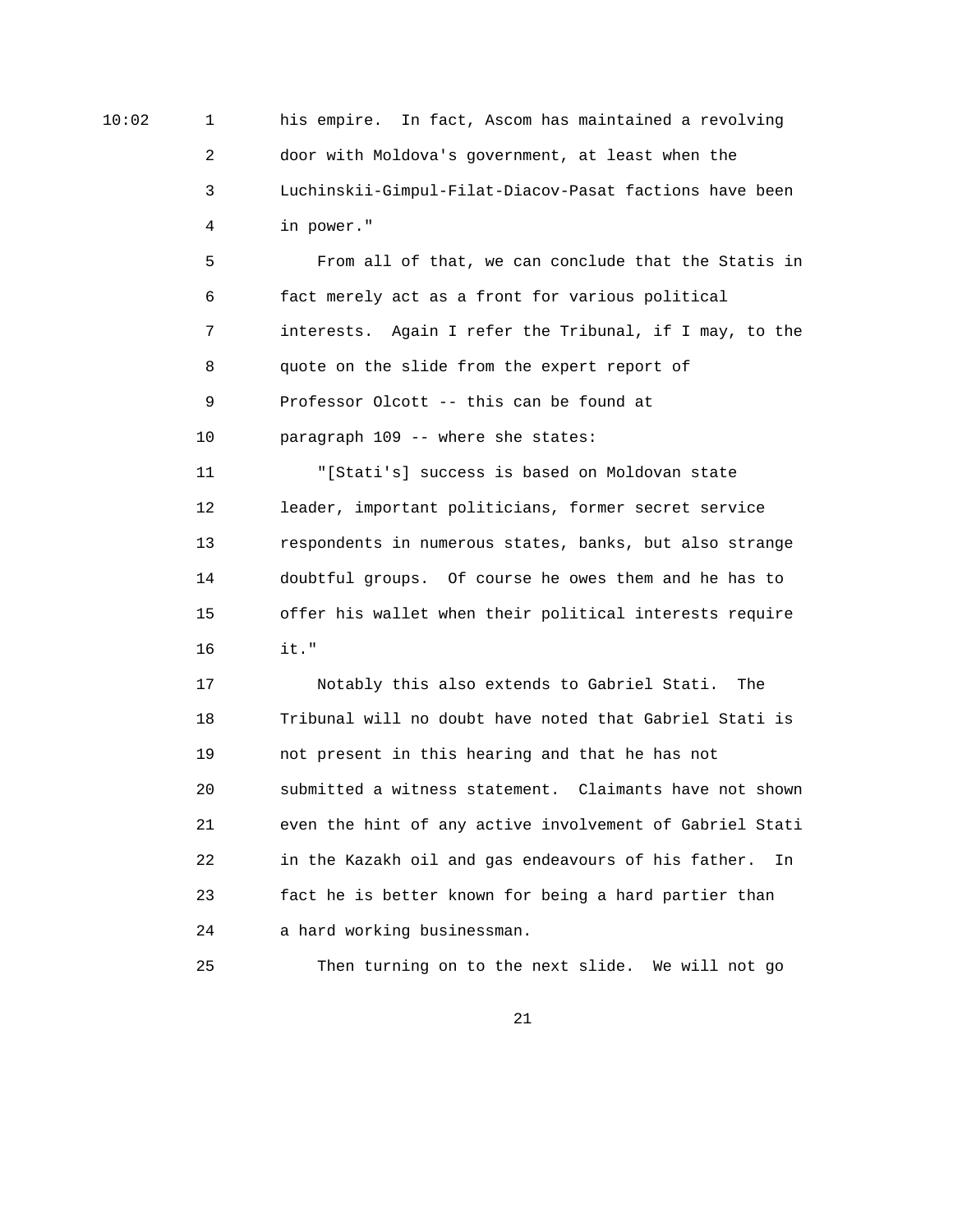10:02 1 his empire. In fact, Ascom has maintained a revolving 2 door with Moldova's government, at least when the 3 Luchinskii-Gimpul-Filat-Diacov-Pasat factions have been 4 in power."

> 5 From all of that, we can conclude that the Statis in 6 fact merely act as a front for various political 7 interests. Again I refer the Tribunal, if I may, to the 8 quote on the slide from the expert report of 9 Professor Olcott -- this can be found at 10 paragraph 109 -- where she states:

 11 "[Stati's] success is based on Moldovan state 12 leader, important politicians, former secret service 13 respondents in numerous states, banks, but also strange 14 doubtful groups. Of course he owes them and he has to 15 offer his wallet when their political interests require 16 it."

 17 Notably this also extends to Gabriel Stati. The 18 Tribunal will no doubt have noted that Gabriel Stati is 19 not present in this hearing and that he has not 20 submitted a witness statement. Claimants have not shown 21 even the hint of any active involvement of Gabriel Stati 22 in the Kazakh oil and gas endeavours of his father. In 23 fact he is better known for being a hard partier than 24 a hard working businessman.

25 Then turning on to the next slide. We will not go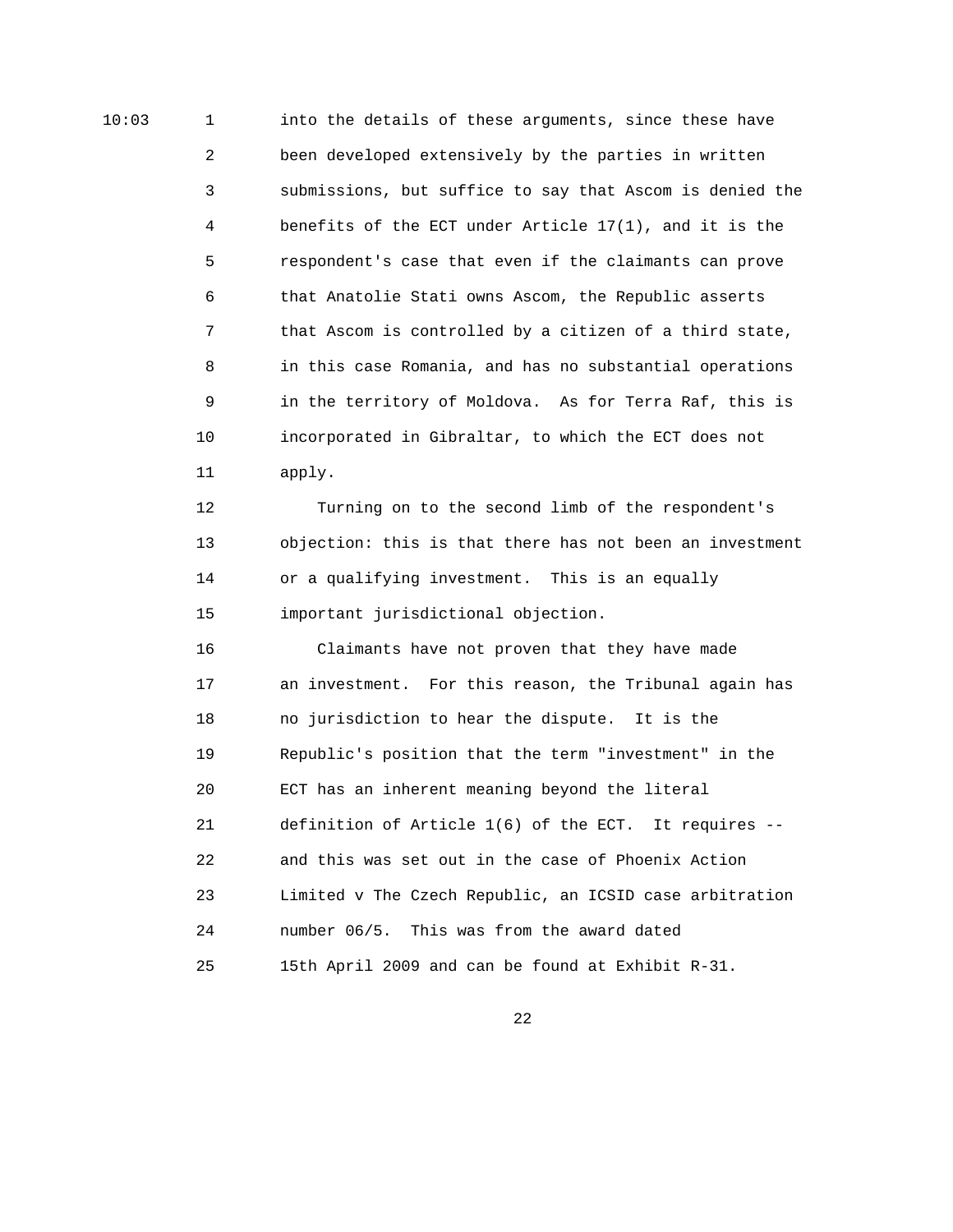10:03 1 into the details of these arguments, since these have 2 been developed extensively by the parties in written 3 submissions, but suffice to say that Ascom is denied the 4 benefits of the ECT under Article 17(1), and it is the 5 respondent's case that even if the claimants can prove 6 that Anatolie Stati owns Ascom, the Republic asserts 7 that Ascom is controlled by a citizen of a third state, 8 in this case Romania, and has no substantial operations 9 in the territory of Moldova. As for Terra Raf, this is 10 incorporated in Gibraltar, to which the ECT does not 11 apply.

> 12 Turning on to the second limb of the respondent's 13 objection: this is that there has not been an investment 14 or a qualifying investment. This is an equally 15 important jurisdictional objection.

 16 Claimants have not proven that they have made 17 an investment. For this reason, the Tribunal again has 18 no jurisdiction to hear the dispute. It is the 19 Republic's position that the term "investment" in the 20 ECT has an inherent meaning beyond the literal 21 definition of Article 1(6) of the ECT. It requires -- 22 and this was set out in the case of Phoenix Action 23 Limited v The Czech Republic, an ICSID case arbitration 24 number 06/5. This was from the award dated 25 15th April 2009 and can be found at Exhibit R-31.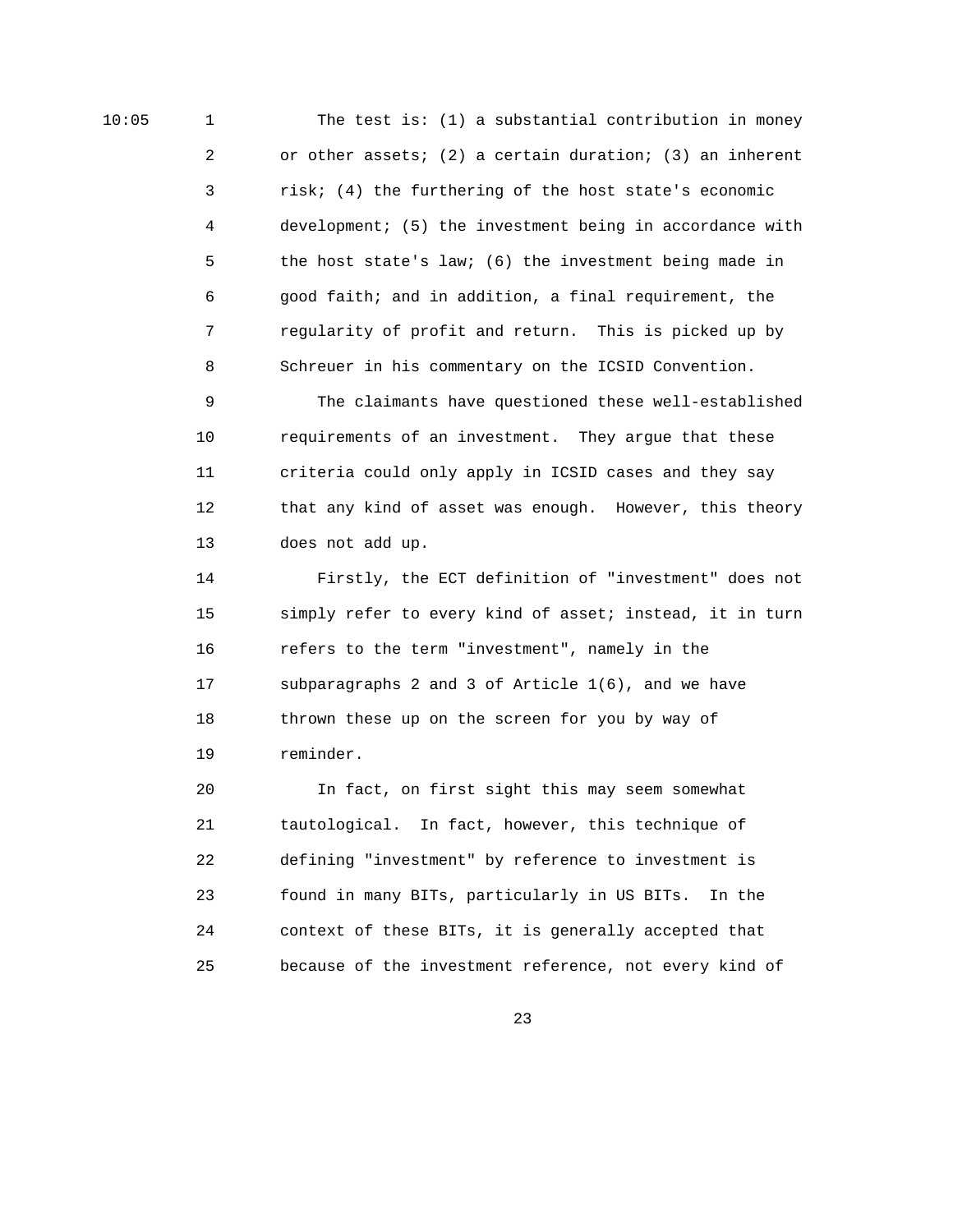10:05 1 The test is: (1) a substantial contribution in money 2 or other assets; (2) a certain duration; (3) an inherent 3 risk; (4) the furthering of the host state's economic 4 development; (5) the investment being in accordance with 5 the host state's law; (6) the investment being made in 6 good faith; and in addition, a final requirement, the 7 regularity of profit and return. This is picked up by 8 Schreuer in his commentary on the ICSID Convention.

> 9 The claimants have questioned these well-established 10 requirements of an investment. They argue that these 11 criteria could only apply in ICSID cases and they say 12 that any kind of asset was enough. However, this theory 13 does not add up.

> 14 Firstly, the ECT definition of "investment" does not 15 simply refer to every kind of asset; instead, it in turn 16 refers to the term "investment", namely in the 17 subparagraphs 2 and 3 of Article 1(6), and we have 18 thrown these up on the screen for you by way of 19 reminder.

 20 In fact, on first sight this may seem somewhat 21 tautological. In fact, however, this technique of 22 defining "investment" by reference to investment is 23 found in many BITs, particularly in US BITs. In the 24 context of these BITs, it is generally accepted that 25 because of the investment reference, not every kind of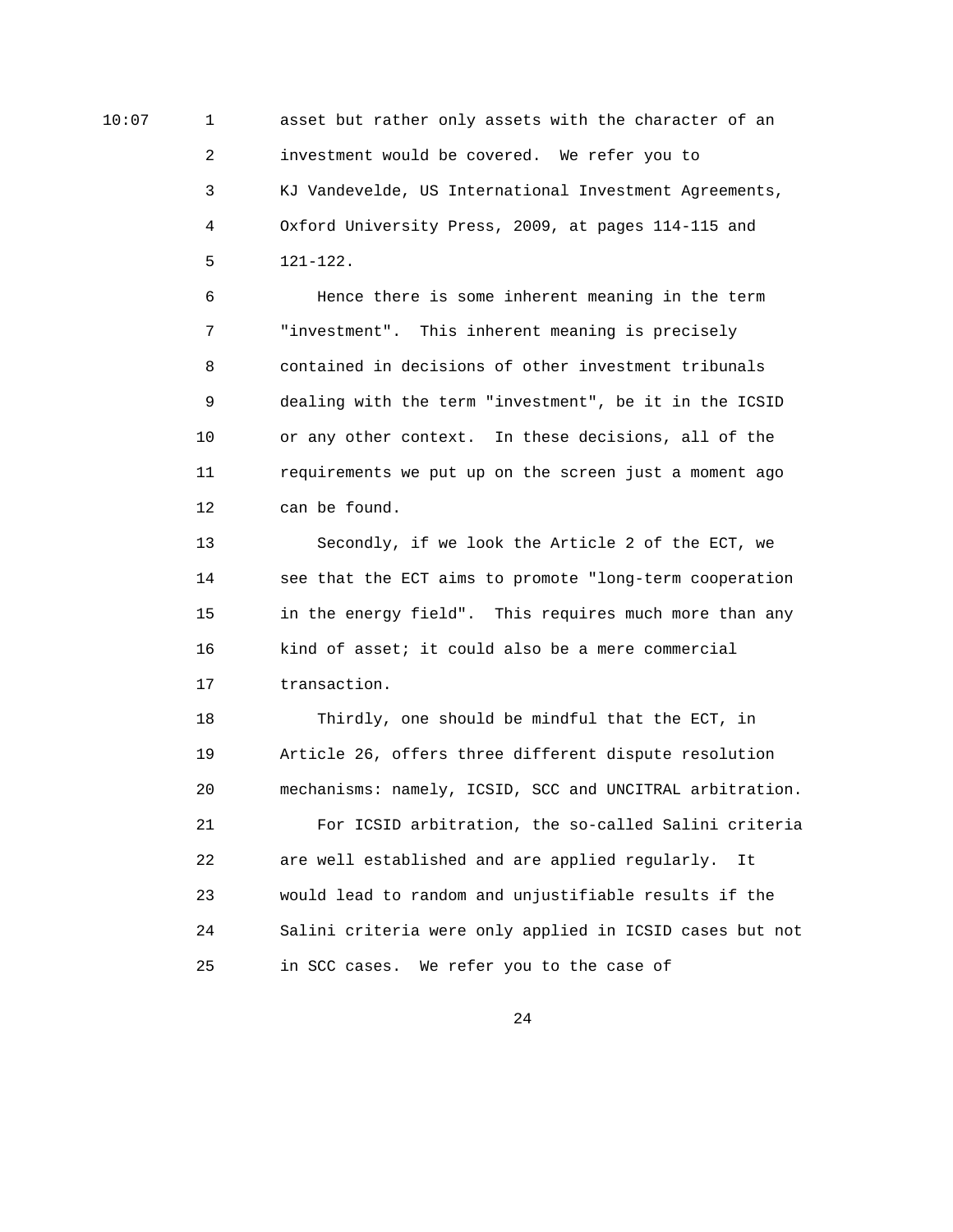10:07 1 asset but rather only assets with the character of an 2 investment would be covered. We refer you to 3 KJ Vandevelde, US International Investment Agreements, 4 Oxford University Press, 2009, at pages 114-115 and 5 121-122.

> 6 Hence there is some inherent meaning in the term 7 "investment". This inherent meaning is precisely 8 contained in decisions of other investment tribunals 9 dealing with the term "investment", be it in the ICSID 10 or any other context. In these decisions, all of the 11 requirements we put up on the screen just a moment ago 12 can be found.

 13 Secondly, if we look the Article 2 of the ECT, we 14 see that the ECT aims to promote "long-term cooperation 15 in the energy field". This requires much more than any 16 kind of asset; it could also be a mere commercial 17 transaction.

 18 Thirdly, one should be mindful that the ECT, in 19 Article 26, offers three different dispute resolution 20 mechanisms: namely, ICSID, SCC and UNCITRAL arbitration. 21 For ICSID arbitration, the so-called Salini criteria 22 are well established and are applied regularly. It 23 would lead to random and unjustifiable results if the 24 Salini criteria were only applied in ICSID cases but not 25 in SCC cases. We refer you to the case of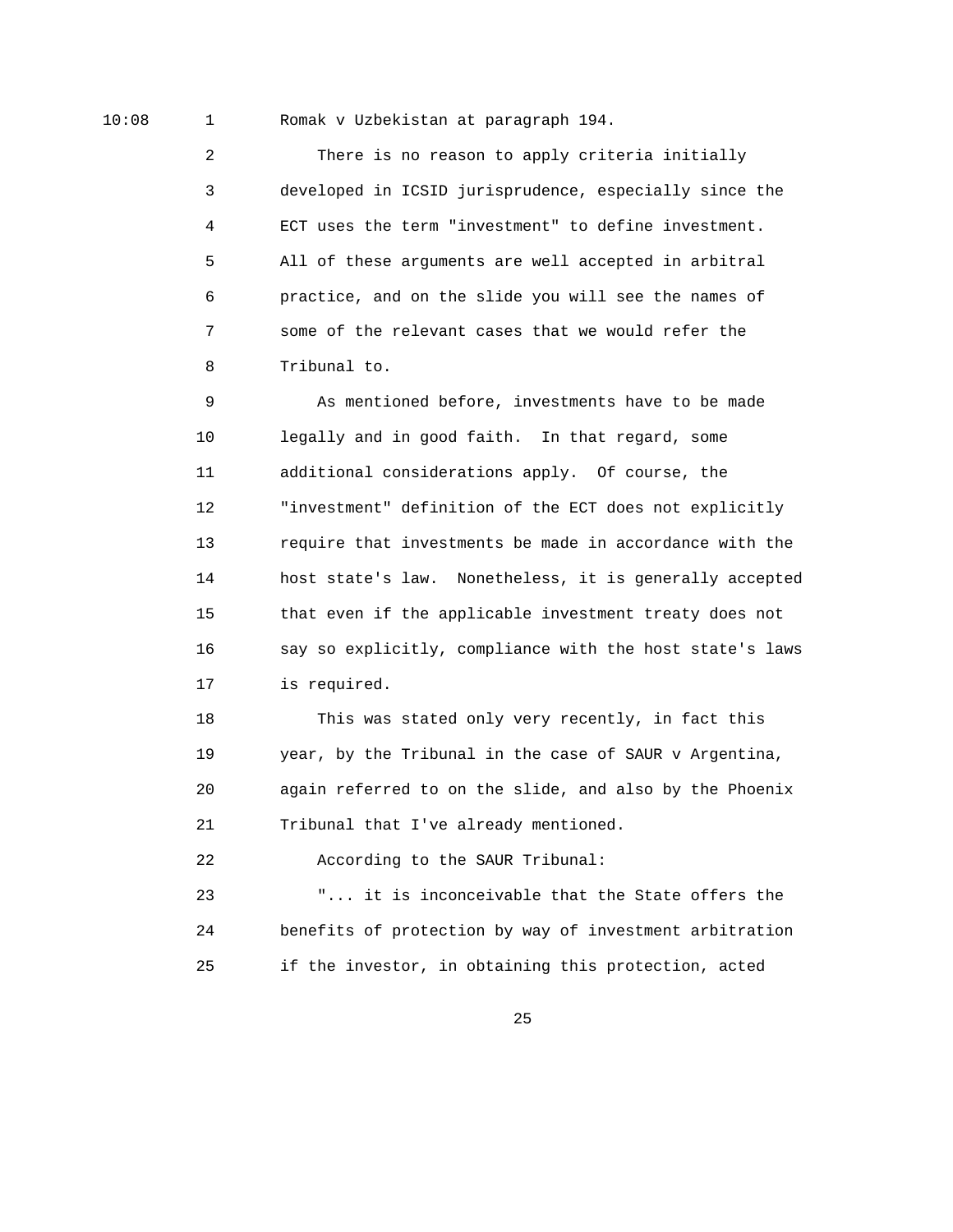10:08 1 Romak v Uzbekistan at paragraph 194.

 2 There is no reason to apply criteria initially 3 developed in ICSID jurisprudence, especially since the 4 ECT uses the term "investment" to define investment. 5 All of these arguments are well accepted in arbitral 6 practice, and on the slide you will see the names of 7 some of the relevant cases that we would refer the 8 Tribunal to.

 9 As mentioned before, investments have to be made 10 legally and in good faith. In that regard, some 11 additional considerations apply. Of course, the 12 "investment" definition of the ECT does not explicitly 13 require that investments be made in accordance with the 14 host state's law. Nonetheless, it is generally accepted 15 that even if the applicable investment treaty does not 16 say so explicitly, compliance with the host state's laws 17 is required.

 18 This was stated only very recently, in fact this 19 year, by the Tribunal in the case of SAUR v Argentina, 20 again referred to on the slide, and also by the Phoenix 21 Tribunal that I've already mentioned.

22 According to the SAUR Tribunal:

 23 "... it is inconceivable that the State offers the 24 benefits of protection by way of investment arbitration 25 if the investor, in obtaining this protection, acted

<u>25</u>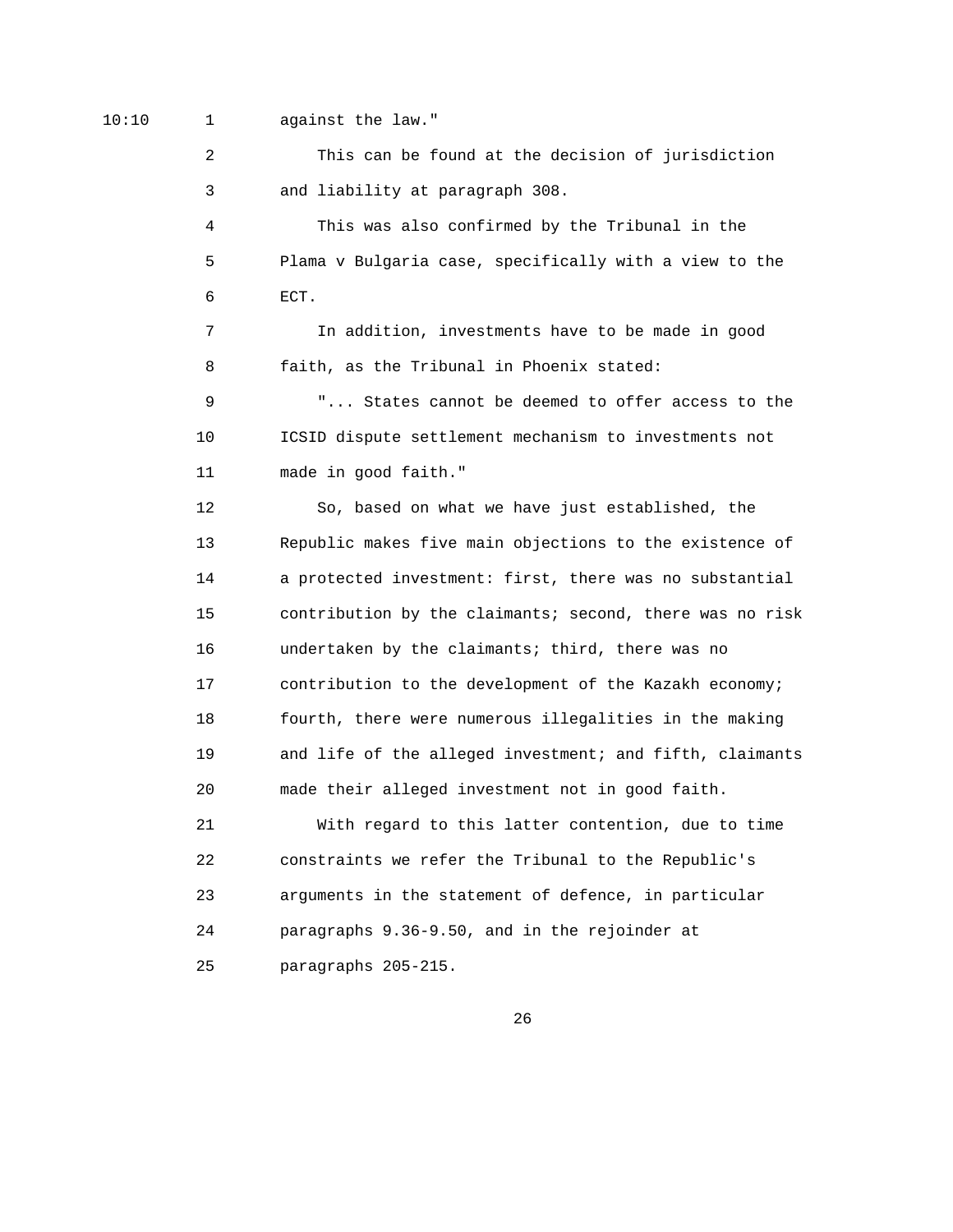10:10 1 against the law."

 2 This can be found at the decision of jurisdiction 3 and liability at paragraph 308.

 4 This was also confirmed by the Tribunal in the 5 Plama v Bulgaria case, specifically with a view to the 6 ECT.

 7 In addition, investments have to be made in good 8 faith, as the Tribunal in Phoenix stated:

 9 "... States cannot be deemed to offer access to the 10 ICSID dispute settlement mechanism to investments not 11 made in good faith."

 12 So, based on what we have just established, the 13 Republic makes five main objections to the existence of 14 a protected investment: first, there was no substantial 15 contribution by the claimants; second, there was no risk 16 undertaken by the claimants; third, there was no 17 contribution to the development of the Kazakh economy; 18 fourth, there were numerous illegalities in the making 19 and life of the alleged investment; and fifth, claimants 20 made their alleged investment not in good faith.

 21 With regard to this latter contention, due to time 22 constraints we refer the Tribunal to the Republic's 23 arguments in the statement of defence, in particular 24 paragraphs 9.36-9.50, and in the rejoinder at 25 paragraphs 205-215.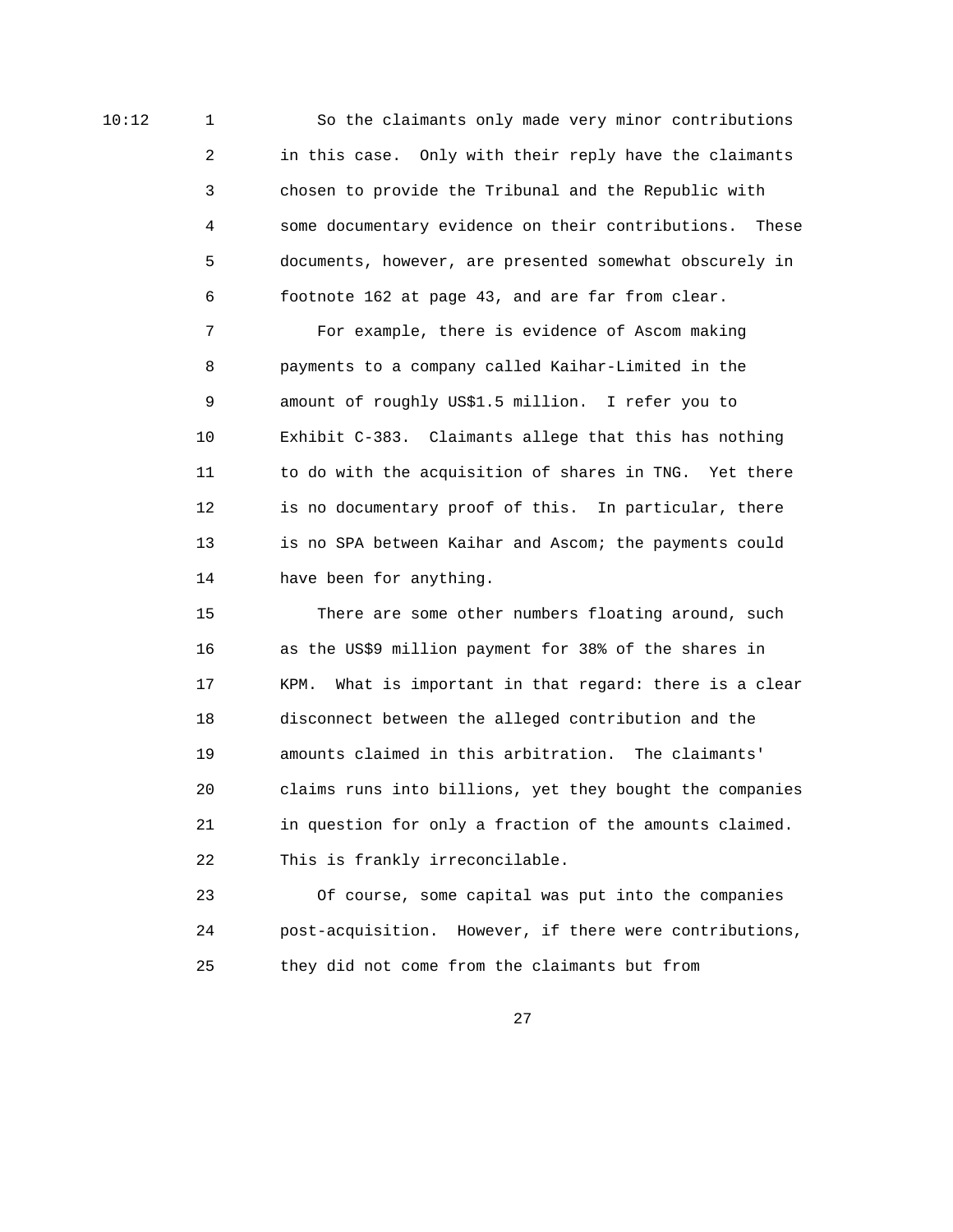10:12 1 So the claimants only made very minor contributions 2 in this case. Only with their reply have the claimants 3 chosen to provide the Tribunal and the Republic with 4 some documentary evidence on their contributions. These 5 documents, however, are presented somewhat obscurely in 6 footnote 162 at page 43, and are far from clear.

> 7 For example, there is evidence of Ascom making 8 payments to a company called Kaihar-Limited in the 9 amount of roughly US\$1.5 million. I refer you to 10 Exhibit C-383. Claimants allege that this has nothing 11 to do with the acquisition of shares in TNG. Yet there 12 is no documentary proof of this. In particular, there 13 is no SPA between Kaihar and Ascom; the payments could 14 have been for anything.

 15 There are some other numbers floating around, such 16 as the US\$9 million payment for 38% of the shares in 17 KPM. What is important in that regard: there is a clear 18 disconnect between the alleged contribution and the 19 amounts claimed in this arbitration. The claimants' 20 claims runs into billions, yet they bought the companies 21 in question for only a fraction of the amounts claimed. 22 This is frankly irreconcilable.

 23 Of course, some capital was put into the companies 24 post-acquisition. However, if there were contributions, 25 they did not come from the claimants but from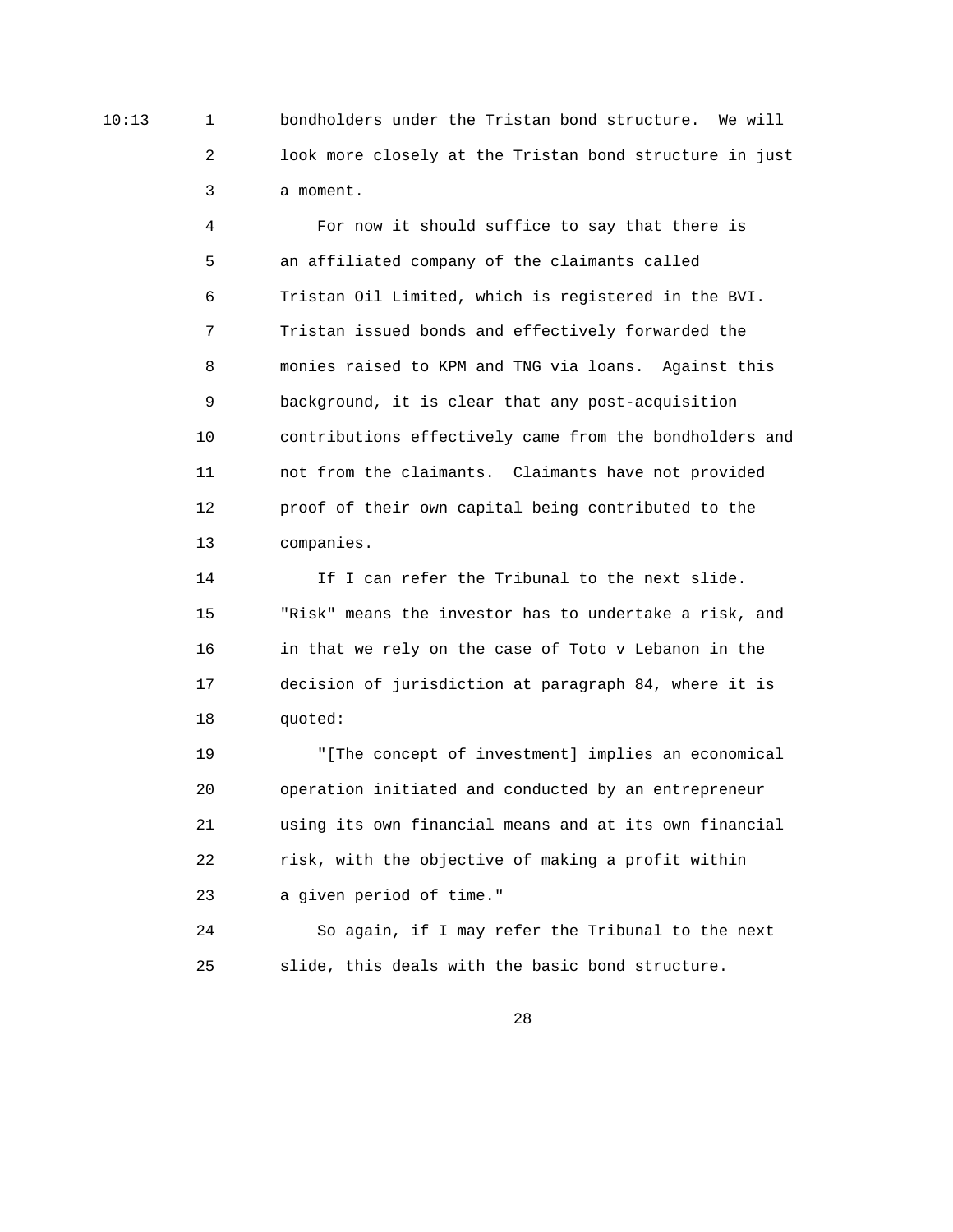10:13 1 bondholders under the Tristan bond structure. We will 2 look more closely at the Tristan bond structure in just 3 a moment.

> 4 For now it should suffice to say that there is 5 an affiliated company of the claimants called 6 Tristan Oil Limited, which is registered in the BVI. 7 Tristan issued bonds and effectively forwarded the 8 monies raised to KPM and TNG via loans. Against this 9 background, it is clear that any post-acquisition 10 contributions effectively came from the bondholders and 11 not from the claimants. Claimants have not provided 12 proof of their own capital being contributed to the 13 companies.

14 If I can refer the Tribunal to the next slide. 15 "Risk" means the investor has to undertake a risk, and 16 in that we rely on the case of Toto v Lebanon in the 17 decision of jurisdiction at paragraph 84, where it is 18 quoted:

 19 "[The concept of investment] implies an economical 20 operation initiated and conducted by an entrepreneur 21 using its own financial means and at its own financial 22 risk, with the objective of making a profit within 23 a given period of time."

 24 So again, if I may refer the Tribunal to the next 25 slide, this deals with the basic bond structure.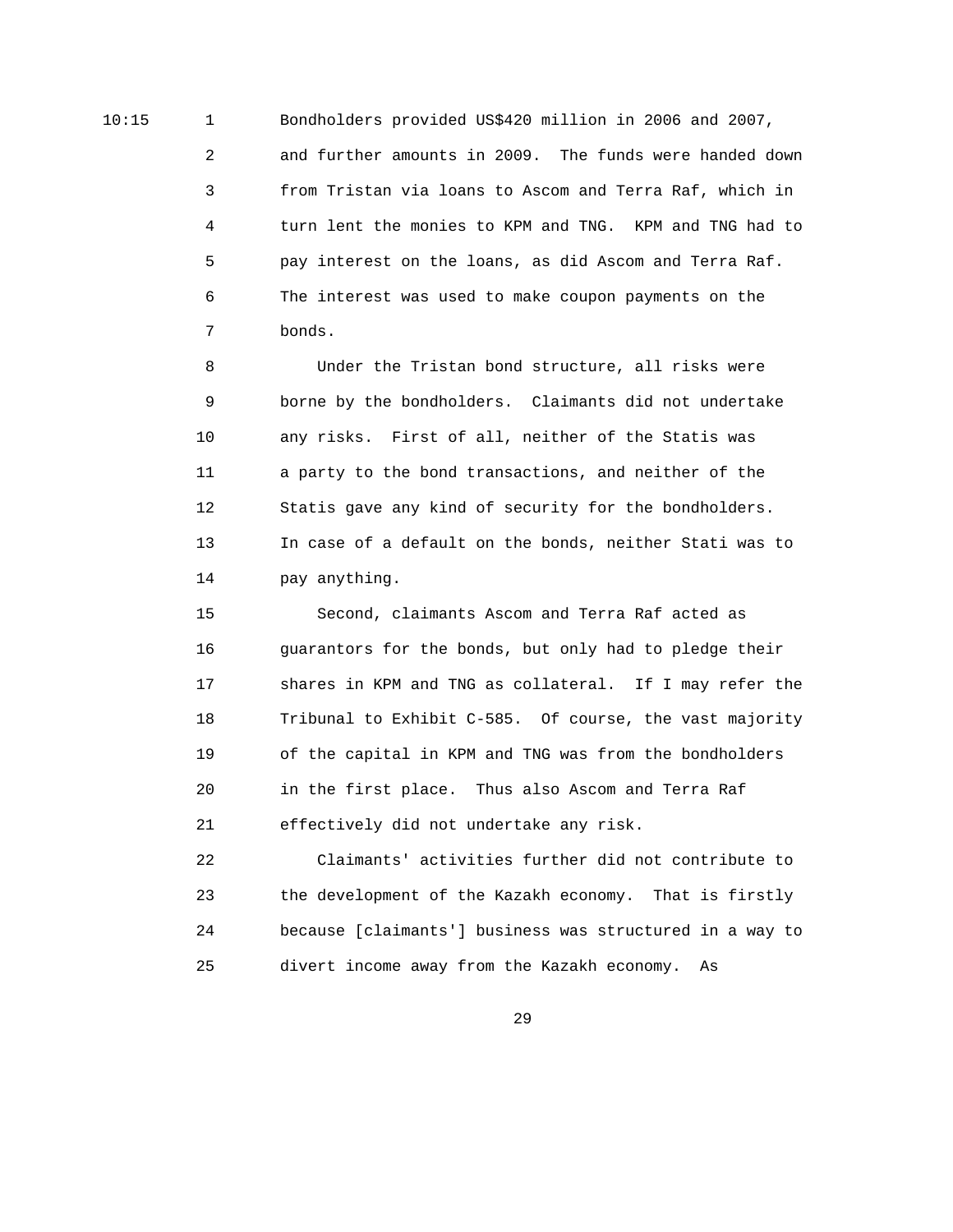10:15 1 Bondholders provided US\$420 million in 2006 and 2007, 2 and further amounts in 2009. The funds were handed down 3 from Tristan via loans to Ascom and Terra Raf, which in 4 turn lent the monies to KPM and TNG. KPM and TNG had to 5 pay interest on the loans, as did Ascom and Terra Raf. 6 The interest was used to make coupon payments on the 7 bonds.

> 8 Under the Tristan bond structure, all risks were 9 borne by the bondholders. Claimants did not undertake 10 any risks. First of all, neither of the Statis was 11 a party to the bond transactions, and neither of the 12 Statis gave any kind of security for the bondholders. 13 In case of a default on the bonds, neither Stati was to 14 pay anything.

 15 Second, claimants Ascom and Terra Raf acted as 16 guarantors for the bonds, but only had to pledge their 17 shares in KPM and TNG as collateral. If I may refer the 18 Tribunal to Exhibit C-585. Of course, the vast majority 19 of the capital in KPM and TNG was from the bondholders 20 in the first place. Thus also Ascom and Terra Raf 21 effectively did not undertake any risk.

 22 Claimants' activities further did not contribute to 23 the development of the Kazakh economy. That is firstly 24 because [claimants'] business was structured in a way to 25 divert income away from the Kazakh economy. As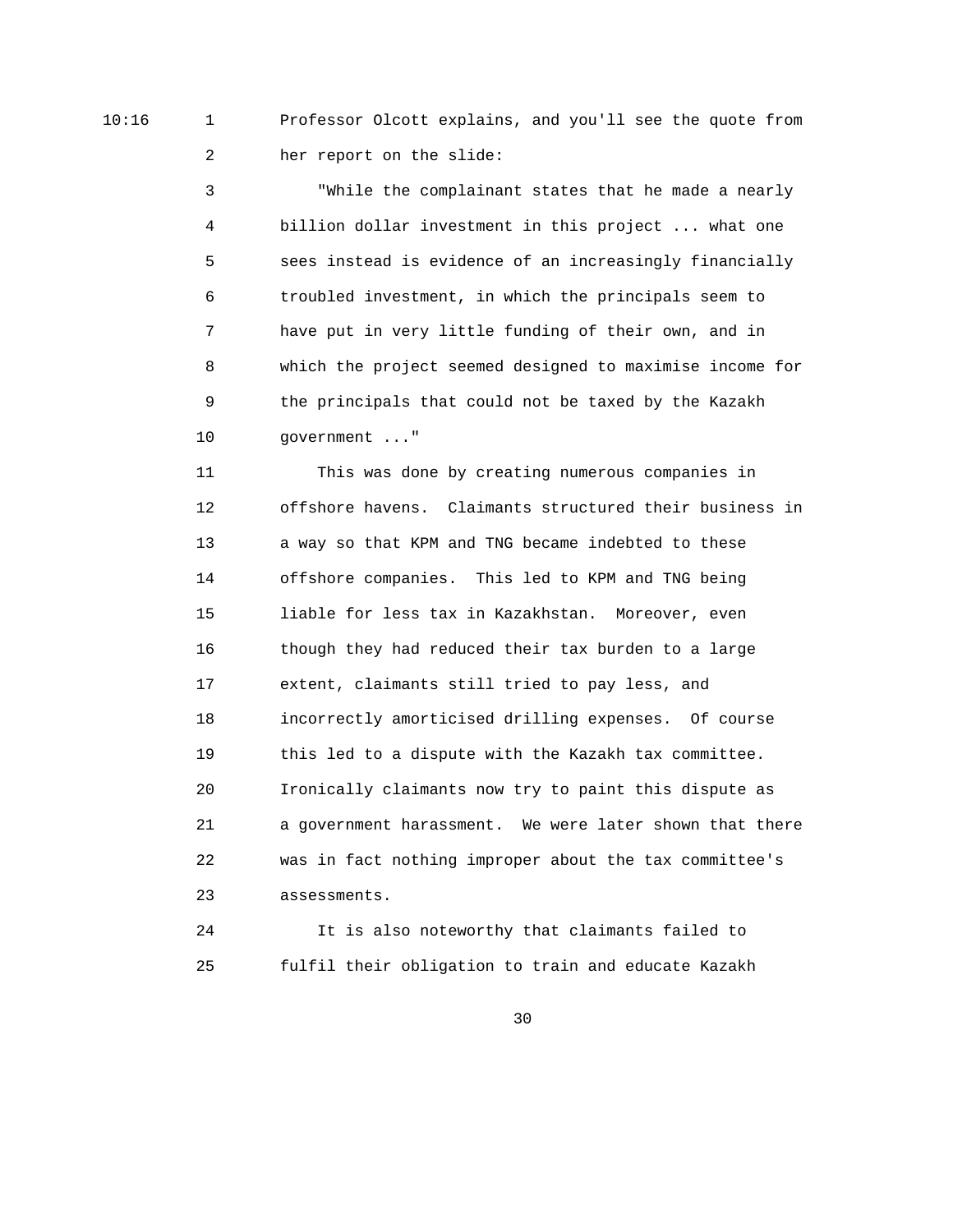10:16 1 Professor Olcott explains, and you'll see the quote from 2 her report on the slide:

> 3 "While the complainant states that he made a nearly 4 billion dollar investment in this project ... what one 5 sees instead is evidence of an increasingly financially 6 troubled investment, in which the principals seem to 7 have put in very little funding of their own, and in 8 which the project seemed designed to maximise income for 9 the principals that could not be taxed by the Kazakh 10 government ..."

> 11 This was done by creating numerous companies in 12 offshore havens. Claimants structured their business in 13 a way so that KPM and TNG became indebted to these 14 offshore companies. This led to KPM and TNG being 15 liable for less tax in Kazakhstan. Moreover, even 16 though they had reduced their tax burden to a large 17 extent, claimants still tried to pay less, and 18 incorrectly amorticised drilling expenses. Of course 19 this led to a dispute with the Kazakh tax committee. 20 Ironically claimants now try to paint this dispute as 21 a government harassment. We were later shown that there 22 was in fact nothing improper about the tax committee's 23 assessments.

 24 It is also noteworthy that claimants failed to 25 fulfil their obligation to train and educate Kazakh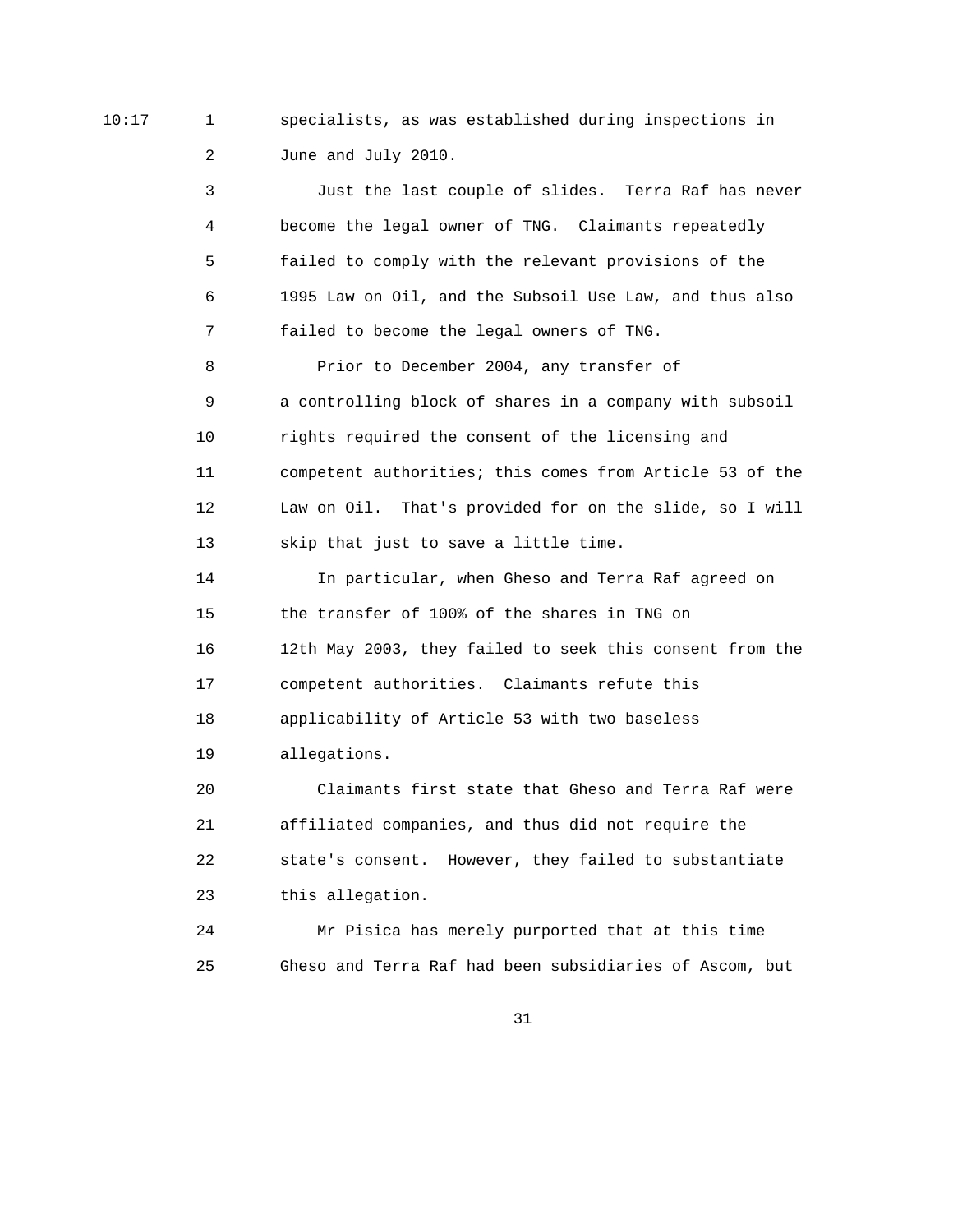10:17 1 specialists, as was established during inspections in 2 June and July 2010.

> 3 Just the last couple of slides. Terra Raf has never 4 become the legal owner of TNG. Claimants repeatedly 5 failed to comply with the relevant provisions of the 6 1995 Law on Oil, and the Subsoil Use Law, and thus also 7 failed to become the legal owners of TNG. 8 Prior to December 2004, any transfer of 9 a controlling block of shares in a company with subsoil 10 rights required the consent of the licensing and 11 competent authorities; this comes from Article 53 of the 12 Law on Oil. That's provided for on the slide, so I will 13 skip that just to save a little time. 14 In particular, when Gheso and Terra Raf agreed on 15 the transfer of 100% of the shares in TNG on 16 12th May 2003, they failed to seek this consent from the 17 competent authorities. Claimants refute this 18 applicability of Article 53 with two baseless 19 allegations. 20 Claimants first state that Gheso and Terra Raf were

 21 affiliated companies, and thus did not require the 22 state's consent. However, they failed to substantiate 23 this allegation.

 24 Mr Pisica has merely purported that at this time 25 Gheso and Terra Raf had been subsidiaries of Ascom, but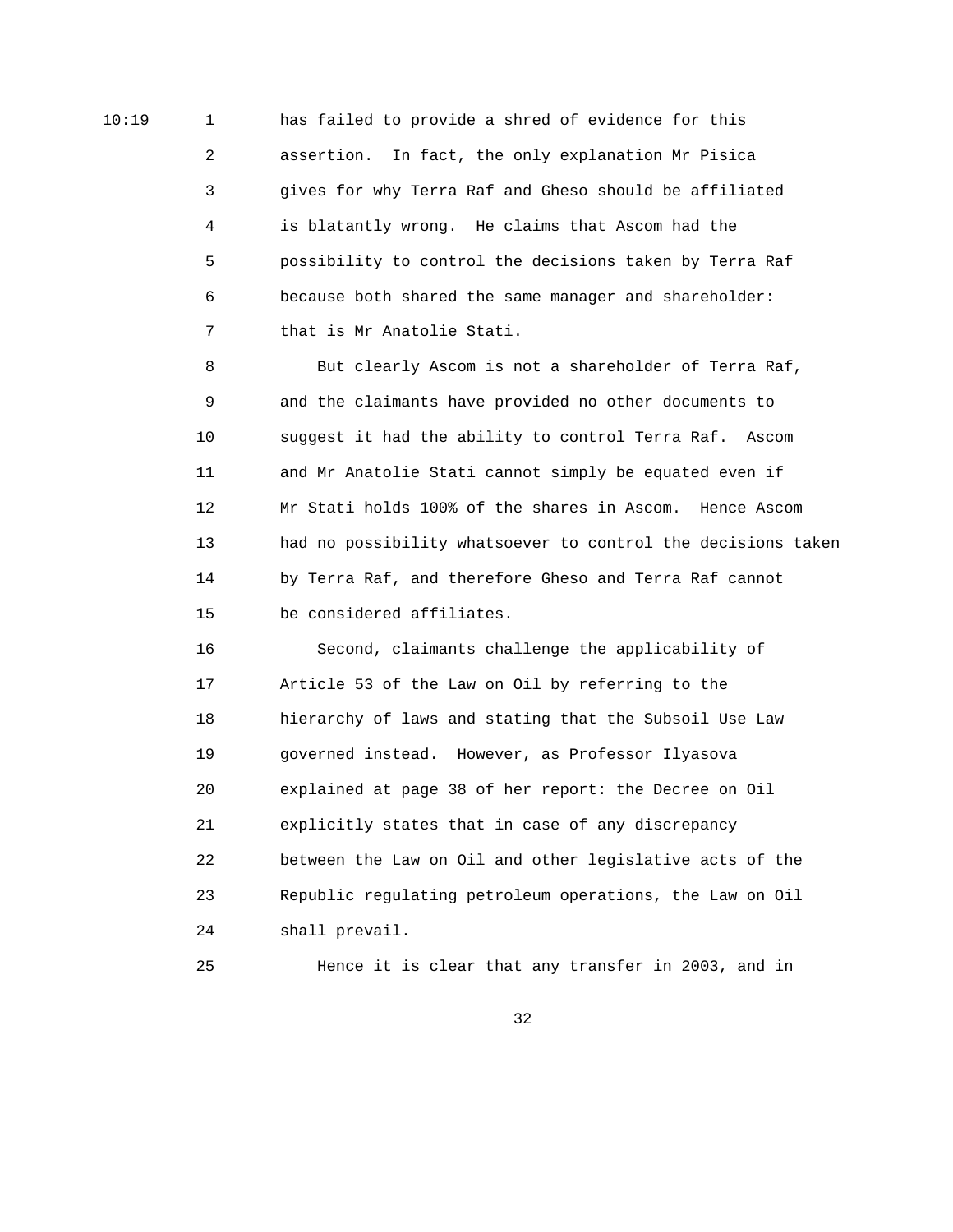10:19 1 has failed to provide a shred of evidence for this 2 assertion. In fact, the only explanation Mr Pisica 3 gives for why Terra Raf and Gheso should be affiliated 4 is blatantly wrong. He claims that Ascom had the 5 possibility to control the decisions taken by Terra Raf 6 because both shared the same manager and shareholder: 7 that is Mr Anatolie Stati.

> 8 But clearly Ascom is not a shareholder of Terra Raf, 9 and the claimants have provided no other documents to 10 suggest it had the ability to control Terra Raf. Ascom 11 and Mr Anatolie Stati cannot simply be equated even if 12 Mr Stati holds 100% of the shares in Ascom. Hence Ascom 13 had no possibility whatsoever to control the decisions taken 14 by Terra Raf, and therefore Gheso and Terra Raf cannot 15 be considered affiliates.

 16 Second, claimants challenge the applicability of 17 Article 53 of the Law on Oil by referring to the 18 hierarchy of laws and stating that the Subsoil Use Law 19 governed instead. However, as Professor Ilyasova 20 explained at page 38 of her report: the Decree on Oil 21 explicitly states that in case of any discrepancy 22 between the Law on Oil and other legislative acts of the 23 Republic regulating petroleum operations, the Law on Oil 24 shall prevail.

25 Hence it is clear that any transfer in 2003, and in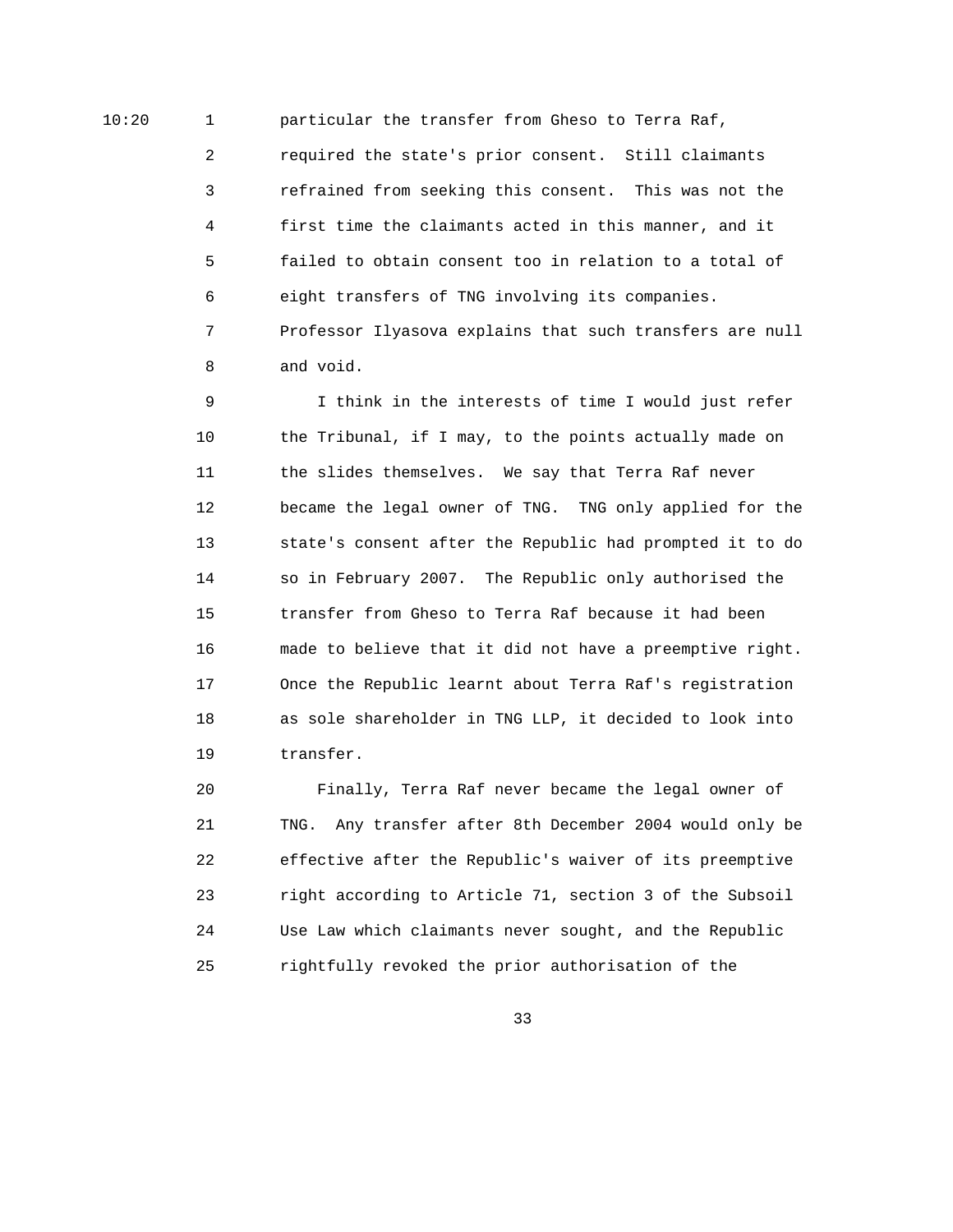10:20 1 particular the transfer from Gheso to Terra Raf,

 2 required the state's prior consent. Still claimants 3 refrained from seeking this consent. This was not the 4 first time the claimants acted in this manner, and it 5 failed to obtain consent too in relation to a total of 6 eight transfers of TNG involving its companies. 7 Professor Ilyasova explains that such transfers are null 8 and void.

 9 I think in the interests of time I would just refer 10 the Tribunal, if I may, to the points actually made on 11 the slides themselves. We say that Terra Raf never 12 became the legal owner of TNG. TNG only applied for the 13 state's consent after the Republic had prompted it to do 14 so in February 2007. The Republic only authorised the 15 transfer from Gheso to Terra Raf because it had been 16 made to believe that it did not have a preemptive right. 17 Once the Republic learnt about Terra Raf's registration 18 as sole shareholder in TNG LLP, it decided to look into 19 transfer.

 20 Finally, Terra Raf never became the legal owner of 21 TNG. Any transfer after 8th December 2004 would only be 22 effective after the Republic's waiver of its preemptive 23 right according to Article 71, section 3 of the Subsoil 24 Use Law which claimants never sought, and the Republic 25 rightfully revoked the prior authorisation of the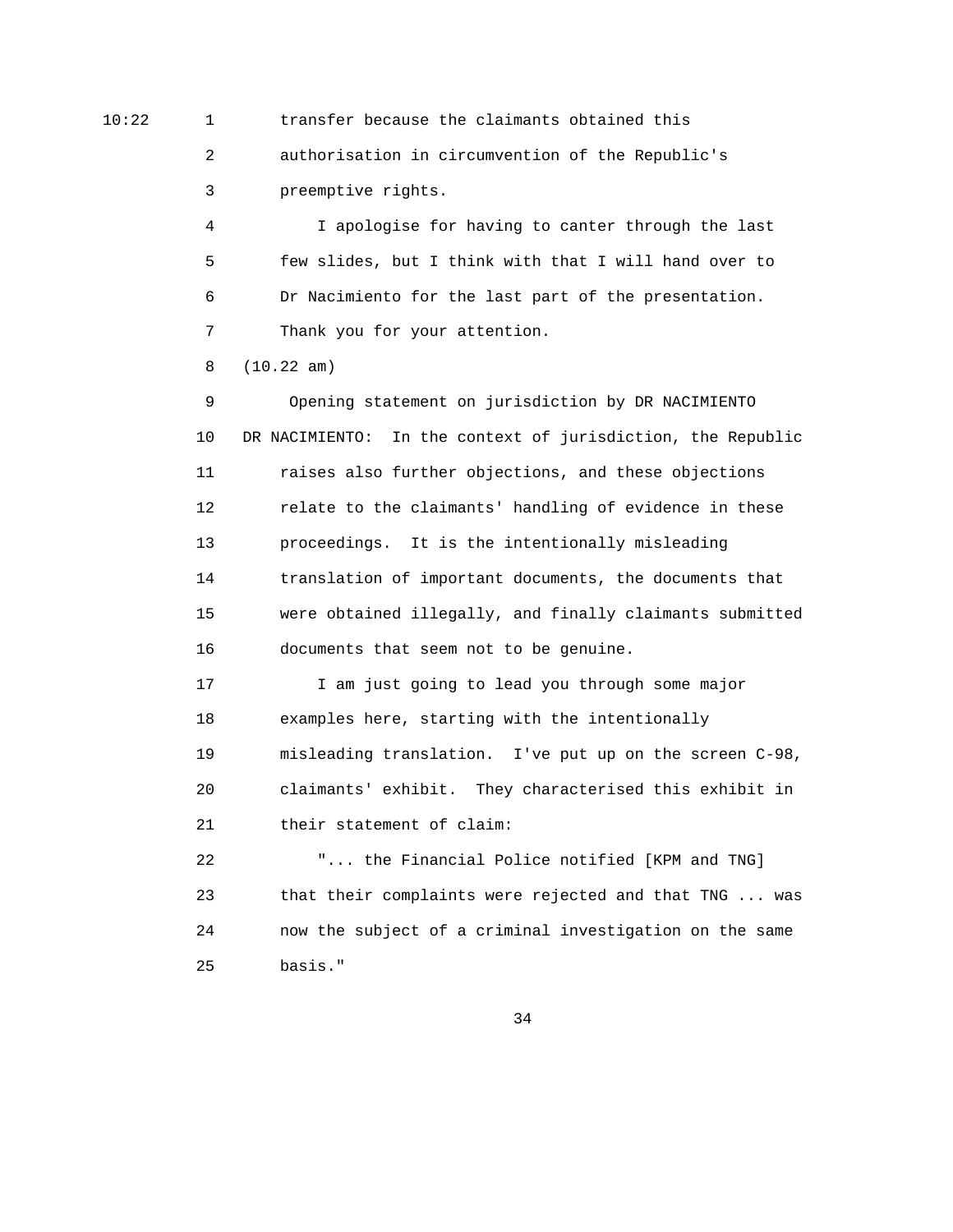10:22 1 transfer because the claimants obtained this

 2 authorisation in circumvention of the Republic's 3 preemptive rights.

 4 I apologise for having to canter through the last 5 few slides, but I think with that I will hand over to 6 Dr Nacimiento for the last part of the presentation. 7 Thank you for your attention.

8 (10.22 am)

 9 Opening statement on jurisdiction by DR NACIMIENTO 10 DR NACIMIENTO: In the context of jurisdiction, the Republic 11 raises also further objections, and these objections 12 relate to the claimants' handling of evidence in these 13 proceedings. It is the intentionally misleading 14 translation of important documents, the documents that 15 were obtained illegally, and finally claimants submitted 16 documents that seem not to be genuine.

 17 I am just going to lead you through some major 18 examples here, starting with the intentionally 19 misleading translation. I've put up on the screen C-98, 20 claimants' exhibit. They characterised this exhibit in 21 their statement of claim:

 22 "... the Financial Police notified [KPM and TNG] 23 that their complaints were rejected and that TNG ... was 24 now the subject of a criminal investigation on the same 25 basis."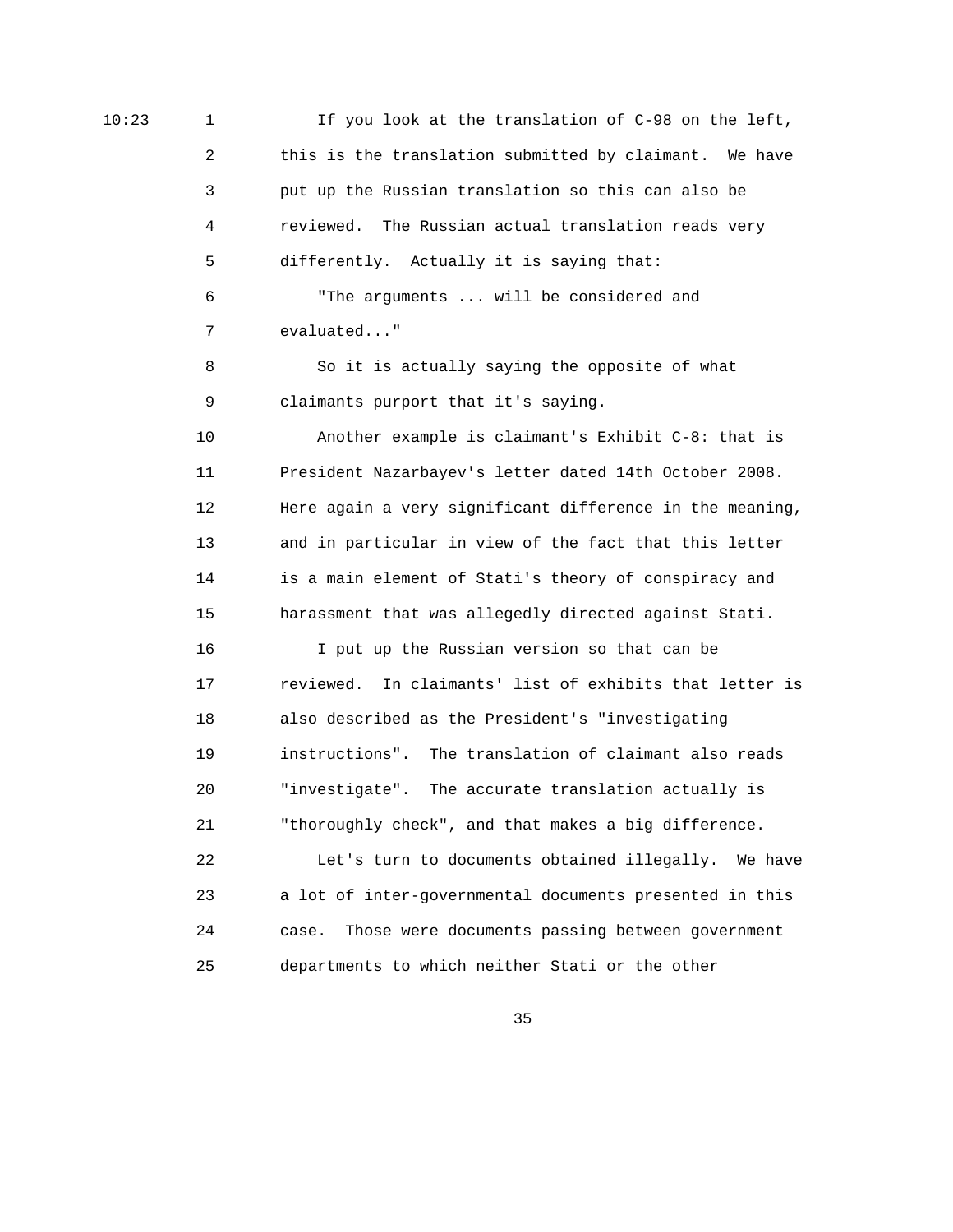10:23 1 If you look at the translation of C-98 on the left, 2 this is the translation submitted by claimant. We have 3 put up the Russian translation so this can also be 4 reviewed. The Russian actual translation reads very 5 differently. Actually it is saying that: 6 "The arguments ... will be considered and 7 evaluated..." 8 So it is actually saying the opposite of what 9 claimants purport that it's saying. 10 Another example is claimant's Exhibit C-8: that is 11 President Nazarbayev's letter dated 14th October 2008. 12 Here again a very significant difference in the meaning, 13 and in particular in view of the fact that this letter 14 is a main element of Stati's theory of conspiracy and 15 harassment that was allegedly directed against Stati. 16 I put up the Russian version so that can be 17 reviewed. In claimants' list of exhibits that letter is 18 also described as the President's "investigating 19 instructions". The translation of claimant also reads 20 "investigate". The accurate translation actually is 21 "thoroughly check", and that makes a big difference. 22 Let's turn to documents obtained illegally. We have 23 a lot of inter-governmental documents presented in this 24 case. Those were documents passing between government 25 departments to which neither Stati or the other

<u>35 and 200 million and 200 million and 200 million and 200 million and 200 million and 200 million and 200 million and 200 million and 200 million and 200 million and 200 million and 200 million and 200 million and 200 mi</u>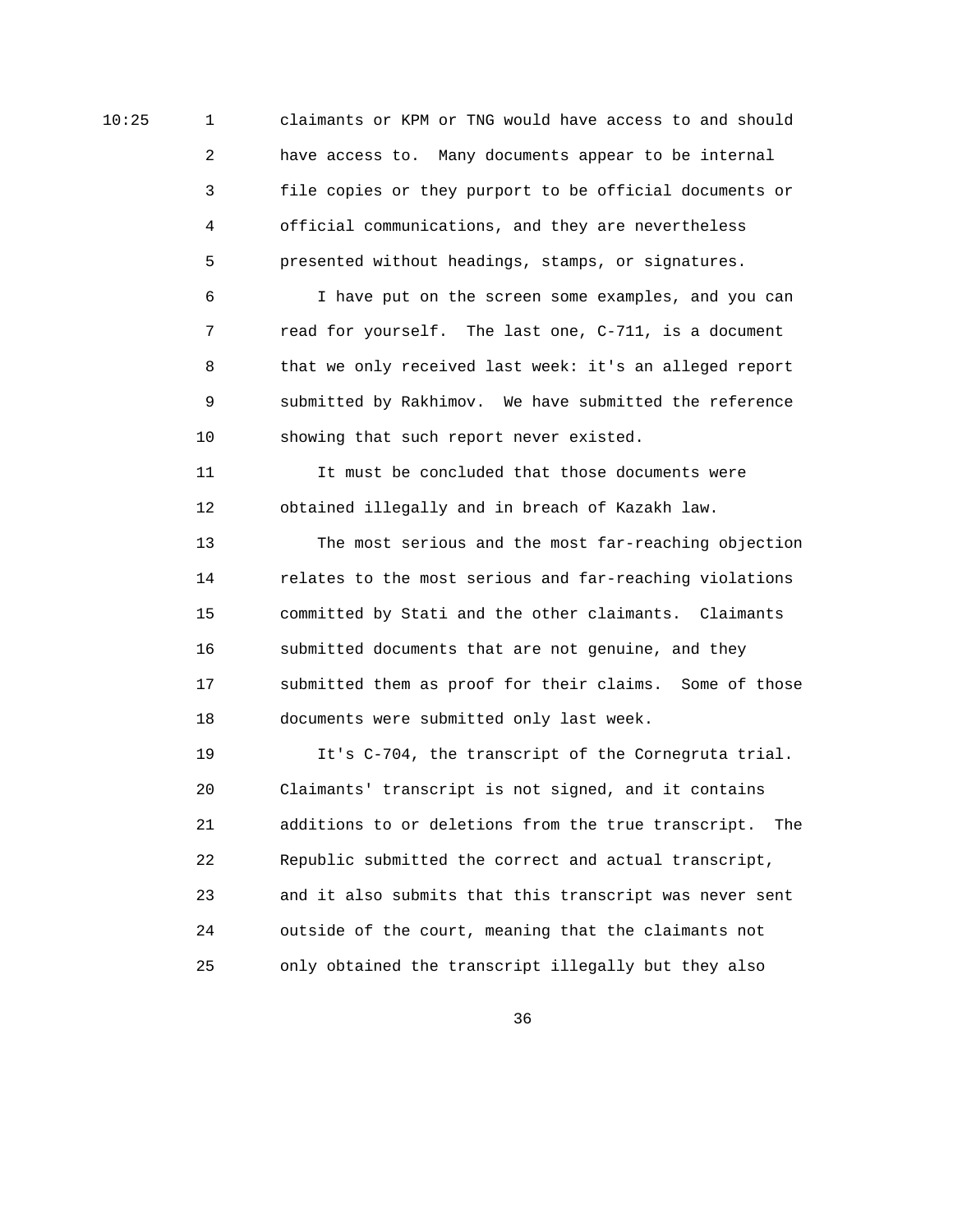10:25 1 claimants or KPM or TNG would have access to and should 2 have access to. Many documents appear to be internal 3 file copies or they purport to be official documents or 4 official communications, and they are nevertheless 5 presented without headings, stamps, or signatures.

> 6 I have put on the screen some examples, and you can 7 read for yourself. The last one, C-711, is a document 8 that we only received last week: it's an alleged report 9 submitted by Rakhimov. We have submitted the reference 10 showing that such report never existed.

 11 It must be concluded that those documents were 12 obtained illegally and in breach of Kazakh law.

 13 The most serious and the most far-reaching objection 14 relates to the most serious and far-reaching violations 15 committed by Stati and the other claimants. Claimants 16 submitted documents that are not genuine, and they 17 submitted them as proof for their claims. Some of those 18 documents were submitted only last week.

 19 It's C-704, the transcript of the Cornegruta trial. 20 Claimants' transcript is not signed, and it contains 21 additions to or deletions from the true transcript. The 22 Republic submitted the correct and actual transcript, 23 and it also submits that this transcript was never sent 24 outside of the court, meaning that the claimants not 25 only obtained the transcript illegally but they also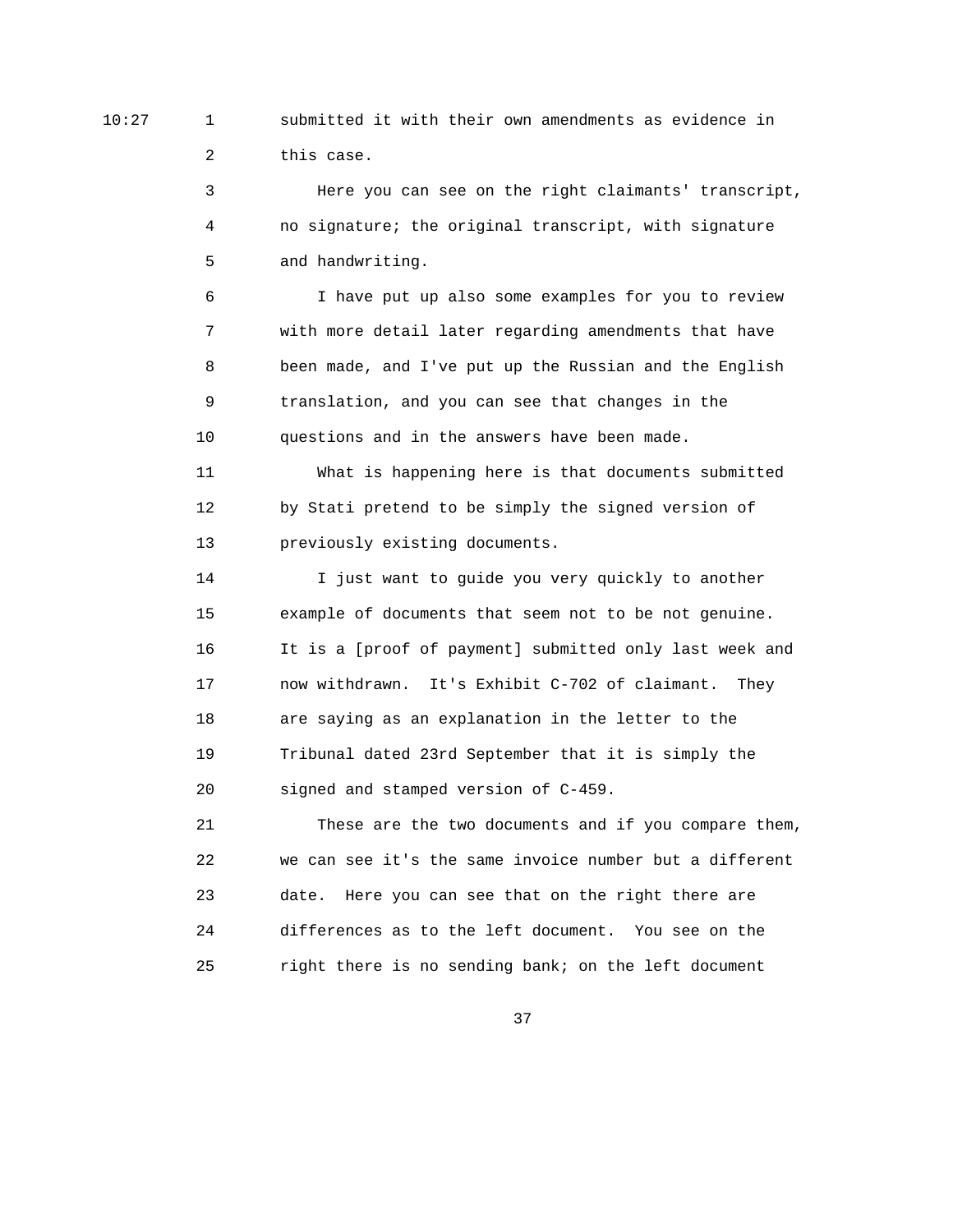10:27 1 submitted it with their own amendments as evidence in 2 this case.

> 3 Here you can see on the right claimants' transcript, 4 no signature; the original transcript, with signature 5 and handwriting.

 6 I have put up also some examples for you to review 7 with more detail later regarding amendments that have 8 been made, and I've put up the Russian and the English 9 translation, and you can see that changes in the 10 questions and in the answers have been made.

 11 What is happening here is that documents submitted 12 by Stati pretend to be simply the signed version of 13 previously existing documents.

 14 I just want to guide you very quickly to another 15 example of documents that seem not to be not genuine. 16 It is a [proof of payment] submitted only last week and 17 now withdrawn. It's Exhibit C-702 of claimant. They 18 are saying as an explanation in the letter to the 19 Tribunal dated 23rd September that it is simply the 20 signed and stamped version of C-459.

 21 These are the two documents and if you compare them, 22 we can see it's the same invoice number but a different 23 date. Here you can see that on the right there are 24 differences as to the left document. You see on the 25 right there is no sending bank; on the left document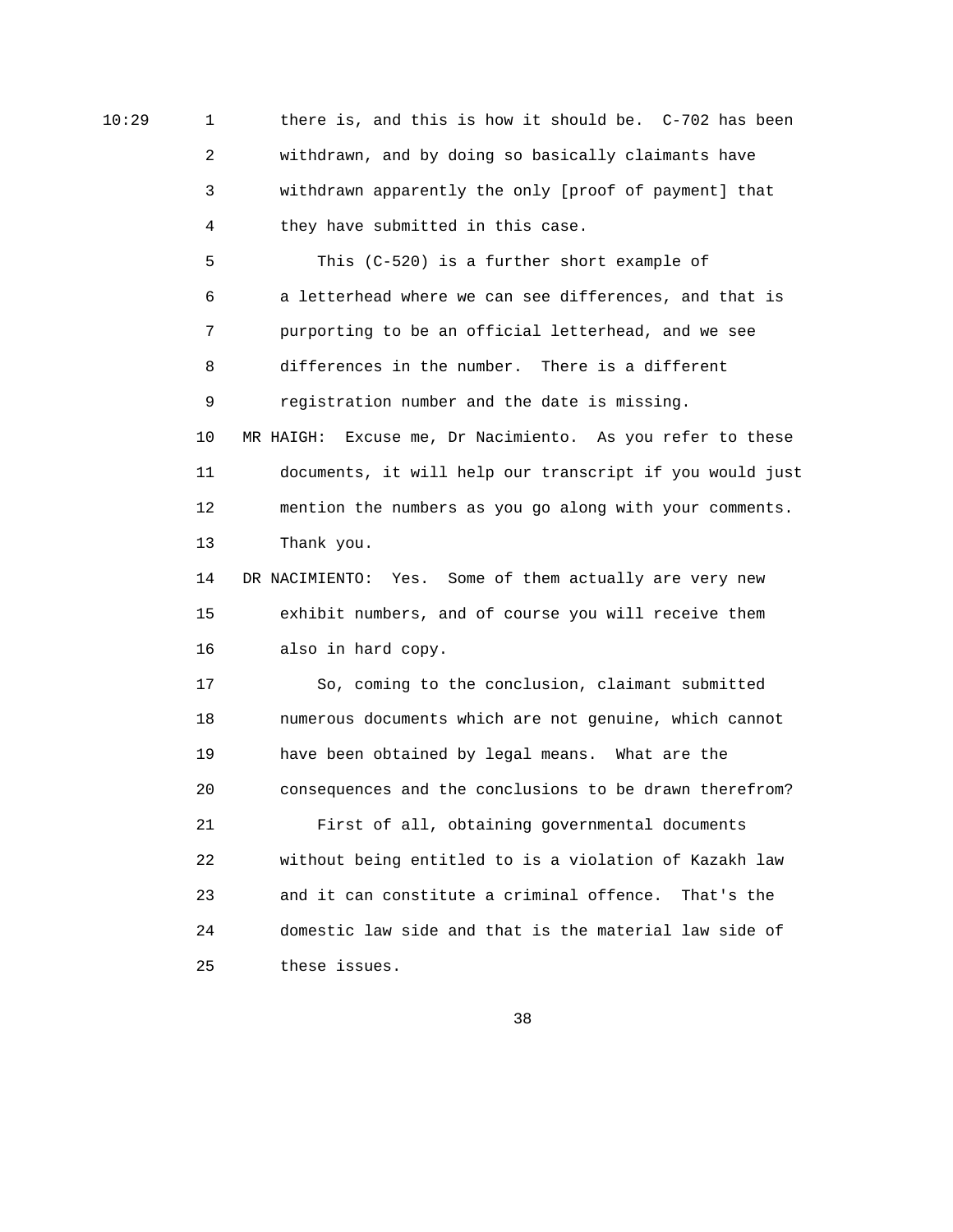10:29 1 there is, and this is how it should be. C-702 has been 2 withdrawn, and by doing so basically claimants have 3 withdrawn apparently the only [proof of payment] that 4 they have submitted in this case.

> 5 This (C-520) is a further short example of 6 a letterhead where we can see differences, and that is 7 purporting to be an official letterhead, and we see 8 differences in the number. There is a different 9 registration number and the date is missing. 10 MR HAIGH: Excuse me, Dr Nacimiento. As you refer to these 11 documents, it will help our transcript if you would just 12 mention the numbers as you go along with your comments. 13 Thank you. 14 DR NACIMIENTO: Yes. Some of them actually are very new

 15 exhibit numbers, and of course you will receive them 16 also in hard copy.

 17 So, coming to the conclusion, claimant submitted 18 numerous documents which are not genuine, which cannot 19 have been obtained by legal means. What are the 20 consequences and the conclusions to be drawn therefrom? 21 First of all, obtaining governmental documents 22 without being entitled to is a violation of Kazakh law 23 and it can constitute a criminal offence. That's the 24 domestic law side and that is the material law side of 25 these issues.

 $38<sup>2</sup>$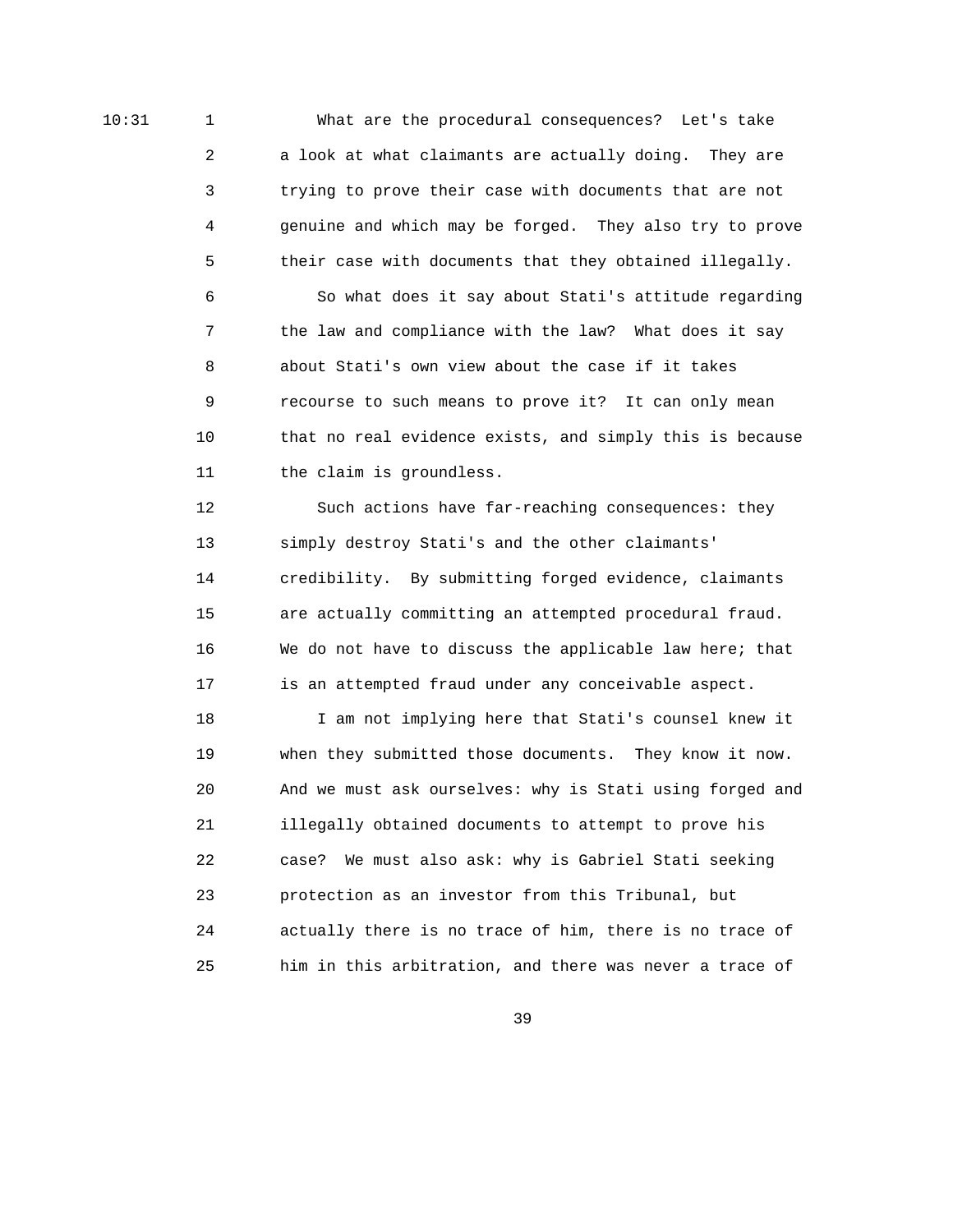10:31 1 What are the procedural consequences? Let's take 2 a look at what claimants are actually doing. They are 3 trying to prove their case with documents that are not 4 genuine and which may be forged. They also try to prove 5 their case with documents that they obtained illegally.

> 6 So what does it say about Stati's attitude regarding 7 the law and compliance with the law? What does it say 8 about Stati's own view about the case if it takes 9 recourse to such means to prove it? It can only mean 10 that no real evidence exists, and simply this is because 11 the claim is groundless.

 12 Such actions have far-reaching consequences: they 13 simply destroy Stati's and the other claimants' 14 credibility. By submitting forged evidence, claimants 15 are actually committing an attempted procedural fraud. 16 We do not have to discuss the applicable law here; that 17 is an attempted fraud under any conceivable aspect.

 18 I am not implying here that Stati's counsel knew it 19 when they submitted those documents. They know it now. 20 And we must ask ourselves: why is Stati using forged and 21 illegally obtained documents to attempt to prove his 22 case? We must also ask: why is Gabriel Stati seeking 23 protection as an investor from this Tribunal, but 24 actually there is no trace of him, there is no trace of 25 him in this arbitration, and there was never a trace of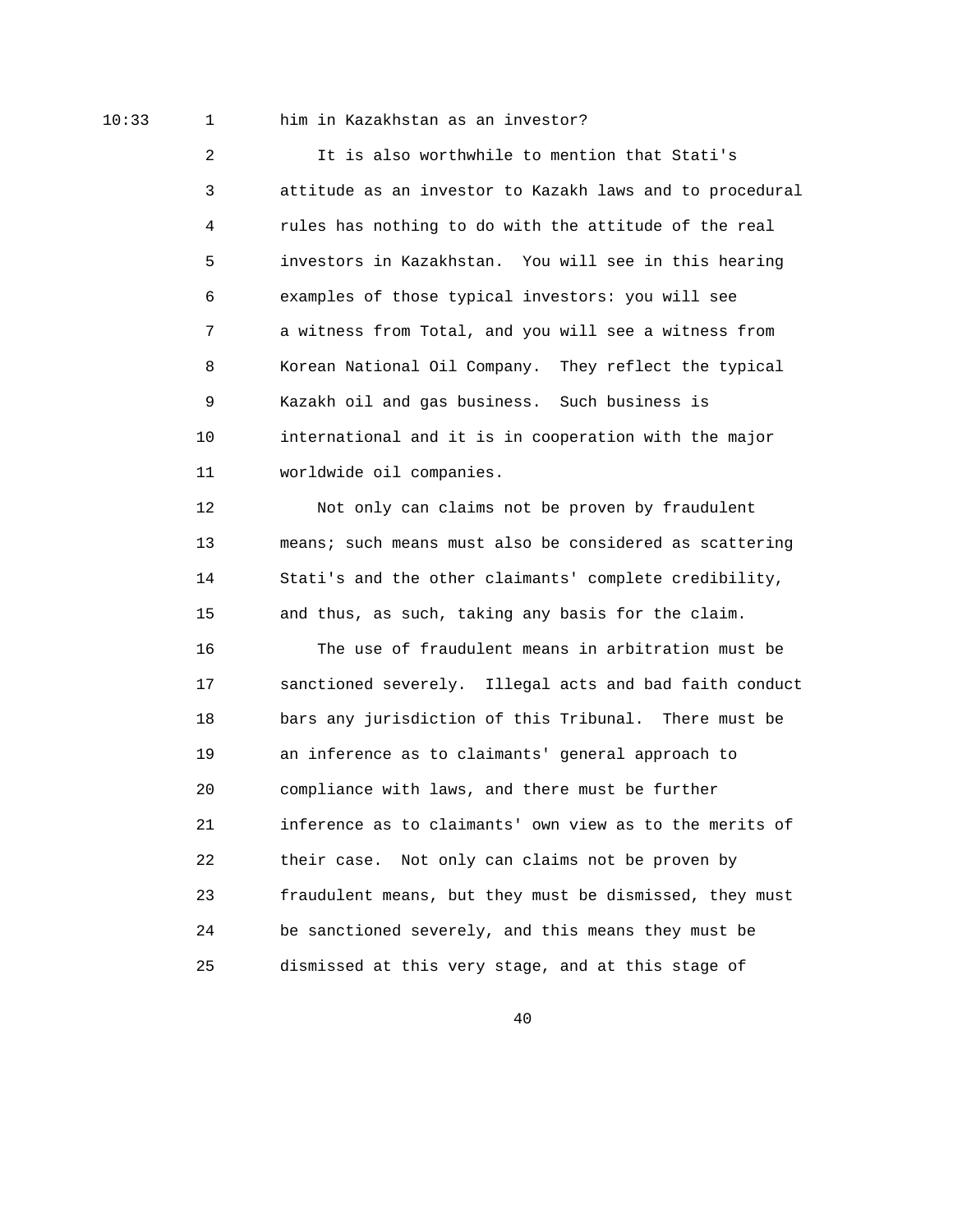## 10:33 1 him in Kazakhstan as an investor?

 2 It is also worthwhile to mention that Stati's 3 attitude as an investor to Kazakh laws and to procedural 4 rules has nothing to do with the attitude of the real 5 investors in Kazakhstan. You will see in this hearing 6 examples of those typical investors: you will see 7 a witness from Total, and you will see a witness from 8 Korean National Oil Company. They reflect the typical 9 Kazakh oil and gas business. Such business is 10 international and it is in cooperation with the major 11 worldwide oil companies.

 12 Not only can claims not be proven by fraudulent 13 means; such means must also be considered as scattering 14 Stati's and the other claimants' complete credibility, 15 and thus, as such, taking any basis for the claim.

 16 The use of fraudulent means in arbitration must be 17 sanctioned severely. Illegal acts and bad faith conduct 18 bars any jurisdiction of this Tribunal. There must be 19 an inference as to claimants' general approach to 20 compliance with laws, and there must be further 21 inference as to claimants' own view as to the merits of 22 their case. Not only can claims not be proven by 23 fraudulent means, but they must be dismissed, they must 24 be sanctioned severely, and this means they must be 25 dismissed at this very stage, and at this stage of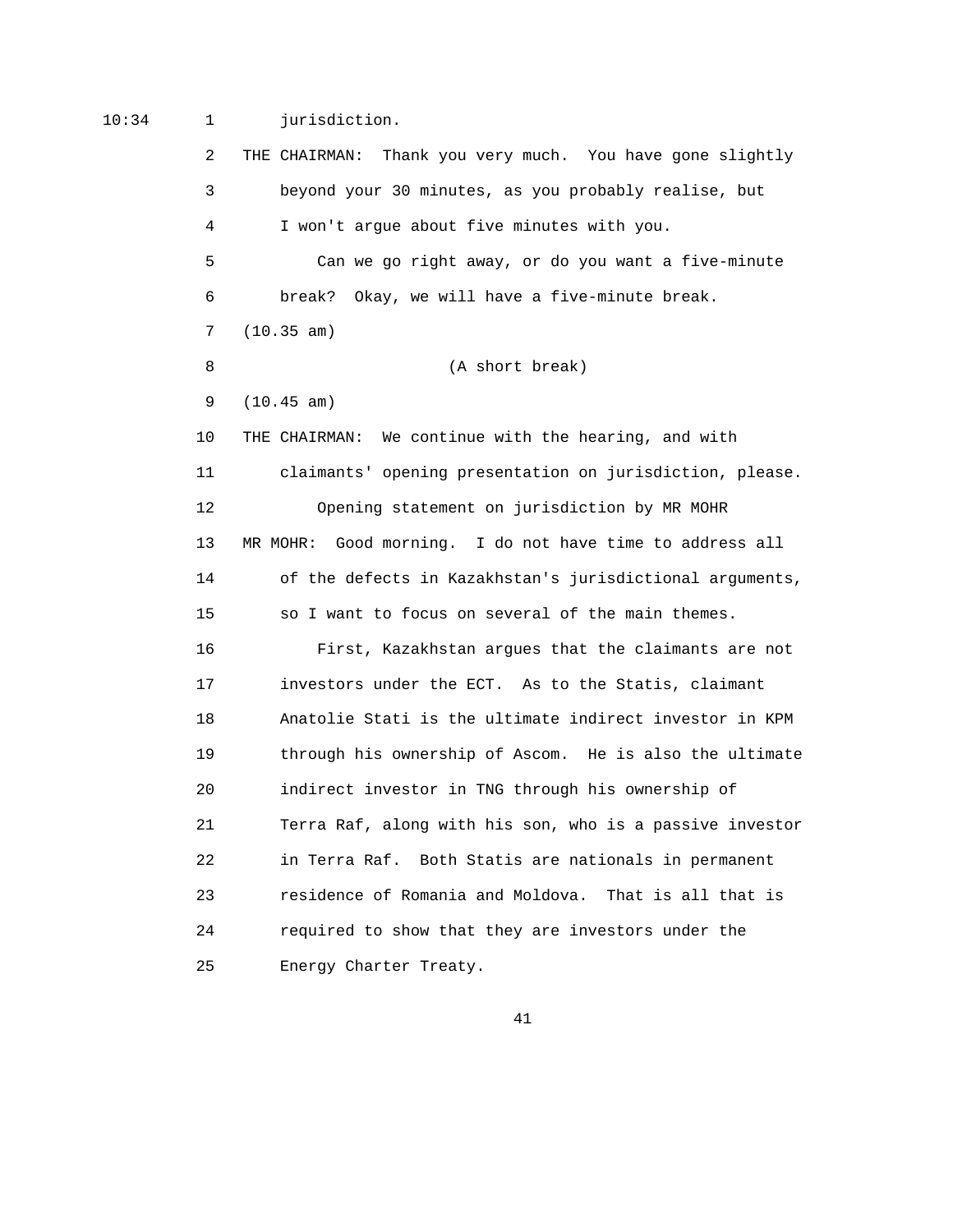## 10:34 1 jurisdiction.

 2 THE CHAIRMAN: Thank you very much. You have gone slightly 3 beyond your 30 minutes, as you probably realise, but 4 I won't argue about five minutes with you. 5 Can we go right away, or do you want a five-minute 6 break? Okay, we will have a five-minute break. 7 (10.35 am) 8 (A short break) 9 (10.45 am) 10 THE CHAIRMAN: We continue with the hearing, and with 11 claimants' opening presentation on jurisdiction, please. 12 Opening statement on jurisdiction by MR MOHR 13 MR MOHR: Good morning. I do not have time to address all 14 of the defects in Kazakhstan's jurisdictional arguments, 15 so I want to focus on several of the main themes. 16 First, Kazakhstan argues that the claimants are not 17 investors under the ECT. As to the Statis, claimant 18 Anatolie Stati is the ultimate indirect investor in KPM 19 through his ownership of Ascom. He is also the ultimate 20 indirect investor in TNG through his ownership of 21 Terra Raf, along with his son, who is a passive investor 22 in Terra Raf. Both Statis are nationals in permanent 23 residence of Romania and Moldova. That is all that is 24 required to show that they are investors under the 25 Energy Charter Treaty.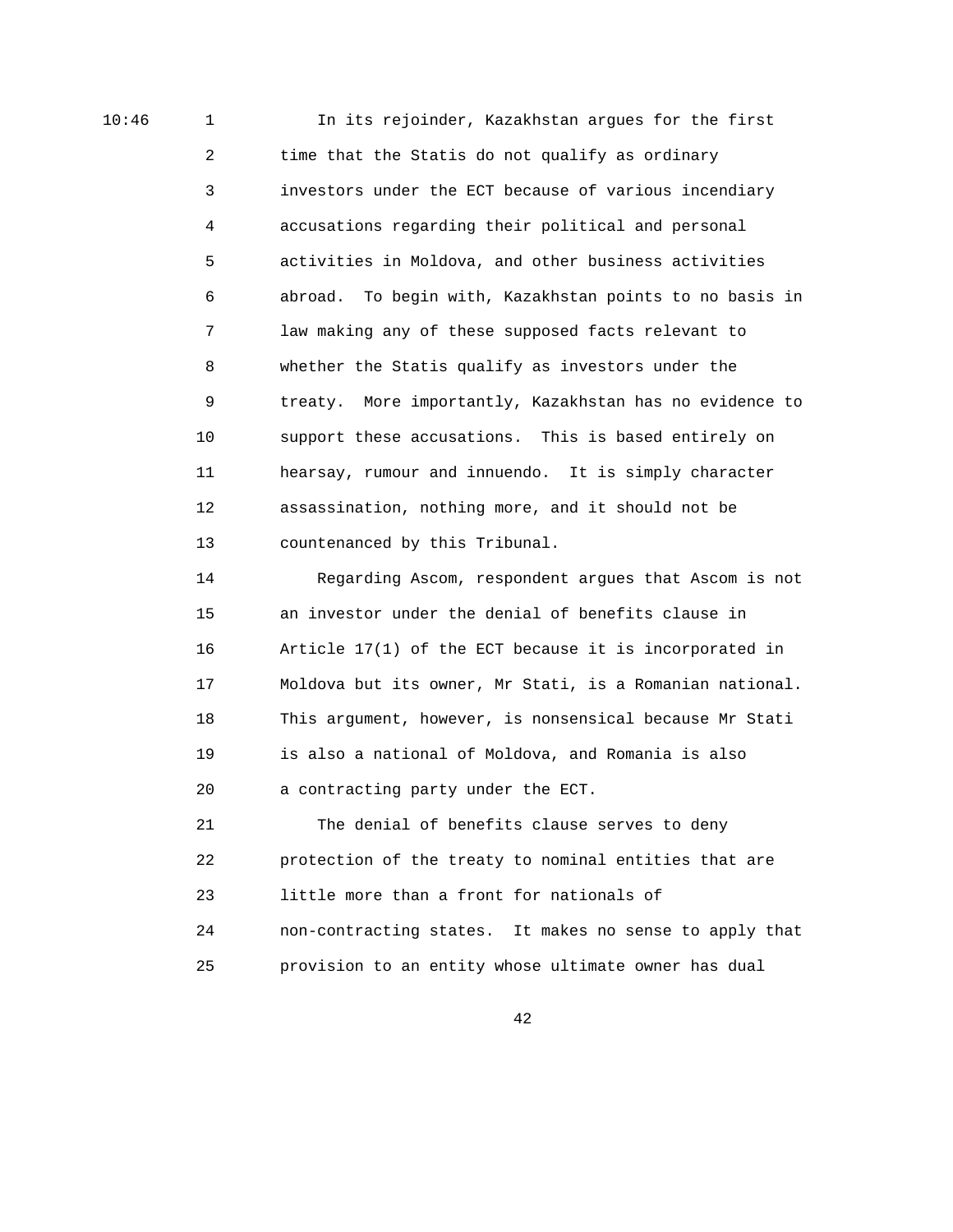10:46 1 In its rejoinder, Kazakhstan argues for the first 2 time that the Statis do not qualify as ordinary 3 investors under the ECT because of various incendiary 4 accusations regarding their political and personal 5 activities in Moldova, and other business activities 6 abroad. To begin with, Kazakhstan points to no basis in 7 law making any of these supposed facts relevant to 8 whether the Statis qualify as investors under the 9 treaty. More importantly, Kazakhstan has no evidence to 10 support these accusations. This is based entirely on 11 hearsay, rumour and innuendo. It is simply character 12 assassination, nothing more, and it should not be 13 countenanced by this Tribunal.

> 14 Regarding Ascom, respondent argues that Ascom is not 15 an investor under the denial of benefits clause in 16 Article 17(1) of the ECT because it is incorporated in 17 Moldova but its owner, Mr Stati, is a Romanian national. 18 This argument, however, is nonsensical because Mr Stati 19 is also a national of Moldova, and Romania is also 20 a contracting party under the ECT.

> 21 The denial of benefits clause serves to deny 22 protection of the treaty to nominal entities that are 23 little more than a front for nationals of 24 non-contracting states. It makes no sense to apply that 25 provision to an entity whose ultimate owner has dual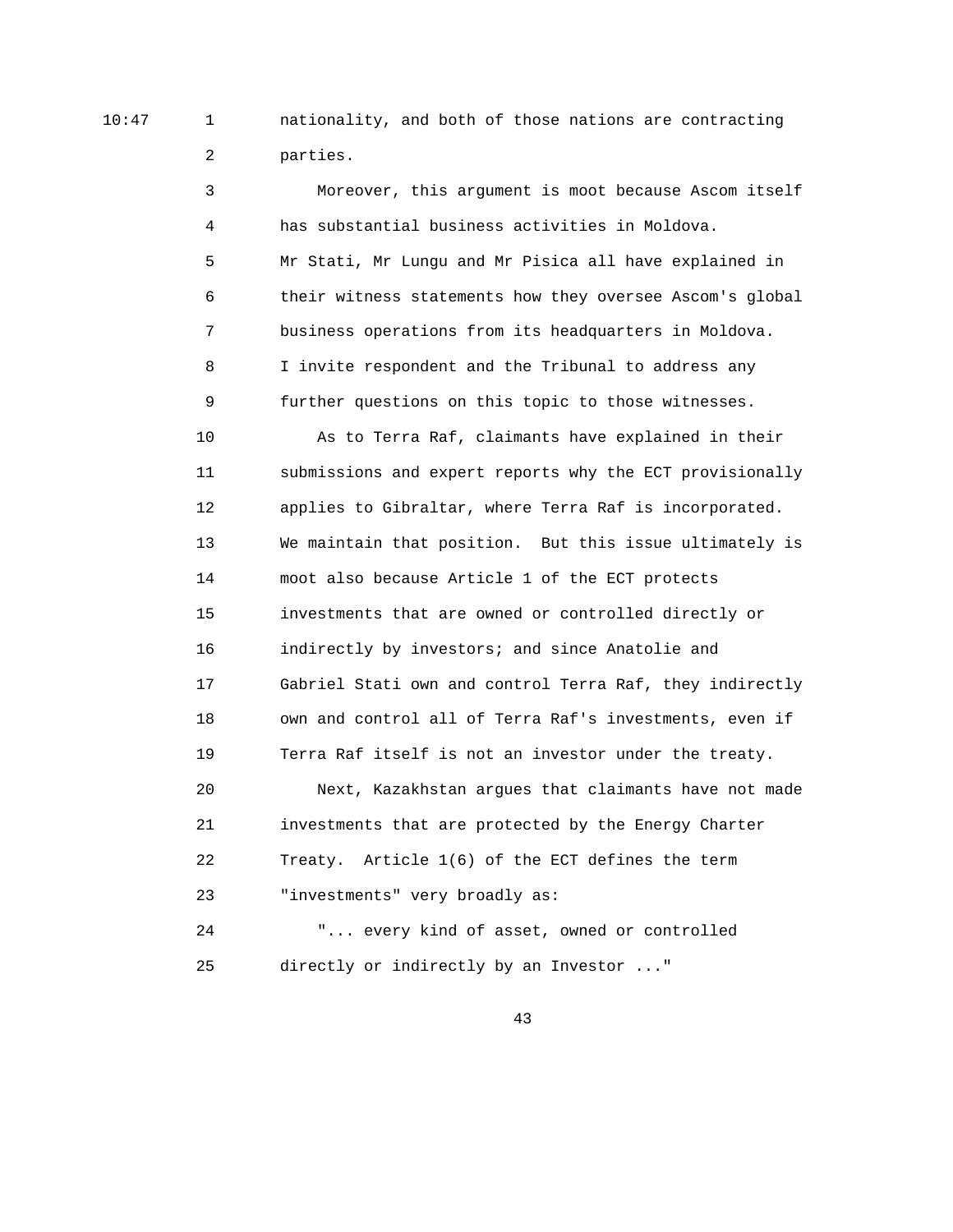10:47 1 nationality, and both of those nations are contracting 2 parties.

> 3 Moreover, this argument is moot because Ascom itself 4 has substantial business activities in Moldova. 5 Mr Stati, Mr Lungu and Mr Pisica all have explained in 6 their witness statements how they oversee Ascom's global 7 business operations from its headquarters in Moldova. 8 I invite respondent and the Tribunal to address any 9 further questions on this topic to those witnesses.

 10 As to Terra Raf, claimants have explained in their 11 submissions and expert reports why the ECT provisionally 12 applies to Gibraltar, where Terra Raf is incorporated. 13 We maintain that position. But this issue ultimately is 14 moot also because Article 1 of the ECT protects 15 investments that are owned or controlled directly or 16 indirectly by investors; and since Anatolie and 17 Gabriel Stati own and control Terra Raf, they indirectly 18 own and control all of Terra Raf's investments, even if 19 Terra Raf itself is not an investor under the treaty.

 20 Next, Kazakhstan argues that claimants have not made 21 investments that are protected by the Energy Charter 22 Treaty. Article 1(6) of the ECT defines the term 23 "investments" very broadly as:

 24 "... every kind of asset, owned or controlled 25 directly or indirectly by an Investor ..."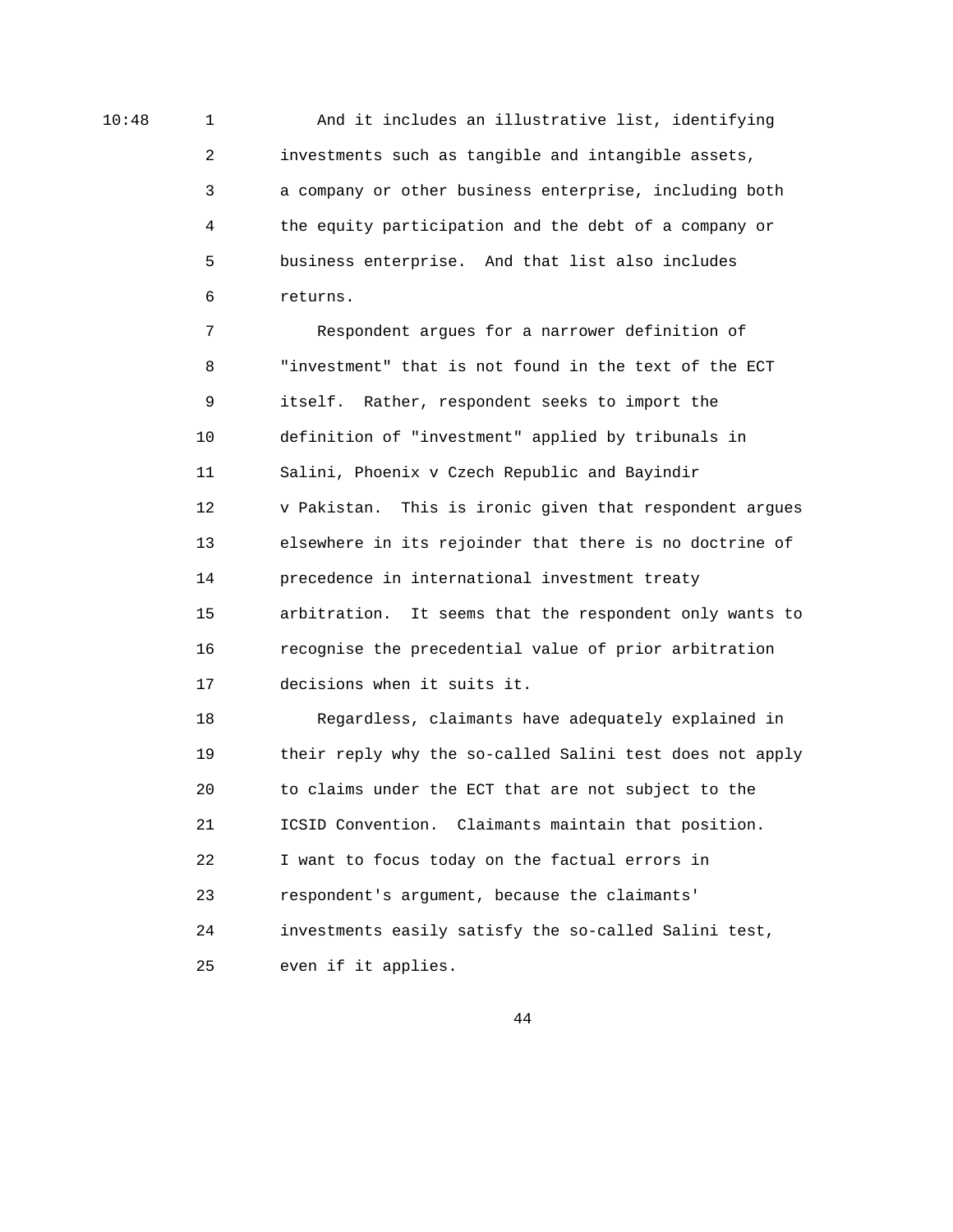10:48 1 And it includes an illustrative list, identifying 2 investments such as tangible and intangible assets, 3 a company or other business enterprise, including both 4 the equity participation and the debt of a company or 5 business enterprise. And that list also includes 6 returns.

> 7 Respondent argues for a narrower definition of 8 "investment" that is not found in the text of the ECT 9 itself. Rather, respondent seeks to import the 10 definition of "investment" applied by tribunals in 11 Salini, Phoenix v Czech Republic and Bayindir 12 v Pakistan. This is ironic given that respondent argues 13 elsewhere in its rejoinder that there is no doctrine of 14 precedence in international investment treaty 15 arbitration. It seems that the respondent only wants to 16 recognise the precedential value of prior arbitration 17 decisions when it suits it.

> 18 Regardless, claimants have adequately explained in 19 their reply why the so-called Salini test does not apply 20 to claims under the ECT that are not subject to the 21 ICSID Convention. Claimants maintain that position. 22 I want to focus today on the factual errors in 23 respondent's argument, because the claimants' 24 investments easily satisfy the so-called Salini test, 25 even if it applies.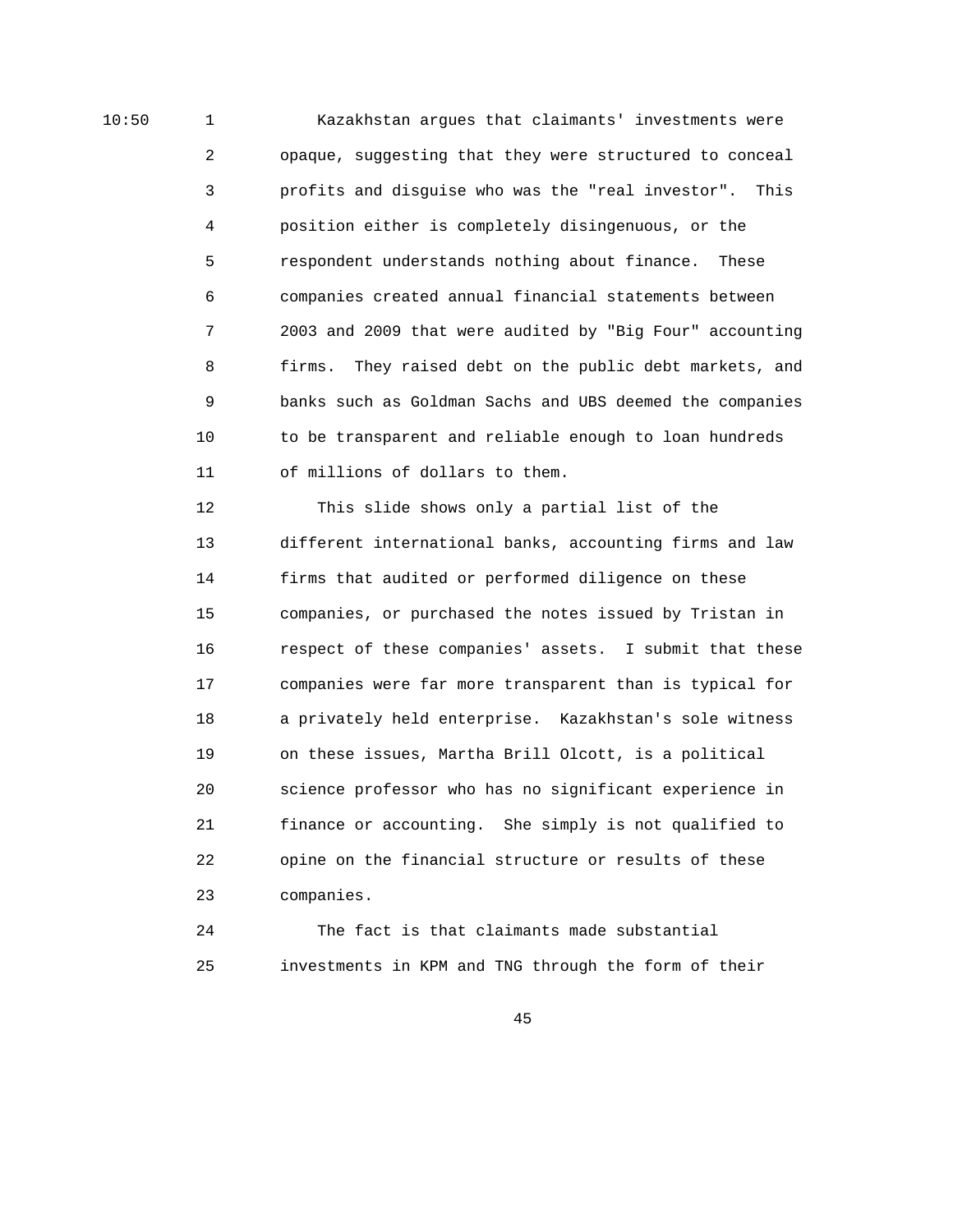10:50 1 Kazakhstan argues that claimants' investments were 2 opaque, suggesting that they were structured to conceal 3 profits and disguise who was the "real investor". This 4 position either is completely disingenuous, or the 5 respondent understands nothing about finance. These 6 companies created annual financial statements between 7 2003 and 2009 that were audited by "Big Four" accounting 8 firms. They raised debt on the public debt markets, and 9 banks such as Goldman Sachs and UBS deemed the companies 10 to be transparent and reliable enough to loan hundreds 11 of millions of dollars to them.

> 12 This slide shows only a partial list of the 13 different international banks, accounting firms and law 14 firms that audited or performed diligence on these 15 companies, or purchased the notes issued by Tristan in 16 respect of these companies' assets. I submit that these 17 companies were far more transparent than is typical for 18 a privately held enterprise. Kazakhstan's sole witness 19 on these issues, Martha Brill Olcott, is a political 20 science professor who has no significant experience in 21 finance or accounting. She simply is not qualified to 22 opine on the financial structure or results of these 23 companies.

 24 The fact is that claimants made substantial 25 investments in KPM and TNG through the form of their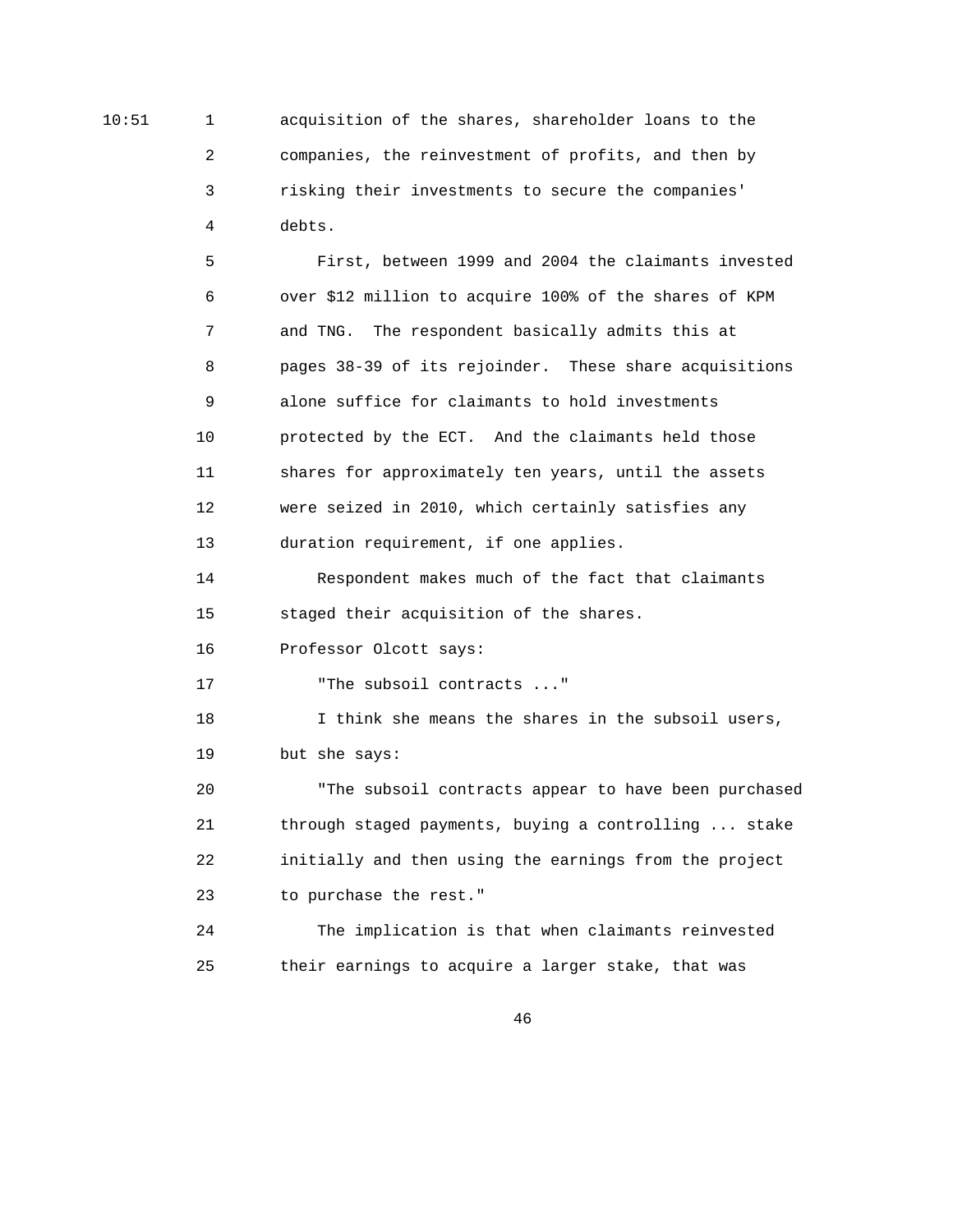10:51 1 acquisition of the shares, shareholder loans to the 2 companies, the reinvestment of profits, and then by 3 risking their investments to secure the companies' 4 debts.

> 5 First, between 1999 and 2004 the claimants invested 6 over \$12 million to acquire 100% of the shares of KPM 7 and TNG. The respondent basically admits this at 8 pages 38-39 of its rejoinder. These share acquisitions 9 alone suffice for claimants to hold investments 10 protected by the ECT. And the claimants held those 11 shares for approximately ten years, until the assets 12 were seized in 2010, which certainly satisfies any 13 duration requirement, if one applies.

 14 Respondent makes much of the fact that claimants 15 staged their acquisition of the shares.

16 Professor Olcott says:

17 The subsoil contracts ..."

 18 I think she means the shares in the subsoil users, 19 but she says:

 20 "The subsoil contracts appear to have been purchased 21 through staged payments, buying a controlling ... stake 22 initially and then using the earnings from the project 23 to purchase the rest."

 24 The implication is that when claimants reinvested 25 their earnings to acquire a larger stake, that was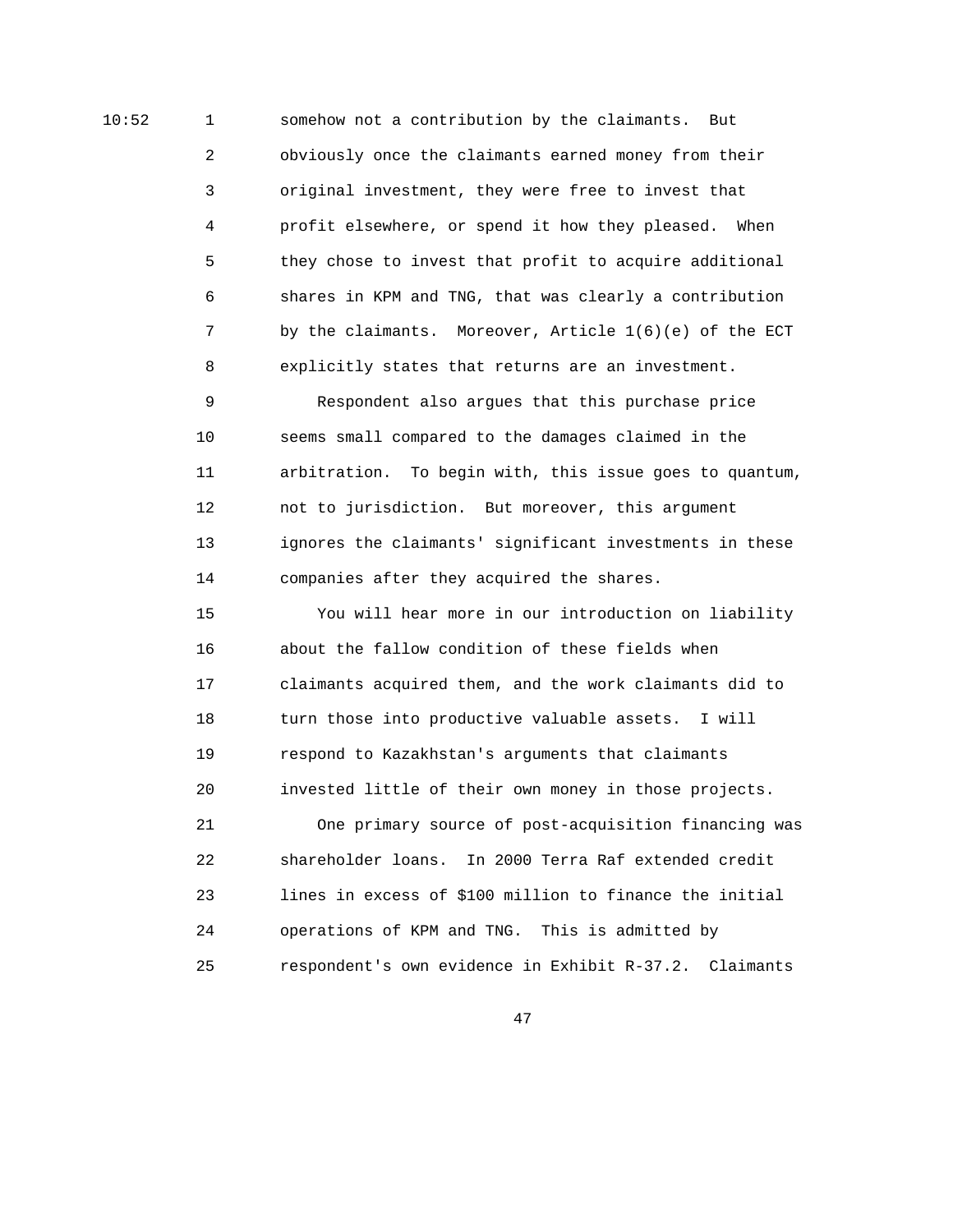10:52 1 somehow not a contribution by the claimants. But 2 obviously once the claimants earned money from their 3 original investment, they were free to invest that 4 profit elsewhere, or spend it how they pleased. When 5 they chose to invest that profit to acquire additional 6 shares in KPM and TNG, that was clearly a contribution 7 by the claimants. Moreover, Article 1(6)(e) of the ECT 8 explicitly states that returns are an investment.

> 9 Respondent also argues that this purchase price 10 seems small compared to the damages claimed in the 11 arbitration. To begin with, this issue goes to quantum, 12 not to jurisdiction. But moreover, this argument 13 ignores the claimants' significant investments in these 14 companies after they acquired the shares.

 15 You will hear more in our introduction on liability 16 about the fallow condition of these fields when 17 claimants acquired them, and the work claimants did to 18 turn those into productive valuable assets. I will 19 respond to Kazakhstan's arguments that claimants 20 invested little of their own money in those projects.

 21 One primary source of post-acquisition financing was 22 shareholder loans. In 2000 Terra Raf extended credit 23 lines in excess of \$100 million to finance the initial 24 operations of KPM and TNG. This is admitted by 25 respondent's own evidence in Exhibit R-37.2. Claimants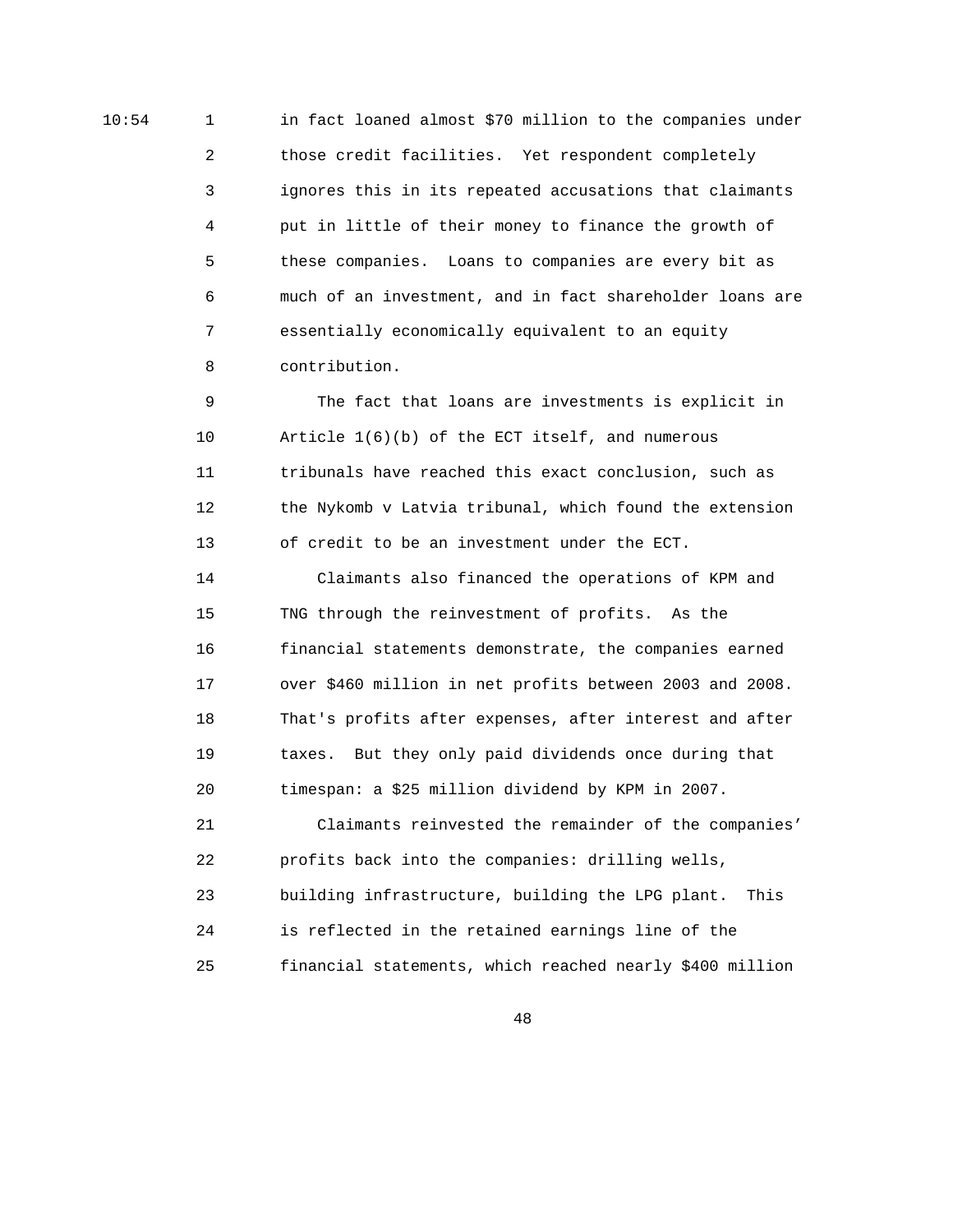10:54 1 in fact loaned almost \$70 million to the companies under 2 those credit facilities. Yet respondent completely 3 ignores this in its repeated accusations that claimants 4 put in little of their money to finance the growth of 5 these companies. Loans to companies are every bit as 6 much of an investment, and in fact shareholder loans are 7 essentially economically equivalent to an equity 8 contribution.

> 9 The fact that loans are investments is explicit in 10 Article 1(6)(b) of the ECT itself, and numerous 11 tribunals have reached this exact conclusion, such as 12 the Nykomb v Latvia tribunal, which found the extension 13 of credit to be an investment under the ECT.

> 14 Claimants also financed the operations of KPM and 15 TNG through the reinvestment of profits. As the 16 financial statements demonstrate, the companies earned 17 over \$460 million in net profits between 2003 and 2008. 18 That's profits after expenses, after interest and after 19 taxes. But they only paid dividends once during that 20 timespan: a \$25 million dividend by KPM in 2007.

> 21 Claimants reinvested the remainder of the companies' 22 profits back into the companies: drilling wells, 23 building infrastructure, building the LPG plant. This 24 is reflected in the retained earnings line of the 25 financial statements, which reached nearly \$400 million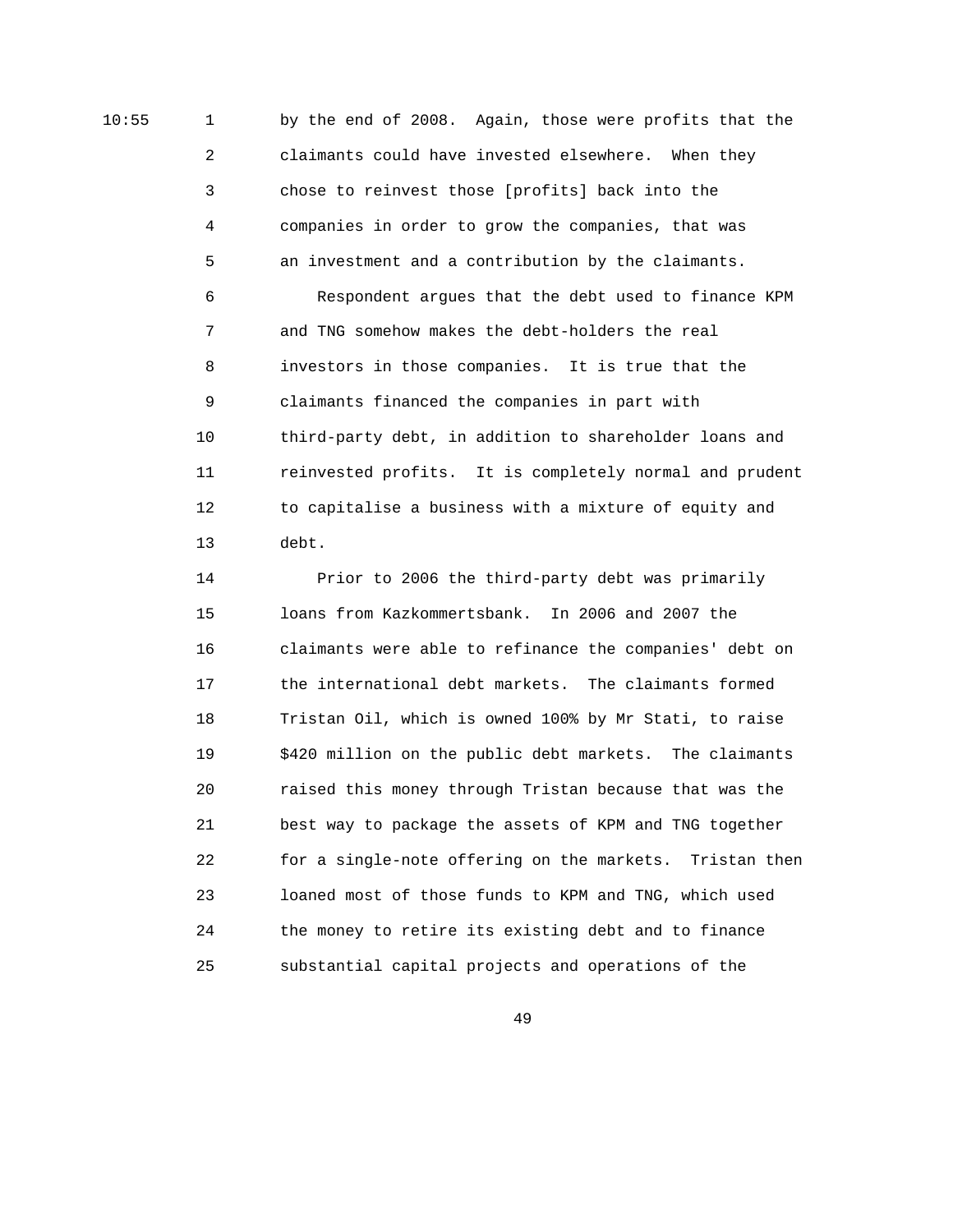10:55 1 by the end of 2008. Again, those were profits that the 2 claimants could have invested elsewhere. When they 3 chose to reinvest those [profits] back into the 4 companies in order to grow the companies, that was 5 an investment and a contribution by the claimants. 6 Respondent argues that the debt used to finance KPM 7 and TNG somehow makes the debt-holders the real 8 investors in those companies. It is true that the 9 claimants financed the companies in part with 10 third-party debt, in addition to shareholder loans and 11 reinvested profits. It is completely normal and prudent 12 to capitalise a business with a mixture of equity and 13 debt.

> 14 Prior to 2006 the third-party debt was primarily 15 loans from Kazkommertsbank. In 2006 and 2007 the 16 claimants were able to refinance the companies' debt on 17 the international debt markets. The claimants formed 18 Tristan Oil, which is owned 100% by Mr Stati, to raise 19 \$420 million on the public debt markets. The claimants 20 raised this money through Tristan because that was the 21 best way to package the assets of KPM and TNG together 22 for a single-note offering on the markets. Tristan then 23 loaned most of those funds to KPM and TNG, which used 24 the money to retire its existing debt and to finance 25 substantial capital projects and operations of the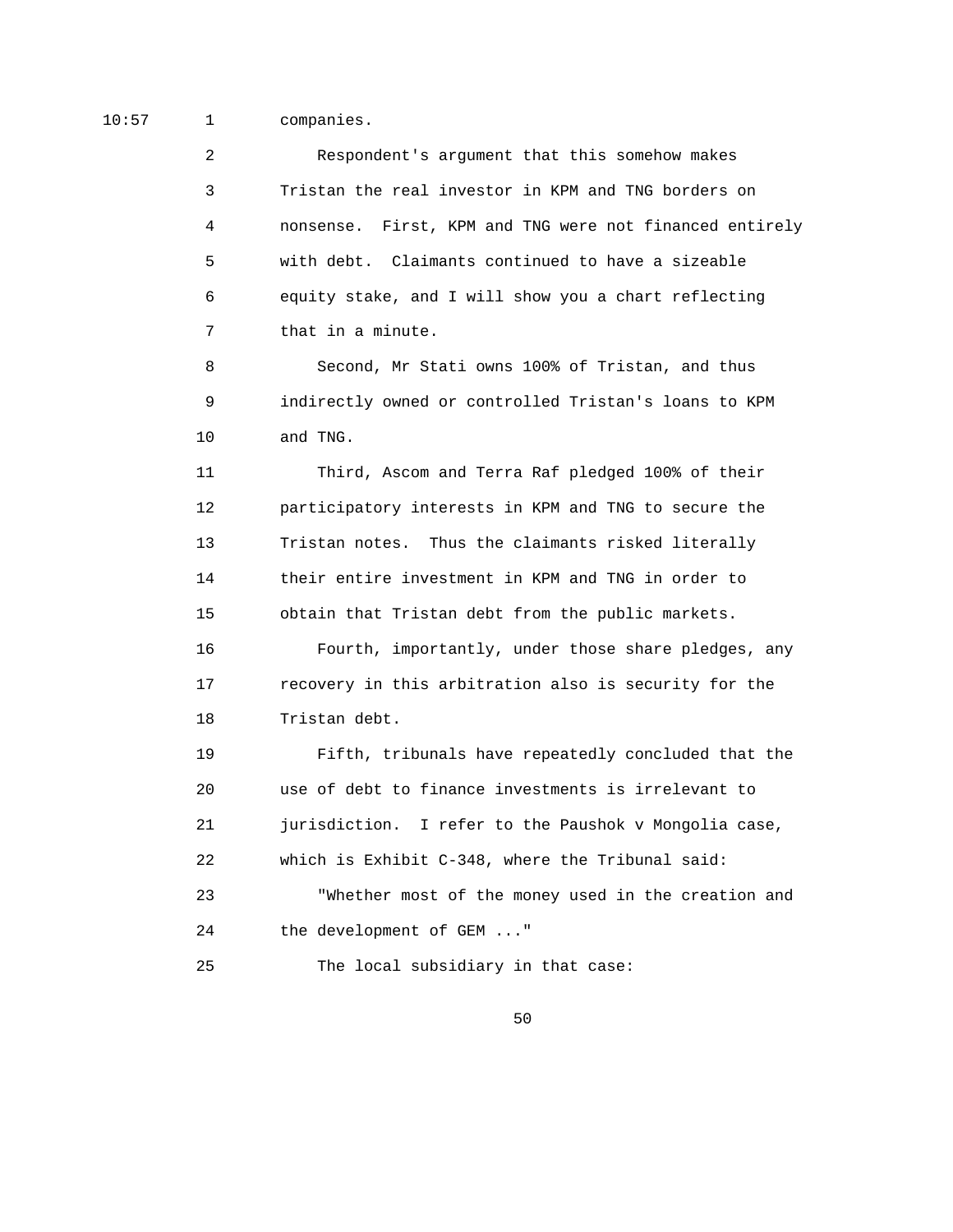10:57 1 companies.

 2 Respondent's argument that this somehow makes 3 Tristan the real investor in KPM and TNG borders on 4 nonsense. First, KPM and TNG were not financed entirely 5 with debt. Claimants continued to have a sizeable 6 equity stake, and I will show you a chart reflecting 7 that in a minute.

 8 Second, Mr Stati owns 100% of Tristan, and thus 9 indirectly owned or controlled Tristan's loans to KPM 10 and TNG.

 11 Third, Ascom and Terra Raf pledged 100% of their 12 participatory interests in KPM and TNG to secure the 13 Tristan notes. Thus the claimants risked literally 14 their entire investment in KPM and TNG in order to 15 obtain that Tristan debt from the public markets. 16 Fourth, importantly, under those share pledges, any 17 recovery in this arbitration also is security for the 18 Tristan debt.

 19 Fifth, tribunals have repeatedly concluded that the 20 use of debt to finance investments is irrelevant to 21 jurisdiction. I refer to the Paushok v Mongolia case, 22 which is Exhibit C-348, where the Tribunal said: 23 "Whether most of the money used in the creation and 24 the development of GEM ..." 25 The local subsidiary in that case: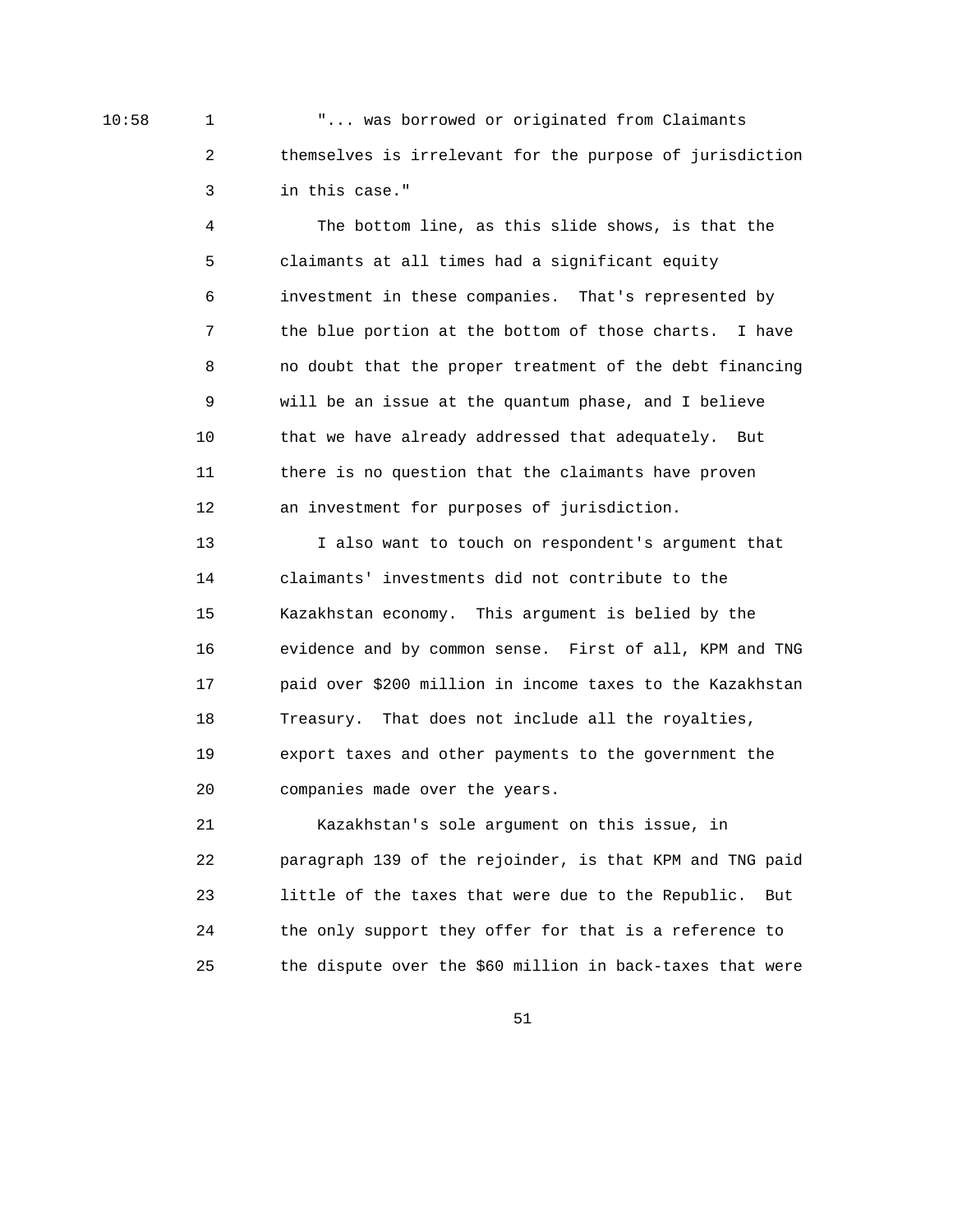10:58 1 "... was borrowed or originated from Claimants 2 themselves is irrelevant for the purpose of jurisdiction 3 in this case."

> 4 The bottom line, as this slide shows, is that the 5 claimants at all times had a significant equity 6 investment in these companies. That's represented by 7 the blue portion at the bottom of those charts. I have 8 no doubt that the proper treatment of the debt financing 9 will be an issue at the quantum phase, and I believe 10 that we have already addressed that adequately. But 11 there is no question that the claimants have proven 12 an investment for purposes of jurisdiction.

> 13 I also want to touch on respondent's argument that 14 claimants' investments did not contribute to the 15 Kazakhstan economy. This argument is belied by the 16 evidence and by common sense. First of all, KPM and TNG 17 paid over \$200 million in income taxes to the Kazakhstan 18 Treasury. That does not include all the royalties, 19 export taxes and other payments to the government the 20 companies made over the years.

> 21 Kazakhstan's sole argument on this issue, in 22 paragraph 139 of the rejoinder, is that KPM and TNG paid 23 little of the taxes that were due to the Republic. But 24 the only support they offer for that is a reference to 25 the dispute over the \$60 million in back-taxes that were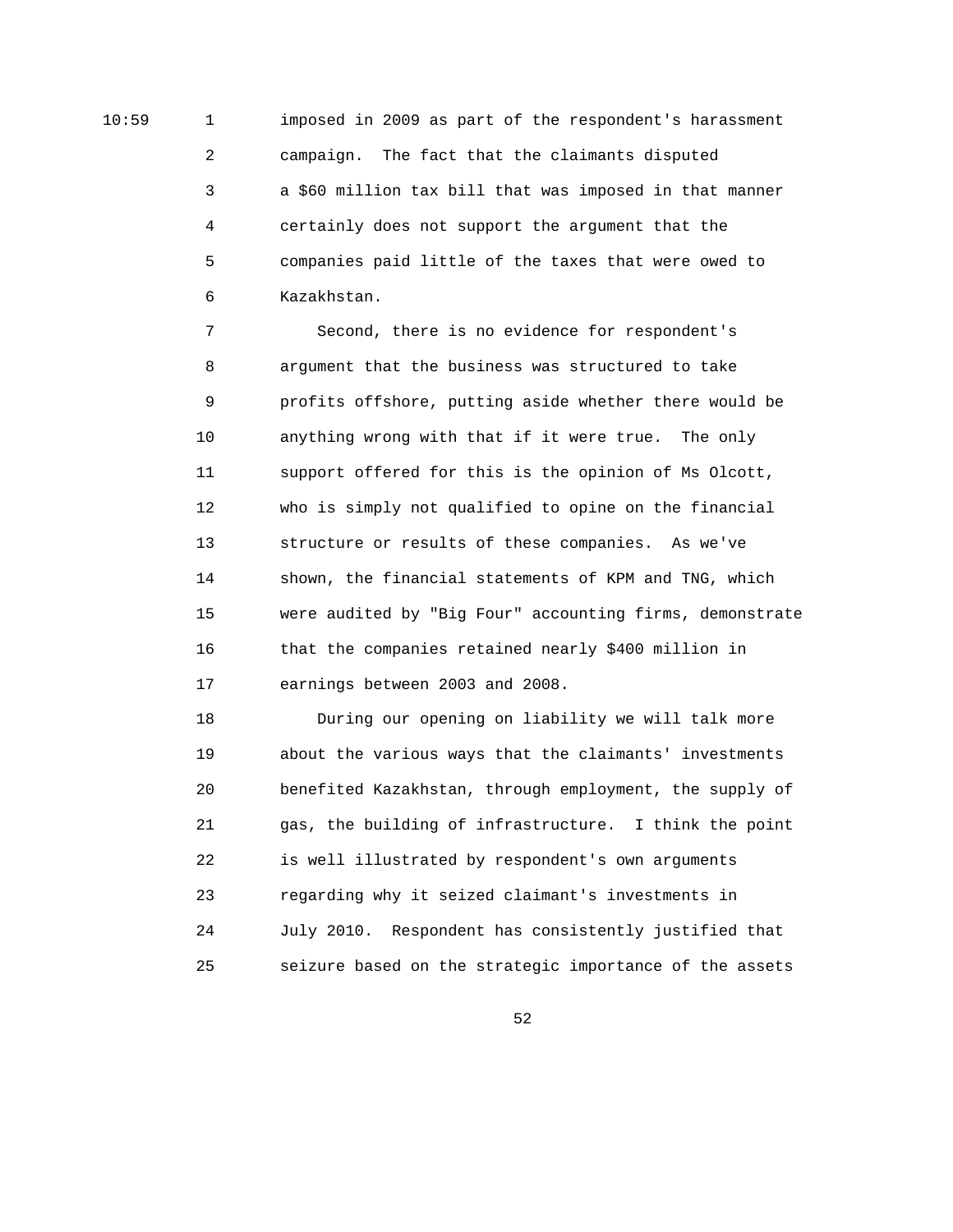10:59 1 imposed in 2009 as part of the respondent's harassment 2 campaign. The fact that the claimants disputed 3 a \$60 million tax bill that was imposed in that manner 4 certainly does not support the argument that the 5 companies paid little of the taxes that were owed to 6 Kazakhstan.

> 7 Second, there is no evidence for respondent's 8 argument that the business was structured to take 9 profits offshore, putting aside whether there would be 10 anything wrong with that if it were true. The only 11 support offered for this is the opinion of Ms Olcott, 12 who is simply not qualified to opine on the financial 13 structure or results of these companies. As we've 14 shown, the financial statements of KPM and TNG, which 15 were audited by "Big Four" accounting firms, demonstrate 16 that the companies retained nearly \$400 million in 17 earnings between 2003 and 2008.

 18 During our opening on liability we will talk more 19 about the various ways that the claimants' investments 20 benefited Kazakhstan, through employment, the supply of 21 gas, the building of infrastructure. I think the point 22 is well illustrated by respondent's own arguments 23 regarding why it seized claimant's investments in 24 July 2010. Respondent has consistently justified that 25 seizure based on the strategic importance of the assets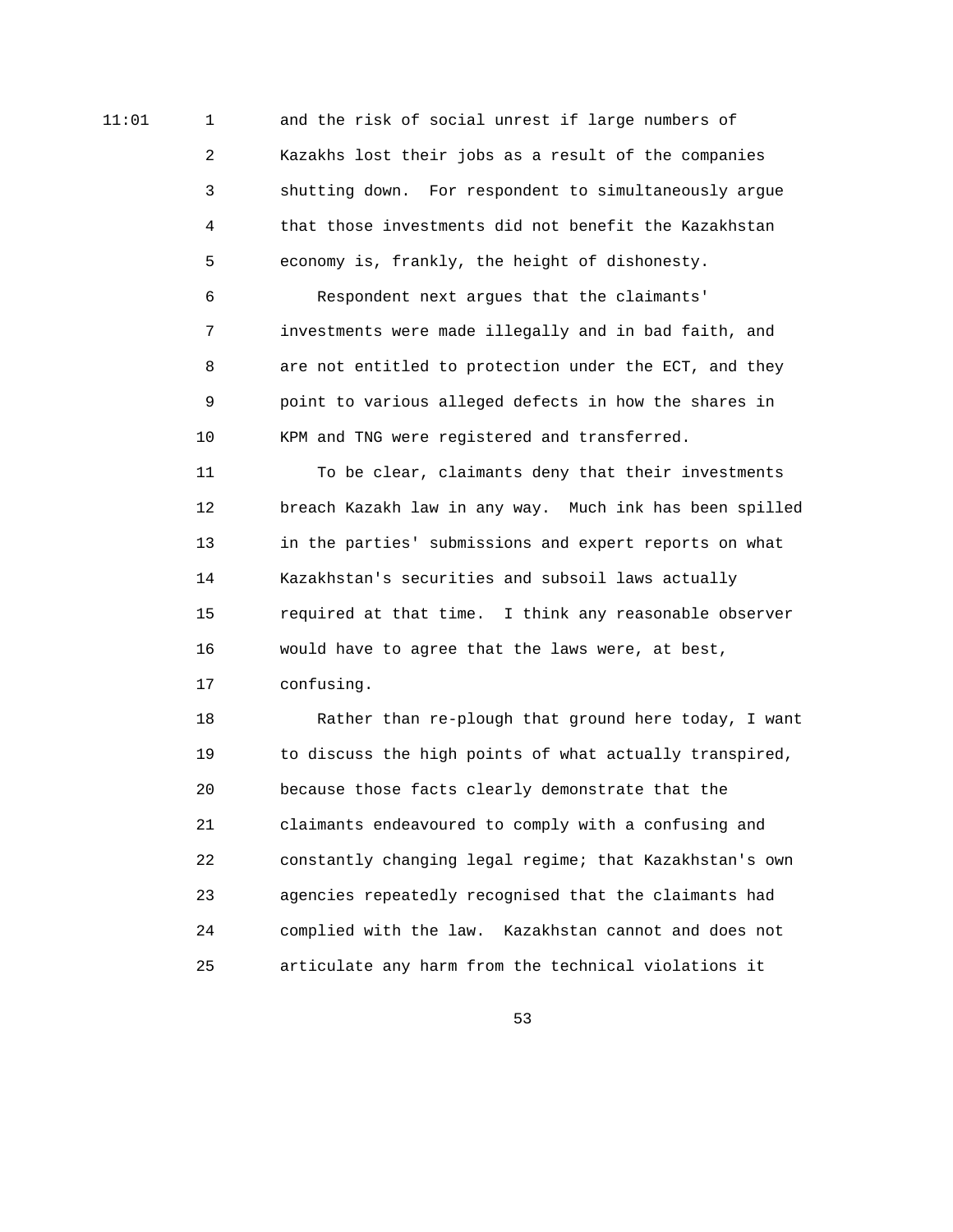11:01 1 and the risk of social unrest if large numbers of 2 Kazakhs lost their jobs as a result of the companies 3 shutting down. For respondent to simultaneously argue 4 that those investments did not benefit the Kazakhstan 5 economy is, frankly, the height of dishonesty.

> 6 Respondent next argues that the claimants' 7 investments were made illegally and in bad faith, and 8 are not entitled to protection under the ECT, and they 9 point to various alleged defects in how the shares in 10 KPM and TNG were registered and transferred.

 11 To be clear, claimants deny that their investments 12 breach Kazakh law in any way. Much ink has been spilled 13 in the parties' submissions and expert reports on what 14 Kazakhstan's securities and subsoil laws actually 15 required at that time. I think any reasonable observer 16 would have to agree that the laws were, at best, 17 confusing.

 18 Rather than re-plough that ground here today, I want 19 to discuss the high points of what actually transpired, 20 because those facts clearly demonstrate that the 21 claimants endeavoured to comply with a confusing and 22 constantly changing legal regime; that Kazakhstan's own 23 agencies repeatedly recognised that the claimants had 24 complied with the law. Kazakhstan cannot and does not 25 articulate any harm from the technical violations it

 $\sim$  53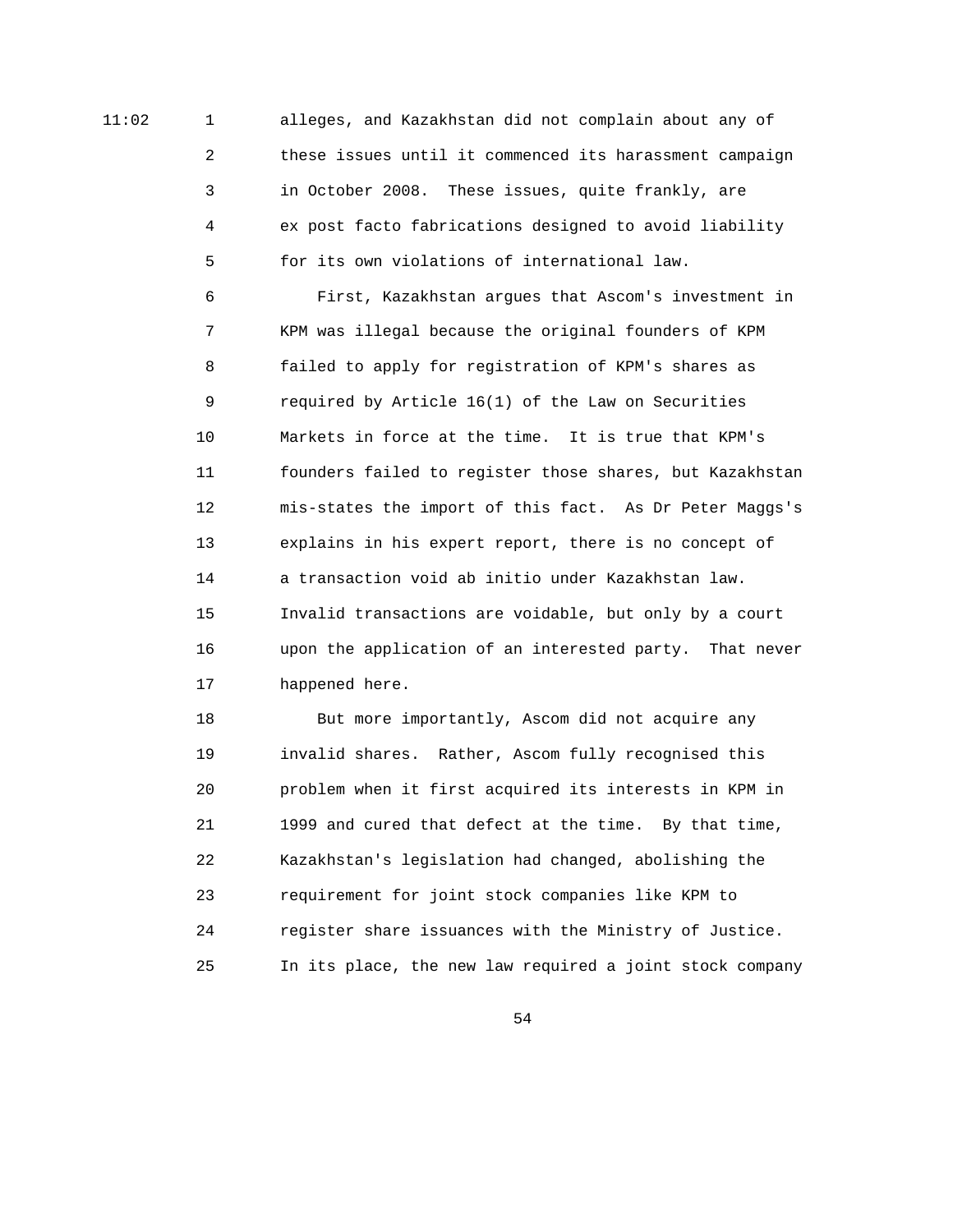11:02 1 alleges, and Kazakhstan did not complain about any of 2 these issues until it commenced its harassment campaign 3 in October 2008. These issues, quite frankly, are 4 ex post facto fabrications designed to avoid liability 5 for its own violations of international law.

> 6 First, Kazakhstan argues that Ascom's investment in 7 KPM was illegal because the original founders of KPM 8 failed to apply for registration of KPM's shares as 9 required by Article 16(1) of the Law on Securities 10 Markets in force at the time. It is true that KPM's 11 founders failed to register those shares, but Kazakhstan 12 mis-states the import of this fact. As Dr Peter Maggs's 13 explains in his expert report, there is no concept of 14 a transaction void ab initio under Kazakhstan law. 15 Invalid transactions are voidable, but only by a court 16 upon the application of an interested party. That never 17 happened here.

> 18 But more importantly, Ascom did not acquire any 19 invalid shares. Rather, Ascom fully recognised this 20 problem when it first acquired its interests in KPM in 21 1999 and cured that defect at the time. By that time, 22 Kazakhstan's legislation had changed, abolishing the 23 requirement for joint stock companies like KPM to 24 register share issuances with the Ministry of Justice. 25 In its place, the new law required a joint stock company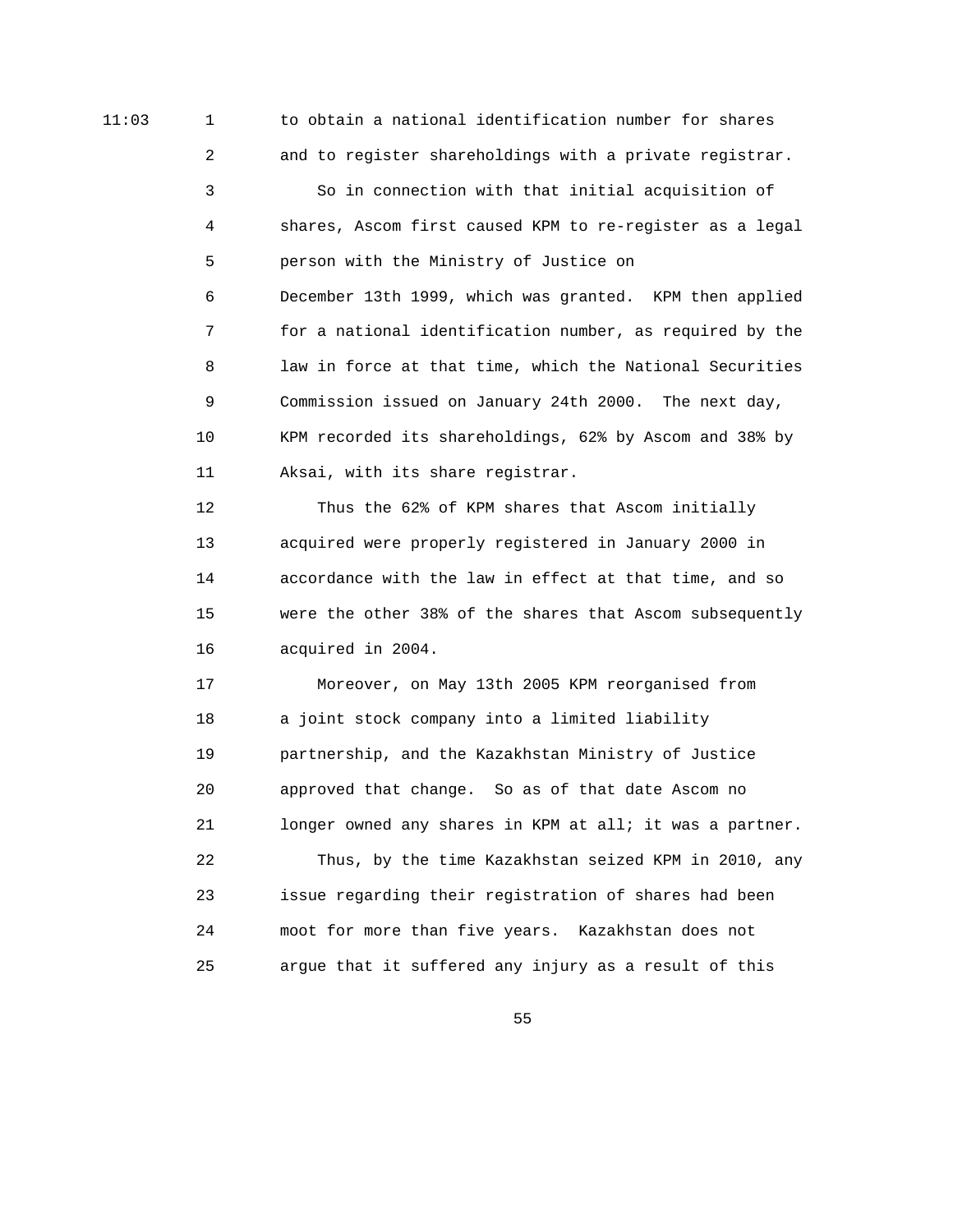11:03 1 to obtain a national identification number for shares 2 and to register shareholdings with a private registrar. 3 So in connection with that initial acquisition of 4 shares, Ascom first caused KPM to re-register as a legal 5 person with the Ministry of Justice on 6 December 13th 1999, which was granted. KPM then applied 7 for a national identification number, as required by the 8 law in force at that time, which the National Securities 9 Commission issued on January 24th 2000. The next day, 10 KPM recorded its shareholdings, 62% by Ascom and 38% by 11 Aksai, with its share registrar.

> 12 Thus the 62% of KPM shares that Ascom initially 13 acquired were properly registered in January 2000 in 14 accordance with the law in effect at that time, and so 15 were the other 38% of the shares that Ascom subsequently 16 acquired in 2004.

> 17 Moreover, on May 13th 2005 KPM reorganised from 18 a joint stock company into a limited liability 19 partnership, and the Kazakhstan Ministry of Justice 20 approved that change. So as of that date Ascom no 21 longer owned any shares in KPM at all; it was a partner. 22 Thus, by the time Kazakhstan seized KPM in 2010, any 23 issue regarding their registration of shares had been 24 moot for more than five years. Kazakhstan does not 25 argue that it suffered any injury as a result of this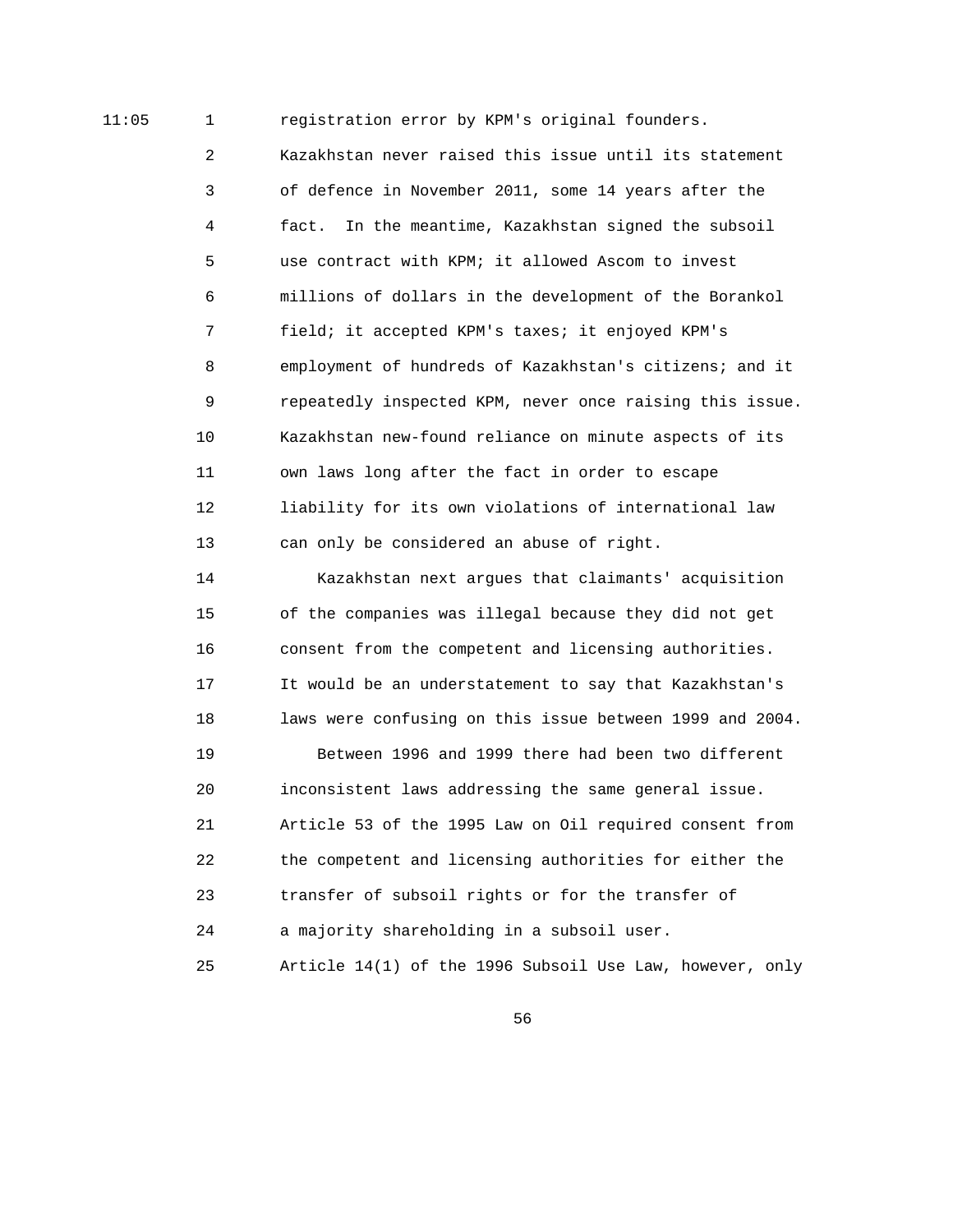11:05 1 registration error by KPM's original founders.

 2 Kazakhstan never raised this issue until its statement 3 of defence in November 2011, some 14 years after the 4 fact. In the meantime, Kazakhstan signed the subsoil 5 use contract with KPM; it allowed Ascom to invest 6 millions of dollars in the development of the Borankol 7 field; it accepted KPM's taxes; it enjoyed KPM's 8 employment of hundreds of Kazakhstan's citizens; and it 9 repeatedly inspected KPM, never once raising this issue. 10 Kazakhstan new-found reliance on minute aspects of its 11 own laws long after the fact in order to escape 12 liability for its own violations of international law 13 can only be considered an abuse of right.

 14 Kazakhstan next argues that claimants' acquisition 15 of the companies was illegal because they did not get 16 consent from the competent and licensing authorities. 17 It would be an understatement to say that Kazakhstan's 18 laws were confusing on this issue between 1999 and 2004.

 19 Between 1996 and 1999 there had been two different 20 inconsistent laws addressing the same general issue. 21 Article 53 of the 1995 Law on Oil required consent from 22 the competent and licensing authorities for either the 23 transfer of subsoil rights or for the transfer of 24 a majority shareholding in a subsoil user. 25 Article 14(1) of the 1996 Subsoil Use Law, however, only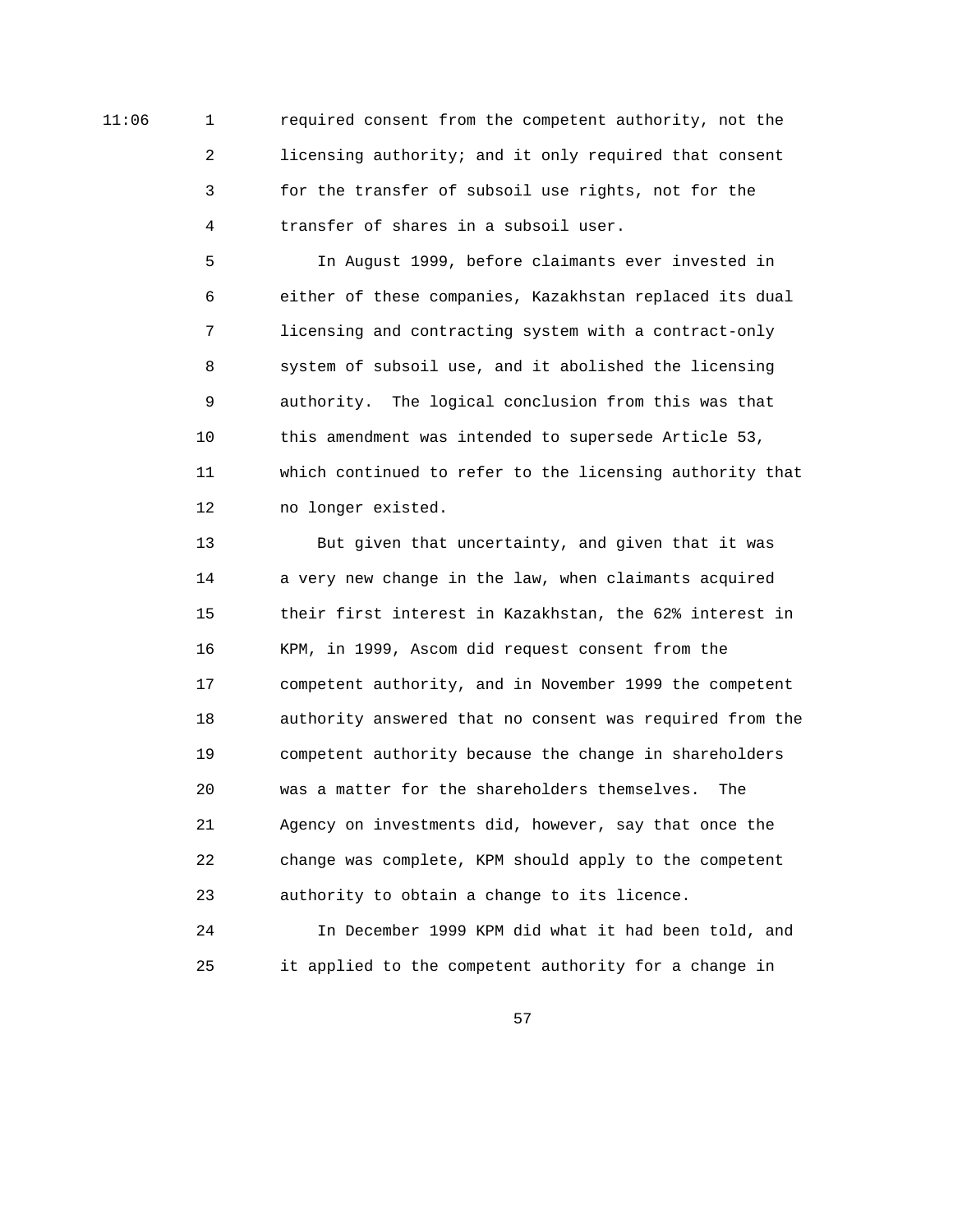11:06 1 required consent from the competent authority, not the 2 licensing authority; and it only required that consent 3 for the transfer of subsoil use rights, not for the 4 transfer of shares in a subsoil user.

> 5 In August 1999, before claimants ever invested in 6 either of these companies, Kazakhstan replaced its dual 7 licensing and contracting system with a contract-only 8 system of subsoil use, and it abolished the licensing 9 authority. The logical conclusion from this was that 10 this amendment was intended to supersede Article 53, 11 which continued to refer to the licensing authority that 12 no longer existed.

> 13 But given that uncertainty, and given that it was 14 a very new change in the law, when claimants acquired 15 their first interest in Kazakhstan, the 62% interest in 16 KPM, in 1999, Ascom did request consent from the 17 competent authority, and in November 1999 the competent 18 authority answered that no consent was required from the 19 competent authority because the change in shareholders 20 was a matter for the shareholders themselves. The 21 Agency on investments did, however, say that once the 22 change was complete, KPM should apply to the competent 23 authority to obtain a change to its licence.

 24 In December 1999 KPM did what it had been told, and 25 it applied to the competent authority for a change in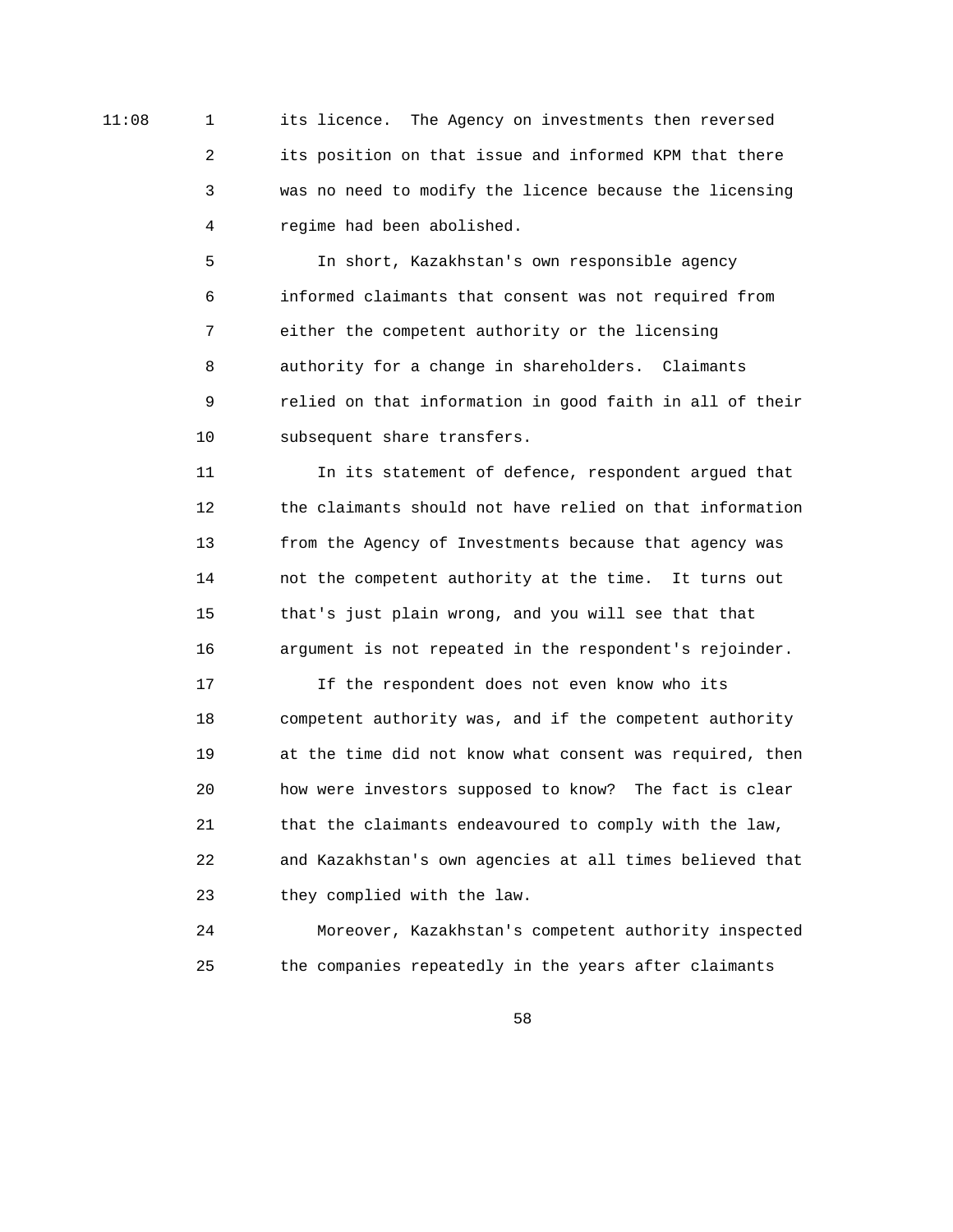11:08 1 its licence. The Agency on investments then reversed 2 its position on that issue and informed KPM that there 3 was no need to modify the licence because the licensing 4 regime had been abolished.

> 5 In short, Kazakhstan's own responsible agency 6 informed claimants that consent was not required from 7 either the competent authority or the licensing 8 authority for a change in shareholders. Claimants 9 relied on that information in good faith in all of their 10 subsequent share transfers.

> 11 In its statement of defence, respondent argued that 12 the claimants should not have relied on that information 13 from the Agency of Investments because that agency was 14 not the competent authority at the time. It turns out 15 that's just plain wrong, and you will see that that 16 argument is not repeated in the respondent's rejoinder.

> 17 If the respondent does not even know who its 18 competent authority was, and if the competent authority 19 at the time did not know what consent was required, then 20 how were investors supposed to know? The fact is clear 21 that the claimants endeavoured to comply with the law, 22 and Kazakhstan's own agencies at all times believed that 23 they complied with the law.

> 24 Moreover, Kazakhstan's competent authority inspected 25 the companies repeatedly in the years after claimants

 $58<sup>th</sup>$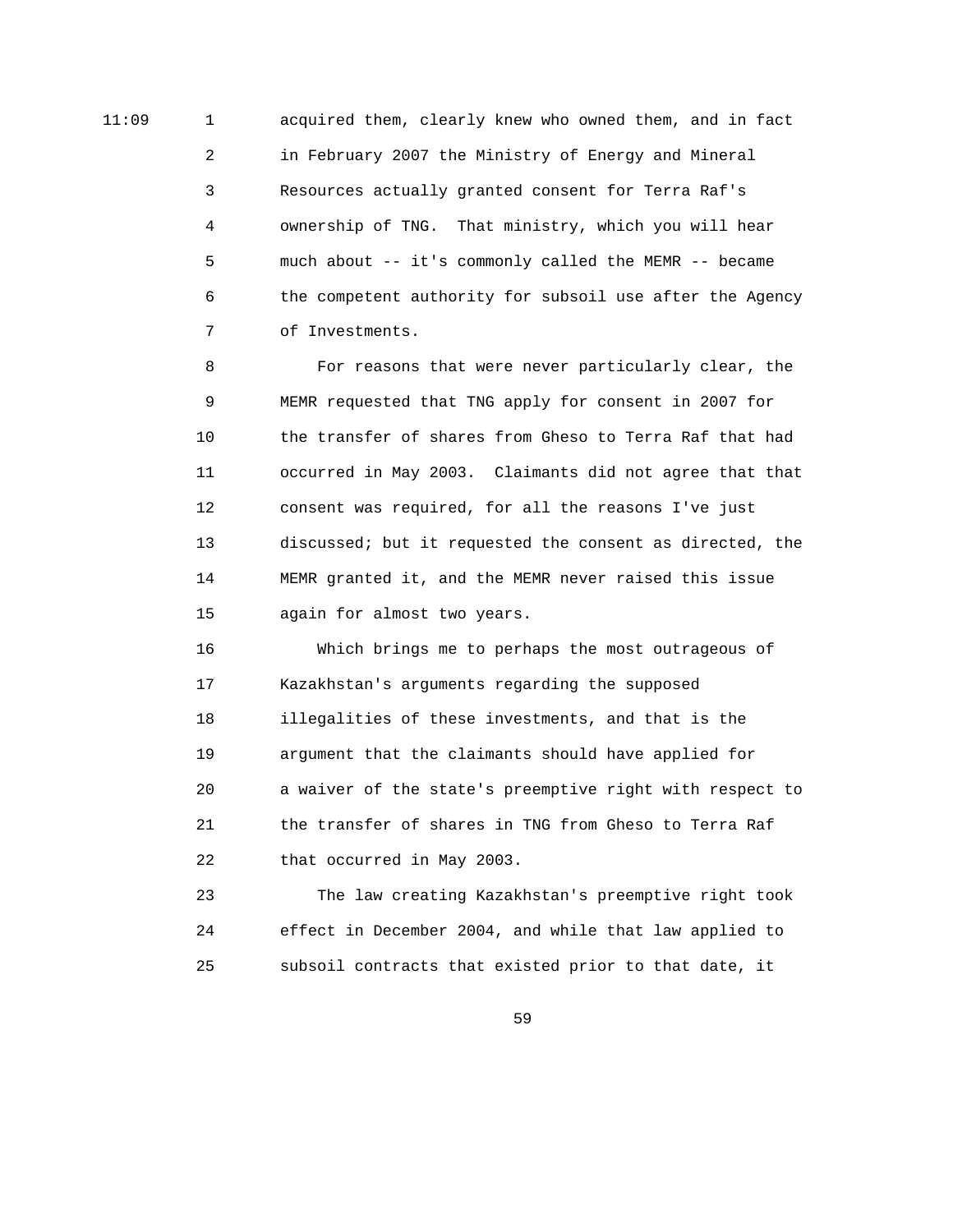11:09 1 acquired them, clearly knew who owned them, and in fact 2 in February 2007 the Ministry of Energy and Mineral 3 Resources actually granted consent for Terra Raf's 4 ownership of TNG. That ministry, which you will hear 5 much about -- it's commonly called the MEMR -- became 6 the competent authority for subsoil use after the Agency 7 of Investments.

> 8 For reasons that were never particularly clear, the 9 MEMR requested that TNG apply for consent in 2007 for 10 the transfer of shares from Gheso to Terra Raf that had 11 occurred in May 2003. Claimants did not agree that that 12 consent was required, for all the reasons I've just 13 discussed; but it requested the consent as directed, the 14 MEMR granted it, and the MEMR never raised this issue 15 again for almost two years.

> 16 Which brings me to perhaps the most outrageous of 17 Kazakhstan's arguments regarding the supposed 18 illegalities of these investments, and that is the 19 argument that the claimants should have applied for 20 a waiver of the state's preemptive right with respect to 21 the transfer of shares in TNG from Gheso to Terra Raf 22 that occurred in May 2003.

 23 The law creating Kazakhstan's preemptive right took 24 effect in December 2004, and while that law applied to 25 subsoil contracts that existed prior to that date, it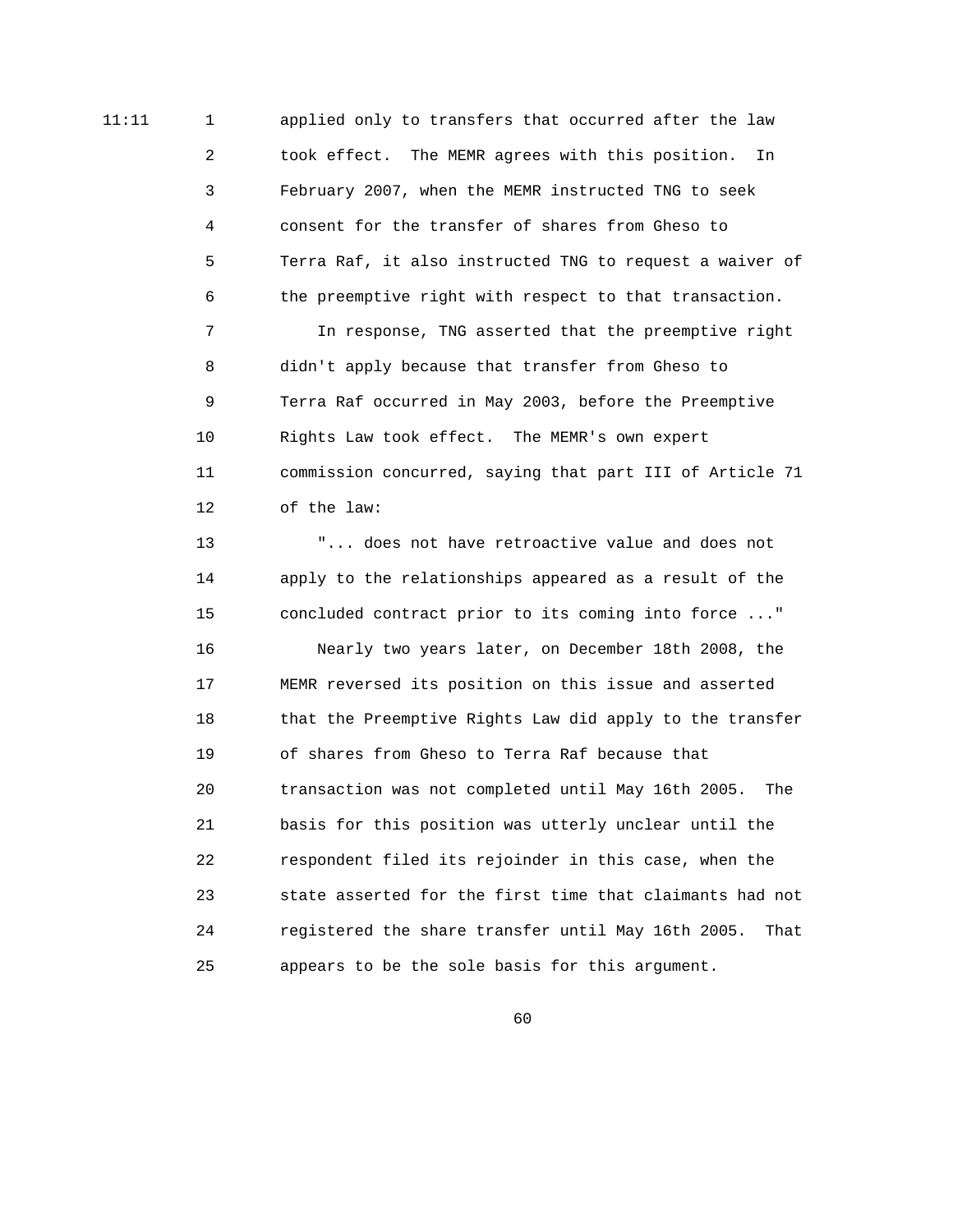11:11 1 applied only to transfers that occurred after the law 2 took effect. The MEMR agrees with this position. In 3 February 2007, when the MEMR instructed TNG to seek 4 consent for the transfer of shares from Gheso to 5 Terra Raf, it also instructed TNG to request a waiver of 6 the preemptive right with respect to that transaction. 7 In response, TNG asserted that the preemptive right

> 8 didn't apply because that transfer from Gheso to 9 Terra Raf occurred in May 2003, before the Preemptive 10 Rights Law took effect. The MEMR's own expert 11 commission concurred, saying that part III of Article 71 12 of the law:

> 13 "... does not have retroactive value and does not 14 apply to the relationships appeared as a result of the 15 concluded contract prior to its coming into force ..." 16 Nearly two years later, on December 18th 2008, the 17 MEMR reversed its position on this issue and asserted 18 that the Preemptive Rights Law did apply to the transfer 19 of shares from Gheso to Terra Raf because that 20 transaction was not completed until May 16th 2005. The 21 basis for this position was utterly unclear until the 22 respondent filed its rejoinder in this case, when the 23 state asserted for the first time that claimants had not 24 registered the share transfer until May 16th 2005. That 25 appears to be the sole basis for this argument.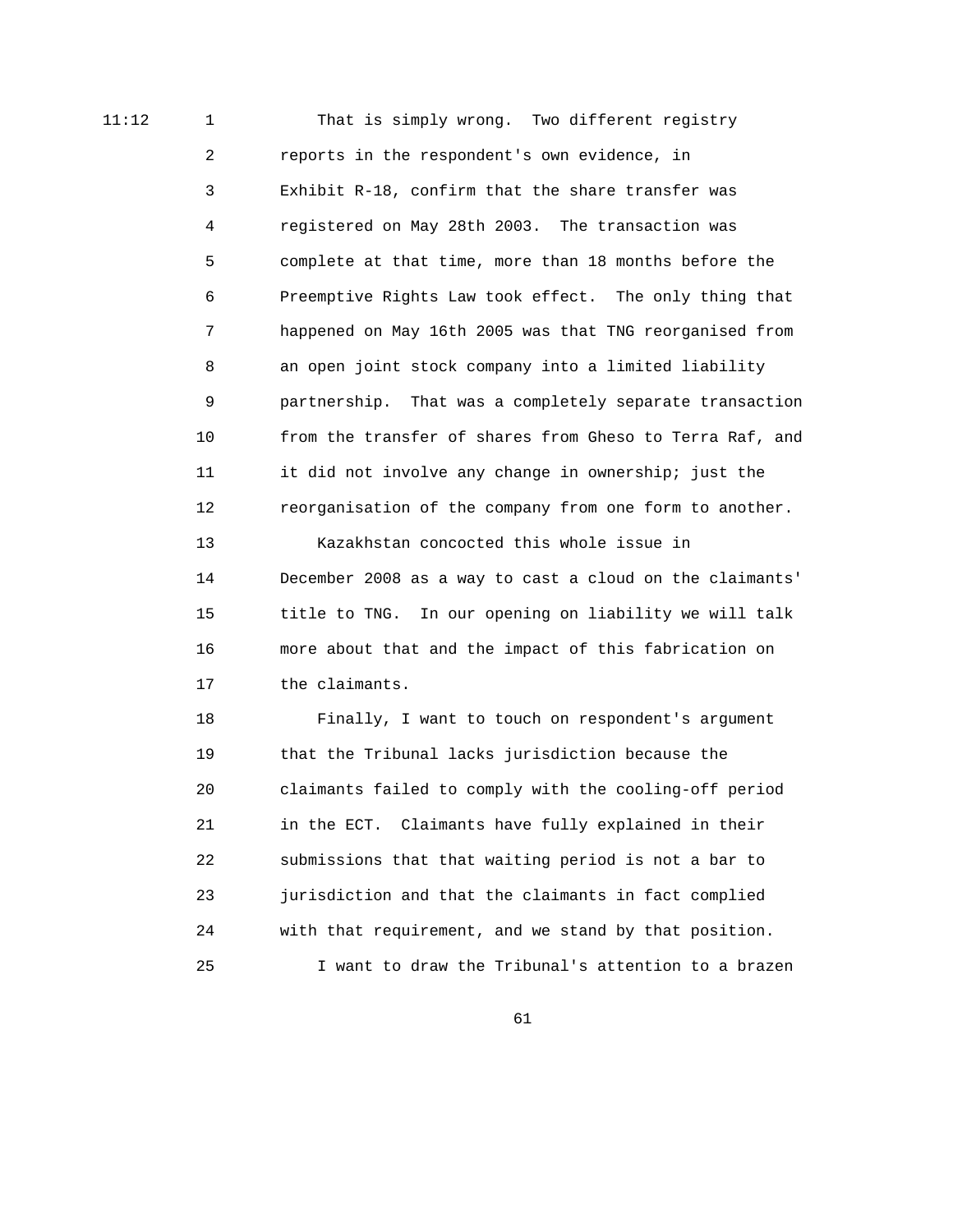11:12 1 1 That is simply wrong. Two different registry 2 reports in the respondent's own evidence, in 3 Exhibit R-18, confirm that the share transfer was 4 registered on May 28th 2003. The transaction was 5 complete at that time, more than 18 months before the 6 Preemptive Rights Law took effect. The only thing that 7 happened on May 16th 2005 was that TNG reorganised from 8 an open joint stock company into a limited liability 9 partnership. That was a completely separate transaction 10 from the transfer of shares from Gheso to Terra Raf, and 11 it did not involve any change in ownership; just the 12 reorganisation of the company from one form to another.

> 13 Kazakhstan concocted this whole issue in 14 December 2008 as a way to cast a cloud on the claimants' 15 title to TNG. In our opening on liability we will talk 16 more about that and the impact of this fabrication on 17 the claimants.

> 18 Finally, I want to touch on respondent's argument 19 that the Tribunal lacks jurisdiction because the 20 claimants failed to comply with the cooling-off period 21 in the ECT. Claimants have fully explained in their 22 submissions that that waiting period is not a bar to 23 jurisdiction and that the claimants in fact complied 24 with that requirement, and we stand by that position. 25 I want to draw the Tribunal's attention to a brazen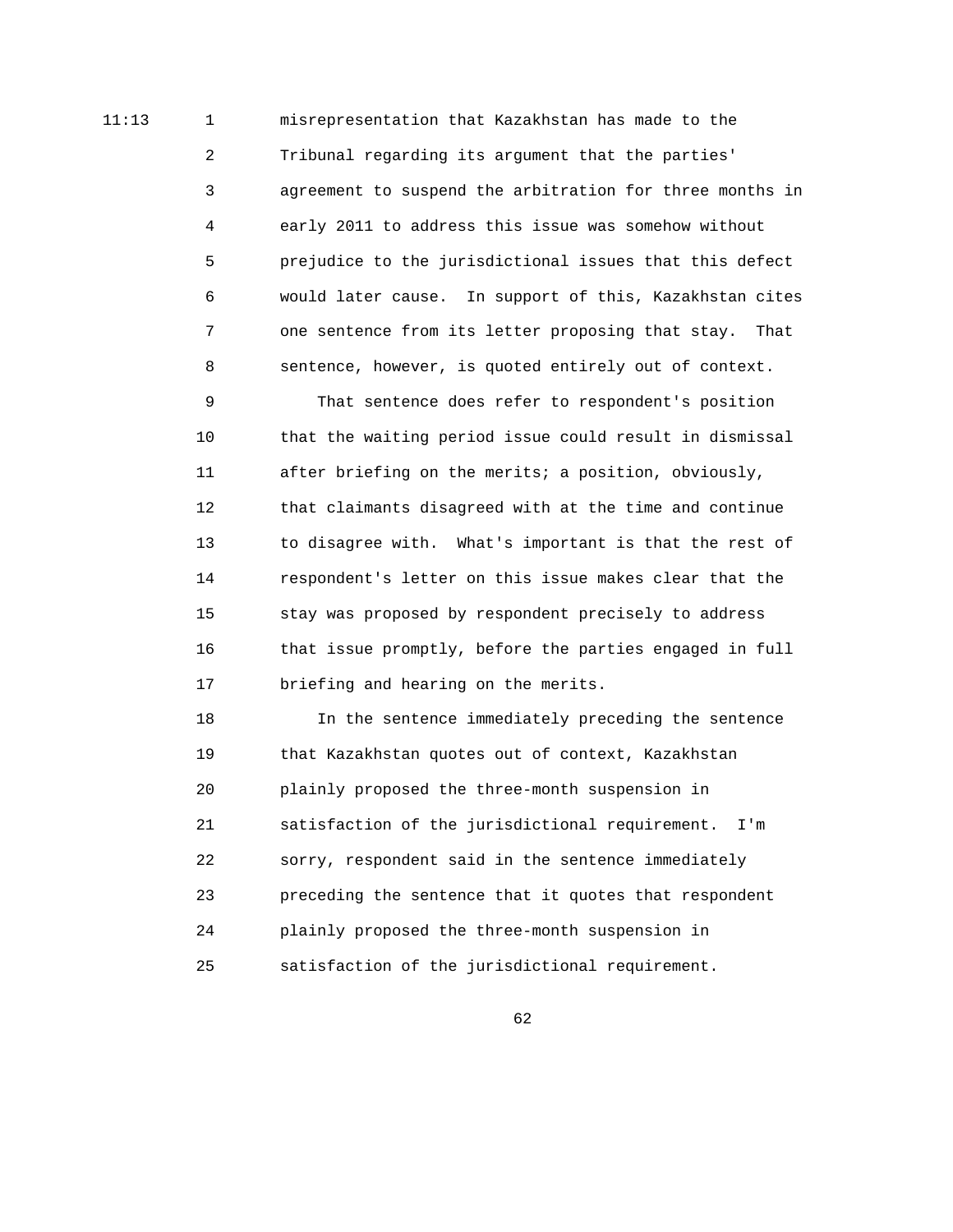11:13 1 misrepresentation that Kazakhstan has made to the 2 Tribunal regarding its argument that the parties' 3 agreement to suspend the arbitration for three months in 4 early 2011 to address this issue was somehow without 5 prejudice to the jurisdictional issues that this defect 6 would later cause. In support of this, Kazakhstan cites 7 one sentence from its letter proposing that stay. That 8 sentence, however, is quoted entirely out of context.

> 9 That sentence does refer to respondent's position 10 that the waiting period issue could result in dismissal 11 after briefing on the merits; a position, obviously, 12 that claimants disagreed with at the time and continue 13 to disagree with. What's important is that the rest of 14 respondent's letter on this issue makes clear that the 15 stay was proposed by respondent precisely to address 16 that issue promptly, before the parties engaged in full 17 briefing and hearing on the merits.

 18 In the sentence immediately preceding the sentence 19 that Kazakhstan quotes out of context, Kazakhstan 20 plainly proposed the three-month suspension in 21 satisfaction of the jurisdictional requirement. I'm 22 sorry, respondent said in the sentence immediately 23 preceding the sentence that it quotes that respondent 24 plainly proposed the three-month suspension in 25 satisfaction of the jurisdictional requirement.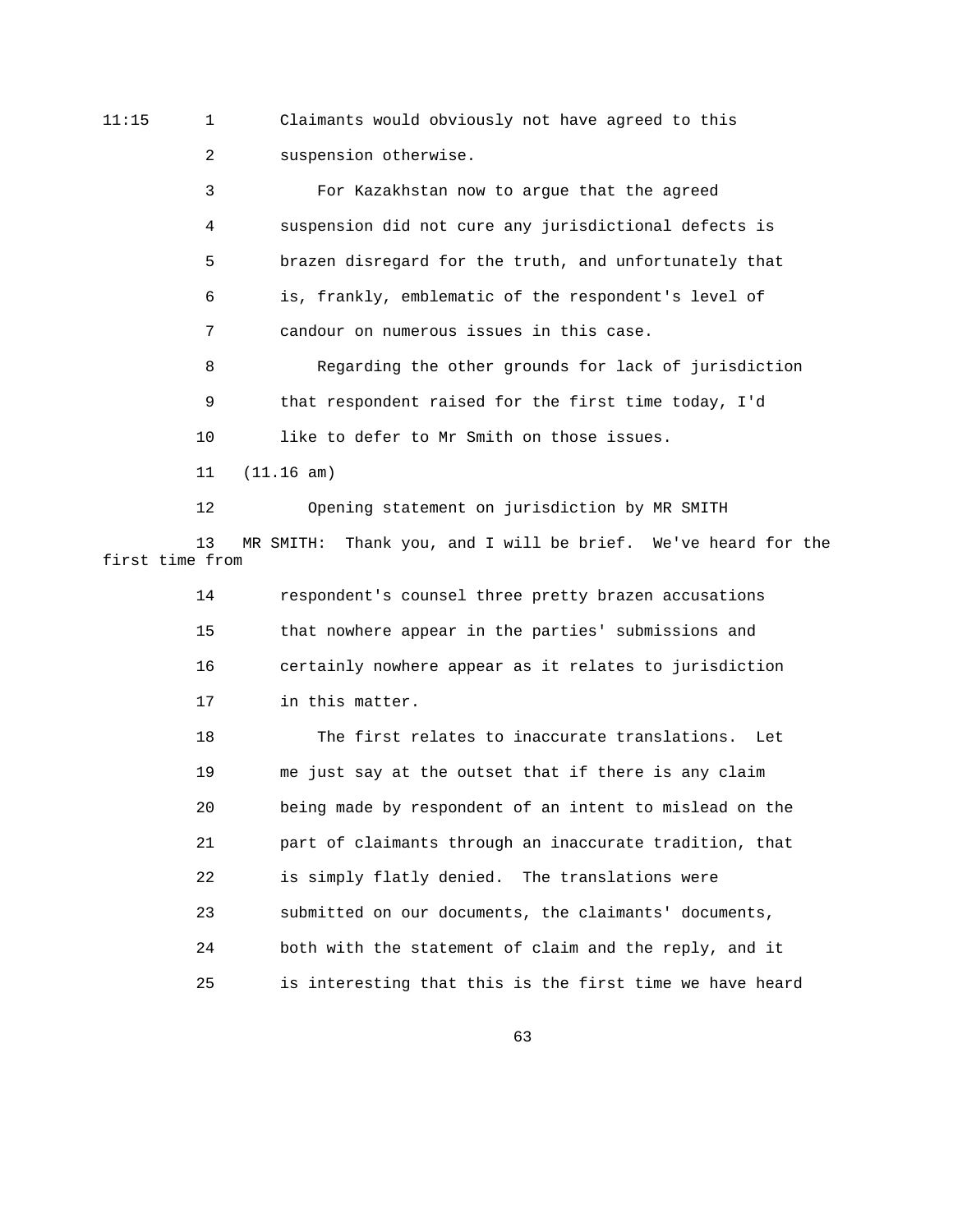11:15 1 Claimants would obviously not have agreed to this 2 suspension otherwise.

> 3 For Kazakhstan now to argue that the agreed 4 suspension did not cure any jurisdictional defects is 5 brazen disregard for the truth, and unfortunately that 6 is, frankly, emblematic of the respondent's level of 7 candour on numerous issues in this case.

 8 Regarding the other grounds for lack of jurisdiction 9 that respondent raised for the first time today, I'd 10 like to defer to Mr Smith on those issues.

11 (11.16 am)

 12 Opening statement on jurisdiction by MR SMITH 13 MR SMITH: Thank you, and I will be brief. We've heard for the first time from

> 14 respondent's counsel three pretty brazen accusations 15 that nowhere appear in the parties' submissions and 16 certainly nowhere appear as it relates to jurisdiction 17 in this matter.

 18 The first relates to inaccurate translations. Let 19 me just say at the outset that if there is any claim 20 being made by respondent of an intent to mislead on the 21 part of claimants through an inaccurate tradition, that 22 is simply flatly denied. The translations were 23 submitted on our documents, the claimants' documents, 24 both with the statement of claim and the reply, and it 25 is interesting that this is the first time we have heard

 $\sim$  63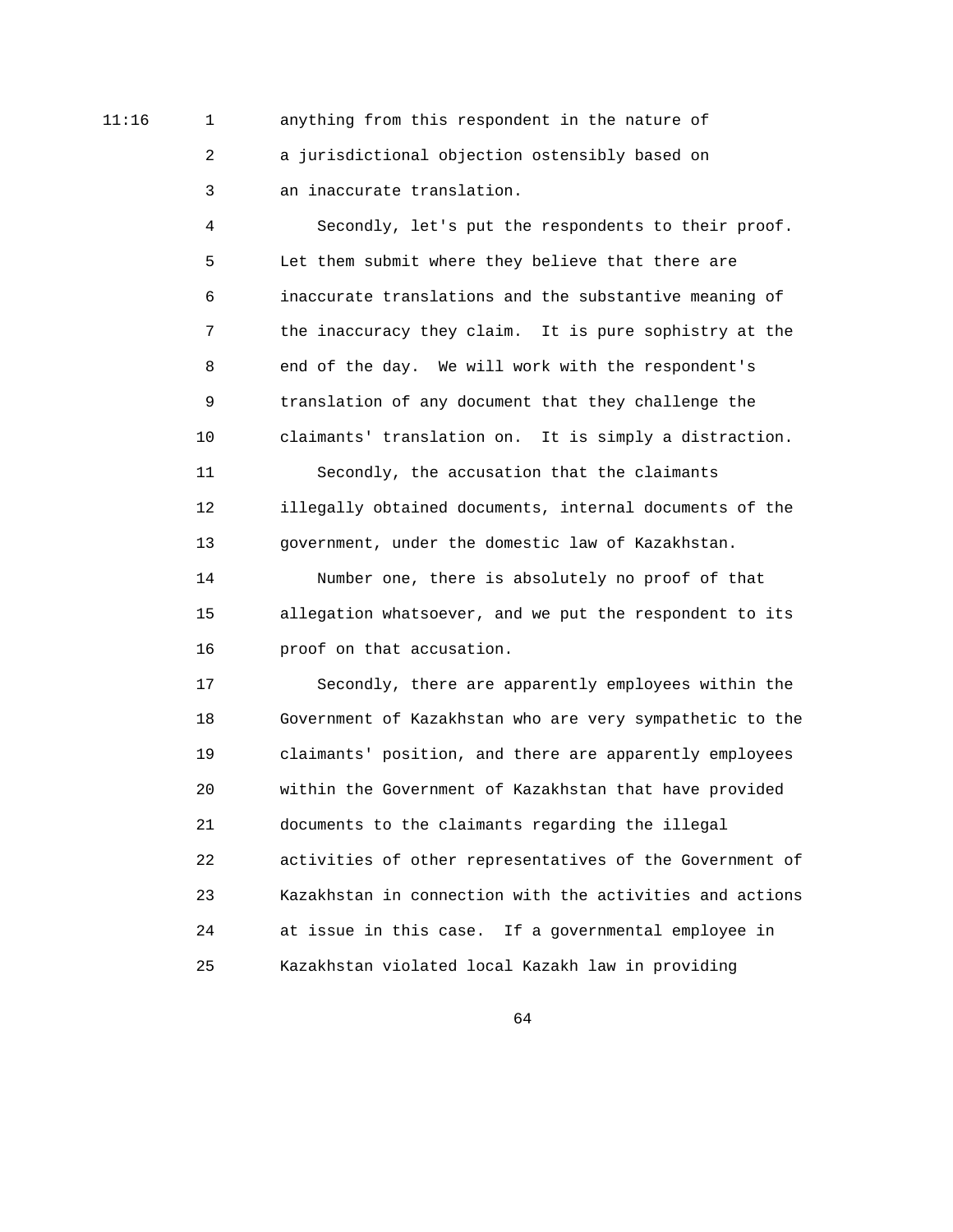11:16 1 anything from this respondent in the nature of 2 a jurisdictional objection ostensibly based on 3 an inaccurate translation.

> 4 Secondly, let's put the respondents to their proof. 5 Let them submit where they believe that there are 6 inaccurate translations and the substantive meaning of 7 the inaccuracy they claim. It is pure sophistry at the 8 end of the day. We will work with the respondent's 9 translation of any document that they challenge the 10 claimants' translation on. It is simply a distraction. 11 Secondly, the accusation that the claimants

> 12 illegally obtained documents, internal documents of the 13 government, under the domestic law of Kazakhstan.

> 14 Number one, there is absolutely no proof of that 15 allegation whatsoever, and we put the respondent to its 16 proof on that accusation.

 17 Secondly, there are apparently employees within the 18 Government of Kazakhstan who are very sympathetic to the 19 claimants' position, and there are apparently employees 20 within the Government of Kazakhstan that have provided 21 documents to the claimants regarding the illegal 22 activities of other representatives of the Government of 23 Kazakhstan in connection with the activities and actions 24 at issue in this case. If a governmental employee in 25 Kazakhstan violated local Kazakh law in providing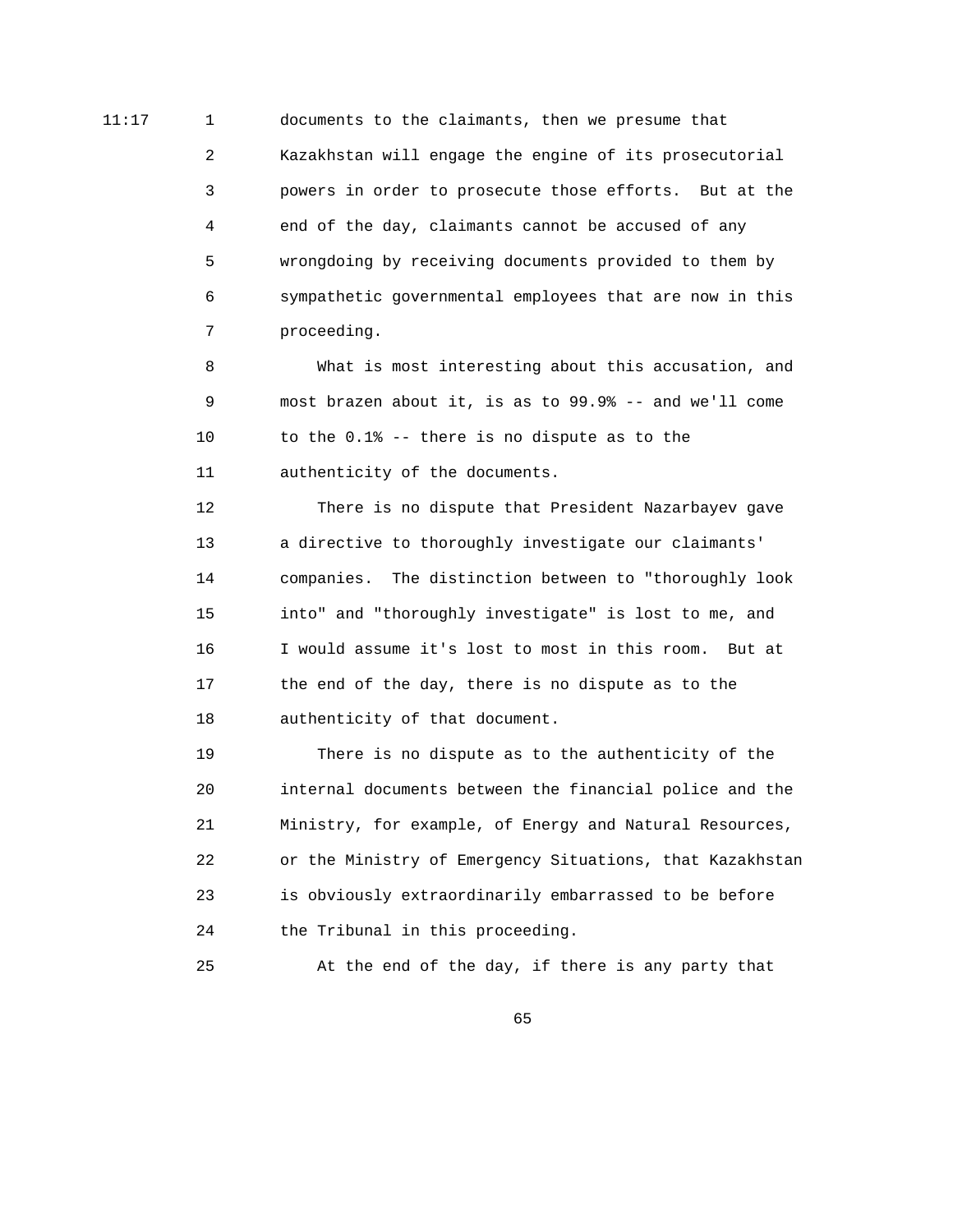11:17 1 documents to the claimants, then we presume that 2 Kazakhstan will engage the engine of its prosecutorial 3 powers in order to prosecute those efforts. But at the 4 end of the day, claimants cannot be accused of any 5 wrongdoing by receiving documents provided to them by 6 sympathetic governmental employees that are now in this 7 proceeding.

> 8 What is most interesting about this accusation, and 9 most brazen about it, is as to 99.9% -- and we'll come 10 to the 0.1% -- there is no dispute as to the 11 authenticity of the documents.

> 12 There is no dispute that President Nazarbayev gave 13 a directive to thoroughly investigate our claimants' 14 companies. The distinction between to "thoroughly look 15 into" and "thoroughly investigate" is lost to me, and 16 I would assume it's lost to most in this room. But at 17 the end of the day, there is no dispute as to the 18 authenticity of that document.

 19 There is no dispute as to the authenticity of the 20 internal documents between the financial police and the 21 Ministry, for example, of Energy and Natural Resources, 22 or the Ministry of Emergency Situations, that Kazakhstan 23 is obviously extraordinarily embarrassed to be before 24 the Tribunal in this proceeding.

25 At the end of the day, if there is any party that

 $\sim$  65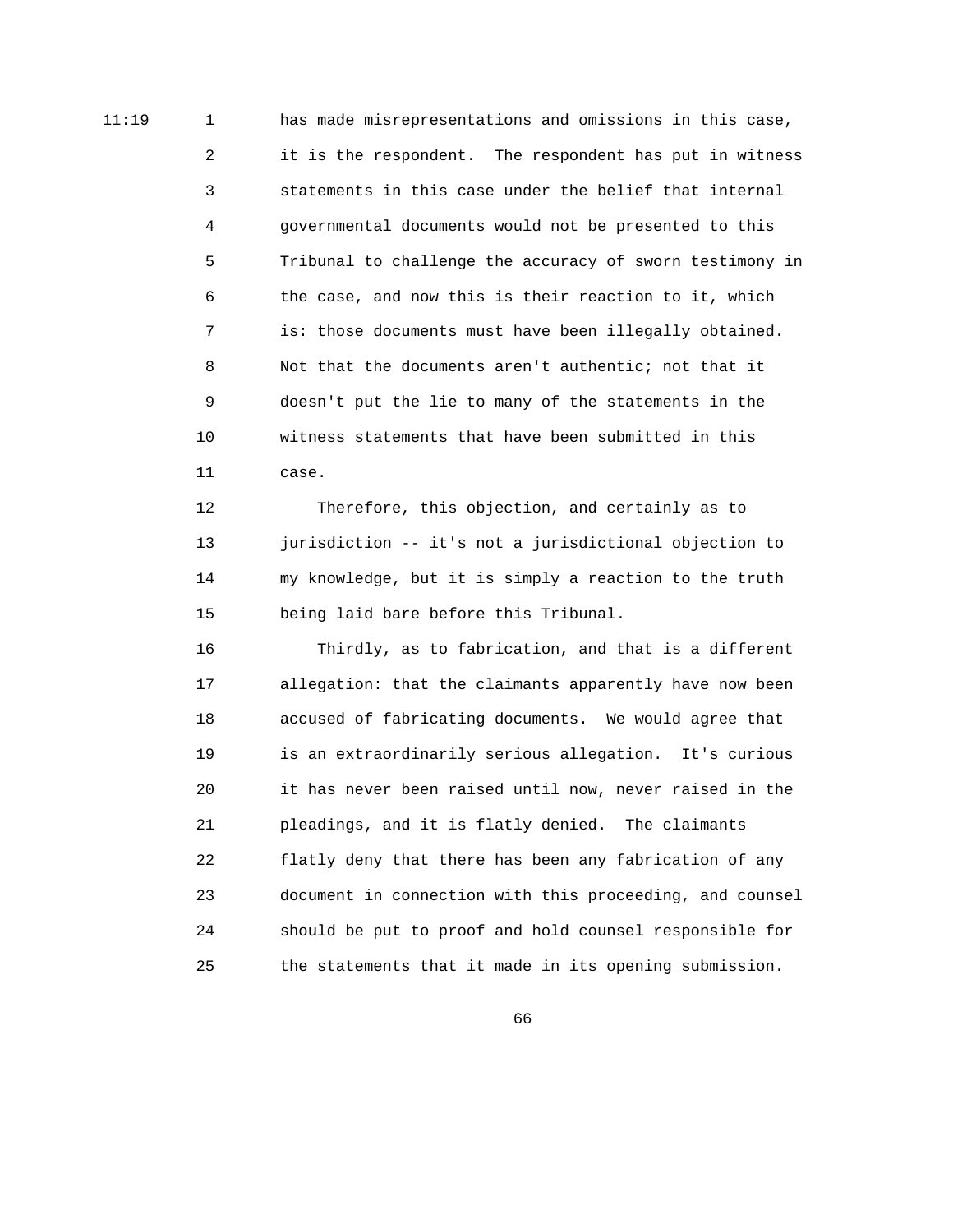11:19 1 has made misrepresentations and omissions in this case, 2 it is the respondent. The respondent has put in witness 3 statements in this case under the belief that internal 4 governmental documents would not be presented to this 5 Tribunal to challenge the accuracy of sworn testimony in 6 the case, and now this is their reaction to it, which 7 is: those documents must have been illegally obtained. 8 Not that the documents aren't authentic; not that it 9 doesn't put the lie to many of the statements in the 10 witness statements that have been submitted in this 11 case.

> 12 Therefore, this objection, and certainly as to 13 jurisdiction -- it's not a jurisdictional objection to 14 my knowledge, but it is simply a reaction to the truth 15 being laid bare before this Tribunal.

 16 Thirdly, as to fabrication, and that is a different 17 allegation: that the claimants apparently have now been 18 accused of fabricating documents. We would agree that 19 is an extraordinarily serious allegation. It's curious 20 it has never been raised until now, never raised in the 21 pleadings, and it is flatly denied. The claimants 22 flatly deny that there has been any fabrication of any 23 document in connection with this proceeding, and counsel 24 should be put to proof and hold counsel responsible for 25 the statements that it made in its opening submission.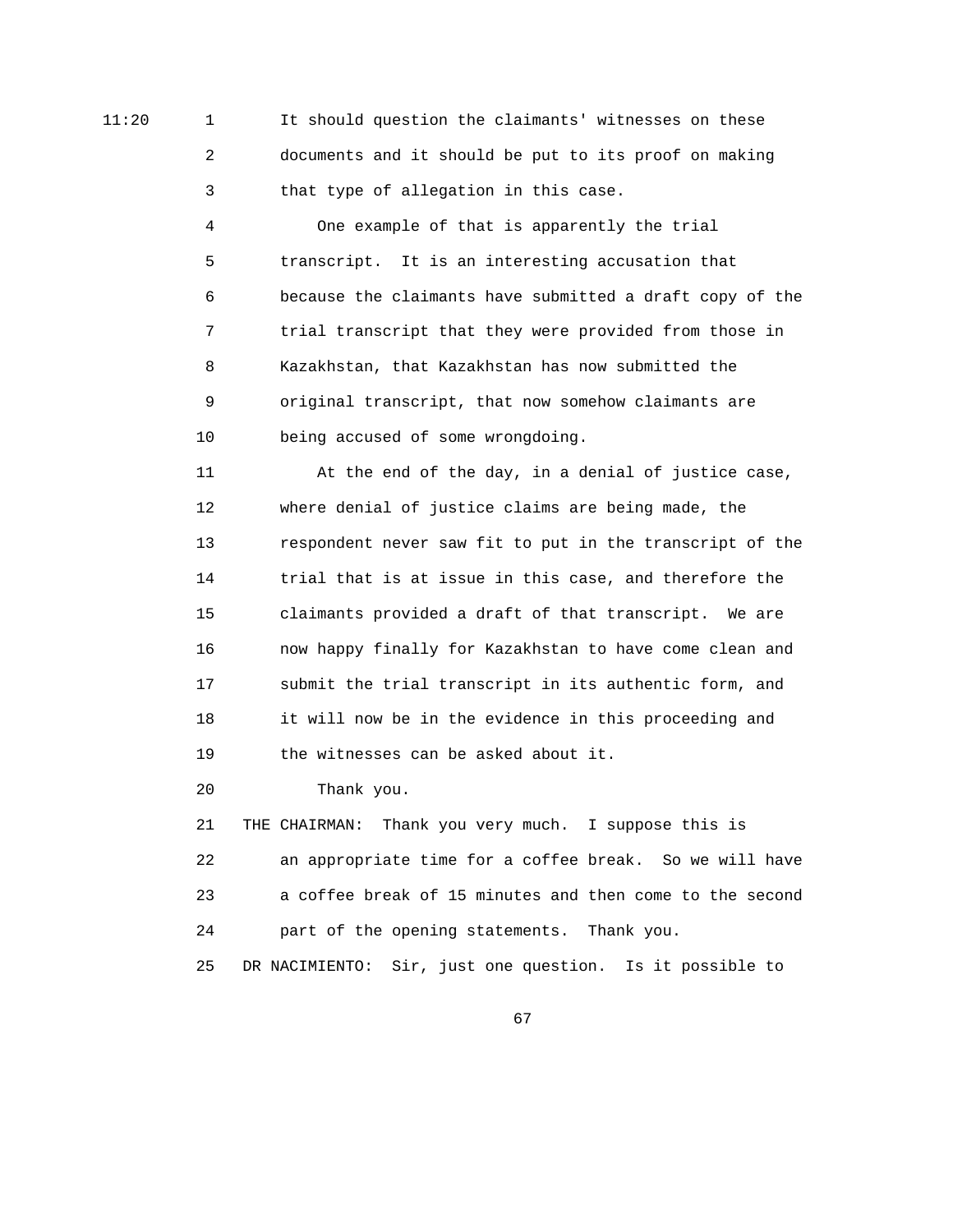11:20 1 It should question the claimants' witnesses on these 2 documents and it should be put to its proof on making 3 that type of allegation in this case.

> 4 One example of that is apparently the trial 5 transcript. It is an interesting accusation that 6 because the claimants have submitted a draft copy of the 7 trial transcript that they were provided from those in 8 Kazakhstan, that Kazakhstan has now submitted the 9 original transcript, that now somehow claimants are 10 being accused of some wrongdoing.

> 11 At the end of the day, in a denial of justice case, 12 where denial of justice claims are being made, the 13 respondent never saw fit to put in the transcript of the 14 trial that is at issue in this case, and therefore the 15 claimants provided a draft of that transcript. We are 16 now happy finally for Kazakhstan to have come clean and 17 submit the trial transcript in its authentic form, and 18 it will now be in the evidence in this proceeding and 19 the witnesses can be asked about it.

20 Thank you.

 21 THE CHAIRMAN: Thank you very much. I suppose this is 22 an appropriate time for a coffee break. So we will have 23 a coffee break of 15 minutes and then come to the second 24 part of the opening statements. Thank you. 25 DR NACIMIENTO: Sir, just one question. Is it possible to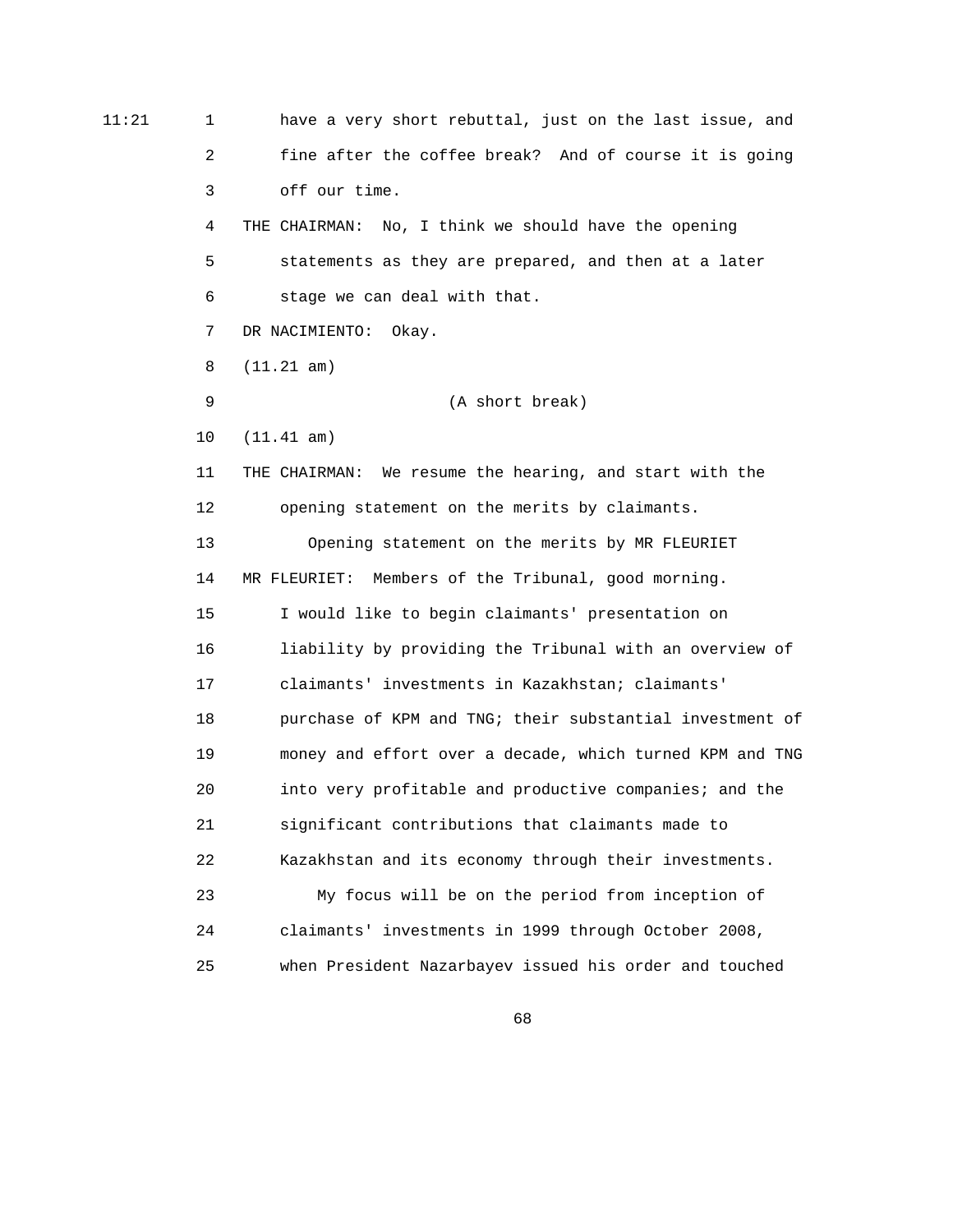| 11:21 | 1              | have a very short rebuttal, just on the last issue, and  |
|-------|----------------|----------------------------------------------------------|
|       | $\overline{a}$ | fine after the coffee break? And of course it is going   |
|       | 3              | off our time.                                            |
|       | 4              | No, I think we should have the opening<br>THE CHAIRMAN:  |
|       | 5              | statements as they are prepared, and then at a later     |
|       | 6              | stage we can deal with that.                             |
|       | 7              | DR NACIMIENTO:<br>Okay.                                  |
|       | 8              | (11.21 am)                                               |
|       | 9              | (A short break)                                          |
|       | 10             | (11.41 am)                                               |
|       | 11             | THE CHAIRMAN: We resume the hearing, and start with the  |
|       | 12             | opening statement on the merits by claimants.            |
|       | 13             | Opening statement on the merits by MR FLEURIET           |
|       | 14             | MR FLEURIET: Members of the Tribunal, good morning.      |
|       | 15             | I would like to begin claimants' presentation on         |
|       | 16             | liability by providing the Tribunal with an overview of  |
|       | 17             | claimants' investments in Kazakhstan; claimants'         |
|       | 18             | purchase of KPM and TNG; their substantial investment of |
|       | 19             | money and effort over a decade, which turned KPM and TNG |
|       | 20             | into very profitable and productive companies; and the   |
|       | 21             | significant contributions that claimants made to         |
|       | 22             | Kazakhstan and its economy through their investments.    |
|       | 23             | My focus will be on the period from inception of         |
|       | 24             | claimants' investments in 1999 through October 2008,     |
|       | 25             | when President Nazarbayev issued his order and touched   |

 $\sim$  68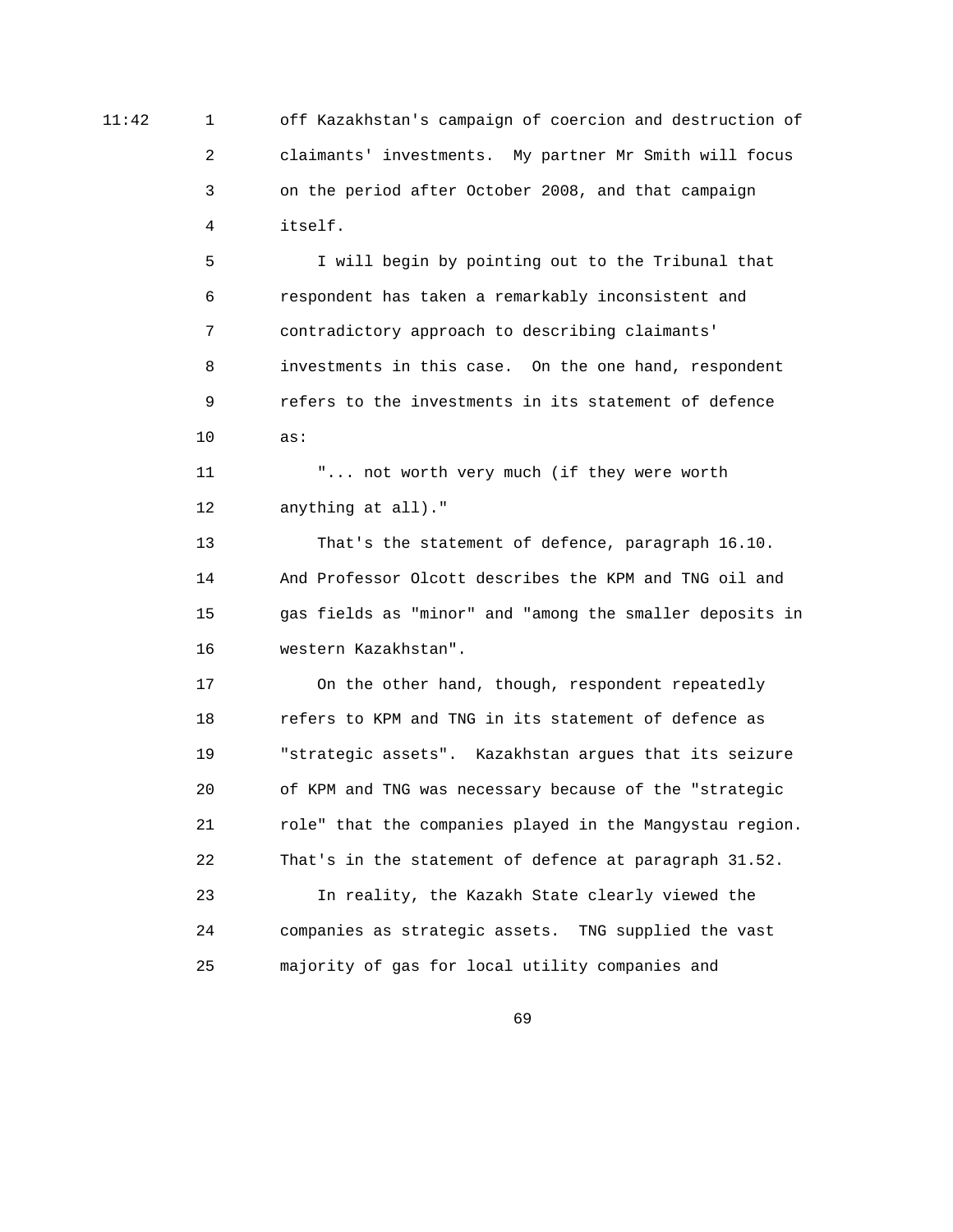11:42 1 off Kazakhstan's campaign of coercion and destruction of 2 claimants' investments. My partner Mr Smith will focus 3 on the period after October 2008, and that campaign 4 itself.

 5 I will begin by pointing out to the Tribunal that 6 respondent has taken a remarkably inconsistent and 7 contradictory approach to describing claimants' 8 investments in this case. On the one hand, respondent 9 refers to the investments in its statement of defence 10 as:

> 11 "... not worth very much (if they were worth 12 anything at all)."

 13 That's the statement of defence, paragraph 16.10. 14 And Professor Olcott describes the KPM and TNG oil and 15 gas fields as "minor" and "among the smaller deposits in 16 western Kazakhstan".

 17 On the other hand, though, respondent repeatedly 18 refers to KPM and TNG in its statement of defence as 19 "strategic assets". Kazakhstan argues that its seizure 20 of KPM and TNG was necessary because of the "strategic 21 role" that the companies played in the Mangystau region. 22 That's in the statement of defence at paragraph 31.52.

 23 In reality, the Kazakh State clearly viewed the 24 companies as strategic assets. TNG supplied the vast 25 majority of gas for local utility companies and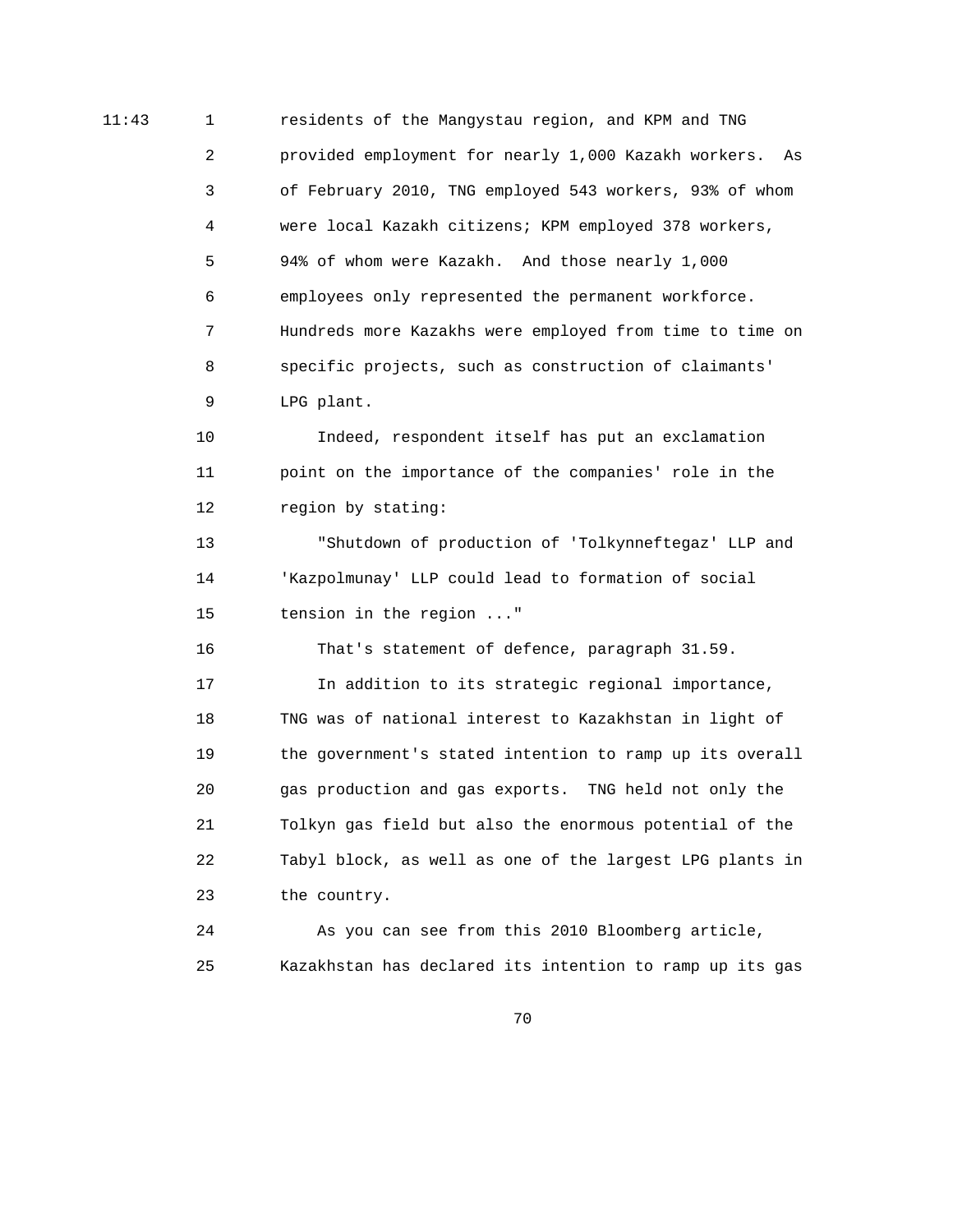11:43 1 residents of the Mangystau region, and KPM and TNG 2 provided employment for nearly 1,000 Kazakh workers. As 3 of February 2010, TNG employed 543 workers, 93% of whom 4 were local Kazakh citizens; KPM employed 378 workers, 5 94% of whom were Kazakh. And those nearly 1,000 6 employees only represented the permanent workforce. 7 Hundreds more Kazakhs were employed from time to time on 8 specific projects, such as construction of claimants' 9 LPG plant.

> 10 Indeed, respondent itself has put an exclamation 11 point on the importance of the companies' role in the 12 region by stating:

 13 "Shutdown of production of 'Tolkynneftegaz' LLP and 14 'Kazpolmunay' LLP could lead to formation of social 15 tension in the region ..."

 16 That's statement of defence, paragraph 31.59. 17 In addition to its strategic regional importance, 18 TNG was of national interest to Kazakhstan in light of 19 the government's stated intention to ramp up its overall 20 gas production and gas exports. TNG held not only the 21 Tolkyn gas field but also the enormous potential of the 22 Tabyl block, as well as one of the largest LPG plants in 23 the country.

 24 As you can see from this 2010 Bloomberg article, 25 Kazakhstan has declared its intention to ramp up its gas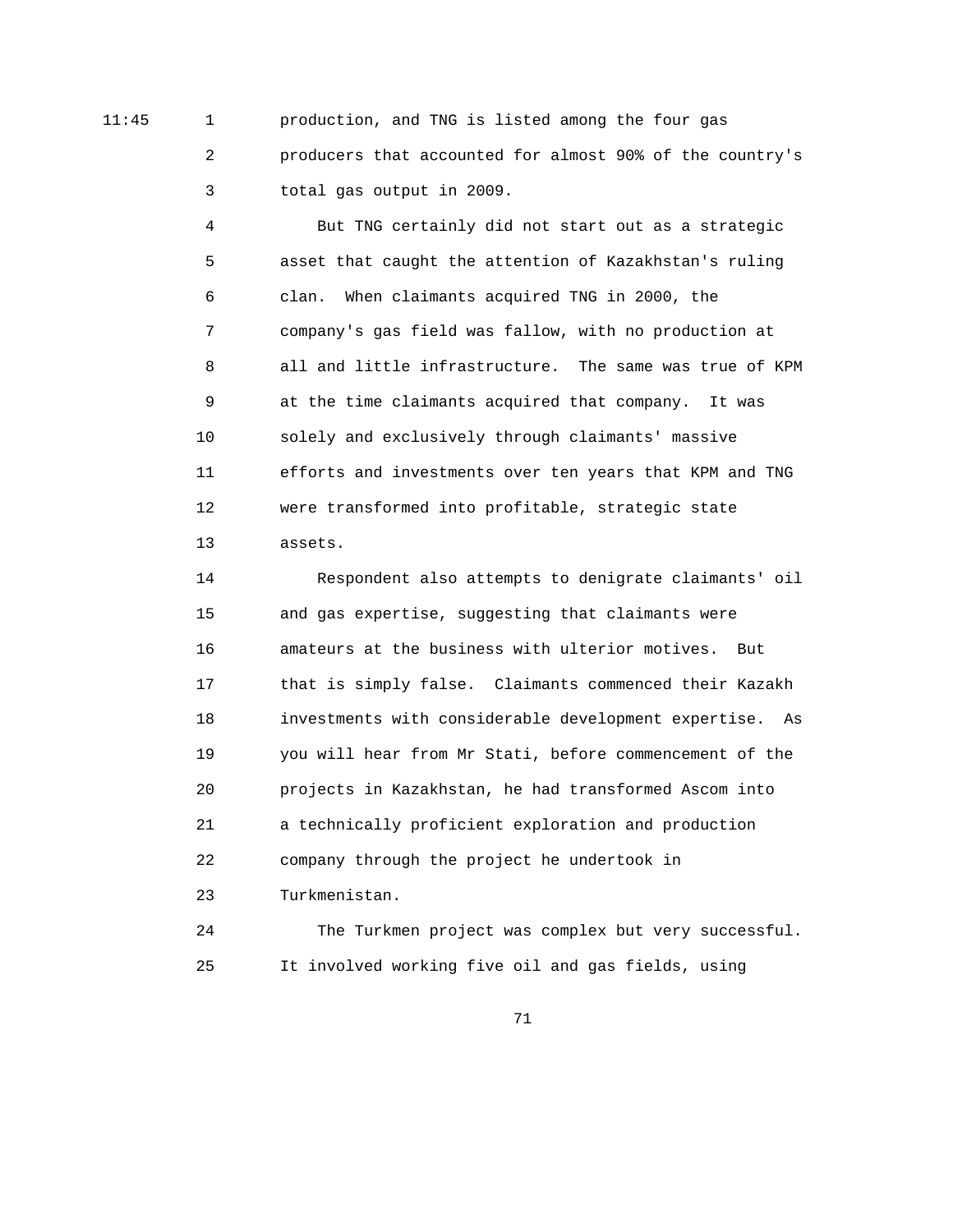11:45 1 production, and TNG is listed among the four gas 2 producers that accounted for almost 90% of the country's 3 total gas output in 2009.

> 4 But TNG certainly did not start out as a strategic 5 asset that caught the attention of Kazakhstan's ruling 6 clan. When claimants acquired TNG in 2000, the 7 company's gas field was fallow, with no production at 8 all and little infrastructure. The same was true of KPM 9 at the time claimants acquired that company. It was 10 solely and exclusively through claimants' massive 11 efforts and investments over ten years that KPM and TNG 12 were transformed into profitable, strategic state 13 assets.

> 14 Respondent also attempts to denigrate claimants' oil 15 and gas expertise, suggesting that claimants were 16 amateurs at the business with ulterior motives. But 17 that is simply false. Claimants commenced their Kazakh 18 investments with considerable development expertise. As 19 you will hear from Mr Stati, before commencement of the 20 projects in Kazakhstan, he had transformed Ascom into 21 a technically proficient exploration and production 22 company through the project he undertook in 23 Turkmenistan.

> 24 The Turkmen project was complex but very successful. 25 It involved working five oil and gas fields, using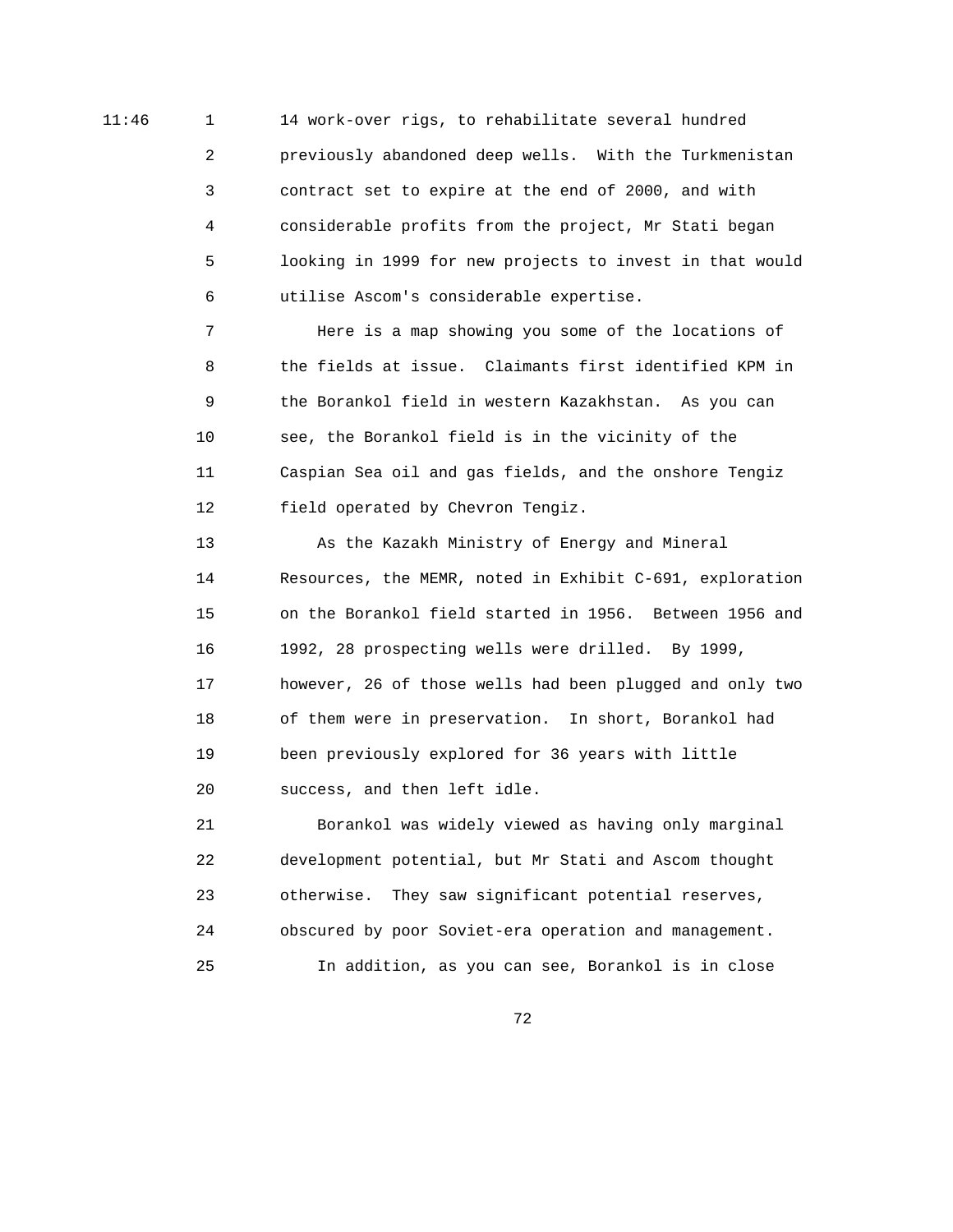11:46 1 14 work-over rigs, to rehabilitate several hundred 2 previously abandoned deep wells. With the Turkmenistan 3 contract set to expire at the end of 2000, and with 4 considerable profits from the project, Mr Stati began 5 looking in 1999 for new projects to invest in that would 6 utilise Ascom's considerable expertise.

> 7 Here is a map showing you some of the locations of 8 the fields at issue. Claimants first identified KPM in 9 the Borankol field in western Kazakhstan. As you can 10 see, the Borankol field is in the vicinity of the 11 Caspian Sea oil and gas fields, and the onshore Tengiz 12 field operated by Chevron Tengiz.

 13 As the Kazakh Ministry of Energy and Mineral 14 Resources, the MEMR, noted in Exhibit C-691, exploration 15 on the Borankol field started in 1956. Between 1956 and 16 1992, 28 prospecting wells were drilled. By 1999, 17 however, 26 of those wells had been plugged and only two 18 of them were in preservation. In short, Borankol had 19 been previously explored for 36 years with little 20 success, and then left idle.

 21 Borankol was widely viewed as having only marginal 22 development potential, but Mr Stati and Ascom thought 23 otherwise. They saw significant potential reserves, 24 obscured by poor Soviet-era operation and management. 25 In addition, as you can see, Borankol is in close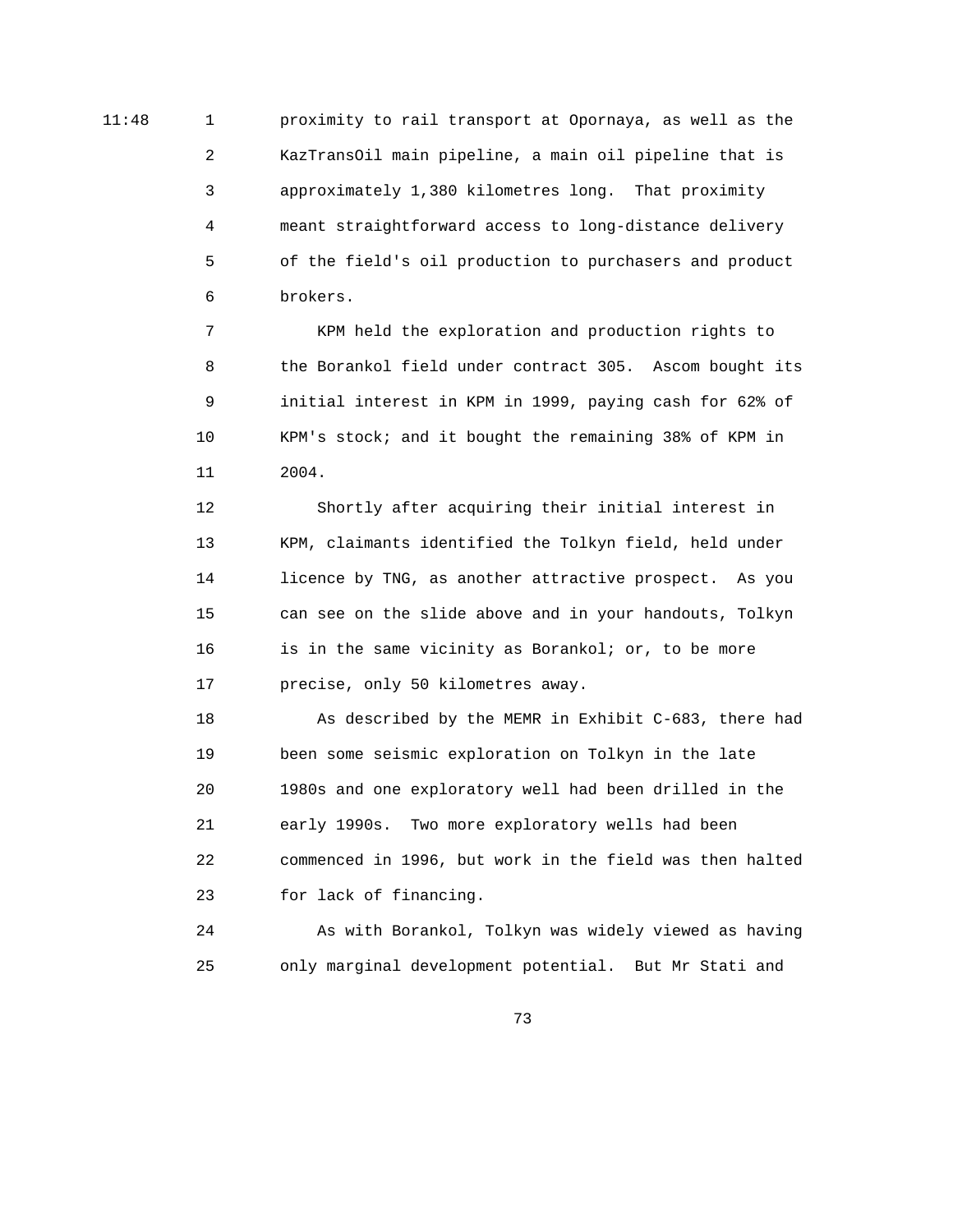11:48 1 proximity to rail transport at Opornaya, as well as the 2 KazTransOil main pipeline, a main oil pipeline that is 3 approximately 1,380 kilometres long. That proximity 4 meant straightforward access to long-distance delivery 5 of the field's oil production to purchasers and product 6 brokers.

> 7 KPM held the exploration and production rights to 8 the Borankol field under contract 305. Ascom bought its 9 initial interest in KPM in 1999, paying cash for 62% of 10 KPM's stock; and it bought the remaining 38% of KPM in 11 2004.

 12 Shortly after acquiring their initial interest in 13 KPM, claimants identified the Tolkyn field, held under 14 licence by TNG, as another attractive prospect. As you 15 can see on the slide above and in your handouts, Tolkyn 16 is in the same vicinity as Borankol; or, to be more 17 precise, only 50 kilometres away.

 18 As described by the MEMR in Exhibit C-683, there had 19 been some seismic exploration on Tolkyn in the late 20 1980s and one exploratory well had been drilled in the 21 early 1990s. Two more exploratory wells had been 22 commenced in 1996, but work in the field was then halted 23 for lack of financing.

 24 As with Borankol, Tolkyn was widely viewed as having 25 only marginal development potential. But Mr Stati and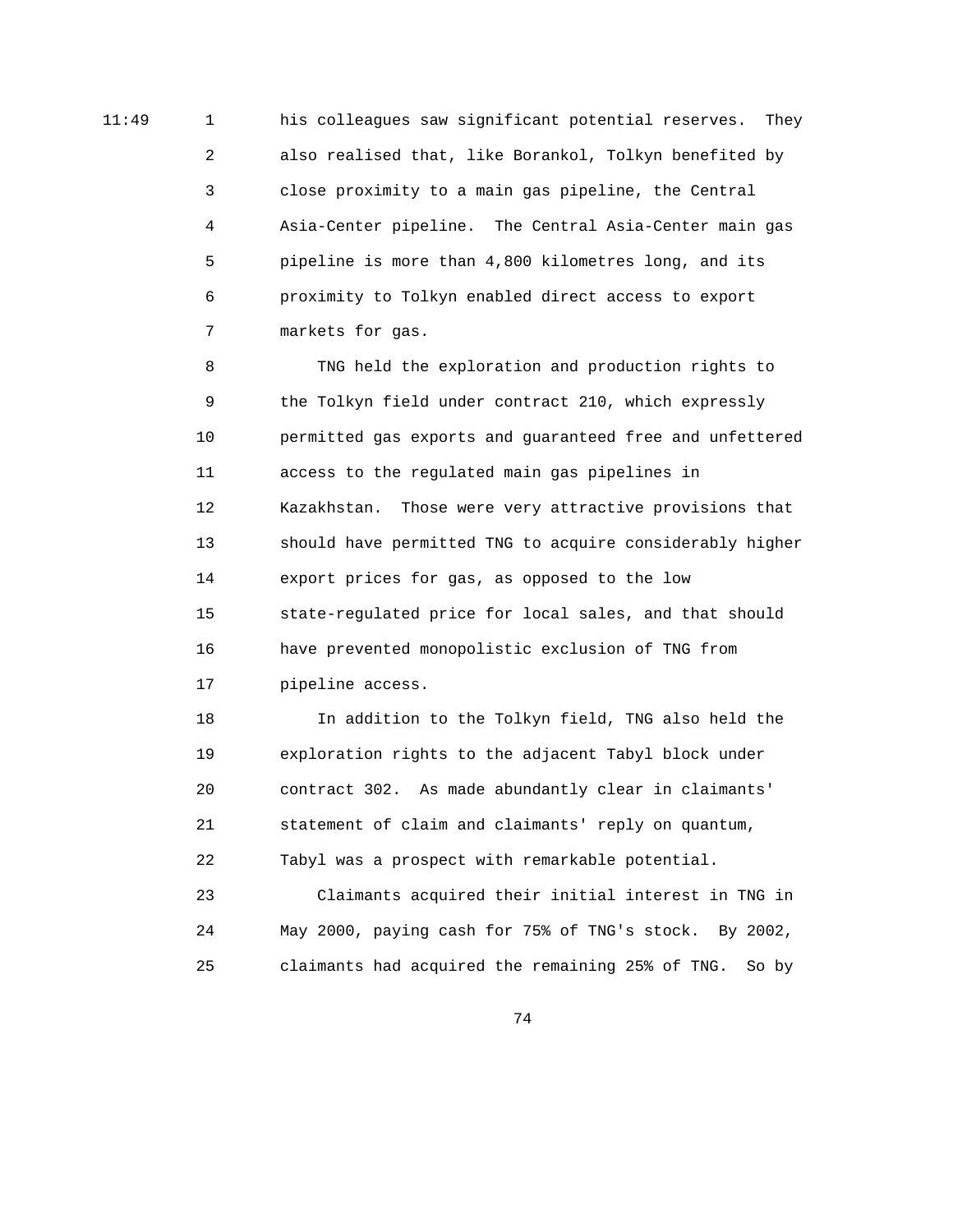11:49 1 1 1:49 his colleagues saw significant potential reserves. They 2 also realised that, like Borankol, Tolkyn benefited by 3 close proximity to a main gas pipeline, the Central 4 Asia-Center pipeline. The Central Asia-Center main gas 5 pipeline is more than 4,800 kilometres long, and its 6 proximity to Tolkyn enabled direct access to export 7 markets for gas.

> 8 TNG held the exploration and production rights to 9 the Tolkyn field under contract 210, which expressly 10 permitted gas exports and guaranteed free and unfettered 11 access to the regulated main gas pipelines in 12 Kazakhstan. Those were very attractive provisions that 13 should have permitted TNG to acquire considerably higher 14 export prices for gas, as opposed to the low 15 state-regulated price for local sales, and that should 16 have prevented monopolistic exclusion of TNG from 17 pipeline access.

 18 In addition to the Tolkyn field, TNG also held the 19 exploration rights to the adjacent Tabyl block under 20 contract 302. As made abundantly clear in claimants' 21 statement of claim and claimants' reply on quantum, 22 Tabyl was a prospect with remarkable potential.

 23 Claimants acquired their initial interest in TNG in 24 May 2000, paying cash for 75% of TNG's stock. By 2002, 25 claimants had acquired the remaining 25% of TNG. So by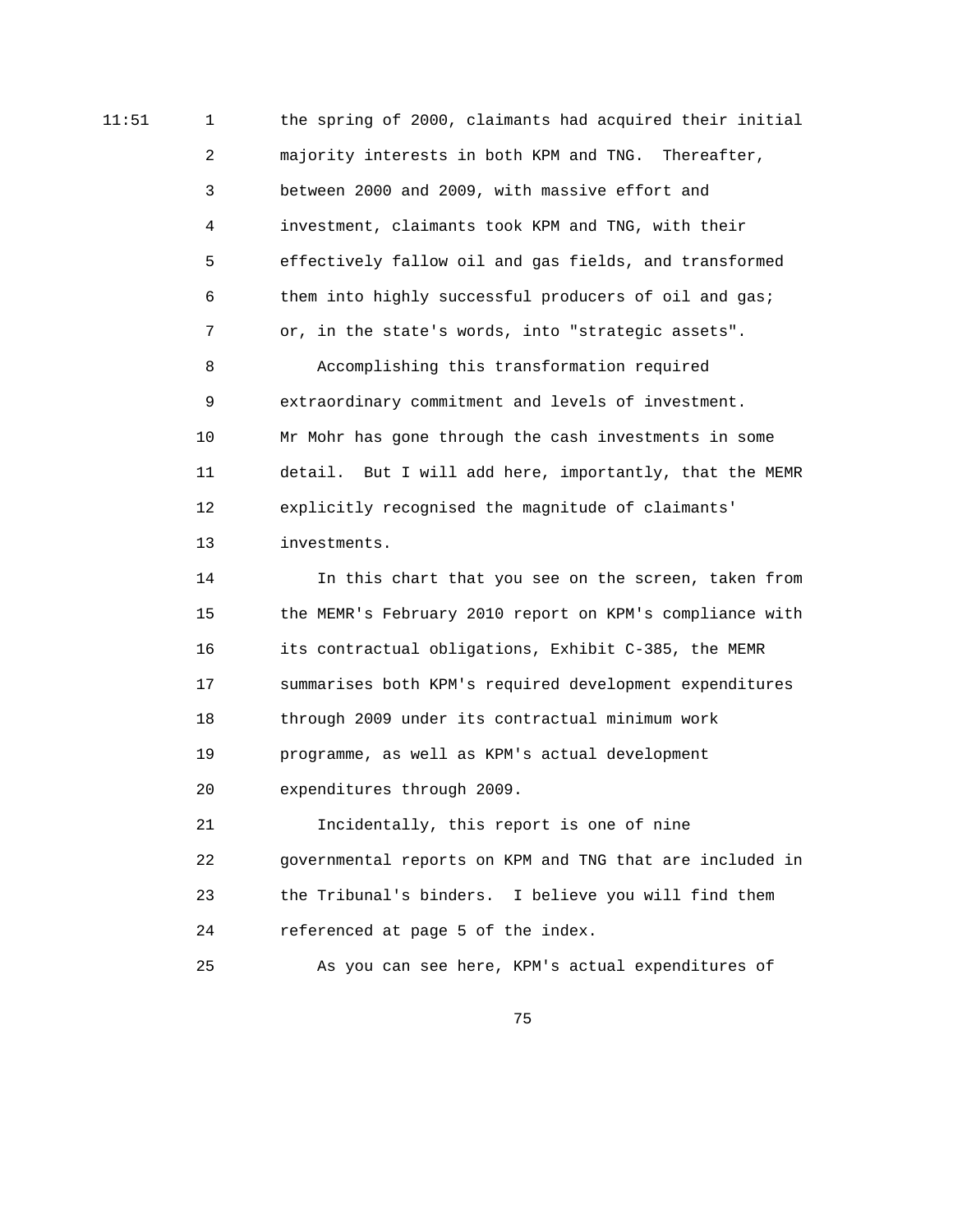11:51 1 the spring of 2000, claimants had acquired their initial 2 majority interests in both KPM and TNG. Thereafter, 3 between 2000 and 2009, with massive effort and 4 investment, claimants took KPM and TNG, with their 5 effectively fallow oil and gas fields, and transformed 6 them into highly successful producers of oil and gas; 7 or, in the state's words, into "strategic assets". 8 Accomplishing this transformation required 9 extraordinary commitment and levels of investment. 10 Mr Mohr has gone through the cash investments in some

> 11 detail. But I will add here, importantly, that the MEMR 12 explicitly recognised the magnitude of claimants' 13 investments.

> 14 In this chart that you see on the screen, taken from 15 the MEMR's February 2010 report on KPM's compliance with 16 its contractual obligations, Exhibit C-385, the MEMR 17 summarises both KPM's required development expenditures 18 through 2009 under its contractual minimum work 19 programme, as well as KPM's actual development 20 expenditures through 2009.

> 21 Incidentally, this report is one of nine 22 governmental reports on KPM and TNG that are included in 23 the Tribunal's binders. I believe you will find them 24 referenced at page 5 of the index.

25 As you can see here, KPM's actual expenditures of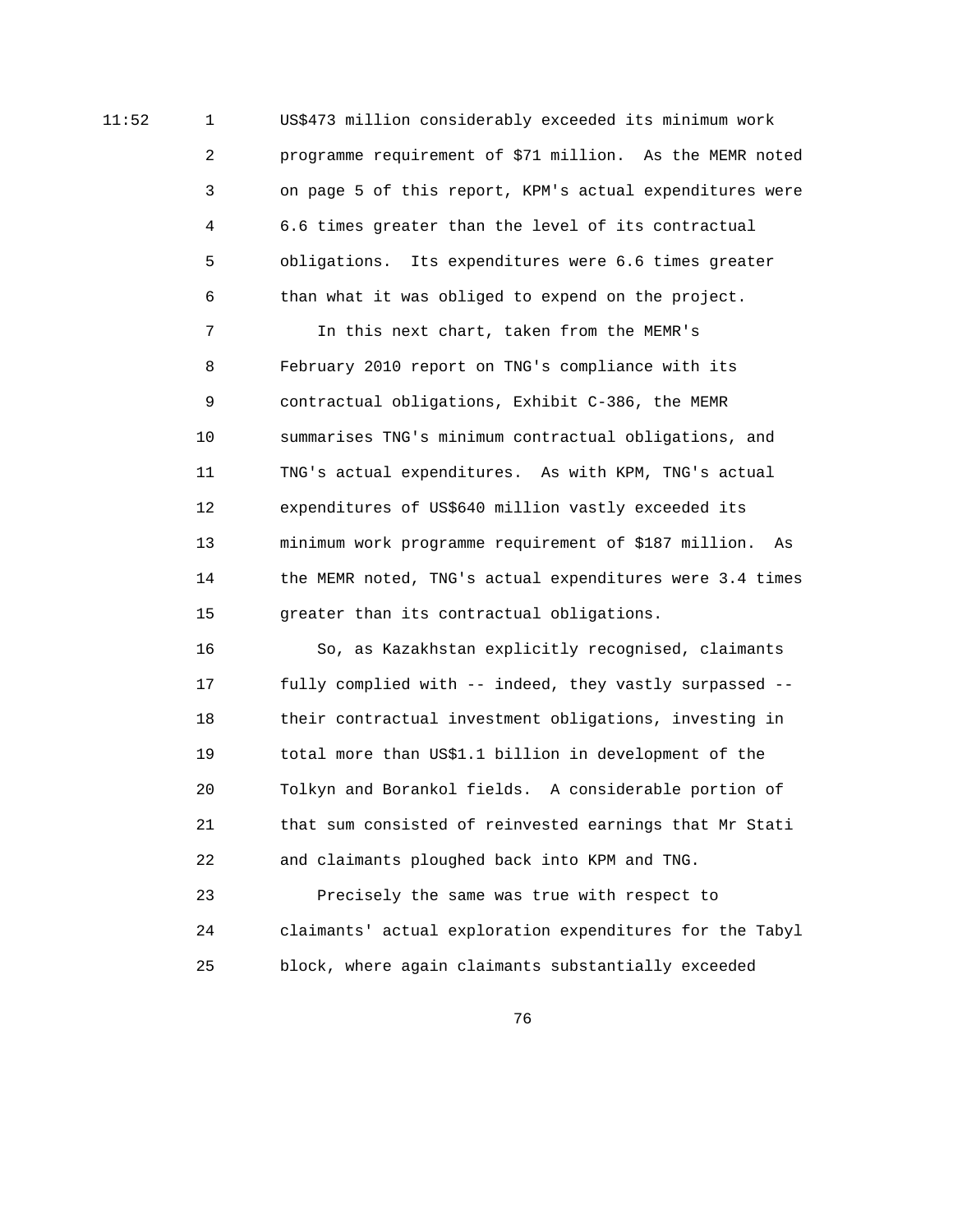11:52 1 US\$473 million considerably exceeded its minimum work 2 programme requirement of \$71 million. As the MEMR noted 3 on page 5 of this report, KPM's actual expenditures were 4 6.6 times greater than the level of its contractual 5 obligations. Its expenditures were 6.6 times greater 6 than what it was obliged to expend on the project.

> 7 In this next chart, taken from the MEMR's 8 February 2010 report on TNG's compliance with its 9 contractual obligations, Exhibit C-386, the MEMR 10 summarises TNG's minimum contractual obligations, and 11 TNG's actual expenditures. As with KPM, TNG's actual 12 expenditures of US\$640 million vastly exceeded its 13 minimum work programme requirement of \$187 million. As 14 the MEMR noted, TNG's actual expenditures were 3.4 times 15 greater than its contractual obligations.

 16 So, as Kazakhstan explicitly recognised, claimants 17 fully complied with -- indeed, they vastly surpassed -- 18 their contractual investment obligations, investing in 19 total more than US\$1.1 billion in development of the 20 Tolkyn and Borankol fields. A considerable portion of 21 that sum consisted of reinvested earnings that Mr Stati 22 and claimants ploughed back into KPM and TNG.

 23 Precisely the same was true with respect to 24 claimants' actual exploration expenditures for the Tabyl 25 block, where again claimants substantially exceeded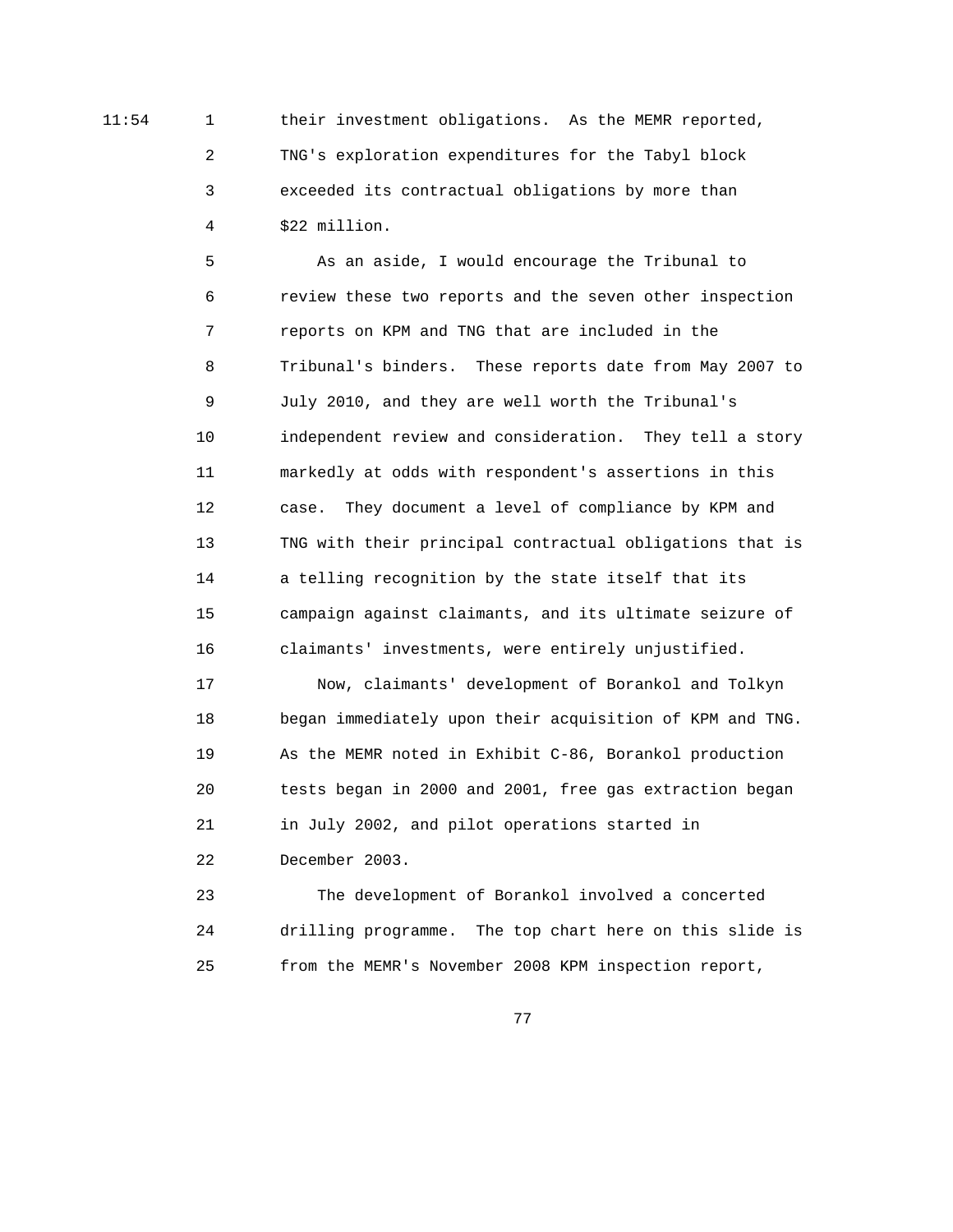11:54 1 their investment obligations. As the MEMR reported, 2 TNG's exploration expenditures for the Tabyl block 3 exceeded its contractual obligations by more than 4 \$22 million.

> 5 As an aside, I would encourage the Tribunal to 6 review these two reports and the seven other inspection 7 reports on KPM and TNG that are included in the 8 Tribunal's binders. These reports date from May 2007 to 9 July 2010, and they are well worth the Tribunal's 10 independent review and consideration. They tell a story 11 markedly at odds with respondent's assertions in this 12 case. They document a level of compliance by KPM and 13 TNG with their principal contractual obligations that is 14 a telling recognition by the state itself that its 15 campaign against claimants, and its ultimate seizure of 16 claimants' investments, were entirely unjustified.

> 17 Now, claimants' development of Borankol and Tolkyn 18 began immediately upon their acquisition of KPM and TNG. 19 As the MEMR noted in Exhibit C-86, Borankol production 20 tests began in 2000 and 2001, free gas extraction began 21 in July 2002, and pilot operations started in 22 December 2003.

> 23 The development of Borankol involved a concerted 24 drilling programme. The top chart here on this slide is 25 from the MEMR's November 2008 KPM inspection report,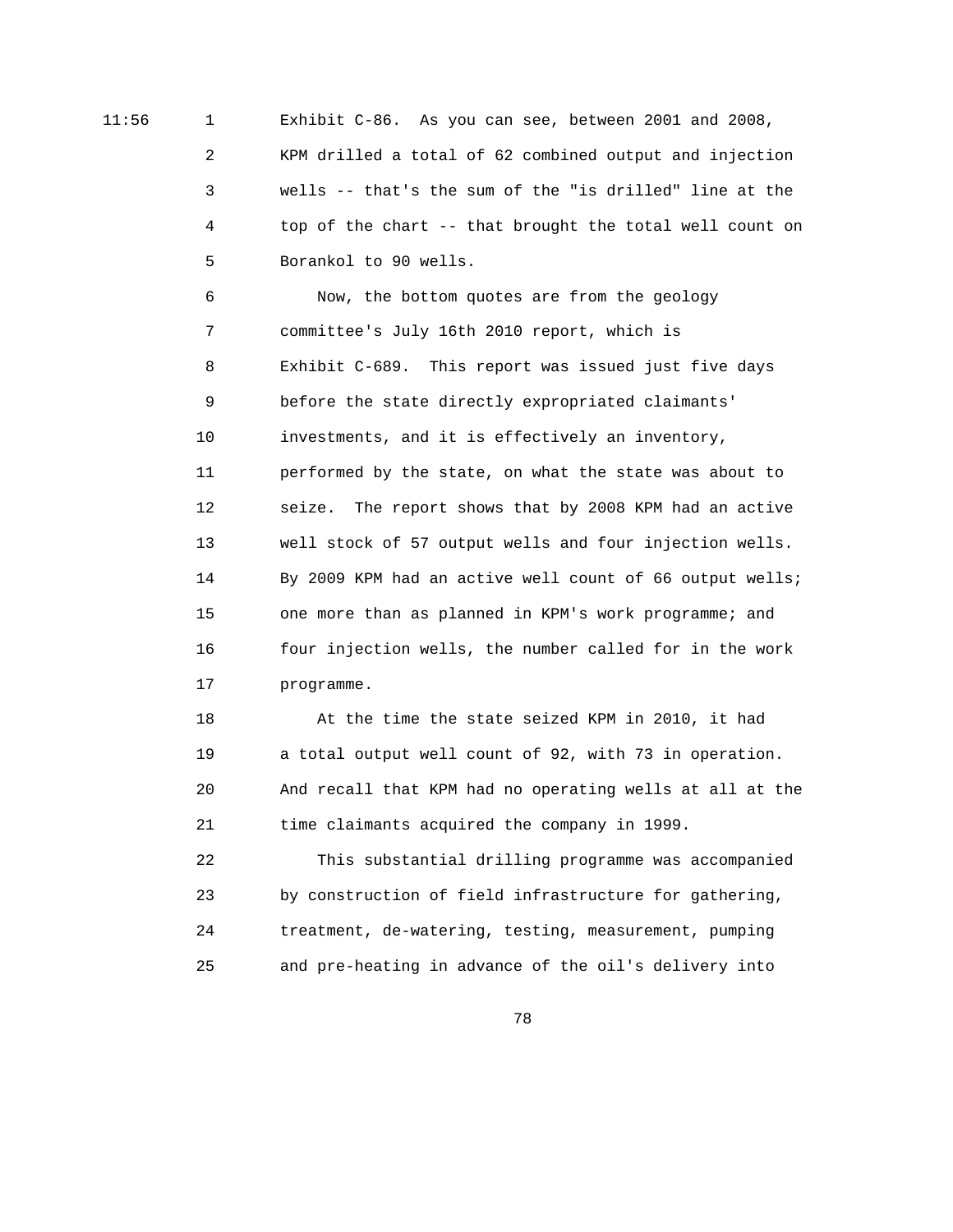11:56 1 Exhibit C-86. As you can see, between 2001 and 2008, 2 KPM drilled a total of 62 combined output and injection 3 wells -- that's the sum of the "is drilled" line at the 4 top of the chart -- that brought the total well count on 5 Borankol to 90 wells.

> 6 Now, the bottom quotes are from the geology 7 committee's July 16th 2010 report, which is 8 Exhibit C-689. This report was issued just five days 9 before the state directly expropriated claimants' 10 investments, and it is effectively an inventory, 11 performed by the state, on what the state was about to 12 seize. The report shows that by 2008 KPM had an active 13 well stock of 57 output wells and four injection wells. 14 By 2009 KPM had an active well count of 66 output wells; 15 one more than as planned in KPM's work programme; and 16 four injection wells, the number called for in the work 17 programme.

> 18 At the time the state seized KPM in 2010, it had 19 a total output well count of 92, with 73 in operation. 20 And recall that KPM had no operating wells at all at the 21 time claimants acquired the company in 1999.

 22 This substantial drilling programme was accompanied 23 by construction of field infrastructure for gathering, 24 treatment, de-watering, testing, measurement, pumping 25 and pre-heating in advance of the oil's delivery into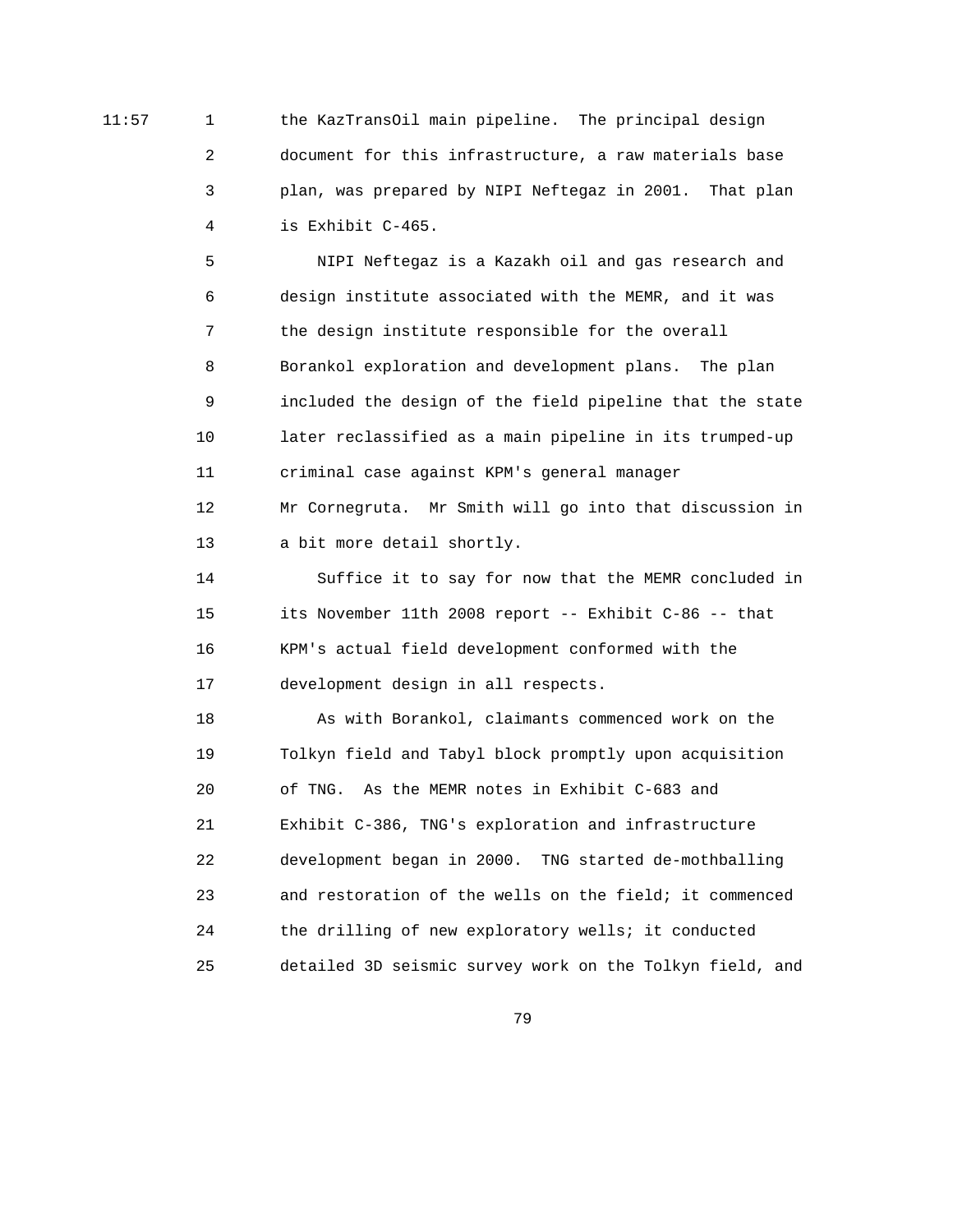11:57 1 the KazTransOil main pipeline. The principal design 2 document for this infrastructure, a raw materials base 3 plan, was prepared by NIPI Neftegaz in 2001. That plan 4 is Exhibit C-465.

> 5 NIPI Neftegaz is a Kazakh oil and gas research and 6 design institute associated with the MEMR, and it was 7 the design institute responsible for the overall 8 Borankol exploration and development plans. The plan 9 included the design of the field pipeline that the state 10 later reclassified as a main pipeline in its trumped-up 11 criminal case against KPM's general manager 12 Mr Cornegruta. Mr Smith will go into that discussion in

13 a bit more detail shortly.

 14 Suffice it to say for now that the MEMR concluded in 15 its November 11th 2008 report -- Exhibit C-86 -- that 16 KPM's actual field development conformed with the 17 development design in all respects.

 18 As with Borankol, claimants commenced work on the 19 Tolkyn field and Tabyl block promptly upon acquisition 20 of TNG. As the MEMR notes in Exhibit C-683 and 21 Exhibit C-386, TNG's exploration and infrastructure 22 development began in 2000. TNG started de-mothballing 23 and restoration of the wells on the field; it commenced 24 the drilling of new exploratory wells; it conducted 25 detailed 3D seismic survey work on the Tolkyn field, and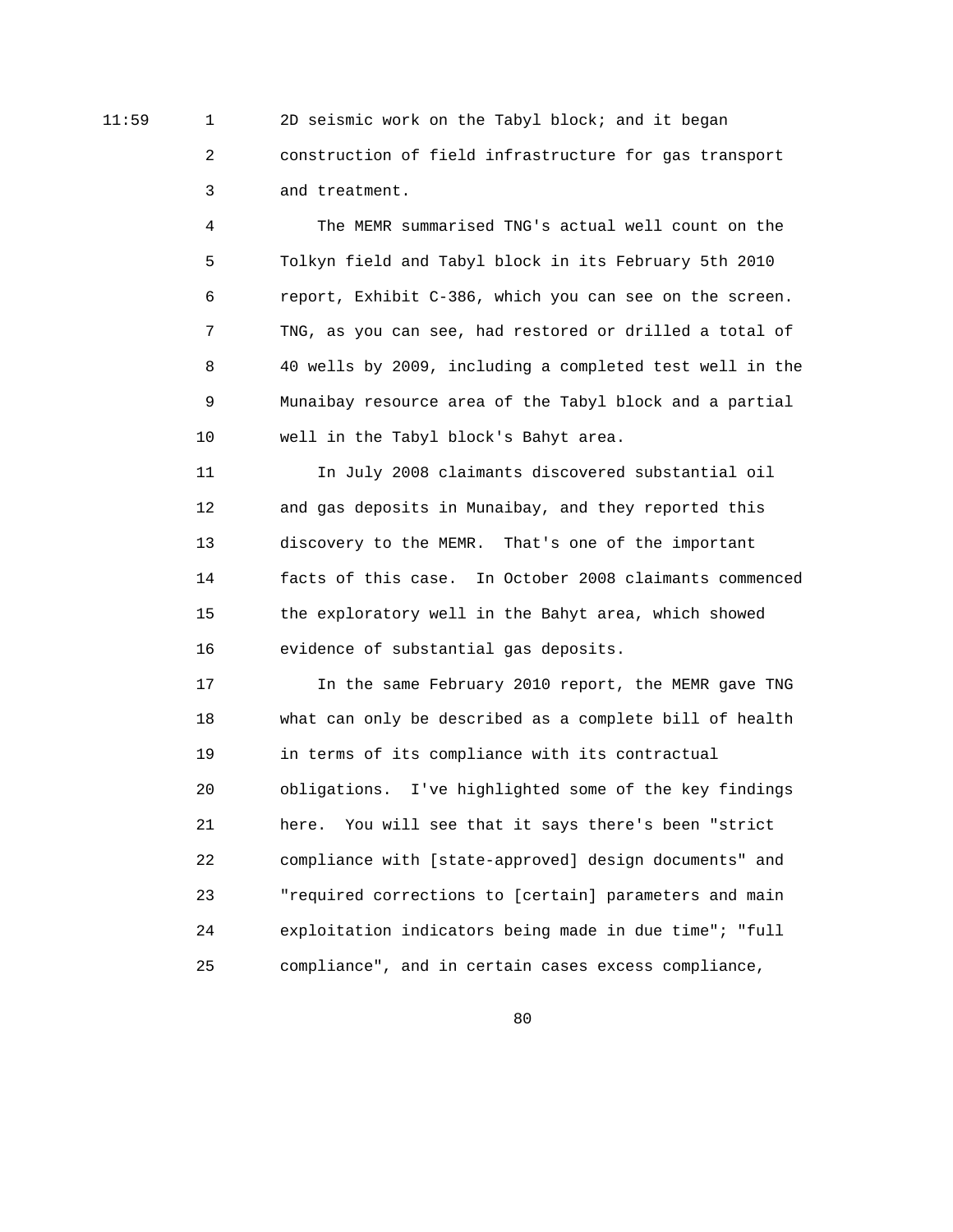11:59 1 2D seismic work on the Tabyl block; and it began 2 construction of field infrastructure for gas transport 3 and treatment.

> 4 The MEMR summarised TNG's actual well count on the 5 Tolkyn field and Tabyl block in its February 5th 2010 6 report, Exhibit C-386, which you can see on the screen. 7 TNG, as you can see, had restored or drilled a total of 8 40 wells by 2009, including a completed test well in the 9 Munaibay resource area of the Tabyl block and a partial 10 well in the Tabyl block's Bahyt area.

> 11 In July 2008 claimants discovered substantial oil 12 and gas deposits in Munaibay, and they reported this 13 discovery to the MEMR. That's one of the important 14 facts of this case. In October 2008 claimants commenced 15 the exploratory well in the Bahyt area, which showed 16 evidence of substantial gas deposits.

 17 In the same February 2010 report, the MEMR gave TNG 18 what can only be described as a complete bill of health 19 in terms of its compliance with its contractual 20 obligations. I've highlighted some of the key findings 21 here. You will see that it says there's been "strict 22 compliance with [state-approved] design documents" and 23 "required corrections to [certain] parameters and main 24 exploitation indicators being made in due time"; "full 25 compliance", and in certain cases excess compliance,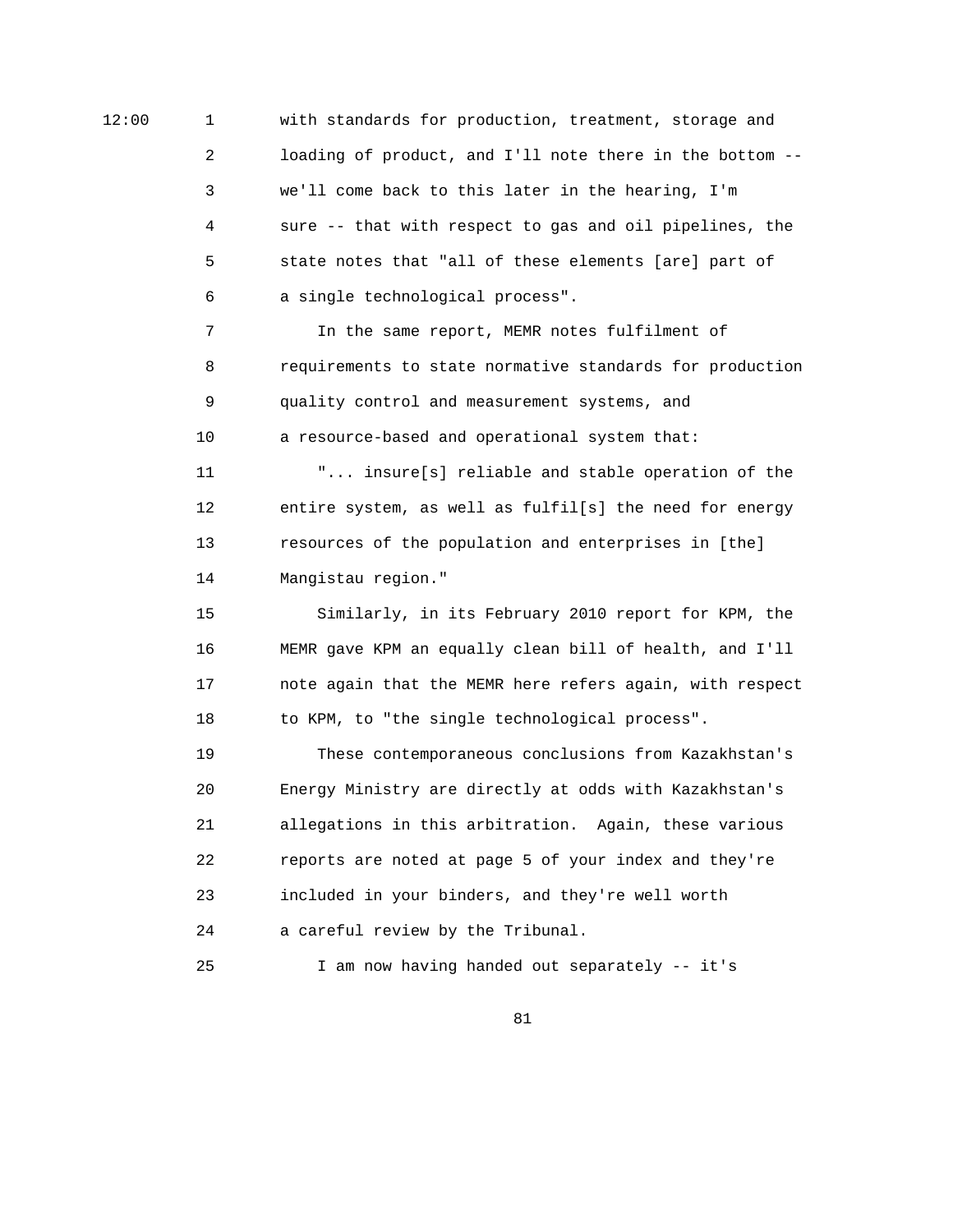12:00 1 with standards for production, treatment, storage and 2 loading of product, and I'll note there in the bottom -- 3 we'll come back to this later in the hearing, I'm 4 sure -- that with respect to gas and oil pipelines, the 5 state notes that "all of these elements [are] part of 6 a single technological process".

> 7 In the same report, MEMR notes fulfilment of 8 requirements to state normative standards for production 9 quality control and measurement systems, and 10 a resource-based and operational system that:

 11 "... insure[s] reliable and stable operation of the 12 entire system, as well as fulfil[s] the need for energy 13 resources of the population and enterprises in [the] 14 Mangistau region."

 15 Similarly, in its February 2010 report for KPM, the 16 MEMR gave KPM an equally clean bill of health, and I'll 17 note again that the MEMR here refers again, with respect 18 to KPM, to "the single technological process".

 19 These contemporaneous conclusions from Kazakhstan's 20 Energy Ministry are directly at odds with Kazakhstan's 21 allegations in this arbitration. Again, these various 22 reports are noted at page 5 of your index and they're 23 included in your binders, and they're well worth 24 a careful review by the Tribunal.

```
 25 I am now having handed out separately -- it's
```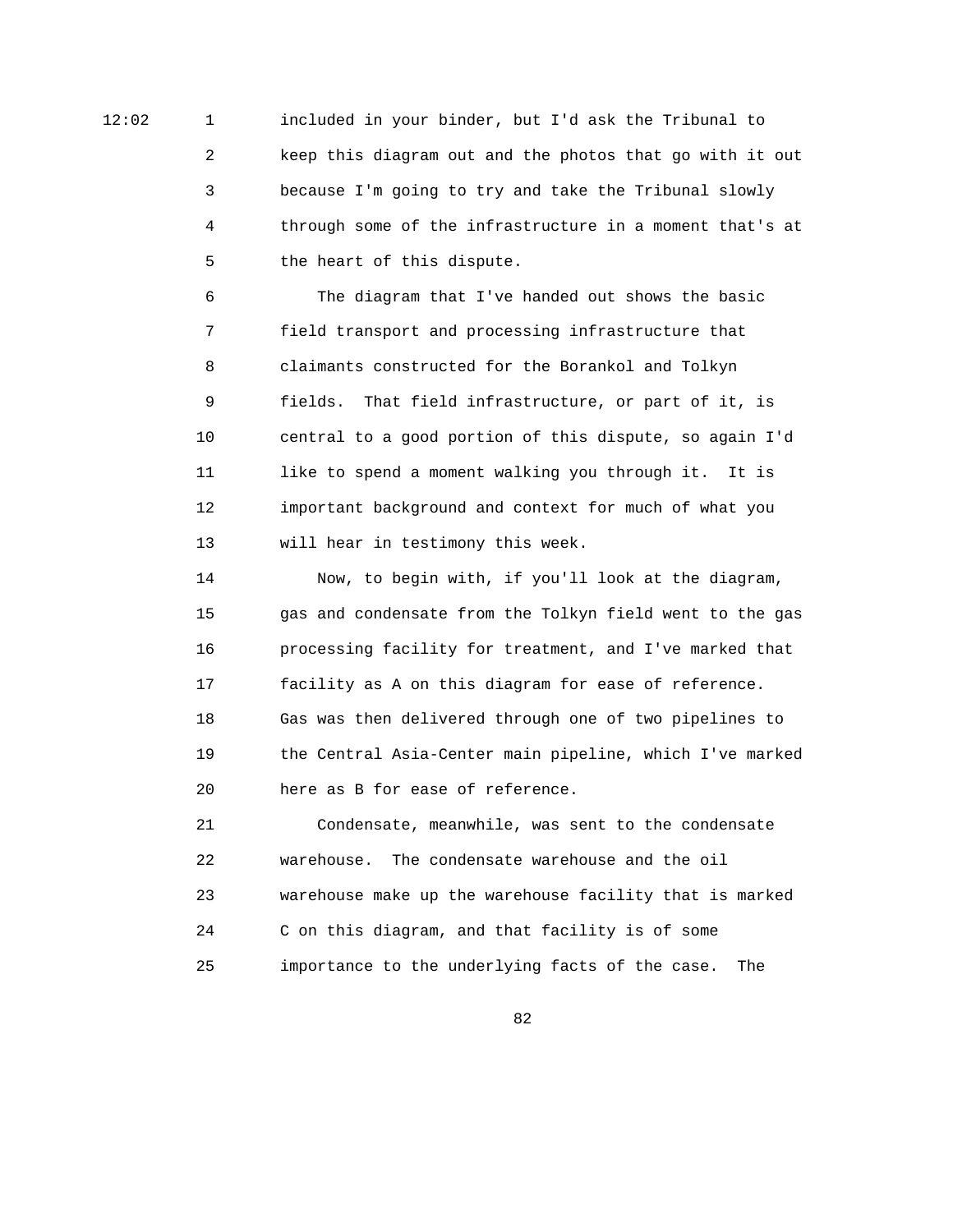12:02 1 included in your binder, but I'd ask the Tribunal to 2 keep this diagram out and the photos that go with it out 3 because I'm going to try and take the Tribunal slowly 4 through some of the infrastructure in a moment that's at 5 the heart of this dispute.

> 6 The diagram that I've handed out shows the basic 7 field transport and processing infrastructure that 8 claimants constructed for the Borankol and Tolkyn 9 fields. That field infrastructure, or part of it, is 10 central to a good portion of this dispute, so again I'd 11 like to spend a moment walking you through it. It is 12 important background and context for much of what you 13 will hear in testimony this week.

 14 Now, to begin with, if you'll look at the diagram, 15 gas and condensate from the Tolkyn field went to the gas 16 processing facility for treatment, and I've marked that 17 facility as A on this diagram for ease of reference. 18 Gas was then delivered through one of two pipelines to 19 the Central Asia-Center main pipeline, which I've marked 20 here as B for ease of reference.

 21 Condensate, meanwhile, was sent to the condensate 22 warehouse. The condensate warehouse and the oil 23 warehouse make up the warehouse facility that is marked 24 C on this diagram, and that facility is of some 25 importance to the underlying facts of the case. The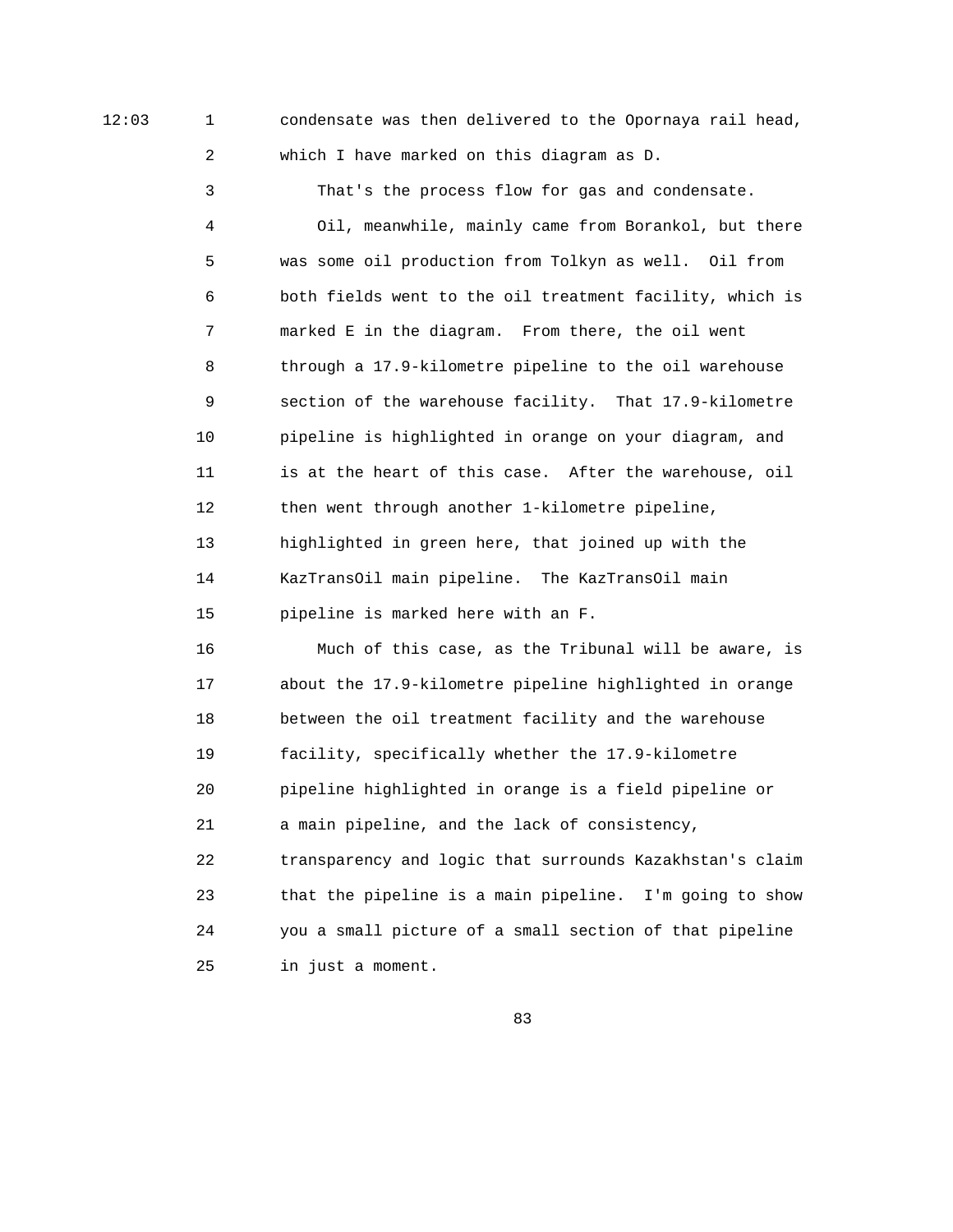12:03 1 condensate was then delivered to the Opornaya rail head, 2 which I have marked on this diagram as D.

> 3 That's the process flow for gas and condensate. 4 Oil, meanwhile, mainly came from Borankol, but there 5 was some oil production from Tolkyn as well. Oil from 6 both fields went to the oil treatment facility, which is 7 marked E in the diagram. From there, the oil went 8 through a 17.9-kilometre pipeline to the oil warehouse 9 section of the warehouse facility. That 17.9-kilometre 10 pipeline is highlighted in orange on your diagram, and 11 is at the heart of this case. After the warehouse, oil 12 then went through another 1-kilometre pipeline, 13 highlighted in green here, that joined up with the 14 KazTransOil main pipeline. The KazTransOil main 15 pipeline is marked here with an F.

> 16 Much of this case, as the Tribunal will be aware, is 17 about the 17.9-kilometre pipeline highlighted in orange 18 between the oil treatment facility and the warehouse 19 facility, specifically whether the 17.9-kilometre 20 pipeline highlighted in orange is a field pipeline or 21 a main pipeline, and the lack of consistency, 22 transparency and logic that surrounds Kazakhstan's claim 23 that the pipeline is a main pipeline. I'm going to show 24 you a small picture of a small section of that pipeline 25 in just a moment.

<u>83 and 200 and 200 and 200 and 200 and 200 and 200 and 200 and 200 and 200 and 200 and 200 and 200 and 200 and 200 and 200 and 200 and 200 and 200 and 200 and 200 and 200 and 200 and 200 and 200 and 200 and 200 and 200 an</u>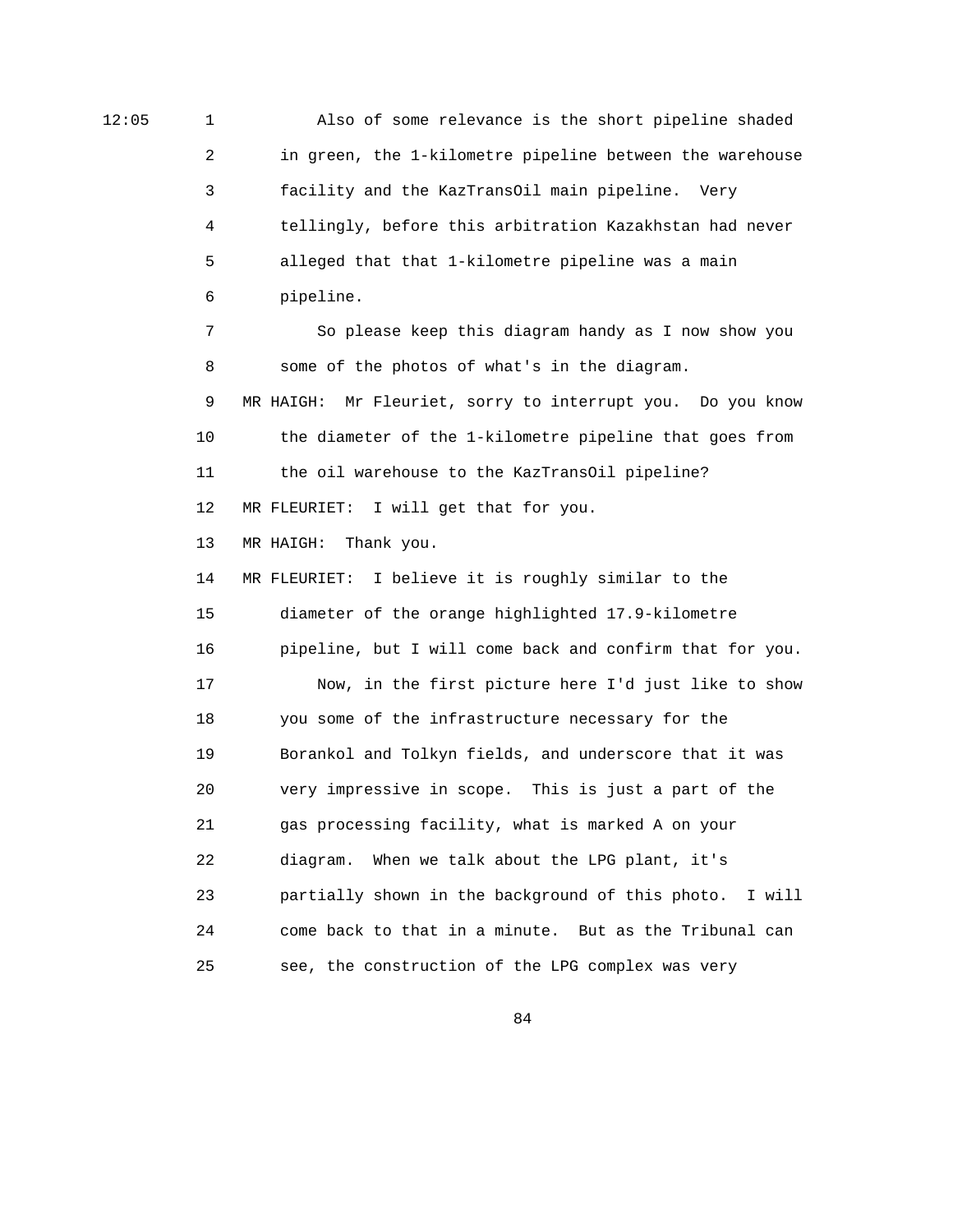12:05 1 Also of some relevance is the short pipeline shaded 2 in green, the 1-kilometre pipeline between the warehouse 3 facility and the KazTransOil main pipeline. Very 4 tellingly, before this arbitration Kazakhstan had never 5 alleged that that 1-kilometre pipeline was a main 6 pipeline. 7 So please keep this diagram handy as I now show you 8 some of the photos of what's in the diagram. 9 MR HAIGH: Mr Fleuriet, sorry to interrupt you. Do you know 10 the diameter of the 1-kilometre pipeline that goes from 11 the oil warehouse to the KazTransOil pipeline? 12 MR FLEURIET: I will get that for you. 13 MR HAIGH: Thank you. 14 MR FLEURIET: I believe it is roughly similar to the 15 diameter of the orange highlighted 17.9-kilometre 16 pipeline, but I will come back and confirm that for you. 17 Now, in the first picture here I'd just like to show 18 you some of the infrastructure necessary for the 19 Borankol and Tolkyn fields, and underscore that it was 20 very impressive in scope. This is just a part of the 21 gas processing facility, what is marked A on your 22 diagram. When we talk about the LPG plant, it's 23 partially shown in the background of this photo. I will 24 come back to that in a minute. But as the Tribunal can 25 see, the construction of the LPG complex was very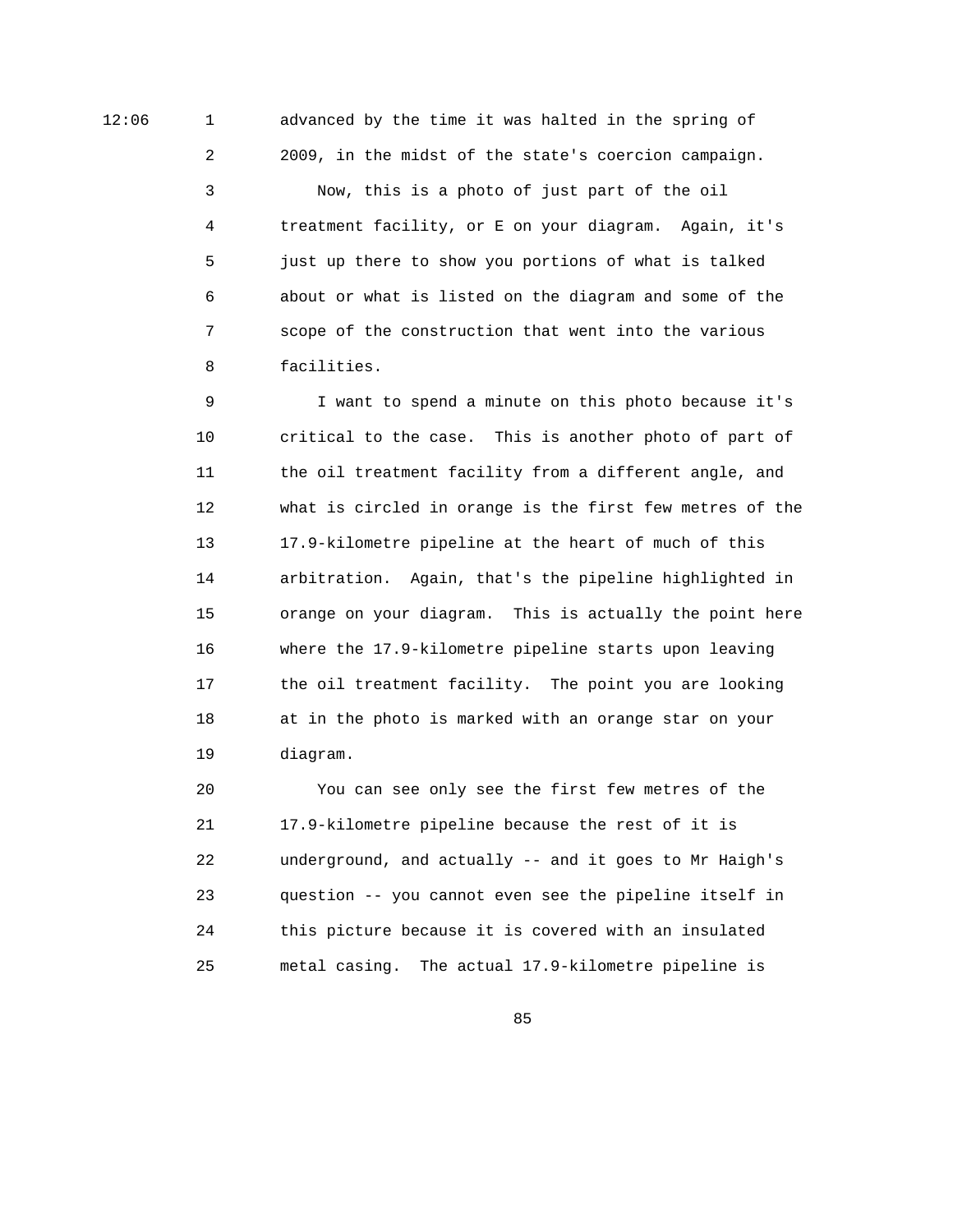12:06 1 advanced by the time it was halted in the spring of

 2 2009, in the midst of the state's coercion campaign. 3 Now, this is a photo of just part of the oil 4 treatment facility, or E on your diagram. Again, it's 5 just up there to show you portions of what is talked 6 about or what is listed on the diagram and some of the 7 scope of the construction that went into the various 8 facilities.

 9 I want to spend a minute on this photo because it's 10 critical to the case. This is another photo of part of 11 the oil treatment facility from a different angle, and 12 what is circled in orange is the first few metres of the 13 17.9-kilometre pipeline at the heart of much of this 14 arbitration. Again, that's the pipeline highlighted in 15 orange on your diagram. This is actually the point here 16 where the 17.9-kilometre pipeline starts upon leaving 17 the oil treatment facility. The point you are looking 18 at in the photo is marked with an orange star on your 19 diagram.

 20 You can see only see the first few metres of the 21 17.9-kilometre pipeline because the rest of it is 22 underground, and actually -- and it goes to Mr Haigh's 23 question -- you cannot even see the pipeline itself in 24 this picture because it is covered with an insulated 25 metal casing. The actual 17.9-kilometre pipeline is

<u>85 and 200 million and 200 million and 200 million and 200 million and 200 million and 200 million and 200 million and 200 million and 200 million and 200 million and 200 million and 200 million and 200 million and 200 mi</u>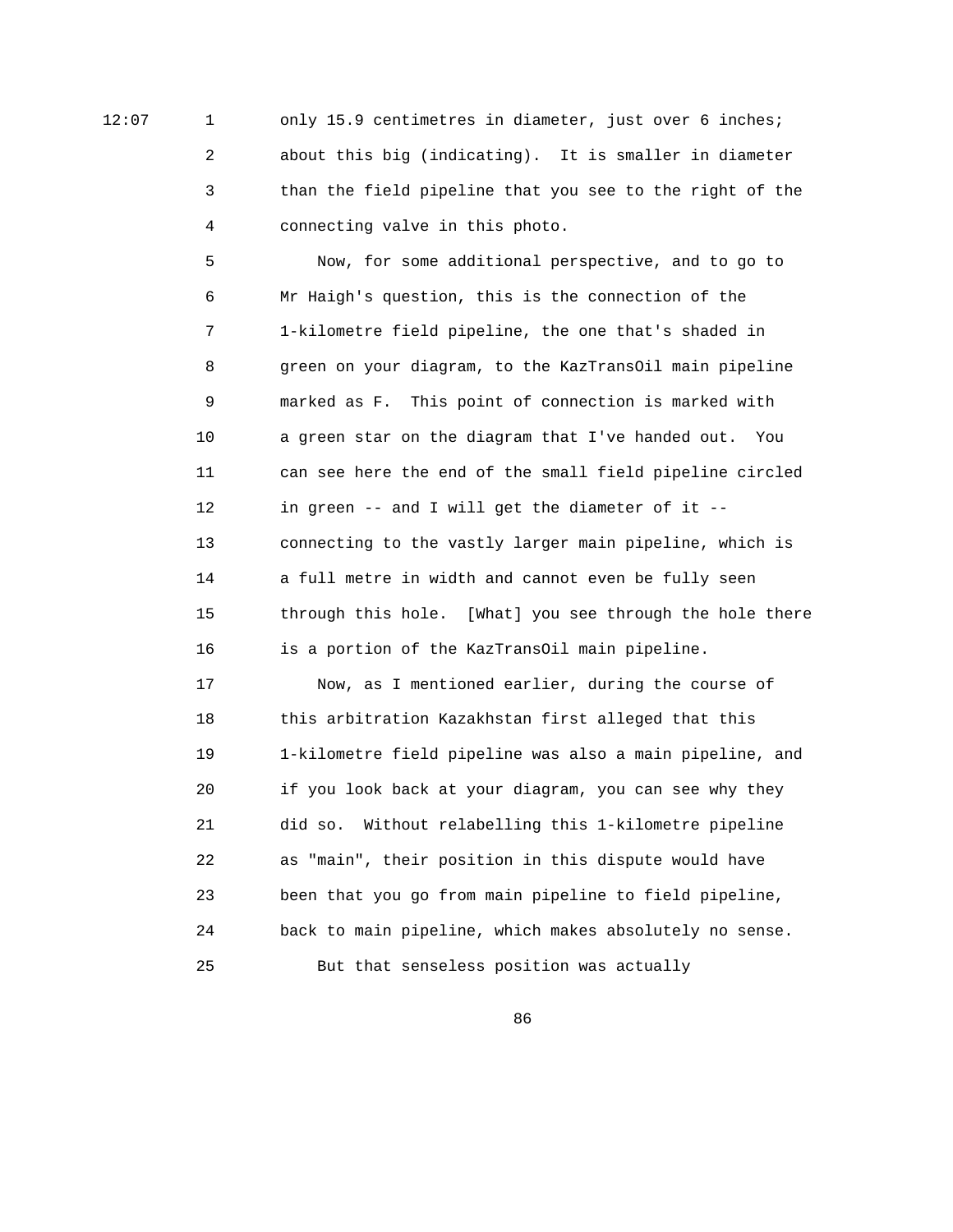12:07 1 only 15.9 centimetres in diameter, just over 6 inches; 2 about this big (indicating). It is smaller in diameter 3 than the field pipeline that you see to the right of the 4 connecting valve in this photo.

> 5 Now, for some additional perspective, and to go to 6 Mr Haigh's question, this is the connection of the 7 1-kilometre field pipeline, the one that's shaded in 8 green on your diagram, to the KazTransOil main pipeline 9 marked as F. This point of connection is marked with 10 a green star on the diagram that I've handed out. You 11 can see here the end of the small field pipeline circled 12 in green -- and I will get the diameter of it -- 13 connecting to the vastly larger main pipeline, which is 14 a full metre in width and cannot even be fully seen 15 through this hole. [What] you see through the hole there 16 is a portion of the KazTransOil main pipeline.

 17 Now, as I mentioned earlier, during the course of 18 this arbitration Kazakhstan first alleged that this 19 1-kilometre field pipeline was also a main pipeline, and 20 if you look back at your diagram, you can see why they 21 did so. Without relabelling this 1-kilometre pipeline 22 as "main", their position in this dispute would have 23 been that you go from main pipeline to field pipeline, 24 back to main pipeline, which makes absolutely no sense. 25 But that senseless position was actually

en and the state of the state of the state of the state of the state of the state of the state of the state of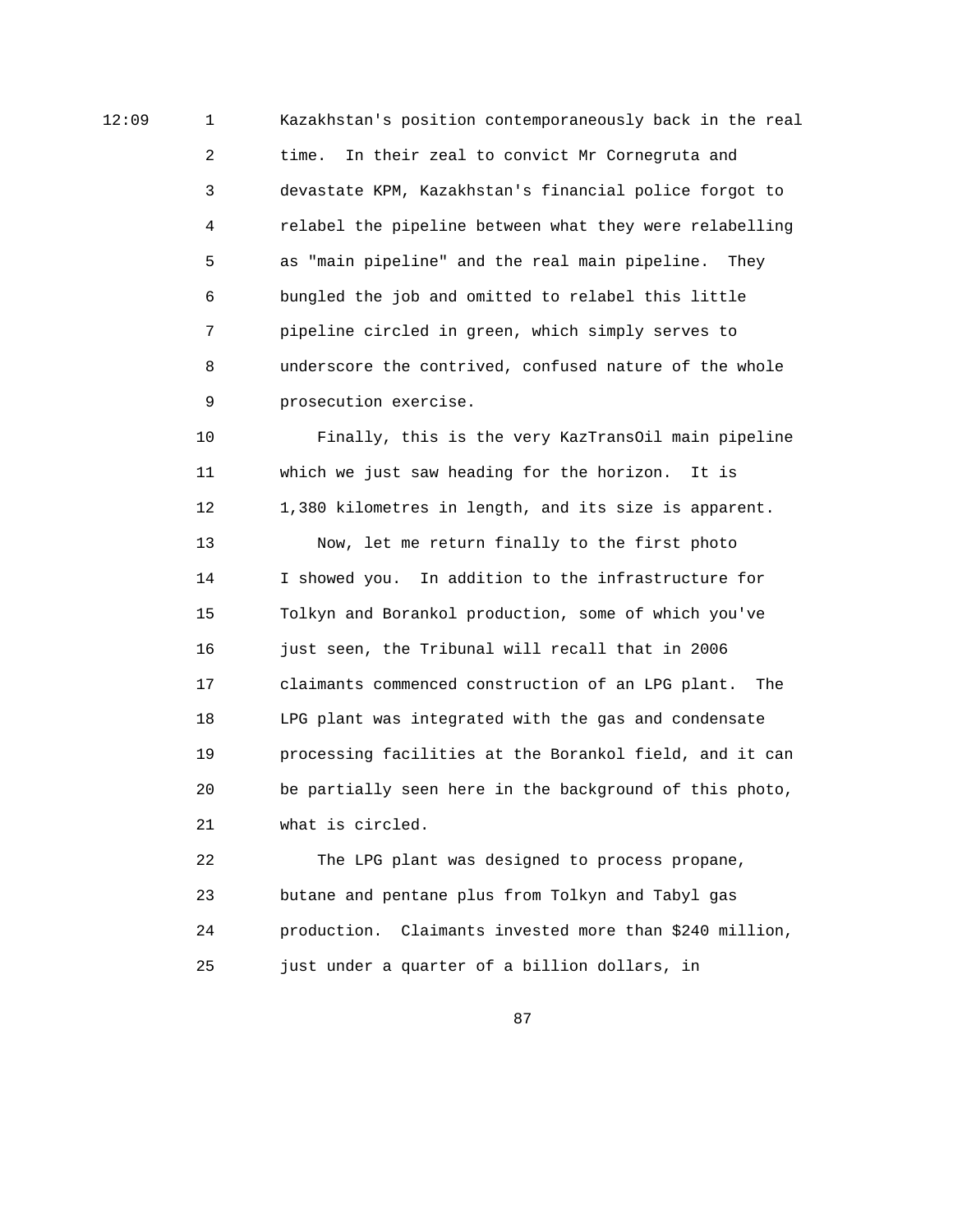12:09 1 Kazakhstan's position contemporaneously back in the real 2 time. In their zeal to convict Mr Cornegruta and 3 devastate KPM, Kazakhstan's financial police forgot to 4 relabel the pipeline between what they were relabelling 5 as "main pipeline" and the real main pipeline. They 6 bungled the job and omitted to relabel this little 7 pipeline circled in green, which simply serves to 8 underscore the contrived, confused nature of the whole 9 prosecution exercise.

> 10 Finally, this is the very KazTransOil main pipeline 11 which we just saw heading for the horizon. It is 12 1,380 kilometres in length, and its size is apparent. 13 Now, let me return finally to the first photo 14 I showed you. In addition to the infrastructure for 15 Tolkyn and Borankol production, some of which you've 16 just seen, the Tribunal will recall that in 2006 17 claimants commenced construction of an LPG plant. The 18 LPG plant was integrated with the gas and condensate 19 processing facilities at the Borankol field, and it can 20 be partially seen here in the background of this photo, 21 what is circled.

> 22 The LPG plant was designed to process propane, 23 butane and pentane plus from Tolkyn and Tabyl gas 24 production. Claimants invested more than \$240 million, 25 just under a quarter of a billion dollars, in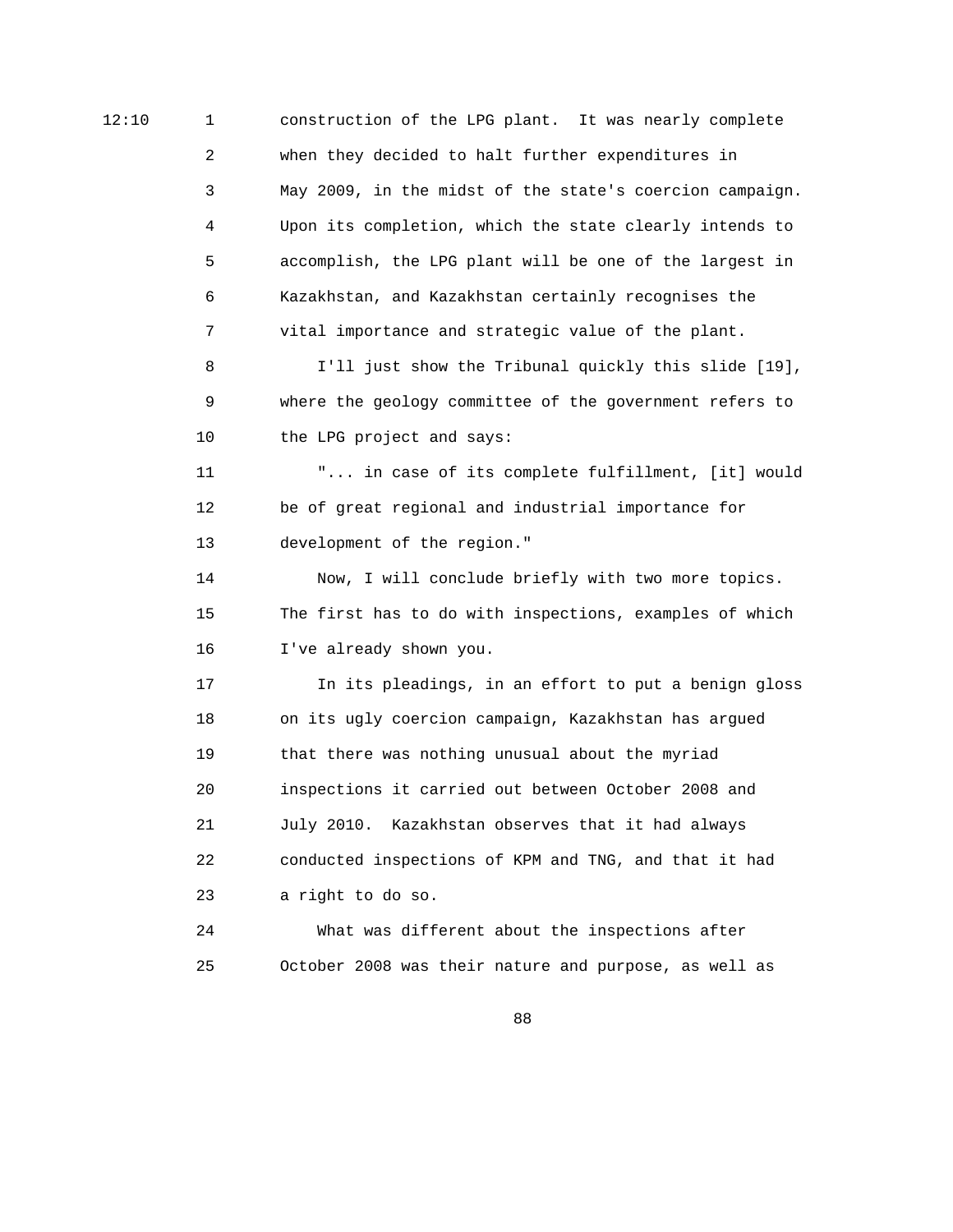12:10 1 construction of the LPG plant. It was nearly complete 2 when they decided to halt further expenditures in 3 May 2009, in the midst of the state's coercion campaign. 4 Upon its completion, which the state clearly intends to 5 accomplish, the LPG plant will be one of the largest in 6 Kazakhstan, and Kazakhstan certainly recognises the 7 vital importance and strategic value of the plant. 8 I'll just show the Tribunal quickly this slide [19], 9 where the geology committee of the government refers to 10 the LPG project and says: 11 "... in case of its complete fulfillment, [it] would 12 be of great regional and industrial importance for 13 development of the region." 14 Now, I will conclude briefly with two more topics. 15 The first has to do with inspections, examples of which 16 I've already shown you. 17 In its pleadings, in an effort to put a benign gloss 18 on its ugly coercion campaign, Kazakhstan has argued 19 that there was nothing unusual about the myriad 20 inspections it carried out between October 2008 and 21 July 2010. Kazakhstan observes that it had always 22 conducted inspections of KPM and TNG, and that it had 23 a right to do so. 24 What was different about the inspections after 25 October 2008 was their nature and purpose, as well as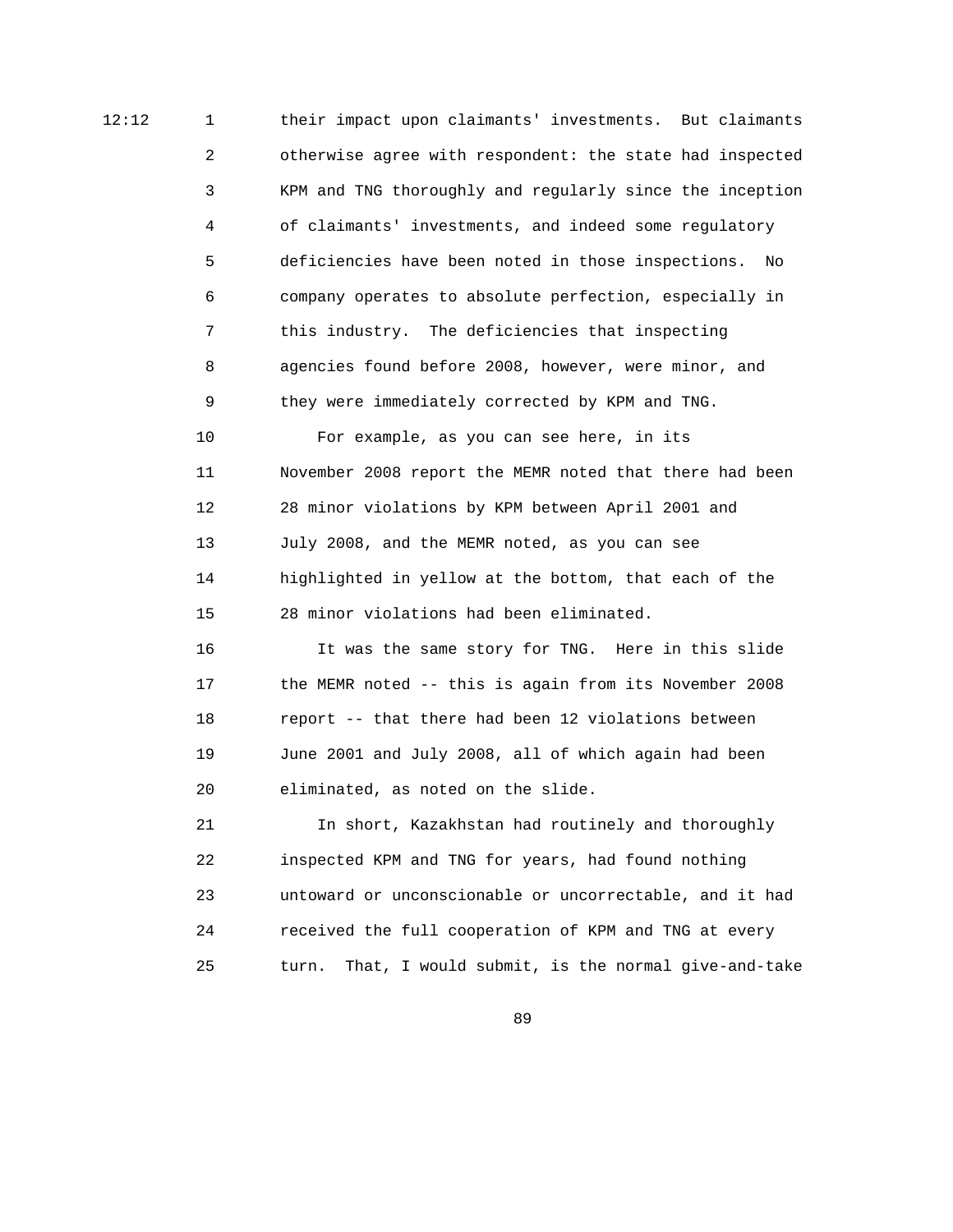12:12 1 their impact upon claimants' investments. But claimants 2 otherwise agree with respondent: the state had inspected 3 KPM and TNG thoroughly and regularly since the inception 4 of claimants' investments, and indeed some regulatory 5 deficiencies have been noted in those inspections. No 6 company operates to absolute perfection, especially in 7 this industry. The deficiencies that inspecting 8 agencies found before 2008, however, were minor, and 9 they were immediately corrected by KPM and TNG.

> 10 For example, as you can see here, in its 11 November 2008 report the MEMR noted that there had been 12 28 minor violations by KPM between April 2001 and 13 July 2008, and the MEMR noted, as you can see 14 highlighted in yellow at the bottom, that each of the 15 28 minor violations had been eliminated.

 16 It was the same story for TNG. Here in this slide 17 the MEMR noted -- this is again from its November 2008 18 report -- that there had been 12 violations between 19 June 2001 and July 2008, all of which again had been 20 eliminated, as noted on the slide.

 21 In short, Kazakhstan had routinely and thoroughly 22 inspected KPM and TNG for years, had found nothing 23 untoward or unconscionable or uncorrectable, and it had 24 received the full cooperation of KPM and TNG at every 25 turn. That, I would submit, is the normal give-and-take

<u>89 and 2001 and 2002 and 2003 and 2003 and 2004 and 2004 and 2005 and 2006 and 2006 and 2006 and 2006 and 200</u>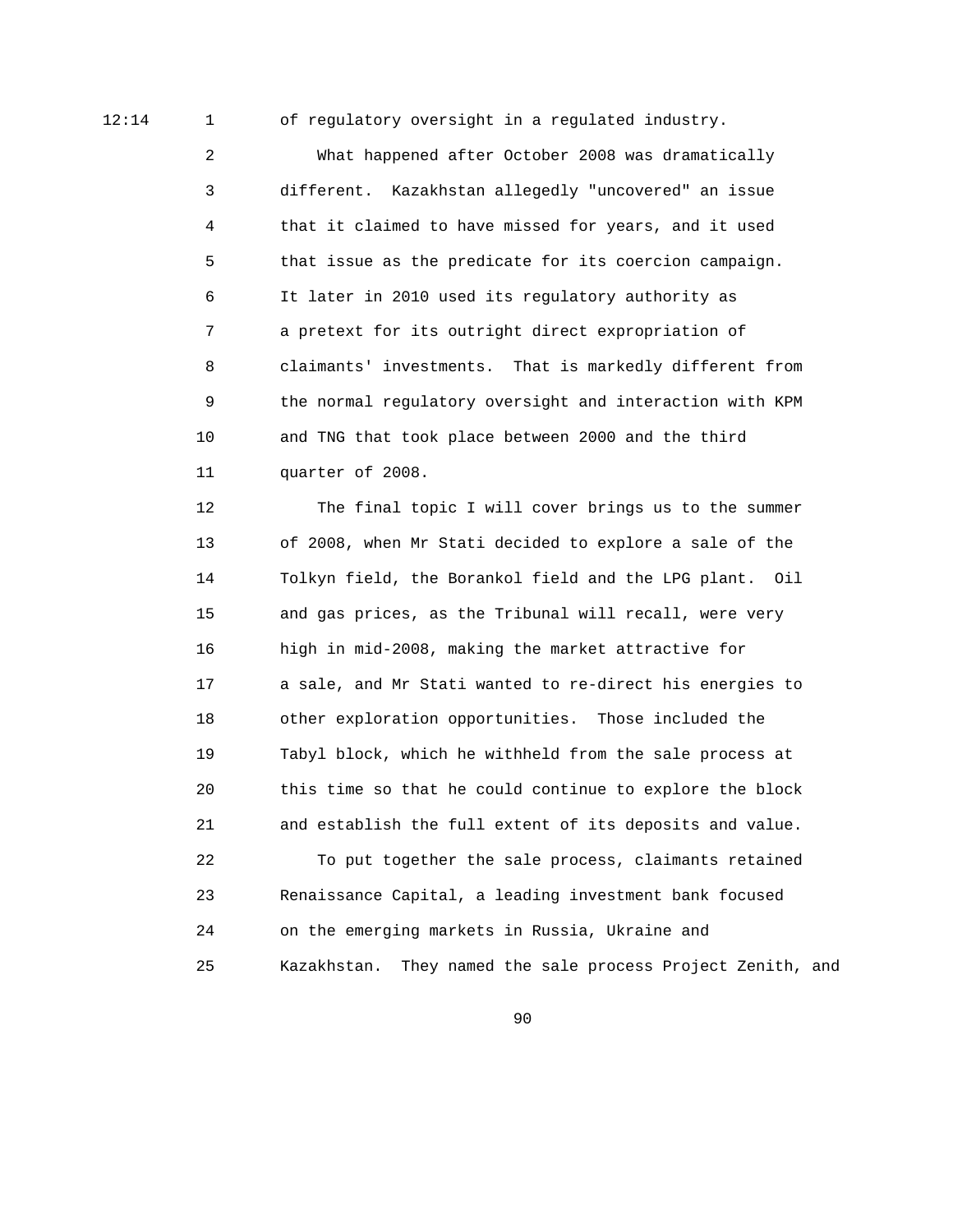12:14 1 of regulatory oversight in a regulated industry.

 2 What happened after October 2008 was dramatically 3 different. Kazakhstan allegedly "uncovered" an issue 4 that it claimed to have missed for years, and it used 5 that issue as the predicate for its coercion campaign. 6 It later in 2010 used its regulatory authority as 7 a pretext for its outright direct expropriation of 8 claimants' investments. That is markedly different from 9 the normal regulatory oversight and interaction with KPM 10 and TNG that took place between 2000 and the third 11 quarter of 2008.

 12 The final topic I will cover brings us to the summer 13 of 2008, when Mr Stati decided to explore a sale of the 14 Tolkyn field, the Borankol field and the LPG plant. Oil 15 and gas prices, as the Tribunal will recall, were very 16 high in mid-2008, making the market attractive for 17 a sale, and Mr Stati wanted to re-direct his energies to 18 other exploration opportunities. Those included the 19 Tabyl block, which he withheld from the sale process at 20 this time so that he could continue to explore the block 21 and establish the full extent of its deposits and value. 22 To put together the sale process, claimants retained 23 Renaissance Capital, a leading investment bank focused 24 on the emerging markets in Russia, Ukraine and 25 Kazakhstan. They named the sale process Project Zenith, and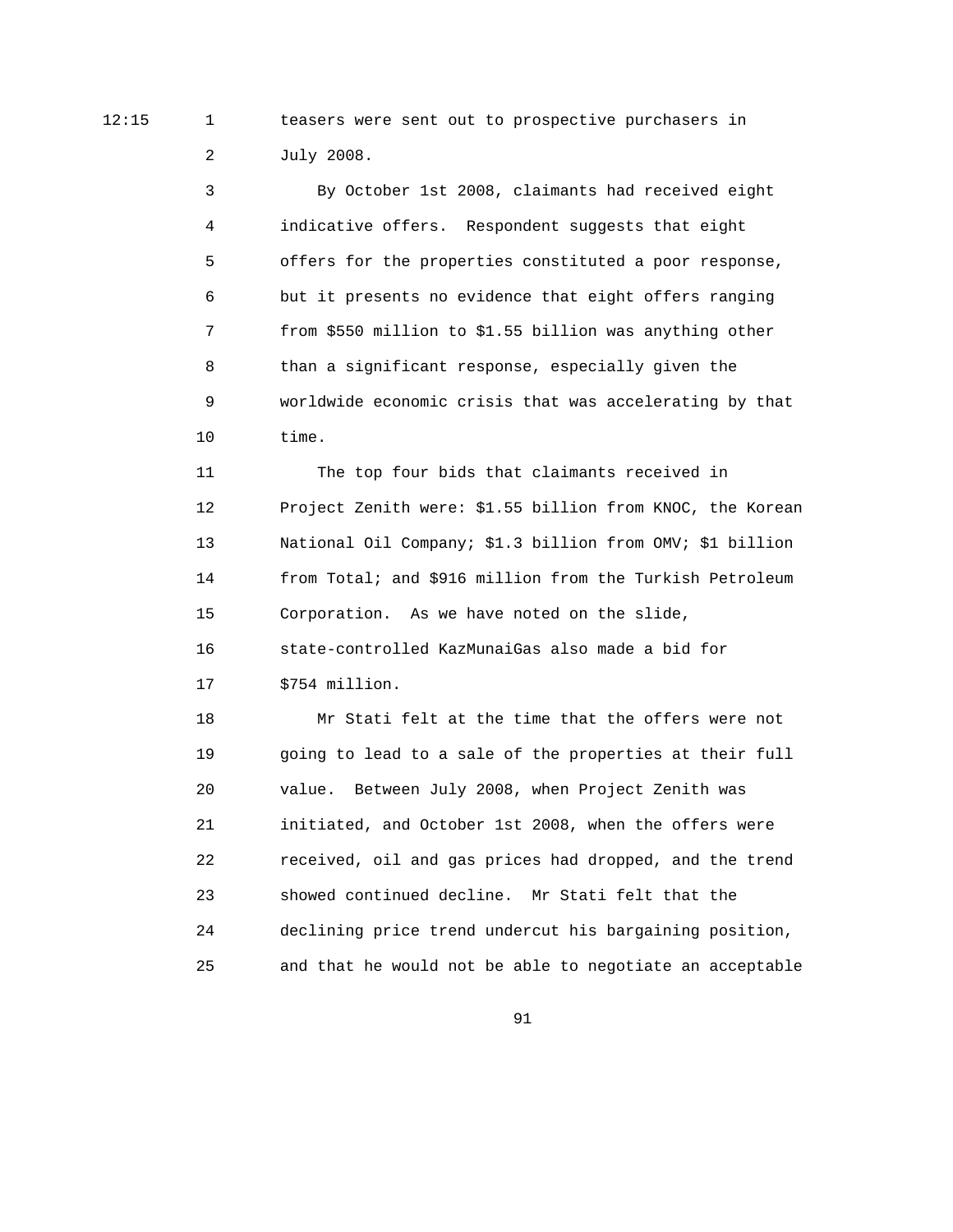12:15 1 teasers were sent out to prospective purchasers in 2 July 2008.

> 3 By October 1st 2008, claimants had received eight 4 indicative offers. Respondent suggests that eight 5 offers for the properties constituted a poor response, 6 but it presents no evidence that eight offers ranging 7 from \$550 million to \$1.55 billion was anything other 8 than a significant response, especially given the 9 worldwide economic crisis that was accelerating by that 10 time.

 11 The top four bids that claimants received in 12 Project Zenith were: \$1.55 billion from KNOC, the Korean 13 National Oil Company; \$1.3 billion from OMV; \$1 billion 14 from Total; and \$916 million from the Turkish Petroleum 15 Corporation. As we have noted on the slide, 16 state-controlled KazMunaiGas also made a bid for 17 \$754 million.

 18 Mr Stati felt at the time that the offers were not 19 going to lead to a sale of the properties at their full 20 value. Between July 2008, when Project Zenith was 21 initiated, and October 1st 2008, when the offers were 22 received, oil and gas prices had dropped, and the trend 23 showed continued decline. Mr Stati felt that the 24 declining price trend undercut his bargaining position, 25 and that he would not be able to negotiate an acceptable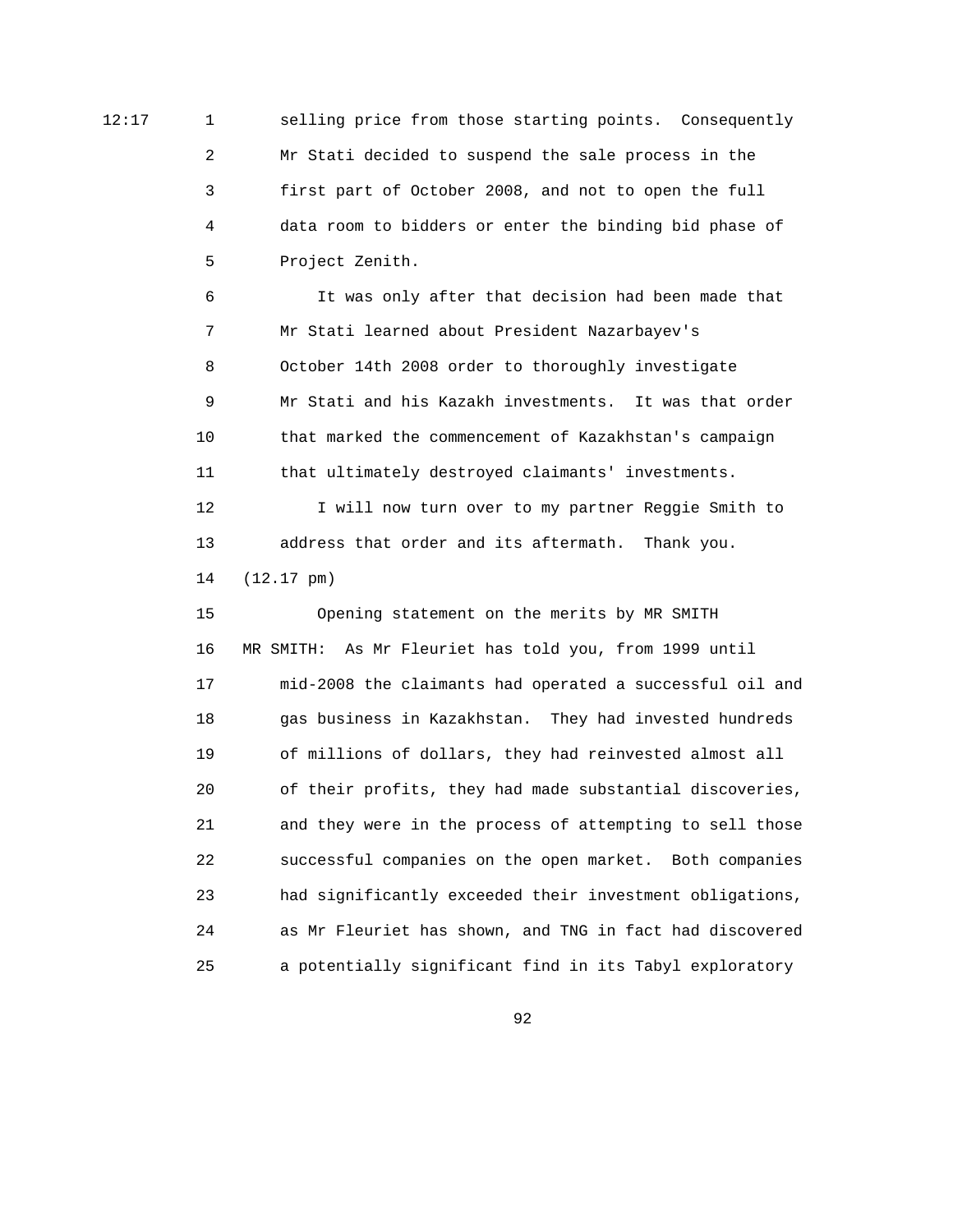12:17 1 selling price from those starting points. Consequently 2 Mr Stati decided to suspend the sale process in the 3 first part of October 2008, and not to open the full 4 data room to bidders or enter the binding bid phase of 5 Project Zenith.

> 6 It was only after that decision had been made that 7 Mr Stati learned about President Nazarbayev's 8 October 14th 2008 order to thoroughly investigate 9 Mr Stati and his Kazakh investments. It was that order 10 that marked the commencement of Kazakhstan's campaign 11 that ultimately destroyed claimants' investments.

12 I will now turn over to my partner Reggie Smith to 13 address that order and its aftermath. Thank you. 14 (12.17 pm)

 15 Opening statement on the merits by MR SMITH 16 MR SMITH: As Mr Fleuriet has told you, from 1999 until 17 mid-2008 the claimants had operated a successful oil and 18 gas business in Kazakhstan. They had invested hundreds 19 of millions of dollars, they had reinvested almost all 20 of their profits, they had made substantial discoveries, 21 and they were in the process of attempting to sell those 22 successful companies on the open market. Both companies 23 had significantly exceeded their investment obligations, 24 as Mr Fleuriet has shown, and TNG in fact had discovered 25 a potentially significant find in its Tabyl exploratory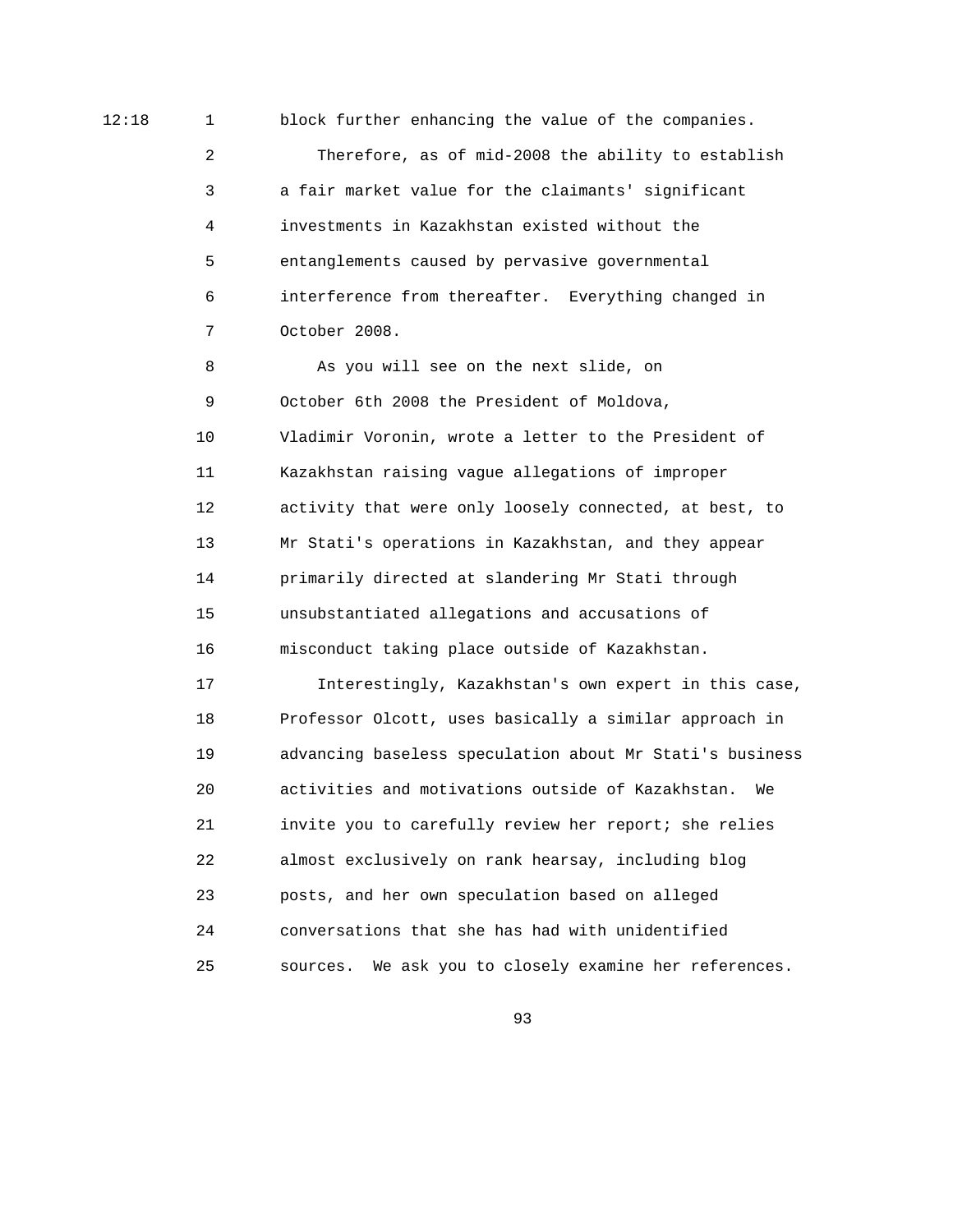12:18 1 block further enhancing the value of the companies.

 2 Therefore, as of mid-2008 the ability to establish 3 a fair market value for the claimants' significant 4 investments in Kazakhstan existed without the 5 entanglements caused by pervasive governmental 6 interference from thereafter. Everything changed in 7 October 2008.

 8 As you will see on the next slide, on 9 October 6th 2008 the President of Moldova, 10 Vladimir Voronin, wrote a letter to the President of 11 Kazakhstan raising vague allegations of improper 12 activity that were only loosely connected, at best, to 13 Mr Stati's operations in Kazakhstan, and they appear 14 primarily directed at slandering Mr Stati through 15 unsubstantiated allegations and accusations of 16 misconduct taking place outside of Kazakhstan.

 17 Interestingly, Kazakhstan's own expert in this case, 18 Professor Olcott, uses basically a similar approach in 19 advancing baseless speculation about Mr Stati's business 20 activities and motivations outside of Kazakhstan. We 21 invite you to carefully review her report; she relies 22 almost exclusively on rank hearsay, including blog 23 posts, and her own speculation based on alleged 24 conversations that she has had with unidentified 25 sources. We ask you to closely examine her references.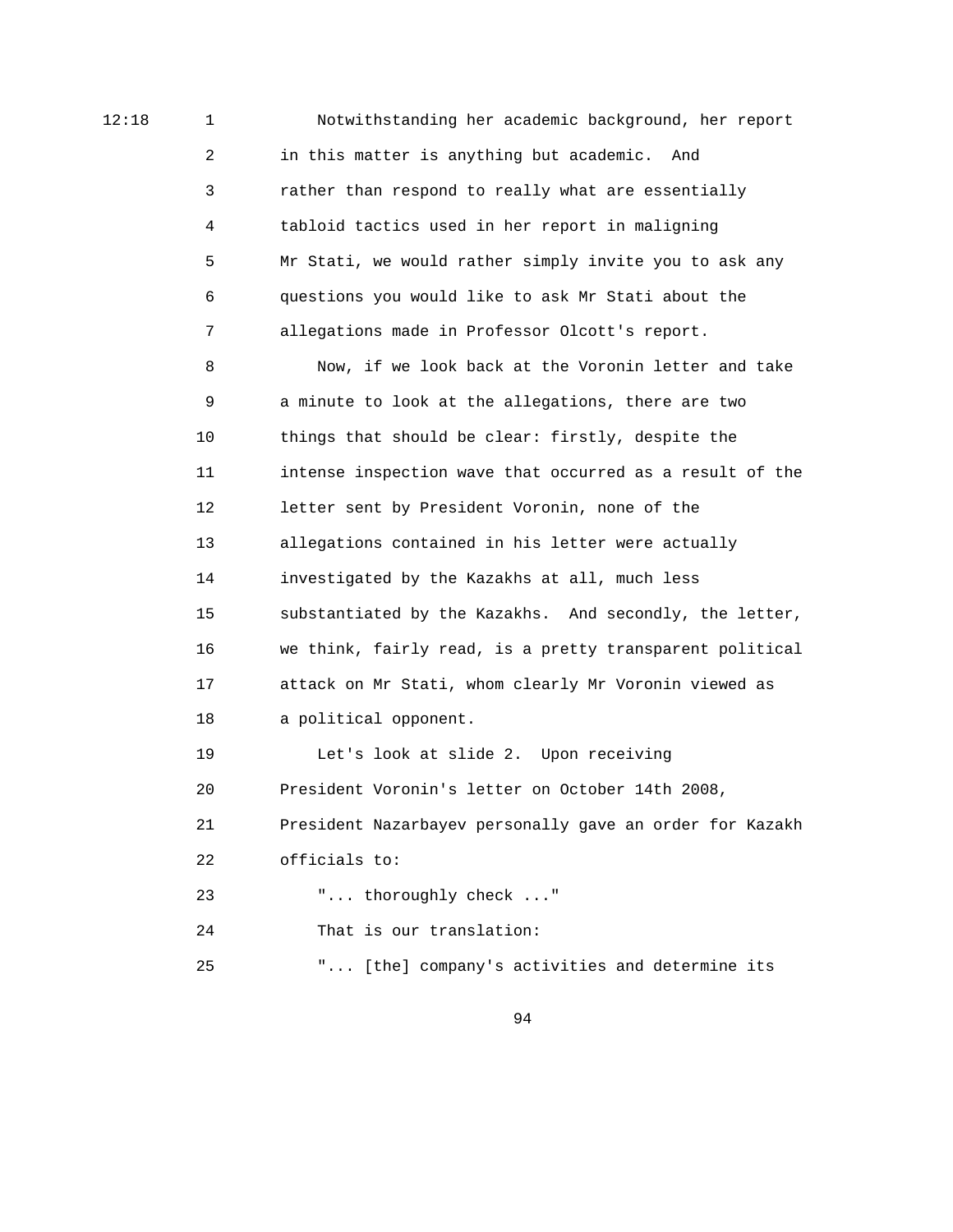12:18 1 Notwithstanding her academic background, her report 2 in this matter is anything but academic. And 3 rather than respond to really what are essentially 4 tabloid tactics used in her report in maligning 5 Mr Stati, we would rather simply invite you to ask any 6 questions you would like to ask Mr Stati about the 7 allegations made in Professor Olcott's report.

> 8 Now, if we look back at the Voronin letter and take 9 a minute to look at the allegations, there are two 10 things that should be clear: firstly, despite the 11 intense inspection wave that occurred as a result of the 12 letter sent by President Voronin, none of the 13 allegations contained in his letter were actually 14 investigated by the Kazakhs at all, much less 15 substantiated by the Kazakhs. And secondly, the letter, 16 we think, fairly read, is a pretty transparent political 17 attack on Mr Stati, whom clearly Mr Voronin viewed as 18 a political opponent.

> 19 Let's look at slide 2. Upon receiving 20 President Voronin's letter on October 14th 2008, 21 President Nazarbayev personally gave an order for Kazakh 22 officials to:

23 "... thoroughly check ..."

24 That is our translation:

25 "... [the] company's activities and determine its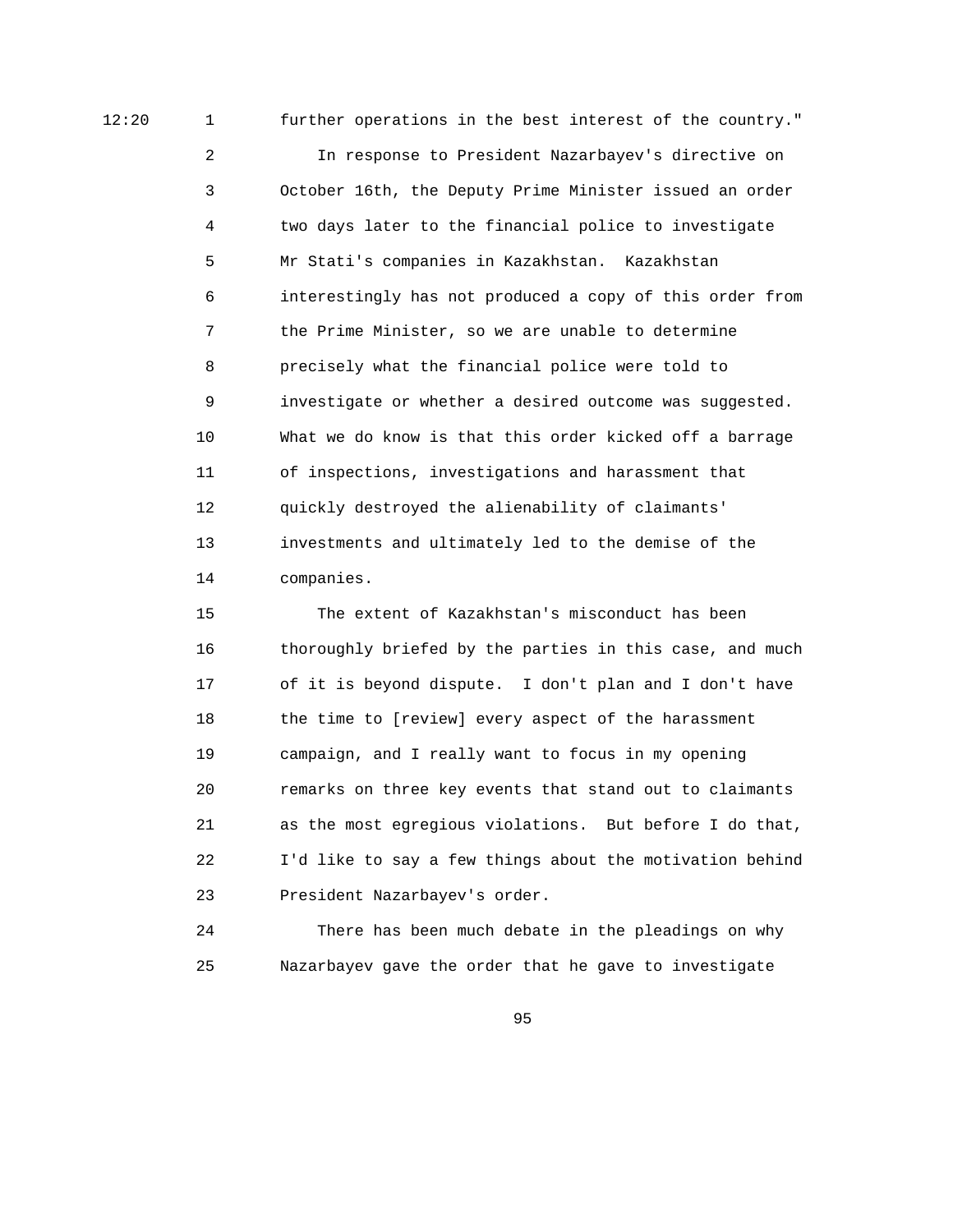12:20 1 further operations in the best interest of the country." 2 In response to President Nazarbayev's directive on 3 October 16th, the Deputy Prime Minister issued an order

> 4 two days later to the financial police to investigate 5 Mr Stati's companies in Kazakhstan. Kazakhstan 6 interestingly has not produced a copy of this order from 7 the Prime Minister, so we are unable to determine 8 precisely what the financial police were told to 9 investigate or whether a desired outcome was suggested. 10 What we do know is that this order kicked off a barrage 11 of inspections, investigations and harassment that 12 quickly destroyed the alienability of claimants' 13 investments and ultimately led to the demise of the 14 companies.

> 15 The extent of Kazakhstan's misconduct has been 16 thoroughly briefed by the parties in this case, and much 17 of it is beyond dispute. I don't plan and I don't have 18 the time to [review] every aspect of the harassment 19 campaign, and I really want to focus in my opening 20 remarks on three key events that stand out to claimants 21 as the most egregious violations. But before I do that, 22 I'd like to say a few things about the motivation behind 23 President Nazarbayev's order.

 24 There has been much debate in the pleadings on why 25 Nazarbayev gave the order that he gave to investigate

<u>95 and the state of the state of the state of the state of the state of the state of the state of the state of the state of the state of the state of the state of the state of the state of the state of the state of the st</u>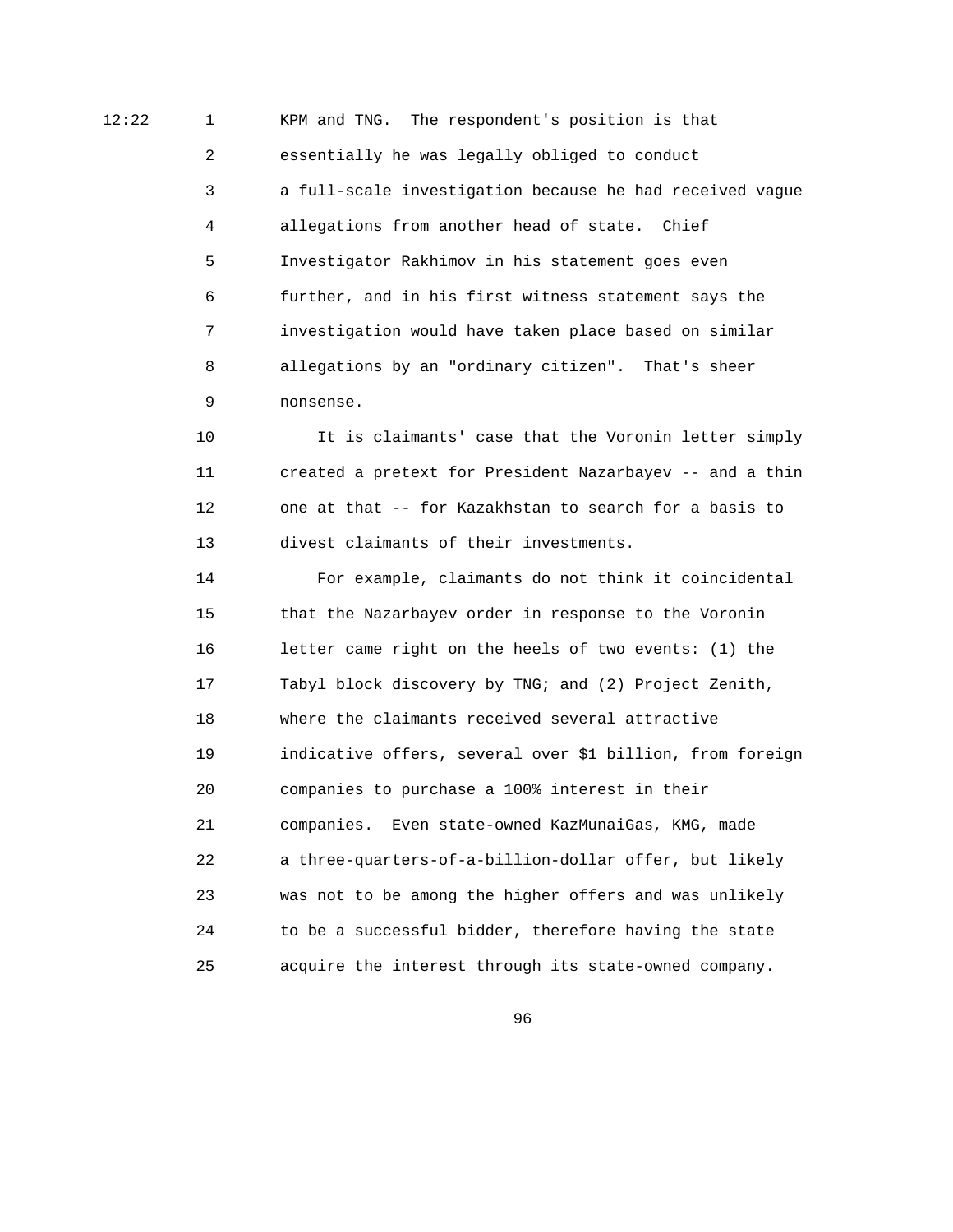12:22 1 KPM and TNG. The respondent's position is that 2 essentially he was legally obliged to conduct 3 a full-scale investigation because he had received vague 4 allegations from another head of state. Chief 5 Investigator Rakhimov in his statement goes even 6 further, and in his first witness statement says the 7 investigation would have taken place based on similar 8 allegations by an "ordinary citizen". That's sheer 9 nonsense.

> 10 It is claimants' case that the Voronin letter simply 11 created a pretext for President Nazarbayev -- and a thin 12 one at that -- for Kazakhstan to search for a basis to 13 divest claimants of their investments.

> 14 For example, claimants do not think it coincidental 15 that the Nazarbayev order in response to the Voronin 16 letter came right on the heels of two events: (1) the 17 Tabyl block discovery by TNG; and (2) Project Zenith, 18 where the claimants received several attractive 19 indicative offers, several over \$1 billion, from foreign 20 companies to purchase a 100% interest in their 21 companies. Even state-owned KazMunaiGas, KMG, made 22 a three-quarters-of-a-billion-dollar offer, but likely 23 was not to be among the higher offers and was unlikely 24 to be a successful bidder, therefore having the state 25 acquire the interest through its state-owned company.

<u>96 and 2001 and 2001 and 2001 and 2001 and 2001 and 2001 and 2001 and 2001 and 2001 and 2001 and 2001 and 200</u>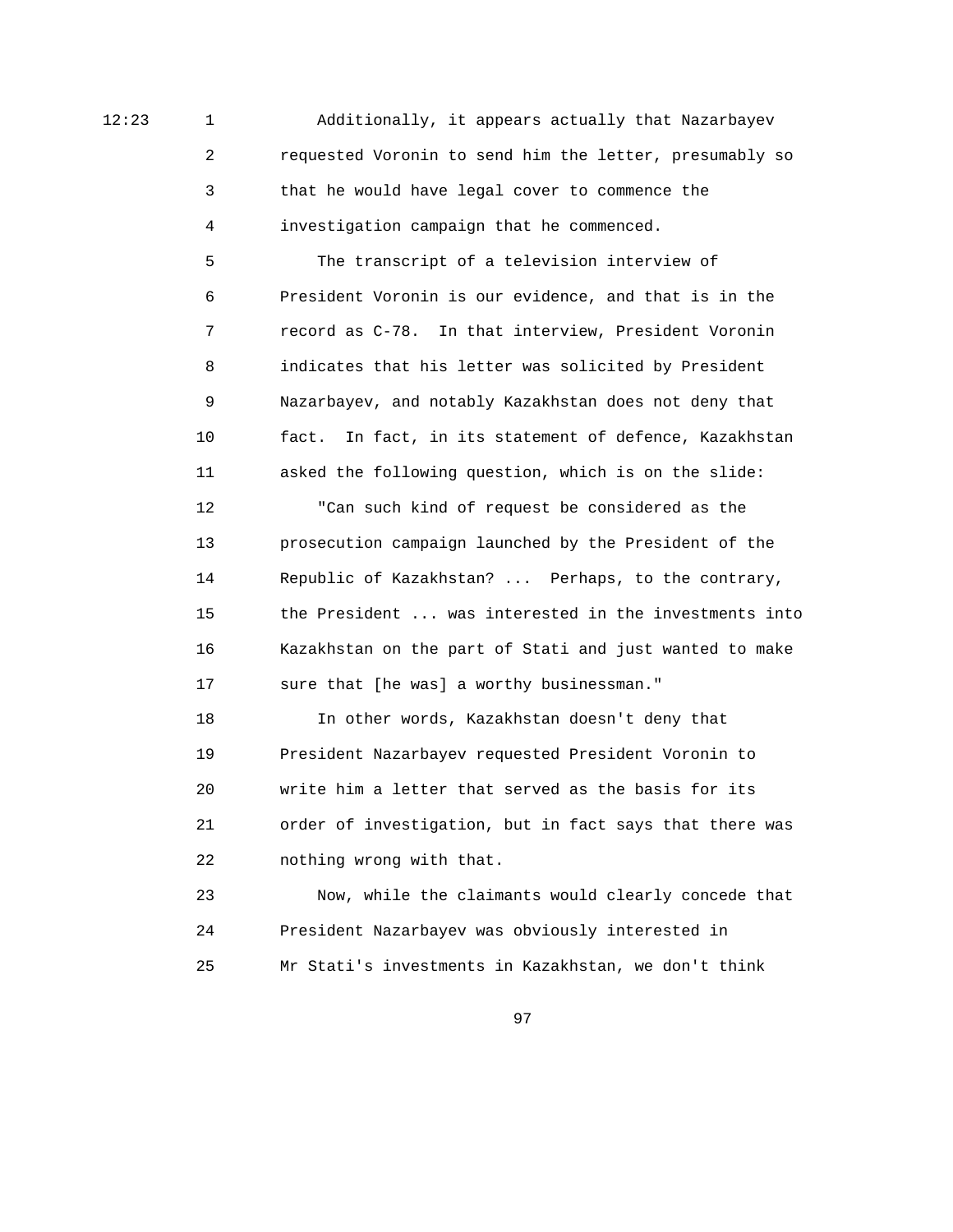12:23 1 Additionally, it appears actually that Nazarbayev 2 requested Voronin to send him the letter, presumably so 3 that he would have legal cover to commence the 4 investigation campaign that he commenced.

> 5 The transcript of a television interview of 6 President Voronin is our evidence, and that is in the 7 record as C-78. In that interview, President Voronin 8 indicates that his letter was solicited by President 9 Nazarbayev, and notably Kazakhstan does not deny that 10 fact. In fact, in its statement of defence, Kazakhstan 11 asked the following question, which is on the slide:

 12 "Can such kind of request be considered as the 13 prosecution campaign launched by the President of the 14 Republic of Kazakhstan? ... Perhaps, to the contrary, 15 the President ... was interested in the investments into 16 Kazakhstan on the part of Stati and just wanted to make 17 sure that [he was] a worthy businessman."

 18 In other words, Kazakhstan doesn't deny that 19 President Nazarbayev requested President Voronin to 20 write him a letter that served as the basis for its 21 order of investigation, but in fact says that there was 22 nothing wrong with that.

 23 Now, while the claimants would clearly concede that 24 President Nazarbayev was obviously interested in 25 Mr Stati's investments in Kazakhstan, we don't think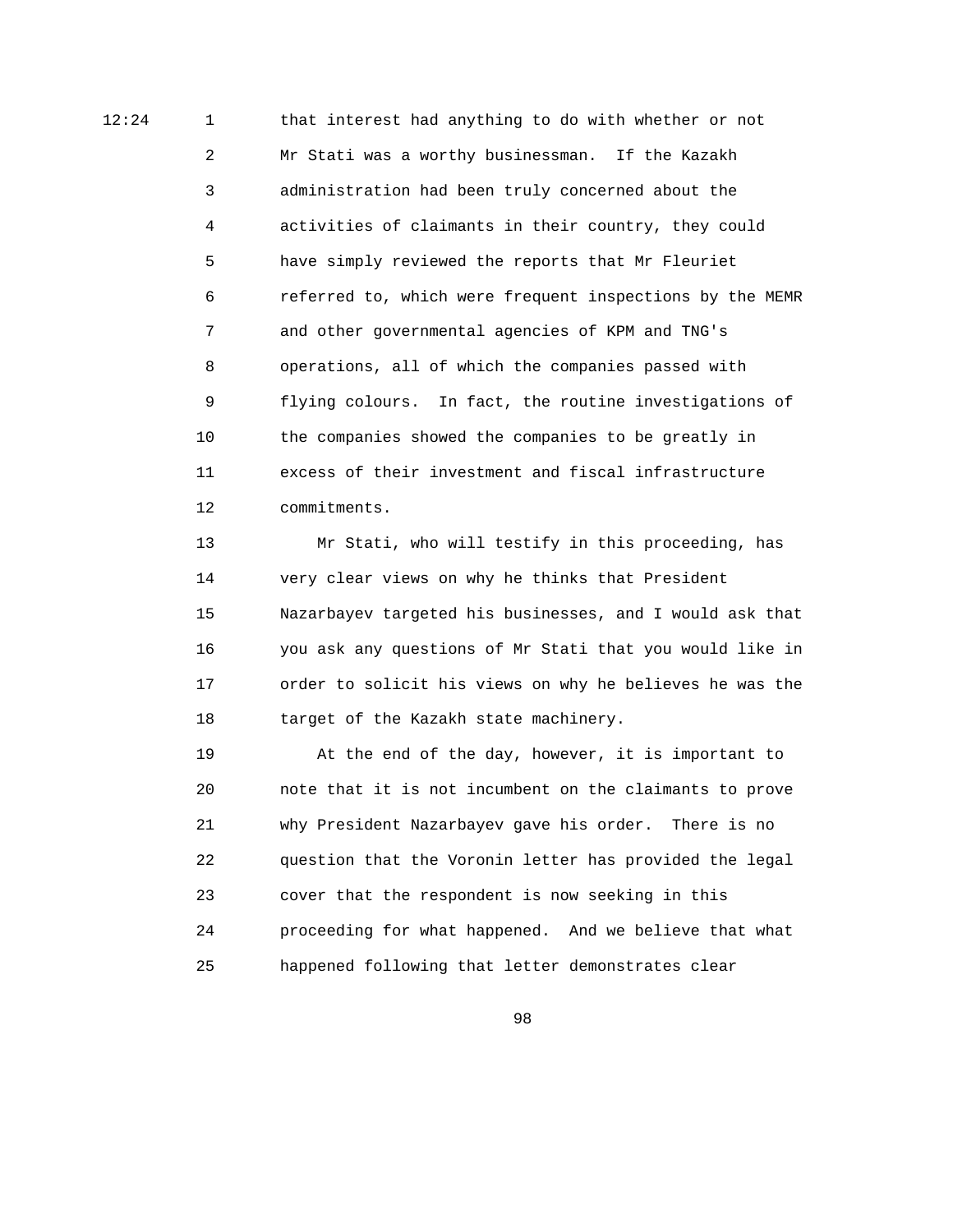12:24 1 that interest had anything to do with whether or not 2 Mr Stati was a worthy businessman. If the Kazakh 3 administration had been truly concerned about the 4 activities of claimants in their country, they could 5 have simply reviewed the reports that Mr Fleuriet 6 referred to, which were frequent inspections by the MEMR 7 and other governmental agencies of KPM and TNG's 8 operations, all of which the companies passed with 9 flying colours. In fact, the routine investigations of 10 the companies showed the companies to be greatly in 11 excess of their investment and fiscal infrastructure 12 commitments.

> 13 Mr Stati, who will testify in this proceeding, has 14 very clear views on why he thinks that President 15 Nazarbayev targeted his businesses, and I would ask that 16 you ask any questions of Mr Stati that you would like in 17 order to solicit his views on why he believes he was the 18 target of the Kazakh state machinery.

 19 At the end of the day, however, it is important to 20 note that it is not incumbent on the claimants to prove 21 why President Nazarbayev gave his order. There is no 22 question that the Voronin letter has provided the legal 23 cover that the respondent is now seeking in this 24 proceeding for what happened. And we believe that what 25 happened following that letter demonstrates clear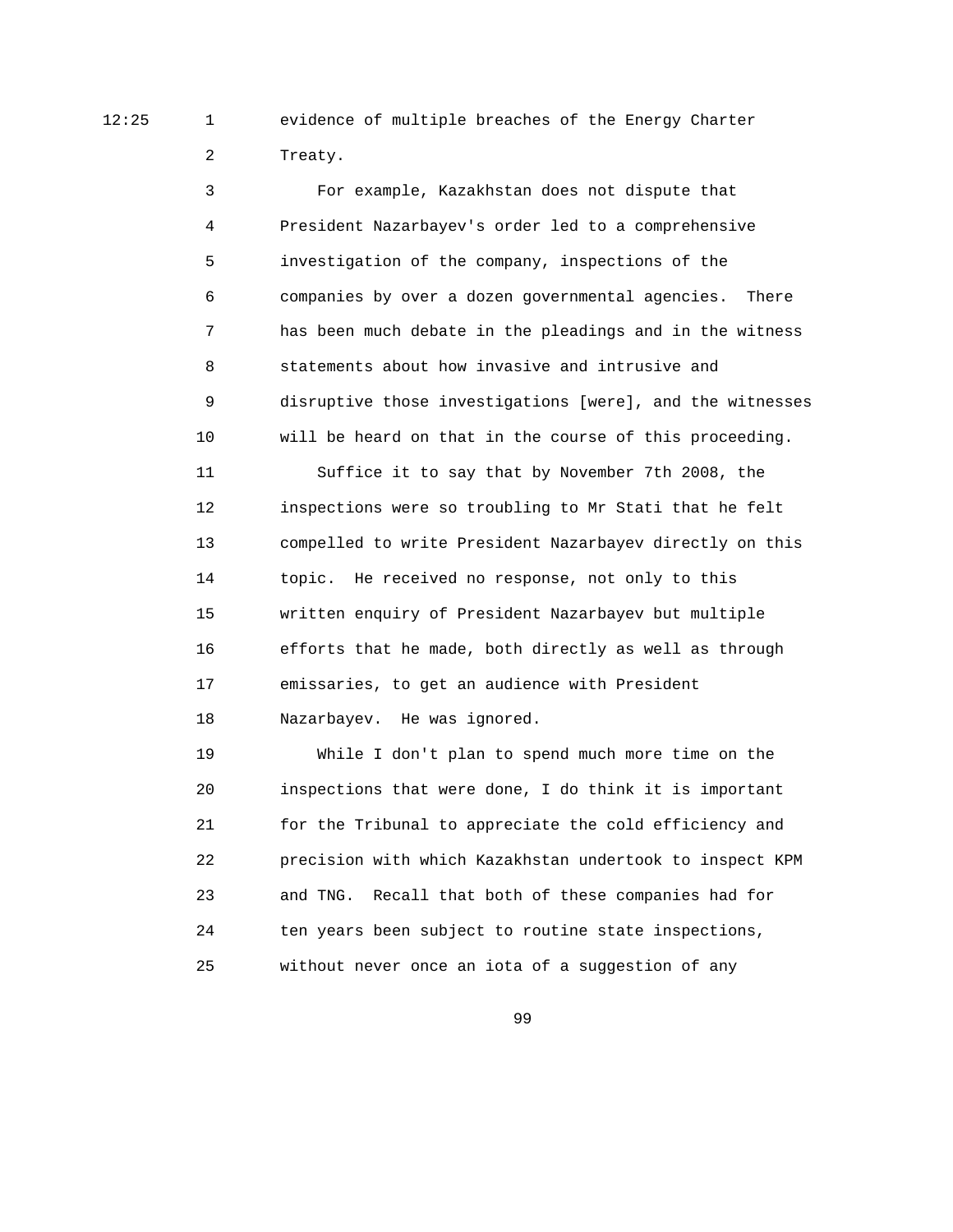12:25 1 evidence of multiple breaches of the Energy Charter 2 Treaty.

> 3 For example, Kazakhstan does not dispute that 4 President Nazarbayev's order led to a comprehensive 5 investigation of the company, inspections of the 6 companies by over a dozen governmental agencies. There 7 has been much debate in the pleadings and in the witness 8 statements about how invasive and intrusive and 9 disruptive those investigations [were], and the witnesses 10 will be heard on that in the course of this proceeding.

 11 Suffice it to say that by November 7th 2008, the 12 inspections were so troubling to Mr Stati that he felt 13 compelled to write President Nazarbayev directly on this 14 topic. He received no response, not only to this 15 written enquiry of President Nazarbayev but multiple 16 efforts that he made, both directly as well as through 17 emissaries, to get an audience with President 18 Nazarbayev. He was ignored.

 19 While I don't plan to spend much more time on the 20 inspections that were done, I do think it is important 21 for the Tribunal to appreciate the cold efficiency and 22 precision with which Kazakhstan undertook to inspect KPM 23 and TNG. Recall that both of these companies had for 24 ten years been subject to routine state inspections, 25 without never once an iota of a suggestion of any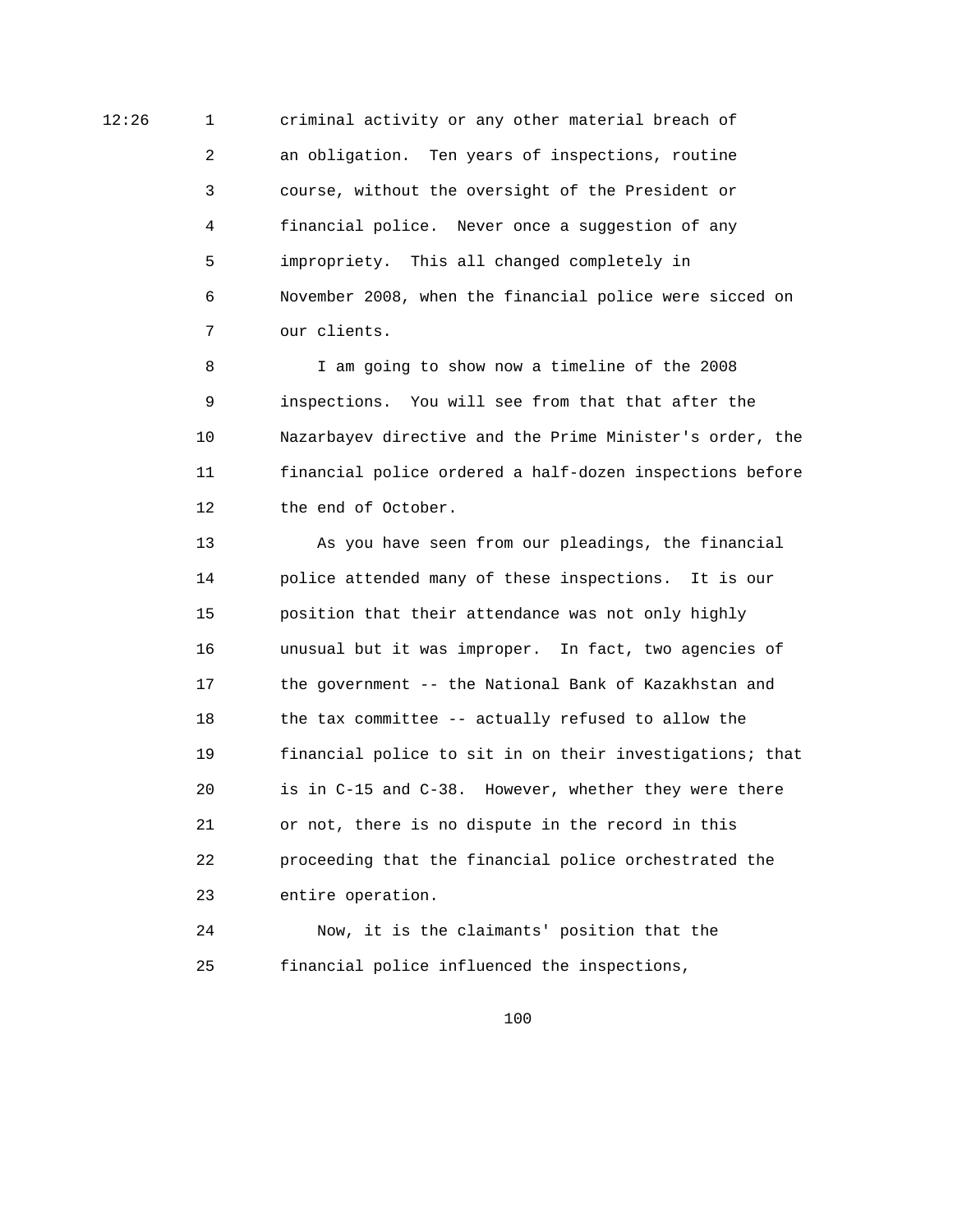12:26 1 criminal activity or any other material breach of 2 an obligation. Ten years of inspections, routine 3 course, without the oversight of the President or 4 financial police. Never once a suggestion of any 5 impropriety. This all changed completely in 6 November 2008, when the financial police were sicced on 7 our clients.

> 8 I am going to show now a timeline of the 2008 9 inspections. You will see from that that after the 10 Nazarbayev directive and the Prime Minister's order, the 11 financial police ordered a half-dozen inspections before 12 the end of October.

> 13 As you have seen from our pleadings, the financial 14 police attended many of these inspections. It is our 15 position that their attendance was not only highly 16 unusual but it was improper. In fact, two agencies of 17 the government -- the National Bank of Kazakhstan and 18 the tax committee -- actually refused to allow the 19 financial police to sit in on their investigations; that 20 is in C-15 and C-38. However, whether they were there 21 or not, there is no dispute in the record in this 22 proceeding that the financial police orchestrated the 23 entire operation.

 24 Now, it is the claimants' position that the 25 financial police influenced the inspections,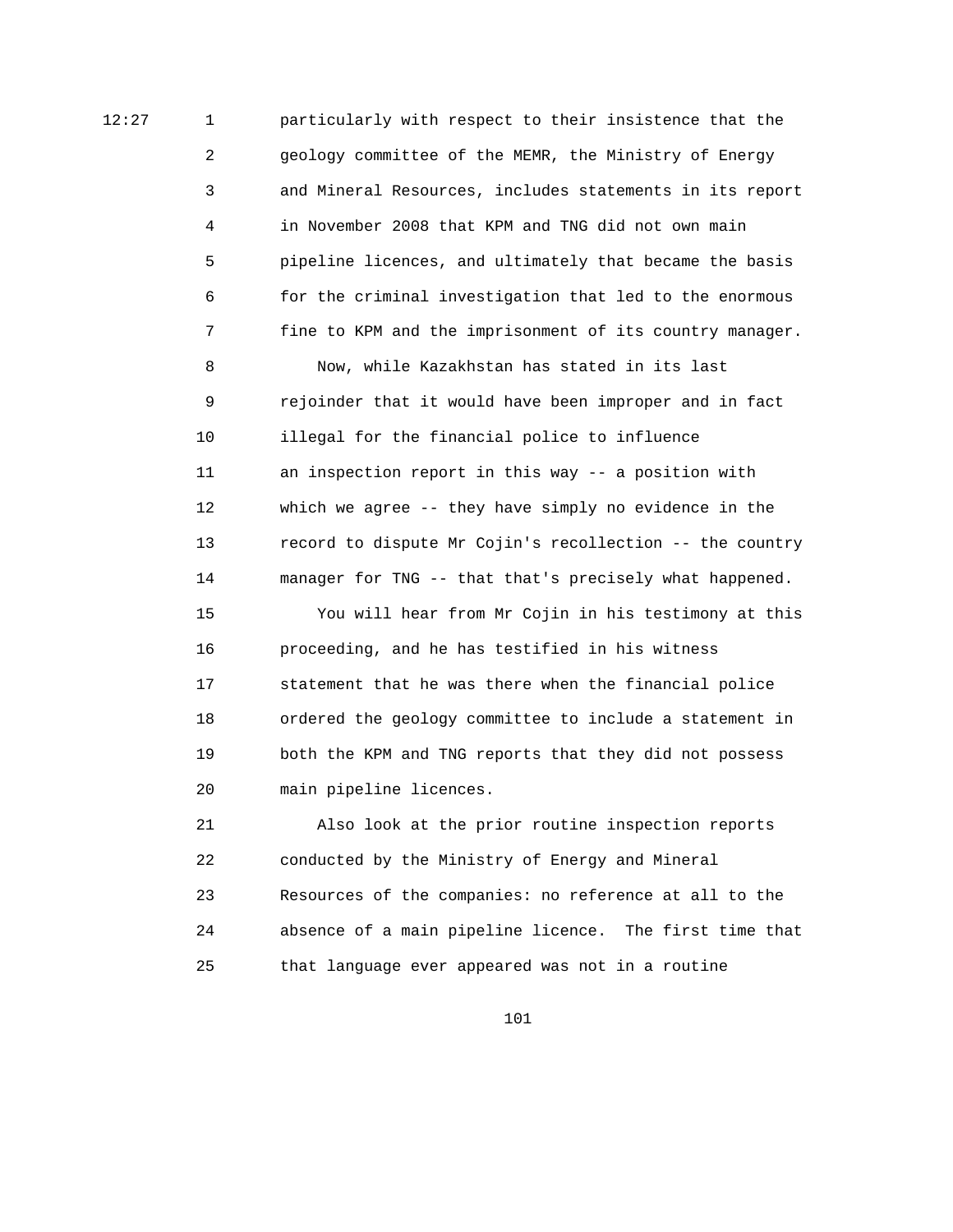12:27 1 particularly with respect to their insistence that the 2 geology committee of the MEMR, the Ministry of Energy 3 and Mineral Resources, includes statements in its report 4 in November 2008 that KPM and TNG did not own main 5 pipeline licences, and ultimately that became the basis 6 for the criminal investigation that led to the enormous 7 fine to KPM and the imprisonment of its country manager.

> 8 Now, while Kazakhstan has stated in its last 9 rejoinder that it would have been improper and in fact 10 illegal for the financial police to influence 11 an inspection report in this way -- a position with 12 which we agree -- they have simply no evidence in the 13 record to dispute Mr Cojin's recollection -- the country 14 manager for TNG -- that that's precisely what happened.

> 15 You will hear from Mr Cojin in his testimony at this 16 proceeding, and he has testified in his witness 17 statement that he was there when the financial police 18 ordered the geology committee to include a statement in 19 both the KPM and TNG reports that they did not possess 20 main pipeline licences.

> 21 Also look at the prior routine inspection reports 22 conducted by the Ministry of Energy and Mineral 23 Resources of the companies: no reference at all to the 24 absence of a main pipeline licence. The first time that 25 that language ever appeared was not in a routine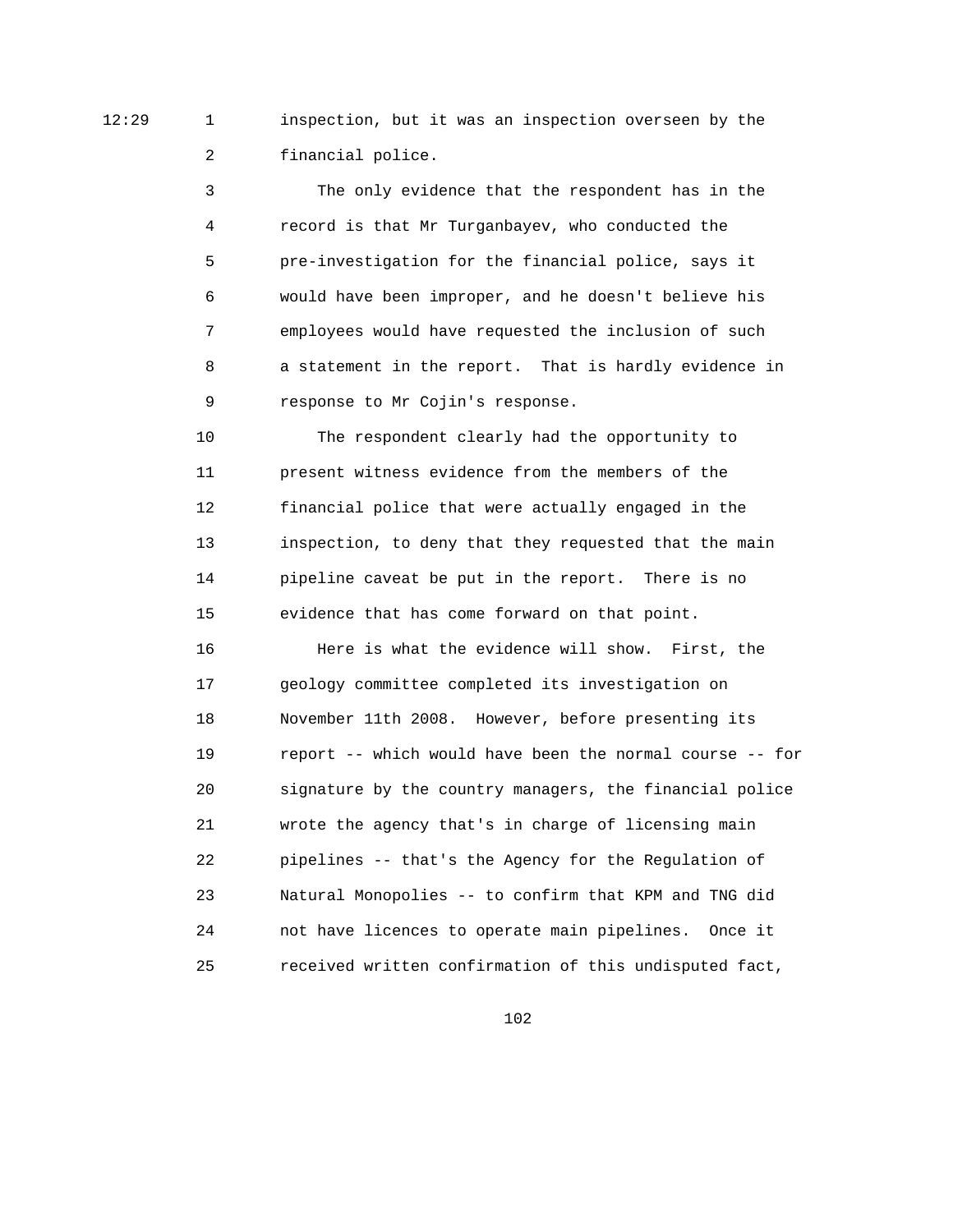12:29 1 inspection, but it was an inspection overseen by the 2 financial police.

> 3 The only evidence that the respondent has in the 4 record is that Mr Turganbayev, who conducted the 5 pre-investigation for the financial police, says it 6 would have been improper, and he doesn't believe his 7 employees would have requested the inclusion of such 8 a statement in the report. That is hardly evidence in 9 response to Mr Cojin's response.

 10 The respondent clearly had the opportunity to 11 present witness evidence from the members of the 12 financial police that were actually engaged in the 13 inspection, to deny that they requested that the main 14 pipeline caveat be put in the report. There is no 15 evidence that has come forward on that point.

 16 Here is what the evidence will show. First, the 17 geology committee completed its investigation on 18 November 11th 2008. However, before presenting its 19 report -- which would have been the normal course -- for 20 signature by the country managers, the financial police 21 wrote the agency that's in charge of licensing main 22 pipelines -- that's the Agency for the Regulation of 23 Natural Monopolies -- to confirm that KPM and TNG did 24 not have licences to operate main pipelines. Once it 25 received written confirmation of this undisputed fact,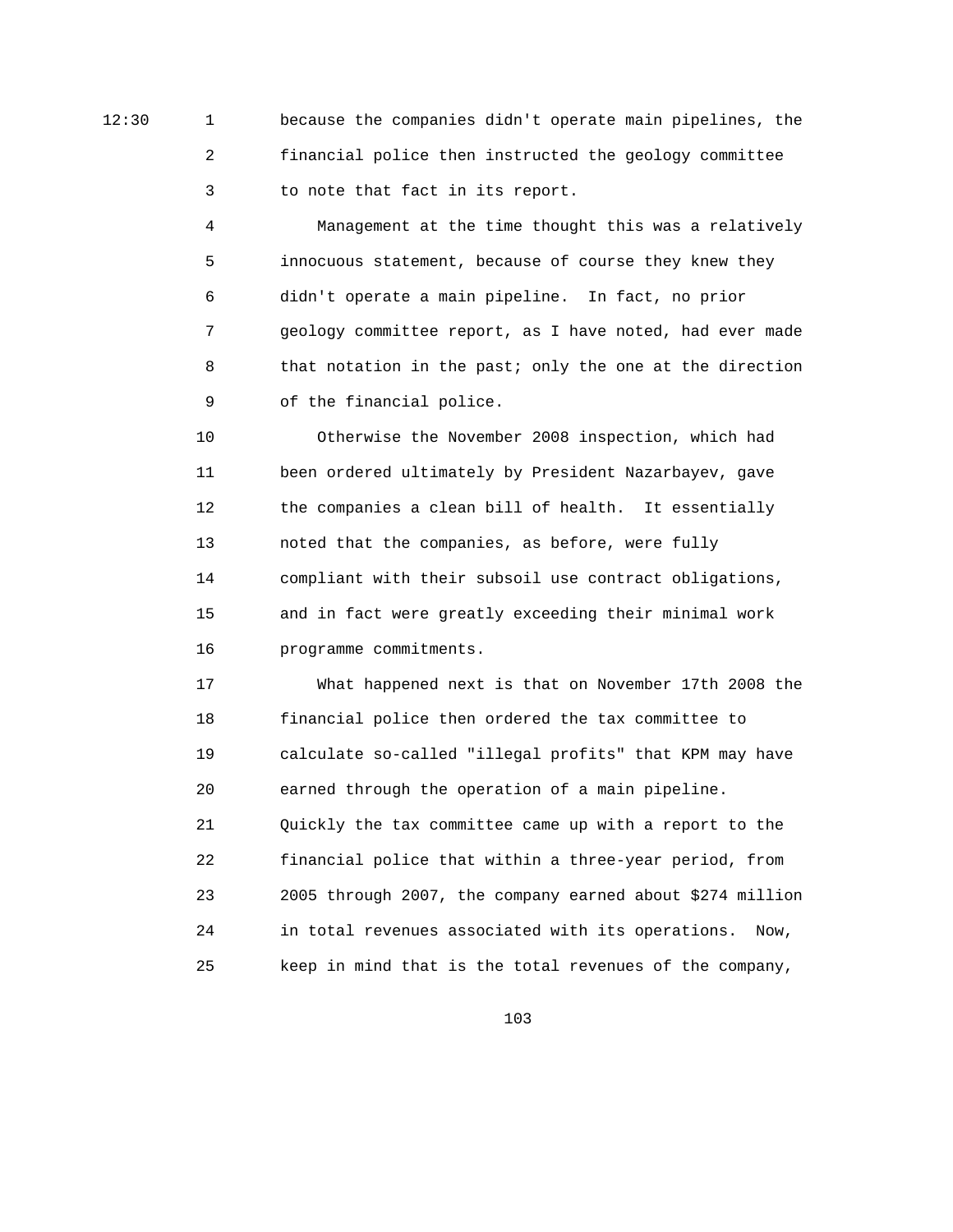12:30 1 because the companies didn't operate main pipelines, the 2 financial police then instructed the geology committee 3 to note that fact in its report.

> 4 Management at the time thought this was a relatively 5 innocuous statement, because of course they knew they 6 didn't operate a main pipeline. In fact, no prior 7 geology committee report, as I have noted, had ever made 8 that notation in the past; only the one at the direction 9 of the financial police.

 10 Otherwise the November 2008 inspection, which had 11 been ordered ultimately by President Nazarbayev, gave 12 the companies a clean bill of health. It essentially 13 noted that the companies, as before, were fully 14 compliant with their subsoil use contract obligations, 15 and in fact were greatly exceeding their minimal work 16 programme commitments.

 17 What happened next is that on November 17th 2008 the 18 financial police then ordered the tax committee to 19 calculate so-called "illegal profits" that KPM may have 20 earned through the operation of a main pipeline. 21 Quickly the tax committee came up with a report to the 22 financial police that within a three-year period, from 23 2005 through 2007, the company earned about \$274 million 24 in total revenues associated with its operations. Now, 25 keep in mind that is the total revenues of the company,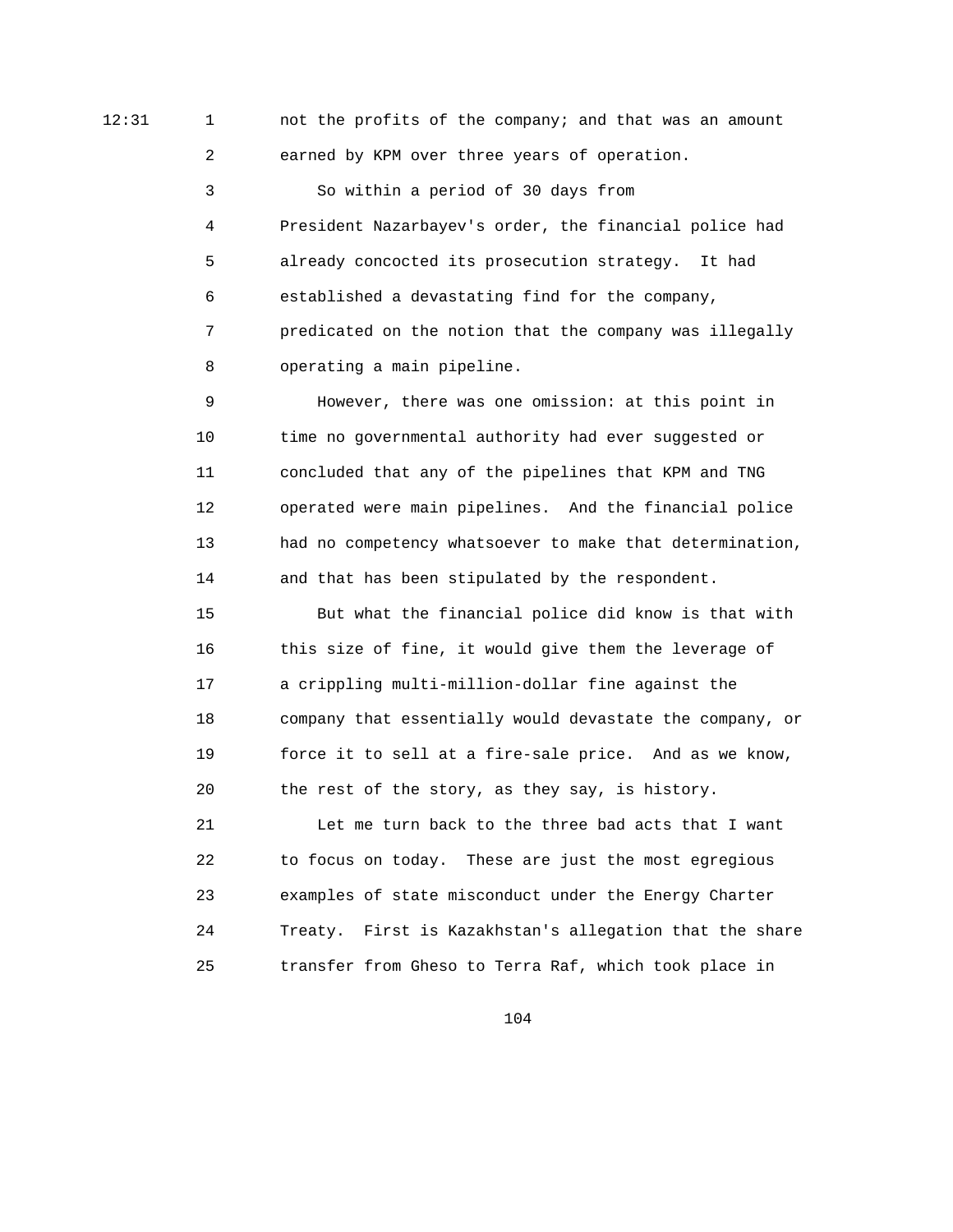12:31 1 1 1 not the profits of the company; and that was an amount 2 earned by KPM over three years of operation.

> 3 So within a period of 30 days from 4 President Nazarbayev's order, the financial police had 5 already concocted its prosecution strategy. It had 6 established a devastating find for the company, 7 predicated on the notion that the company was illegally 8 operating a main pipeline.

 9 However, there was one omission: at this point in 10 time no governmental authority had ever suggested or 11 concluded that any of the pipelines that KPM and TNG 12 operated were main pipelines. And the financial police 13 had no competency whatsoever to make that determination, 14 and that has been stipulated by the respondent.

 15 But what the financial police did know is that with 16 this size of fine, it would give them the leverage of 17 a crippling multi-million-dollar fine against the 18 company that essentially would devastate the company, or 19 force it to sell at a fire-sale price. And as we know, 20 the rest of the story, as they say, is history.

 21 Let me turn back to the three bad acts that I want 22 to focus on today. These are just the most egregious 23 examples of state misconduct under the Energy Charter 24 Treaty. First is Kazakhstan's allegation that the share 25 transfer from Gheso to Terra Raf, which took place in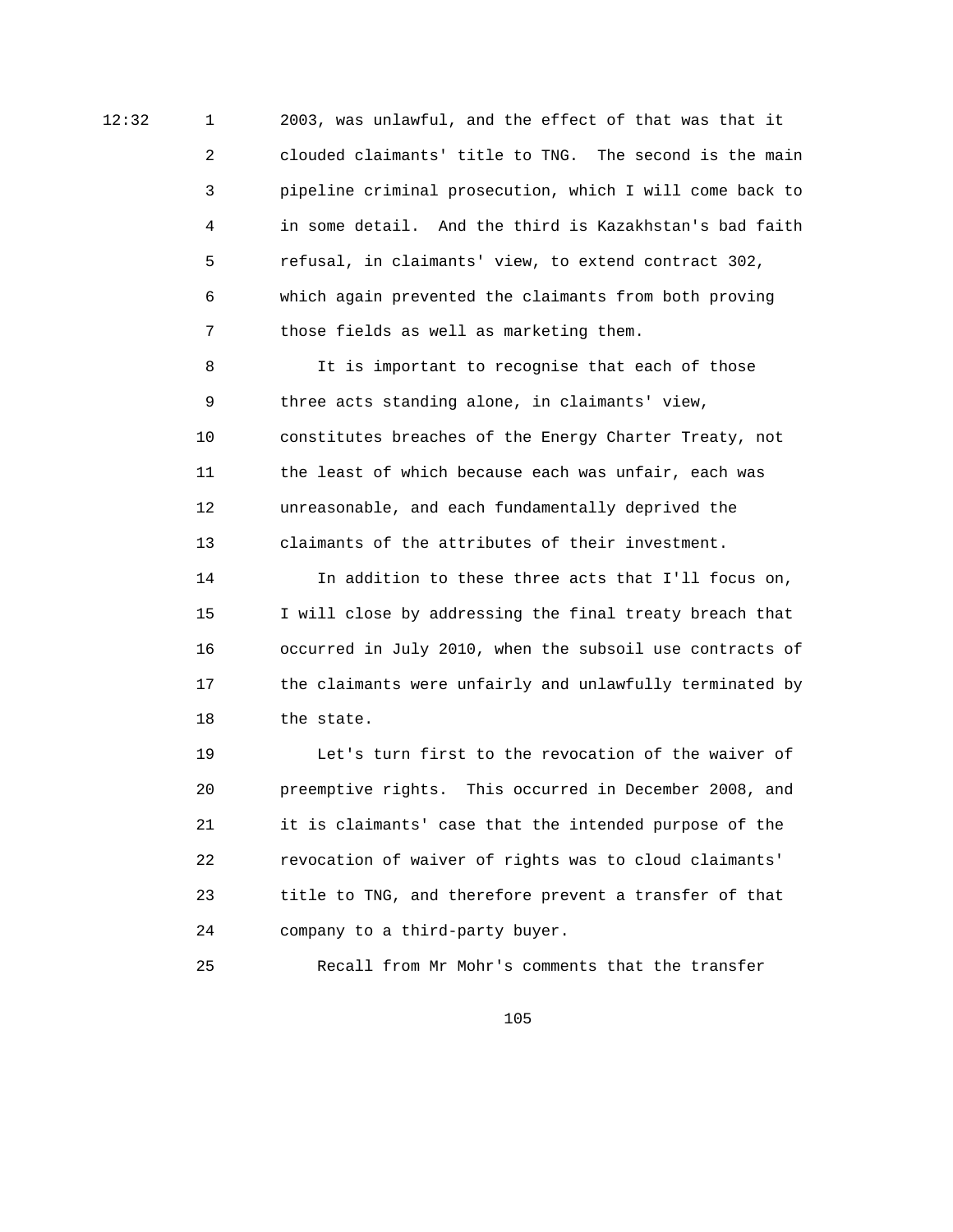12:32 1 2003, was unlawful, and the effect of that was that it 2 clouded claimants' title to TNG. The second is the main 3 pipeline criminal prosecution, which I will come back to 4 in some detail. And the third is Kazakhstan's bad faith 5 refusal, in claimants' view, to extend contract 302, 6 which again prevented the claimants from both proving 7 those fields as well as marketing them.

> 8 It is important to recognise that each of those 9 three acts standing alone, in claimants' view, 10 constitutes breaches of the Energy Charter Treaty, not 11 the least of which because each was unfair, each was 12 unreasonable, and each fundamentally deprived the 13 claimants of the attributes of their investment.

 14 In addition to these three acts that I'll focus on, 15 I will close by addressing the final treaty breach that 16 occurred in July 2010, when the subsoil use contracts of 17 the claimants were unfairly and unlawfully terminated by 18 the state.

 19 Let's turn first to the revocation of the waiver of 20 preemptive rights. This occurred in December 2008, and 21 it is claimants' case that the intended purpose of the 22 revocation of waiver of rights was to cloud claimants' 23 title to TNG, and therefore prevent a transfer of that 24 company to a third-party buyer.

25 Recall from Mr Mohr's comments that the transfer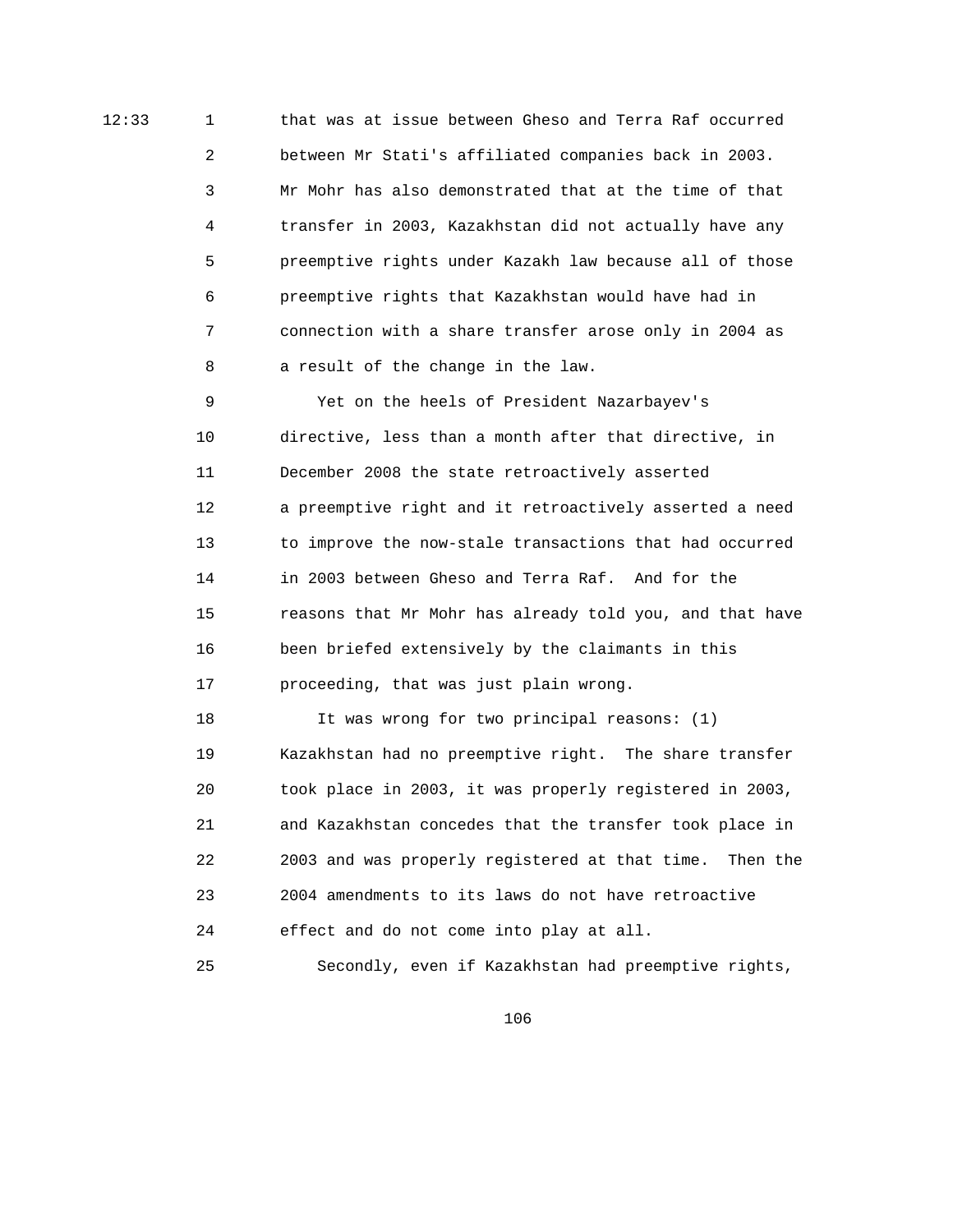12:33 1 that was at issue between Gheso and Terra Raf occurred 2 between Mr Stati's affiliated companies back in 2003. 3 Mr Mohr has also demonstrated that at the time of that 4 transfer in 2003, Kazakhstan did not actually have any 5 preemptive rights under Kazakh law because all of those 6 preemptive rights that Kazakhstan would have had in 7 connection with a share transfer arose only in 2004 as 8 a result of the change in the law.

> 9 Yet on the heels of President Nazarbayev's 10 directive, less than a month after that directive, in 11 December 2008 the state retroactively asserted 12 a preemptive right and it retroactively asserted a need 13 to improve the now-stale transactions that had occurred 14 in 2003 between Gheso and Terra Raf. And for the 15 reasons that Mr Mohr has already told you, and that have 16 been briefed extensively by the claimants in this 17 proceeding, that was just plain wrong.

> 18 It was wrong for two principal reasons: (1) 19 Kazakhstan had no preemptive right. The share transfer 20 took place in 2003, it was properly registered in 2003, 21 and Kazakhstan concedes that the transfer took place in 22 2003 and was properly registered at that time. Then the 23 2004 amendments to its laws do not have retroactive 24 effect and do not come into play at all. 25 Secondly, even if Kazakhstan had preemptive rights,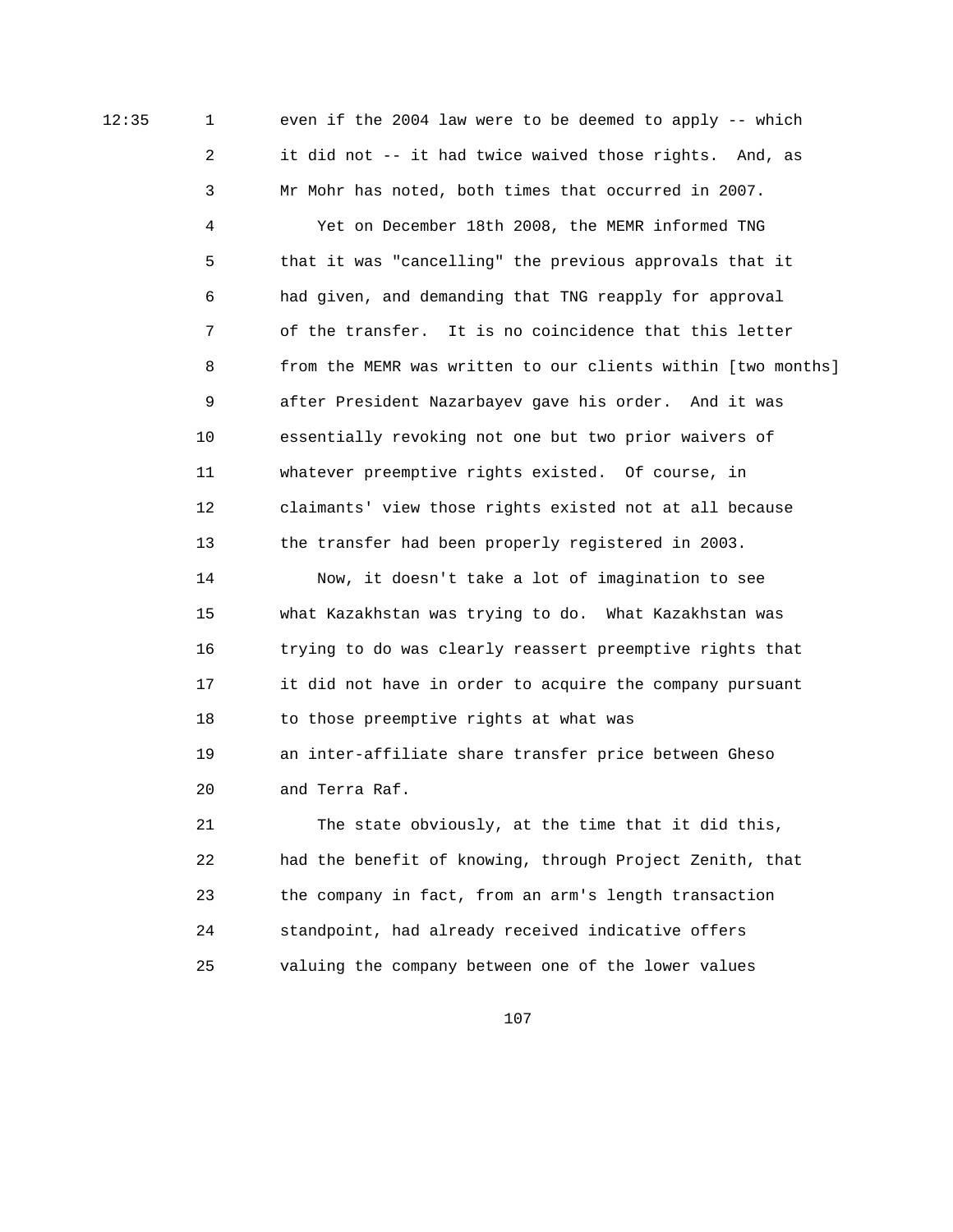12:35 1 even if the 2004 law were to be deemed to apply -- which 2 it did not -- it had twice waived those rights. And, as 3 Mr Mohr has noted, both times that occurred in 2007.

> 4 Yet on December 18th 2008, the MEMR informed TNG 5 that it was "cancelling" the previous approvals that it 6 had given, and demanding that TNG reapply for approval 7 of the transfer. It is no coincidence that this letter 8 from the MEMR was written to our clients within [two months] 9 after President Nazarbayev gave his order. And it was 10 essentially revoking not one but two prior waivers of 11 whatever preemptive rights existed. Of course, in 12 claimants' view those rights existed not at all because 13 the transfer had been properly registered in 2003.

 14 Now, it doesn't take a lot of imagination to see 15 what Kazakhstan was trying to do. What Kazakhstan was 16 trying to do was clearly reassert preemptive rights that 17 it did not have in order to acquire the company pursuant 18 to those preemptive rights at what was 19 an inter-affiliate share transfer price between Gheso 20 and Terra Raf.

 21 The state obviously, at the time that it did this, 22 had the benefit of knowing, through Project Zenith, that 23 the company in fact, from an arm's length transaction 24 standpoint, had already received indicative offers 25 valuing the company between one of the lower values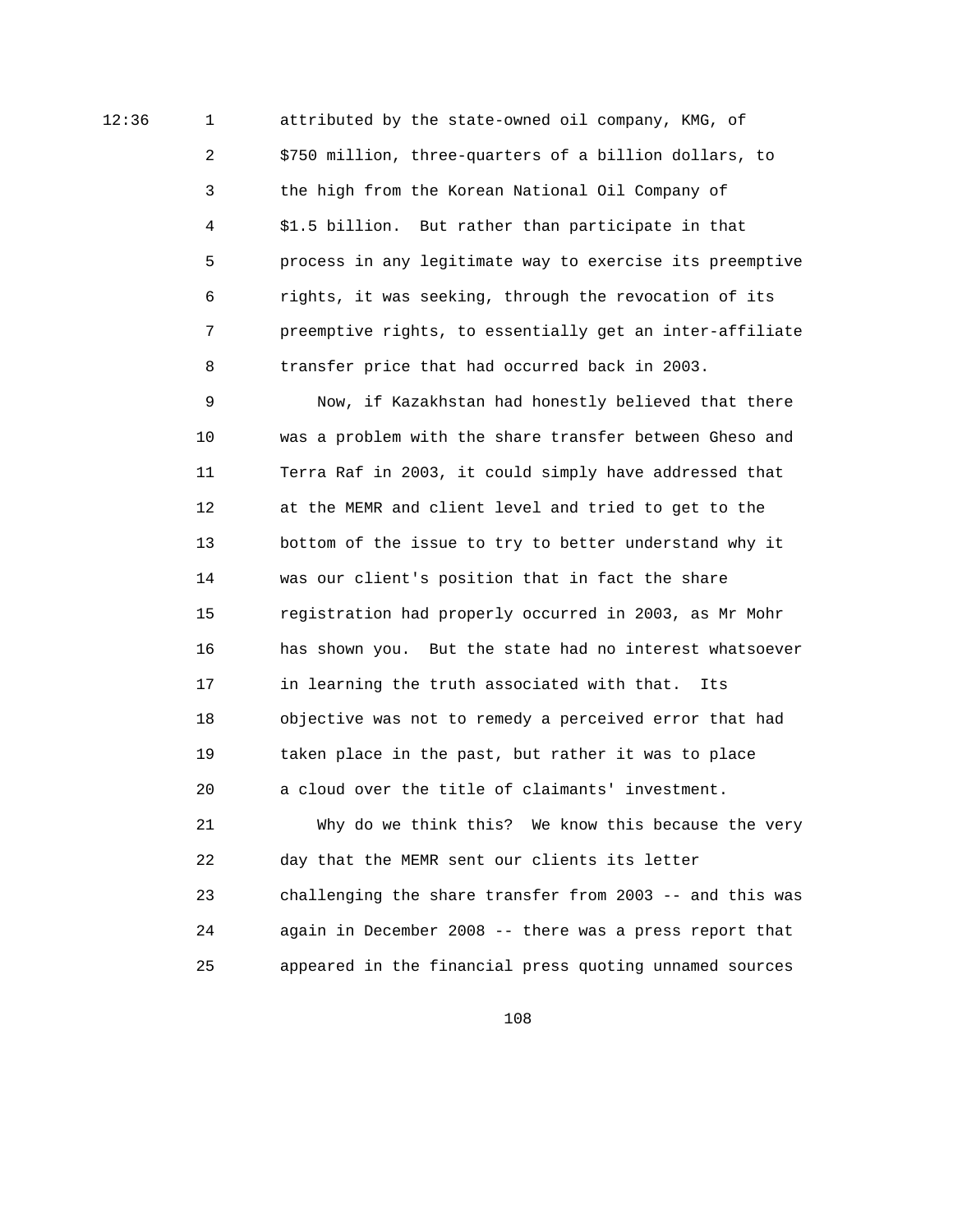12:36 1 attributed by the state-owned oil company, KMG, of 2 \$750 million, three-quarters of a billion dollars, to 3 the high from the Korean National Oil Company of 4 \$1.5 billion. But rather than participate in that 5 process in any legitimate way to exercise its preemptive 6 rights, it was seeking, through the revocation of its 7 preemptive rights, to essentially get an inter-affiliate 8 transfer price that had occurred back in 2003.

> 9 Now, if Kazakhstan had honestly believed that there 10 was a problem with the share transfer between Gheso and 11 Terra Raf in 2003, it could simply have addressed that 12 at the MEMR and client level and tried to get to the 13 bottom of the issue to try to better understand why it 14 was our client's position that in fact the share 15 registration had properly occurred in 2003, as Mr Mohr 16 has shown you. But the state had no interest whatsoever 17 in learning the truth associated with that. Its 18 objective was not to remedy a perceived error that had 19 taken place in the past, but rather it was to place 20 a cloud over the title of claimants' investment.

> 21 Why do we think this? We know this because the very 22 day that the MEMR sent our clients its letter 23 challenging the share transfer from 2003 -- and this was 24 again in December 2008 -- there was a press report that 25 appeared in the financial press quoting unnamed sources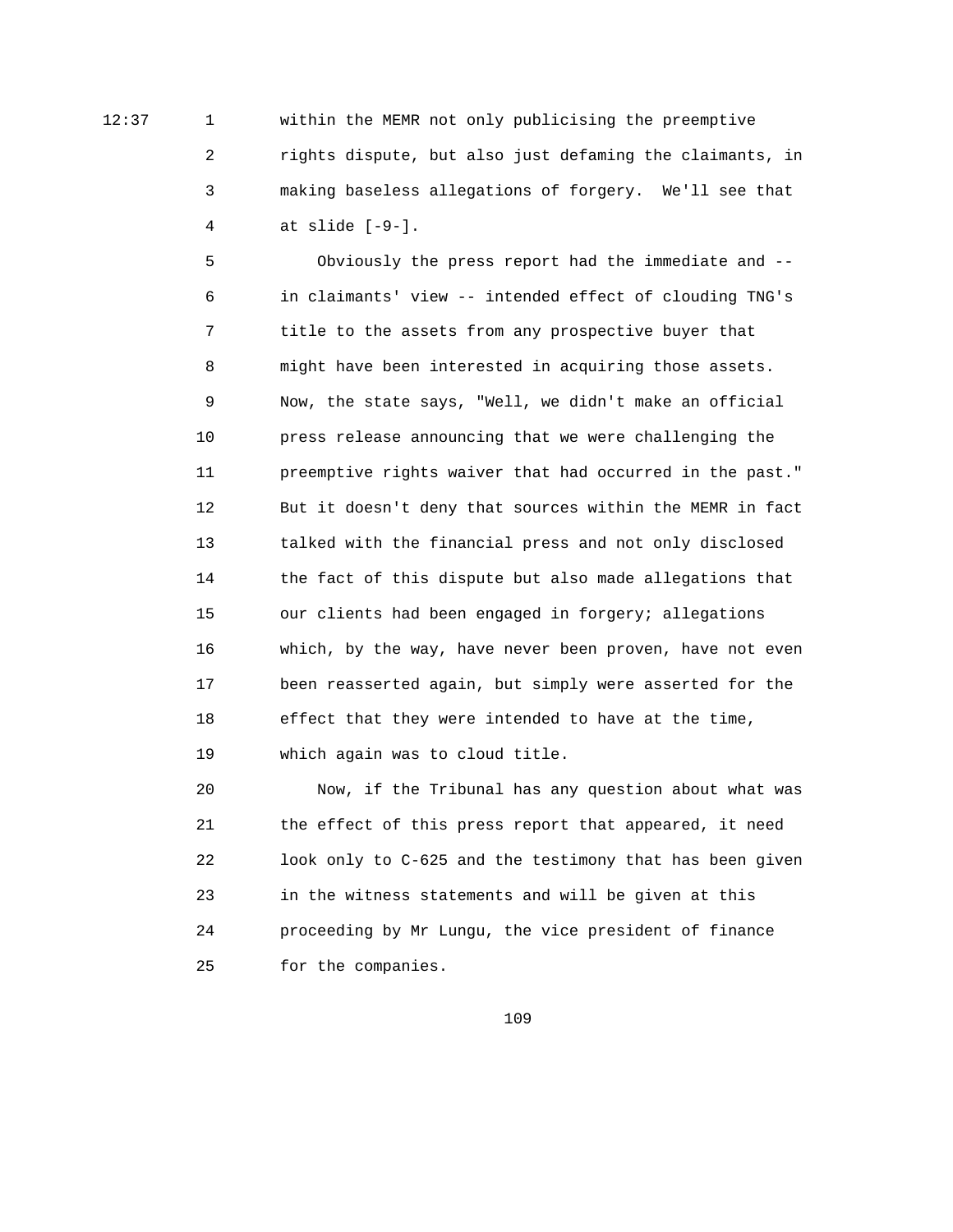12:37 1 within the MEMR not only publicising the preemptive 2 rights dispute, but also just defaming the claimants, in 3 making baseless allegations of forgery. We'll see that 4 at slide [-9-].

> 5 Obviously the press report had the immediate and -- 6 in claimants' view -- intended effect of clouding TNG's 7 title to the assets from any prospective buyer that 8 might have been interested in acquiring those assets. 9 Now, the state says, "Well, we didn't make an official 10 press release announcing that we were challenging the 11 preemptive rights waiver that had occurred in the past." 12 But it doesn't deny that sources within the MEMR in fact 13 talked with the financial press and not only disclosed 14 the fact of this dispute but also made allegations that 15 our clients had been engaged in forgery; allegations 16 which, by the way, have never been proven, have not even 17 been reasserted again, but simply were asserted for the 18 effect that they were intended to have at the time, 19 which again was to cloud title.

> 20 Now, if the Tribunal has any question about what was 21 the effect of this press report that appeared, it need 22 look only to C-625 and the testimony that has been given 23 in the witness statements and will be given at this 24 proceeding by Mr Lungu, the vice president of finance 25 for the companies.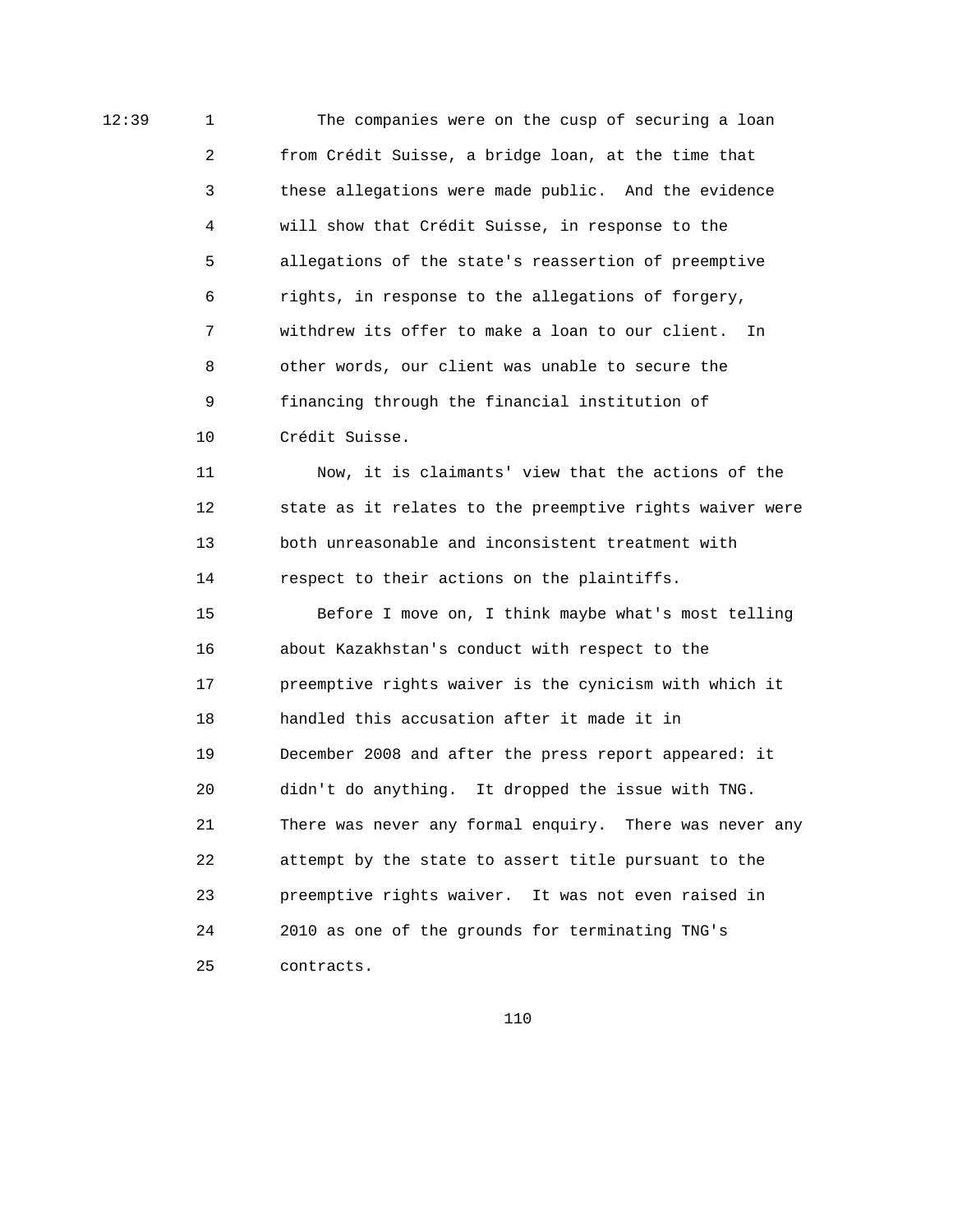12:39 1 The companies were on the cusp of securing a loan 2 from Crédit Suisse, a bridge loan, at the time that 3 these allegations were made public. And the evidence 4 will show that Crédit Suisse, in response to the 5 allegations of the state's reassertion of preemptive 6 rights, in response to the allegations of forgery, 7 withdrew its offer to make a loan to our client. In 8 other words, our client was unable to secure the 9 financing through the financial institution of 10 Crédit Suisse.

> 11 Now, it is claimants' view that the actions of the 12 state as it relates to the preemptive rights waiver were 13 both unreasonable and inconsistent treatment with 14 respect to their actions on the plaintiffs.

> 15 Before I move on, I think maybe what's most telling 16 about Kazakhstan's conduct with respect to the 17 preemptive rights waiver is the cynicism with which it 18 handled this accusation after it made it in 19 December 2008 and after the press report appeared: it 20 didn't do anything. It dropped the issue with TNG. 21 There was never any formal enquiry. There was never any 22 attempt by the state to assert title pursuant to the 23 preemptive rights waiver. It was not even raised in 24 2010 as one of the grounds for terminating TNG's 25 contracts.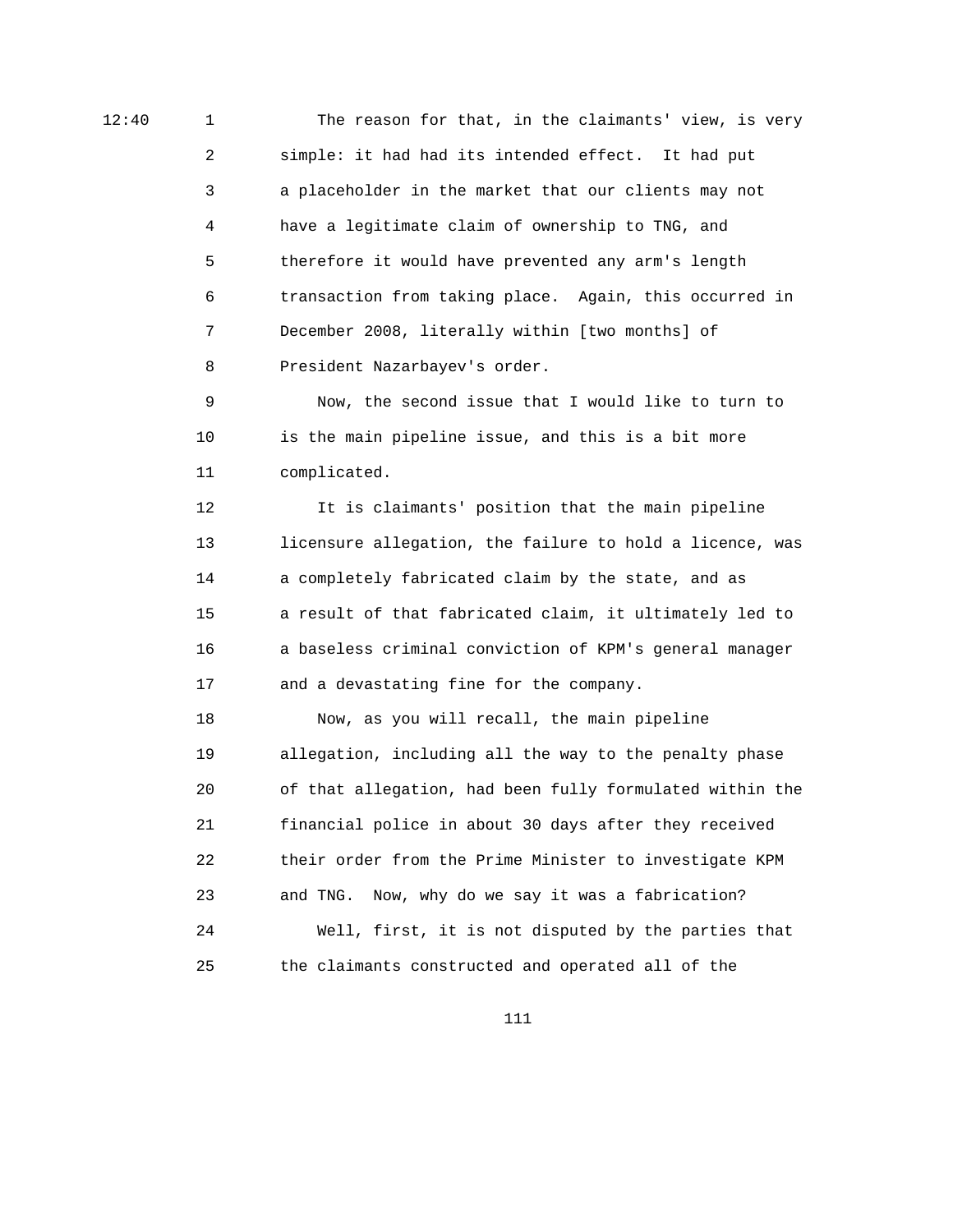12:40 1 1 The reason for that, in the claimants' view, is very 2 simple: it had had its intended effect. It had put 3 a placeholder in the market that our clients may not 4 have a legitimate claim of ownership to TNG, and 5 therefore it would have prevented any arm's length 6 transaction from taking place. Again, this occurred in 7 December 2008, literally within [two months] of 8 President Nazarbayev's order.

> 9 Now, the second issue that I would like to turn to 10 is the main pipeline issue, and this is a bit more 11 complicated.

 12 It is claimants' position that the main pipeline 13 licensure allegation, the failure to hold a licence, was 14 a completely fabricated claim by the state, and as 15 a result of that fabricated claim, it ultimately led to 16 a baseless criminal conviction of KPM's general manager 17 and a devastating fine for the company.

 18 Now, as you will recall, the main pipeline 19 allegation, including all the way to the penalty phase 20 of that allegation, had been fully formulated within the 21 financial police in about 30 days after they received 22 their order from the Prime Minister to investigate KPM 23 and TNG. Now, why do we say it was a fabrication? 24 Well, first, it is not disputed by the parties that 25 the claimants constructed and operated all of the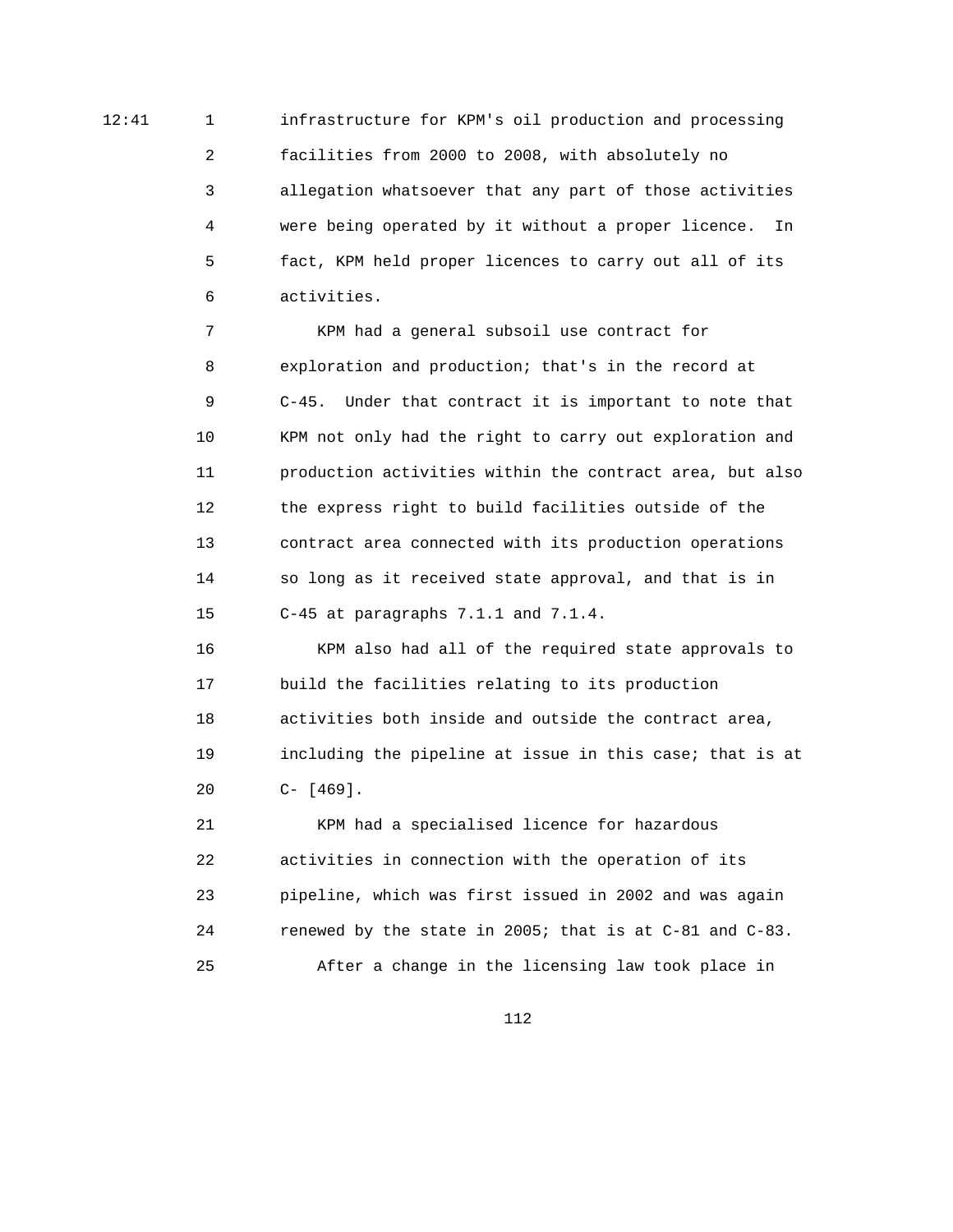12:41 1 infrastructure for KPM's oil production and processing 2 facilities from 2000 to 2008, with absolutely no 3 allegation whatsoever that any part of those activities 4 were being operated by it without a proper licence. In 5 fact, KPM held proper licences to carry out all of its 6 activities.

> 7 KPM had a general subsoil use contract for 8 exploration and production; that's in the record at 9 C-45. Under that contract it is important to note that 10 KPM not only had the right to carry out exploration and 11 production activities within the contract area, but also 12 the express right to build facilities outside of the 13 contract area connected with its production operations 14 so long as it received state approval, and that is in 15 C-45 at paragraphs 7.1.1 and 7.1.4.

> 16 KPM also had all of the required state approvals to 17 build the facilities relating to its production 18 activities both inside and outside the contract area, 19 including the pipeline at issue in this case; that is at 20 C- [469].

 21 KPM had a specialised licence for hazardous 22 activities in connection with the operation of its 23 pipeline, which was first issued in 2002 and was again 24 renewed by the state in 2005; that is at C-81 and C-83. 25 After a change in the licensing law took place in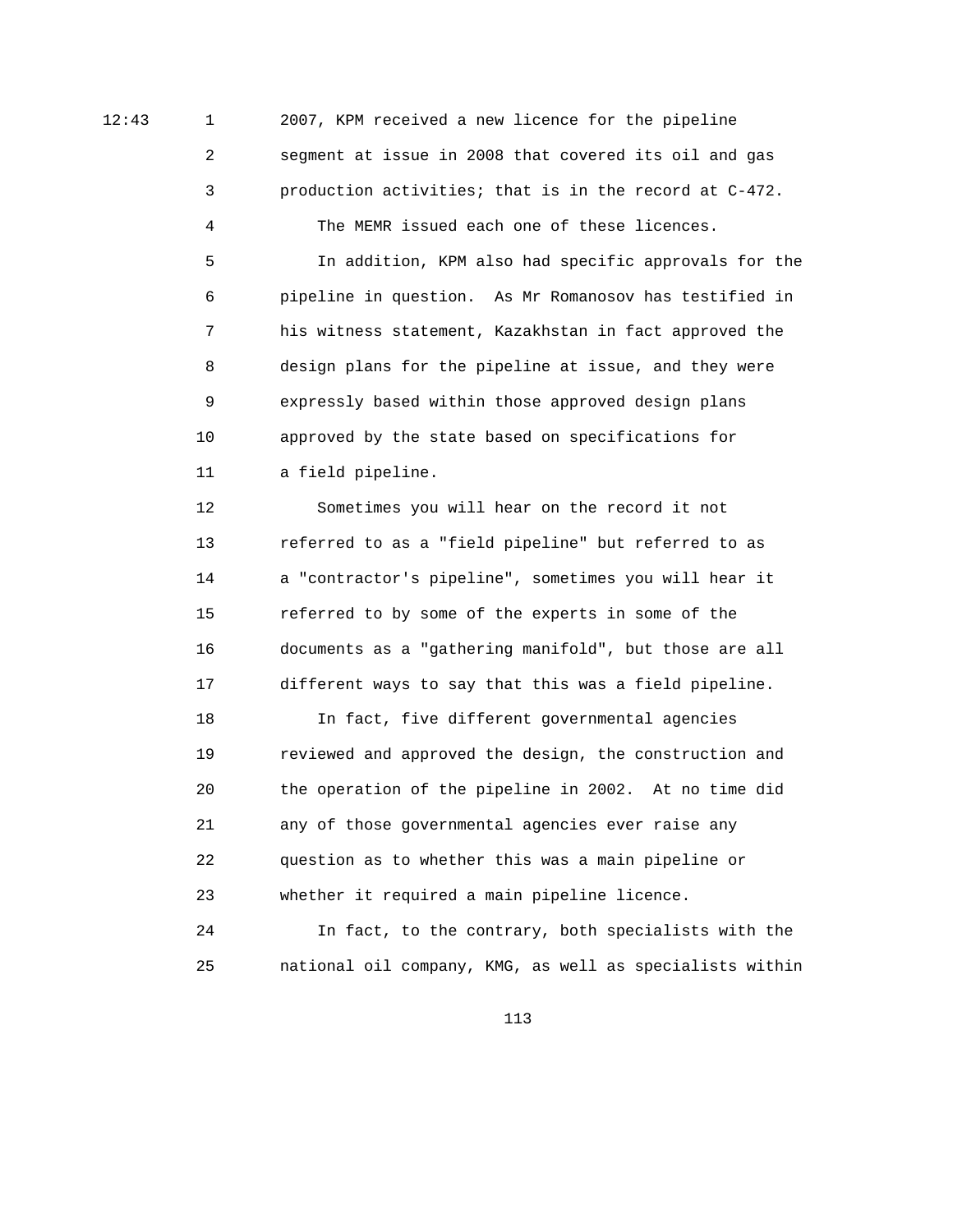12:43 1 2007, KPM received a new licence for the pipeline 2 segment at issue in 2008 that covered its oil and gas 3 production activities; that is in the record at C-472.

4 The MEMR issued each one of these licences.

 5 In addition, KPM also had specific approvals for the 6 pipeline in question. As Mr Romanosov has testified in 7 his witness statement, Kazakhstan in fact approved the 8 design plans for the pipeline at issue, and they were 9 expressly based within those approved design plans 10 approved by the state based on specifications for 11 a field pipeline.

 12 Sometimes you will hear on the record it not 13 referred to as a "field pipeline" but referred to as 14 a "contractor's pipeline", sometimes you will hear it 15 referred to by some of the experts in some of the 16 documents as a "gathering manifold", but those are all 17 different ways to say that this was a field pipeline.

 18 In fact, five different governmental agencies 19 reviewed and approved the design, the construction and 20 the operation of the pipeline in 2002. At no time did 21 any of those governmental agencies ever raise any 22 question as to whether this was a main pipeline or 23 whether it required a main pipeline licence.

 24 In fact, to the contrary, both specialists with the 25 national oil company, KMG, as well as specialists within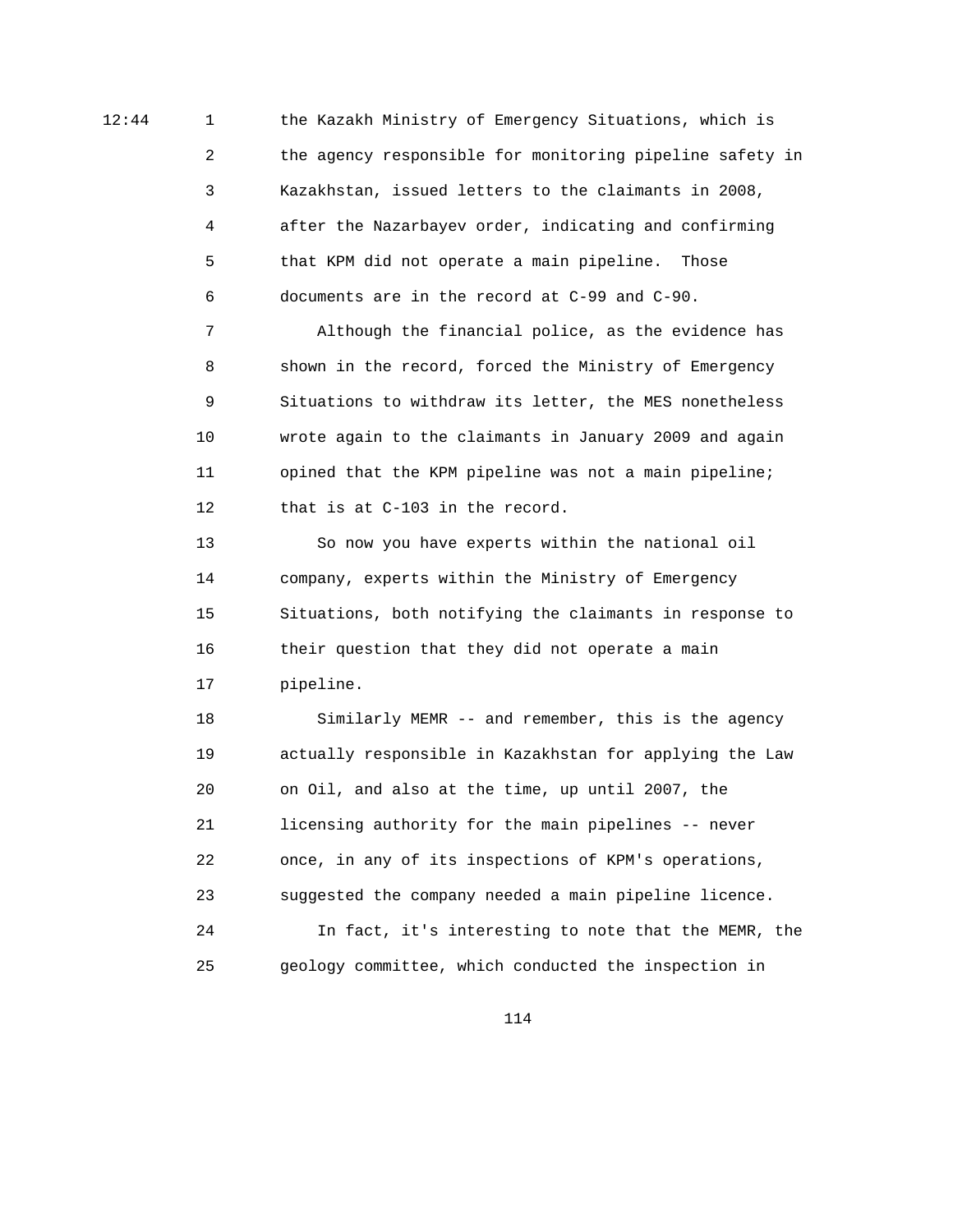12:44 1 the Kazakh Ministry of Emergency Situations, which is 2 the agency responsible for monitoring pipeline safety in 3 Kazakhstan, issued letters to the claimants in 2008, 4 after the Nazarbayev order, indicating and confirming 5 that KPM did not operate a main pipeline. Those 6 documents are in the record at C-99 and C-90.

> 7 Although the financial police, as the evidence has 8 shown in the record, forced the Ministry of Emergency 9 Situations to withdraw its letter, the MES nonetheless 10 wrote again to the claimants in January 2009 and again 11 opined that the KPM pipeline was not a main pipeline; 12 that is at C-103 in the record.

 13 So now you have experts within the national oil 14 company, experts within the Ministry of Emergency 15 Situations, both notifying the claimants in response to 16 their question that they did not operate a main 17 pipeline.

 18 Similarly MEMR -- and remember, this is the agency 19 actually responsible in Kazakhstan for applying the Law 20 on Oil, and also at the time, up until 2007, the 21 licensing authority for the main pipelines -- never 22 once, in any of its inspections of KPM's operations, 23 suggested the company needed a main pipeline licence. 24 In fact, it's interesting to note that the MEMR, the 25 geology committee, which conducted the inspection in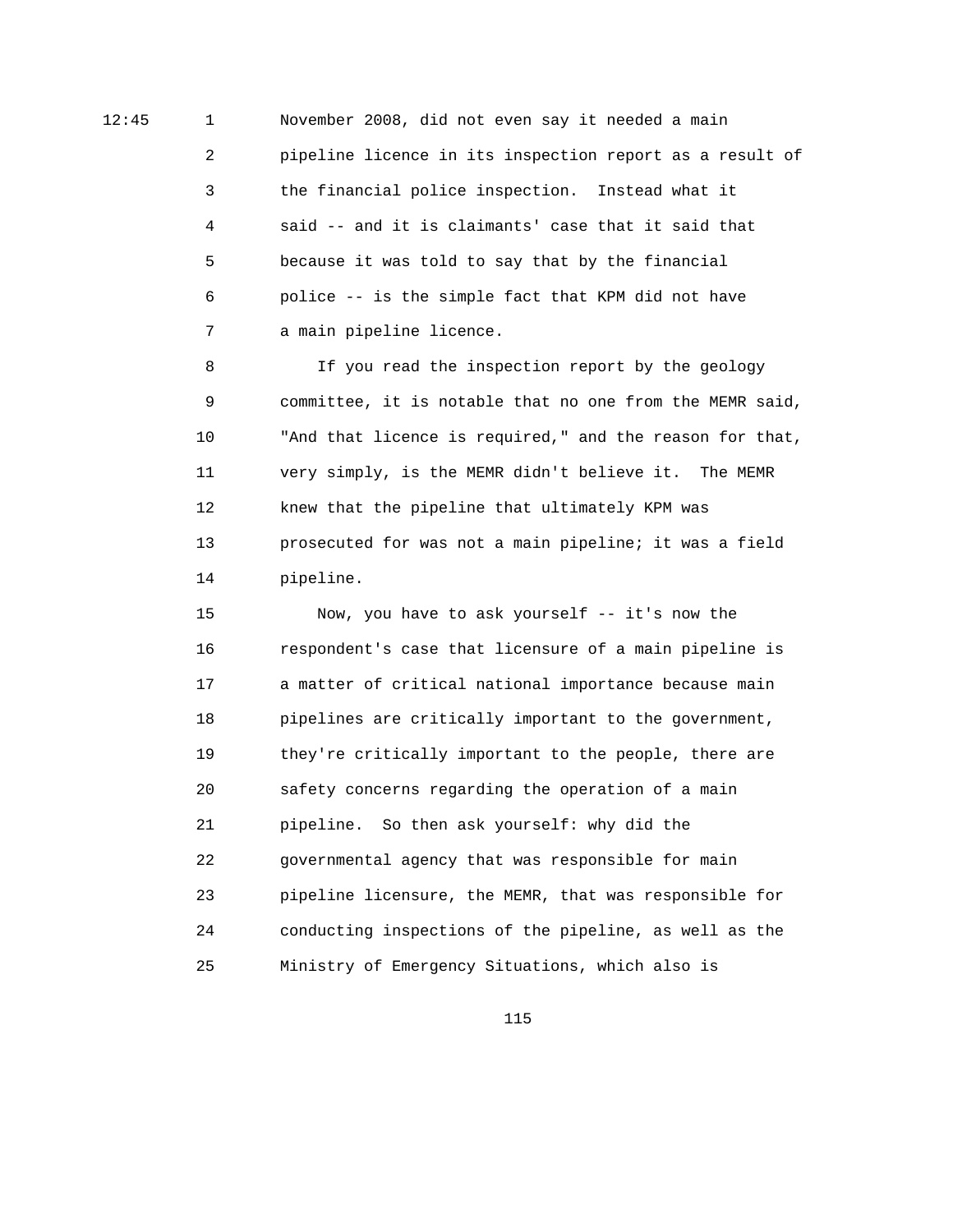12:45 1 November 2008, did not even say it needed a main 2 pipeline licence in its inspection report as a result of 3 the financial police inspection. Instead what it 4 said -- and it is claimants' case that it said that 5 because it was told to say that by the financial 6 police -- is the simple fact that KPM did not have 7 a main pipeline licence.

> 8 If you read the inspection report by the geology 9 committee, it is notable that no one from the MEMR said, 10 "And that licence is required," and the reason for that, 11 very simply, is the MEMR didn't believe it. The MEMR 12 knew that the pipeline that ultimately KPM was 13 prosecuted for was not a main pipeline; it was a field 14 pipeline.

 15 Now, you have to ask yourself -- it's now the 16 respondent's case that licensure of a main pipeline is 17 a matter of critical national importance because main 18 pipelines are critically important to the government, 19 they're critically important to the people, there are 20 safety concerns regarding the operation of a main 21 pipeline. So then ask yourself: why did the 22 governmental agency that was responsible for main 23 pipeline licensure, the MEMR, that was responsible for 24 conducting inspections of the pipeline, as well as the 25 Ministry of Emergency Situations, which also is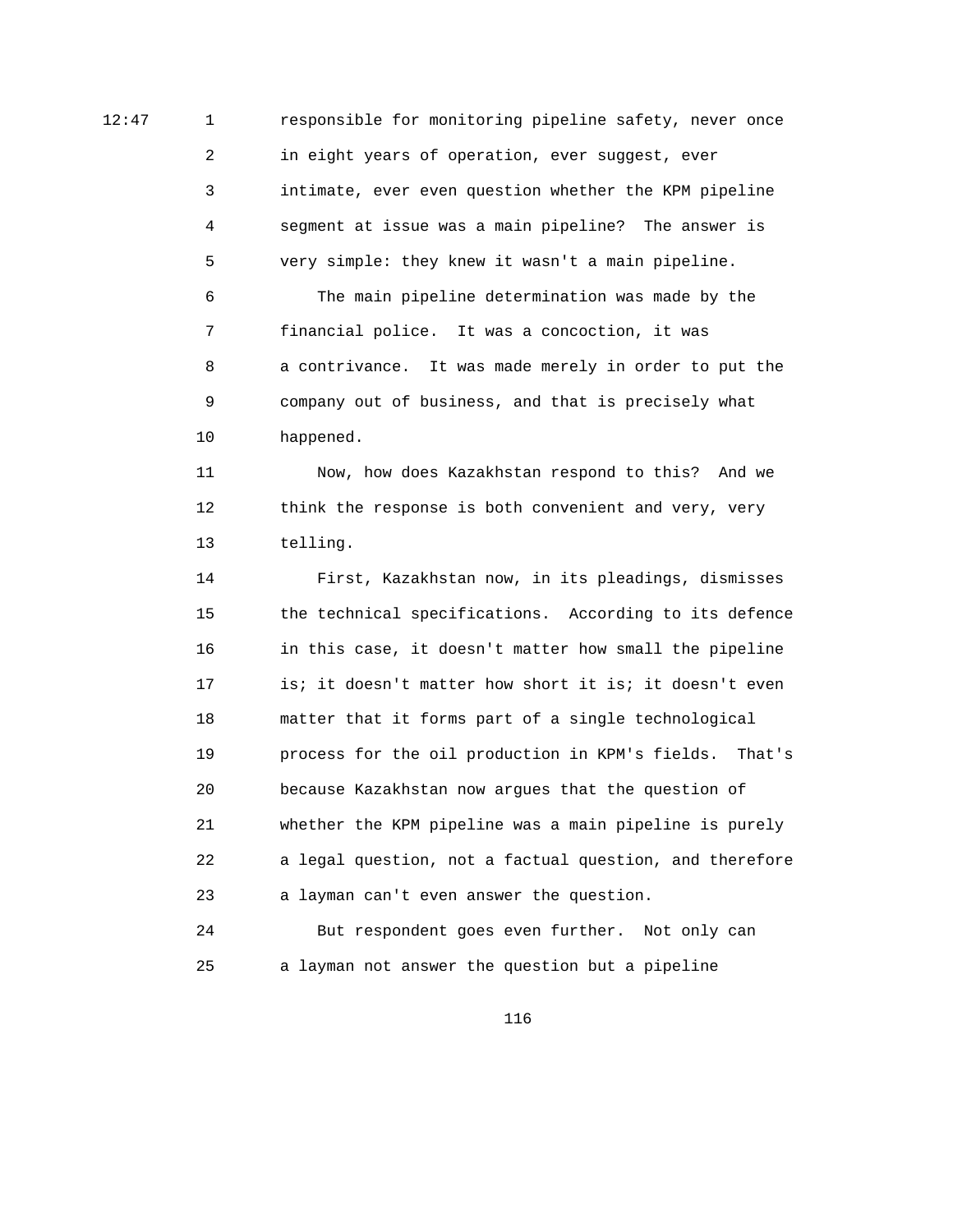12:47 1 responsible for monitoring pipeline safety, never once 2 in eight years of operation, ever suggest, ever 3 intimate, ever even question whether the KPM pipeline 4 segment at issue was a main pipeline? The answer is 5 very simple: they knew it wasn't a main pipeline. 6 The main pipeline determination was made by the 7 financial police. It was a concoction, it was 8 a contrivance. It was made merely in order to put the 9 company out of business, and that is precisely what 10 happened.

> 11 Now, how does Kazakhstan respond to this? And we 12 think the response is both convenient and very, very 13 telling.

 14 First, Kazakhstan now, in its pleadings, dismisses 15 the technical specifications. According to its defence 16 in this case, it doesn't matter how small the pipeline 17 is; it doesn't matter how short it is; it doesn't even 18 matter that it forms part of a single technological 19 process for the oil production in KPM's fields. That's 20 because Kazakhstan now argues that the question of 21 whether the KPM pipeline was a main pipeline is purely 22 a legal question, not a factual question, and therefore 23 a layman can't even answer the question.

 24 But respondent goes even further. Not only can 25 a layman not answer the question but a pipeline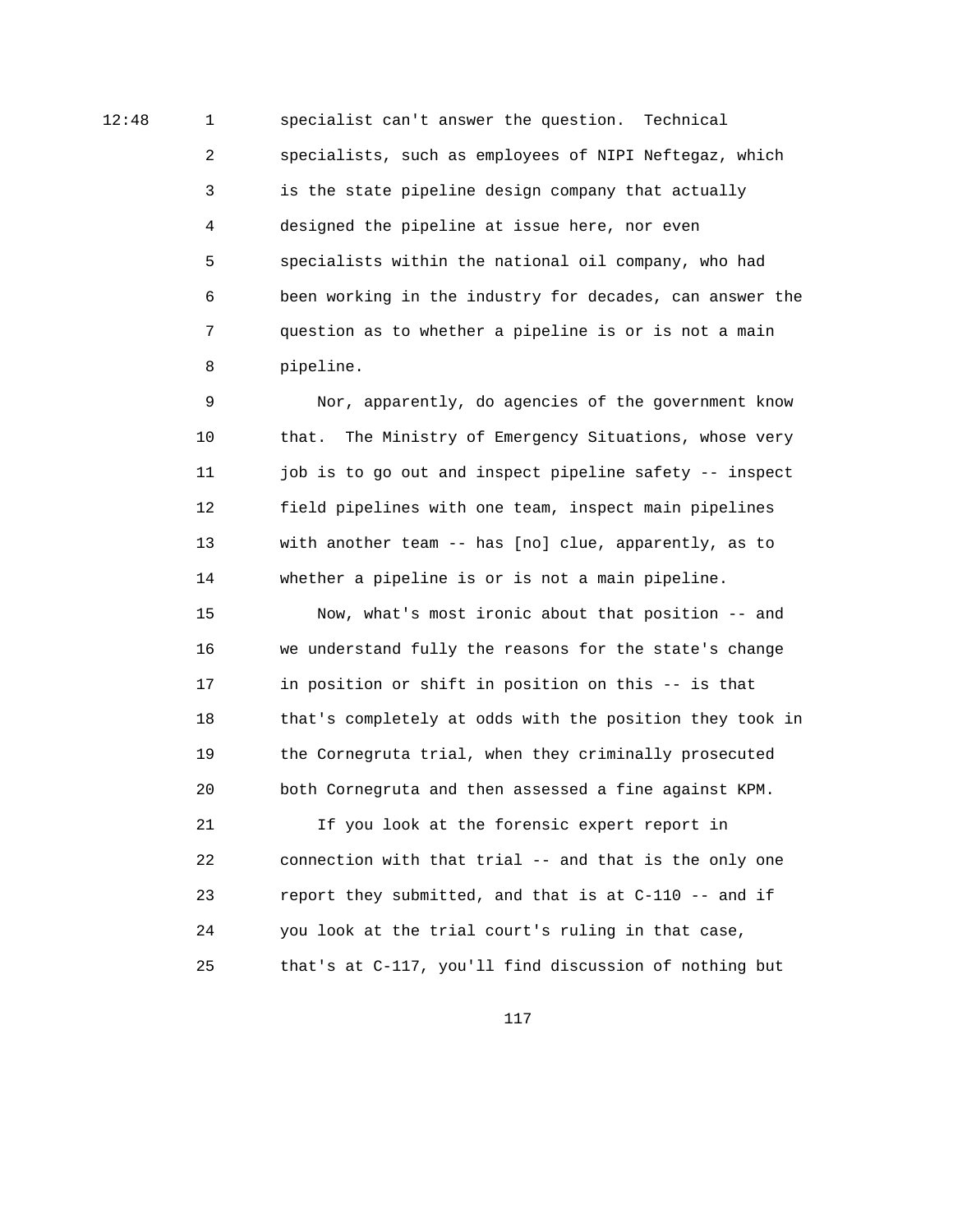12:48 1 specialist can't answer the question. Technical 2 specialists, such as employees of NIPI Neftegaz, which 3 is the state pipeline design company that actually 4 designed the pipeline at issue here, nor even 5 specialists within the national oil company, who had 6 been working in the industry for decades, can answer the 7 question as to whether a pipeline is or is not a main 8 pipeline.

> 9 Nor, apparently, do agencies of the government know 10 that. The Ministry of Emergency Situations, whose very 11 job is to go out and inspect pipeline safety -- inspect 12 field pipelines with one team, inspect main pipelines 13 with another team -- has [no] clue, apparently, as to 14 whether a pipeline is or is not a main pipeline.

 15 Now, what's most ironic about that position -- and 16 we understand fully the reasons for the state's change 17 in position or shift in position on this -- is that 18 that's completely at odds with the position they took in 19 the Cornegruta trial, when they criminally prosecuted 20 both Cornegruta and then assessed a fine against KPM.

 21 If you look at the forensic expert report in 22 connection with that trial -- and that is the only one 23 report they submitted, and that is at C-110 -- and if 24 you look at the trial court's ruling in that case, 25 that's at C-117, you'll find discussion of nothing but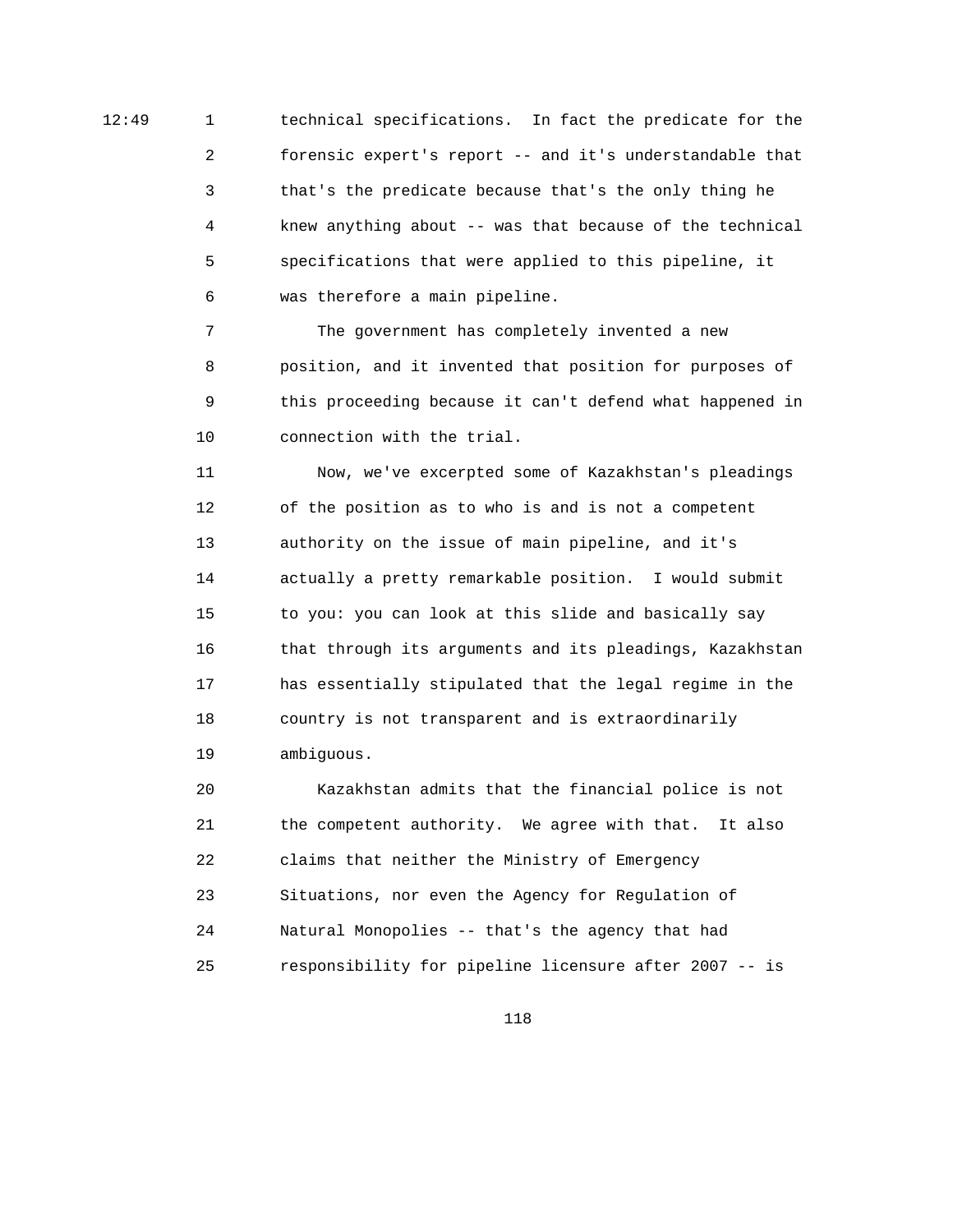12:49 1 technical specifications. In fact the predicate for the 2 forensic expert's report -- and it's understandable that 3 that's the predicate because that's the only thing he 4 knew anything about -- was that because of the technical 5 specifications that were applied to this pipeline, it 6 was therefore a main pipeline.

> 7 The government has completely invented a new 8 position, and it invented that position for purposes of 9 this proceeding because it can't defend what happened in 10 connection with the trial.

> 11 Now, we've excerpted some of Kazakhstan's pleadings 12 of the position as to who is and is not a competent 13 authority on the issue of main pipeline, and it's 14 actually a pretty remarkable position. I would submit 15 to you: you can look at this slide and basically say 16 that through its arguments and its pleadings, Kazakhstan 17 has essentially stipulated that the legal regime in the 18 country is not transparent and is extraordinarily 19 ambiguous.

 20 Kazakhstan admits that the financial police is not 21 the competent authority. We agree with that. It also 22 claims that neither the Ministry of Emergency 23 Situations, nor even the Agency for Regulation of 24 Natural Monopolies -- that's the agency that had 25 responsibility for pipeline licensure after 2007 -- is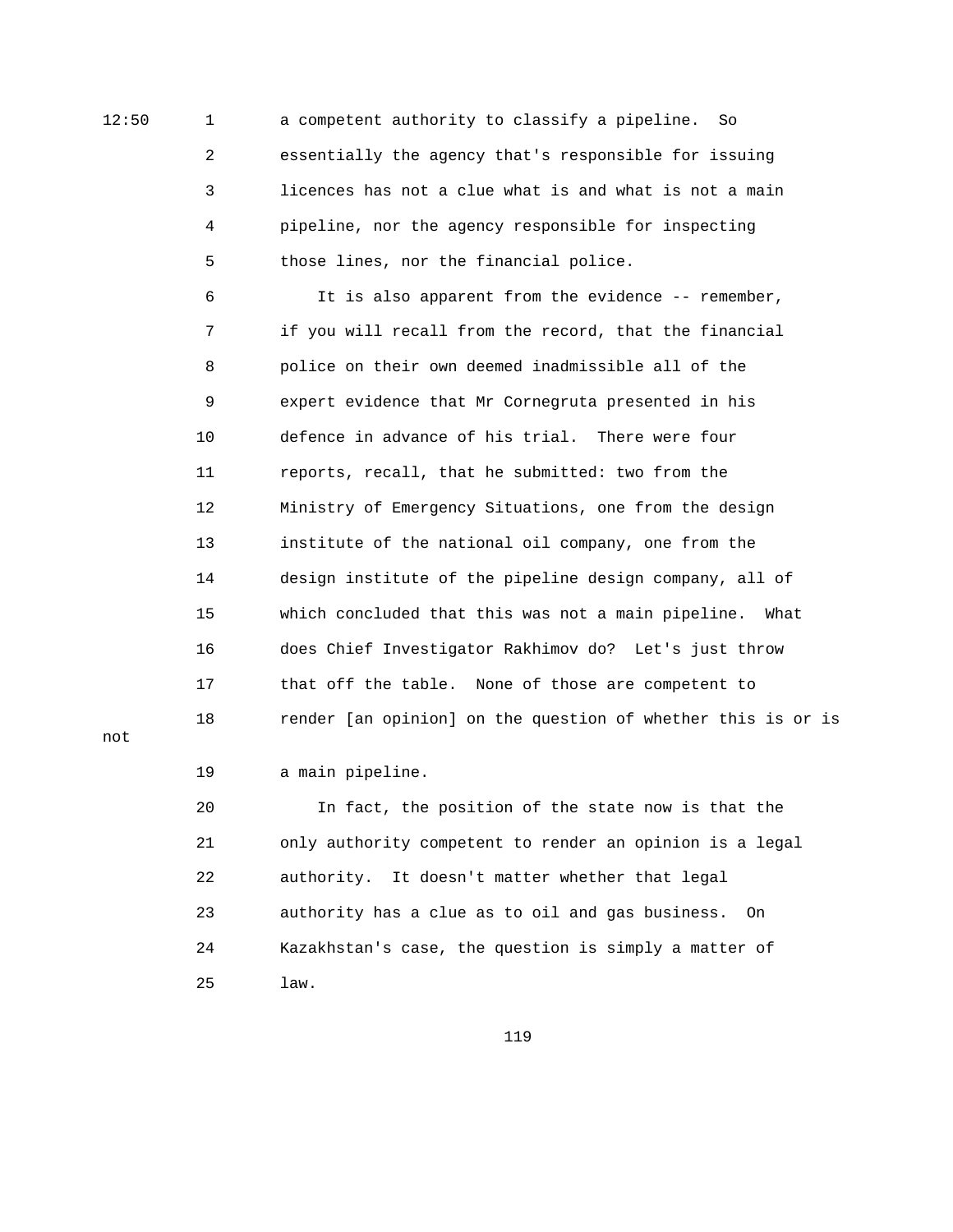12:50 1 a competent authority to classify a pipeline. So 2 essentially the agency that's responsible for issuing 3 licences has not a clue what is and what is not a main 4 pipeline, nor the agency responsible for inspecting 5 those lines, nor the financial police.

> 6 It is also apparent from the evidence -- remember, 7 if you will recall from the record, that the financial 8 police on their own deemed inadmissible all of the 9 expert evidence that Mr Cornegruta presented in his 10 defence in advance of his trial. There were four 11 reports, recall, that he submitted: two from the 12 Ministry of Emergency Situations, one from the design 13 institute of the national oil company, one from the 14 design institute of the pipeline design company, all of 15 which concluded that this was not a main pipeline. What 16 does Chief Investigator Rakhimov do? Let's just throw 17 that off the table. None of those are competent to 18 render [an opinion] on the question of whether this is or is

not

19 a main pipeline.

 20 In fact, the position of the state now is that the 21 only authority competent to render an opinion is a legal 22 authority. It doesn't matter whether that legal 23 authority has a clue as to oil and gas business. On 24 Kazakhstan's case, the question is simply a matter of 25 law.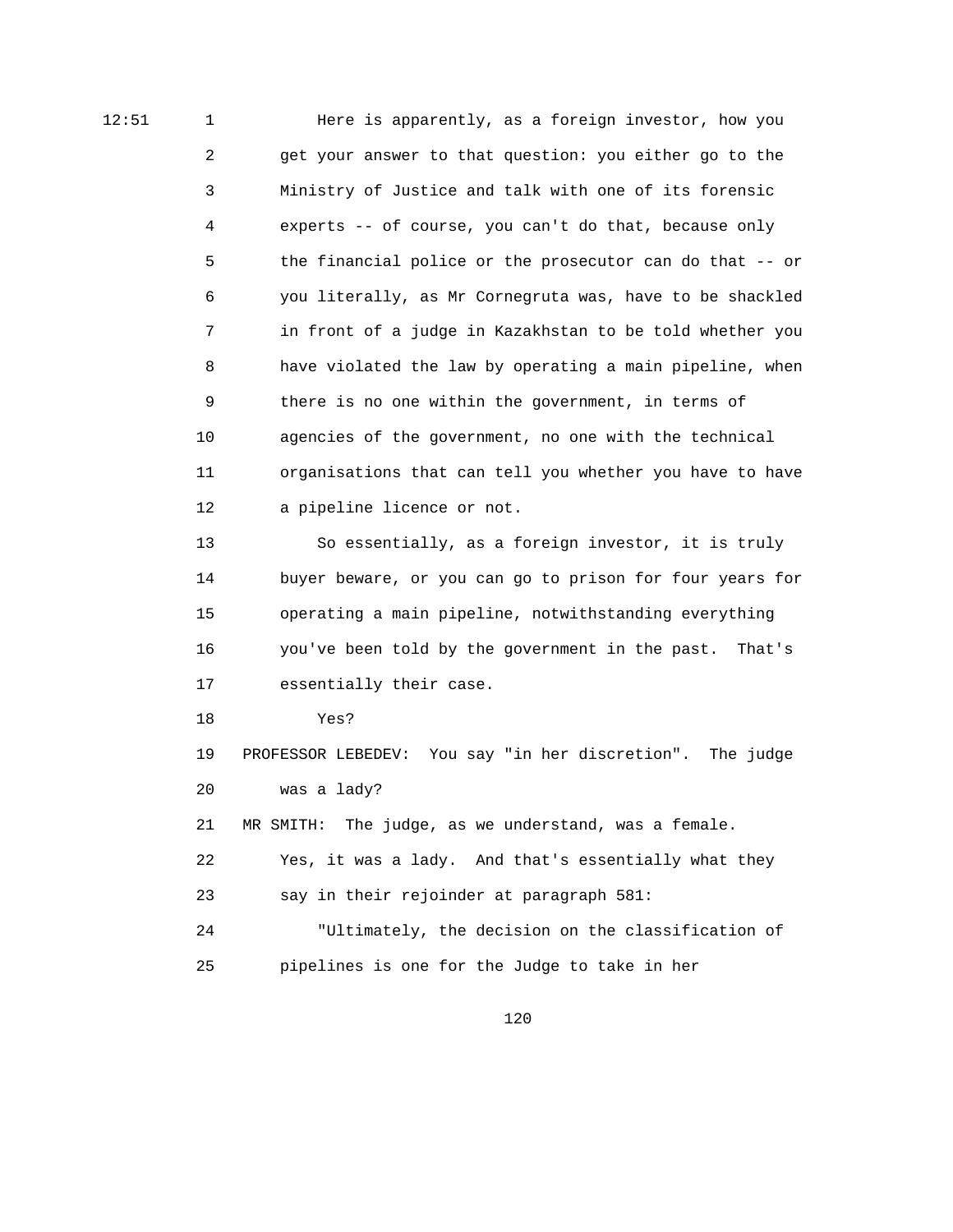12:51 1 Here is apparently, as a foreign investor, how you 2 get your answer to that question: you either go to the 3 Ministry of Justice and talk with one of its forensic 4 experts -- of course, you can't do that, because only 5 the financial police or the prosecutor can do that -- or 6 you literally, as Mr Cornegruta was, have to be shackled 7 in front of a judge in Kazakhstan to be told whether you 8 have violated the law by operating a main pipeline, when 9 there is no one within the government, in terms of 10 agencies of the government, no one with the technical 11 organisations that can tell you whether you have to have 12 a pipeline licence or not.

> 13 So essentially, as a foreign investor, it is truly 14 buyer beware, or you can go to prison for four years for 15 operating a main pipeline, notwithstanding everything 16 you've been told by the government in the past. That's 17 essentially their case.

18 Yes?

 19 PROFESSOR LEBEDEV: You say "in her discretion". The judge 20 was a lady?

21 MR SMITH: The judge, as we understand, was a female.

 22 Yes, it was a lady. And that's essentially what they 23 say in their rejoinder at paragraph 581:

 24 "Ultimately, the decision on the classification of 25 pipelines is one for the Judge to take in her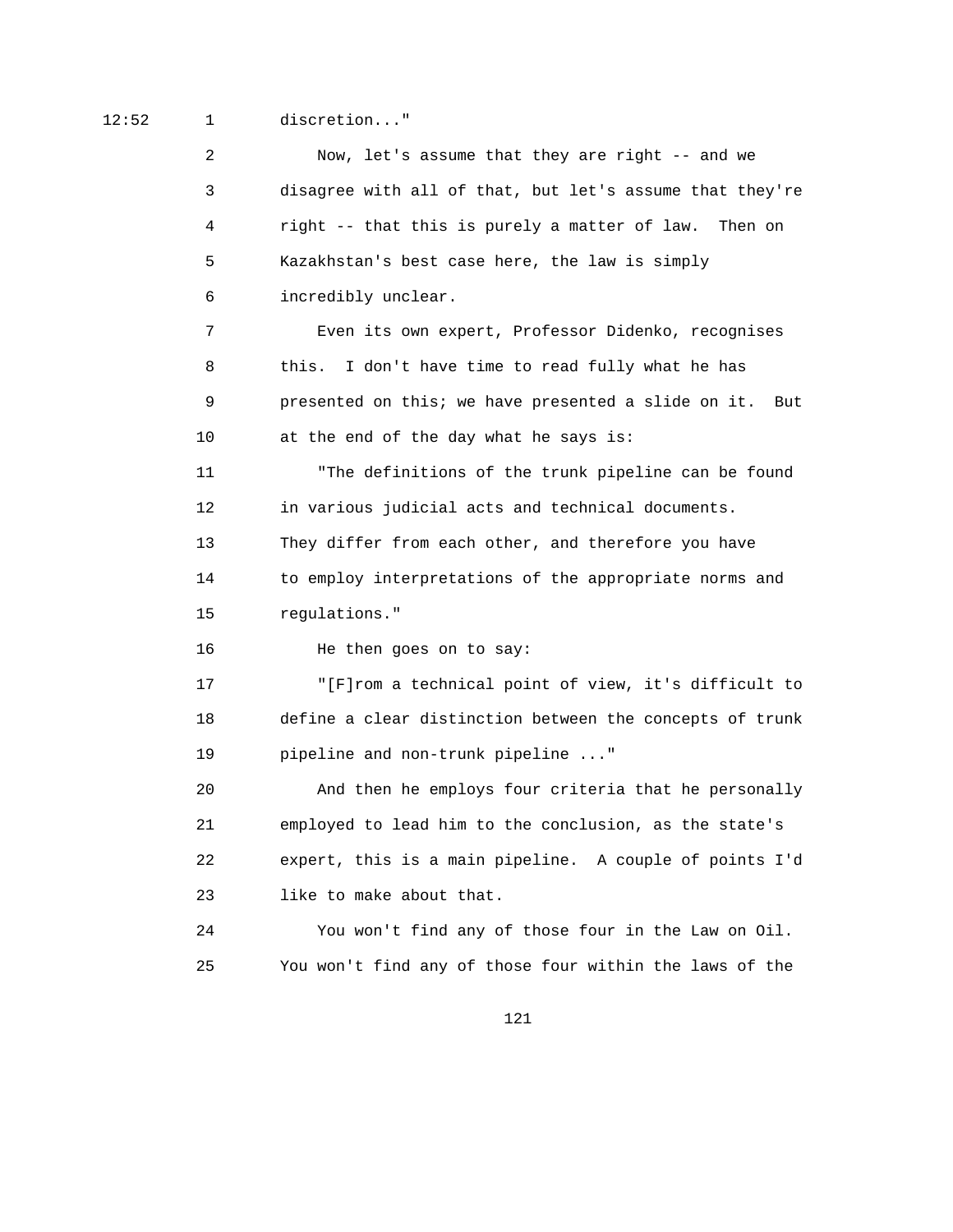12:52 1 discretion..."

 2 Now, let's assume that they are right -- and we 3 disagree with all of that, but let's assume that they're 4 right -- that this is purely a matter of law. Then on 5 Kazakhstan's best case here, the law is simply 6 incredibly unclear. 7 Even its own expert, Professor Didenko, recognises 8 this. I don't have time to read fully what he has 9 presented on this; we have presented a slide on it. But 10 at the end of the day what he says is: 11 "The definitions of the trunk pipeline can be found 12 in various judicial acts and technical documents. 13 They differ from each other, and therefore you have 14 to employ interpretations of the appropriate norms and 15 regulations." 16 He then goes on to say: 17 "[F]rom a technical point of view, it's difficult to 18 define a clear distinction between the concepts of trunk 19 pipeline and non-trunk pipeline ..." 20 And then he employs four criteria that he personally 21 employed to lead him to the conclusion, as the state's 22 expert, this is a main pipeline. A couple of points I'd 23 like to make about that. 24 You won't find any of those four in the Law on Oil. 25 You won't find any of those four within the laws of the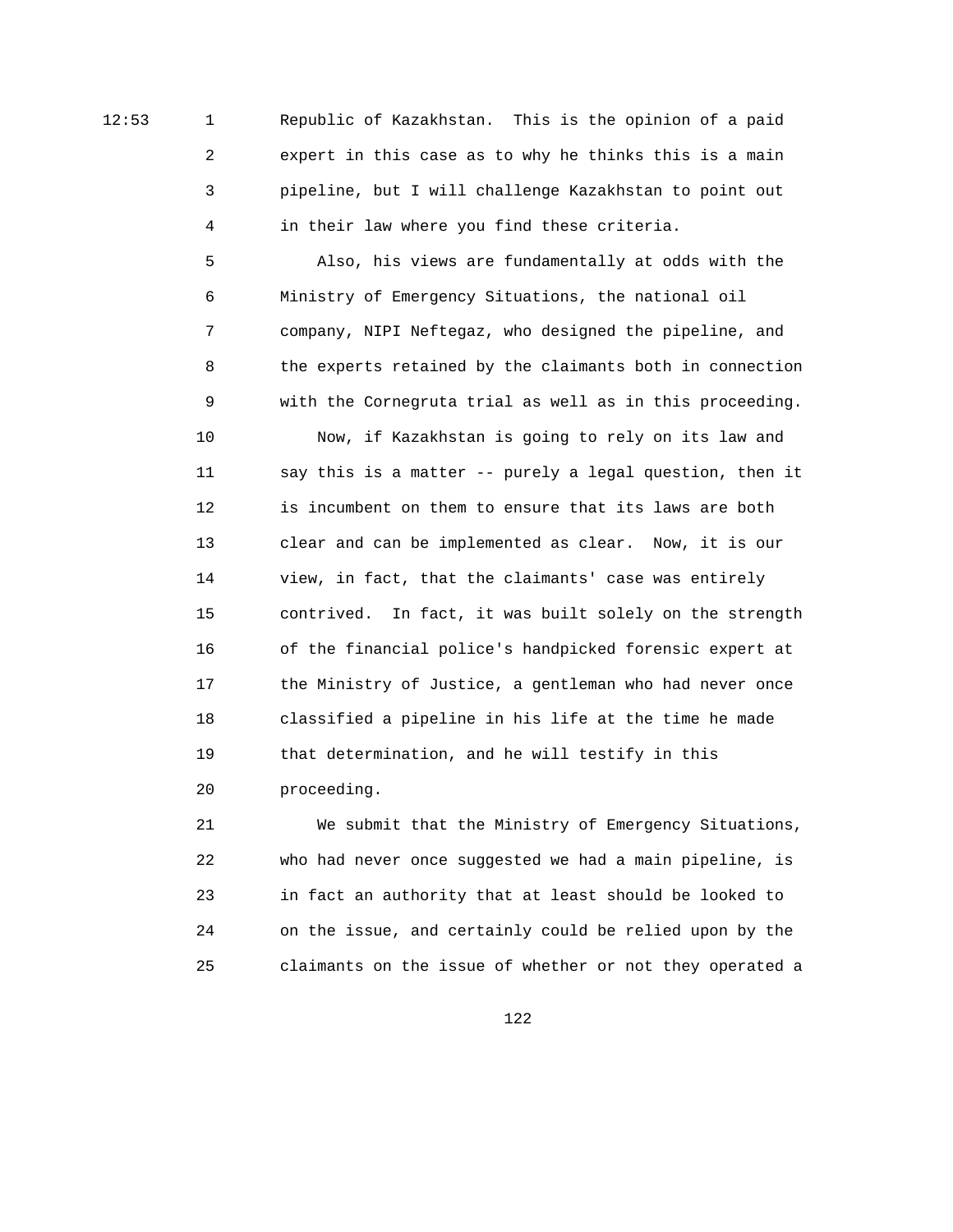12:53 1 Republic of Kazakhstan. This is the opinion of a paid 2 expert in this case as to why he thinks this is a main 3 pipeline, but I will challenge Kazakhstan to point out 4 in their law where you find these criteria.

> 5 Also, his views are fundamentally at odds with the 6 Ministry of Emergency Situations, the national oil 7 company, NIPI Neftegaz, who designed the pipeline, and 8 the experts retained by the claimants both in connection 9 with the Cornegruta trial as well as in this proceeding.

 10 Now, if Kazakhstan is going to rely on its law and 11 say this is a matter -- purely a legal question, then it 12 is incumbent on them to ensure that its laws are both 13 clear and can be implemented as clear. Now, it is our 14 view, in fact, that the claimants' case was entirely 15 contrived. In fact, it was built solely on the strength 16 of the financial police's handpicked forensic expert at 17 the Ministry of Justice, a gentleman who had never once 18 classified a pipeline in his life at the time he made 19 that determination, and he will testify in this 20 proceeding.

 21 We submit that the Ministry of Emergency Situations, 22 who had never once suggested we had a main pipeline, is 23 in fact an authority that at least should be looked to 24 on the issue, and certainly could be relied upon by the 25 claimants on the issue of whether or not they operated a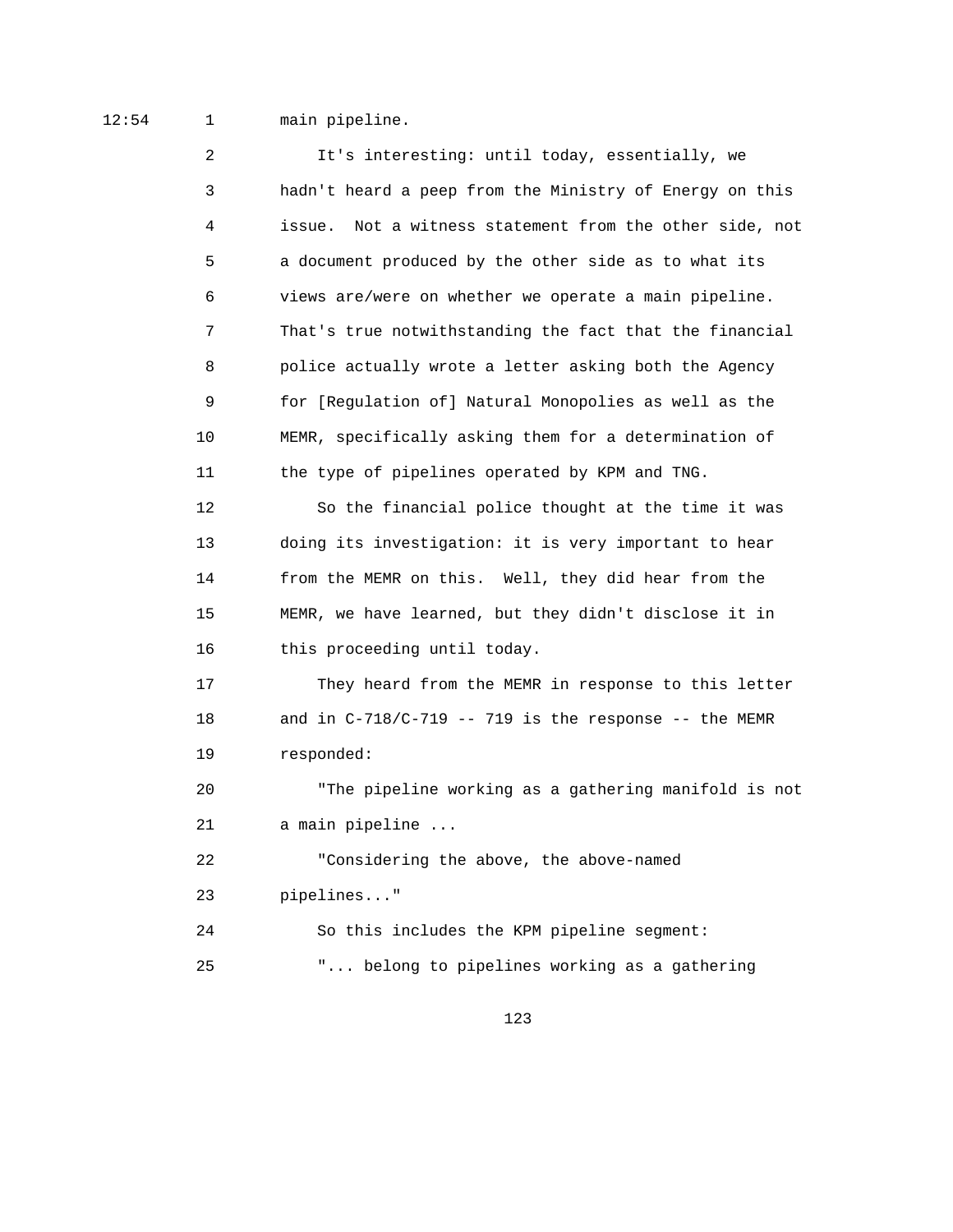## 12:54 1 main pipeline.

 2 It's interesting: until today, essentially, we 3 hadn't heard a peep from the Ministry of Energy on this 4 issue. Not a witness statement from the other side, not 5 a document produced by the other side as to what its 6 views are/were on whether we operate a main pipeline. 7 That's true notwithstanding the fact that the financial 8 police actually wrote a letter asking both the Agency 9 for [Regulation of] Natural Monopolies as well as the 10 MEMR, specifically asking them for a determination of 11 the type of pipelines operated by KPM and TNG.

 12 So the financial police thought at the time it was 13 doing its investigation: it is very important to hear 14 from the MEMR on this. Well, they did hear from the 15 MEMR, we have learned, but they didn't disclose it in 16 this proceeding until today.

 17 They heard from the MEMR in response to this letter 18 and in C-718/C-719 -- 719 is the response -- the MEMR 19 responded:

 20 "The pipeline working as a gathering manifold is not 21 a main pipeline ...

 22 "Considering the above, the above-named 23 pipelines..." 24 So this includes the KPM pipeline segment:

25 "... belong to pipelines working as a gathering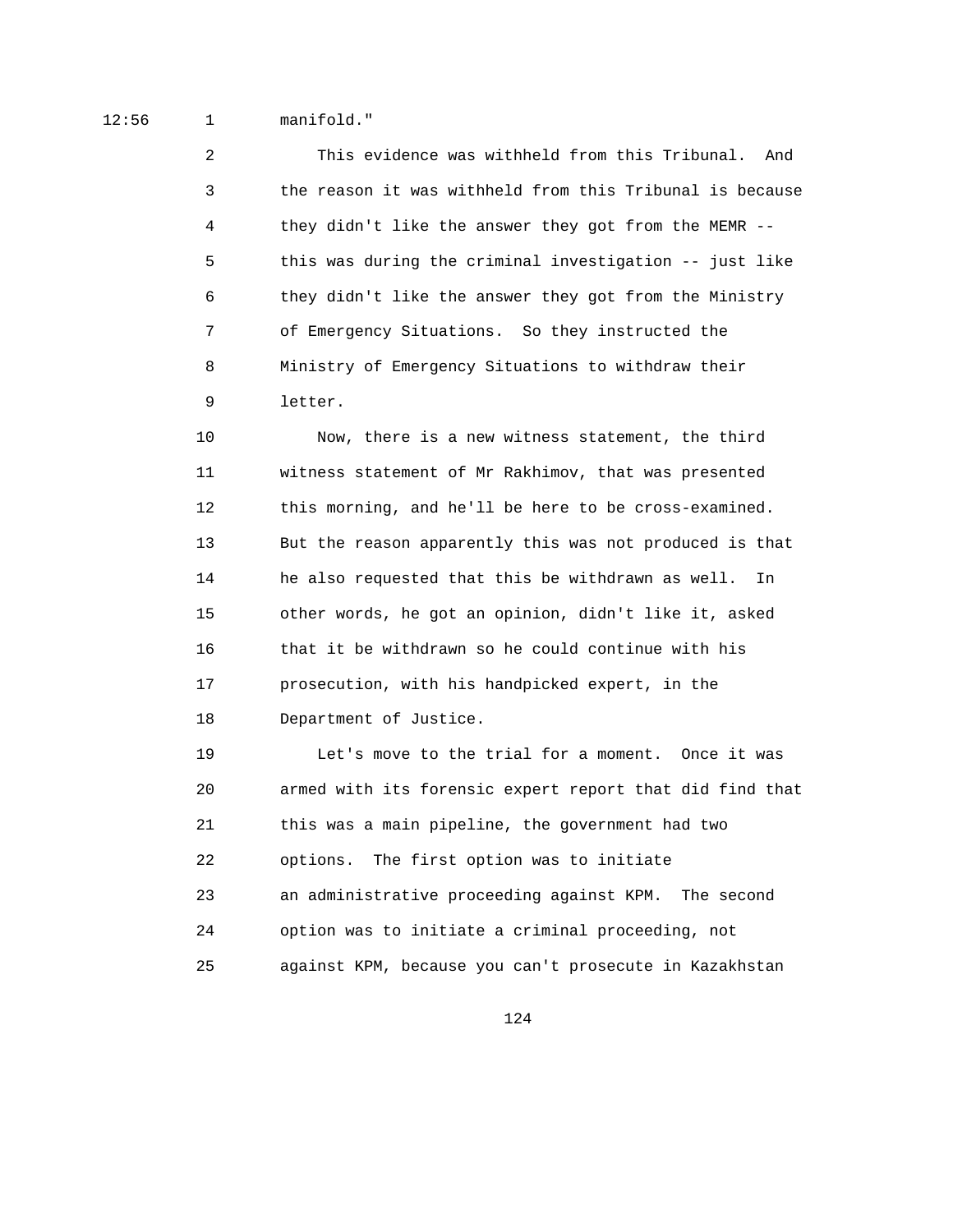12:56 1 manifold."

 2 This evidence was withheld from this Tribunal. And 3 the reason it was withheld from this Tribunal is because 4 they didn't like the answer they got from the MEMR -- 5 this was during the criminal investigation -- just like 6 they didn't like the answer they got from the Ministry 7 of Emergency Situations. So they instructed the 8 Ministry of Emergency Situations to withdraw their 9 letter.

 10 Now, there is a new witness statement, the third 11 witness statement of Mr Rakhimov, that was presented 12 this morning, and he'll be here to be cross-examined. 13 But the reason apparently this was not produced is that 14 he also requested that this be withdrawn as well. In 15 other words, he got an opinion, didn't like it, asked 16 that it be withdrawn so he could continue with his 17 prosecution, with his handpicked expert, in the 18 Department of Justice.

 19 Let's move to the trial for a moment. Once it was 20 armed with its forensic expert report that did find that 21 this was a main pipeline, the government had two 22 options. The first option was to initiate 23 an administrative proceeding against KPM. The second 24 option was to initiate a criminal proceeding, not 25 against KPM, because you can't prosecute in Kazakhstan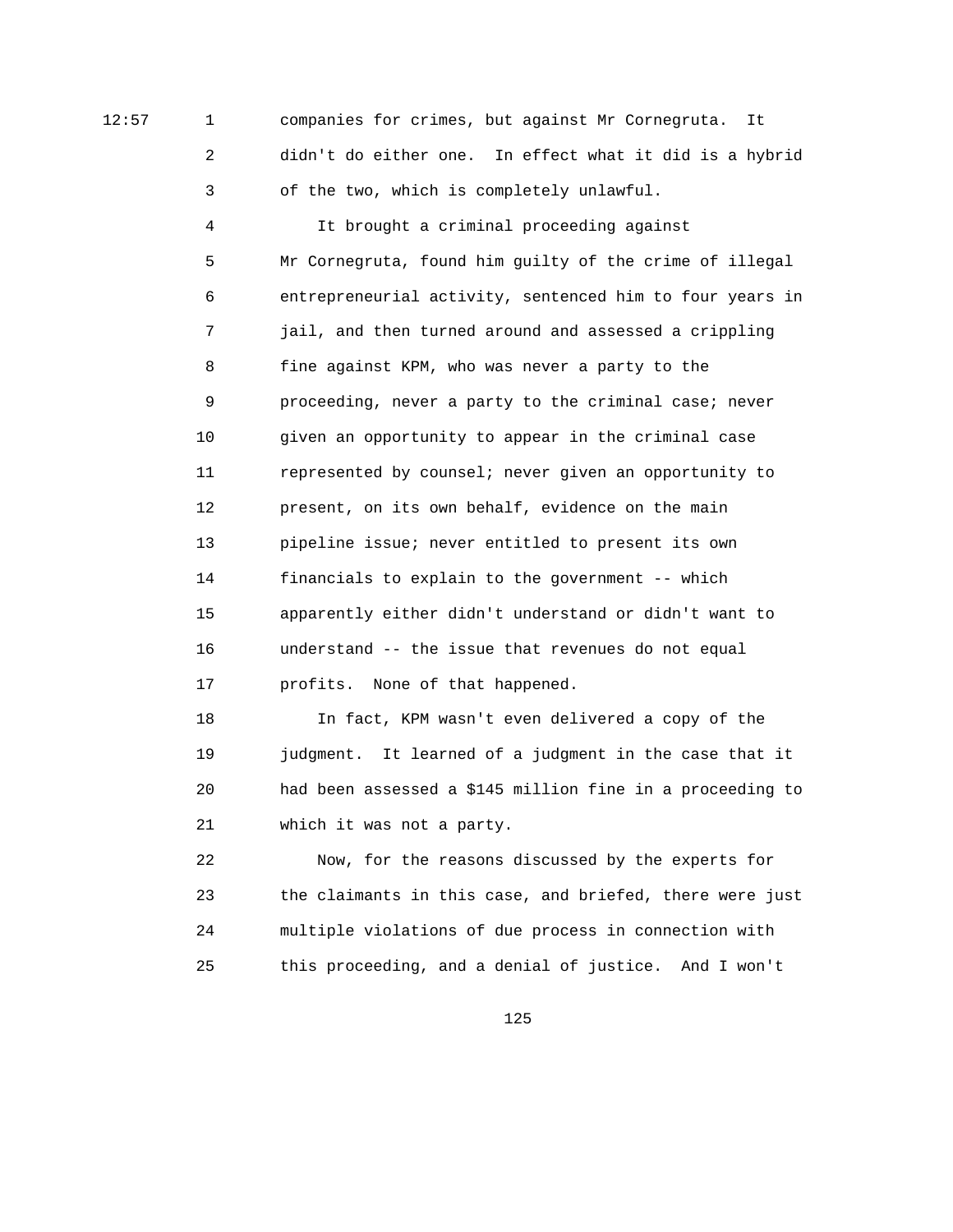12:57 1 companies for crimes, but against Mr Cornegruta. It 2 didn't do either one. In effect what it did is a hybrid 3 of the two, which is completely unlawful.

> 4 It brought a criminal proceeding against 5 Mr Cornegruta, found him guilty of the crime of illegal 6 entrepreneurial activity, sentenced him to four years in 7 jail, and then turned around and assessed a crippling 8 fine against KPM, who was never a party to the 9 proceeding, never a party to the criminal case; never 10 given an opportunity to appear in the criminal case 11 represented by counsel; never given an opportunity to 12 present, on its own behalf, evidence on the main 13 pipeline issue; never entitled to present its own 14 financials to explain to the government -- which 15 apparently either didn't understand or didn't want to 16 understand -- the issue that revenues do not equal 17 profits. None of that happened.

> 18 In fact, KPM wasn't even delivered a copy of the 19 judgment. It learned of a judgment in the case that it 20 had been assessed a \$145 million fine in a proceeding to 21 which it was not a party.

> 22 Now, for the reasons discussed by the experts for 23 the claimants in this case, and briefed, there were just 24 multiple violations of due process in connection with 25 this proceeding, and a denial of justice. And I won't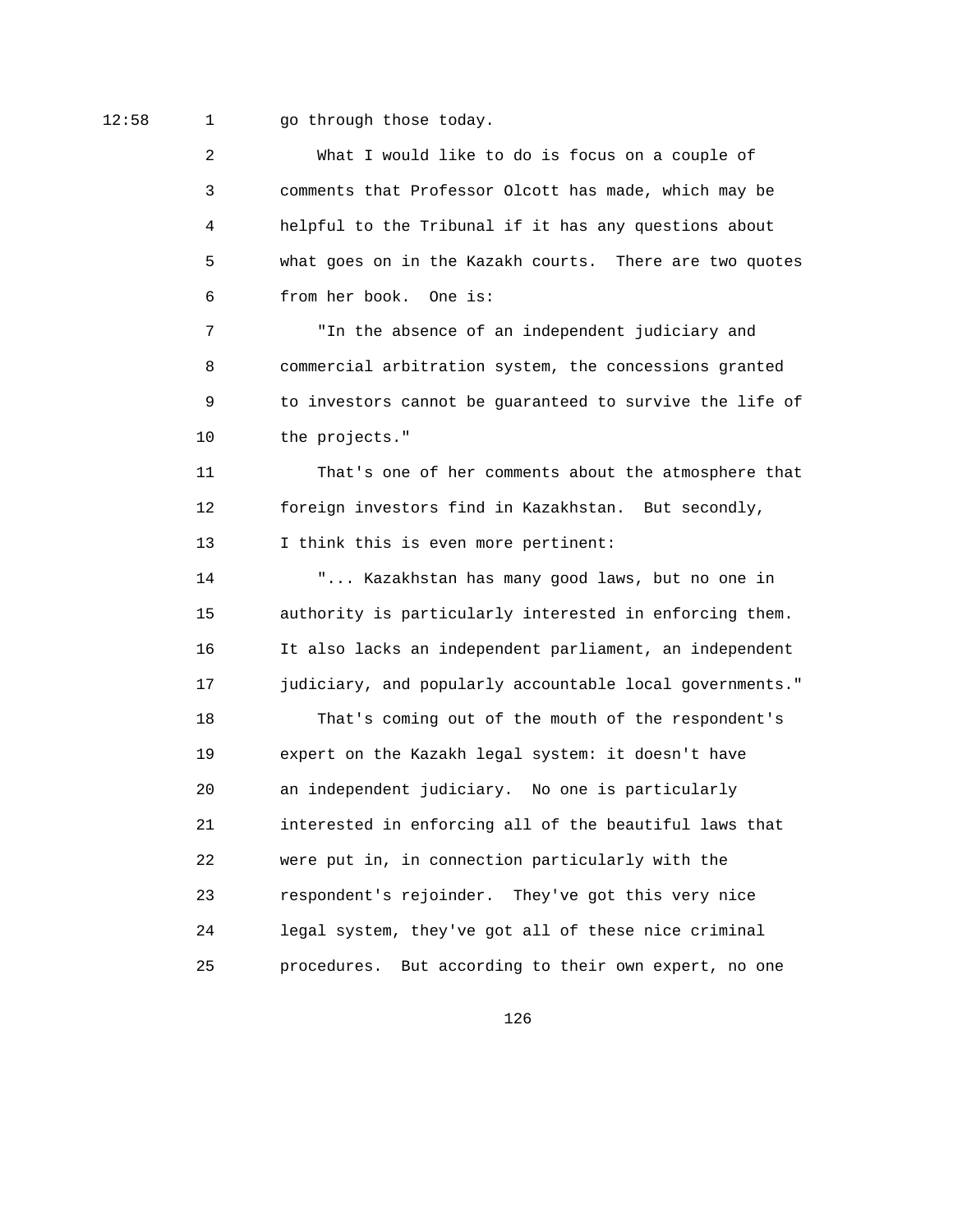12:58 1 go through those today.

 2 What I would like to do is focus on a couple of 3 comments that Professor Olcott has made, which may be 4 helpful to the Tribunal if it has any questions about 5 what goes on in the Kazakh courts. There are two quotes 6 from her book. One is:

 7 "In the absence of an independent judiciary and 8 commercial arbitration system, the concessions granted 9 to investors cannot be guaranteed to survive the life of 10 the projects."

 11 That's one of her comments about the atmosphere that 12 foreign investors find in Kazakhstan. But secondly, 13 I think this is even more pertinent:

 14 "... Kazakhstan has many good laws, but no one in 15 authority is particularly interested in enforcing them. 16 It also lacks an independent parliament, an independent 17 judiciary, and popularly accountable local governments."

 18 That's coming out of the mouth of the respondent's 19 expert on the Kazakh legal system: it doesn't have 20 an independent judiciary. No one is particularly 21 interested in enforcing all of the beautiful laws that 22 were put in, in connection particularly with the 23 respondent's rejoinder. They've got this very nice 24 legal system, they've got all of these nice criminal 25 procedures. But according to their own expert, no one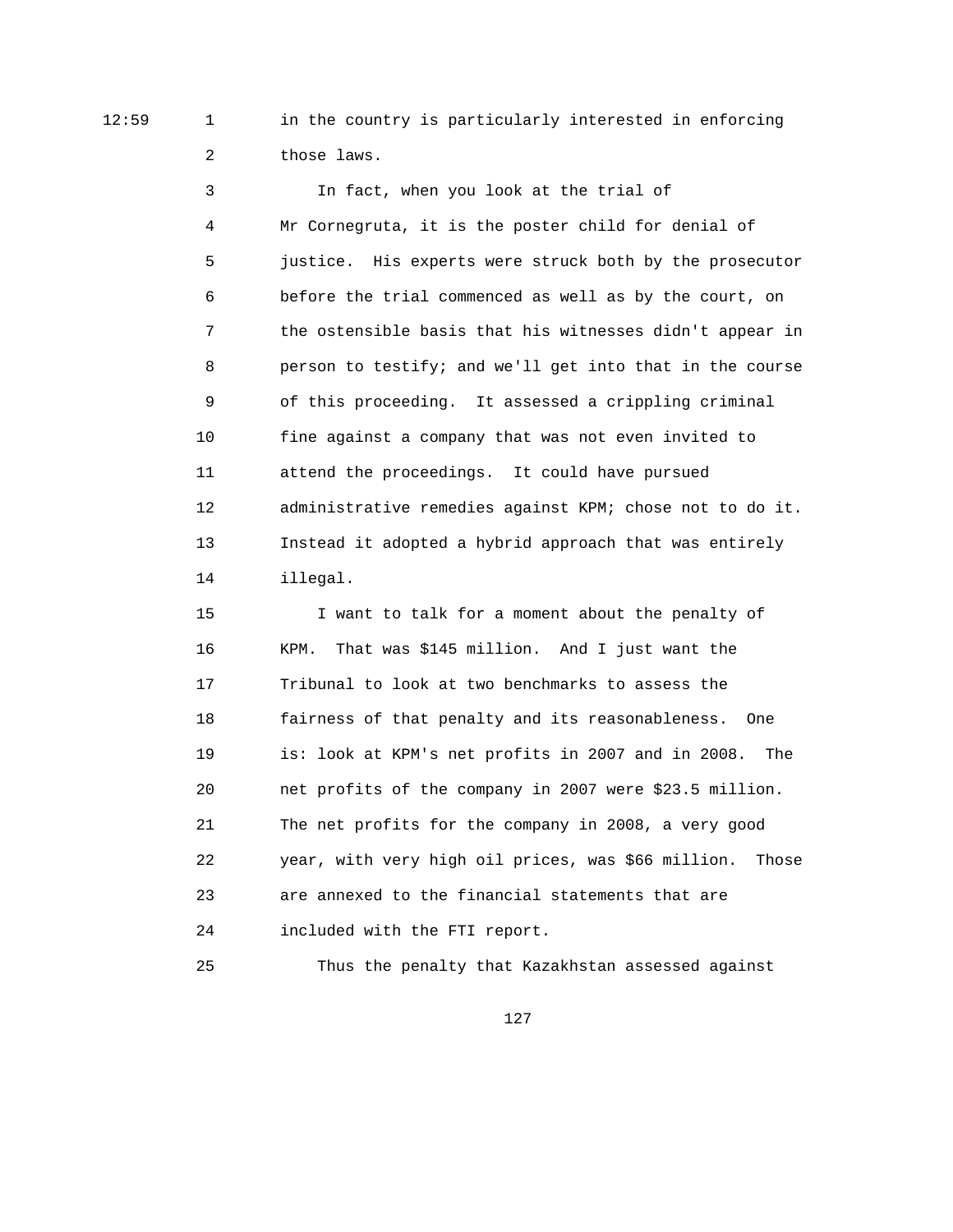12:59 1 in the country is particularly interested in enforcing 2 those laws.

> 3 In fact, when you look at the trial of 4 Mr Cornegruta, it is the poster child for denial of 5 justice. His experts were struck both by the prosecutor 6 before the trial commenced as well as by the court, on 7 the ostensible basis that his witnesses didn't appear in 8 person to testify; and we'll get into that in the course 9 of this proceeding. It assessed a crippling criminal 10 fine against a company that was not even invited to 11 attend the proceedings. It could have pursued 12 administrative remedies against KPM; chose not to do it. 13 Instead it adopted a hybrid approach that was entirely 14 illegal.

> 15 I want to talk for a moment about the penalty of 16 KPM. That was \$145 million. And I just want the 17 Tribunal to look at two benchmarks to assess the 18 fairness of that penalty and its reasonableness. One 19 is: look at KPM's net profits in 2007 and in 2008. The 20 net profits of the company in 2007 were \$23.5 million. 21 The net profits for the company in 2008, a very good 22 year, with very high oil prices, was \$66 million. Those 23 are annexed to the financial statements that are 24 included with the FTI report.

25 Thus the penalty that Kazakhstan assessed against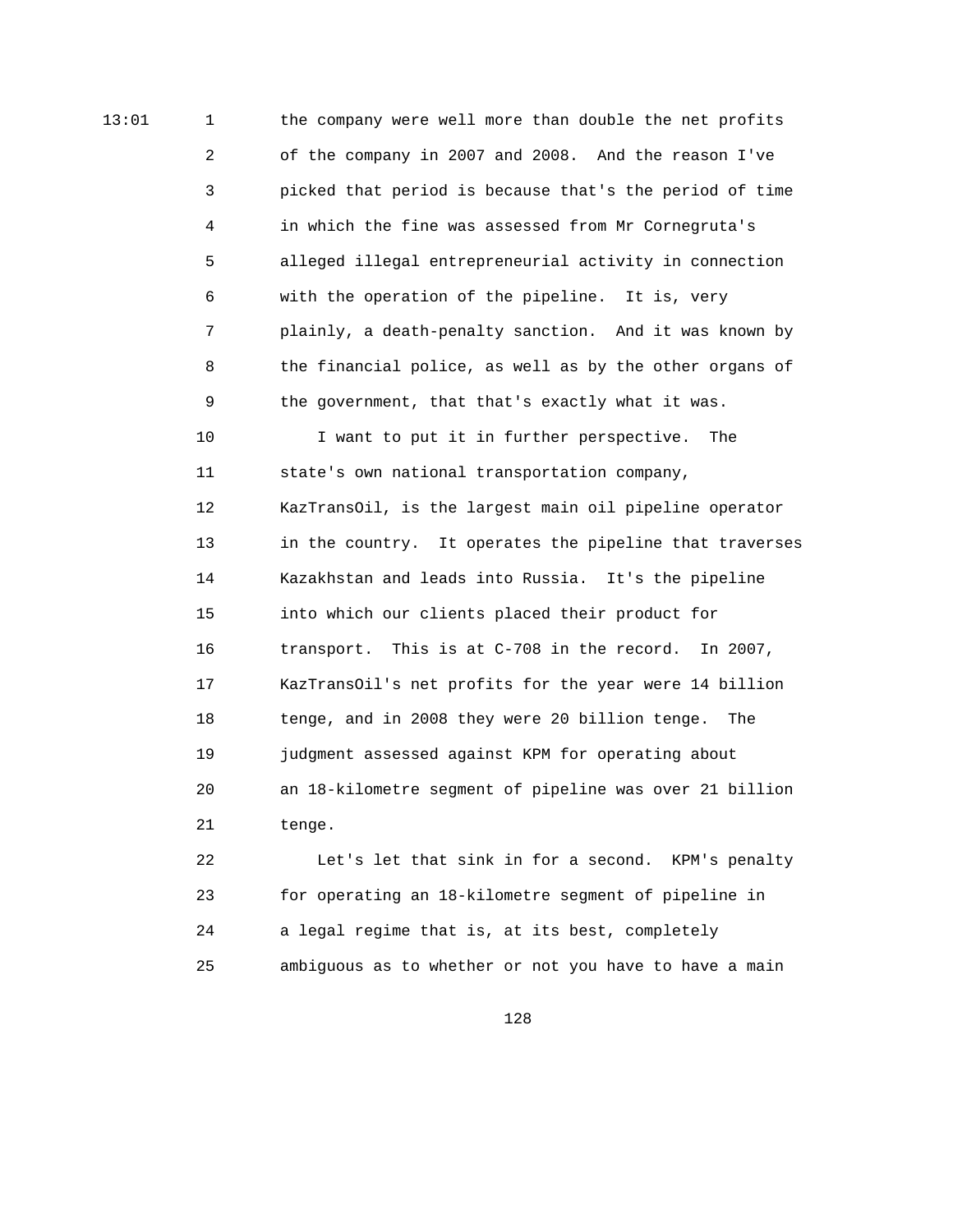13:01 1 the company were well more than double the net profits 2 of the company in 2007 and 2008. And the reason I've 3 picked that period is because that's the period of time 4 in which the fine was assessed from Mr Cornegruta's 5 alleged illegal entrepreneurial activity in connection 6 with the operation of the pipeline. It is, very 7 plainly, a death-penalty sanction. And it was known by 8 the financial police, as well as by the other organs of 9 the government, that that's exactly what it was. 10 I want to put it in further perspective. The 11 state's own national transportation company, 12 KazTransOil, is the largest main oil pipeline operator 13 in the country. It operates the pipeline that traverses 14 Kazakhstan and leads into Russia. It's the pipeline 15 into which our clients placed their product for 16 transport. This is at C-708 in the record. In 2007, 17 KazTransOil's net profits for the year were 14 billion 18 tenge, and in 2008 they were 20 billion tenge. The 19 judgment assessed against KPM for operating about 20 an 18-kilometre segment of pipeline was over 21 billion 21 tenge.

> 22 Let's let that sink in for a second. KPM's penalty 23 for operating an 18-kilometre segment of pipeline in 24 a legal regime that is, at its best, completely 25 ambiguous as to whether or not you have to have a main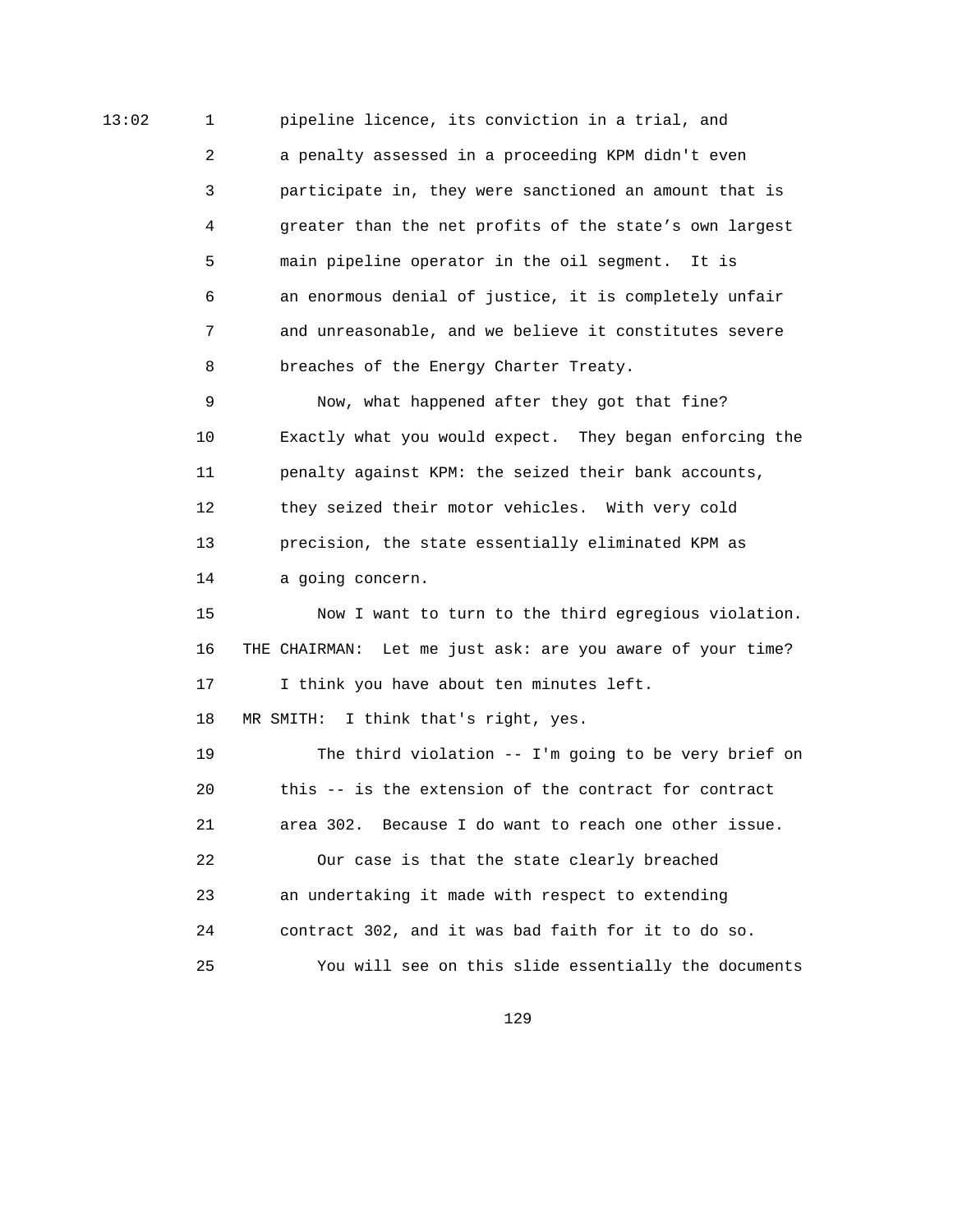13:02 1 pipeline licence, its conviction in a trial, and 2 a penalty assessed in a proceeding KPM didn't even 3 participate in, they were sanctioned an amount that is 4 greater than the net profits of the state's own largest 5 main pipeline operator in the oil segment. It is 6 an enormous denial of justice, it is completely unfair 7 and unreasonable, and we believe it constitutes severe 8 breaches of the Energy Charter Treaty.

> 9 Now, what happened after they got that fine? 10 Exactly what you would expect. They began enforcing the 11 penalty against KPM: the seized their bank accounts, 12 they seized their motor vehicles. With very cold 13 precision, the state essentially eliminated KPM as 14 a going concern.

> 15 Now I want to turn to the third egregious violation. 16 THE CHAIRMAN: Let me just ask: are you aware of your time? 17 I think you have about ten minutes left.

18 MR SMITH: I think that's right, yes.

 19 The third violation -- I'm going to be very brief on 20 this -- is the extension of the contract for contract 21 area 302. Because I do want to reach one other issue. 22 Our case is that the state clearly breached 23 an undertaking it made with respect to extending 24 contract 302, and it was bad faith for it to do so. 25 You will see on this slide essentially the documents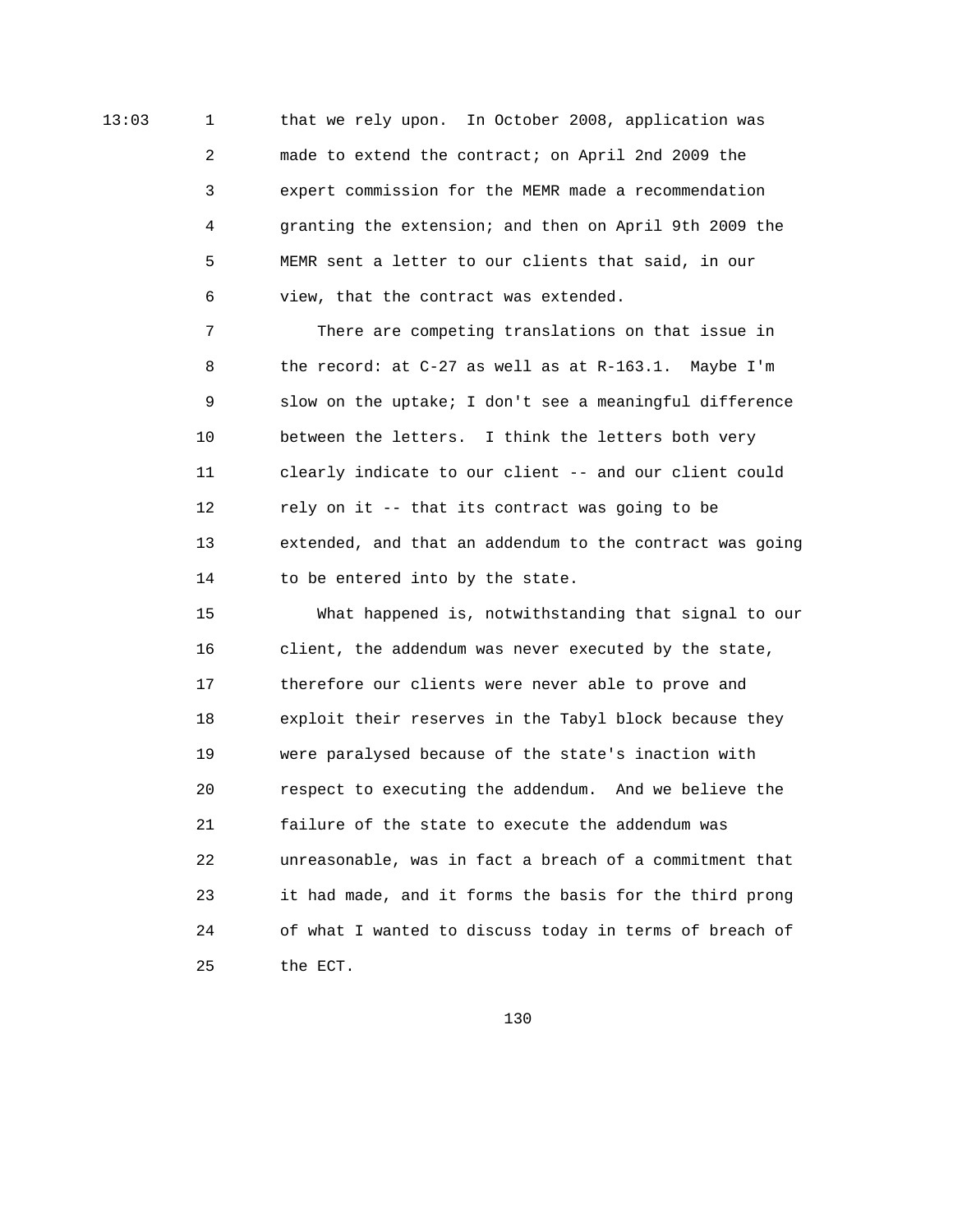13:03 1 that we rely upon. In October 2008, application was 2 made to extend the contract; on April 2nd 2009 the 3 expert commission for the MEMR made a recommendation 4 granting the extension; and then on April 9th 2009 the 5 MEMR sent a letter to our clients that said, in our 6 view, that the contract was extended.

> 7 There are competing translations on that issue in 8 the record: at C-27 as well as at R-163.1. Maybe I'm 9 slow on the uptake; I don't see a meaningful difference 10 between the letters. I think the letters both very 11 clearly indicate to our client -- and our client could 12 rely on it -- that its contract was going to be 13 extended, and that an addendum to the contract was going 14 to be entered into by the state.

> 15 What happened is, notwithstanding that signal to our 16 client, the addendum was never executed by the state, 17 therefore our clients were never able to prove and 18 exploit their reserves in the Tabyl block because they 19 were paralysed because of the state's inaction with 20 respect to executing the addendum. And we believe the 21 failure of the state to execute the addendum was 22 unreasonable, was in fact a breach of a commitment that 23 it had made, and it forms the basis for the third prong 24 of what I wanted to discuss today in terms of breach of 25 the ECT.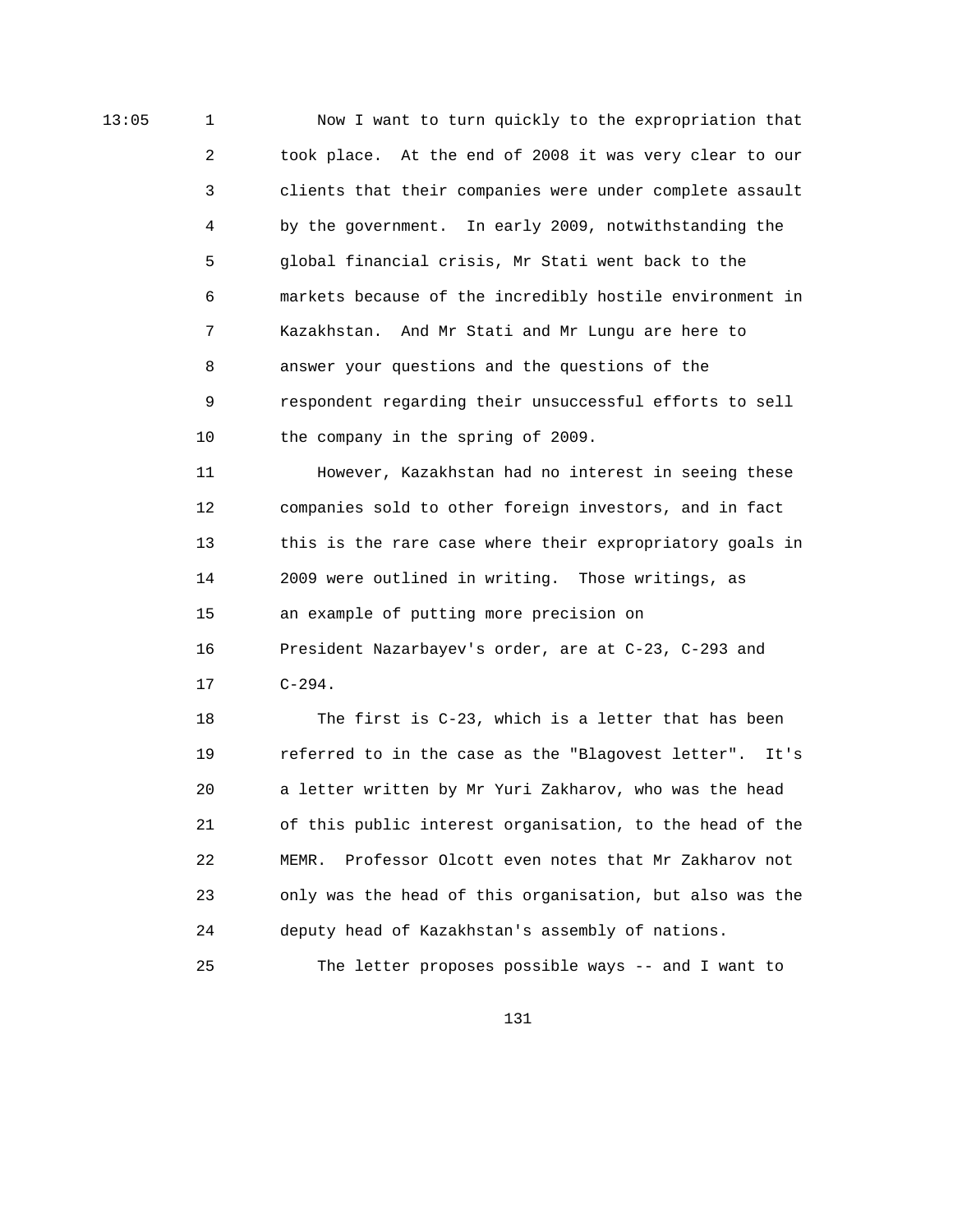13:05 1 Now I want to turn quickly to the expropriation that 2 took place. At the end of 2008 it was very clear to our 3 clients that their companies were under complete assault 4 by the government. In early 2009, notwithstanding the 5 global financial crisis, Mr Stati went back to the 6 markets because of the incredibly hostile environment in 7 Kazakhstan. And Mr Stati and Mr Lungu are here to 8 answer your questions and the questions of the 9 respondent regarding their unsuccessful efforts to sell 10 the company in the spring of 2009.

> 11 However, Kazakhstan had no interest in seeing these 12 companies sold to other foreign investors, and in fact 13 this is the rare case where their expropriatory goals in 14 2009 were outlined in writing. Those writings, as 15 an example of putting more precision on 16 President Nazarbayev's order, are at C-23, C-293 and

17 C-294.

 18 The first is C-23, which is a letter that has been 19 referred to in the case as the "Blagovest letter". It's 20 a letter written by Mr Yuri Zakharov, who was the head 21 of this public interest organisation, to the head of the 22 MEMR. Professor Olcott even notes that Mr Zakharov not 23 only was the head of this organisation, but also was the 24 deputy head of Kazakhstan's assembly of nations.

25 The letter proposes possible ways -- and I want to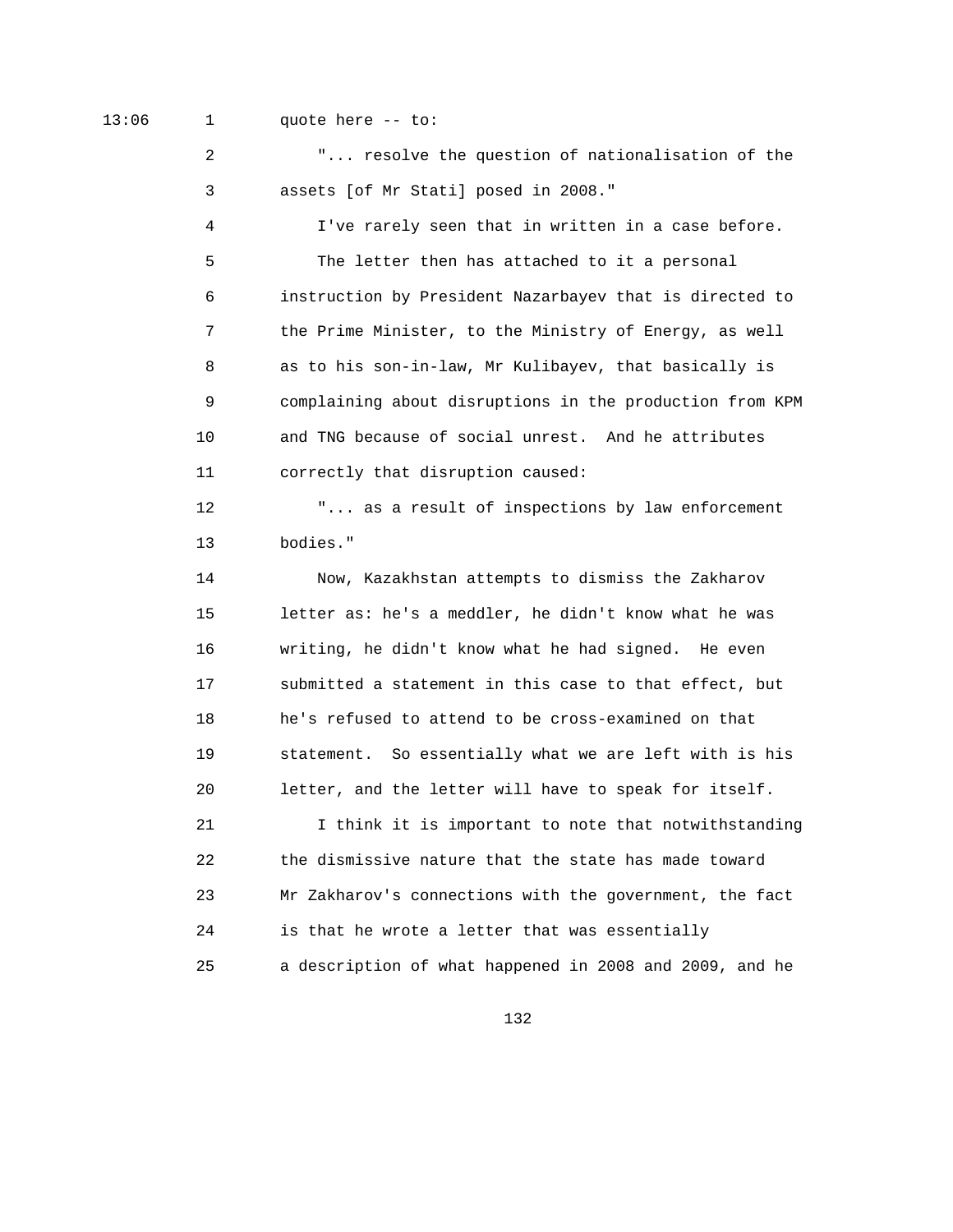13:06 1 quote here -- to:

 2 "... resolve the question of nationalisation of the 3 assets [of Mr Stati] posed in 2008." 4 I've rarely seen that in written in a case before. 5 The letter then has attached to it a personal 6 instruction by President Nazarbayev that is directed to 7 the Prime Minister, to the Ministry of Energy, as well 8 as to his son-in-law, Mr Kulibayev, that basically is 9 complaining about disruptions in the production from KPM 10 and TNG because of social unrest. And he attributes 11 correctly that disruption caused: 12 "... as a result of inspections by law enforcement 13 bodies." 14 Now, Kazakhstan attempts to dismiss the Zakharov 15 letter as: he's a meddler, he didn't know what he was 16 writing, he didn't know what he had signed. He even 17 submitted a statement in this case to that effect, but 18 he's refused to attend to be cross-examined on that 19 statement. So essentially what we are left with is his 20 letter, and the letter will have to speak for itself. 21 I think it is important to note that notwithstanding 22 the dismissive nature that the state has made toward 23 Mr Zakharov's connections with the government, the fact 24 is that he wrote a letter that was essentially 25 a description of what happened in 2008 and 2009, and he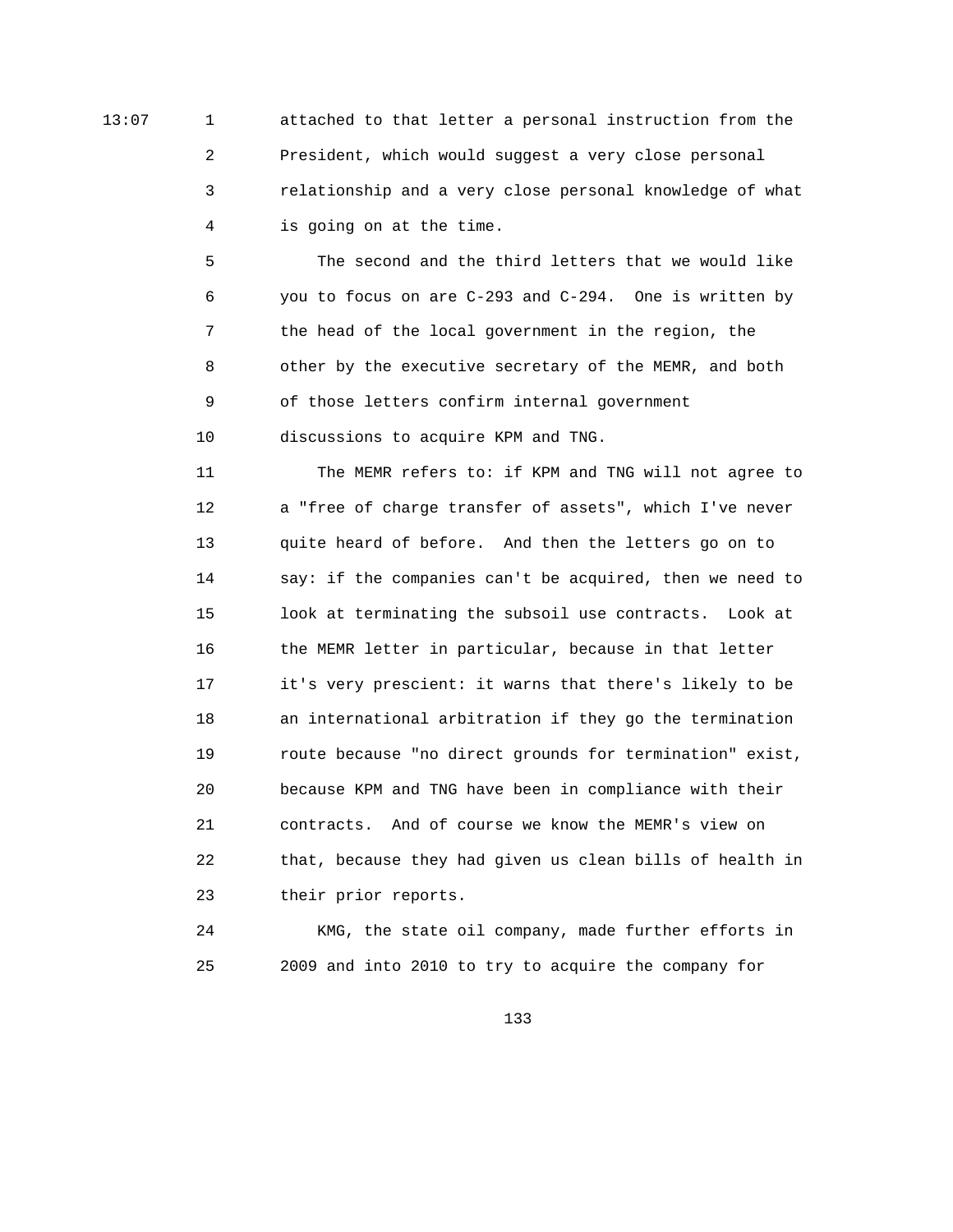13:07 1 attached to that letter a personal instruction from the 2 President, which would suggest a very close personal 3 relationship and a very close personal knowledge of what 4 is going on at the time.

> 5 The second and the third letters that we would like 6 you to focus on are C-293 and C-294. One is written by 7 the head of the local government in the region, the 8 other by the executive secretary of the MEMR, and both 9 of those letters confirm internal government 10 discussions to acquire KPM and TNG.

 11 The MEMR refers to: if KPM and TNG will not agree to 12 a "free of charge transfer of assets", which I've never 13 quite heard of before. And then the letters go on to 14 say: if the companies can't be acquired, then we need to 15 look at terminating the subsoil use contracts. Look at 16 the MEMR letter in particular, because in that letter 17 it's very prescient: it warns that there's likely to be 18 an international arbitration if they go the termination 19 route because "no direct grounds for termination" exist, 20 because KPM and TNG have been in compliance with their 21 contracts. And of course we know the MEMR's view on 22 that, because they had given us clean bills of health in 23 their prior reports.

 24 KMG, the state oil company, made further efforts in 25 2009 and into 2010 to try to acquire the company for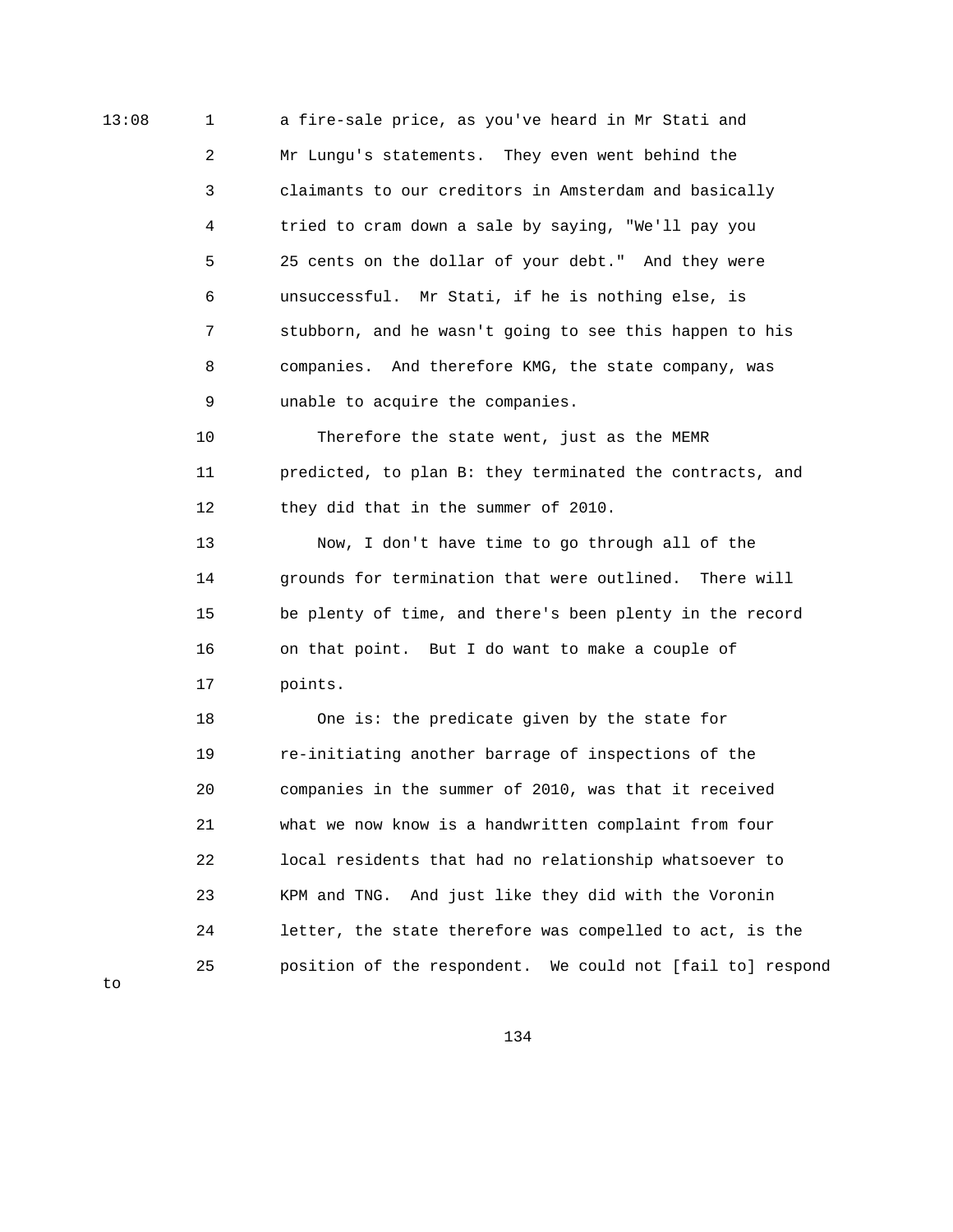13:08 1 a fire-sale price, as you've heard in Mr Stati and 2 Mr Lungu's statements. They even went behind the 3 claimants to our creditors in Amsterdam and basically 4 tried to cram down a sale by saying, "We'll pay you 5 25 cents on the dollar of your debt." And they were 6 unsuccessful. Mr Stati, if he is nothing else, is 7 stubborn, and he wasn't going to see this happen to his 8 companies. And therefore KMG, the state company, was 9 unable to acquire the companies.

> 10 Therefore the state went, just as the MEMR 11 predicted, to plan B: they terminated the contracts, and 12 they did that in the summer of 2010.

> 13 Now, I don't have time to go through all of the 14 grounds for termination that were outlined. There will 15 be plenty of time, and there's been plenty in the record 16 on that point. But I do want to make a couple of 17 points.

 18 One is: the predicate given by the state for 19 re-initiating another barrage of inspections of the 20 companies in the summer of 2010, was that it received 21 what we now know is a handwritten complaint from four 22 local residents that had no relationship whatsoever to 23 KPM and TNG. And just like they did with the Voronin 24 letter, the state therefore was compelled to act, is the 25 position of the respondent. We could not [fail to] respond

 $t \circ$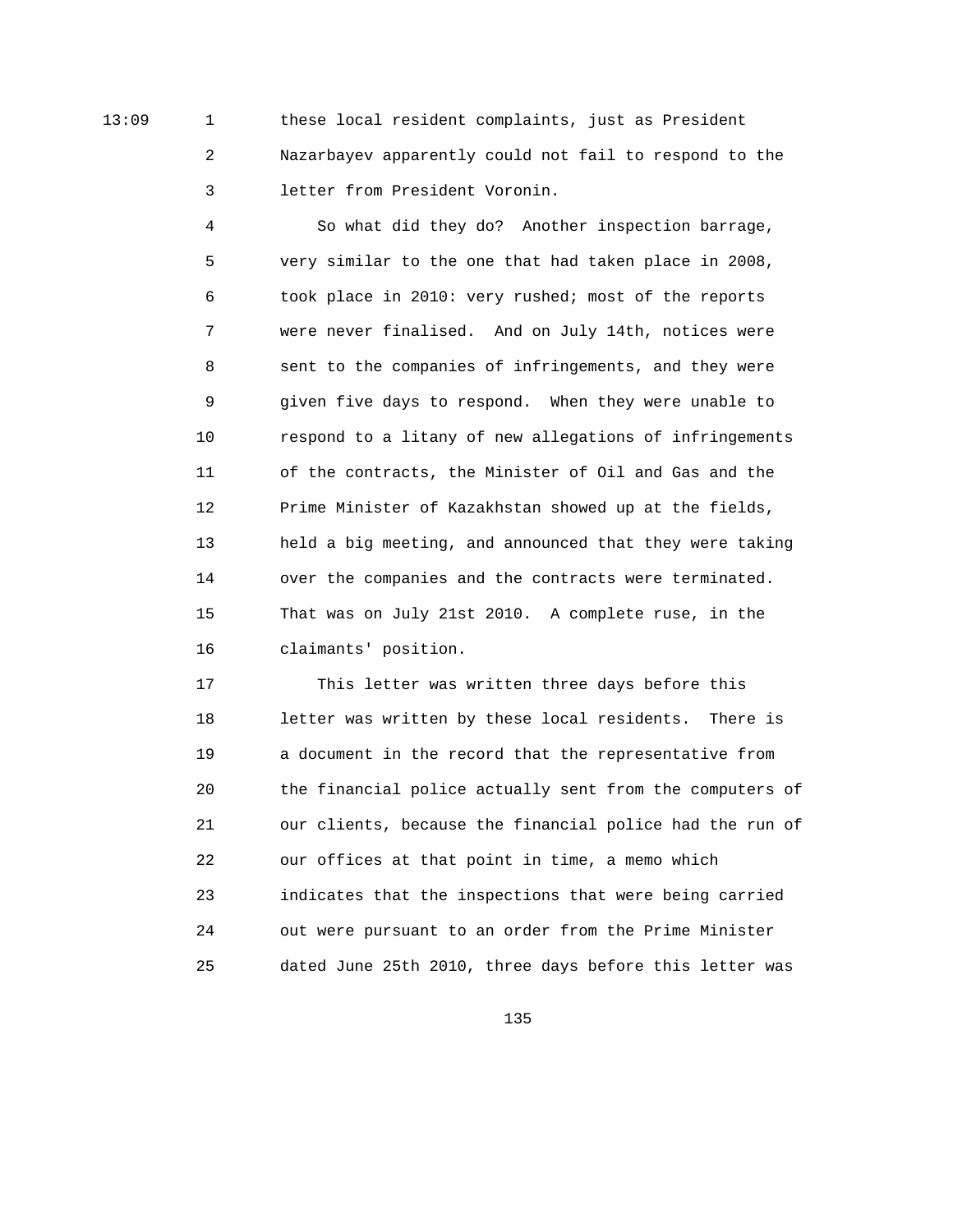13:09 1 these local resident complaints, just as President 2 Nazarbayev apparently could not fail to respond to the 3 letter from President Voronin.

> 4 So what did they do? Another inspection barrage, 5 very similar to the one that had taken place in 2008, 6 took place in 2010: very rushed; most of the reports 7 were never finalised. And on July 14th, notices were 8 sent to the companies of infringements, and they were 9 given five days to respond. When they were unable to 10 respond to a litany of new allegations of infringements 11 of the contracts, the Minister of Oil and Gas and the 12 Prime Minister of Kazakhstan showed up at the fields, 13 held a big meeting, and announced that they were taking 14 over the companies and the contracts were terminated. 15 That was on July 21st 2010. A complete ruse, in the 16 claimants' position.

 17 This letter was written three days before this 18 letter was written by these local residents. There is 19 a document in the record that the representative from 20 the financial police actually sent from the computers of 21 our clients, because the financial police had the run of 22 our offices at that point in time, a memo which 23 indicates that the inspections that were being carried 24 out were pursuant to an order from the Prime Minister 25 dated June 25th 2010, three days before this letter was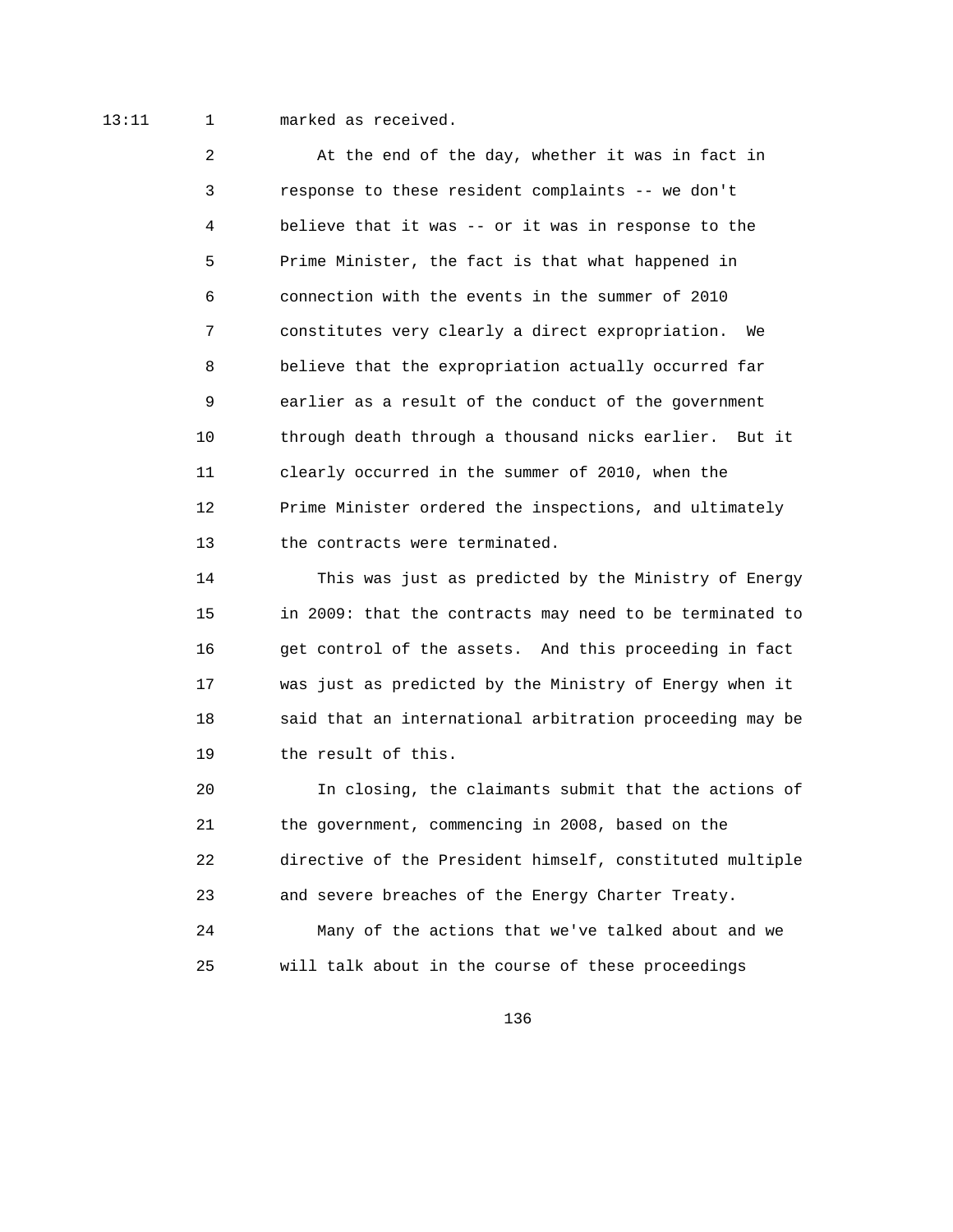13:11 1 marked as received.

 2 At the end of the day, whether it was in fact in 3 response to these resident complaints -- we don't 4 believe that it was -- or it was in response to the 5 Prime Minister, the fact is that what happened in 6 connection with the events in the summer of 2010 7 constitutes very clearly a direct expropriation. We 8 believe that the expropriation actually occurred far 9 earlier as a result of the conduct of the government 10 through death through a thousand nicks earlier. But it 11 clearly occurred in the summer of 2010, when the 12 Prime Minister ordered the inspections, and ultimately 13 the contracts were terminated.

 14 This was just as predicted by the Ministry of Energy 15 in 2009: that the contracts may need to be terminated to 16 get control of the assets. And this proceeding in fact 17 was just as predicted by the Ministry of Energy when it 18 said that an international arbitration proceeding may be 19 the result of this.

 20 In closing, the claimants submit that the actions of 21 the government, commencing in 2008, based on the 22 directive of the President himself, constituted multiple 23 and severe breaches of the Energy Charter Treaty. 24 Many of the actions that we've talked about and we 25 will talk about in the course of these proceedings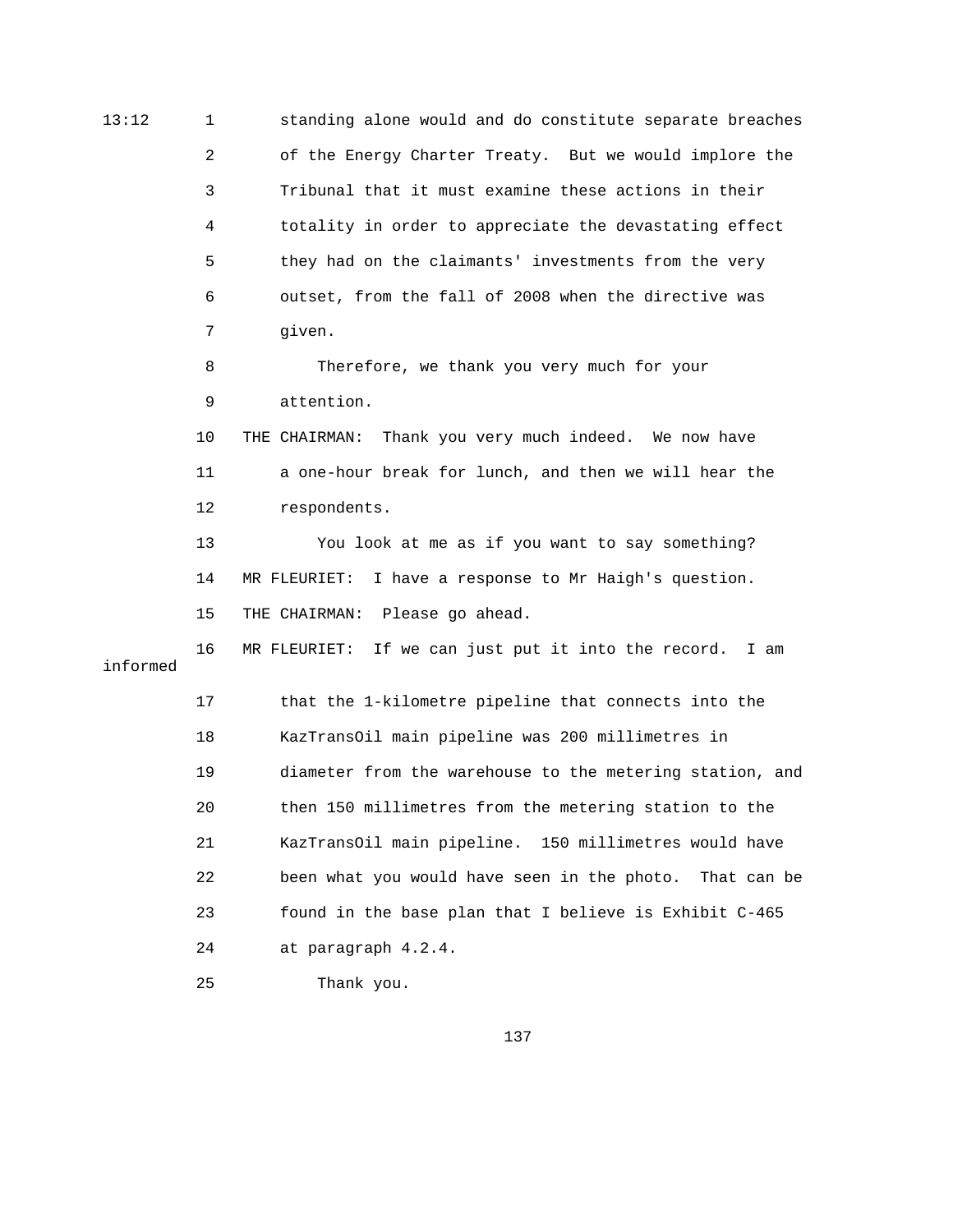13:12 1 standing alone would and do constitute separate breaches 2 of the Energy Charter Treaty. But we would implore the 3 Tribunal that it must examine these actions in their 4 totality in order to appreciate the devastating effect 5 they had on the claimants' investments from the very 6 outset, from the fall of 2008 when the directive was 7 given. 8 Therefore, we thank you very much for your 9 attention. 10 THE CHAIRMAN: Thank you very much indeed. We now have 11 a one-hour break for lunch, and then we will hear the 12 respondents. 13 You look at me as if you want to say something? 14 MR FLEURIET: I have a response to Mr Haigh's question. 15 THE CHAIRMAN: Please go ahead. 16 MR FLEURIET: If we can just put it into the record. I am informed 17 that the 1-kilometre pipeline that connects into the 18 KazTransOil main pipeline was 200 millimetres in 19 diameter from the warehouse to the metering station, and 20 then 150 millimetres from the metering station to the 21 KazTransOil main pipeline. 150 millimetres would have 22 been what you would have seen in the photo. That can be 23 found in the base plan that I believe is Exhibit C-465 24 at paragraph 4.2.4.

137

25 Thank you.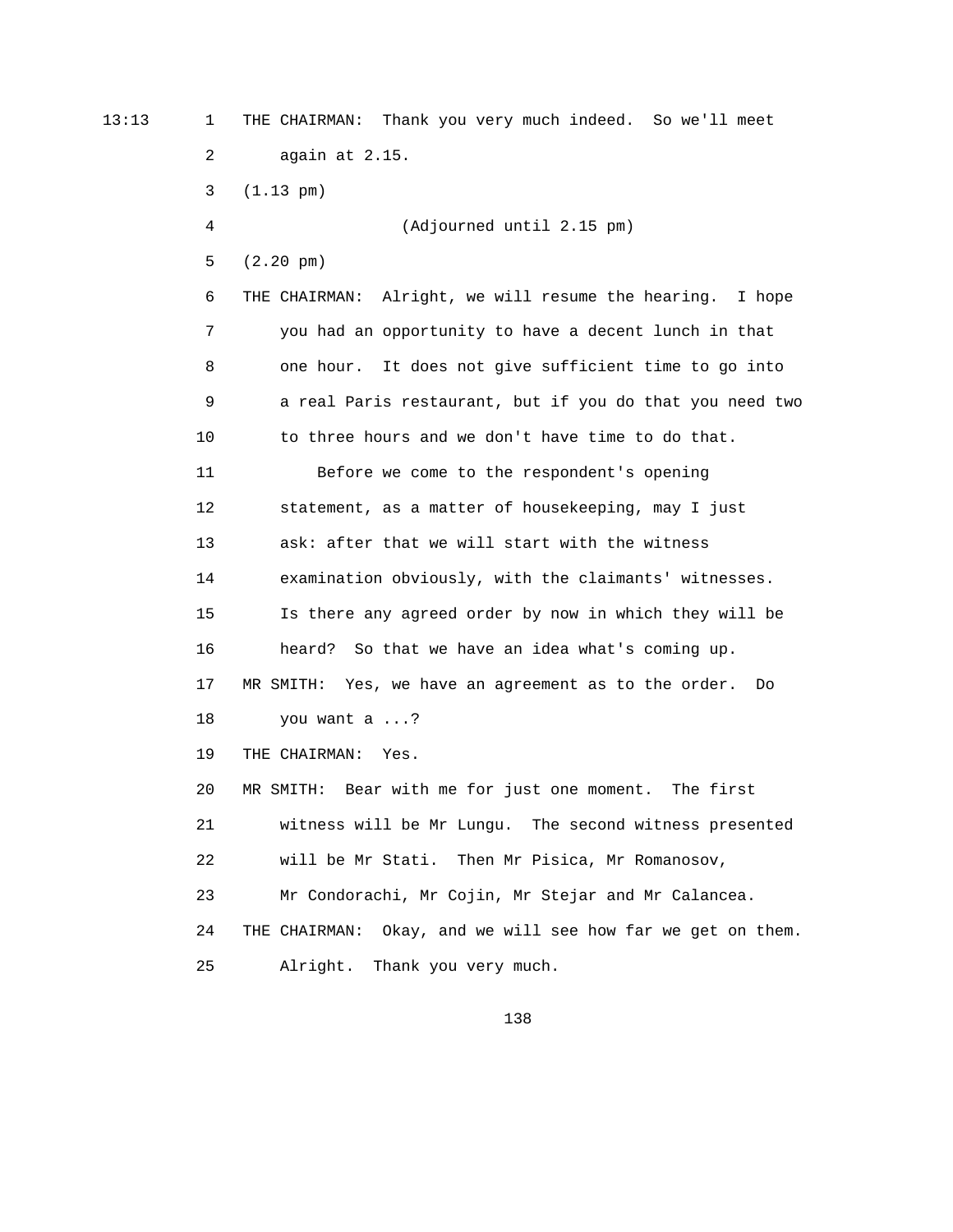13:13 1 THE CHAIRMAN: Thank you very much indeed. So we'll meet 2 again at 2.15. 3 (1.13 pm) 4 (Adjourned until 2.15 pm) 5 (2.20 pm) 6 THE CHAIRMAN: Alright, we will resume the hearing. I hope 7 you had an opportunity to have a decent lunch in that 8 one hour. It does not give sufficient time to go into 9 a real Paris restaurant, but if you do that you need two 10 to three hours and we don't have time to do that. 11 Before we come to the respondent's opening 12 statement, as a matter of housekeeping, may I just 13 ask: after that we will start with the witness 14 examination obviously, with the claimants' witnesses. 15 Is there any agreed order by now in which they will be 16 heard? So that we have an idea what's coming up. 17 MR SMITH: Yes, we have an agreement as to the order. Do 18 you want a ...? 19 THE CHAIRMAN: Yes. 20 MR SMITH: Bear with me for just one moment. The first 21 witness will be Mr Lungu. The second witness presented 22 will be Mr Stati. Then Mr Pisica, Mr Romanosov, 23 Mr Condorachi, Mr Cojin, Mr Stejar and Mr Calancea. 24 THE CHAIRMAN: Okay, and we will see how far we get on them. 25 Alright. Thank you very much.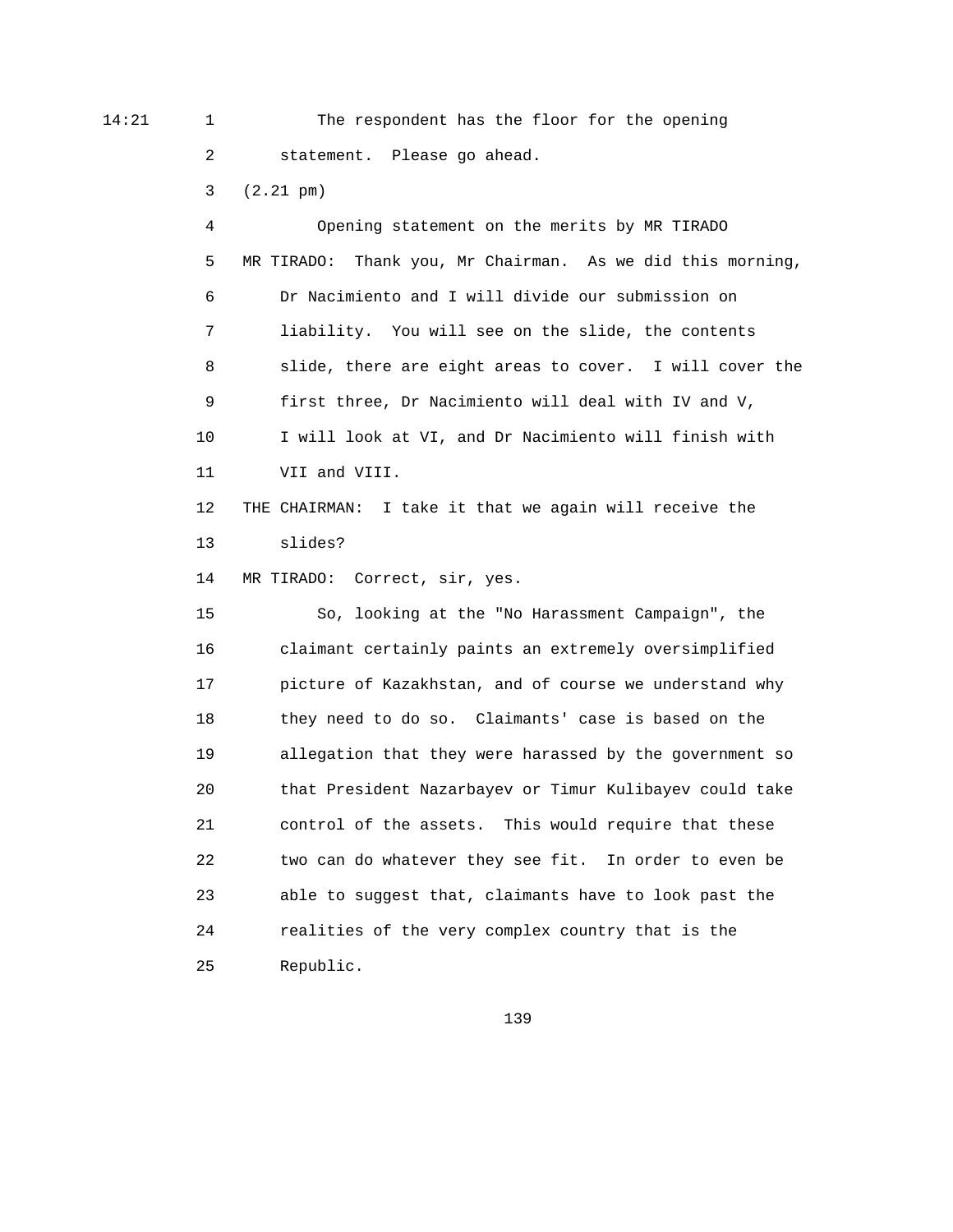14:21 1 The respondent has the floor for the opening 2 statement. Please go ahead.

3 (2.21 pm)

 4 Opening statement on the merits by MR TIRADO 5 MR TIRADO: Thank you, Mr Chairman. As we did this morning, 6 Dr Nacimiento and I will divide our submission on 7 liability. You will see on the slide, the contents 8 slide, there are eight areas to cover. I will cover the 9 first three, Dr Nacimiento will deal with IV and V, 10 I will look at VI, and Dr Nacimiento will finish with 11 VII and VIII. 12 THE CHAIRMAN: I take it that we again will receive the 13 slides? 14 MR TIRADO: Correct, sir, yes. 15 So, looking at the "No Harassment Campaign", the 16 claimant certainly paints an extremely oversimplified 17 picture of Kazakhstan, and of course we understand why 18 they need to do so. Claimants' case is based on the 19 allegation that they were harassed by the government so 20 that President Nazarbayev or Timur Kulibayev could take 21 control of the assets. This would require that these 22 two can do whatever they see fit. In order to even be 23 able to suggest that, claimants have to look past the 24 realities of the very complex country that is the 25 Republic.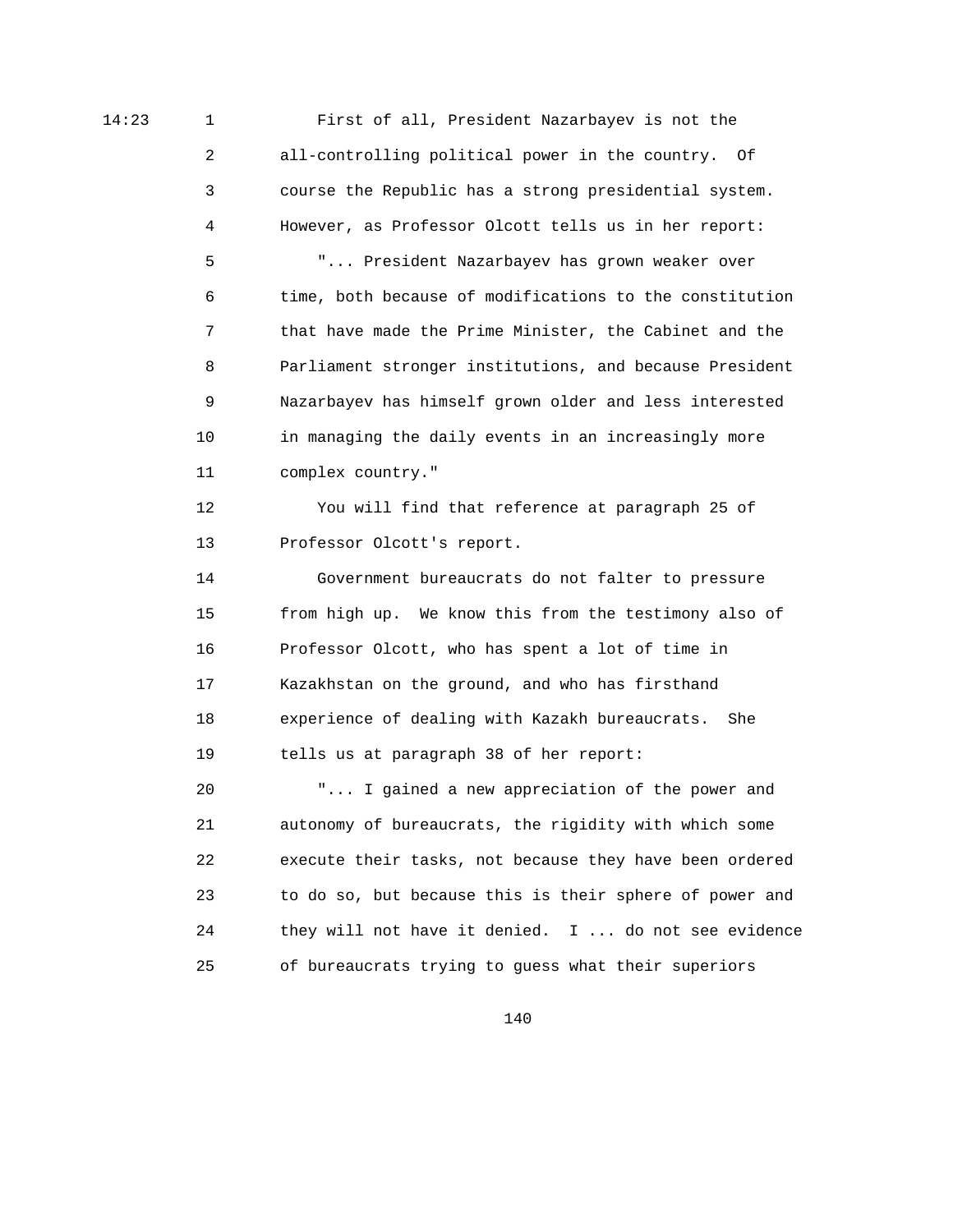14:23 1 First of all, President Nazarbayev is not the 2 all-controlling political power in the country. Of 3 course the Republic has a strong presidential system. 4 However, as Professor Olcott tells us in her report: 5 "... President Nazarbayev has grown weaker over 6 time, both because of modifications to the constitution 7 that have made the Prime Minister, the Cabinet and the 8 Parliament stronger institutions, and because President 9 Nazarbayev has himself grown older and less interested 10 in managing the daily events in an increasingly more 11 complex country."

> 12 You will find that reference at paragraph 25 of 13 Professor Olcott's report.

 14 Government bureaucrats do not falter to pressure 15 from high up. We know this from the testimony also of 16 Professor Olcott, who has spent a lot of time in 17 Kazakhstan on the ground, and who has firsthand 18 experience of dealing with Kazakh bureaucrats. She 19 tells us at paragraph 38 of her report: 20 "... I gained a new appreciation of the power and 21 autonomy of bureaucrats, the rigidity with which some 22 execute their tasks, not because they have been ordered

 24 they will not have it denied. I ... do not see evidence 25 of bureaucrats trying to guess what their superiors

23 to do so, but because this is their sphere of power and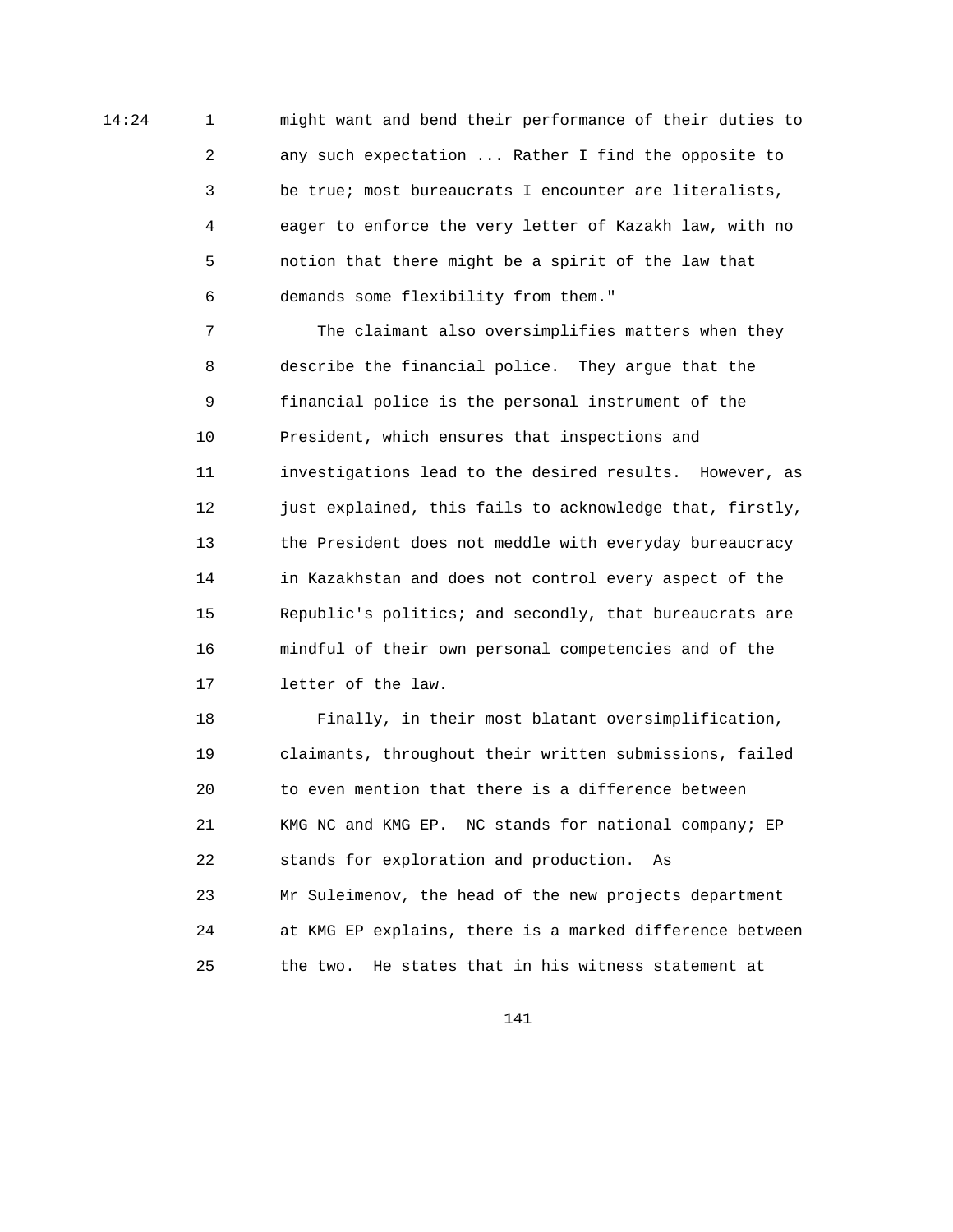14:24 1 might want and bend their performance of their duties to 2 any such expectation ... Rather I find the opposite to 3 be true; most bureaucrats I encounter are literalists, 4 eager to enforce the very letter of Kazakh law, with no 5 notion that there might be a spirit of the law that 6 demands some flexibility from them."

> 7 The claimant also oversimplifies matters when they 8 describe the financial police. They argue that the 9 financial police is the personal instrument of the 10 President, which ensures that inspections and 11 investigations lead to the desired results. However, as 12 just explained, this fails to acknowledge that, firstly, 13 the President does not meddle with everyday bureaucracy 14 in Kazakhstan and does not control every aspect of the 15 Republic's politics; and secondly, that bureaucrats are 16 mindful of their own personal competencies and of the 17 letter of the law.

> 18 Finally, in their most blatant oversimplification, 19 claimants, throughout their written submissions, failed 20 to even mention that there is a difference between 21 KMG NC and KMG EP. NC stands for national company; EP 22 stands for exploration and production. As 23 Mr Suleimenov, the head of the new projects department 24 at KMG EP explains, there is a marked difference between 25 the two. He states that in his witness statement at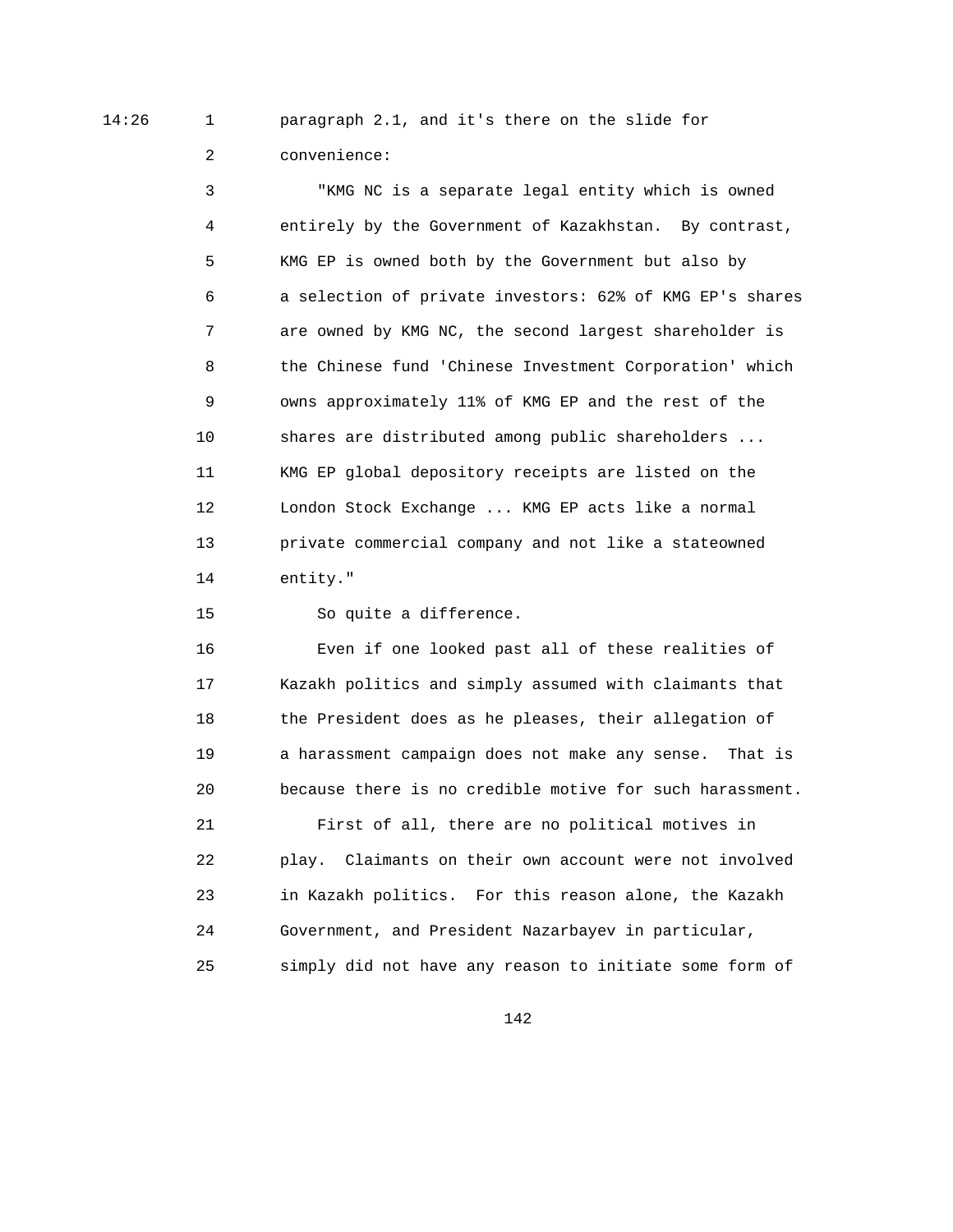14:26 1 paragraph 2.1, and it's there on the slide for

2 convenience:

 3 "KMG NC is a separate legal entity which is owned 4 entirely by the Government of Kazakhstan. By contrast, 5 KMG EP is owned both by the Government but also by 6 a selection of private investors: 62% of KMG EP's shares 7 are owned by KMG NC, the second largest shareholder is 8 the Chinese fund 'Chinese Investment Corporation' which 9 owns approximately 11% of KMG EP and the rest of the 10 shares are distributed among public shareholders ... 11 KMG EP global depository receipts are listed on the 12 London Stock Exchange ... KMG EP acts like a normal 13 private commercial company and not like a stateowned 14 entity."

15 So quite a difference.

 16 Even if one looked past all of these realities of 17 Kazakh politics and simply assumed with claimants that 18 the President does as he pleases, their allegation of 19 a harassment campaign does not make any sense. That is 20 because there is no credible motive for such harassment. 21 First of all, there are no political motives in 22 play. Claimants on their own account were not involved

 23 in Kazakh politics. For this reason alone, the Kazakh 24 Government, and President Nazarbayev in particular, 25 simply did not have any reason to initiate some form of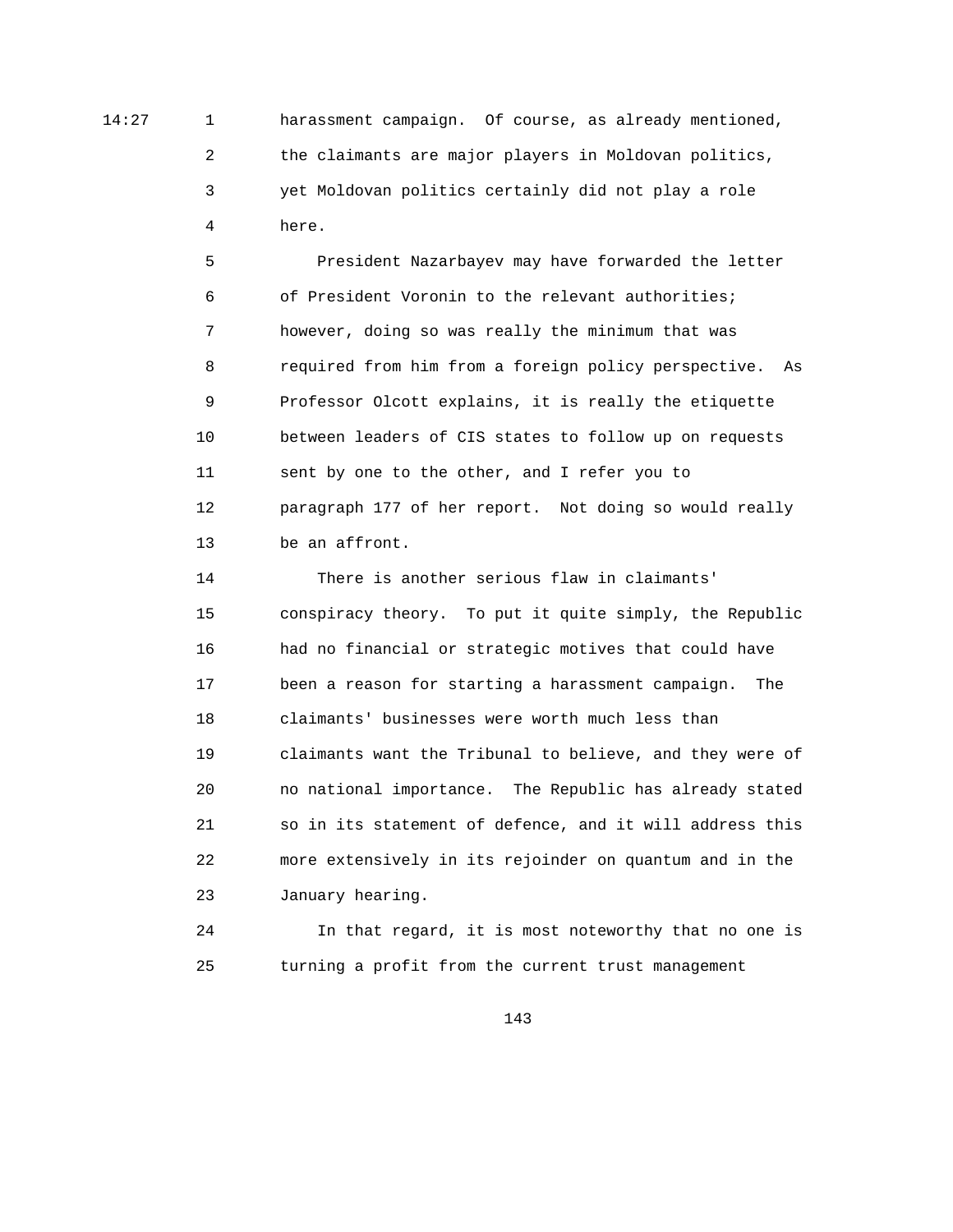14:27 1 harassment campaign. Of course, as already mentioned, 2 the claimants are major players in Moldovan politics, 3 yet Moldovan politics certainly did not play a role 4 here.

> 5 President Nazarbayev may have forwarded the letter 6 of President Voronin to the relevant authorities; 7 however, doing so was really the minimum that was 8 required from him from a foreign policy perspective. As 9 Professor Olcott explains, it is really the etiquette 10 between leaders of CIS states to follow up on requests 11 sent by one to the other, and I refer you to 12 paragraph 177 of her report. Not doing so would really 13 be an affront.

> 14 There is another serious flaw in claimants' 15 conspiracy theory. To put it quite simply, the Republic 16 had no financial or strategic motives that could have 17 been a reason for starting a harassment campaign. The 18 claimants' businesses were worth much less than 19 claimants want the Tribunal to believe, and they were of 20 no national importance. The Republic has already stated 21 so in its statement of defence, and it will address this 22 more extensively in its rejoinder on quantum and in the 23 January hearing.

> 24 In that regard, it is most noteworthy that no one is 25 turning a profit from the current trust management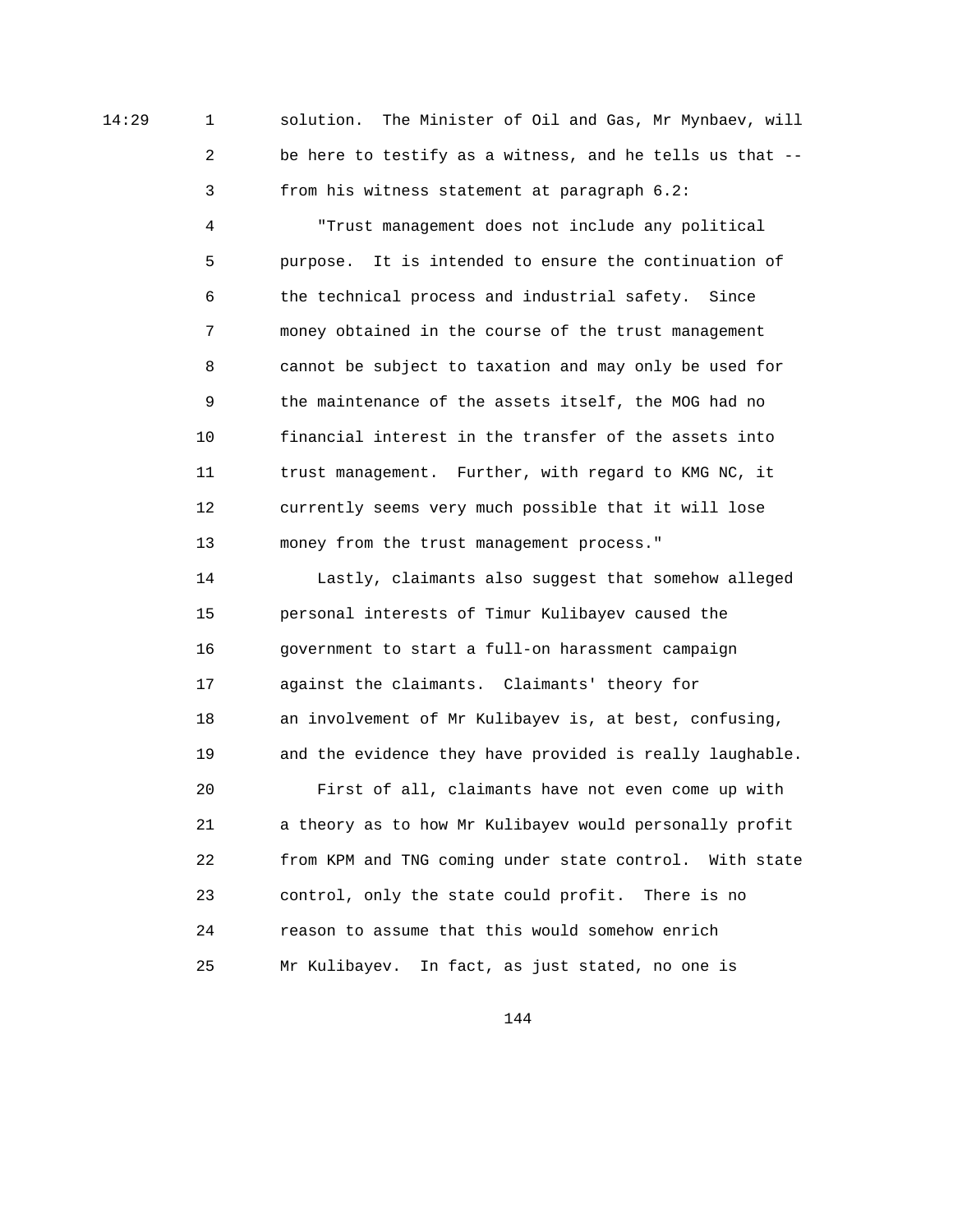14:29 1 solution. The Minister of Oil and Gas, Mr Mynbaev, will 2 be here to testify as a witness, and he tells us that -- 3 from his witness statement at paragraph 6.2:

> 4 "Trust management does not include any political 5 purpose. It is intended to ensure the continuation of 6 the technical process and industrial safety. Since 7 money obtained in the course of the trust management 8 cannot be subject to taxation and may only be used for 9 the maintenance of the assets itself, the MOG had no 10 financial interest in the transfer of the assets into 11 trust management. Further, with regard to KMG NC, it 12 currently seems very much possible that it will lose 13 money from the trust management process."

 14 Lastly, claimants also suggest that somehow alleged 15 personal interests of Timur Kulibayev caused the 16 government to start a full-on harassment campaign 17 against the claimants. Claimants' theory for 18 an involvement of Mr Kulibayev is, at best, confusing, 19 and the evidence they have provided is really laughable. 20 First of all, claimants have not even come up with 21 a theory as to how Mr Kulibayev would personally profit 22 from KPM and TNG coming under state control. With state

 23 control, only the state could profit. There is no 24 reason to assume that this would somehow enrich 25 Mr Kulibayev. In fact, as just stated, no one is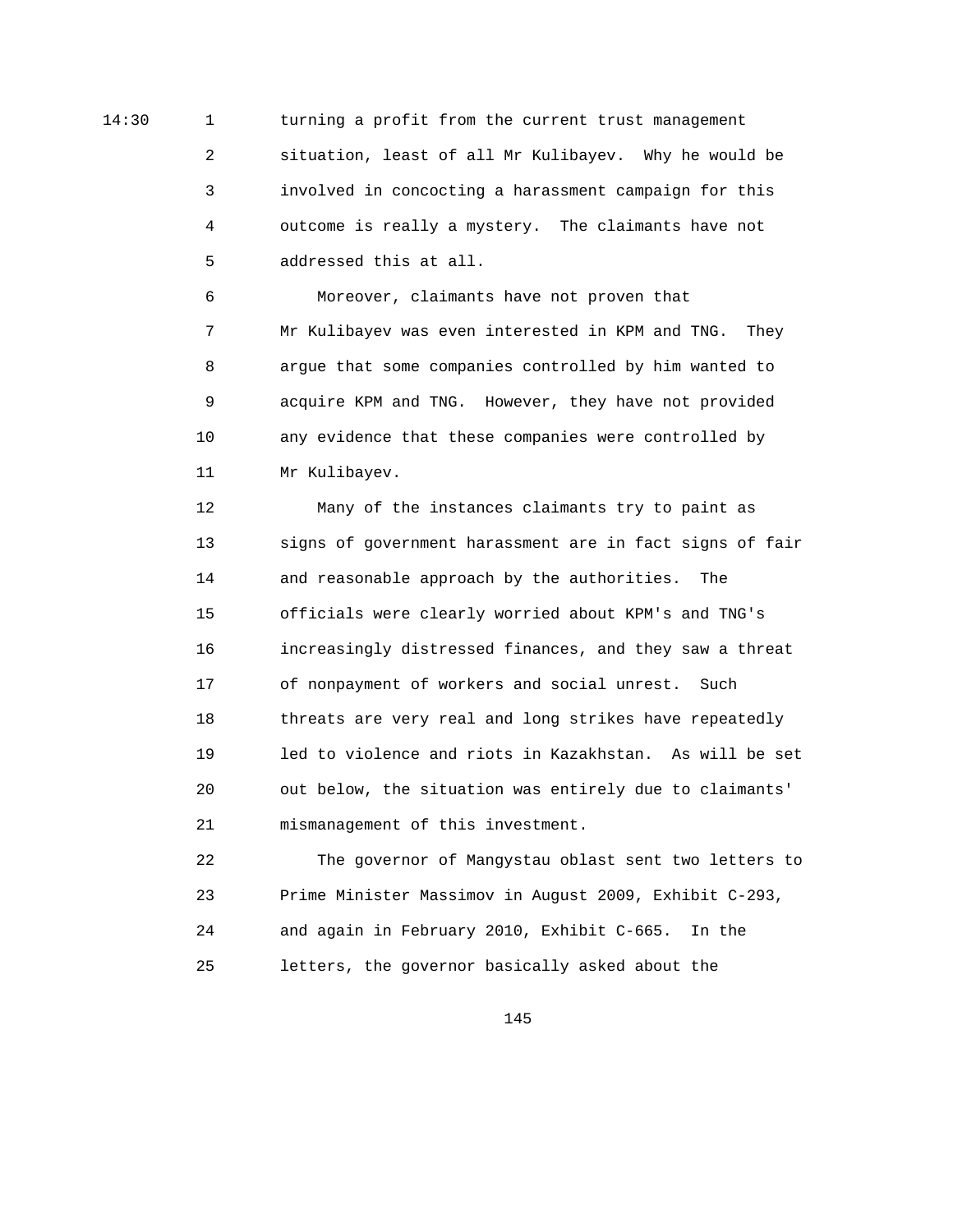14:30 1 turning a profit from the current trust management 2 situation, least of all Mr Kulibayev. Why he would be 3 involved in concocting a harassment campaign for this 4 outcome is really a mystery. The claimants have not 5 addressed this at all.

> 6 Moreover, claimants have not proven that 7 Mr Kulibayev was even interested in KPM and TNG. They 8 argue that some companies controlled by him wanted to 9 acquire KPM and TNG. However, they have not provided 10 any evidence that these companies were controlled by 11 Mr Kulibayev.

 12 Many of the instances claimants try to paint as 13 signs of government harassment are in fact signs of fair 14 and reasonable approach by the authorities. The 15 officials were clearly worried about KPM's and TNG's 16 increasingly distressed finances, and they saw a threat 17 of nonpayment of workers and social unrest. Such 18 threats are very real and long strikes have repeatedly 19 led to violence and riots in Kazakhstan. As will be set 20 out below, the situation was entirely due to claimants' 21 mismanagement of this investment.

 22 The governor of Mangystau oblast sent two letters to 23 Prime Minister Massimov in August 2009, Exhibit C-293, 24 and again in February 2010, Exhibit C-665. In the 25 letters, the governor basically asked about the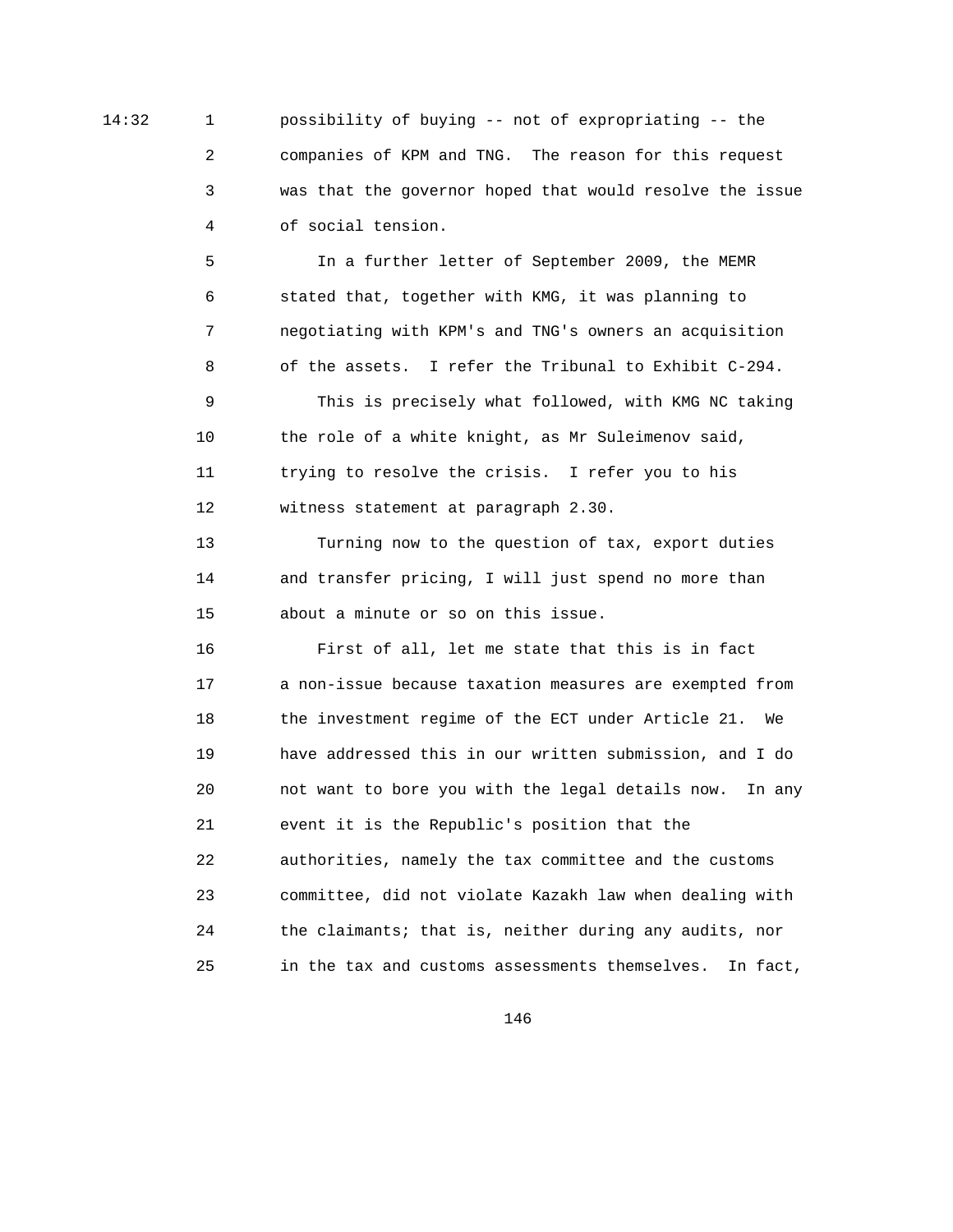14:32 1 possibility of buying -- not of expropriating -- the 2 companies of KPM and TNG. The reason for this request 3 was that the governor hoped that would resolve the issue 4 of social tension.

> 5 In a further letter of September 2009, the MEMR 6 stated that, together with KMG, it was planning to 7 negotiating with KPM's and TNG's owners an acquisition 8 of the assets. I refer the Tribunal to Exhibit C-294.

 9 This is precisely what followed, with KMG NC taking 10 the role of a white knight, as Mr Suleimenov said, 11 trying to resolve the crisis. I refer you to his 12 witness statement at paragraph 2.30.

 13 Turning now to the question of tax, export duties 14 and transfer pricing, I will just spend no more than 15 about a minute or so on this issue.

 16 First of all, let me state that this is in fact 17 a non-issue because taxation measures are exempted from 18 the investment regime of the ECT under Article 21. We 19 have addressed this in our written submission, and I do 20 not want to bore you with the legal details now. In any 21 event it is the Republic's position that the 22 authorities, namely the tax committee and the customs 23 committee, did not violate Kazakh law when dealing with 24 the claimants; that is, neither during any audits, nor 25 in the tax and customs assessments themselves. In fact,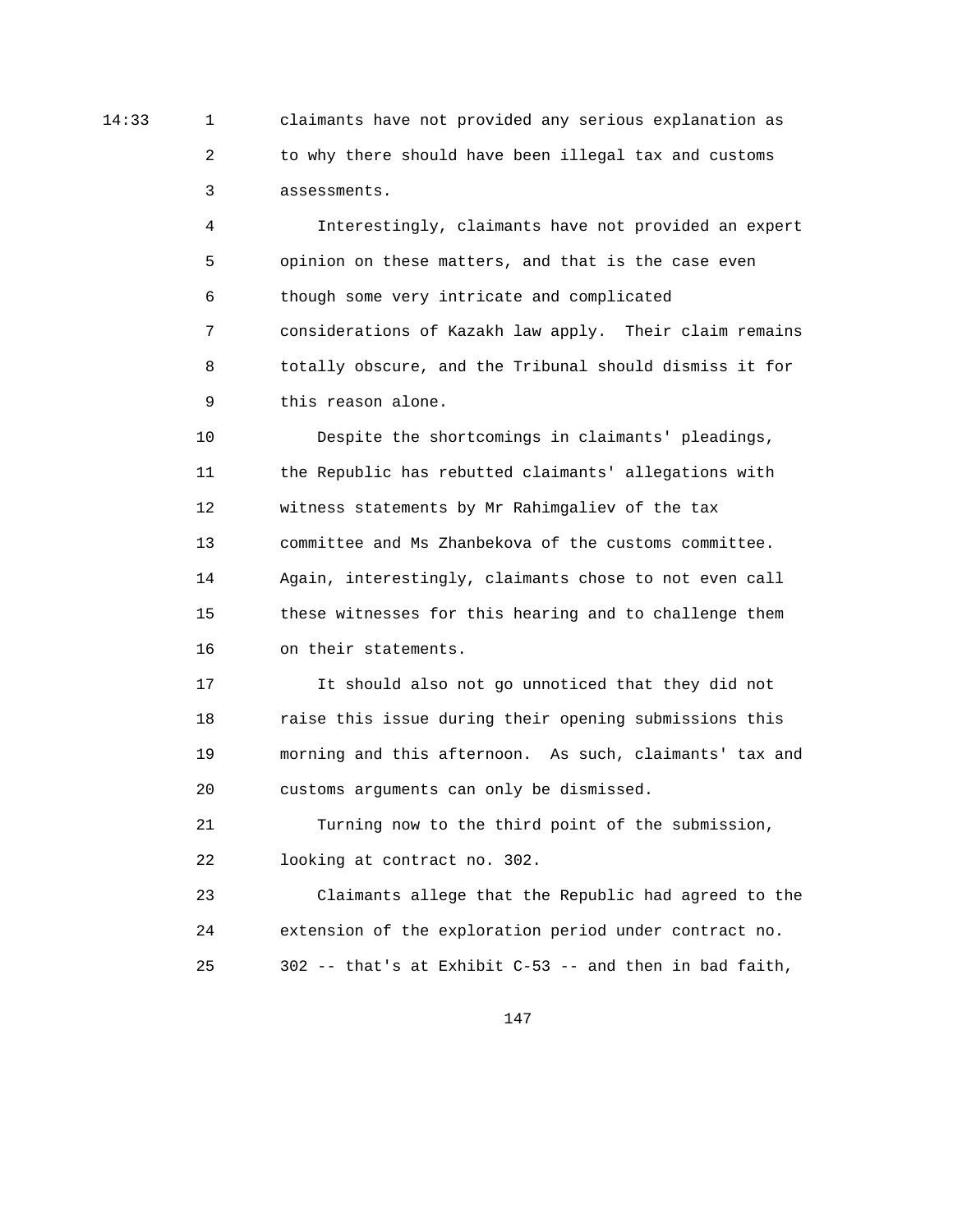14:33 1 claimants have not provided any serious explanation as 2 to why there should have been illegal tax and customs 3 assessments.

> 4 Interestingly, claimants have not provided an expert 5 opinion on these matters, and that is the case even 6 though some very intricate and complicated 7 considerations of Kazakh law apply. Their claim remains 8 totally obscure, and the Tribunal should dismiss it for 9 this reason alone.

 10 Despite the shortcomings in claimants' pleadings, 11 the Republic has rebutted claimants' allegations with 12 witness statements by Mr Rahimgaliev of the tax 13 committee and Ms Zhanbekova of the customs committee. 14 Again, interestingly, claimants chose to not even call 15 these witnesses for this hearing and to challenge them 16 on their statements.

 17 It should also not go unnoticed that they did not 18 raise this issue during their opening submissions this 19 morning and this afternoon. As such, claimants' tax and 20 customs arguments can only be dismissed.

 21 Turning now to the third point of the submission, 22 looking at contract no. 302.

 23 Claimants allege that the Republic had agreed to the 24 extension of the exploration period under contract no. 25 302 -- that's at Exhibit C-53 -- and then in bad faith,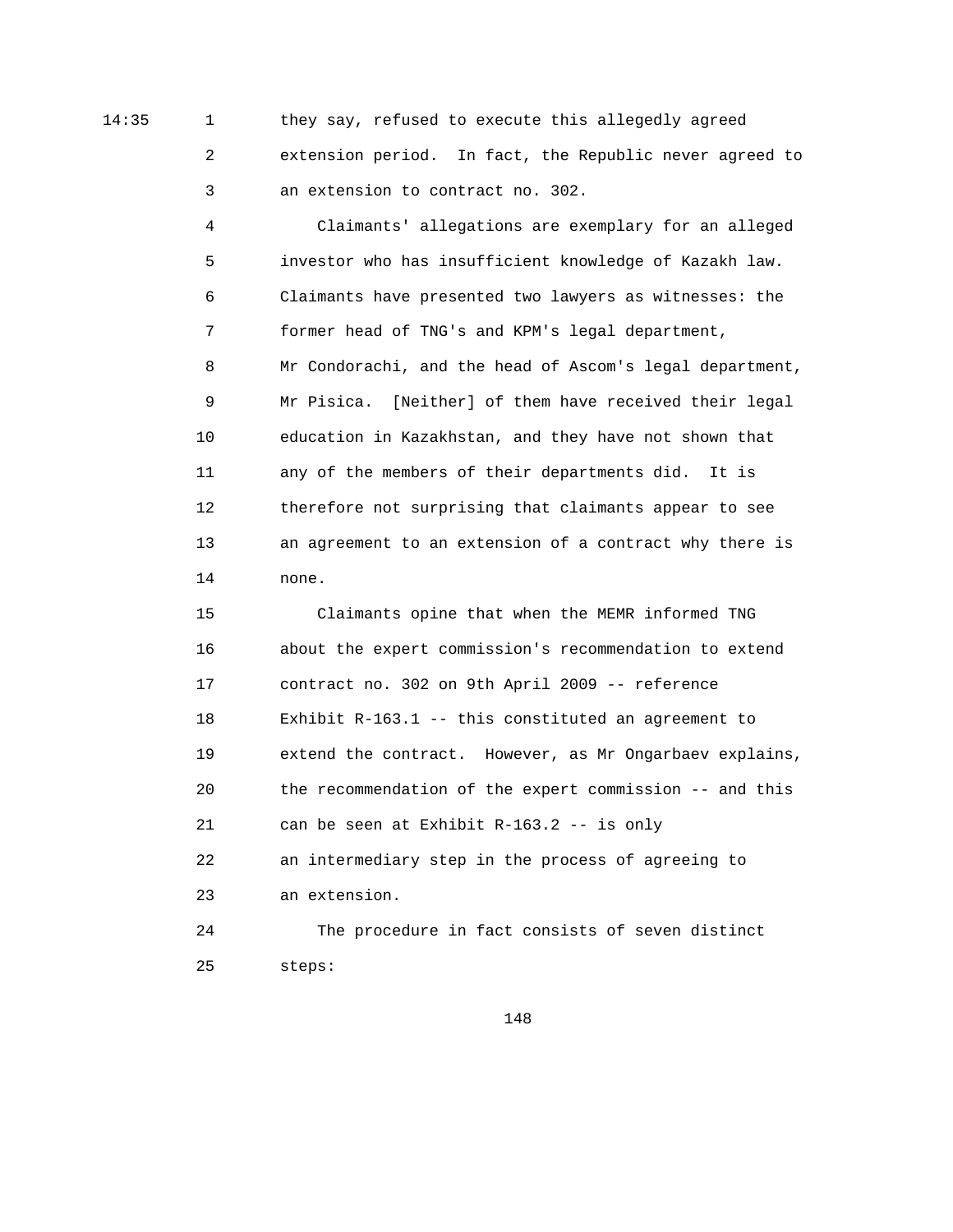14:35 1 they say, refused to execute this allegedly agreed 2 extension period. In fact, the Republic never agreed to 3 an extension to contract no. 302.

> 4 Claimants' allegations are exemplary for an alleged 5 investor who has insufficient knowledge of Kazakh law. 6 Claimants have presented two lawyers as witnesses: the 7 former head of TNG's and KPM's legal department, 8 Mr Condorachi, and the head of Ascom's legal department, 9 Mr Pisica. [Neither] of them have received their legal 10 education in Kazakhstan, and they have not shown that 11 any of the members of their departments did. It is 12 therefore not surprising that claimants appear to see 13 an agreement to an extension of a contract why there is 14 none.

> 15 Claimants opine that when the MEMR informed TNG 16 about the expert commission's recommendation to extend 17 contract no. 302 on 9th April 2009 -- reference 18 Exhibit R-163.1 -- this constituted an agreement to 19 extend the contract. However, as Mr Ongarbaev explains, 20 the recommendation of the expert commission -- and this 21 can be seen at Exhibit R-163.2 -- is only 22 an intermediary step in the process of agreeing to 23 an extension. 24 The procedure in fact consists of seven distinct

25 steps: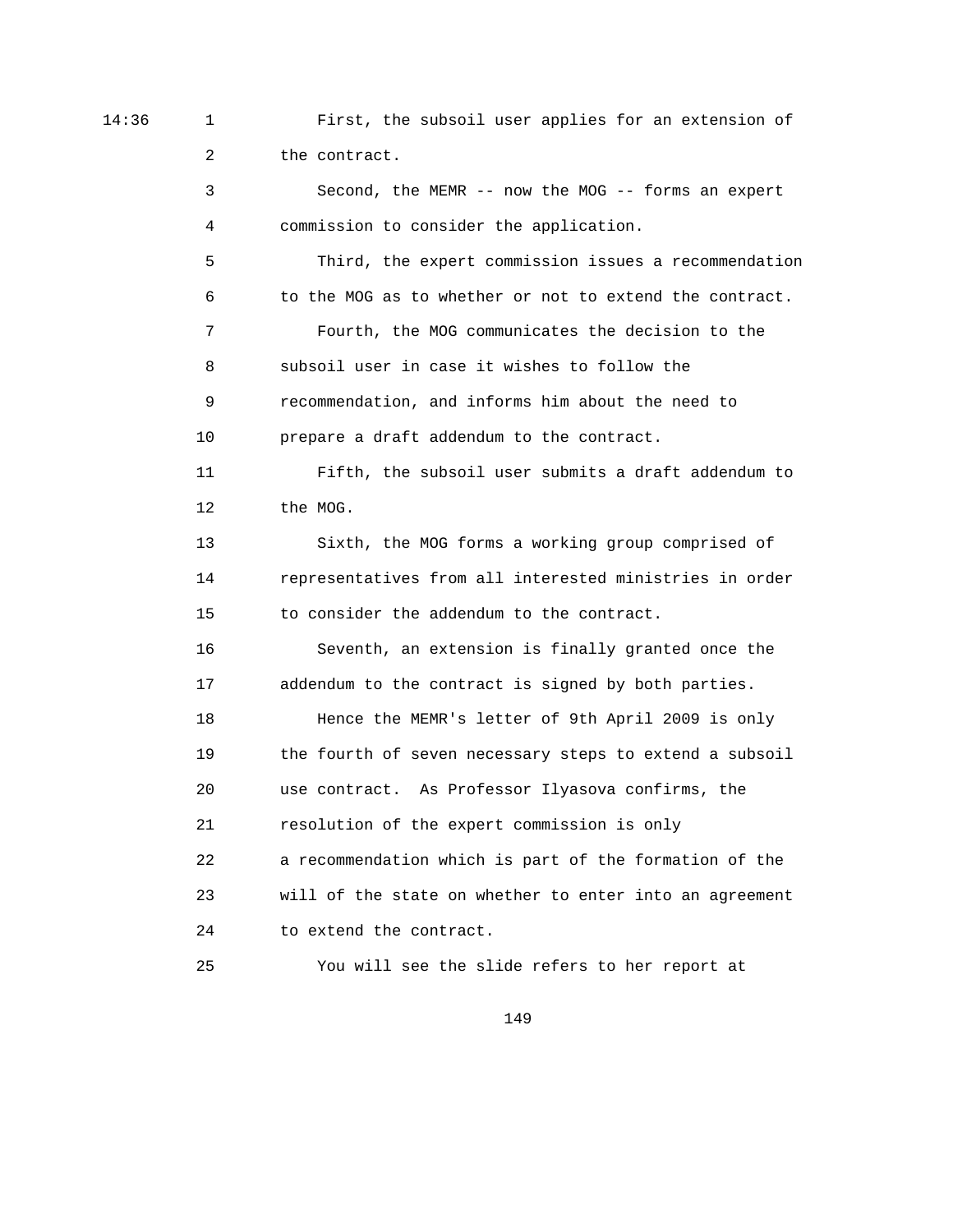14:36 1 First, the subsoil user applies for an extension of 2 the contract.

> 3 Second, the MEMR -- now the MOG -- forms an expert 4 commission to consider the application. 5 Third, the expert commission issues a recommendation 6 to the MOG as to whether or not to extend the contract. 7 Fourth, the MOG communicates the decision to the 8 subsoil user in case it wishes to follow the 9 recommendation, and informs him about the need to 10 prepare a draft addendum to the contract. 11 Fifth, the subsoil user submits a draft addendum to 12 the MOG. 13 Sixth, the MOG forms a working group comprised of 14 representatives from all interested ministries in order 15 to consider the addendum to the contract. 16 Seventh, an extension is finally granted once the 17 addendum to the contract is signed by both parties. 18 Hence the MEMR's letter of 9th April 2009 is only 19 the fourth of seven necessary steps to extend a subsoil 20 use contract. As Professor Ilyasova confirms, the 21 resolution of the expert commission is only 22 a recommendation which is part of the formation of the 23 will of the state on whether to enter into an agreement 24 to extend the contract.

149

25 You will see the slide refers to her report at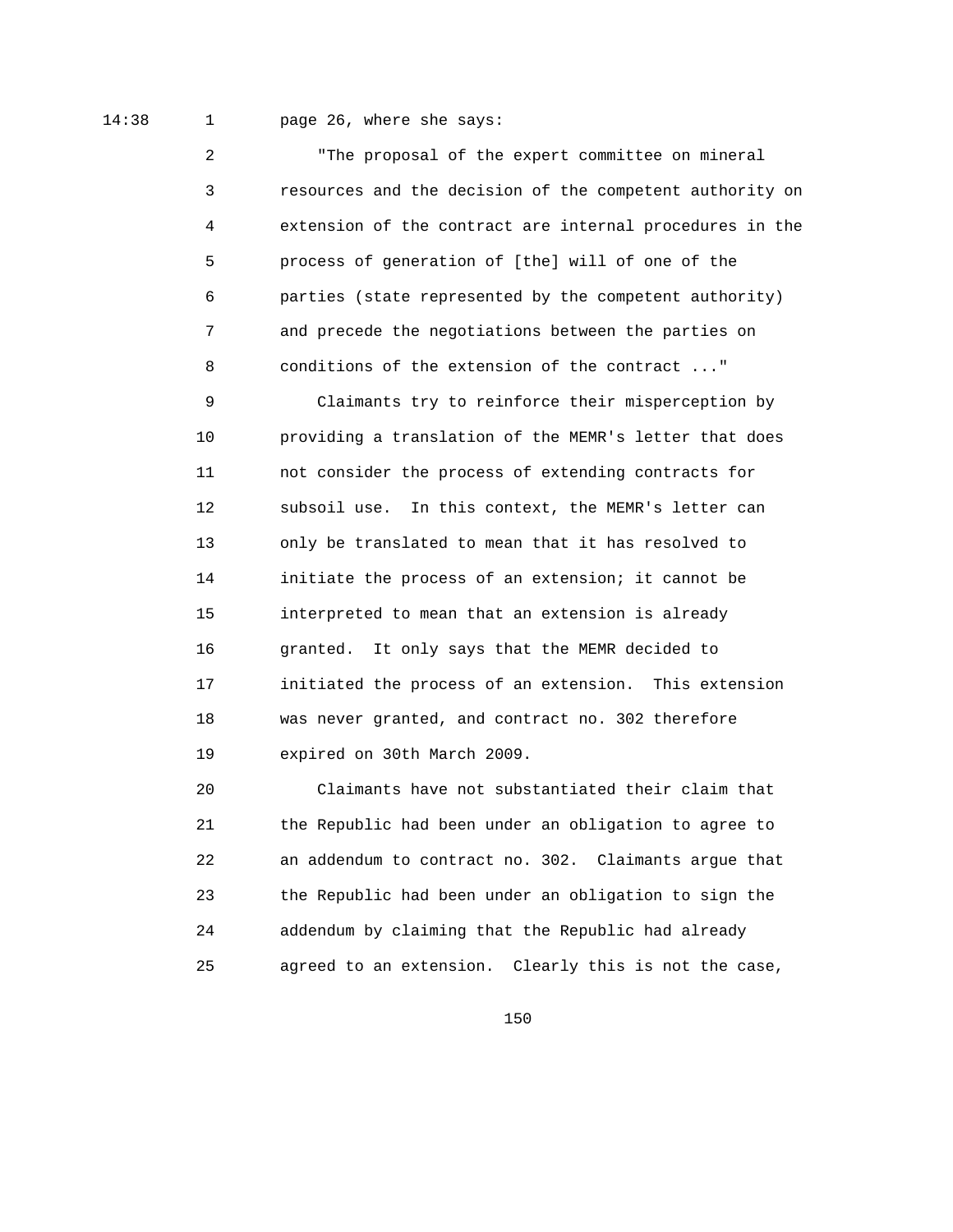## 14:38 1 page 26, where she says:

 2 "The proposal of the expert committee on mineral 3 resources and the decision of the competent authority on 4 extension of the contract are internal procedures in the 5 process of generation of [the] will of one of the 6 parties (state represented by the competent authority) 7 and precede the negotiations between the parties on 8 conditions of the extension of the contract ..."

 9 Claimants try to reinforce their misperception by 10 providing a translation of the MEMR's letter that does 11 not consider the process of extending contracts for 12 subsoil use. In this context, the MEMR's letter can 13 only be translated to mean that it has resolved to 14 initiate the process of an extension; it cannot be 15 interpreted to mean that an extension is already 16 granted. It only says that the MEMR decided to 17 initiated the process of an extension. This extension 18 was never granted, and contract no. 302 therefore 19 expired on 30th March 2009.

 20 Claimants have not substantiated their claim that 21 the Republic had been under an obligation to agree to 22 an addendum to contract no. 302. Claimants argue that 23 the Republic had been under an obligation to sign the 24 addendum by claiming that the Republic had already 25 agreed to an extension. Clearly this is not the case,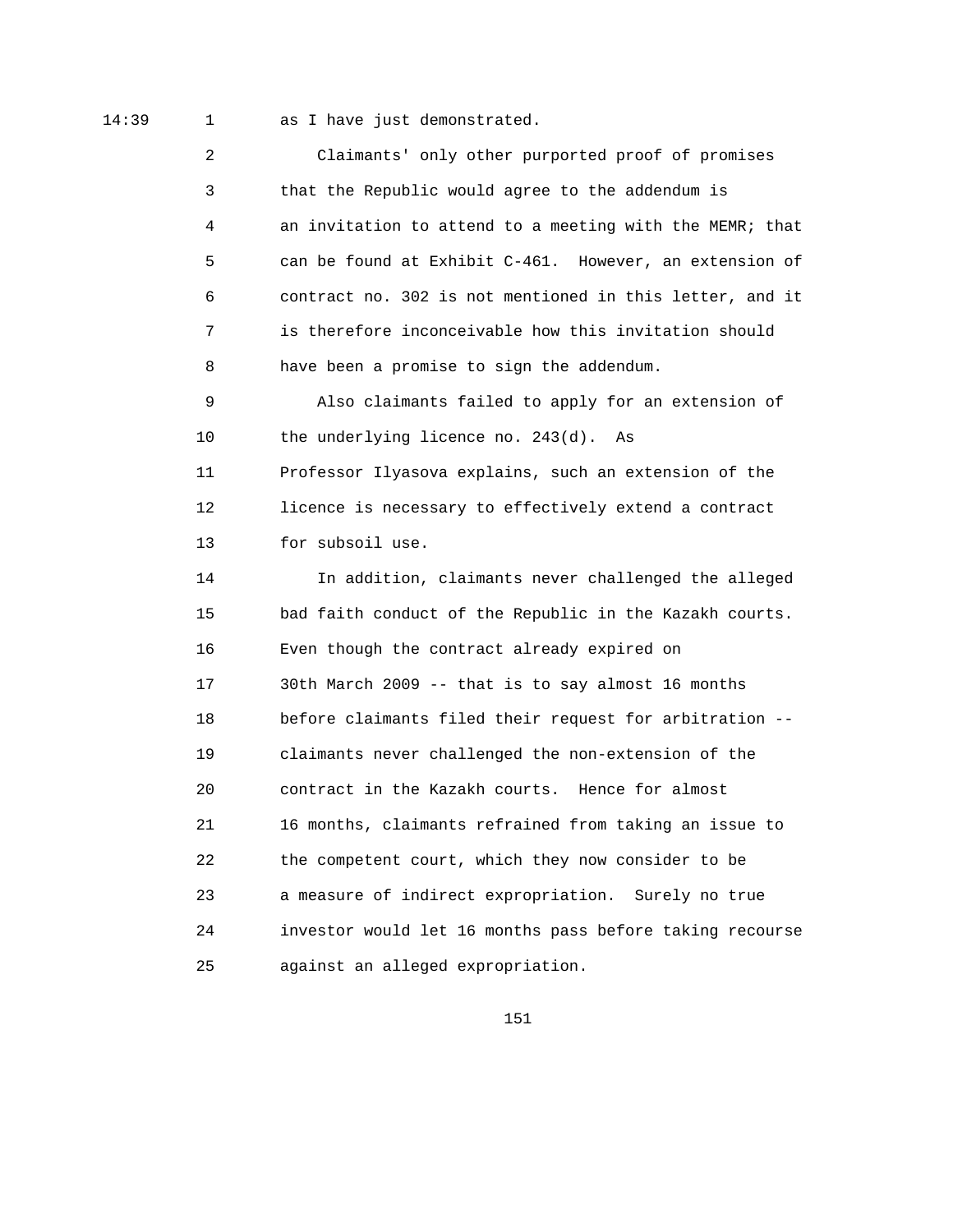14:39 1 as I have just demonstrated.

 2 Claimants' only other purported proof of promises 3 that the Republic would agree to the addendum is 4 an invitation to attend to a meeting with the MEMR; that 5 can be found at Exhibit C-461. However, an extension of 6 contract no. 302 is not mentioned in this letter, and it 7 is therefore inconceivable how this invitation should 8 have been a promise to sign the addendum. 9 Also claimants failed to apply for an extension of 10 the underlying licence no. 243(d). As 11 Professor Ilyasova explains, such an extension of the 12 licence is necessary to effectively extend a contract 13 for subsoil use. 14 In addition, claimants never challenged the alleged 15 bad faith conduct of the Republic in the Kazakh courts. 16 Even though the contract already expired on 17 30th March 2009 -- that is to say almost 16 months 18 before claimants filed their request for arbitration -- 19 claimants never challenged the non-extension of the 20 contract in the Kazakh courts. Hence for almost 21 16 months, claimants refrained from taking an issue to 22 the competent court, which they now consider to be 23 a measure of indirect expropriation. Surely no true 24 investor would let 16 months pass before taking recourse 25 against an alleged expropriation.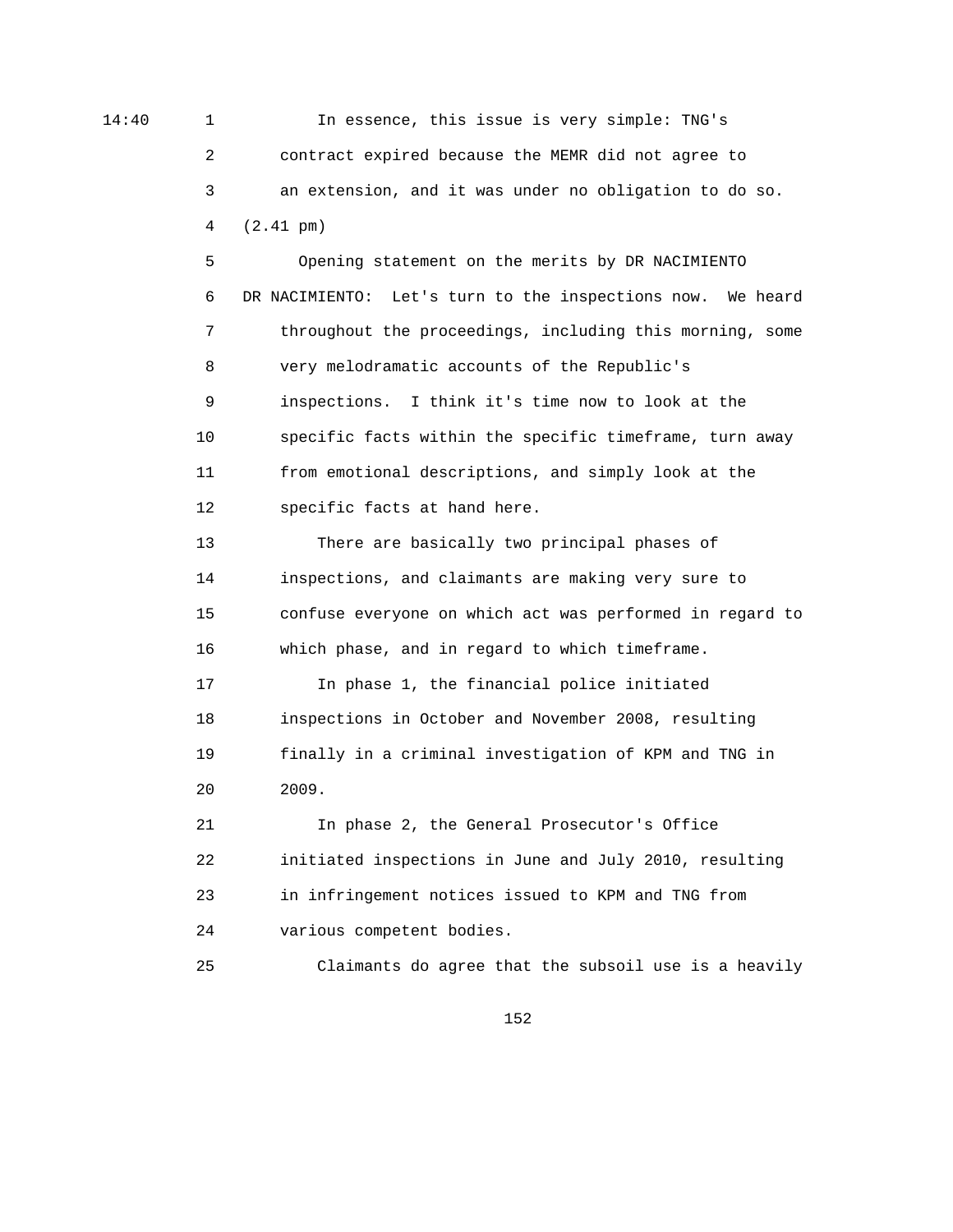14:40 1 In essence, this issue is very simple: TNG's 2 contract expired because the MEMR did not agree to 3 an extension, and it was under no obligation to do so. 4 (2.41 pm)

> 5 Opening statement on the merits by DR NACIMIENTO 6 DR NACIMIENTO: Let's turn to the inspections now. We heard 7 throughout the proceedings, including this morning, some 8 very melodramatic accounts of the Republic's 9 inspections. I think it's time now to look at the 10 specific facts within the specific timeframe, turn away 11 from emotional descriptions, and simply look at the 12 specific facts at hand here.

> 13 There are basically two principal phases of 14 inspections, and claimants are making very sure to 15 confuse everyone on which act was performed in regard to 16 which phase, and in regard to which timeframe.

 17 In phase 1, the financial police initiated 18 inspections in October and November 2008, resulting 19 finally in a criminal investigation of KPM and TNG in 20 2009.

 21 In phase 2, the General Prosecutor's Office 22 initiated inspections in June and July 2010, resulting 23 in infringement notices issued to KPM and TNG from 24 various competent bodies.

25 Claimants do agree that the subsoil use is a heavily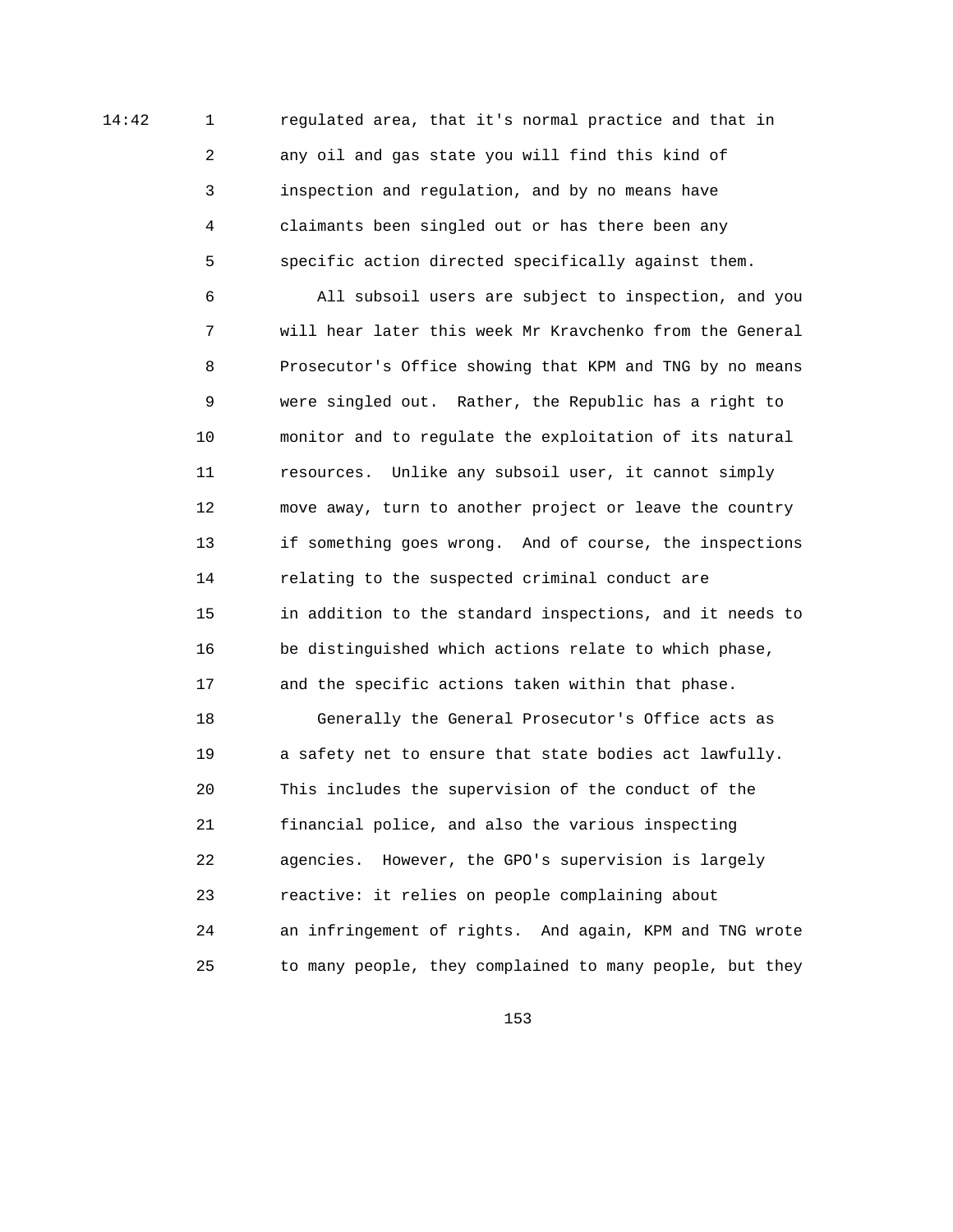14:42 1 regulated area, that it's normal practice and that in 2 any oil and gas state you will find this kind of 3 inspection and regulation, and by no means have 4 claimants been singled out or has there been any 5 specific action directed specifically against them.

> 6 All subsoil users are subject to inspection, and you 7 will hear later this week Mr Kravchenko from the General 8 Prosecutor's Office showing that KPM and TNG by no means 9 were singled out. Rather, the Republic has a right to 10 monitor and to regulate the exploitation of its natural 11 resources. Unlike any subsoil user, it cannot simply 12 move away, turn to another project or leave the country 13 if something goes wrong. And of course, the inspections 14 relating to the suspected criminal conduct are 15 in addition to the standard inspections, and it needs to 16 be distinguished which actions relate to which phase, 17 and the specific actions taken within that phase. 18 Generally the General Prosecutor's Office acts as 19 a safety net to ensure that state bodies act lawfully. 20 This includes the supervision of the conduct of the 21 financial police, and also the various inspecting 22 agencies. However, the GPO's supervision is largely 23 reactive: it relies on people complaining about 24 an infringement of rights. And again, KPM and TNG wrote 25 to many people, they complained to many people, but they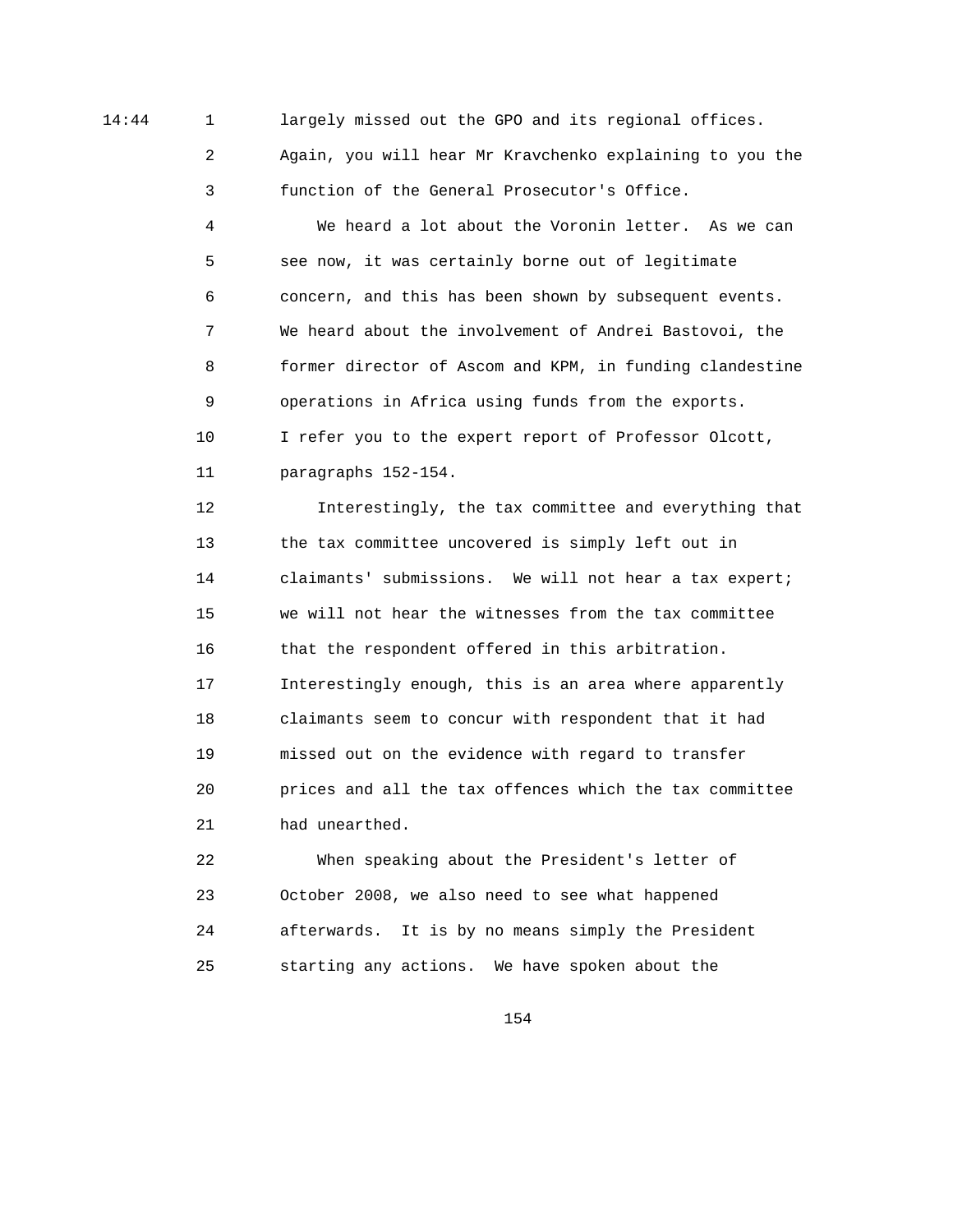14:44 1 largely missed out the GPO and its regional offices.

 2 Again, you will hear Mr Kravchenko explaining to you the 3 function of the General Prosecutor's Office.

 4 We heard a lot about the Voronin letter. As we can 5 see now, it was certainly borne out of legitimate 6 concern, and this has been shown by subsequent events. 7 We heard about the involvement of Andrei Bastovoi, the 8 former director of Ascom and KPM, in funding clandestine 9 operations in Africa using funds from the exports. 10 I refer you to the expert report of Professor Olcott, 11 paragraphs 152-154.

 12 Interestingly, the tax committee and everything that 13 the tax committee uncovered is simply left out in 14 claimants' submissions. We will not hear a tax expert; 15 we will not hear the witnesses from the tax committee 16 that the respondent offered in this arbitration. 17 Interestingly enough, this is an area where apparently 18 claimants seem to concur with respondent that it had 19 missed out on the evidence with regard to transfer 20 prices and all the tax offences which the tax committee 21 had unearthed.

 22 When speaking about the President's letter of 23 October 2008, we also need to see what happened 24 afterwards. It is by no means simply the President 25 starting any actions. We have spoken about the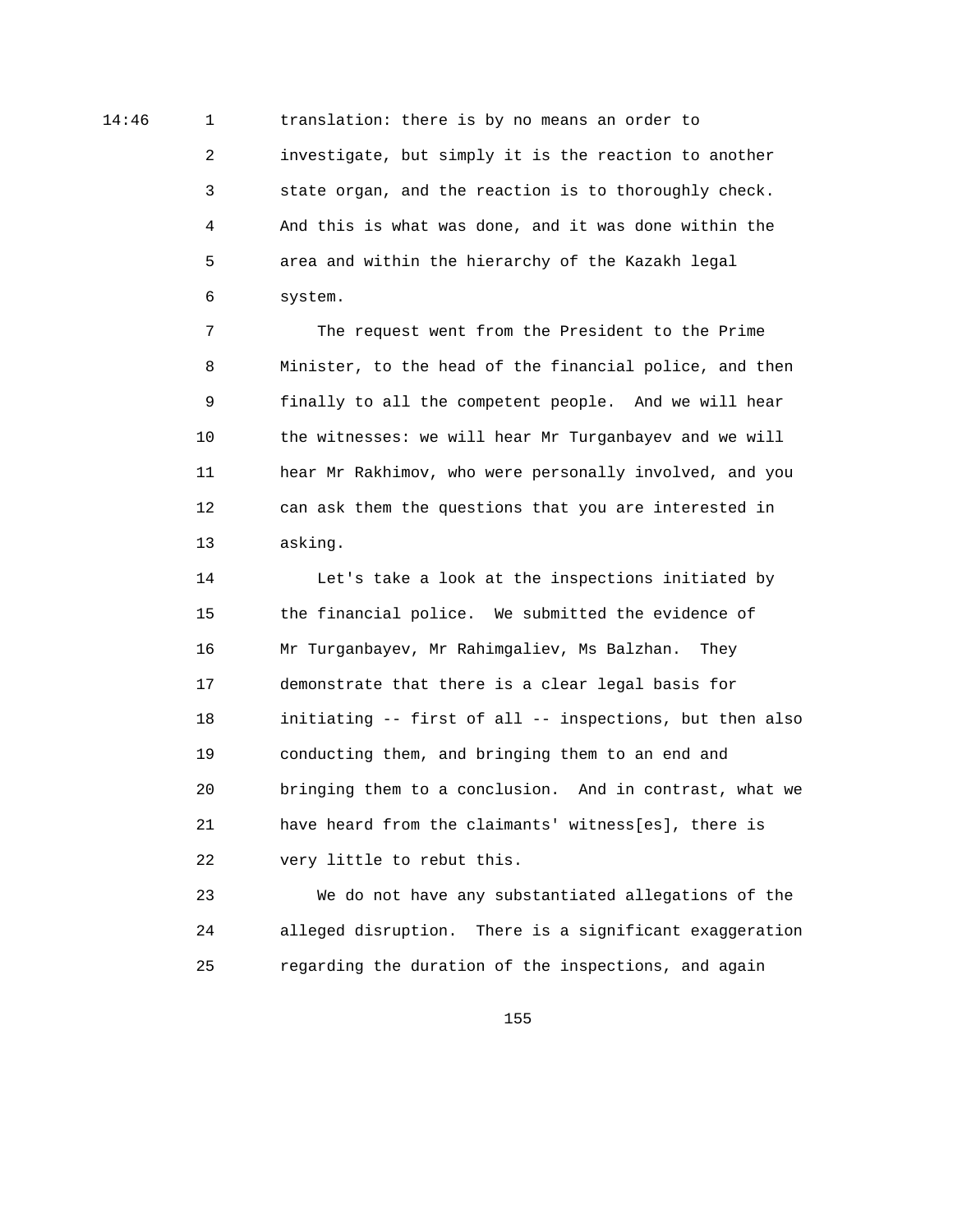14:46 1 translation: there is by no means an order to 2 investigate, but simply it is the reaction to another 3 state organ, and the reaction is to thoroughly check. 4 And this is what was done, and it was done within the 5 area and within the hierarchy of the Kazakh legal 6 system.

> 7 The request went from the President to the Prime 8 Minister, to the head of the financial police, and then 9 finally to all the competent people. And we will hear 10 the witnesses: we will hear Mr Turganbayev and we will 11 hear Mr Rakhimov, who were personally involved, and you 12 can ask them the questions that you are interested in 13 asking.

 14 Let's take a look at the inspections initiated by 15 the financial police. We submitted the evidence of 16 Mr Turganbayev, Mr Rahimgaliev, Ms Balzhan. They 17 demonstrate that there is a clear legal basis for 18 initiating -- first of all -- inspections, but then also 19 conducting them, and bringing them to an end and 20 bringing them to a conclusion. And in contrast, what we 21 have heard from the claimants' witness[es], there is 22 very little to rebut this.

 23 We do not have any substantiated allegations of the 24 alleged disruption. There is a significant exaggeration 25 regarding the duration of the inspections, and again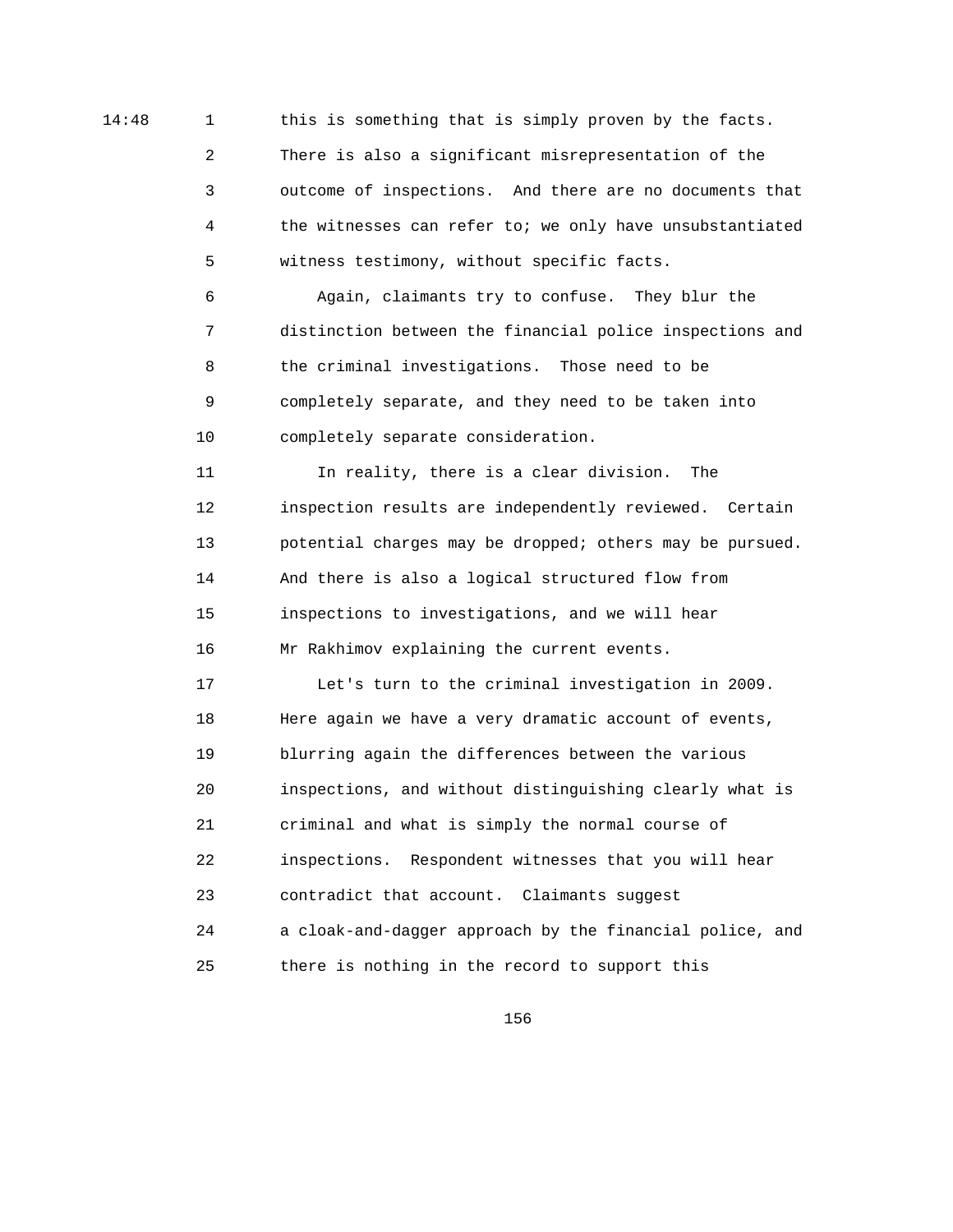14:48 1 this is something that is simply proven by the facts. 2 There is also a significant misrepresentation of the 3 outcome of inspections. And there are no documents that 4 the witnesses can refer to; we only have unsubstantiated 5 witness testimony, without specific facts.

> 6 Again, claimants try to confuse. They blur the 7 distinction between the financial police inspections and 8 the criminal investigations. Those need to be 9 completely separate, and they need to be taken into 10 completely separate consideration.

> 11 In reality, there is a clear division. The 12 inspection results are independently reviewed. Certain 13 potential charges may be dropped; others may be pursued. 14 And there is also a logical structured flow from 15 inspections to investigations, and we will hear 16 Mr Rakhimov explaining the current events.

> 17 Let's turn to the criminal investigation in 2009. 18 Here again we have a very dramatic account of events, 19 blurring again the differences between the various 20 inspections, and without distinguishing clearly what is 21 criminal and what is simply the normal course of 22 inspections. Respondent witnesses that you will hear 23 contradict that account. Claimants suggest 24 a cloak-and-dagger approach by the financial police, and 25 there is nothing in the record to support this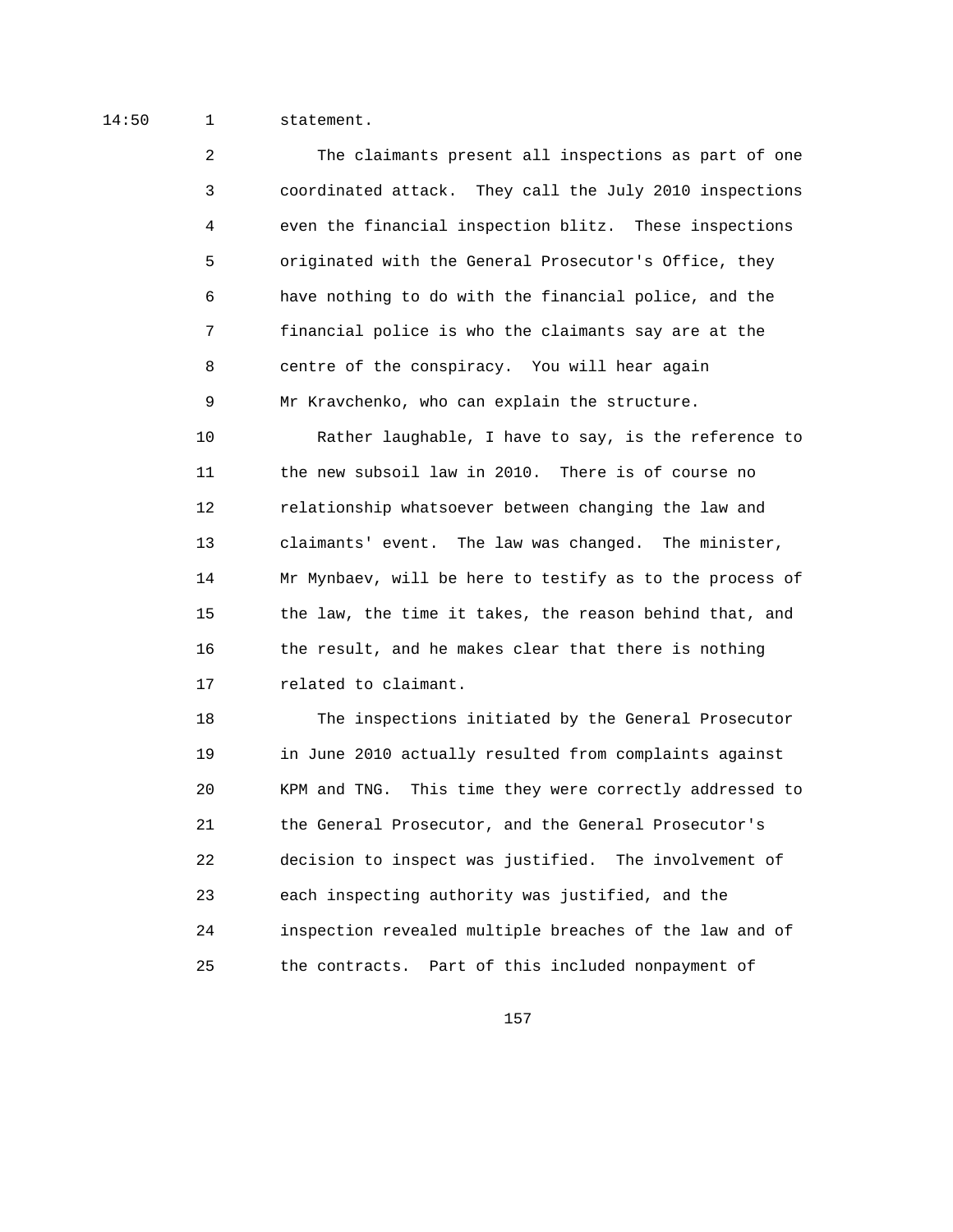## 14:50 1 statement.

 2 The claimants present all inspections as part of one 3 coordinated attack. They call the July 2010 inspections 4 even the financial inspection blitz. These inspections 5 originated with the General Prosecutor's Office, they 6 have nothing to do with the financial police, and the 7 financial police is who the claimants say are at the 8 centre of the conspiracy. You will hear again 9 Mr Kravchenko, who can explain the structure.

 10 Rather laughable, I have to say, is the reference to 11 the new subsoil law in 2010. There is of course no 12 relationship whatsoever between changing the law and 13 claimants' event. The law was changed. The minister, 14 Mr Mynbaev, will be here to testify as to the process of 15 the law, the time it takes, the reason behind that, and 16 the result, and he makes clear that there is nothing 17 related to claimant.

 18 The inspections initiated by the General Prosecutor 19 in June 2010 actually resulted from complaints against 20 KPM and TNG. This time they were correctly addressed to 21 the General Prosecutor, and the General Prosecutor's 22 decision to inspect was justified. The involvement of 23 each inspecting authority was justified, and the 24 inspection revealed multiple breaches of the law and of 25 the contracts. Part of this included nonpayment of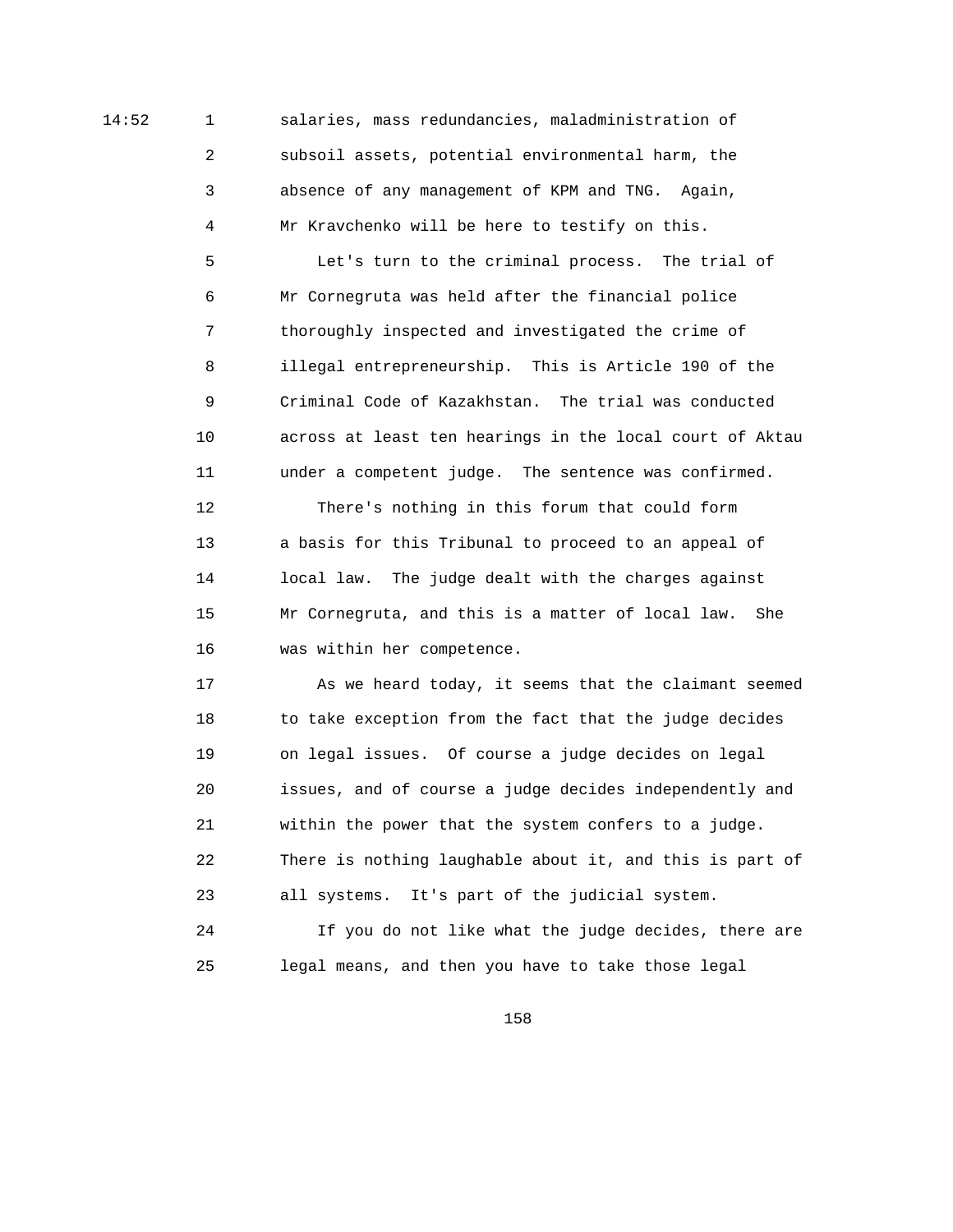14:52 1 salaries, mass redundancies, maladministration of 2 subsoil assets, potential environmental harm, the 3 absence of any management of KPM and TNG. Again, 4 Mr Kravchenko will be here to testify on this.

> 5 Let's turn to the criminal process. The trial of 6 Mr Cornegruta was held after the financial police 7 thoroughly inspected and investigated the crime of 8 illegal entrepreneurship. This is Article 190 of the 9 Criminal Code of Kazakhstan. The trial was conducted 10 across at least ten hearings in the local court of Aktau 11 under a competent judge. The sentence was confirmed.

 12 There's nothing in this forum that could form 13 a basis for this Tribunal to proceed to an appeal of 14 local law. The judge dealt with the charges against 15 Mr Cornegruta, and this is a matter of local law. She 16 was within her competence.

 17 As we heard today, it seems that the claimant seemed 18 to take exception from the fact that the judge decides 19 on legal issues. Of course a judge decides on legal 20 issues, and of course a judge decides independently and 21 within the power that the system confers to a judge. 22 There is nothing laughable about it, and this is part of 23 all systems. It's part of the judicial system.

 24 If you do not like what the judge decides, there are 25 legal means, and then you have to take those legal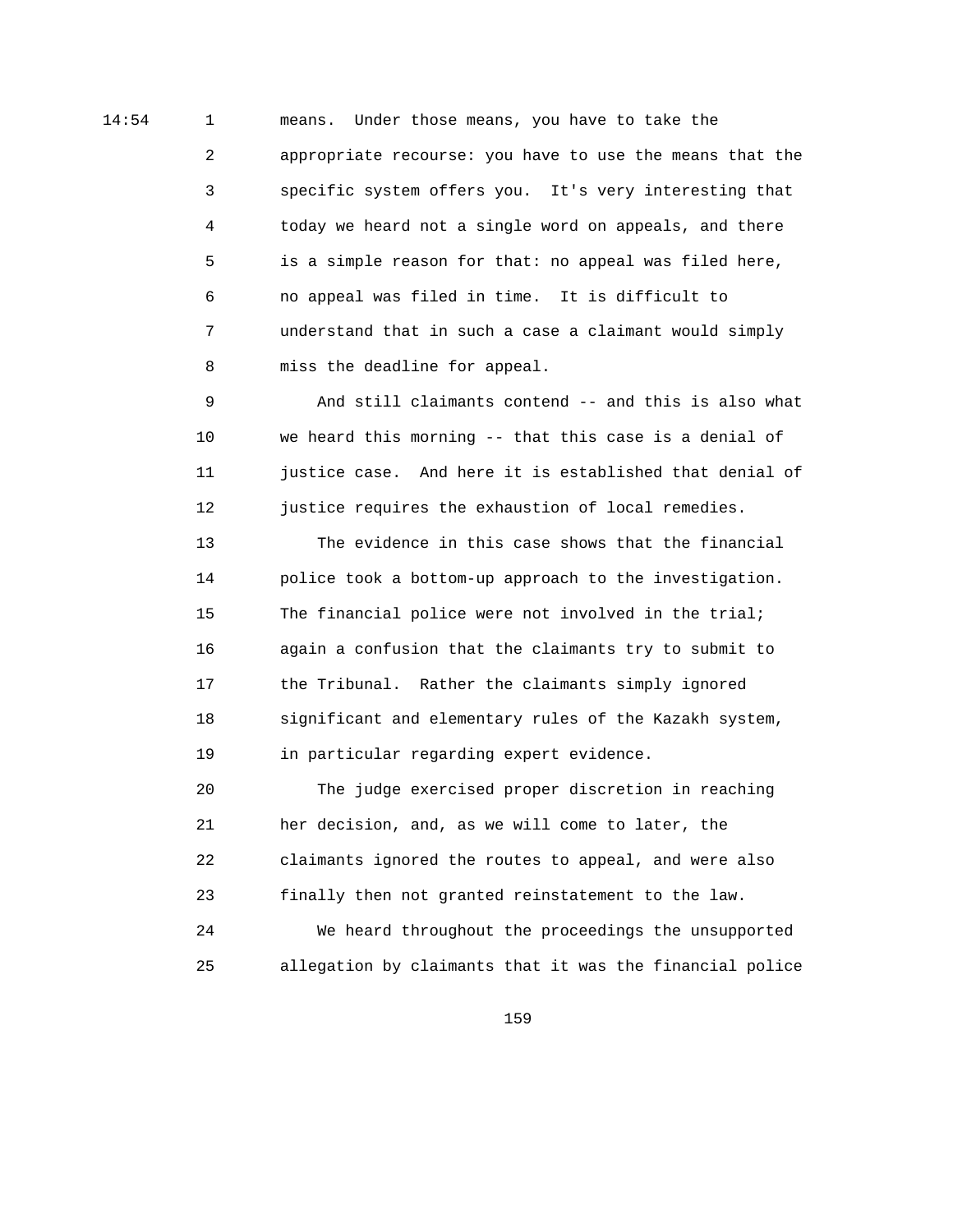14:54 1 means. Under those means, you have to take the 2 appropriate recourse: you have to use the means that the 3 specific system offers you. It's very interesting that 4 today we heard not a single word on appeals, and there 5 is a simple reason for that: no appeal was filed here, 6 no appeal was filed in time. It is difficult to 7 understand that in such a case a claimant would simply 8 miss the deadline for appeal.

> 9 And still claimants contend -- and this is also what 10 we heard this morning -- that this case is a denial of 11 justice case. And here it is established that denial of 12 justice requires the exhaustion of local remedies.

 13 The evidence in this case shows that the financial 14 police took a bottom-up approach to the investigation. 15 The financial police were not involved in the trial; 16 again a confusion that the claimants try to submit to 17 the Tribunal. Rather the claimants simply ignored 18 significant and elementary rules of the Kazakh system, 19 in particular regarding expert evidence.

 20 The judge exercised proper discretion in reaching 21 her decision, and, as we will come to later, the 22 claimants ignored the routes to appeal, and were also 23 finally then not granted reinstatement to the law.

 24 We heard throughout the proceedings the unsupported 25 allegation by claimants that it was the financial police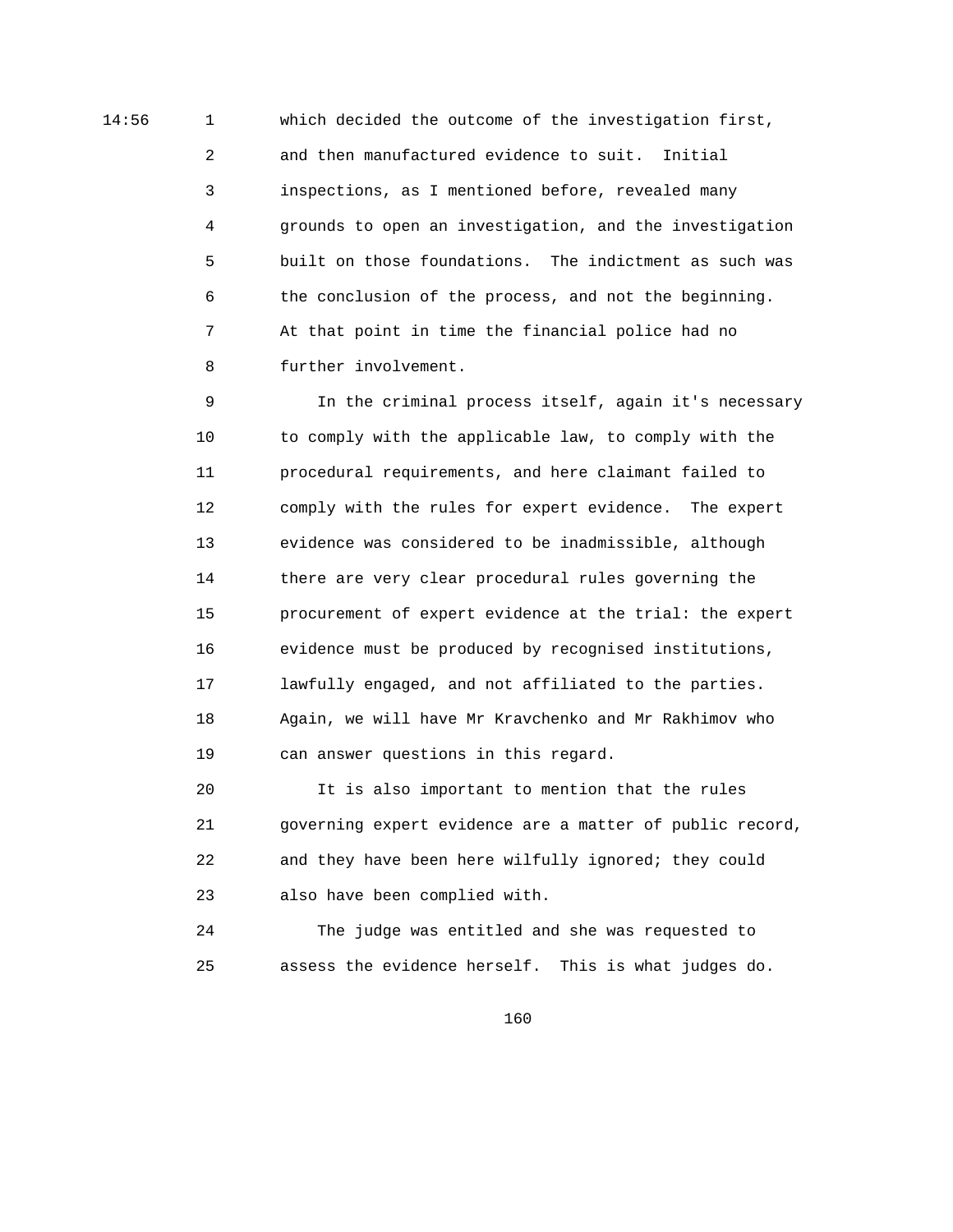14:56 1 which decided the outcome of the investigation first, 2 and then manufactured evidence to suit. Initial 3 inspections, as I mentioned before, revealed many 4 grounds to open an investigation, and the investigation 5 built on those foundations. The indictment as such was 6 the conclusion of the process, and not the beginning. 7 At that point in time the financial police had no 8 further involvement.

> 9 In the criminal process itself, again it's necessary 10 to comply with the applicable law, to comply with the 11 procedural requirements, and here claimant failed to 12 comply with the rules for expert evidence. The expert 13 evidence was considered to be inadmissible, although 14 there are very clear procedural rules governing the 15 procurement of expert evidence at the trial: the expert 16 evidence must be produced by recognised institutions, 17 lawfully engaged, and not affiliated to the parties. 18 Again, we will have Mr Kravchenko and Mr Rakhimov who 19 can answer questions in this regard.

> 20 It is also important to mention that the rules 21 governing expert evidence are a matter of public record, 22 and they have been here wilfully ignored; they could 23 also have been complied with.

 24 The judge was entitled and she was requested to 25 assess the evidence herself. This is what judges do.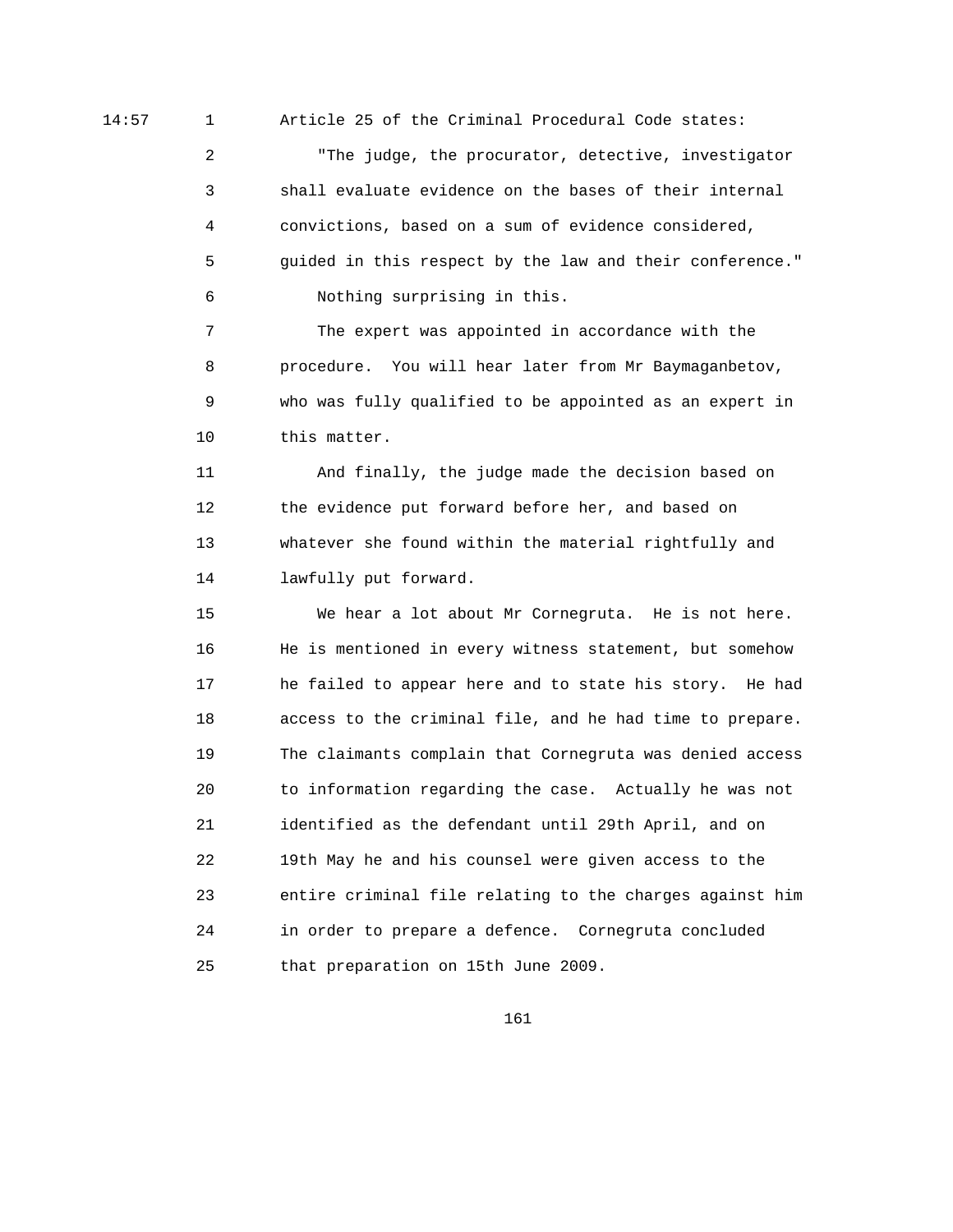14:57 1 Article 25 of the Criminal Procedural Code states:

 2 "The judge, the procurator, detective, investigator 3 shall evaluate evidence on the bases of their internal 4 convictions, based on a sum of evidence considered, 5 guided in this respect by the law and their conference." 6 Nothing surprising in this.

 7 The expert was appointed in accordance with the 8 procedure. You will hear later from Mr Baymaganbetov, 9 who was fully qualified to be appointed as an expert in 10 this matter.

 11 And finally, the judge made the decision based on 12 the evidence put forward before her, and based on 13 whatever she found within the material rightfully and 14 lawfully put forward.

 15 We hear a lot about Mr Cornegruta. He is not here. 16 He is mentioned in every witness statement, but somehow 17 he failed to appear here and to state his story. He had 18 access to the criminal file, and he had time to prepare. 19 The claimants complain that Cornegruta was denied access 20 to information regarding the case. Actually he was not 21 identified as the defendant until 29th April, and on 22 19th May he and his counsel were given access to the 23 entire criminal file relating to the charges against him 24 in order to prepare a defence. Cornegruta concluded 25 that preparation on 15th June 2009.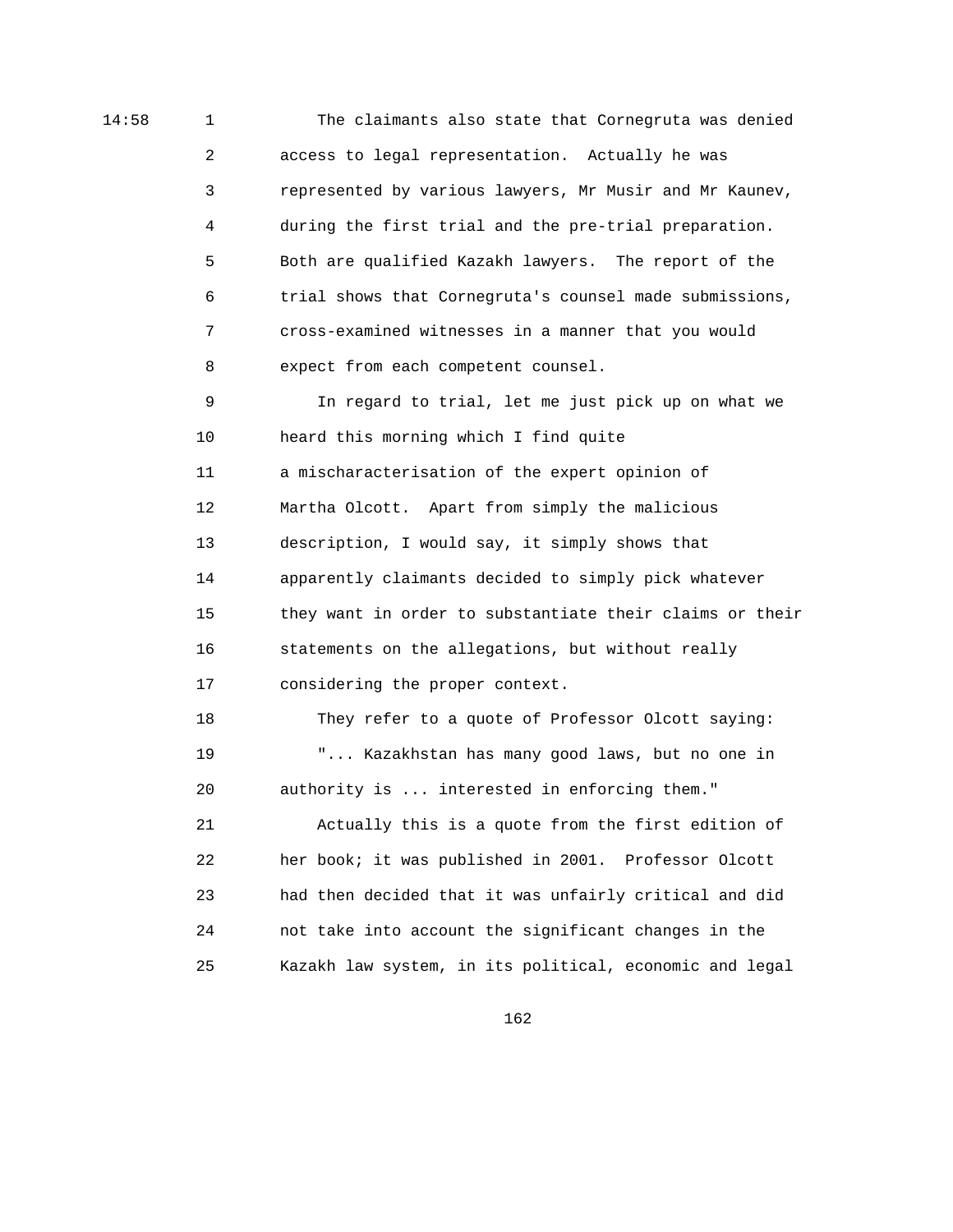14:58 1 The claimants also state that Cornegruta was denied 2 access to legal representation. Actually he was 3 represented by various lawyers, Mr Musir and Mr Kaunev, 4 during the first trial and the pre-trial preparation. 5 Both are qualified Kazakh lawyers. The report of the 6 trial shows that Cornegruta's counsel made submissions, 7 cross-examined witnesses in a manner that you would 8 expect from each competent counsel. 9 In regard to trial, let me just pick up on what we 10 heard this morning which I find quite

> 11 a mischaracterisation of the expert opinion of 12 Martha Olcott. Apart from simply the malicious 13 description, I would say, it simply shows that 14 apparently claimants decided to simply pick whatever 15 they want in order to substantiate their claims or their 16 statements on the allegations, but without really 17 considering the proper context.

 18 They refer to a quote of Professor Olcott saying: 19 "... Kazakhstan has many good laws, but no one in 20 authority is ... interested in enforcing them." 21 Actually this is a quote from the first edition of 22 her book; it was published in 2001. Professor Olcott 23 had then decided that it was unfairly critical and did 24 not take into account the significant changes in the 25 Kazakh law system, in its political, economic and legal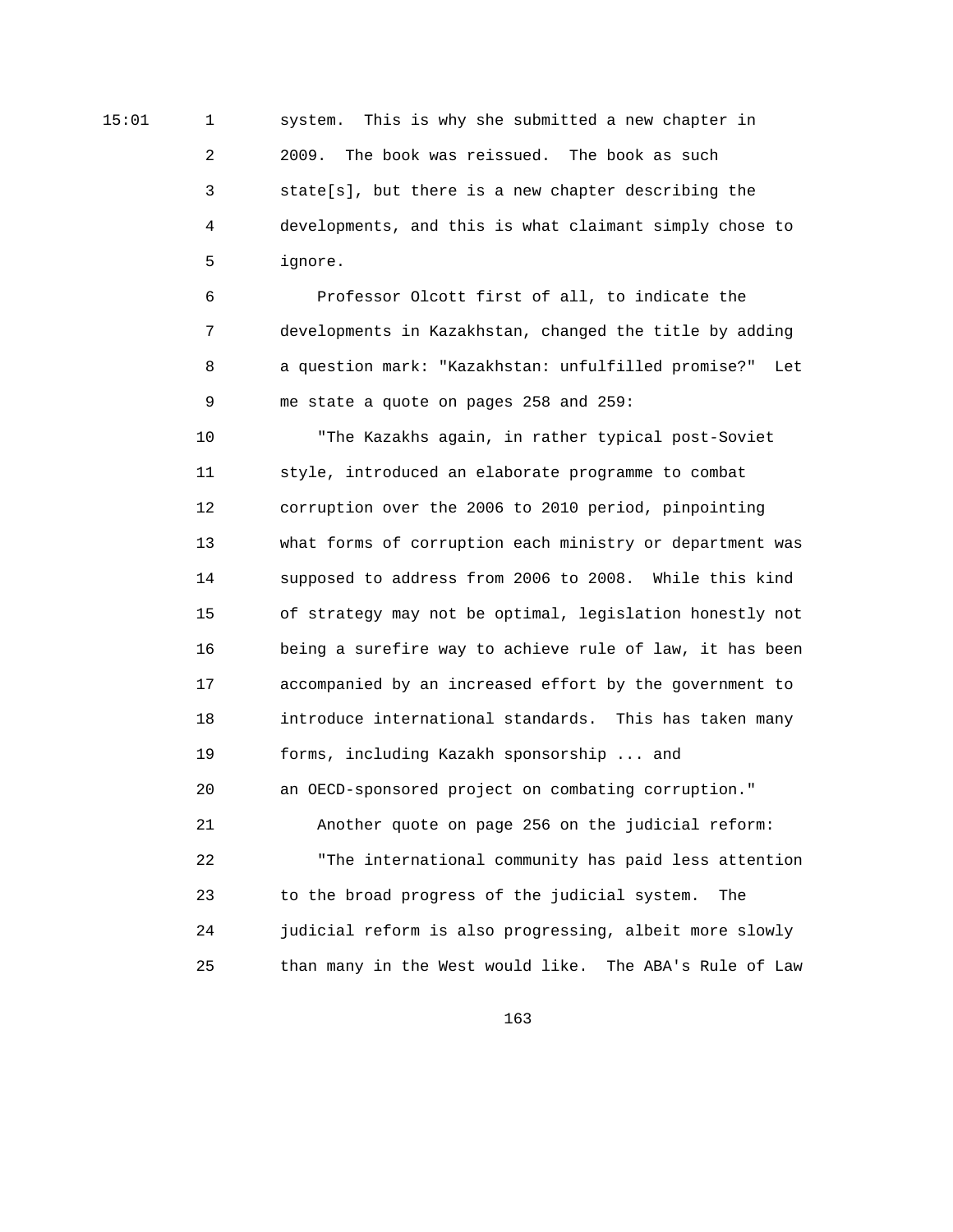15:01 1 system. This is why she submitted a new chapter in 2 2009. The book was reissued. The book as such 3 state[s], but there is a new chapter describing the 4 developments, and this is what claimant simply chose to 5 ignore.

> 6 Professor Olcott first of all, to indicate the 7 developments in Kazakhstan, changed the title by adding 8 a question mark: "Kazakhstan: unfulfilled promise?" Let 9 me state a quote on pages 258 and 259:

 10 "The Kazakhs again, in rather typical post-Soviet 11 style, introduced an elaborate programme to combat 12 corruption over the 2006 to 2010 period, pinpointing 13 what forms of corruption each ministry or department was 14 supposed to address from 2006 to 2008. While this kind 15 of strategy may not be optimal, legislation honestly not 16 being a surefire way to achieve rule of law, it has been 17 accompanied by an increased effort by the government to 18 introduce international standards. This has taken many 19 forms, including Kazakh sponsorship ... and 20 an OECD-sponsored project on combating corruption." 21 Another quote on page 256 on the judicial reform: 22 "The international community has paid less attention 23 to the broad progress of the judicial system. The 24 judicial reform is also progressing, albeit more slowly 25 than many in the West would like. The ABA's Rule of Law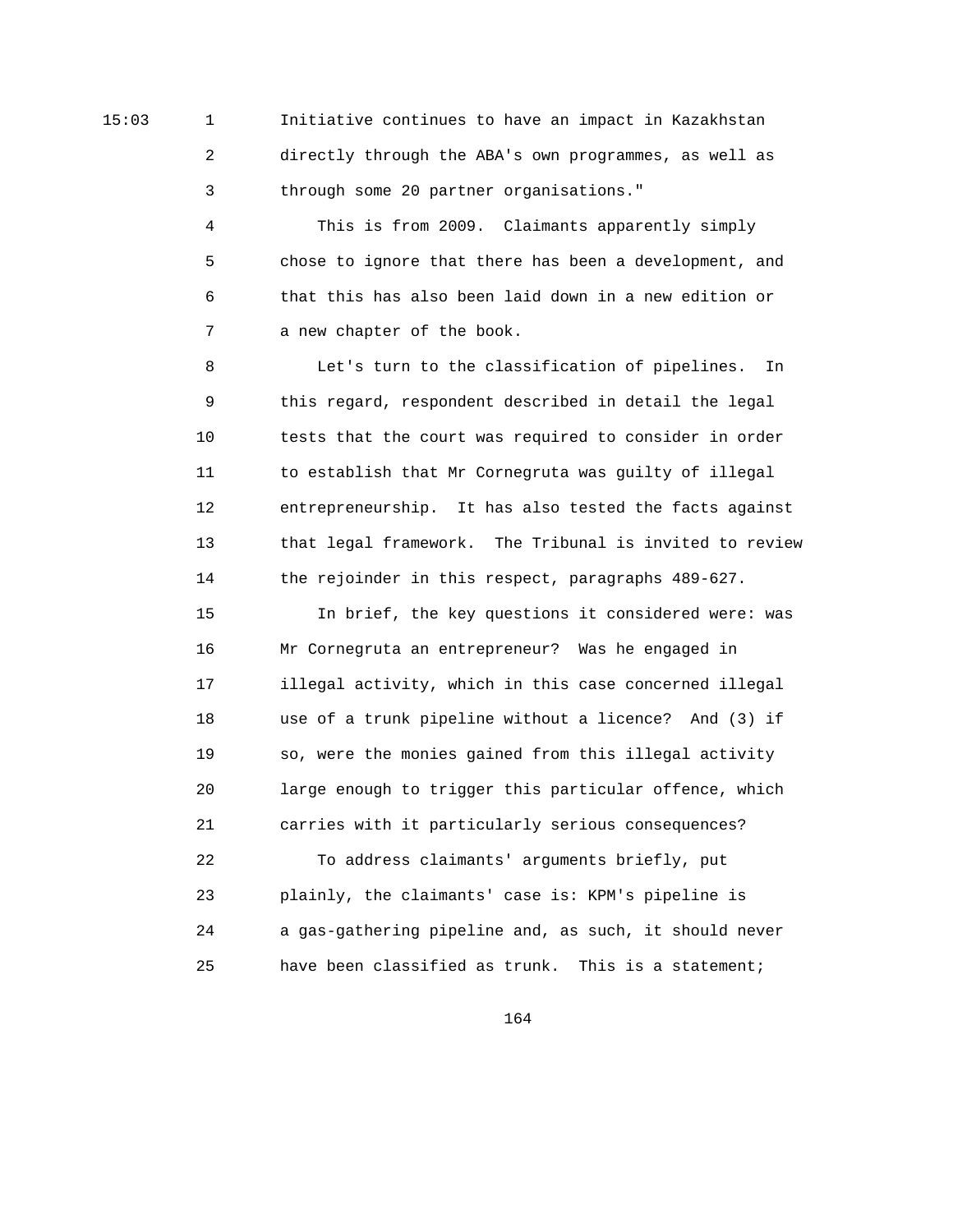15:03 1 Initiative continues to have an impact in Kazakhstan 2 directly through the ABA's own programmes, as well as 3 through some 20 partner organisations."

> 4 This is from 2009. Claimants apparently simply 5 chose to ignore that there has been a development, and 6 that this has also been laid down in a new edition or 7 a new chapter of the book.

 8 Let's turn to the classification of pipelines. In 9 this regard, respondent described in detail the legal 10 tests that the court was required to consider in order 11 to establish that Mr Cornegruta was guilty of illegal 12 entrepreneurship. It has also tested the facts against 13 that legal framework. The Tribunal is invited to review 14 the rejoinder in this respect, paragraphs 489-627.

 15 In brief, the key questions it considered were: was 16 Mr Cornegruta an entrepreneur? Was he engaged in 17 illegal activity, which in this case concerned illegal 18 use of a trunk pipeline without a licence? And (3) if 19 so, were the monies gained from this illegal activity 20 large enough to trigger this particular offence, which 21 carries with it particularly serious consequences? 22 To address claimants' arguments briefly, put 23 plainly, the claimants' case is: KPM's pipeline is 24 a gas-gathering pipeline and, as such, it should never 25 have been classified as trunk. This is a statement;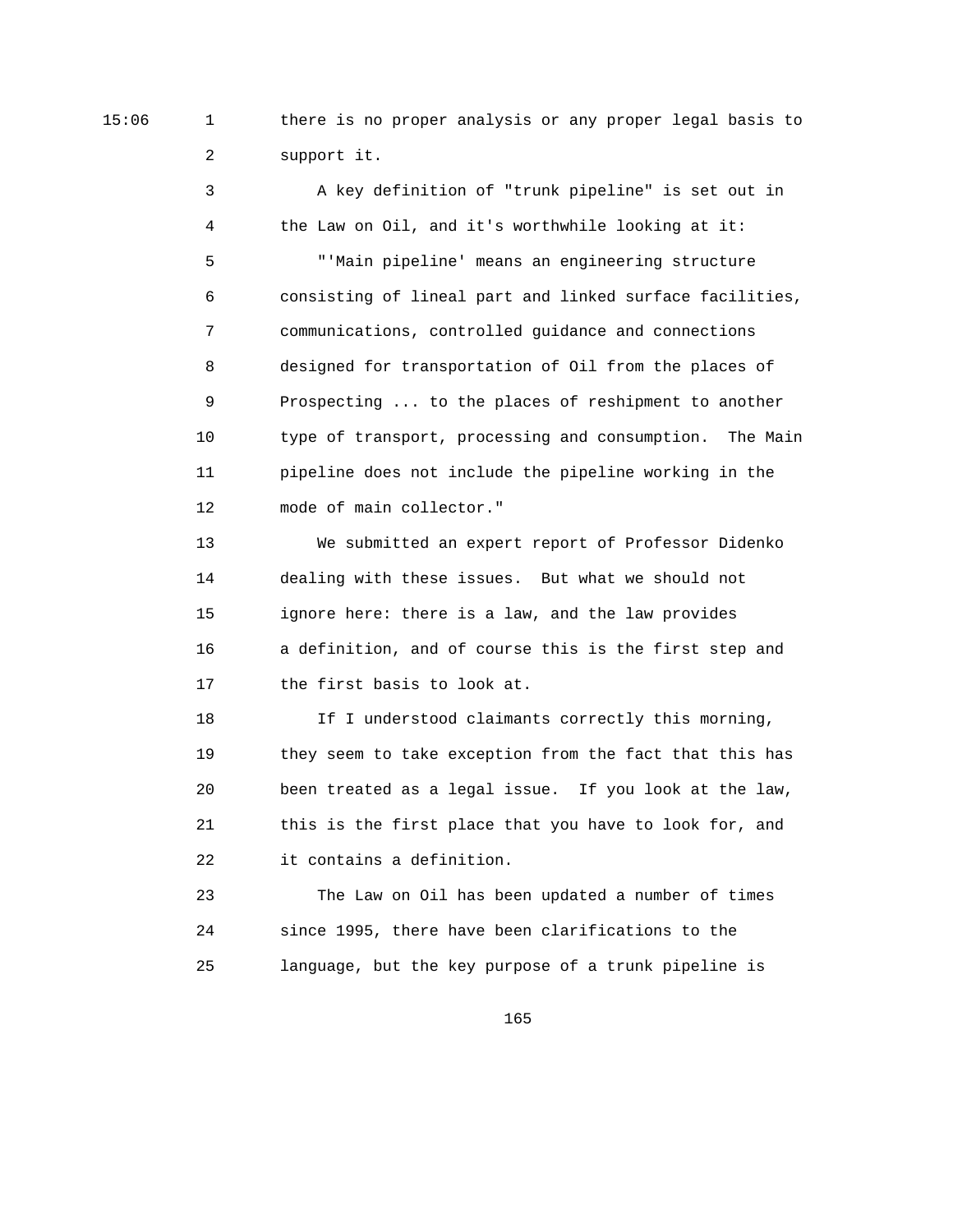15:06 1 there is no proper analysis or any proper legal basis to 2 support it.

> 3 A key definition of "trunk pipeline" is set out in 4 the Law on Oil, and it's worthwhile looking at it: 5 "'Main pipeline' means an engineering structure 6 consisting of lineal part and linked surface facilities, 7 communications, controlled guidance and connections 8 designed for transportation of Oil from the places of 9 Prospecting ... to the places of reshipment to another 10 type of transport, processing and consumption. The Main 11 pipeline does not include the pipeline working in the 12 mode of main collector."

 13 We submitted an expert report of Professor Didenko 14 dealing with these issues. But what we should not 15 ignore here: there is a law, and the law provides 16 a definition, and of course this is the first step and 17 the first basis to look at.

18 If I understood claimants correctly this morning, 19 they seem to take exception from the fact that this has 20 been treated as a legal issue. If you look at the law, 21 this is the first place that you have to look for, and 22 it contains a definition.

 23 The Law on Oil has been updated a number of times 24 since 1995, there have been clarifications to the 25 language, but the key purpose of a trunk pipeline is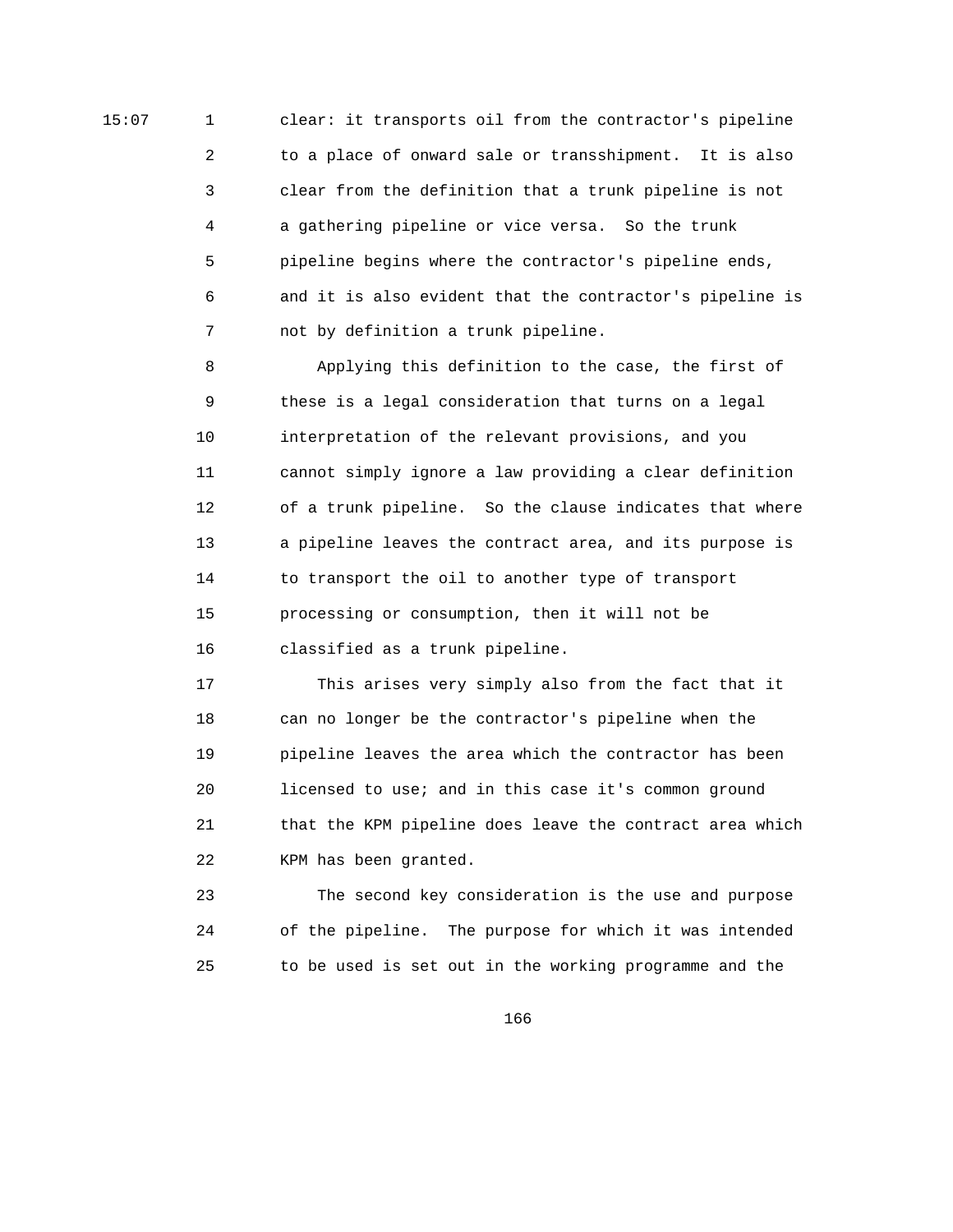15:07 1 clear: it transports oil from the contractor's pipeline 2 to a place of onward sale or transshipment. It is also 3 clear from the definition that a trunk pipeline is not 4 a gathering pipeline or vice versa. So the trunk 5 pipeline begins where the contractor's pipeline ends, 6 and it is also evident that the contractor's pipeline is 7 not by definition a trunk pipeline.

> 8 Applying this definition to the case, the first of 9 these is a legal consideration that turns on a legal 10 interpretation of the relevant provisions, and you 11 cannot simply ignore a law providing a clear definition 12 of a trunk pipeline. So the clause indicates that where 13 a pipeline leaves the contract area, and its purpose is 14 to transport the oil to another type of transport 15 processing or consumption, then it will not be 16 classified as a trunk pipeline.

> 17 This arises very simply also from the fact that it 18 can no longer be the contractor's pipeline when the 19 pipeline leaves the area which the contractor has been 20 licensed to use; and in this case it's common ground 21 that the KPM pipeline does leave the contract area which 22 KPM has been granted.

 23 The second key consideration is the use and purpose 24 of the pipeline. The purpose for which it was intended 25 to be used is set out in the working programme and the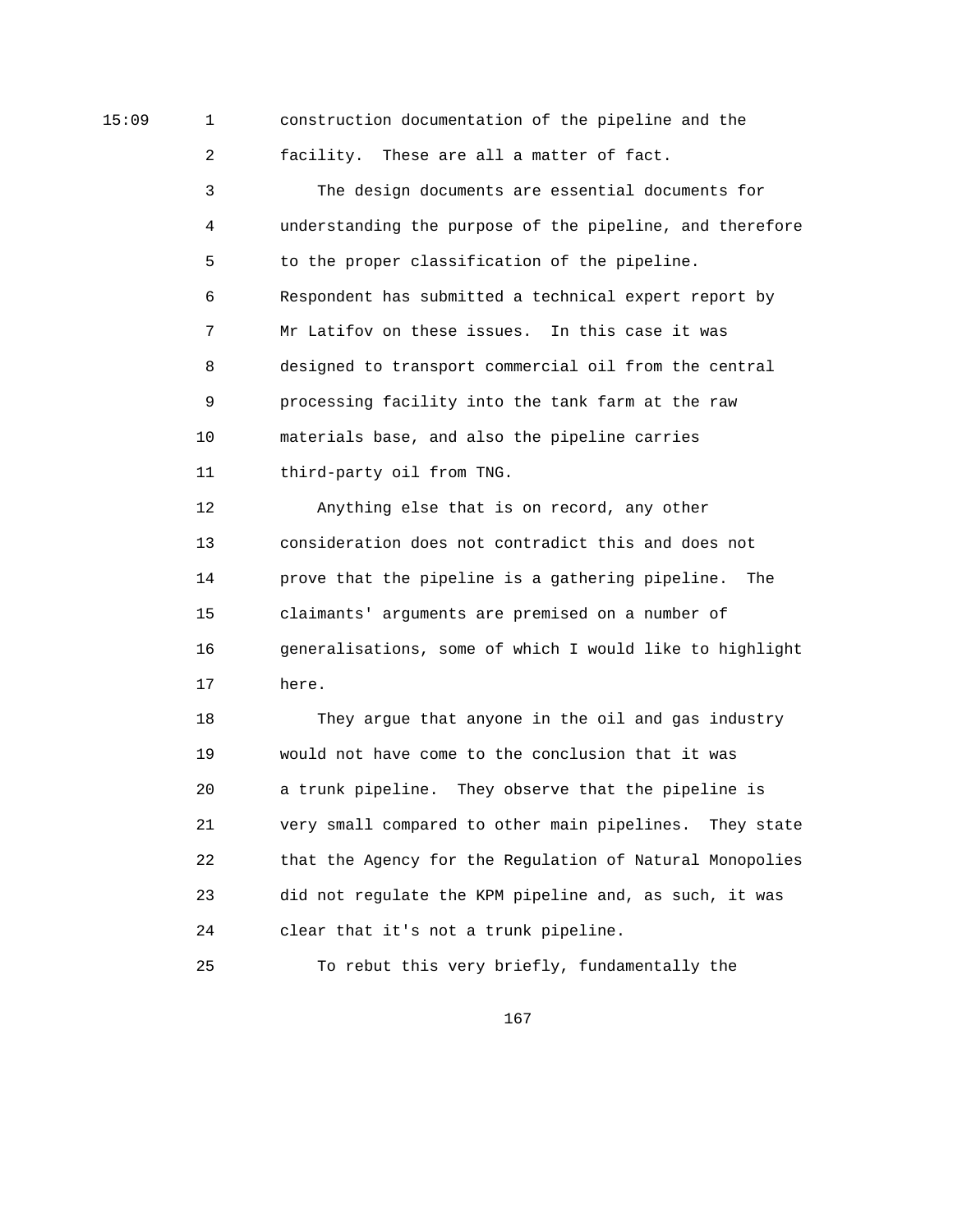15:09 1 construction documentation of the pipeline and the

2 facility. These are all a matter of fact.

 3 The design documents are essential documents for 4 understanding the purpose of the pipeline, and therefore 5 to the proper classification of the pipeline. 6 Respondent has submitted a technical expert report by 7 Mr Latifov on these issues. In this case it was 8 designed to transport commercial oil from the central 9 processing facility into the tank farm at the raw 10 materials base, and also the pipeline carries 11 third-party oil from TNG.

 12 Anything else that is on record, any other 13 consideration does not contradict this and does not 14 prove that the pipeline is a gathering pipeline. The 15 claimants' arguments are premised on a number of 16 generalisations, some of which I would like to highlight 17 here.

 18 They argue that anyone in the oil and gas industry 19 would not have come to the conclusion that it was 20 a trunk pipeline. They observe that the pipeline is 21 very small compared to other main pipelines. They state 22 that the Agency for the Regulation of Natural Monopolies 23 did not regulate the KPM pipeline and, as such, it was 24 clear that it's not a trunk pipeline.

25 To rebut this very briefly, fundamentally the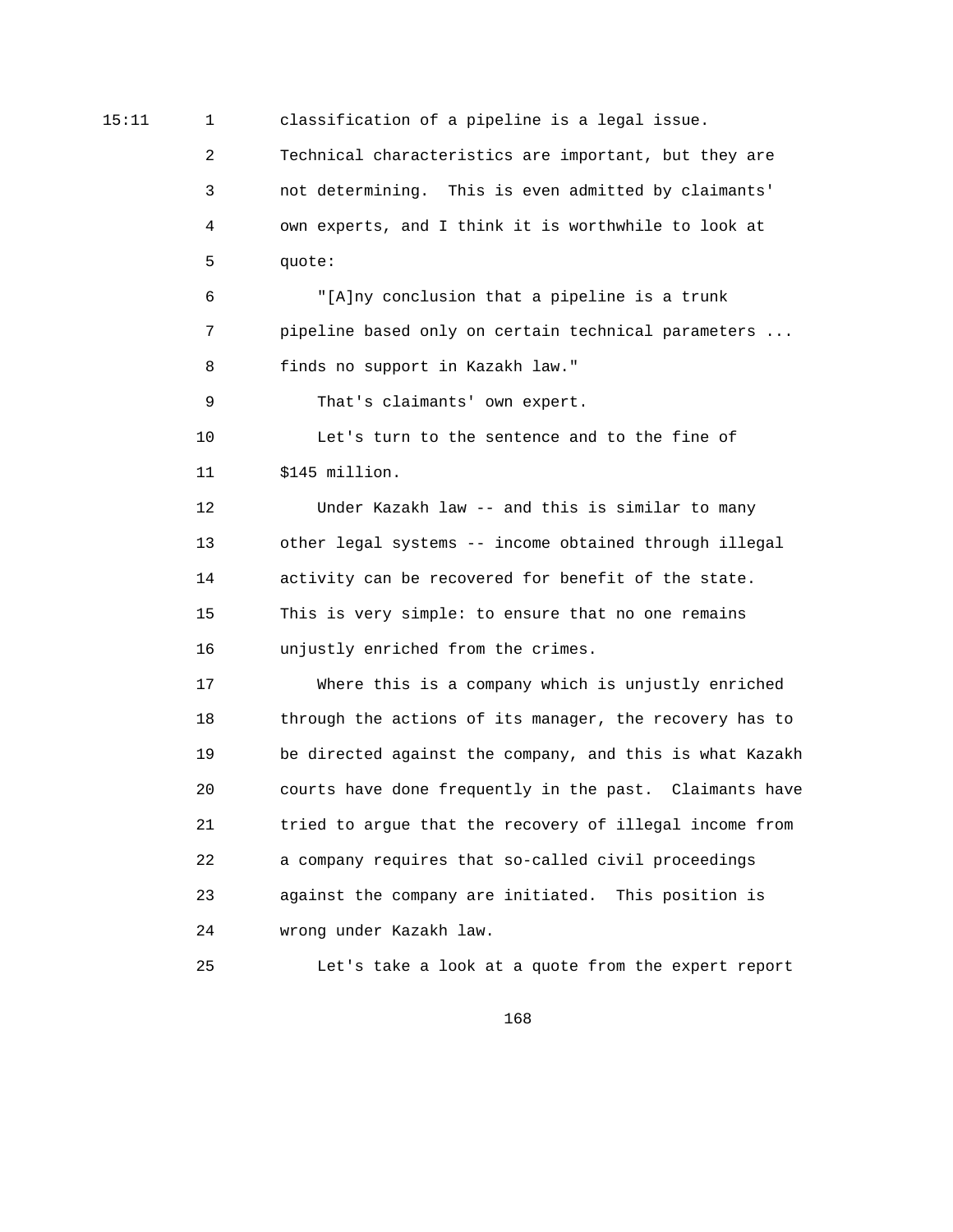15:11 1 classification of a pipeline is a legal issue.

 2 Technical characteristics are important, but they are 3 not determining. This is even admitted by claimants' 4 own experts, and I think it is worthwhile to look at 5 quote:

 6 "[A]ny conclusion that a pipeline is a trunk 7 pipeline based only on certain technical parameters ... 8 finds no support in Kazakh law."

9 That's claimants' own expert.

 10 Let's turn to the sentence and to the fine of 11 \$145 million.

 12 Under Kazakh law -- and this is similar to many 13 other legal systems -- income obtained through illegal 14 activity can be recovered for benefit of the state. 15 This is very simple: to ensure that no one remains 16 unjustly enriched from the crimes.

 17 Where this is a company which is unjustly enriched 18 through the actions of its manager, the recovery has to 19 be directed against the company, and this is what Kazakh 20 courts have done frequently in the past. Claimants have 21 tried to argue that the recovery of illegal income from 22 a company requires that so-called civil proceedings 23 against the company are initiated. This position is 24 wrong under Kazakh law.

25 Let's take a look at a quote from the expert report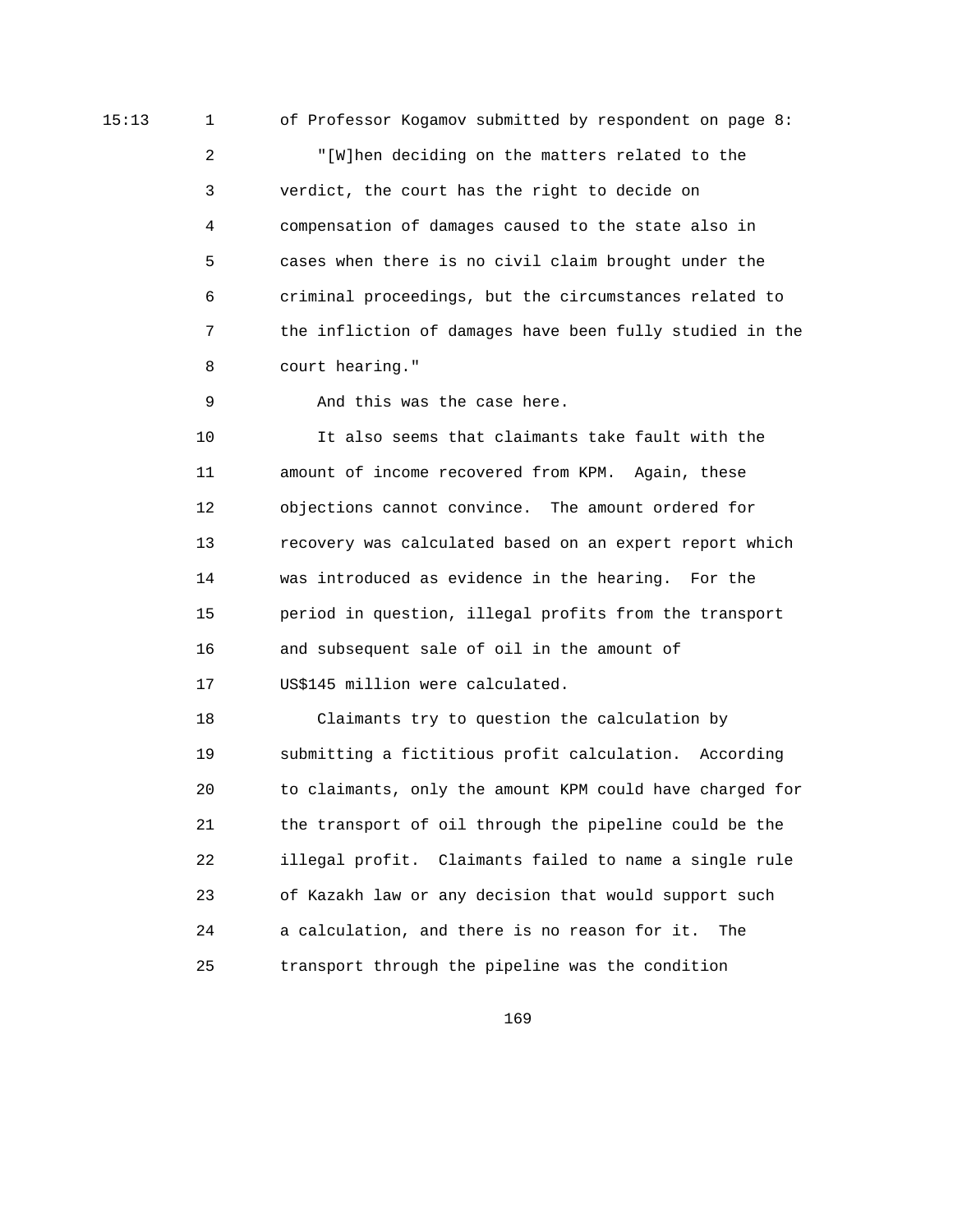15:13 1 of Professor Kogamov submitted by respondent on page 8:

 2 "[W]hen deciding on the matters related to the 3 verdict, the court has the right to decide on 4 compensation of damages caused to the state also in 5 cases when there is no civil claim brought under the 6 criminal proceedings, but the circumstances related to 7 the infliction of damages have been fully studied in the 8 court hearing."

9 And this was the case here.

 10 It also seems that claimants take fault with the 11 amount of income recovered from KPM. Again, these 12 objections cannot convince. The amount ordered for 13 recovery was calculated based on an expert report which 14 was introduced as evidence in the hearing. For the 15 period in question, illegal profits from the transport 16 and subsequent sale of oil in the amount of 17 US\$145 million were calculated.

 18 Claimants try to question the calculation by 19 submitting a fictitious profit calculation. According 20 to claimants, only the amount KPM could have charged for 21 the transport of oil through the pipeline could be the 22 illegal profit. Claimants failed to name a single rule 23 of Kazakh law or any decision that would support such 24 a calculation, and there is no reason for it. The 25 transport through the pipeline was the condition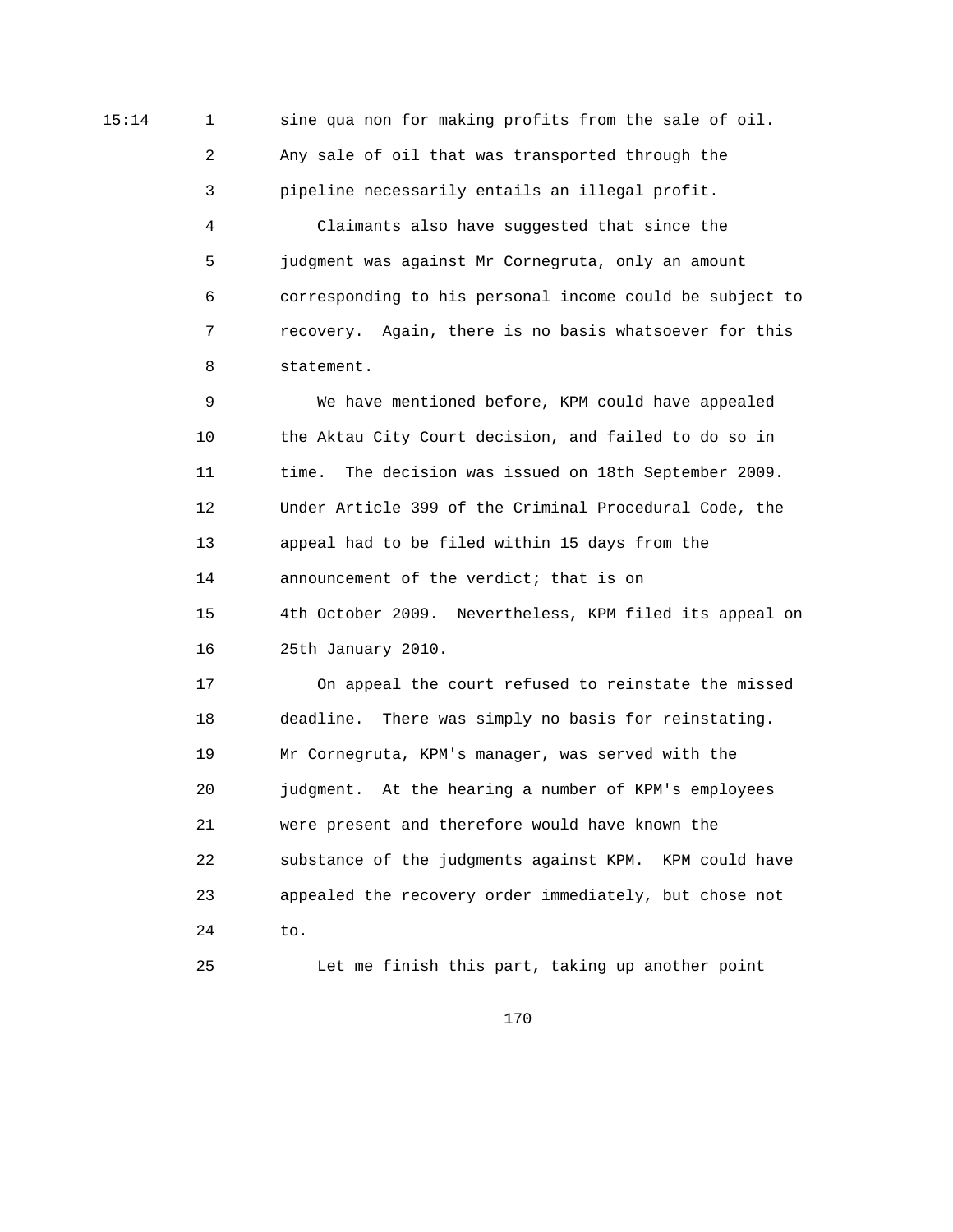15:14 1 sine qua non for making profits from the sale of oil. 2 Any sale of oil that was transported through the 3 pipeline necessarily entails an illegal profit.

> 4 Claimants also have suggested that since the 5 judgment was against Mr Cornegruta, only an amount 6 corresponding to his personal income could be subject to 7 recovery. Again, there is no basis whatsoever for this 8 statement.

 9 We have mentioned before, KPM could have appealed 10 the Aktau City Court decision, and failed to do so in 11 time. The decision was issued on 18th September 2009. 12 Under Article 399 of the Criminal Procedural Code, the 13 appeal had to be filed within 15 days from the 14 announcement of the verdict; that is on 15 4th October 2009. Nevertheless, KPM filed its appeal on 16 25th January 2010.

 17 On appeal the court refused to reinstate the missed 18 deadline. There was simply no basis for reinstating. 19 Mr Cornegruta, KPM's manager, was served with the 20 judgment. At the hearing a number of KPM's employees 21 were present and therefore would have known the 22 substance of the judgments against KPM. KPM could have 23 appealed the recovery order immediately, but chose not 24 to.

25 Let me finish this part, taking up another point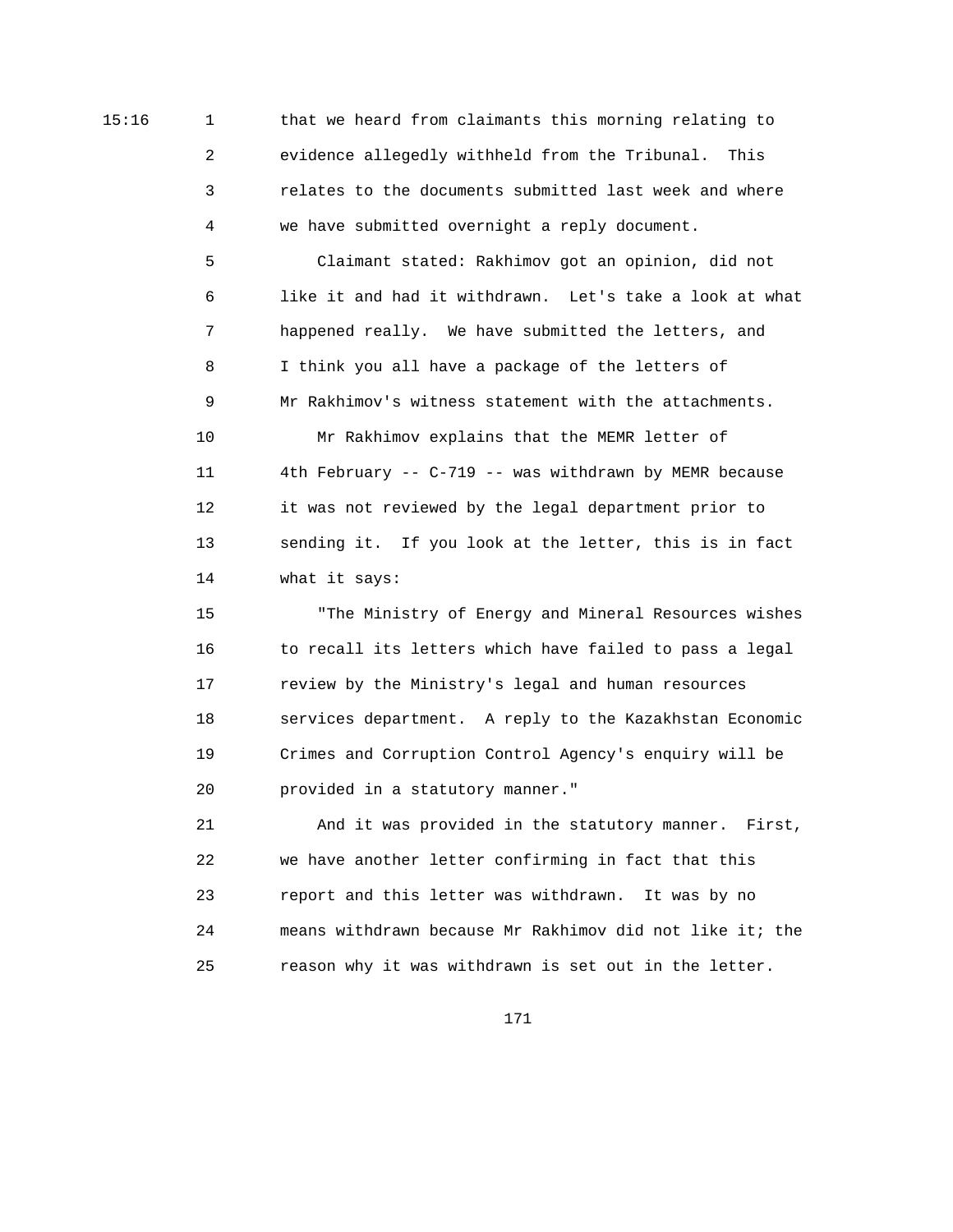15:16 1 that we heard from claimants this morning relating to 2 evidence allegedly withheld from the Tribunal. This 3 relates to the documents submitted last week and where 4 we have submitted overnight a reply document.

> 5 Claimant stated: Rakhimov got an opinion, did not 6 like it and had it withdrawn. Let's take a look at what 7 happened really. We have submitted the letters, and 8 I think you all have a package of the letters of 9 Mr Rakhimov's witness statement with the attachments.

 10 Mr Rakhimov explains that the MEMR letter of 11 4th February -- C-719 -- was withdrawn by MEMR because 12 it was not reviewed by the legal department prior to 13 sending it. If you look at the letter, this is in fact 14 what it says:

 15 "The Ministry of Energy and Mineral Resources wishes 16 to recall its letters which have failed to pass a legal 17 review by the Ministry's legal and human resources 18 services department. A reply to the Kazakhstan Economic 19 Crimes and Corruption Control Agency's enquiry will be 20 provided in a statutory manner."

 21 And it was provided in the statutory manner. First, 22 we have another letter confirming in fact that this 23 report and this letter was withdrawn. It was by no 24 means withdrawn because Mr Rakhimov did not like it; the 25 reason why it was withdrawn is set out in the letter.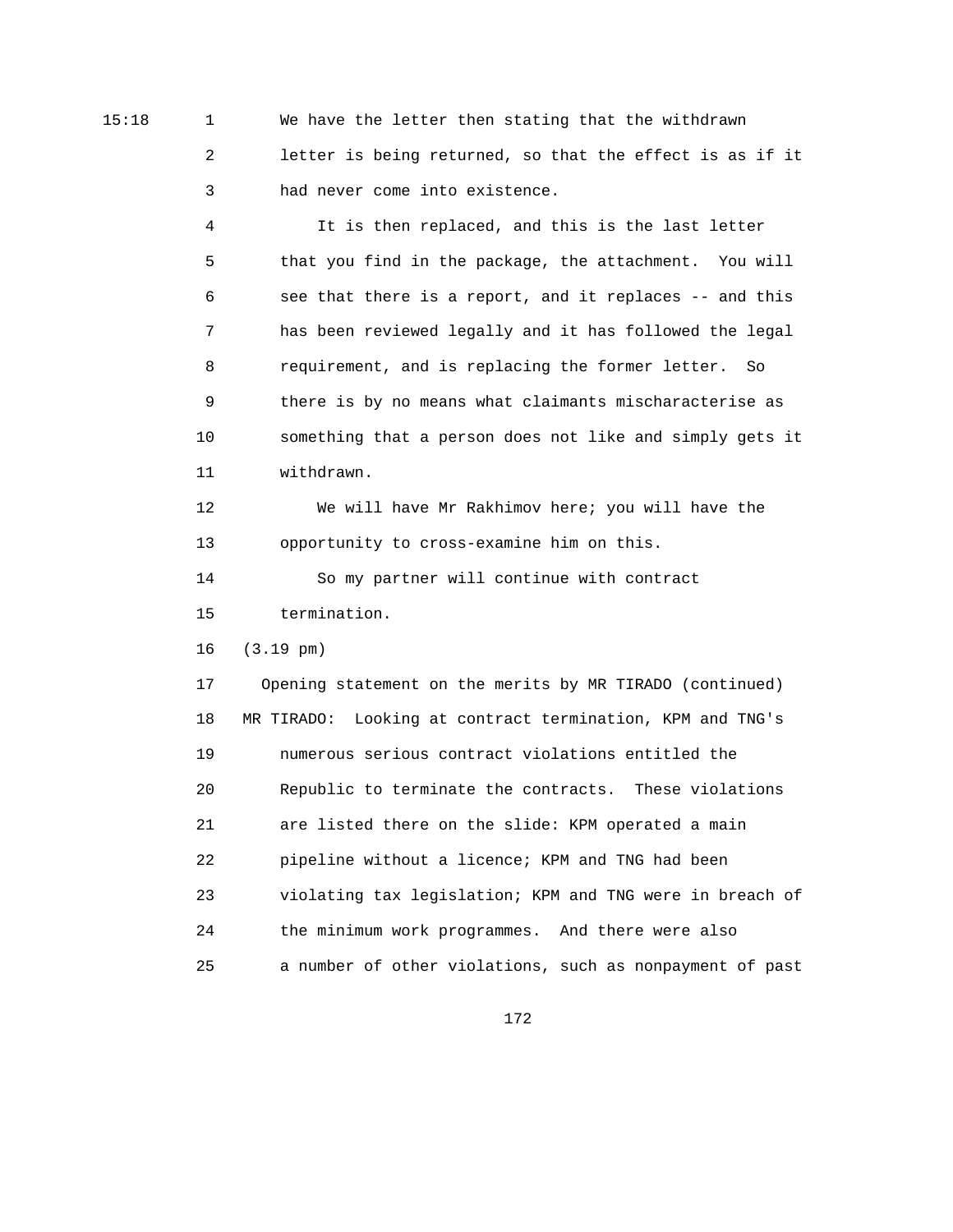15:18 1 We have the letter then stating that the withdrawn 2 letter is being returned, so that the effect is as if it 3 had never come into existence.

> 4 It is then replaced, and this is the last letter 5 that you find in the package, the attachment. You will 6 see that there is a report, and it replaces -- and this 7 has been reviewed legally and it has followed the legal 8 requirement, and is replacing the former letter. So 9 there is by no means what claimants mischaracterise as 10 something that a person does not like and simply gets it 11 withdrawn.

 12 We will have Mr Rakhimov here; you will have the 13 opportunity to cross-examine him on this.

 14 So my partner will continue with contract 15 termination.

16 (3.19 pm)

 17 Opening statement on the merits by MR TIRADO (continued) 18 MR TIRADO: Looking at contract termination, KPM and TNG's 19 numerous serious contract violations entitled the 20 Republic to terminate the contracts. These violations 21 are listed there on the slide: KPM operated a main 22 pipeline without a licence; KPM and TNG had been 23 violating tax legislation; KPM and TNG were in breach of 24 the minimum work programmes. And there were also 25 a number of other violations, such as nonpayment of past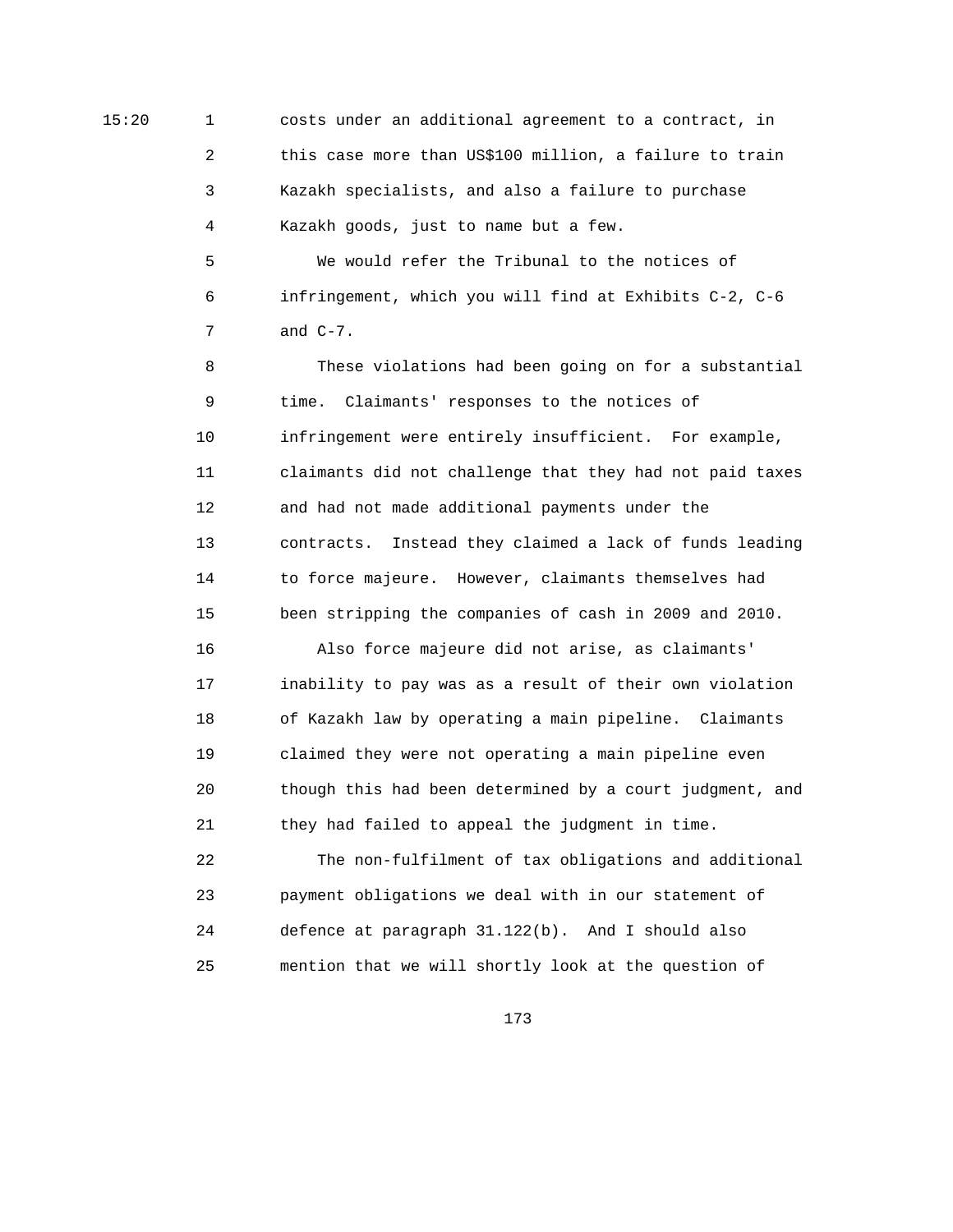15:20 1 costs under an additional agreement to a contract, in 2 this case more than US\$100 million, a failure to train 3 Kazakh specialists, and also a failure to purchase 4 Kazakh goods, just to name but a few.

> 5 We would refer the Tribunal to the notices of 6 infringement, which you will find at Exhibits C-2, C-6 7 and C-7.

 8 These violations had been going on for a substantial 9 time. Claimants' responses to the notices of 10 infringement were entirely insufficient. For example, 11 claimants did not challenge that they had not paid taxes 12 and had not made additional payments under the 13 contracts. Instead they claimed a lack of funds leading 14 to force majeure. However, claimants themselves had 15 been stripping the companies of cash in 2009 and 2010.

 16 Also force majeure did not arise, as claimants' 17 inability to pay was as a result of their own violation 18 of Kazakh law by operating a main pipeline. Claimants 19 claimed they were not operating a main pipeline even 20 though this had been determined by a court judgment, and 21 they had failed to appeal the judgment in time.

 22 The non-fulfilment of tax obligations and additional 23 payment obligations we deal with in our statement of 24 defence at paragraph 31.122(b). And I should also 25 mention that we will shortly look at the question of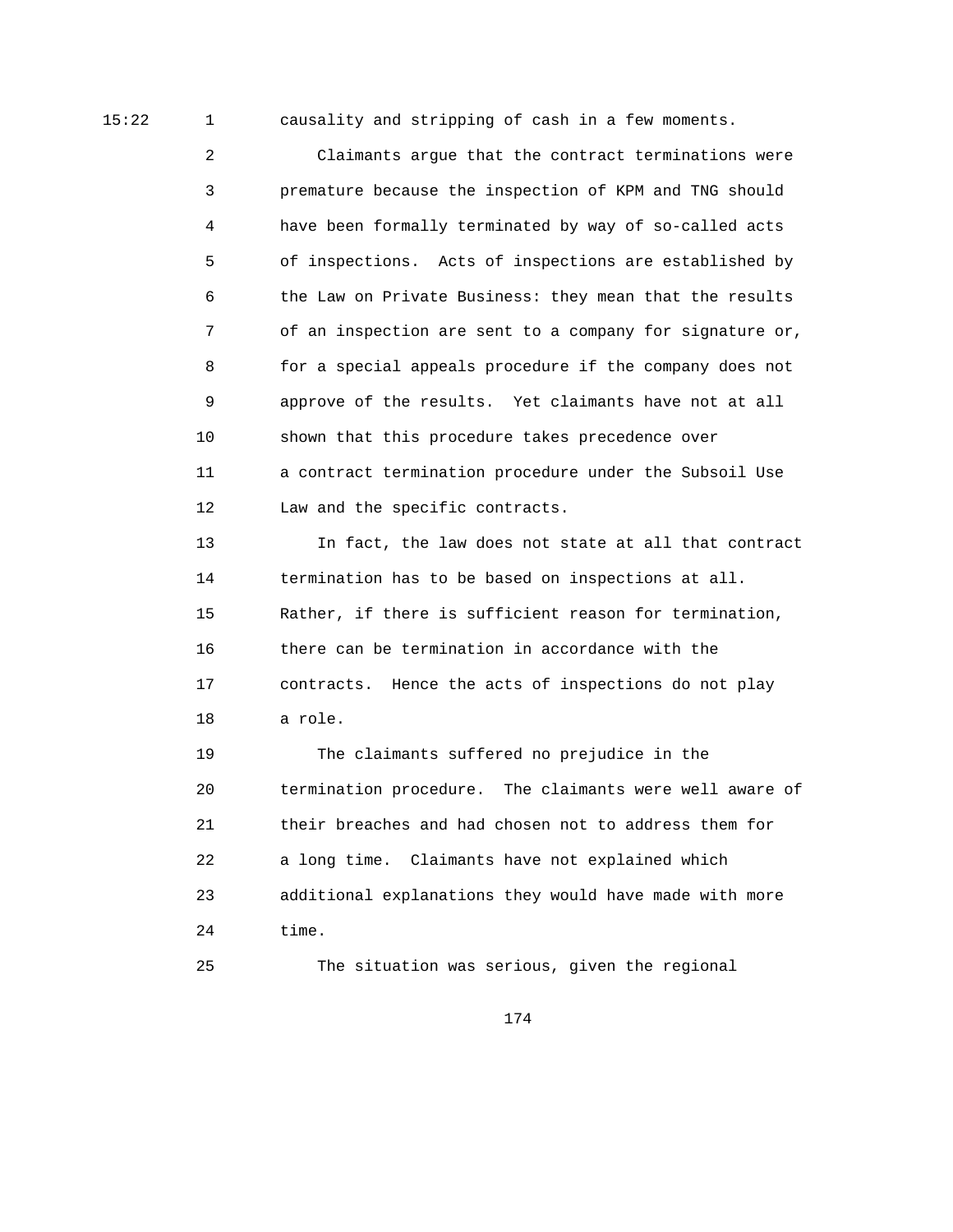15:22 1 causality and stripping of cash in a few moments.

 2 Claimants argue that the contract terminations were 3 premature because the inspection of KPM and TNG should 4 have been formally terminated by way of so-called acts 5 of inspections. Acts of inspections are established by 6 the Law on Private Business: they mean that the results 7 of an inspection are sent to a company for signature or, 8 for a special appeals procedure if the company does not 9 approve of the results. Yet claimants have not at all 10 shown that this procedure takes precedence over 11 a contract termination procedure under the Subsoil Use 12 Law and the specific contracts.

 13 In fact, the law does not state at all that contract 14 termination has to be based on inspections at all. 15 Rather, if there is sufficient reason for termination, 16 there can be termination in accordance with the 17 contracts. Hence the acts of inspections do not play 18 a role.

 19 The claimants suffered no prejudice in the 20 termination procedure. The claimants were well aware of 21 their breaches and had chosen not to address them for 22 a long time. Claimants have not explained which 23 additional explanations they would have made with more 24 time.

25 The situation was serious, given the regional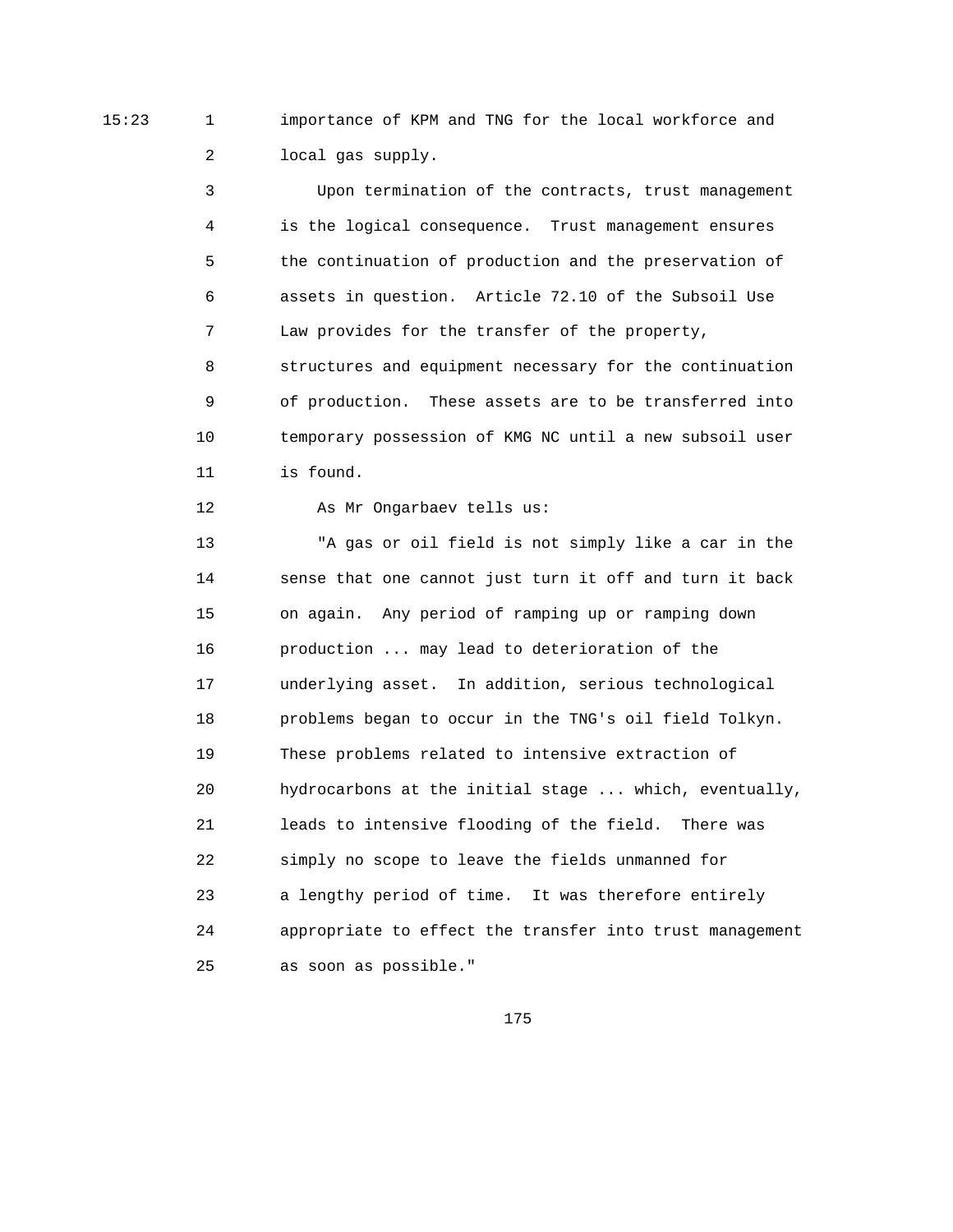15:23 1 importance of KPM and TNG for the local workforce and 2 local gas supply.

> 3 Upon termination of the contracts, trust management 4 is the logical consequence. Trust management ensures 5 the continuation of production and the preservation of 6 assets in question. Article 72.10 of the Subsoil Use 7 Law provides for the transfer of the property, 8 structures and equipment necessary for the continuation 9 of production. These assets are to be transferred into 10 temporary possession of KMG NC until a new subsoil user 11 is found.

12 As Mr Ongarbaev tells us:

 13 "A gas or oil field is not simply like a car in the 14 sense that one cannot just turn it off and turn it back 15 on again. Any period of ramping up or ramping down 16 production ... may lead to deterioration of the 17 underlying asset. In addition, serious technological 18 problems began to occur in the TNG's oil field Tolkyn. 19 These problems related to intensive extraction of 20 hydrocarbons at the initial stage ... which, eventually, 21 leads to intensive flooding of the field. There was 22 simply no scope to leave the fields unmanned for 23 a lengthy period of time. It was therefore entirely 24 appropriate to effect the transfer into trust management 25 as soon as possible."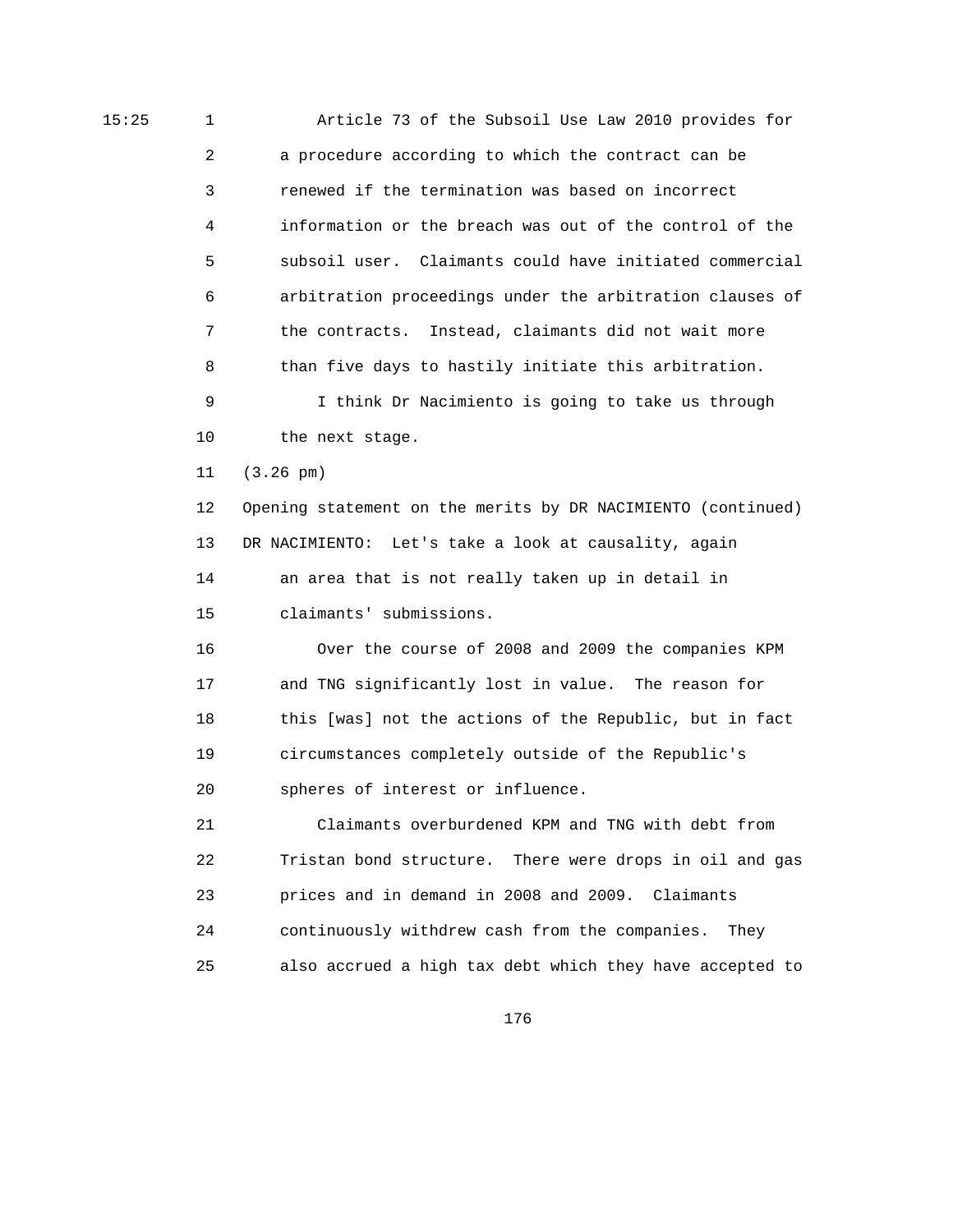15:25 1 Article 73 of the Subsoil Use Law 2010 provides for 2 a procedure according to which the contract can be 3 renewed if the termination was based on incorrect 4 information or the breach was out of the control of the 5 subsoil user. Claimants could have initiated commercial 6 arbitration proceedings under the arbitration clauses of 7 the contracts. Instead, claimants did not wait more 8 than five days to hastily initiate this arbitration. 9 I think Dr Nacimiento is going to take us through 10 the next stage. 11 (3.26 pm) 12 Opening statement on the merits by DR NACIMIENTO (continued) 13 DR NACIMIENTO: Let's take a look at causality, again 14 an area that is not really taken up in detail in 15 claimants' submissions. 16 Over the course of 2008 and 2009 the companies KPM 17 and TNG significantly lost in value. The reason for 18 this [was] not the actions of the Republic, but in fact 19 circumstances completely outside of the Republic's 20 spheres of interest or influence. 21 Claimants overburdened KPM and TNG with debt from 22 Tristan bond structure. There were drops in oil and gas 23 prices and in demand in 2008 and 2009. Claimants 24 continuously withdrew cash from the companies. They 25 also accrued a high tax debt which they have accepted to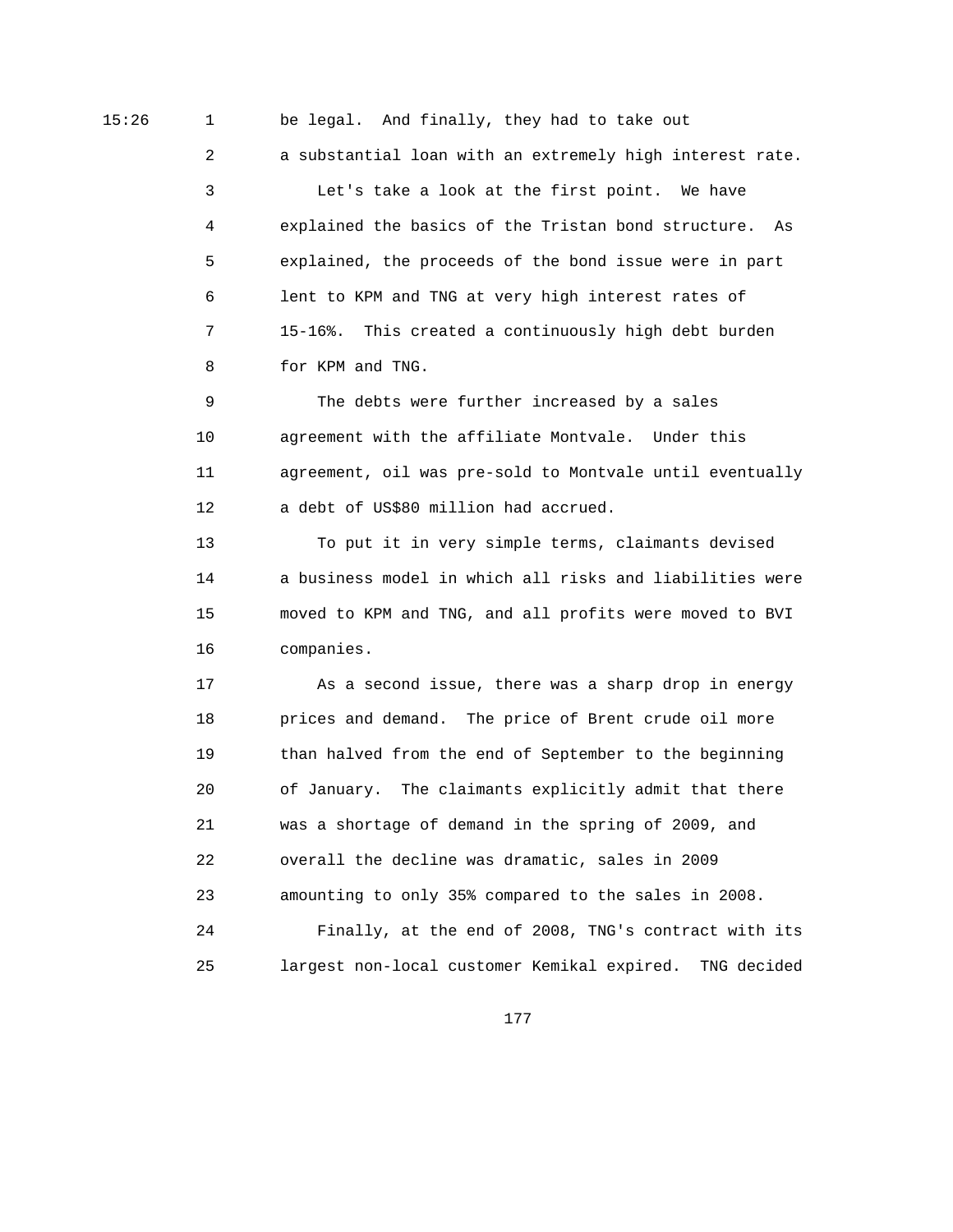15:26 1 be legal. And finally, they had to take out 2 a substantial loan with an extremely high interest rate. 3 Let's take a look at the first point. We have 4 explained the basics of the Tristan bond structure. As 5 explained, the proceeds of the bond issue were in part 6 lent to KPM and TNG at very high interest rates of 7 15-16%. This created a continuously high debt burden 8 for KPM and TNG.

> 9 The debts were further increased by a sales 10 agreement with the affiliate Montvale. Under this 11 agreement, oil was pre-sold to Montvale until eventually 12 a debt of US\$80 million had accrued.

> 13 To put it in very simple terms, claimants devised 14 a business model in which all risks and liabilities were 15 moved to KPM and TNG, and all profits were moved to BVI 16 companies.

> 17 As a second issue, there was a sharp drop in energy 18 prices and demand. The price of Brent crude oil more 19 than halved from the end of September to the beginning 20 of January. The claimants explicitly admit that there 21 was a shortage of demand in the spring of 2009, and 22 overall the decline was dramatic, sales in 2009 23 amounting to only 35% compared to the sales in 2008. 24 Finally, at the end of 2008, TNG's contract with its 25 largest non-local customer Kemikal expired. TNG decided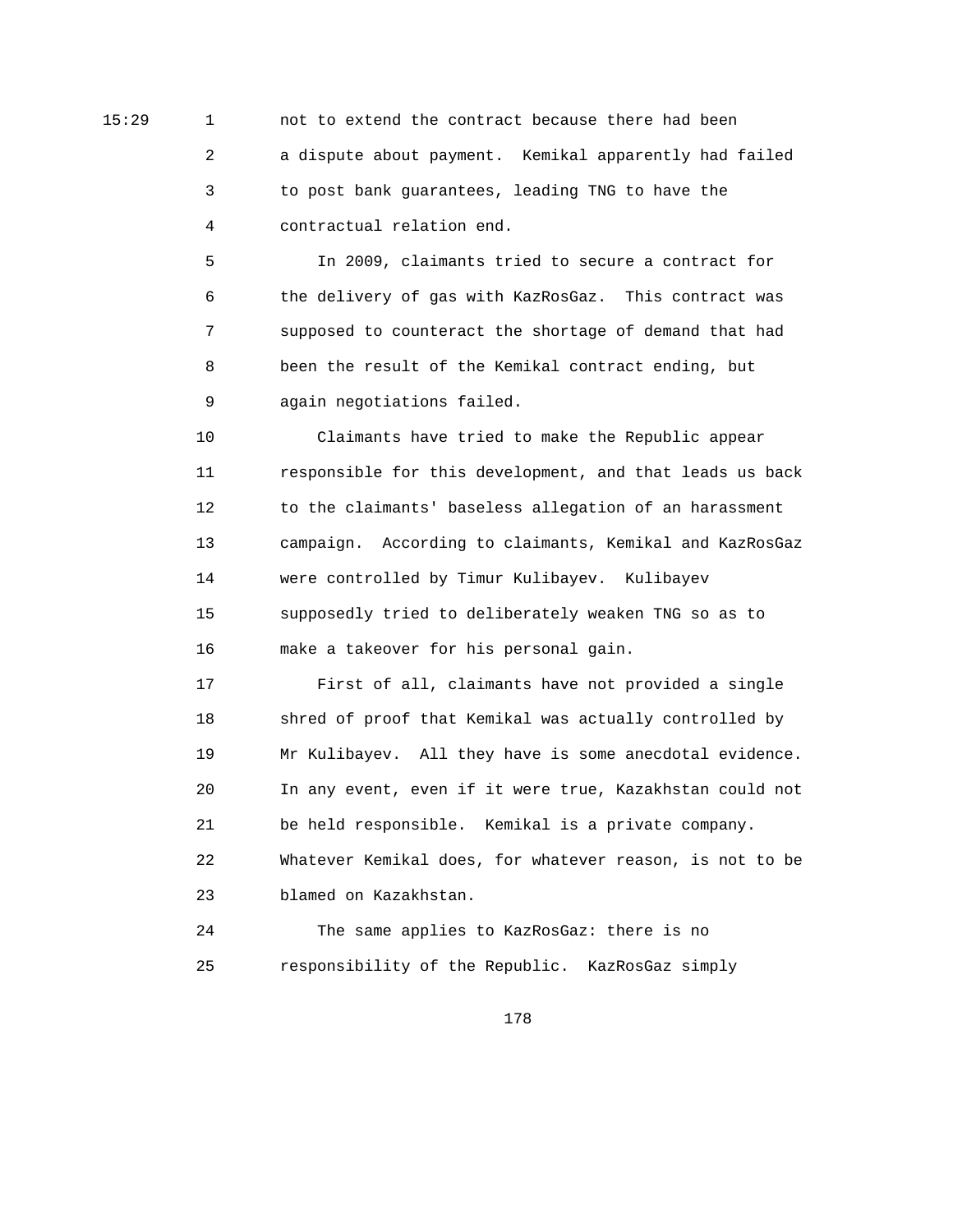15:29 1 not to extend the contract because there had been 2 a dispute about payment. Kemikal apparently had failed 3 to post bank guarantees, leading TNG to have the 4 contractual relation end.

> 5 In 2009, claimants tried to secure a contract for 6 the delivery of gas with KazRosGaz. This contract was 7 supposed to counteract the shortage of demand that had 8 been the result of the Kemikal contract ending, but 9 again negotiations failed.

 10 Claimants have tried to make the Republic appear 11 responsible for this development, and that leads us back 12 to the claimants' baseless allegation of an harassment 13 campaign. According to claimants, Kemikal and KazRosGaz 14 were controlled by Timur Kulibayev. Kulibayev 15 supposedly tried to deliberately weaken TNG so as to 16 make a takeover for his personal gain.

 17 First of all, claimants have not provided a single 18 shred of proof that Kemikal was actually controlled by 19 Mr Kulibayev. All they have is some anecdotal evidence. 20 In any event, even if it were true, Kazakhstan could not 21 be held responsible. Kemikal is a private company. 22 Whatever Kemikal does, for whatever reason, is not to be 23 blamed on Kazakhstan.

 24 The same applies to KazRosGaz: there is no 25 responsibility of the Republic. KazRosGaz simply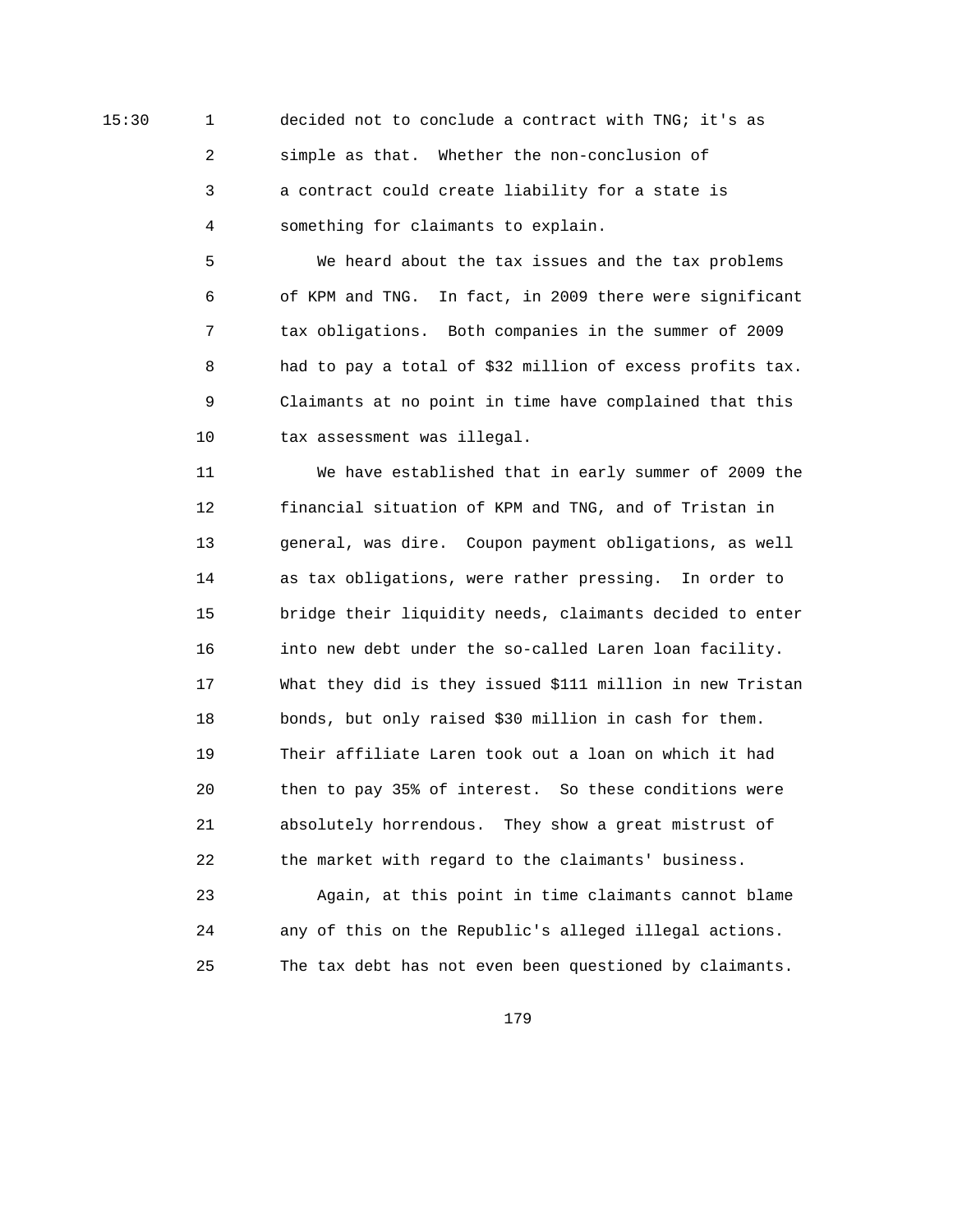15:30 1 decided not to conclude a contract with TNG; it's as 2 simple as that. Whether the non-conclusion of 3 a contract could create liability for a state is 4 something for claimants to explain.

> 5 We heard about the tax issues and the tax problems 6 of KPM and TNG. In fact, in 2009 there were significant 7 tax obligations. Both companies in the summer of 2009 8 had to pay a total of \$32 million of excess profits tax. 9 Claimants at no point in time have complained that this 10 tax assessment was illegal.

> 11 We have established that in early summer of 2009 the 12 financial situation of KPM and TNG, and of Tristan in 13 general, was dire. Coupon payment obligations, as well 14 as tax obligations, were rather pressing. In order to 15 bridge their liquidity needs, claimants decided to enter 16 into new debt under the so-called Laren loan facility. 17 What they did is they issued \$111 million in new Tristan 18 bonds, but only raised \$30 million in cash for them. 19 Their affiliate Laren took out a loan on which it had 20 then to pay 35% of interest. So these conditions were 21 absolutely horrendous. They show a great mistrust of 22 the market with regard to the claimants' business. 23 Again, at this point in time claimants cannot blame

 24 any of this on the Republic's alleged illegal actions. 25 The tax debt has not even been questioned by claimants.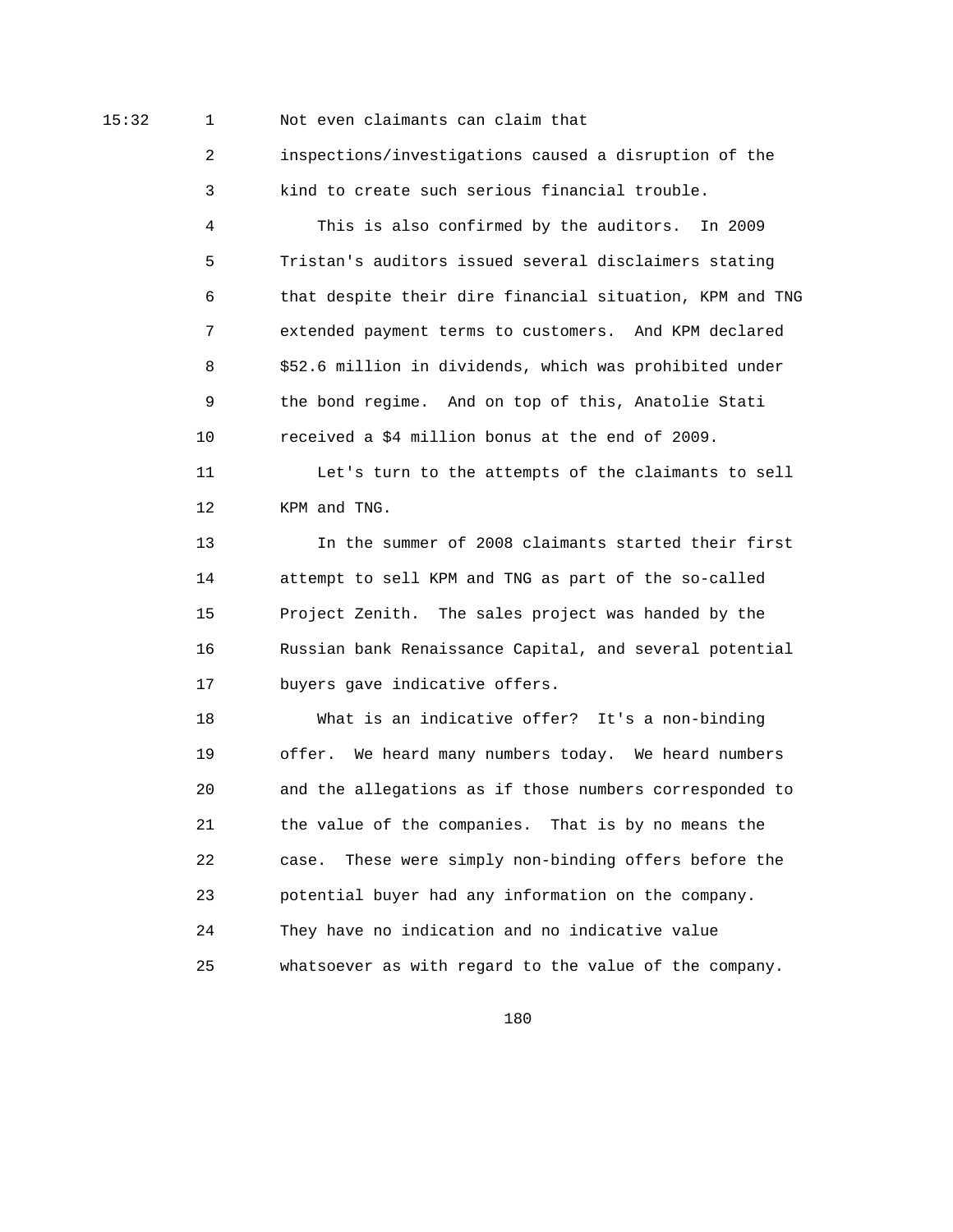## 15:32 1 Not even claimants can claim that

 2 inspections/investigations caused a disruption of the 3 kind to create such serious financial trouble.

 4 This is also confirmed by the auditors. In 2009 5 Tristan's auditors issued several disclaimers stating 6 that despite their dire financial situation, KPM and TNG 7 extended payment terms to customers. And KPM declared 8 \$52.6 million in dividends, which was prohibited under 9 the bond regime. And on top of this, Anatolie Stati 10 received a \$4 million bonus at the end of 2009.

 11 Let's turn to the attempts of the claimants to sell 12 KPM and TNG.

 13 In the summer of 2008 claimants started their first 14 attempt to sell KPM and TNG as part of the so-called 15 Project Zenith. The sales project was handed by the 16 Russian bank Renaissance Capital, and several potential 17 buyers gave indicative offers.

 18 What is an indicative offer? It's a non-binding 19 offer. We heard many numbers today. We heard numbers 20 and the allegations as if those numbers corresponded to 21 the value of the companies. That is by no means the 22 case. These were simply non-binding offers before the 23 potential buyer had any information on the company. 24 They have no indication and no indicative value 25 whatsoever as with regard to the value of the company.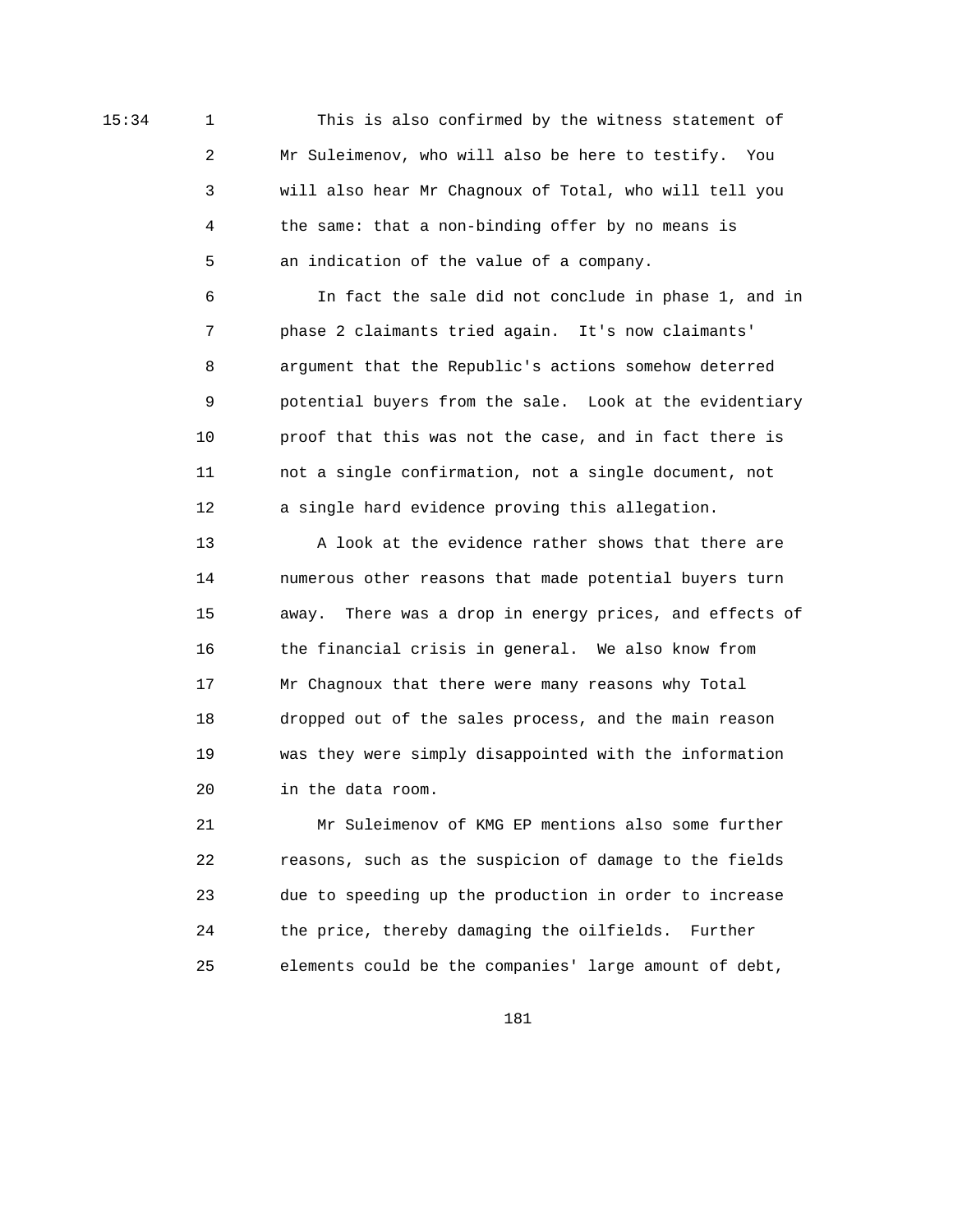15:34 1 This is also confirmed by the witness statement of 2 Mr Suleimenov, who will also be here to testify. You 3 will also hear Mr Chagnoux of Total, who will tell you 4 the same: that a non-binding offer by no means is 5 an indication of the value of a company.

> 6 In fact the sale did not conclude in phase 1, and in 7 phase 2 claimants tried again. It's now claimants' 8 argument that the Republic's actions somehow deterred 9 potential buyers from the sale. Look at the evidentiary 10 proof that this was not the case, and in fact there is 11 not a single confirmation, not a single document, not 12 a single hard evidence proving this allegation.

> 13 A look at the evidence rather shows that there are 14 numerous other reasons that made potential buyers turn 15 away. There was a drop in energy prices, and effects of 16 the financial crisis in general. We also know from 17 Mr Chagnoux that there were many reasons why Total 18 dropped out of the sales process, and the main reason 19 was they were simply disappointed with the information 20 in the data room.

 21 Mr Suleimenov of KMG EP mentions also some further 22 reasons, such as the suspicion of damage to the fields 23 due to speeding up the production in order to increase 24 the price, thereby damaging the oilfields. Further 25 elements could be the companies' large amount of debt,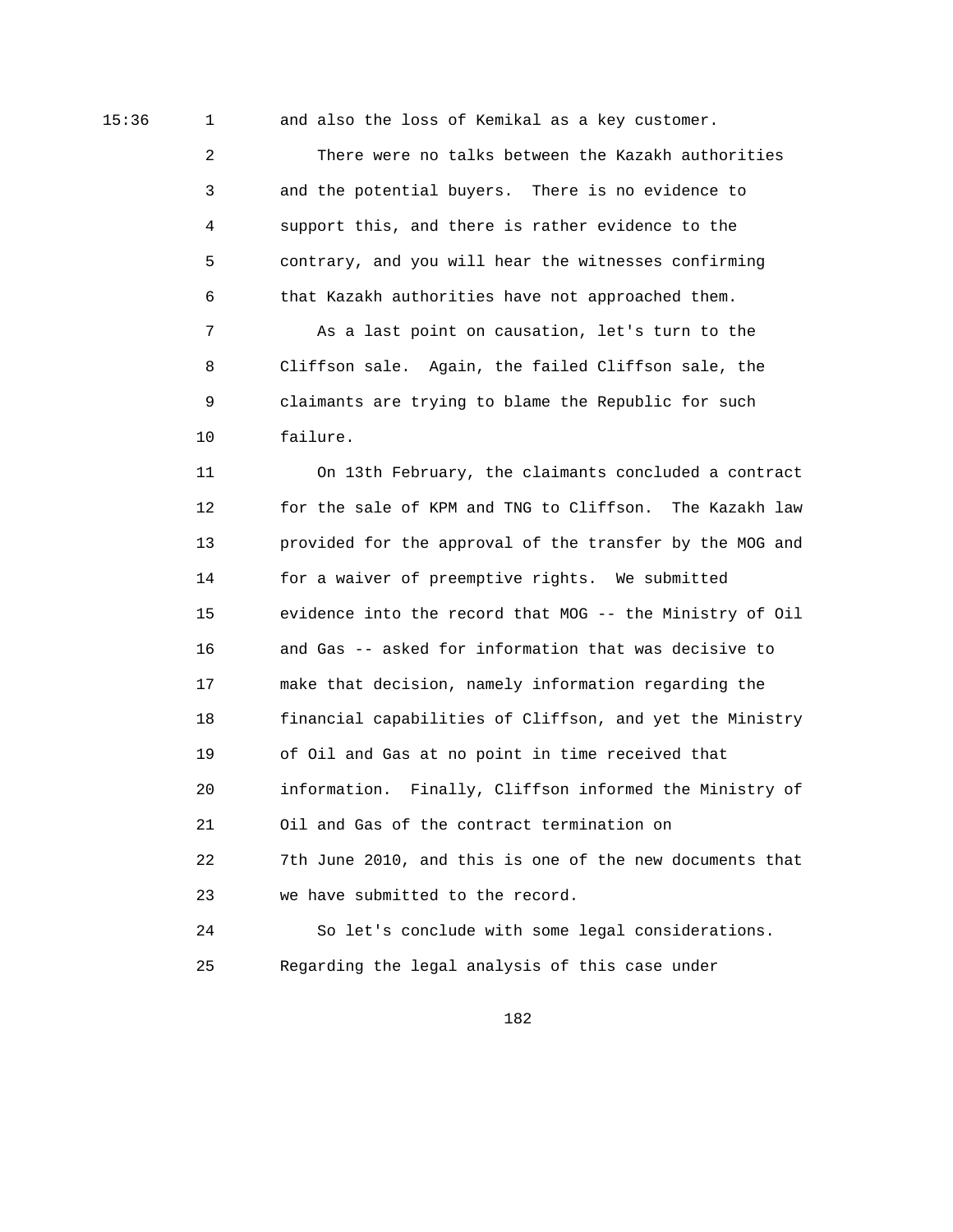15:36 1 and also the loss of Kemikal as a key customer.

 2 There were no talks between the Kazakh authorities 3 and the potential buyers. There is no evidence to 4 support this, and there is rather evidence to the 5 contrary, and you will hear the witnesses confirming 6 that Kazakh authorities have not approached them.

 7 As a last point on causation, let's turn to the 8 Cliffson sale. Again, the failed Cliffson sale, the 9 claimants are trying to blame the Republic for such 10 failure.

 11 On 13th February, the claimants concluded a contract 12 for the sale of KPM and TNG to Cliffson. The Kazakh law 13 provided for the approval of the transfer by the MOG and 14 for a waiver of preemptive rights. We submitted 15 evidence into the record that MOG -- the Ministry of Oil 16 and Gas -- asked for information that was decisive to 17 make that decision, namely information regarding the 18 financial capabilities of Cliffson, and yet the Ministry 19 of Oil and Gas at no point in time received that 20 information. Finally, Cliffson informed the Ministry of 21 Oil and Gas of the contract termination on 22 7th June 2010, and this is one of the new documents that 23 we have submitted to the record.

 24 So let's conclude with some legal considerations. 25 Regarding the legal analysis of this case under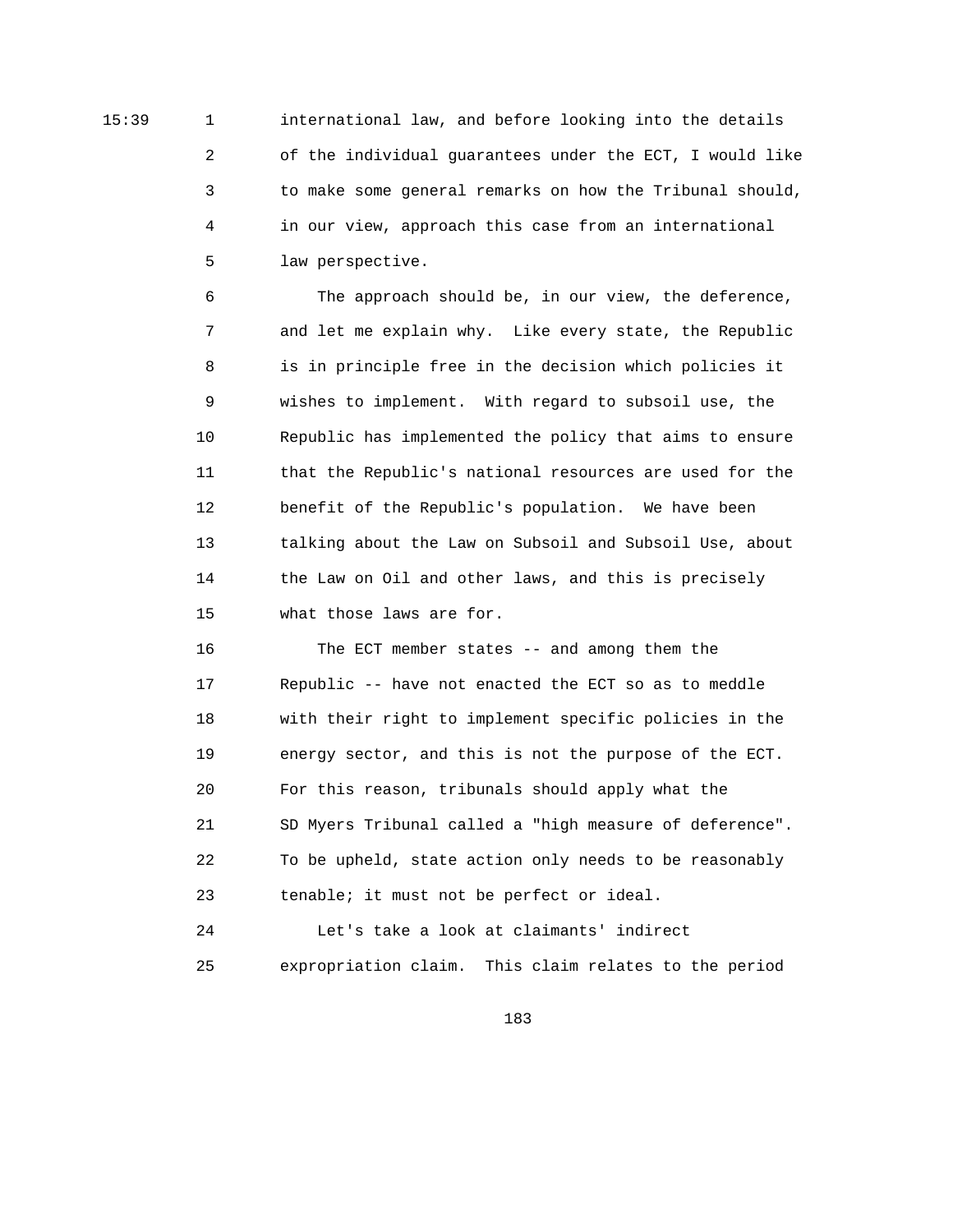15:39 1 international law, and before looking into the details 2 of the individual guarantees under the ECT, I would like 3 to make some general remarks on how the Tribunal should, 4 in our view, approach this case from an international 5 law perspective.

> 6 The approach should be, in our view, the deference, 7 and let me explain why. Like every state, the Republic 8 is in principle free in the decision which policies it 9 wishes to implement. With regard to subsoil use, the 10 Republic has implemented the policy that aims to ensure 11 that the Republic's national resources are used for the 12 benefit of the Republic's population. We have been 13 talking about the Law on Subsoil and Subsoil Use, about 14 the Law on Oil and other laws, and this is precisely 15 what those laws are for.

> 16 The ECT member states -- and among them the 17 Republic -- have not enacted the ECT so as to meddle 18 with their right to implement specific policies in the 19 energy sector, and this is not the purpose of the ECT. 20 For this reason, tribunals should apply what the 21 SD Myers Tribunal called a "high measure of deference". 22 To be upheld, state action only needs to be reasonably 23 tenable; it must not be perfect or ideal.

> 24 Let's take a look at claimants' indirect 25 expropriation claim. This claim relates to the period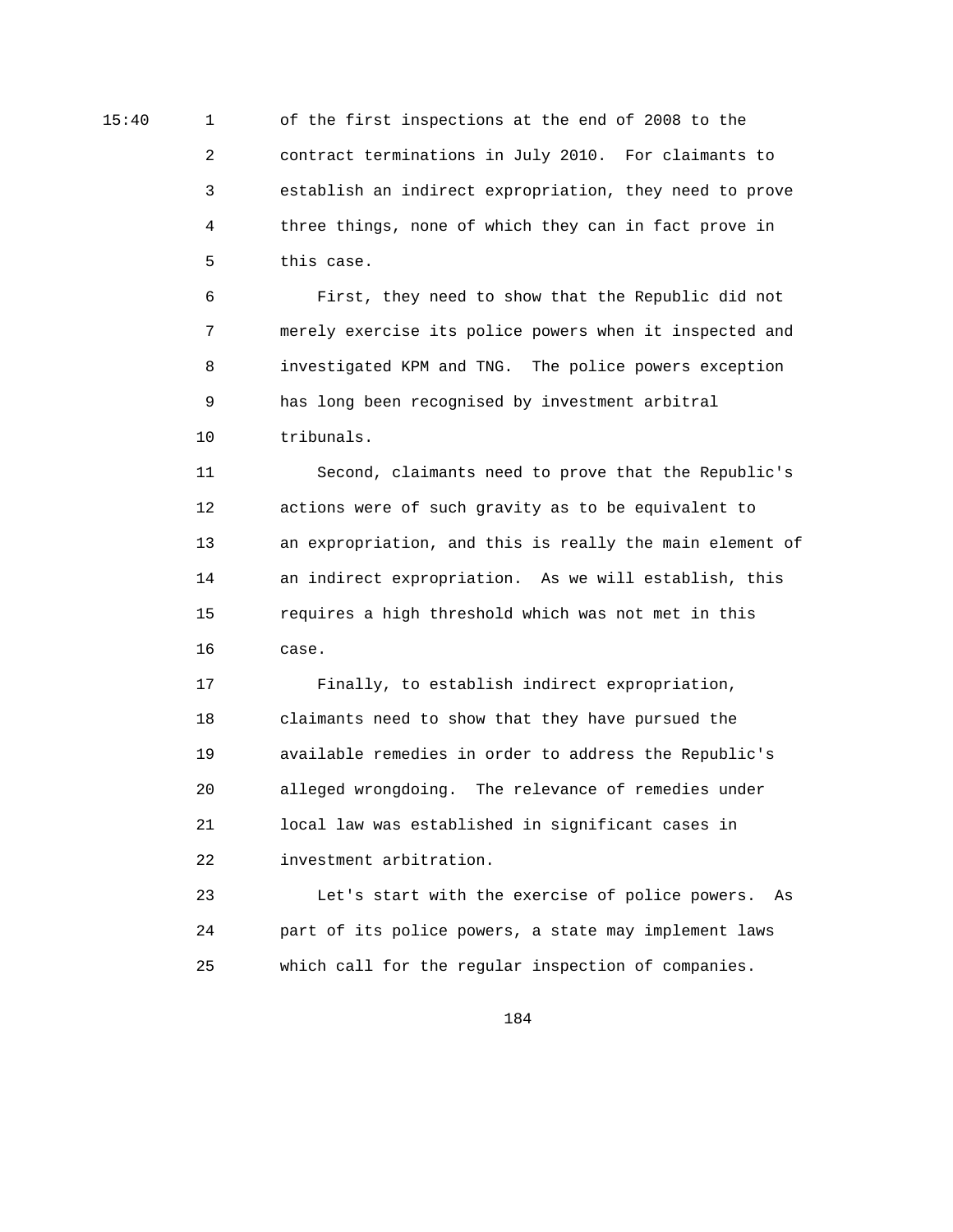15:40 1 of the first inspections at the end of 2008 to the 2 contract terminations in July 2010. For claimants to 3 establish an indirect expropriation, they need to prove 4 three things, none of which they can in fact prove in 5 this case.

> 6 First, they need to show that the Republic did not 7 merely exercise its police powers when it inspected and 8 investigated KPM and TNG. The police powers exception 9 has long been recognised by investment arbitral 10 tribunals.

 11 Second, claimants need to prove that the Republic's 12 actions were of such gravity as to be equivalent to 13 an expropriation, and this is really the main element of 14 an indirect expropriation. As we will establish, this 15 requires a high threshold which was not met in this 16 case.

 17 Finally, to establish indirect expropriation, 18 claimants need to show that they have pursued the 19 available remedies in order to address the Republic's 20 alleged wrongdoing. The relevance of remedies under 21 local law was established in significant cases in 22 investment arbitration.

 23 Let's start with the exercise of police powers. As 24 part of its police powers, a state may implement laws 25 which call for the regular inspection of companies.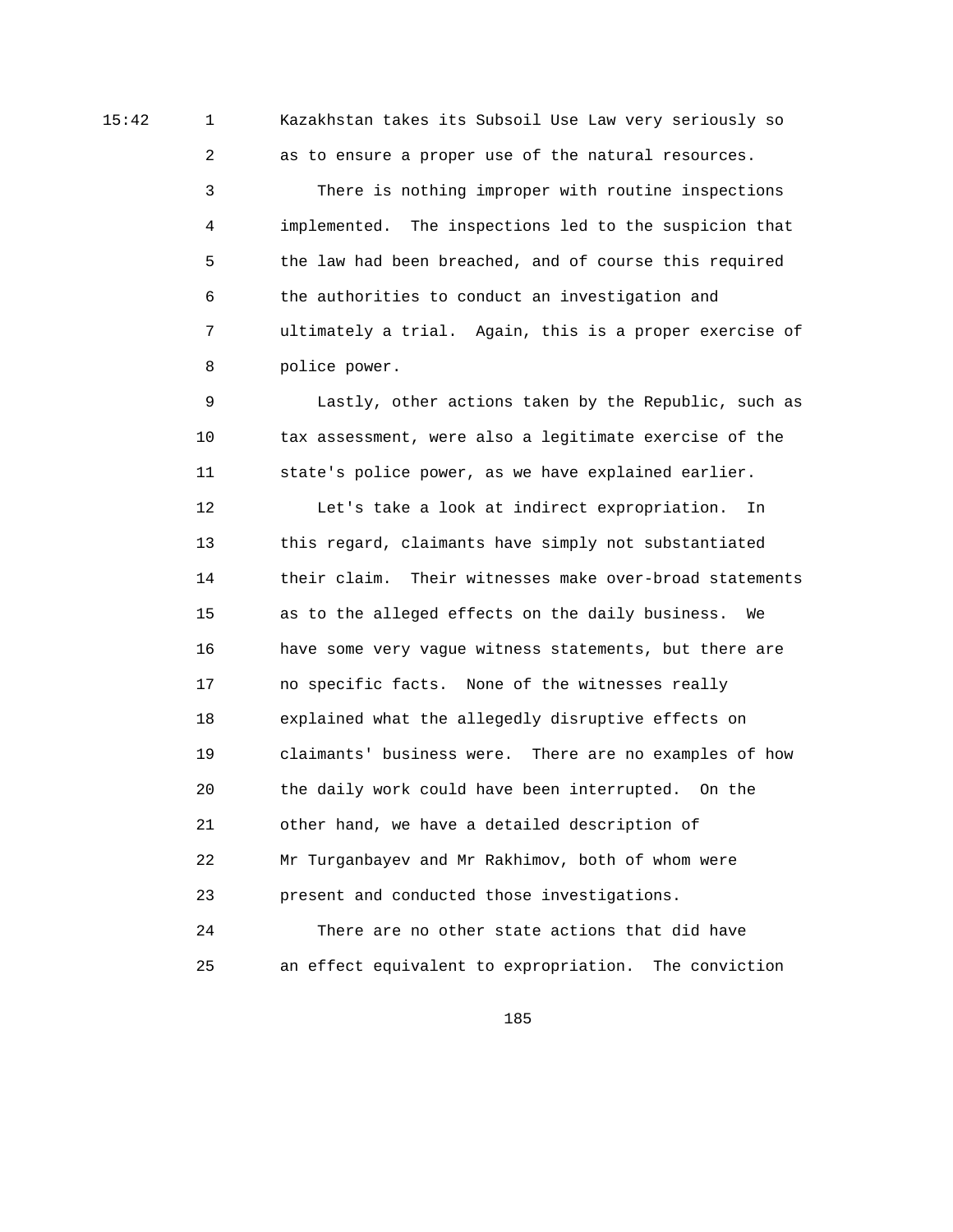15:42 1 Kazakhstan takes its Subsoil Use Law very seriously so

2 as to ensure a proper use of the natural resources.

 3 There is nothing improper with routine inspections 4 implemented. The inspections led to the suspicion that 5 the law had been breached, and of course this required 6 the authorities to conduct an investigation and 7 ultimately a trial. Again, this is a proper exercise of 8 police power.

 9 Lastly, other actions taken by the Republic, such as 10 tax assessment, were also a legitimate exercise of the 11 state's police power, as we have explained earlier.

 12 Let's take a look at indirect expropriation. In 13 this regard, claimants have simply not substantiated 14 their claim. Their witnesses make over-broad statements 15 as to the alleged effects on the daily business. We 16 have some very vague witness statements, but there are 17 no specific facts. None of the witnesses really 18 explained what the allegedly disruptive effects on 19 claimants' business were. There are no examples of how 20 the daily work could have been interrupted. On the 21 other hand, we have a detailed description of 22 Mr Turganbayev and Mr Rakhimov, both of whom were 23 present and conducted those investigations.

 24 There are no other state actions that did have 25 an effect equivalent to expropriation. The conviction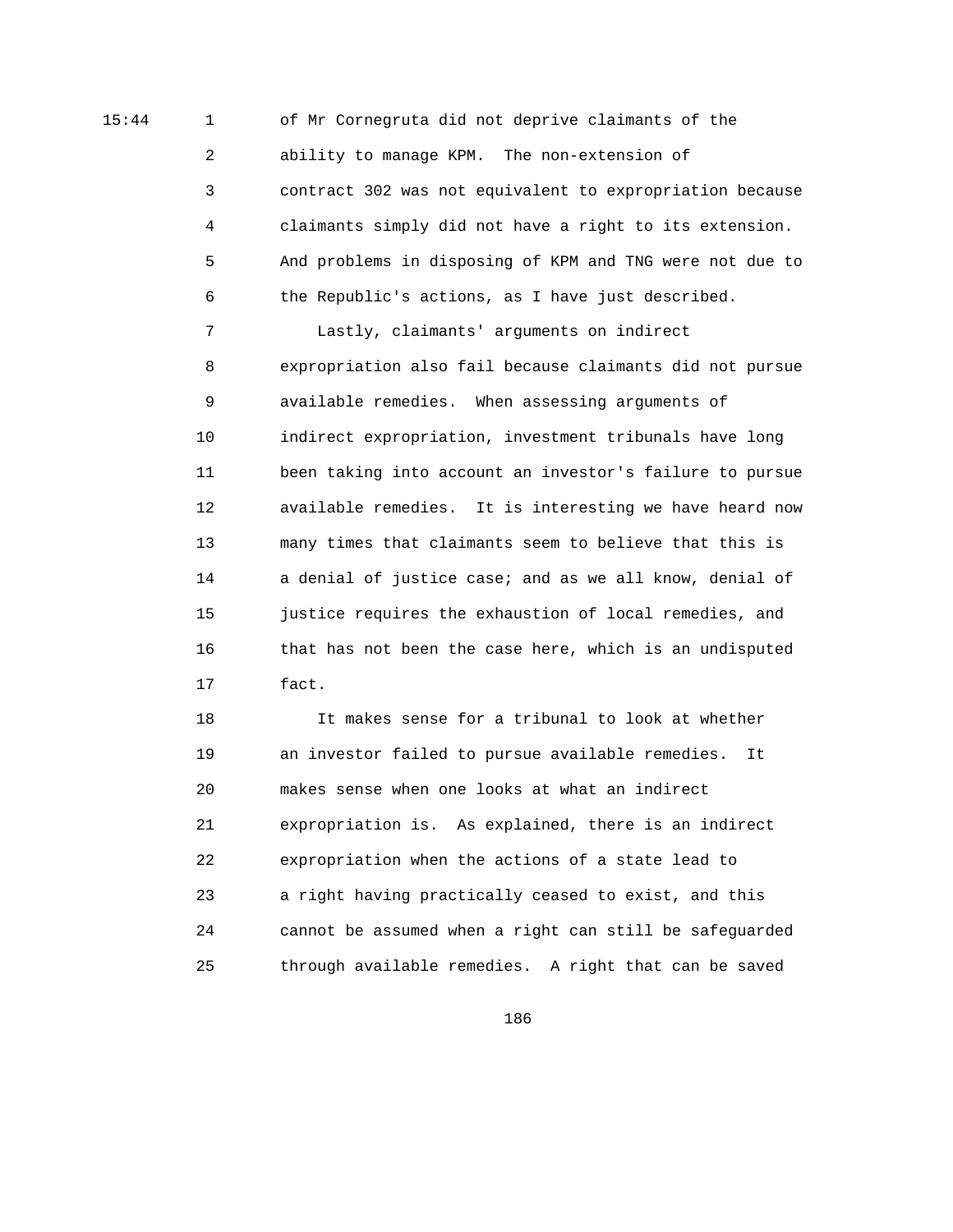15:44 1 of Mr Cornegruta did not deprive claimants of the 2 ability to manage KPM. The non-extension of 3 contract 302 was not equivalent to expropriation because 4 claimants simply did not have a right to its extension. 5 And problems in disposing of KPM and TNG were not due to 6 the Republic's actions, as I have just described.

> 7 Lastly, claimants' arguments on indirect 8 expropriation also fail because claimants did not pursue 9 available remedies. When assessing arguments of 10 indirect expropriation, investment tribunals have long 11 been taking into account an investor's failure to pursue 12 available remedies. It is interesting we have heard now 13 many times that claimants seem to believe that this is 14 a denial of justice case; and as we all know, denial of 15 justice requires the exhaustion of local remedies, and 16 that has not been the case here, which is an undisputed 17 fact.

 18 It makes sense for a tribunal to look at whether 19 an investor failed to pursue available remedies. It 20 makes sense when one looks at what an indirect 21 expropriation is. As explained, there is an indirect 22 expropriation when the actions of a state lead to 23 a right having practically ceased to exist, and this 24 cannot be assumed when a right can still be safeguarded 25 through available remedies. A right that can be saved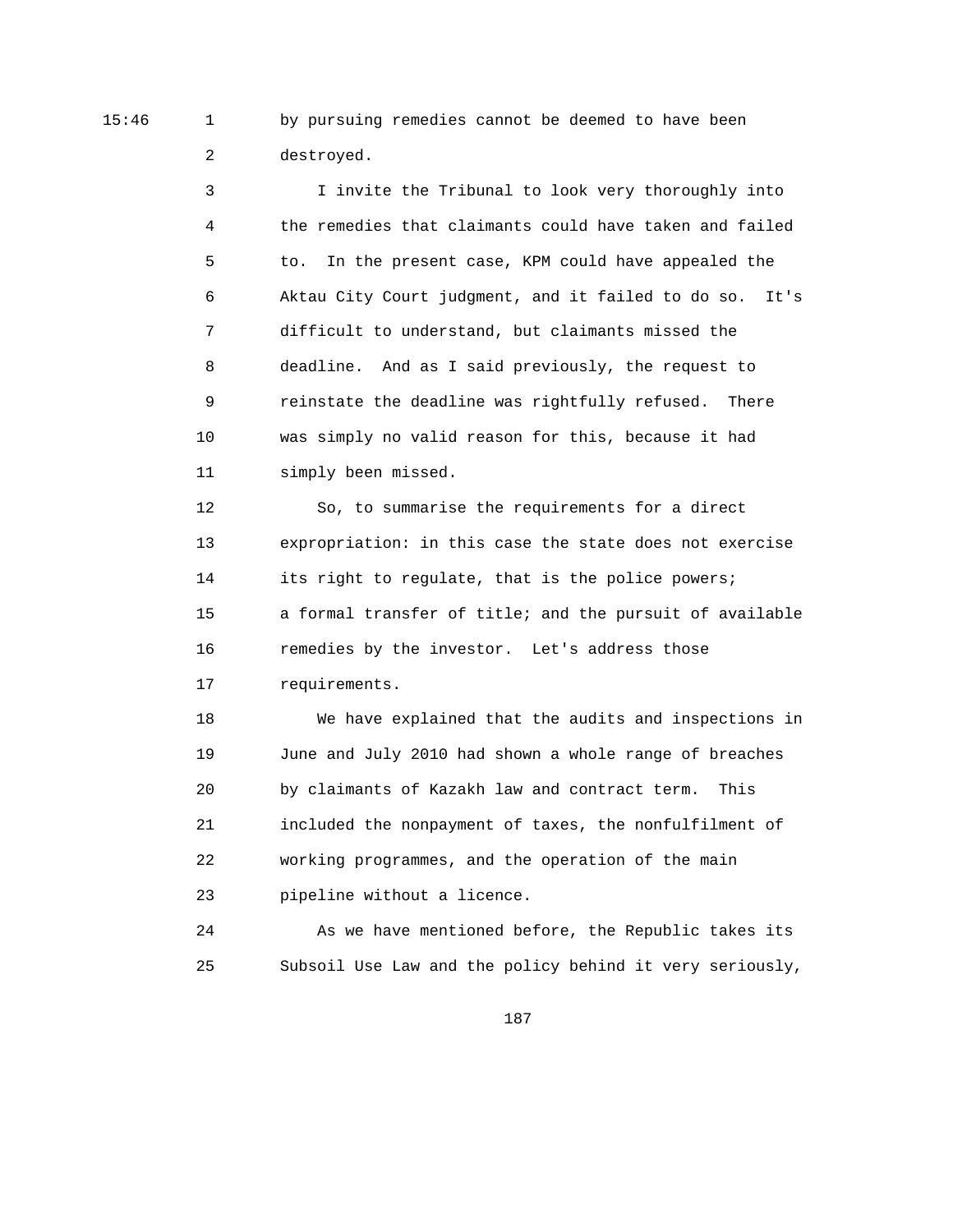15:46 1 by pursuing remedies cannot be deemed to have been 2 destroyed.

> 3 I invite the Tribunal to look very thoroughly into 4 the remedies that claimants could have taken and failed 5 to. In the present case, KPM could have appealed the 6 Aktau City Court judgment, and it failed to do so. It's 7 difficult to understand, but claimants missed the 8 deadline. And as I said previously, the request to 9 reinstate the deadline was rightfully refused. There 10 was simply no valid reason for this, because it had 11 simply been missed.

> 12 So, to summarise the requirements for a direct 13 expropriation: in this case the state does not exercise 14 its right to regulate, that is the police powers; 15 a formal transfer of title; and the pursuit of available 16 remedies by the investor. Let's address those 17 requirements.

> 18 We have explained that the audits and inspections in 19 June and July 2010 had shown a whole range of breaches 20 by claimants of Kazakh law and contract term. This 21 included the nonpayment of taxes, the nonfulfilment of 22 working programmes, and the operation of the main 23 pipeline without a licence.

> 24 As we have mentioned before, the Republic takes its 25 Subsoil Use Law and the policy behind it very seriously,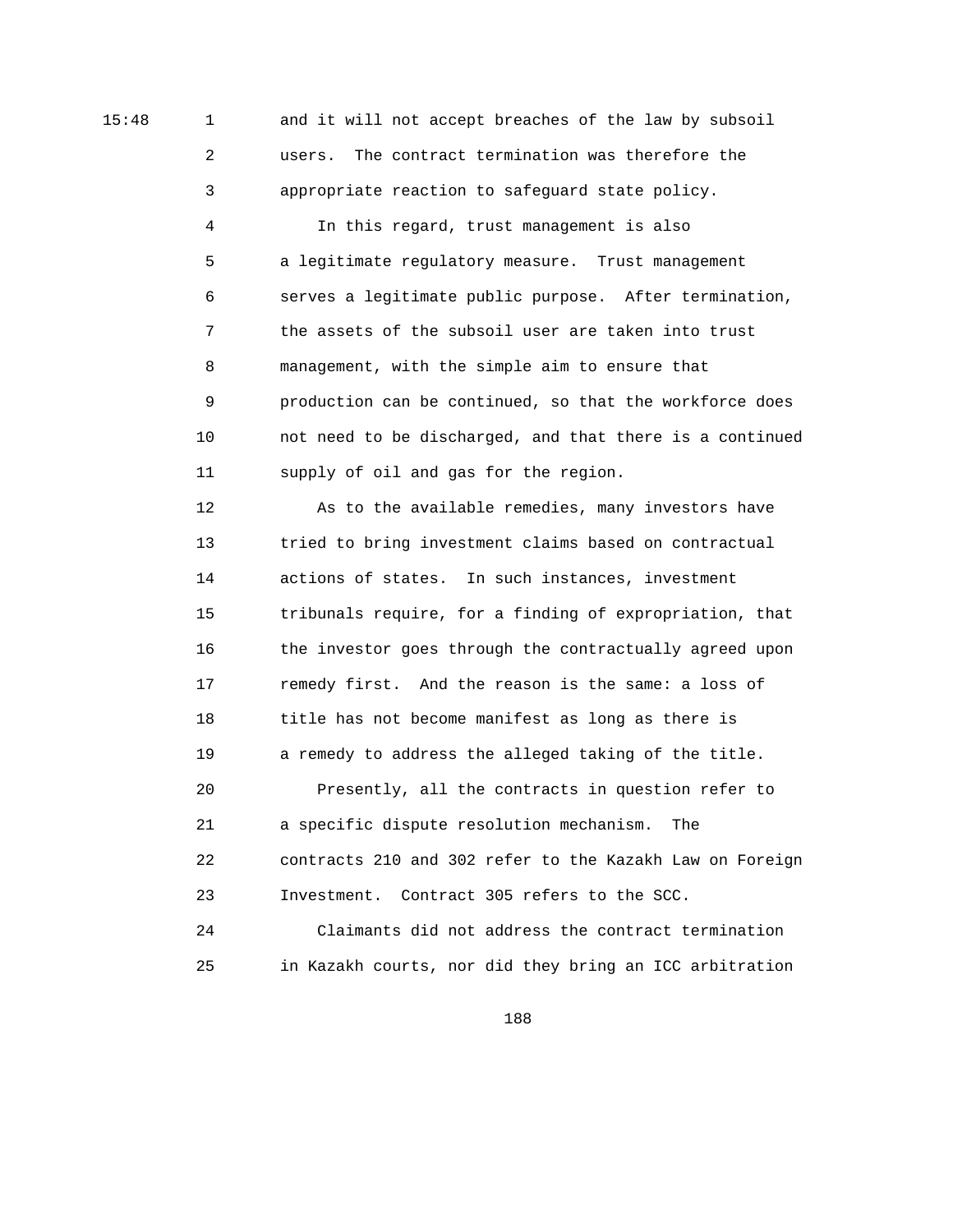15:48 1 and it will not accept breaches of the law by subsoil 2 users. The contract termination was therefore the 3 appropriate reaction to safeguard state policy.

> 4 In this regard, trust management is also 5 a legitimate regulatory measure. Trust management 6 serves a legitimate public purpose. After termination, 7 the assets of the subsoil user are taken into trust 8 management, with the simple aim to ensure that 9 production can be continued, so that the workforce does 10 not need to be discharged, and that there is a continued 11 supply of oil and gas for the region.

> 12 As to the available remedies, many investors have 13 tried to bring investment claims based on contractual 14 actions of states. In such instances, investment 15 tribunals require, for a finding of expropriation, that 16 the investor goes through the contractually agreed upon 17 remedy first. And the reason is the same: a loss of 18 title has not become manifest as long as there is 19 a remedy to address the alleged taking of the title. 20 Presently, all the contracts in question refer to 21 a specific dispute resolution mechanism. The 22 contracts 210 and 302 refer to the Kazakh Law on Foreign 23 Investment. Contract 305 refers to the SCC. 24 Claimants did not address the contract termination 25 in Kazakh courts, nor did they bring an ICC arbitration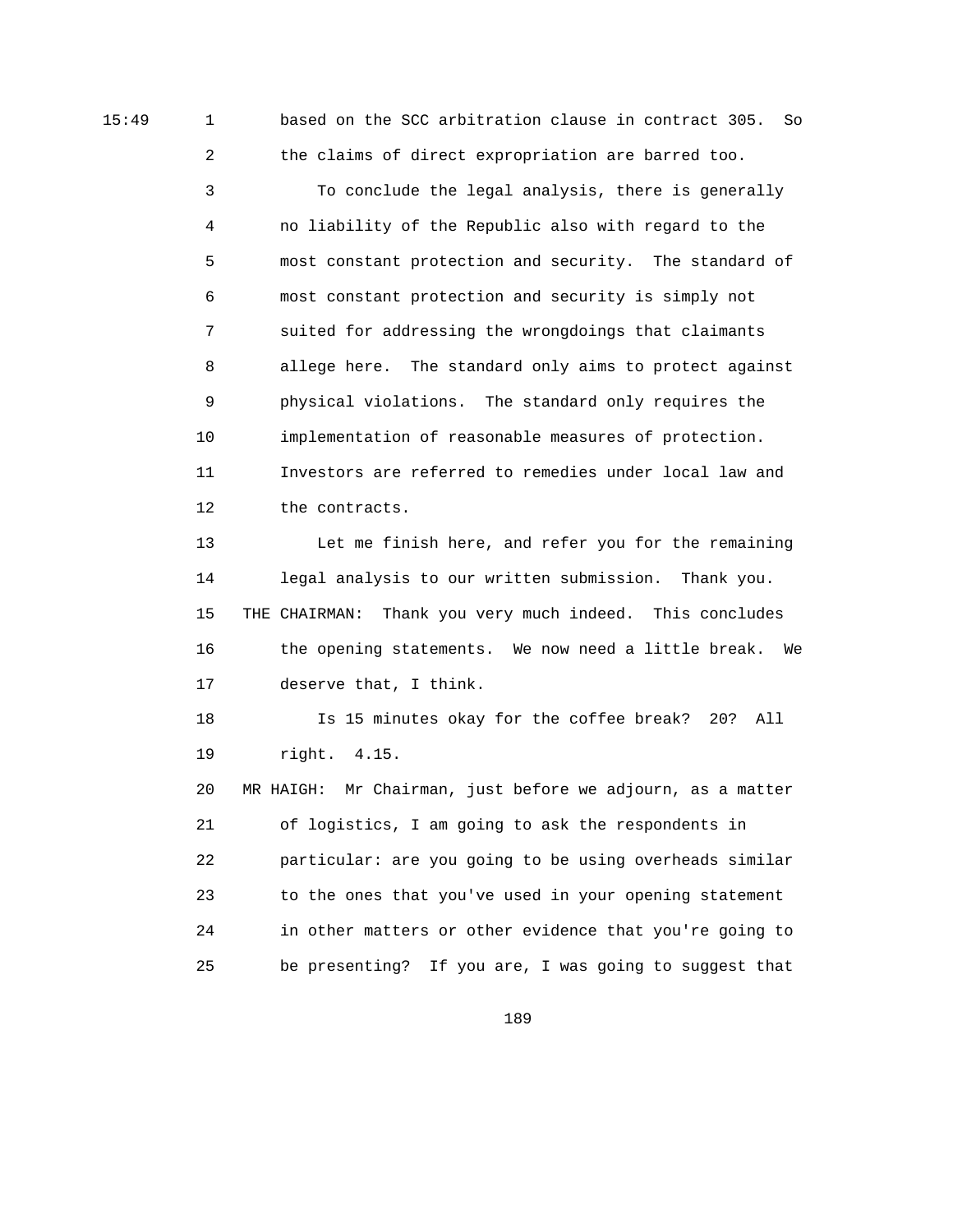15:49 1 based on the SCC arbitration clause in contract 305. So 2 the claims of direct expropriation are barred too.

> 3 To conclude the legal analysis, there is generally 4 no liability of the Republic also with regard to the 5 most constant protection and security. The standard of 6 most constant protection and security is simply not 7 suited for addressing the wrongdoings that claimants 8 allege here. The standard only aims to protect against 9 physical violations. The standard only requires the 10 implementation of reasonable measures of protection. 11 Investors are referred to remedies under local law and 12 the contracts.

 13 Let me finish here, and refer you for the remaining 14 legal analysis to our written submission. Thank you. 15 THE CHAIRMAN: Thank you very much indeed. This concludes 16 the opening statements. We now need a little break. We 17 deserve that, I think.

 18 Is 15 minutes okay for the coffee break? 20? All 19 right. 4.15.

 20 MR HAIGH: Mr Chairman, just before we adjourn, as a matter 21 of logistics, I am going to ask the respondents in 22 particular: are you going to be using overheads similar 23 to the ones that you've used in your opening statement 24 in other matters or other evidence that you're going to 25 be presenting? If you are, I was going to suggest that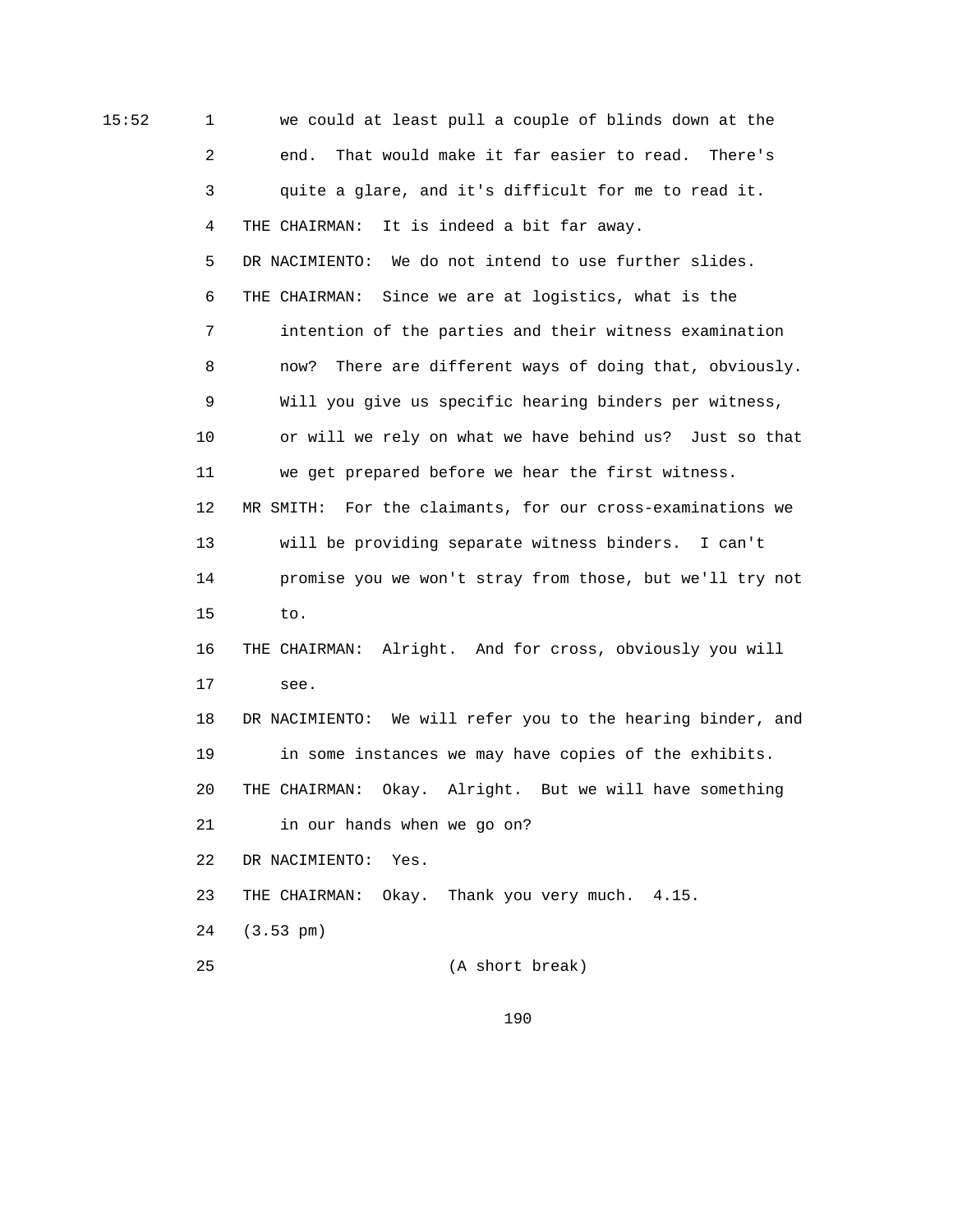15:52 1 we could at least pull a couple of blinds down at the 2 end. That would make it far easier to read. There's 3 quite a glare, and it's difficult for me to read it. 4 THE CHAIRMAN: It is indeed a bit far away. 5 DR NACIMIENTO: We do not intend to use further slides. 6 THE CHAIRMAN: Since we are at logistics, what is the 7 intention of the parties and their witness examination 8 now? There are different ways of doing that, obviously. 9 Will you give us specific hearing binders per witness, 10 or will we rely on what we have behind us? Just so that 11 we get prepared before we hear the first witness. 12 MR SMITH: For the claimants, for our cross-examinations we 13 will be providing separate witness binders. I can't 14 promise you we won't stray from those, but we'll try not 15 to. 16 THE CHAIRMAN: Alright. And for cross, obviously you will 17 see. 18 DR NACIMIENTO: We will refer you to the hearing binder, and 19 in some instances we may have copies of the exhibits. 20 THE CHAIRMAN: Okay. Alright. But we will have something 21 in our hands when we go on? 22 DR NACIMIENTO: Yes. 23 THE CHAIRMAN: Okay. Thank you very much. 4.15. 24 (3.53 pm) 25 (A short break)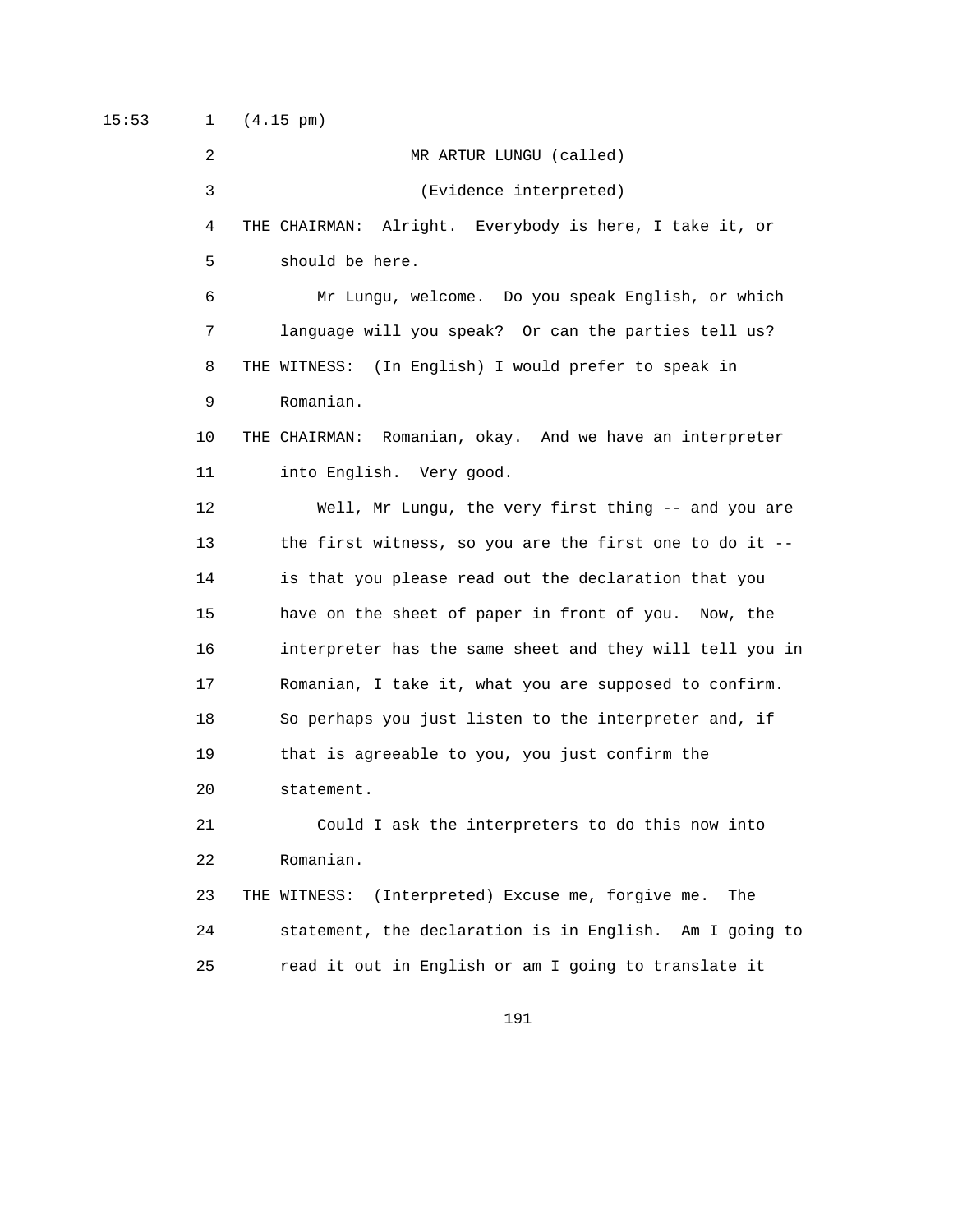15:53 1 (4.15 pm)

 2 MR ARTUR LUNGU (called) 3 (Evidence interpreted) 4 THE CHAIRMAN: Alright. Everybody is here, I take it, or 5 should be here. 6 Mr Lungu, welcome. Do you speak English, or which 7 language will you speak? Or can the parties tell us? 8 THE WITNESS: (In English) I would prefer to speak in 9 Romanian. 10 THE CHAIRMAN: Romanian, okay. And we have an interpreter 11 into English. Very good. 12 Well, Mr Lungu, the very first thing -- and you are 13 the first witness, so you are the first one to do it -- 14 is that you please read out the declaration that you 15 have on the sheet of paper in front of you. Now, the 16 interpreter has the same sheet and they will tell you in 17 Romanian, I take it, what you are supposed to confirm. 18 So perhaps you just listen to the interpreter and, if 19 that is agreeable to you, you just confirm the 20 statement. 21 Could I ask the interpreters to do this now into 22 Romanian. 23 THE WITNESS: (Interpreted) Excuse me, forgive me. The 24 statement, the declaration is in English. Am I going to 25 read it out in English or am I going to translate it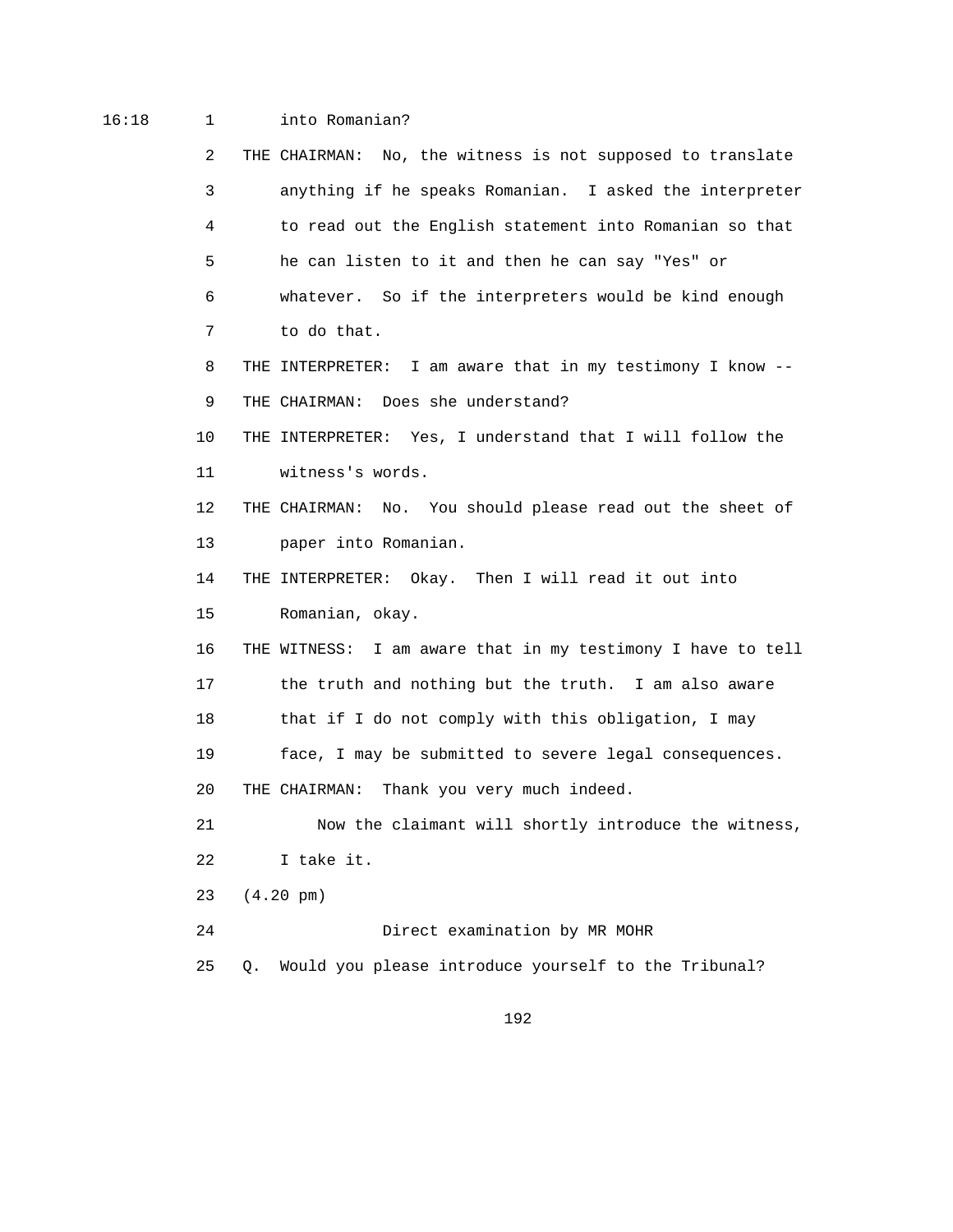## 16:18 1 into Romanian?

|    | 2  | THE CHAIRMAN: No, the witness is not supposed to translate  |
|----|----|-------------------------------------------------------------|
|    | 3  | anything if he speaks Romanian. I asked the interpreter     |
|    | 4  | to read out the English statement into Romanian so that     |
|    | 5  | he can listen to it and then he can say "Yes" or            |
|    | 6  | whatever. So if the interpreters would be kind enough       |
|    | 7  | to do that.                                                 |
|    | 8  | THE INTERPRETER: I am aware that in my testimony I know --  |
|    | 9  | THE CHAIRMAN: Does she understand?                          |
| 10 |    | THE INTERPRETER: Yes, I understand that I will follow the   |
| 11 |    | witness's words.                                            |
| 12 |    | THE CHAIRMAN: No. You should please read out the sheet of   |
| 13 |    | paper into Romanian.                                        |
| 14 |    | THE INTERPRETER: Okay. Then I will read it out into         |
| 15 |    | Romanian, okay.                                             |
| 16 |    | THE WITNESS: I am aware that in my testimony I have to tell |
| 17 |    | the truth and nothing but the truth. I am also aware        |
| 18 |    | that if I do not comply with this obligation, I may         |
| 19 |    | face, I may be submitted to severe legal consequences.      |
| 20 |    | THE CHAIRMAN: Thank you very much indeed.                   |
| 21 |    | Now the claimant will shortly introduce the witness,        |
| 22 |    | I take it.                                                  |
| 23 |    | $(4.20 \text{ pm})$                                         |
| 24 |    | Direct examination by MR MOHR                               |
| 25 | Q. | Would you please introduce yourself to the Tribunal?        |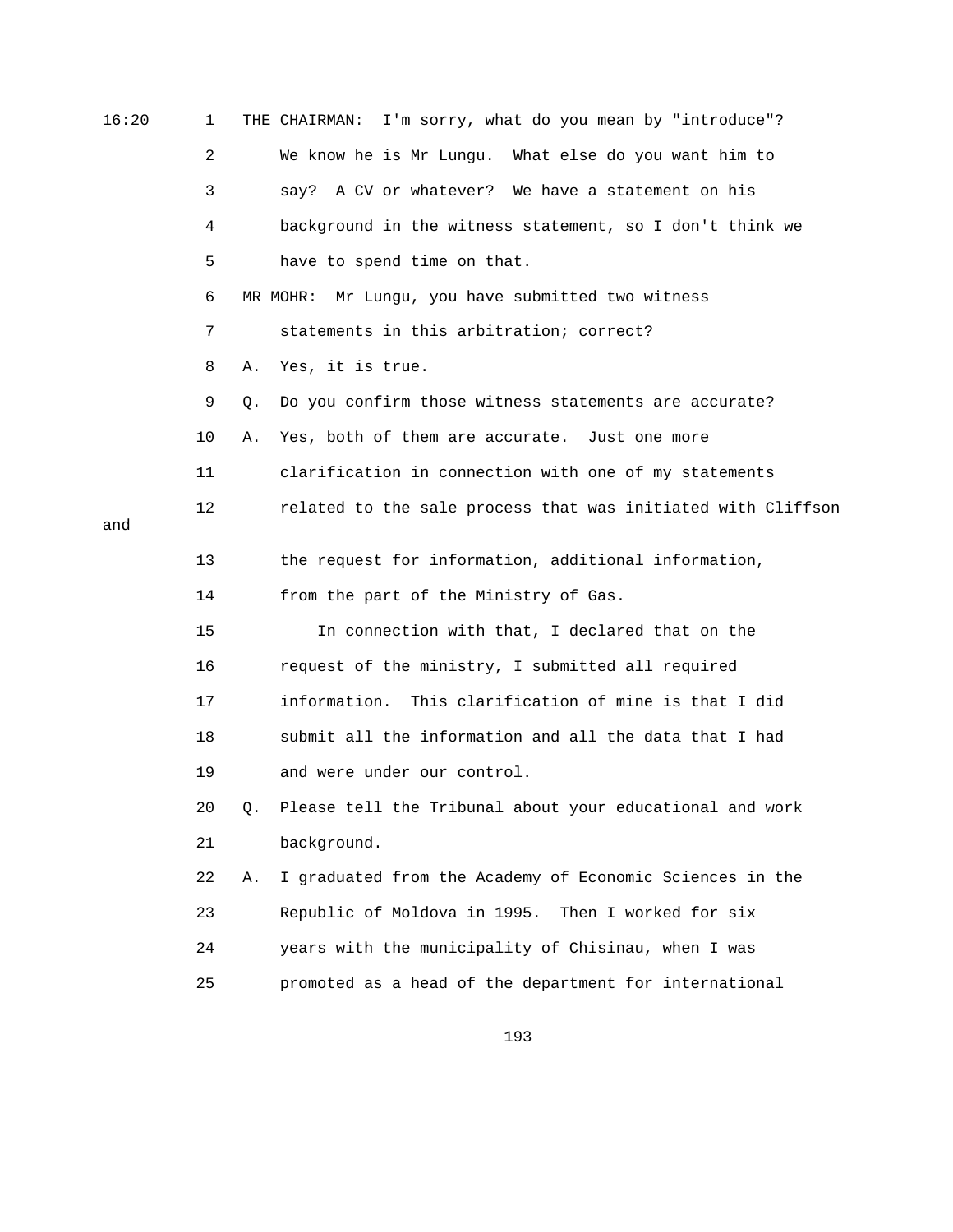| 16:20 | 1  | THE CHAIRMAN: I'm sorry, what do you mean by "introduce"?      |
|-------|----|----------------------------------------------------------------|
|       | 2  | We know he is Mr Lungu. What else do you want him to           |
|       | 3  | say? A CV or whatever? We have a statement on his              |
|       | 4  | background in the witness statement, so I don't think we       |
|       | 5  | have to spend time on that.                                    |
|       | 6  | Mr Lungu, you have submitted two witness<br>MR MOHR:           |
|       | 7  | statements in this arbitration; correct?                       |
|       | 8  | Yes, it is true.<br>Α.                                         |
|       | 9  | Do you confirm those witness statements are accurate?<br>Q.    |
|       | 10 | Yes, both of them are accurate. Just one more<br>Α.            |
|       | 11 | clarification in connection with one of my statements          |
|       | 12 | related to the sale process that was initiated with Cliffson   |
| and   |    |                                                                |
|       | 13 | the request for information, additional information,           |
|       | 14 | from the part of the Ministry of Gas.                          |
|       | 15 | In connection with that, I declared that on the                |
|       | 16 | request of the ministry, I submitted all required              |
|       | 17 | information. This clarification of mine is that I did          |
|       | 18 | submit all the information and all the data that I had         |
|       | 19 | and were under our control.                                    |
|       | 20 | Please tell the Tribunal about your educational and work       |
|       | 21 | background.                                                    |
|       | 22 | I graduated from the Academy of Economic Sciences in the<br>Α. |
|       | 23 | Republic of Moldova in 1995.<br>Then I worked for six          |
|       | 24 | years with the municipality of Chisinau, when I was            |
|       | 25 | promoted as a head of the department for international         |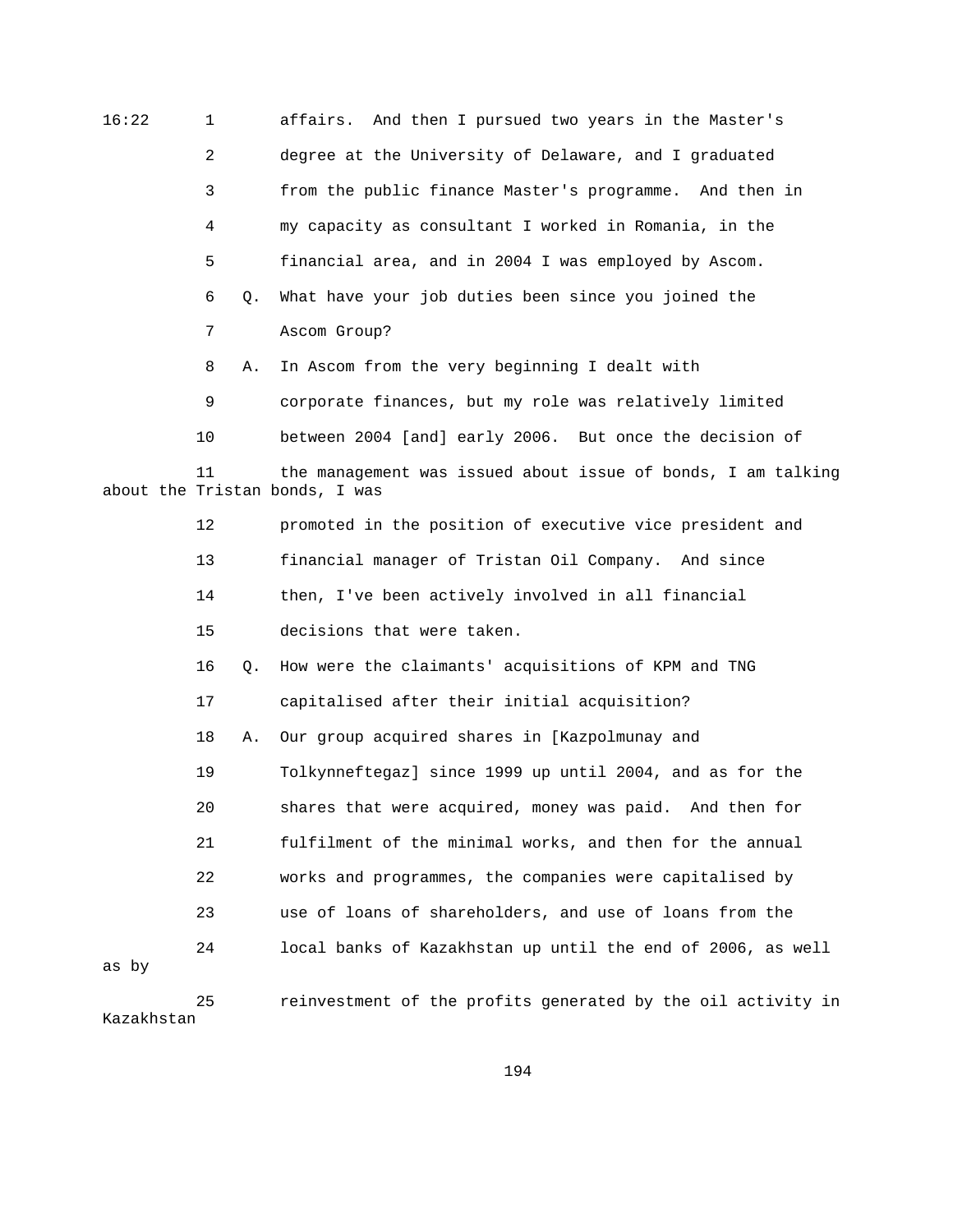| 16:22 | 1  |    | affairs. And then I pursued two years in the Master's                                          |
|-------|----|----|------------------------------------------------------------------------------------------------|
|       | 2  |    | degree at the University of Delaware, and I graduated                                          |
|       | 3  |    | from the public finance Master's programme. And then in                                        |
|       | 4  |    | my capacity as consultant I worked in Romania, in the                                          |
|       | 5  |    | financial area, and in 2004 I was employed by Ascom.                                           |
|       | 6  | Q. | What have your job duties been since you joined the                                            |
|       | 7  |    | Ascom Group?                                                                                   |
|       | 8  | Α. | In Ascom from the very beginning I dealt with                                                  |
|       | 9  |    | corporate finances, but my role was relatively limited                                         |
|       | 10 |    | between 2004 [and] early 2006. But once the decision of                                        |
|       | 11 |    | the management was issued about issue of bonds, I am talking<br>about the Tristan bonds, I was |
|       | 12 |    | promoted in the position of executive vice president and                                       |
|       | 13 |    | financial manager of Tristan Oil Company. And since                                            |
|       | 14 |    | then, I've been actively involved in all financial                                             |
|       | 15 |    | decisions that were taken.                                                                     |
|       | 16 | Q. | How were the claimants' acquisitions of KPM and TNG                                            |
|       | 17 |    | capitalised after their initial acquisition?                                                   |
|       | 18 | Α. | Our group acquired shares in [Kazpolmunay and                                                  |
|       | 19 |    | Tolkynneftegaz] since 1999 up until 2004, and as for the                                       |
|       | 20 |    | shares that were acquired, money was paid. And then for                                        |
|       | 21 |    | fulfilment of the minimal works, and then for the annual                                       |
|       | 22 |    | works and programmes, the companies were capitalised by                                        |
|       | 23 |    | use of loans of shareholders, and use of loans from the                                        |
| as by | 24 |    | local banks of Kazakhstan up until the end of 2006, as well                                    |
|       | 25 |    | reinvestment of the profits generated by the oil activity in                                   |

Kazakhstan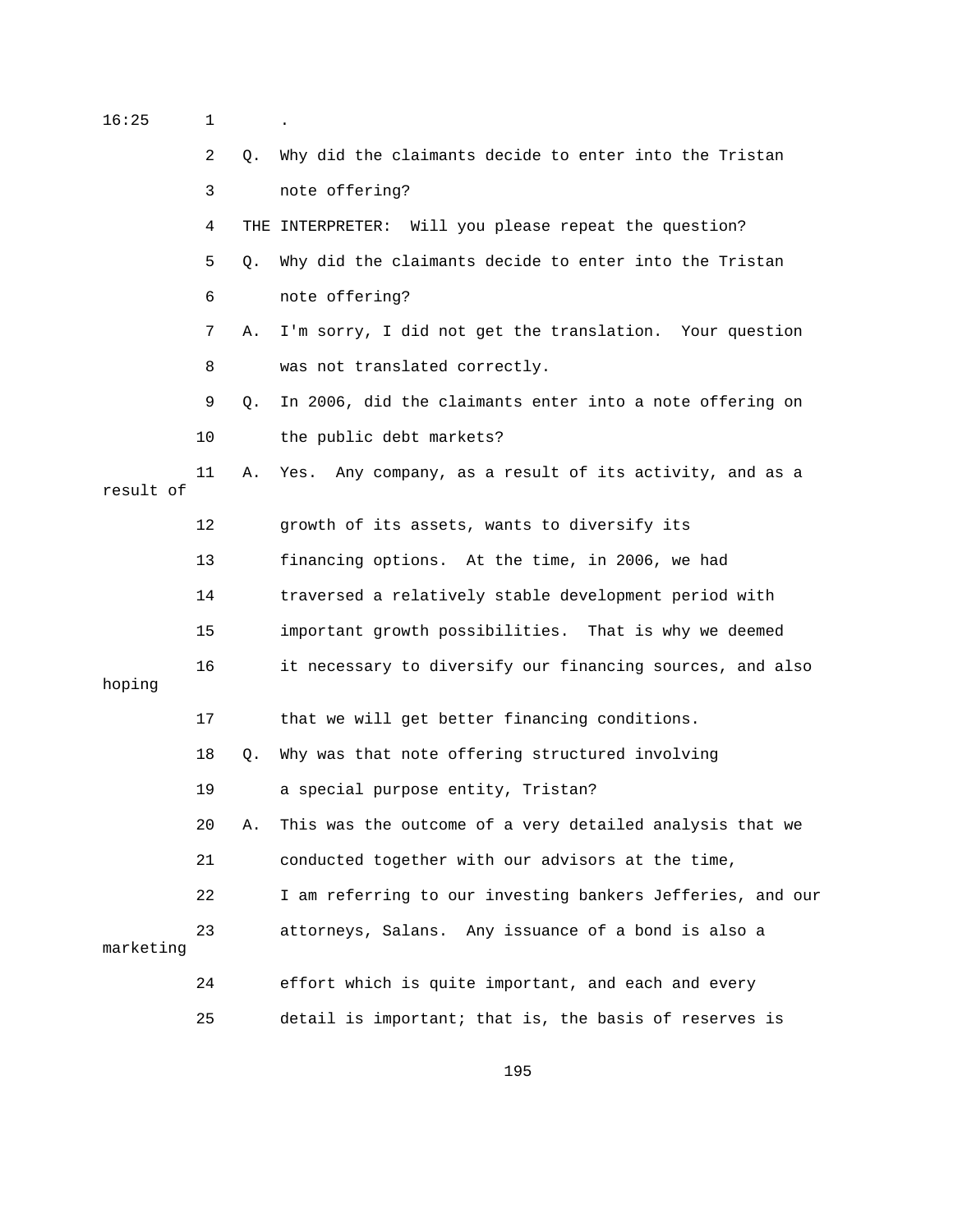| 16:25     | $\mathbf 1$ |    | $\bullet$                                                  |
|-----------|-------------|----|------------------------------------------------------------|
|           | 2           | Q. | Why did the claimants decide to enter into the Tristan     |
|           | 3           |    | note offering?                                             |
|           | 4           |    | THE INTERPRETER: Will you please repeat the question?      |
|           | 5           | Q. | Why did the claimants decide to enter into the Tristan     |
|           | 6           |    | note offering?                                             |
|           | 7           | Α. | I'm sorry, I did not get the translation. Your question    |
|           | 8           |    | was not translated correctly.                              |
|           | 9           | О. | In 2006, did the claimants enter into a note offering on   |
|           | 10          |    | the public debt markets?                                   |
| result of | 11          | Α. | Yes. Any company, as a result of its activity, and as a    |
|           | 12          |    | growth of its assets, wants to diversify its               |
|           | 13          |    | financing options. At the time, in 2006, we had            |
|           | 14          |    | traversed a relatively stable development period with      |
|           | 15          |    | important growth possibilities. That is why we deemed      |
| hoping    | 16          |    | it necessary to diversify our financing sources, and also  |
|           | 17          |    | that we will get better financing conditions.              |
|           | 18          | О. | Why was that note offering structured involving            |
|           | 19          |    | a special purpose entity, Tristan?                         |
|           | 20          | Α. | This was the outcome of a very detailed analysis that we   |
|           | 21          |    | conducted together with our advisors at the time,          |
|           | 22          |    | I am referring to our investing bankers Jefferies, and our |
| marketing | 23          |    | attorneys, Salans. Any issuance of a bond is also a        |
|           | 24          |    | effort which is quite important, and each and every        |
|           | 25          |    | detail is important; that is, the basis of reserves is     |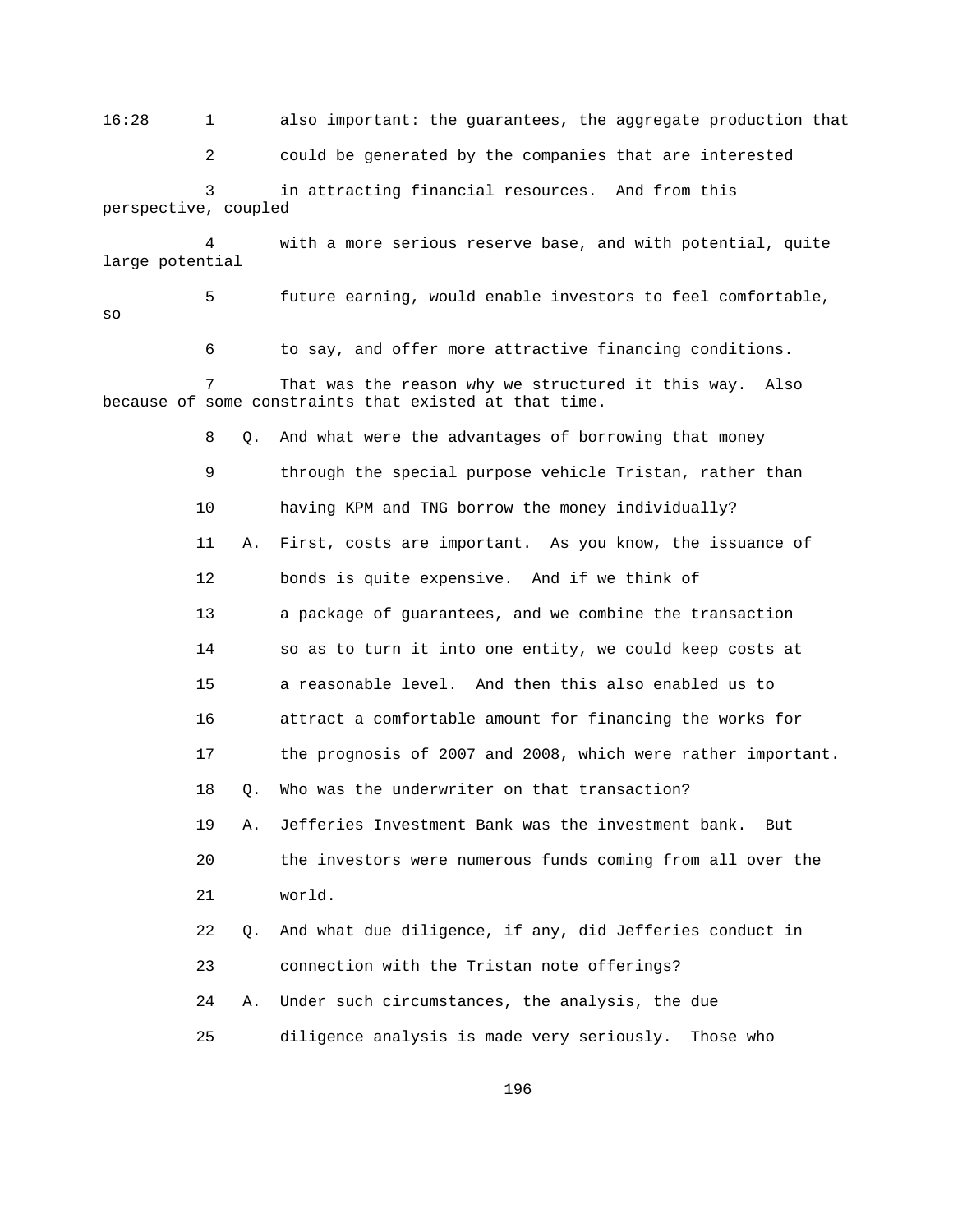16:28 1 also important: the guarantees, the aggregate production that

2 could be generated by the companies that are interested

 3 in attracting financial resources. And from this perspective, coupled

 4 with a more serious reserve base, and with potential, quite large potential

 5 future earning, would enable investors to feel comfortable, so

6 to say, and offer more attractive financing conditions.

 7 That was the reason why we structured it this way. Also because of some constraints that existed at that time.

> 8 Q. And what were the advantages of borrowing that money 9 through the special purpose vehicle Tristan, rather than 10 having KPM and TNG borrow the money individually? 11 A. First, costs are important. As you know, the issuance of 12 bonds is quite expensive. And if we think of 13 a package of guarantees, and we combine the transaction 14 so as to turn it into one entity, we could keep costs at 15 a reasonable level. And then this also enabled us to 16 attract a comfortable amount for financing the works for 17 the prognosis of 2007 and 2008, which were rather important. 18 0. Who was the underwriter on that transaction? 19 A. Jefferies Investment Bank was the investment bank. But 20 the investors were numerous funds coming from all over the 21 world. 22 Q. And what due diligence, if any, did Jefferies conduct in 23 connection with the Tristan note offerings? 24 A. Under such circumstances, the analysis, the due 25 diligence analysis is made very seriously. Those who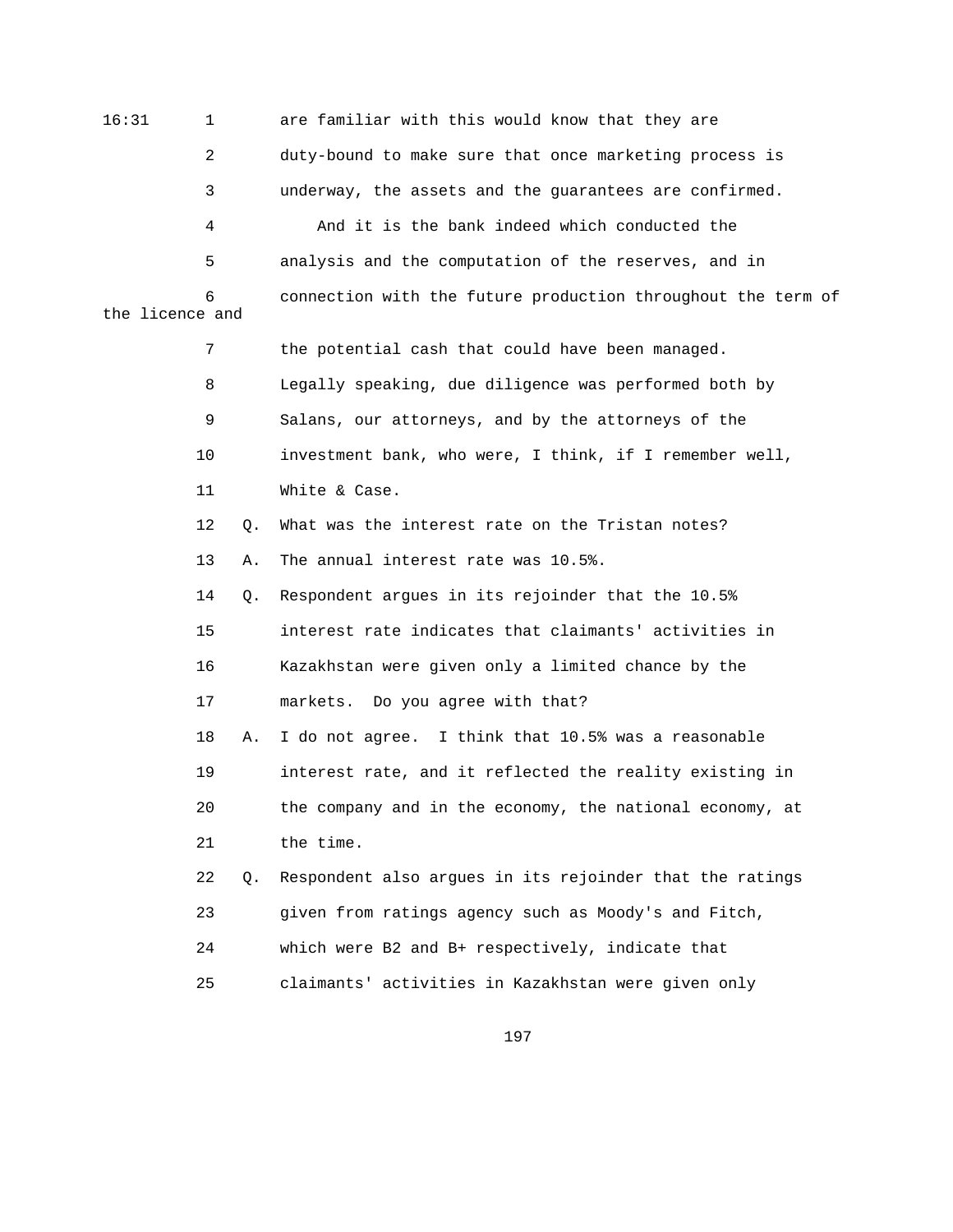16:31 1 are familiar with this would know that they are 2 duty-bound to make sure that once marketing process is 3 underway, the assets and the guarantees are confirmed. 4 And it is the bank indeed which conducted the 5 analysis and the computation of the reserves, and in 6 connection with the future production throughout the term of the licence and 7 the potential cash that could have been managed. 8 Legally speaking, due diligence was performed both by 9 Salans, our attorneys, and by the attorneys of the 10 investment bank, who were, I think, if I remember well, 11 White & Case. 12 Q. What was the interest rate on the Tristan notes? 13 A. The annual interest rate was 10.5%.

> 14 Q. Respondent argues in its rejoinder that the 10.5% 15 interest rate indicates that claimants' activities in 16 Kazakhstan were given only a limited chance by the 17 markets. Do you agree with that? 18 A. I do not agree. I think that 10.5% was a reasonable 19 interest rate, and it reflected the reality existing in

21 the time.

20 the company and in the economy, the national economy, at

 22 Q. Respondent also argues in its rejoinder that the ratings 23 given from ratings agency such as Moody's and Fitch, 24 which were B2 and B+ respectively, indicate that 25 claimants' activities in Kazakhstan were given only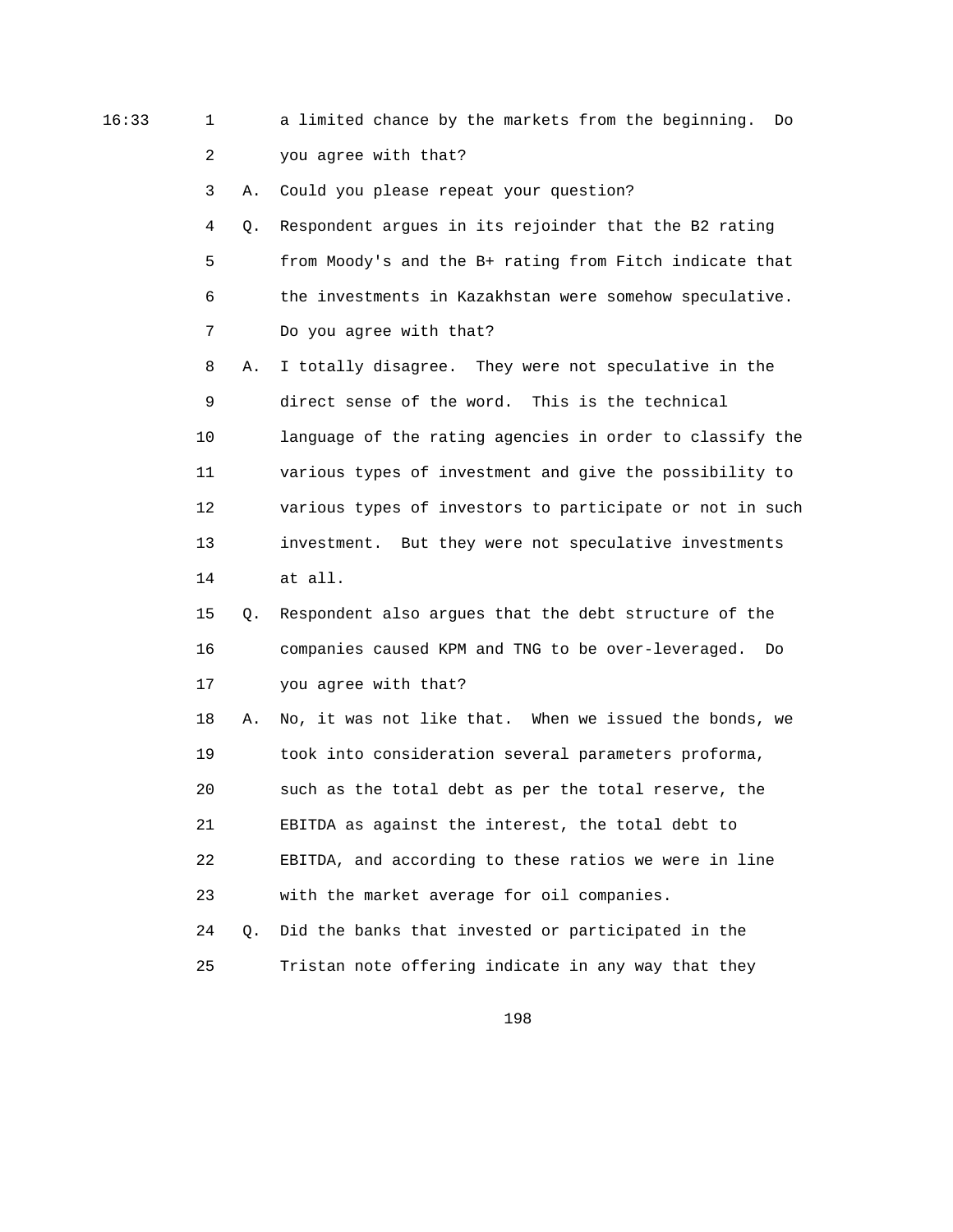16:33 1 a limited chance by the markets from the beginning. Do 2 you agree with that?

3 A. Could you please repeat your question?

 4 Q. Respondent argues in its rejoinder that the B2 rating 5 from Moody's and the B+ rating from Fitch indicate that 6 the investments in Kazakhstan were somehow speculative. 7 Do you agree with that?

 8 A. I totally disagree. They were not speculative in the 9 direct sense of the word. This is the technical 10 language of the rating agencies in order to classify the 11 various types of investment and give the possibility to 12 various types of investors to participate or not in such 13 investment. But they were not speculative investments 14 at all.

 15 Q. Respondent also argues that the debt structure of the 16 companies caused KPM and TNG to be over-leveraged. Do 17 you agree with that?

 18 A. No, it was not like that. When we issued the bonds, we 19 took into consideration several parameters proforma, 20 such as the total debt as per the total reserve, the 21 EBITDA as against the interest, the total debt to 22 EBITDA, and according to these ratios we were in line 23 with the market average for oil companies.

 24 Q. Did the banks that invested or participated in the 25 Tristan note offering indicate in any way that they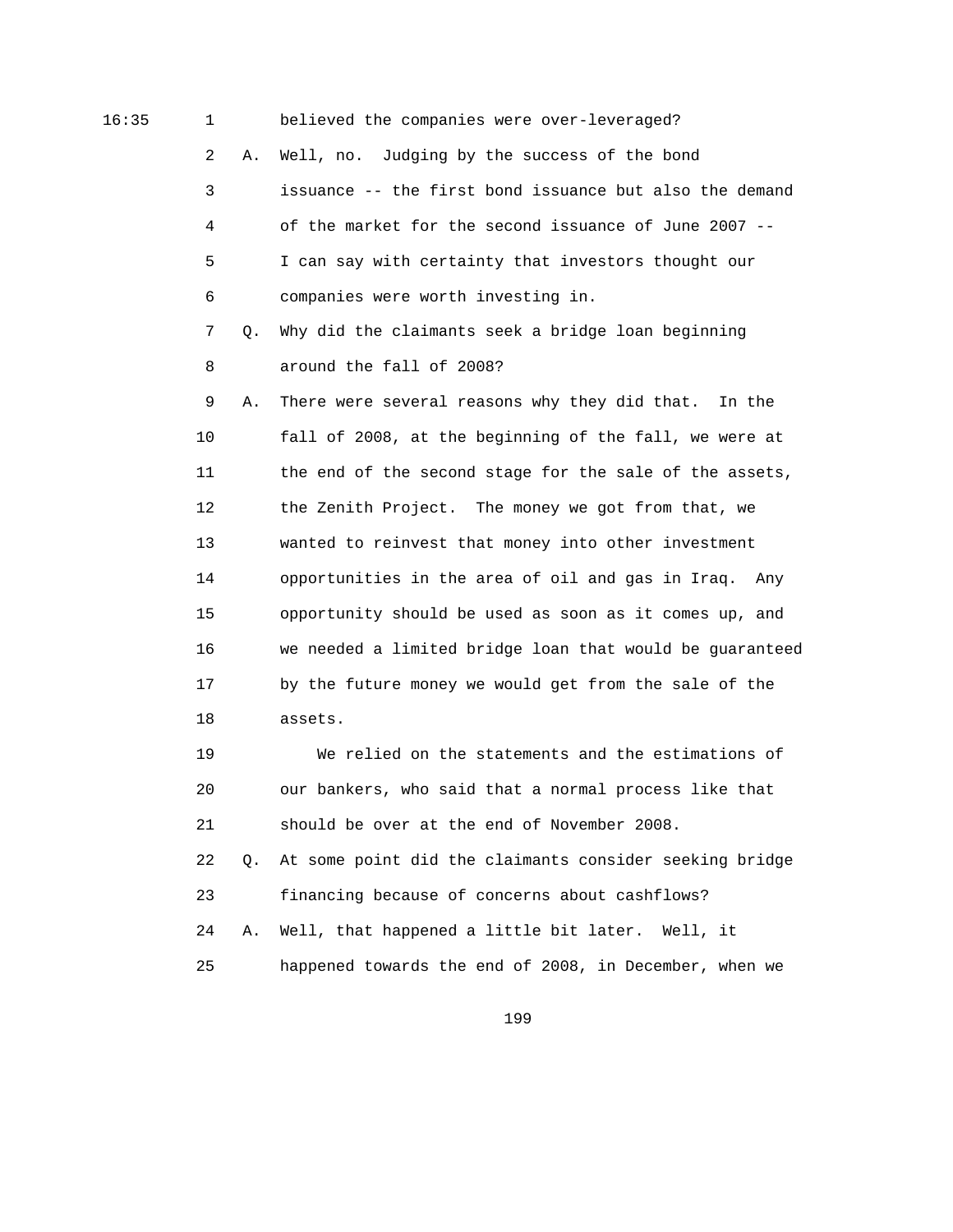16:35 1 believed the companies were over-leveraged?

 2 A. Well, no. Judging by the success of the bond 3 issuance -- the first bond issuance but also the demand

 5 I can say with certainty that investors thought our 6 companies were worth investing in.

4 of the market for the second issuance of June 2007 --

 7 Q. Why did the claimants seek a bridge loan beginning 8 around the fall of 2008?

 9 A. There were several reasons why they did that. In the 10 fall of 2008, at the beginning of the fall, we were at 11 the end of the second stage for the sale of the assets, 12 the Zenith Project. The money we got from that, we 13 wanted to reinvest that money into other investment 14 opportunities in the area of oil and gas in Iraq. Any 15 opportunity should be used as soon as it comes up, and 16 we needed a limited bridge loan that would be guaranteed 17 by the future money we would get from the sale of the 18 assets.

 19 We relied on the statements and the estimations of 20 our bankers, who said that a normal process like that 21 should be over at the end of November 2008.

 22 Q. At some point did the claimants consider seeking bridge 23 financing because of concerns about cashflows? 24 A. Well, that happened a little bit later. Well, it 25 happened towards the end of 2008, in December, when we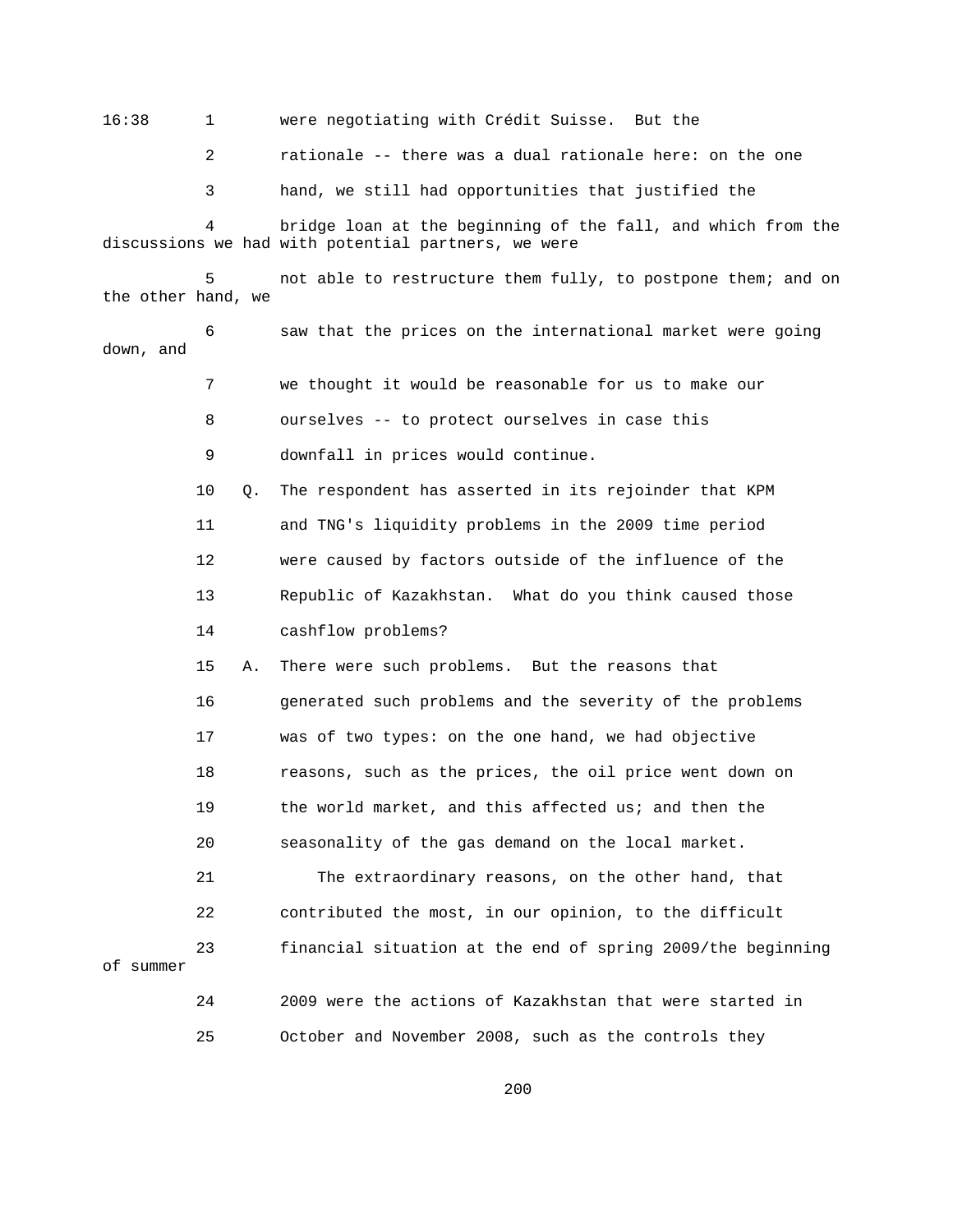16:38 1 were negotiating with Crédit Suisse. But the

2 rationale -- there was a dual rationale here: on the one

3 hand, we still had opportunities that justified the

bridge loan at the beginning of the fall, and which from the discussions we had with potential partners, we were

 5 not able to restructure them fully, to postpone them; and on the other hand, we

 6 saw that the prices on the international market were going down, and

7 we thought it would be reasonable for us to make our

8 ourselves -- to protect ourselves in case this

9 downfall in prices would continue.

10 Q. The respondent has asserted in its rejoinder that KPM

11 and TNG's liquidity problems in the 2009 time period

12 were caused by factors outside of the influence of the

13 Republic of Kazakhstan. What do you think caused those

14 cashflow problems?

 15 A. There were such problems. But the reasons that 16 generated such problems and the severity of the problems 17 was of two types: on the one hand, we had objective 18 reasons, such as the prices, the oil price went down on 19 the world market, and this affected us; and then the 20 seasonality of the gas demand on the local market.

 21 The extraordinary reasons, on the other hand, that 22 contributed the most, in our opinion, to the difficult 23 financial situation at the end of spring 2009/the beginning

of summer

 24 2009 were the actions of Kazakhstan that were started in 25 October and November 2008, such as the controls they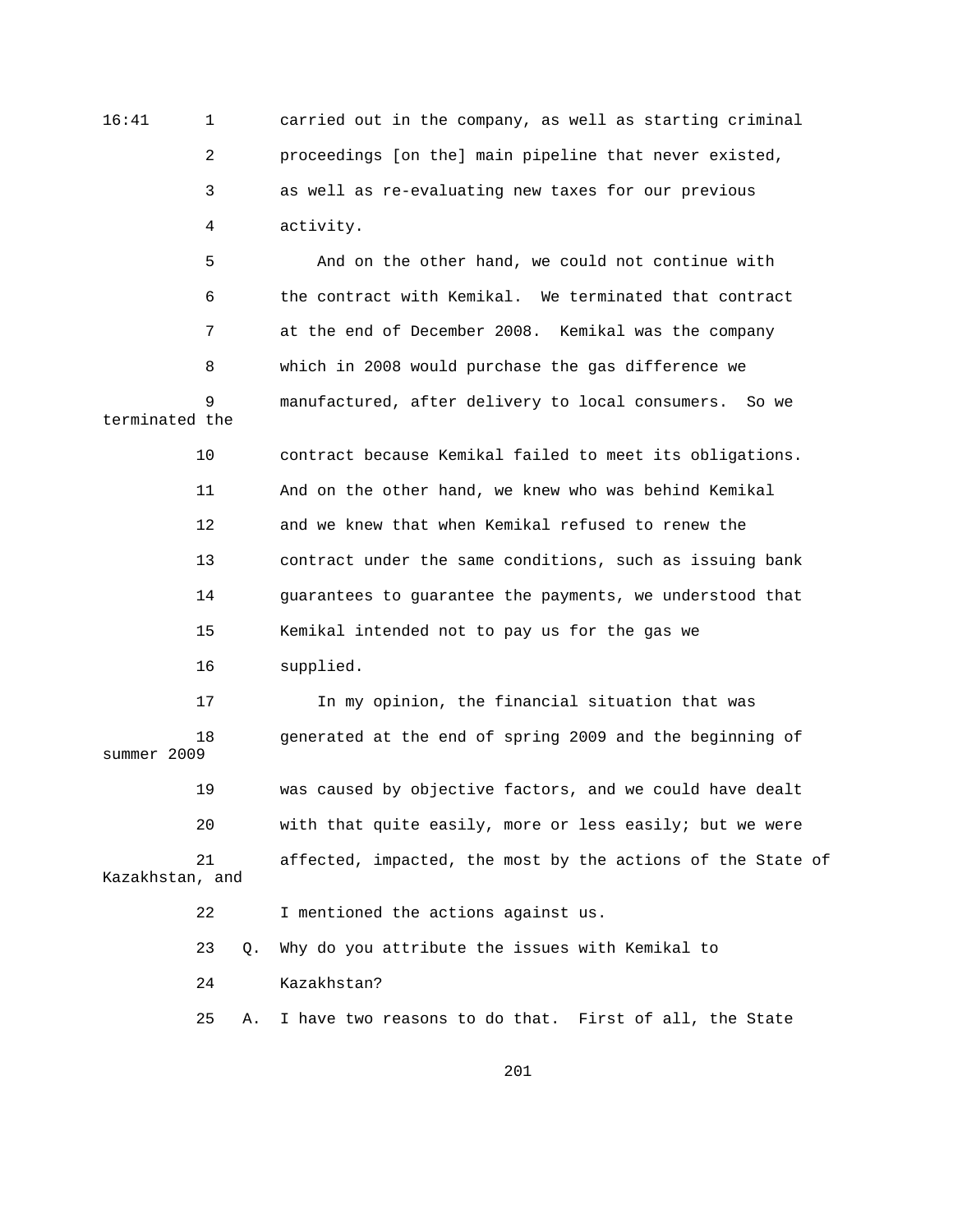16:41 1 carried out in the company, as well as starting criminal 2 proceedings [on the] main pipeline that never existed, 3 as well as re-evaluating new taxes for our previous 4 activity.

 5 And on the other hand, we could not continue with 6 the contract with Kemikal. We terminated that contract 7 at the end of December 2008. Kemikal was the company 8 which in 2008 would purchase the gas difference we 9 manufactured, after delivery to local consumers. So we terminated the 10 contract because Kemikal failed to meet its obligations.

> 11 And on the other hand, we knew who was behind Kemikal 12 and we knew that when Kemikal refused to renew the 13 contract under the same conditions, such as issuing bank 14 guarantees to guarantee the payments, we understood that 15 Kemikal intended not to pay us for the gas we 16 supplied.

 17 In my opinion, the financial situation that was 18 generated at the end of spring 2009 and the beginning of summer 2009 19 was caused by objective factors, and we could have dealt 20 with that quite easily, more or less easily; but we were 21 affected, impacted, the most by the actions of the State of Kazakhstan, and 22 I mentioned the actions against us.

23 Q. Why do you attribute the issues with Kemikal to

24 Kazakhstan?

25 A. I have two reasons to do that. First of all, the State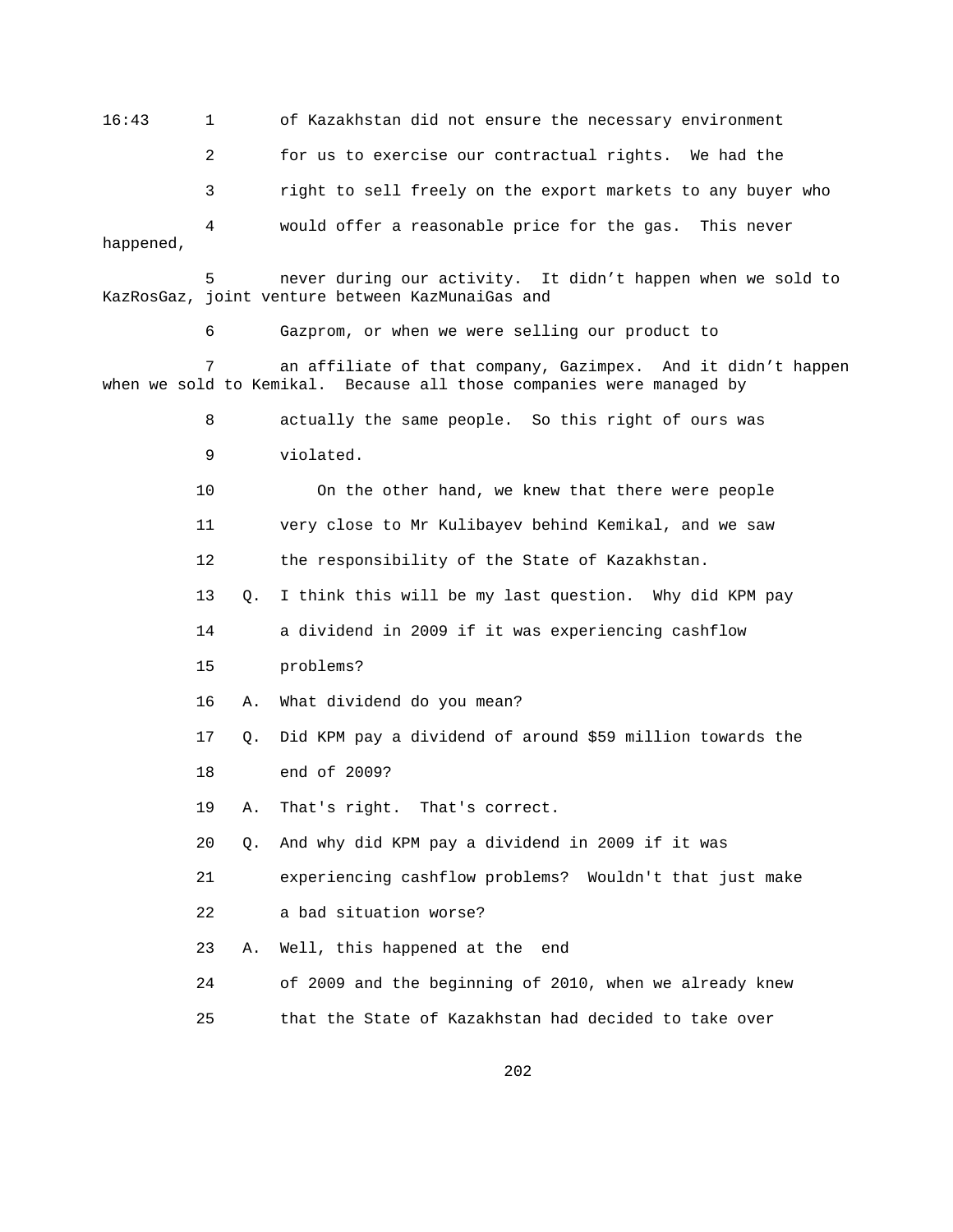16:43 1 of Kazakhstan did not ensure the necessary environment 2 for us to exercise our contractual rights. We had the 3 right to sell freely on the export markets to any buyer who 4 would offer a reasonable price for the gas. This never happened,

 5 never during our activity. It didn't happen when we sold to KazRosGaz, joint venture between KazMunaiGas and

6 Gazprom, or when we were selling our product to

 7 an affiliate of that company, Gazimpex. And it didn't happen when we sold to Kemikal. Because all those companies were managed by

> 8 actually the same people. So this right of ours was 9 violated.

 10 On the other hand, we knew that there were people 11 very close to Mr Kulibayev behind Kemikal, and we saw

12 the responsibility of the State of Kazakhstan.

13 Q. I think this will be my last question. Why did KPM pay

14 a dividend in 2009 if it was experiencing cashflow

15 problems?

16 A. What dividend do you mean?

- 17 Q. Did KPM pay a dividend of around \$59 million towards the
- 18 end of 2009?

19 A. That's right. That's correct.

20 Q. And why did KPM pay a dividend in 2009 if it was

21 experiencing cashflow problems? Wouldn't that just make

22 a bad situation worse?

23 A. Well, this happened at the end

24 of 2009 and the beginning of 2010, when we already knew

25 that the State of Kazakhstan had decided to take over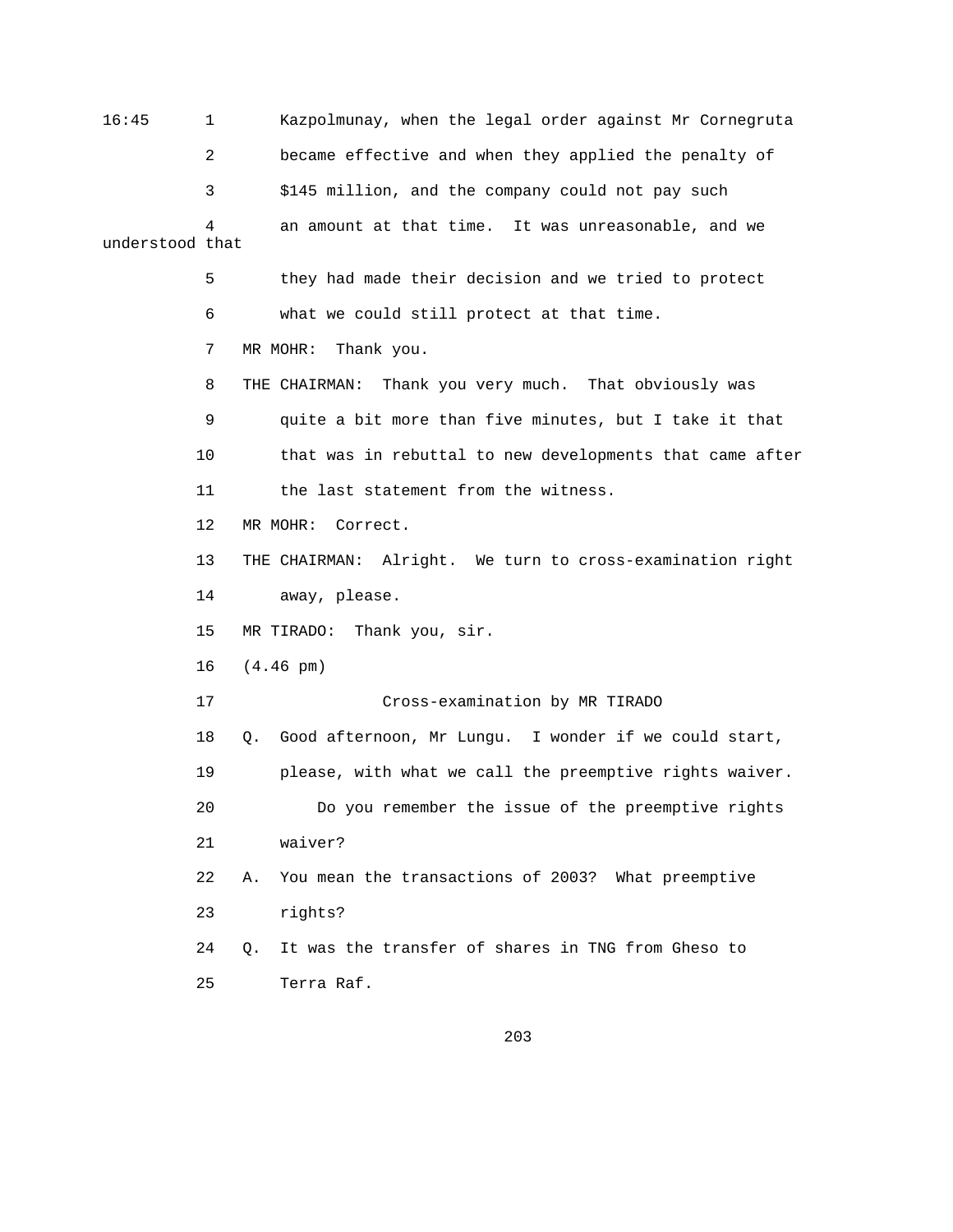16:45 1 Kazpolmunay, when the legal order against Mr Cornegruta 2 became effective and when they applied the penalty of 3 \$145 million, and the company could not pay such 4 an amount at that time. It was unreasonable, and we understood that 5 they had made their decision and we tried to protect 6 what we could still protect at that time. 7 MR MOHR: Thank you. 8 THE CHAIRMAN: Thank you very much. That obviously was 9 quite a bit more than five minutes, but I take it that 10 that was in rebuttal to new developments that came after 11 the last statement from the witness. 12 MR MOHR: Correct. 13 THE CHAIRMAN: Alright. We turn to cross-examination right 14 away, please. 15 MR TIRADO: Thank you, sir. 16 (4.46 pm) 17 Cross-examination by MR TIRADO 18 Q. Good afternoon, Mr Lungu. I wonder if we could start, 19 please, with what we call the preemptive rights waiver. 20 Do you remember the issue of the preemptive rights 21 waiver? 22 A. You mean the transactions of 2003? What preemptive 23 rights? 24 Q. It was the transfer of shares in TNG from Gheso to 25 Terra Raf.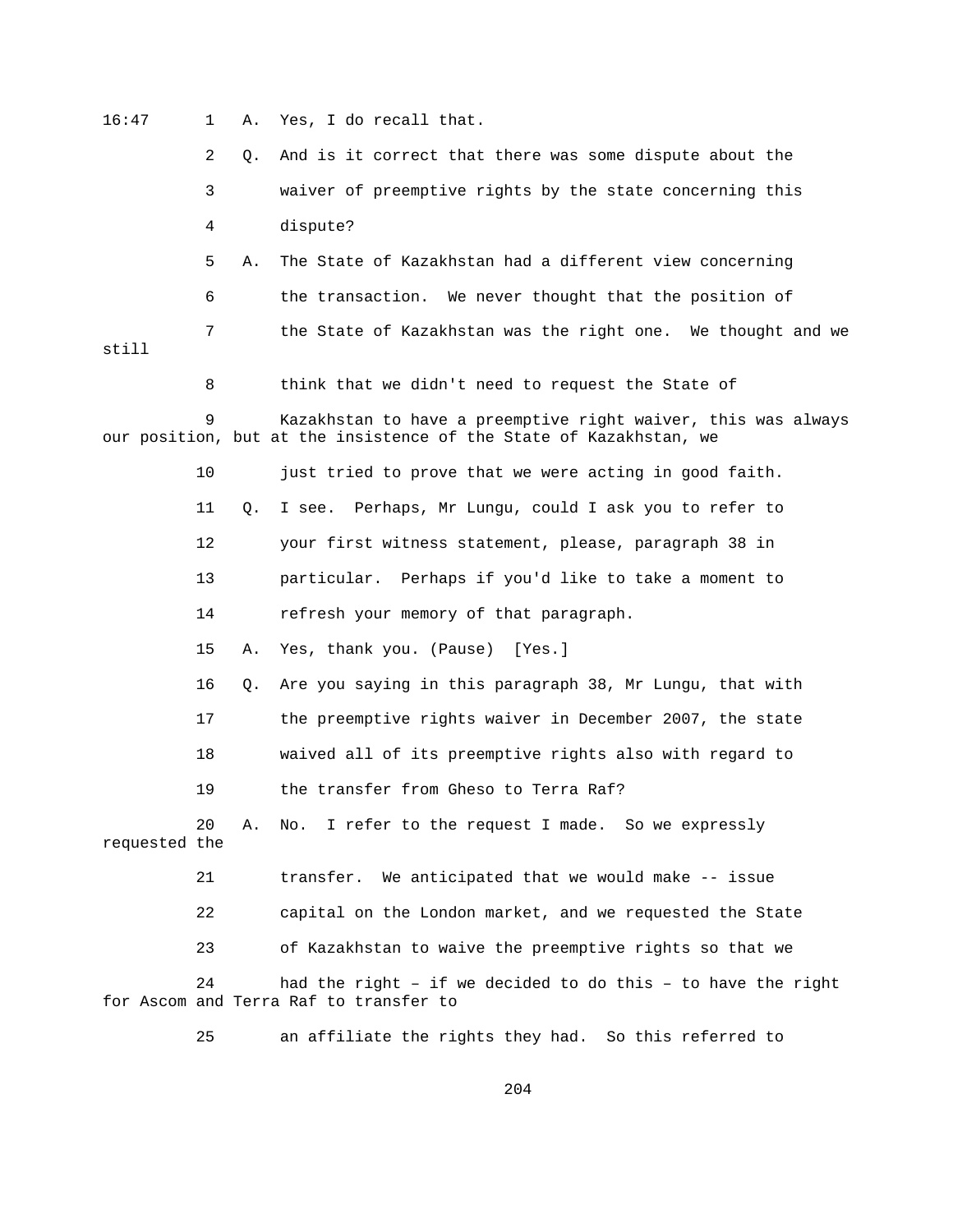16:47 1 A. Yes, I do recall that. 2 Q. And is it correct that there was some dispute about the 3 waiver of preemptive rights by the state concerning this 4 dispute? 5 A. The State of Kazakhstan had a different view concerning 6 the transaction. We never thought that the position of 7 the State of Kazakhstan was the right one. We thought and we still

8 think that we didn't need to request the State of

Kazakhstan to have a preemptive right waiver, this was always our position, but at the insistence of the State of Kazakhstan, we

10 just tried to prove that we were acting in good faith.

11 Q. I see. Perhaps, Mr Lungu, could I ask you to refer to

12 your first witness statement, please, paragraph 38 in

13 particular. Perhaps if you'd like to take a moment to

14 refresh your memory of that paragraph.

15 A. Yes, thank you. (Pause) [Yes.]

16 Q. Are you saying in this paragraph 38, Mr Lungu, that with

17 the preemptive rights waiver in December 2007, the state

18 waived all of its preemptive rights also with regard to

19 the transfer from Gheso to Terra Raf?

 20 A. No. I refer to the request I made. So we expressly requested the

21 transfer. We anticipated that we would make -- issue

22 capital on the London market, and we requested the State

23 of Kazakhstan to waive the preemptive rights so that we

 24 had the right – if we decided to do this – to have the right for Ascom and Terra Raf to transfer to

25 an affiliate the rights they had. So this referred to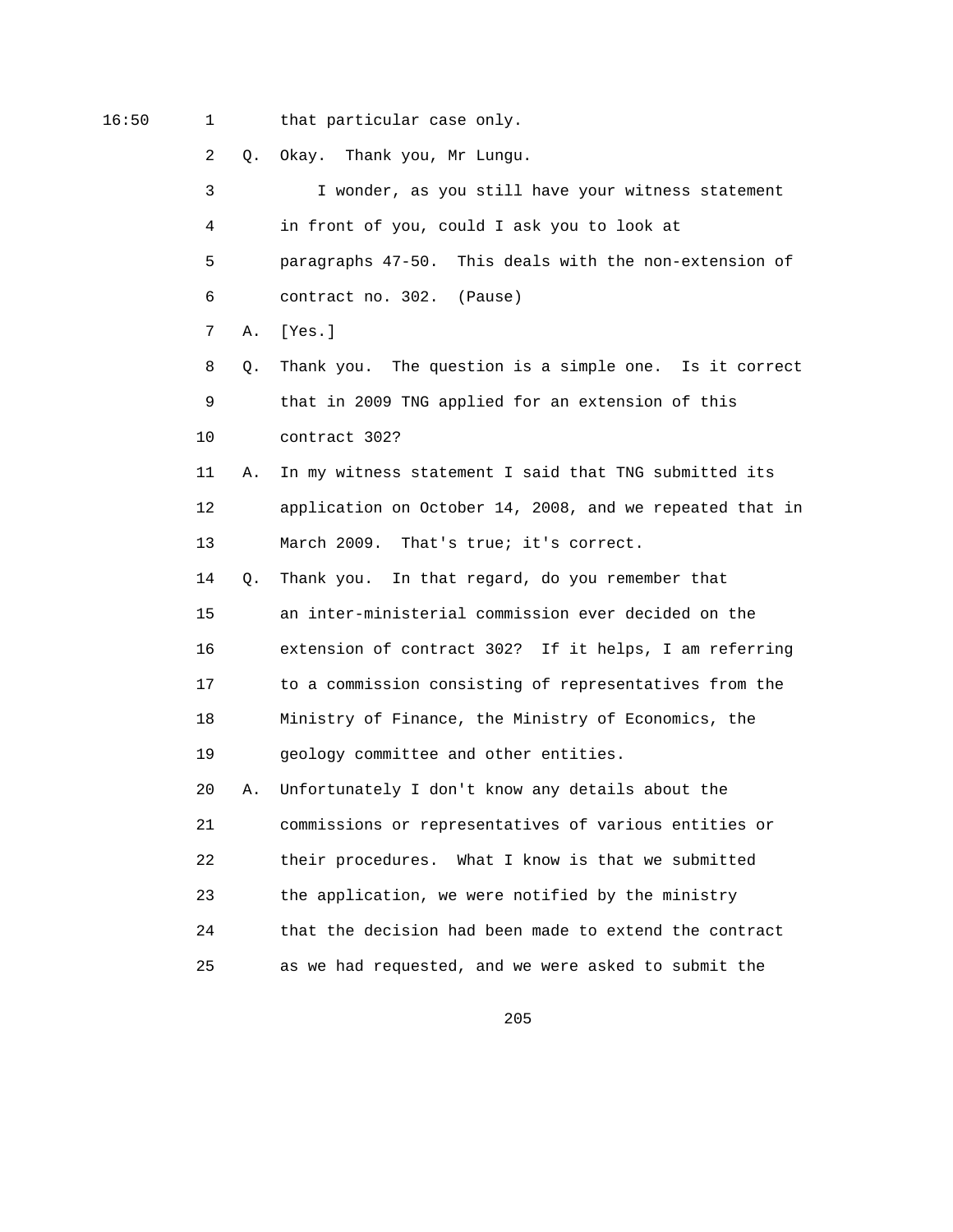16:50 1 that particular case only.

2 Q. Okay. Thank you, Mr Lungu.

 3 I wonder, as you still have your witness statement 4 in front of you, could I ask you to look at 5 paragraphs 47-50. This deals with the non-extension of 6 contract no. 302. (Pause) 7 A. [Yes.] 8 Q. Thank you. The question is a simple one. Is it correct 9 that in 2009 TNG applied for an extension of this 10 contract 302? 11 A. In my witness statement I said that TNG submitted its 12 application on October 14, 2008, and we repeated that in 13 March 2009. That's true; it's correct. 14 Q. Thank you. In that regard, do you remember that 15 an inter-ministerial commission ever decided on the 16 extension of contract 302? If it helps, I am referring 17 to a commission consisting of representatives from the 18 Ministry of Finance, the Ministry of Economics, the 19 geology committee and other entities. 20 A. Unfortunately I don't know any details about the 21 commissions or representatives of various entities or 22 their procedures. What I know is that we submitted 23 the application, we were notified by the ministry 24 that the decision had been made to extend the contract 25 as we had requested, and we were asked to submit the

<u>205</u>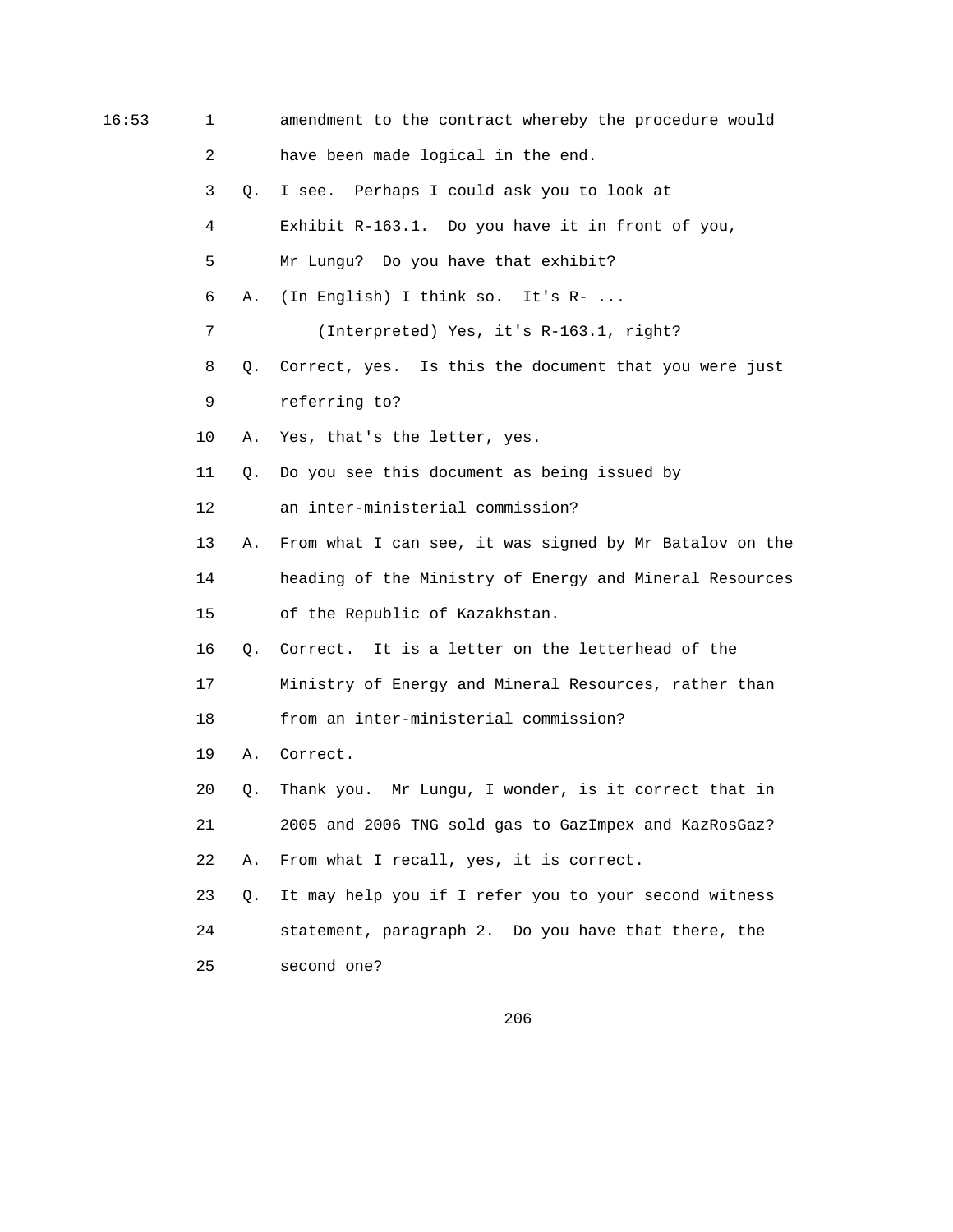| 16:53 | 1              |    | amendment to the contract whereby the procedure would   |
|-------|----------------|----|---------------------------------------------------------|
|       | $\overline{2}$ |    | have been made logical in the end.                      |
|       | 3              | Q. | I see. Perhaps I could ask you to look at               |
|       | 4              |    | Exhibit R-163.1. Do you have it in front of you,        |
|       | 5              |    | Mr Lungu? Do you have that exhibit?                     |
|       | 6              | Α. | (In English) I think so. It's R-                        |
|       | 7              |    | (Interpreted) Yes, it's R-163.1, right?                 |
|       | 8              | Q. | Correct, yes. Is this the document that you were just   |
|       | 9              |    | referring to?                                           |
|       | 10             | Α. | Yes, that's the letter, yes.                            |
|       | 11             | Q. | Do you see this document as being issued by             |
|       | 12             |    | an inter-ministerial commission?                        |
|       | 13             | Α. | From what I can see, it was signed by Mr Batalov on the |
|       | 14             |    | heading of the Ministry of Energy and Mineral Resources |
|       | 15             |    | of the Republic of Kazakhstan.                          |
|       | 16             | Q. | Correct. It is a letter on the letterhead of the        |
|       | 17             |    | Ministry of Energy and Mineral Resources, rather than   |
|       | 18             |    | from an inter-ministerial commission?                   |
|       | 19             | Α. | Correct.                                                |
|       | 20             | Q. | Thank you. Mr Lungu, I wonder, is it correct that in    |
|       | 21             |    | 2005 and 2006 TNG sold gas to GazImpex and KazRosGaz?   |
|       | 22             | Α. | From what I recall, yes, it is correct.                 |
|       | 23             | О. | It may help you if I refer you to your second witness   |
|       | 24             |    | statement, paragraph 2. Do you have that there, the     |
|       | 25             |    | second one?                                             |
|       |                |    |                                                         |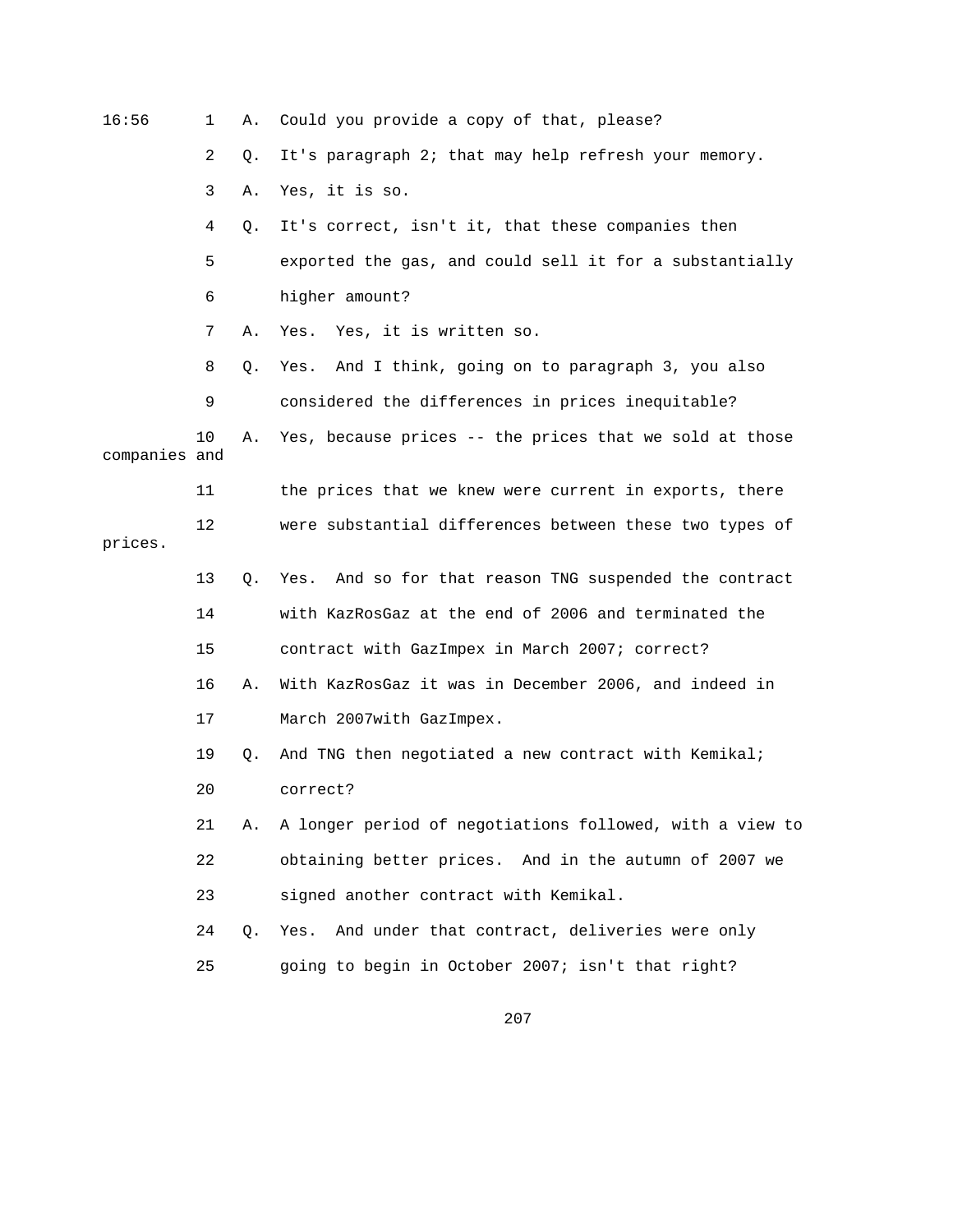| 16:56         | $\mathbf{1}$ | Α. | Could you provide a copy of that, please?                 |
|---------------|--------------|----|-----------------------------------------------------------|
|               | 2            | Q. | It's paragraph 2; that may help refresh your memory.      |
|               | 3            | Α. | Yes, it is so.                                            |
|               | 4            | Q. | It's correct, isn't it, that these companies then         |
|               | 5            |    | exported the gas, and could sell it for a substantially   |
|               | 6            |    | higher amount?                                            |
|               | 7            | Α. | Yes, it is written so.<br>Yes.                            |
|               | 8            | Q. | And I think, going on to paragraph 3, you also<br>Yes.    |
|               | 9            |    | considered the differences in prices inequitable?         |
| companies and | 10           | Α. | Yes, because prices -- the prices that we sold at those   |
|               | 11           |    | the prices that we knew were current in exports, there    |
| prices.       | 12           |    | were substantial differences between these two types of   |
|               | 13           | Q. | And so for that reason TNG suspended the contract<br>Yes. |
|               | 14           |    | with KazRosGaz at the end of 2006 and terminated the      |
|               | 15           |    | contract with GazImpex in March 2007; correct?            |
|               | 16           | Α. | With KazRosGaz it was in December 2006, and indeed in     |
|               | 17           |    | March 2007with GazImpex.                                  |
|               | 19           | Q. | And TNG then negotiated a new contract with Kemikal;      |
|               | 20           |    | correct?                                                  |
|               | 21           | Α. | A longer period of negotiations followed, with a view to  |
|               | 22           |    | obtaining better prices. And in the autumn of 2007 we     |
|               | 23           |    | signed another contract with Kemikal.                     |
|               | 24           | Q. | And under that contract, deliveries were only<br>Yes.     |
|               | 25           |    | going to begin in October 2007; isn't that right?         |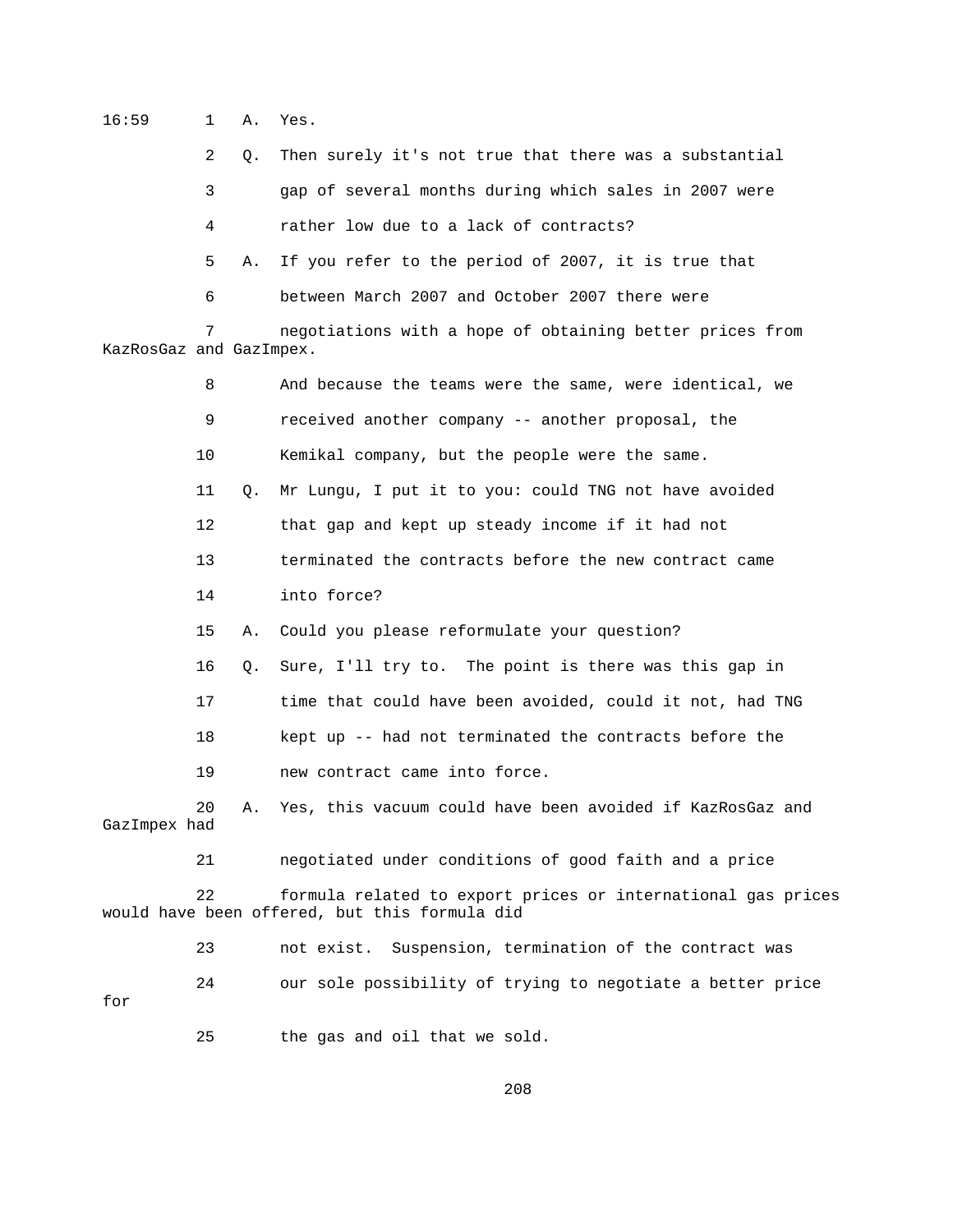16:59 1 A. Yes.

2 Q. Then surely it's not true that there was a substantial

3 gap of several months during which sales in 2007 were

4 rather low due to a lack of contracts?

5 A. If you refer to the period of 2007, it is true that

6 between March 2007 and October 2007 there were

 7 negotiations with a hope of obtaining better prices from KazRosGaz and GazImpex.

 8 And because the teams were the same, were identical, we 9 received another company -- another proposal, the 10 Kemikal company, but the people were the same. 11 Q. Mr Lungu, I put it to you: could TNG not have avoided 12 that gap and kept up steady income if it had not 13 terminated the contracts before the new contract came 14 into force? 15 A. Could you please reformulate your question? 16 Q. Sure, I'll try to. The point is there was this gap in 17 time that could have been avoided, could it not, had TNG 18 kept up -- had not terminated the contracts before the 19 new contract came into force. 20 A. Yes, this vacuum could have been avoided if KazRosGaz and GazImpex had 21 negotiated under conditions of good faith and a price 22 formula related to export prices or international gas prices would have been offered, but this formula did 23 not exist. Suspension, termination of the contract was

 24 our sole possibility of trying to negotiate a better price for

25 the gas and oil that we sold.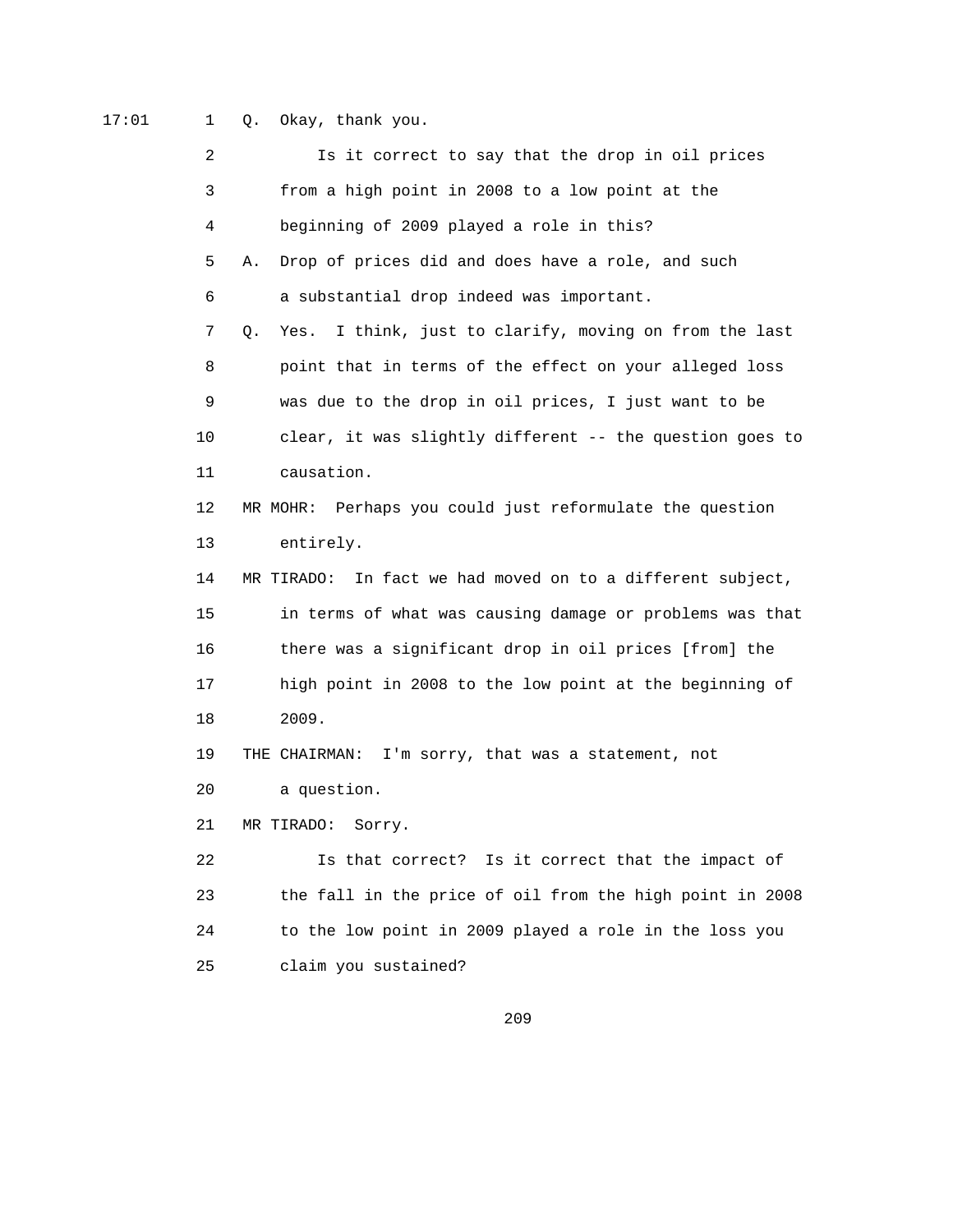17:01 1 Q. Okay, thank you.

| 2  | Is it correct to say that the drop in oil prices                |
|----|-----------------------------------------------------------------|
| 3  | from a high point in 2008 to a low point at the                 |
| 4  | beginning of 2009 played a role in this?                        |
| 5  | Drop of prices did and does have a role, and such<br>Α.         |
| 6  | a substantial drop indeed was important.                        |
| 7  | I think, just to clarify, moving on from the last<br>Q.<br>Yes. |
| 8  | point that in terms of the effect on your alleged loss          |
| 9  | was due to the drop in oil prices, I just want to be            |
| 10 | clear, it was slightly different -- the question goes to        |
| 11 | causation.                                                      |
| 12 | MR MOHR: Perhaps you could just reformulate the question        |
| 13 | entirely.                                                       |
| 14 | In fact we had moved on to a different subject,<br>MR TIRADO:   |
| 15 | in terms of what was causing damage or problems was that        |
| 16 | there was a significant drop in oil prices [from] the           |
| 17 | high point in 2008 to the low point at the beginning of         |
| 18 | 2009.                                                           |
| 19 | THE CHAIRMAN: I'm sorry, that was a statement, not              |
| 20 | a question.                                                     |
| 21 | MR TIRADO:<br>Sorry.                                            |
| 22 | Is it correct that the impact of<br>Is that correct?            |
| 23 | the fall in the price of oil from the high point in 2008        |
| 24 | to the low point in 2009 played a role in the loss you          |
| 25 | claim you sustained?                                            |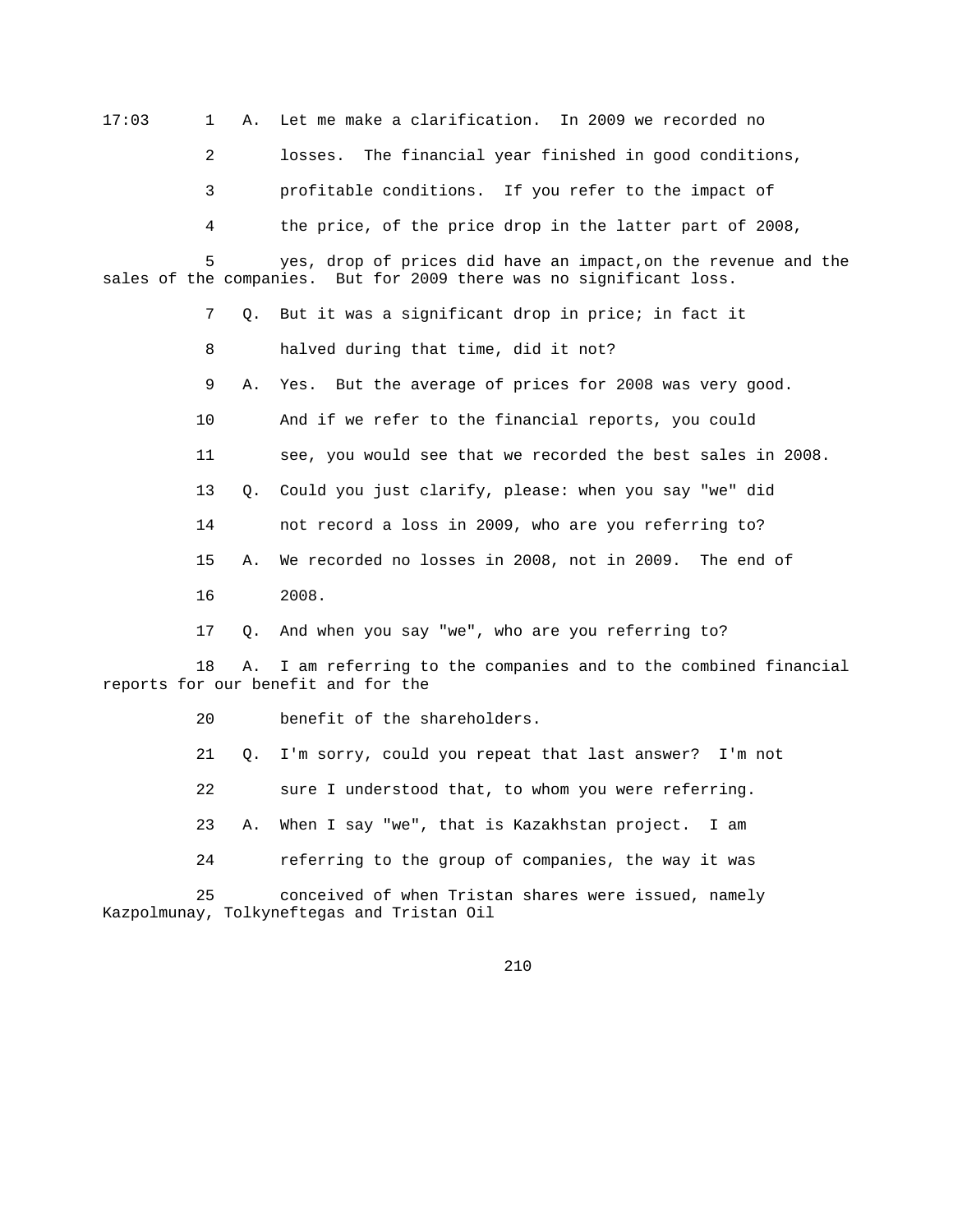17:03 1 A. Let me make a clarification. In 2009 we recorded no

2 losses. The financial year finished in good conditions,

3 profitable conditions. If you refer to the impact of

4 the price, of the price drop in the latter part of 2008,

 5 yes, drop of prices did have an impact,on the revenue and the sales of the companies. But for 2009 there was no significant loss.

7 Q. But it was a significant drop in price; in fact it

8 halved during that time, did it not?

9 A. Yes. But the average of prices for 2008 was very good.

10 And if we refer to the financial reports, you could

11 see, you would see that we recorded the best sales in 2008.

13 Q. Could you just clarify, please: when you say "we" did

14 not record a loss in 2009, who are you referring to?

15 A. We recorded no losses in 2008, not in 2009. The end of

16 2008.

17 Q. And when you say "we", who are you referring to?

 18 A. I am referring to the companies and to the combined financial reports for our benefit and for the

20 benefit of the shareholders.

21 Q. I'm sorry, could you repeat that last answer? I'm not

22 sure I understood that, to whom you were referring.

23 A. When I say "we", that is Kazakhstan project. I am

24 referring to the group of companies, the way it was

 25 conceived of when Tristan shares were issued, namely Kazpolmunay, Tolkyneftegas and Tristan Oil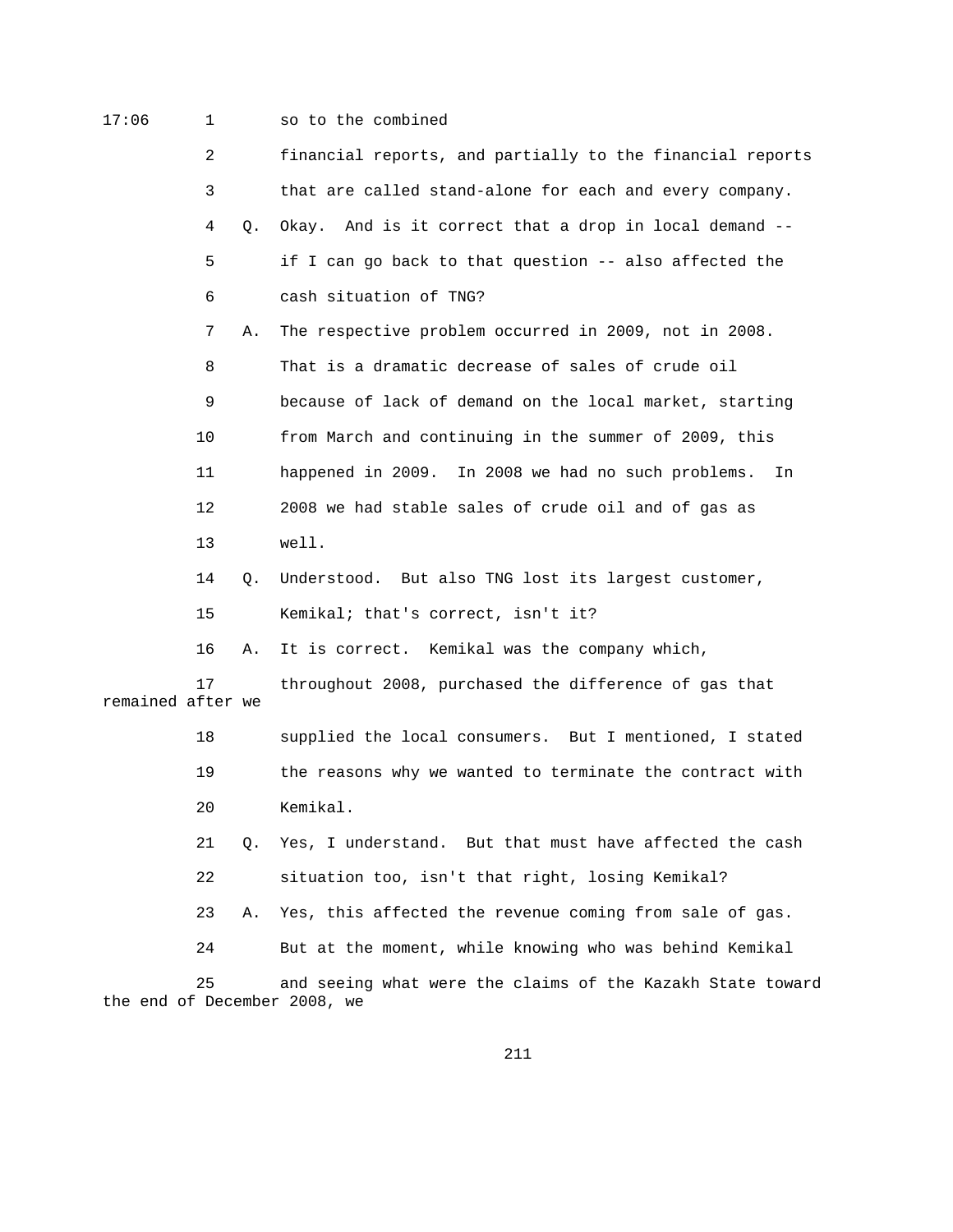## 17:06 1 so to the combined

 2 financial reports, and partially to the financial reports 3 that are called stand-alone for each and every company. 4 Q. Okay. And is it correct that a drop in local demand -- 5 if I can go back to that question -- also affected the 6 cash situation of TNG? 7 A. The respective problem occurred in 2009, not in 2008. 8 That is a dramatic decrease of sales of crude oil 9 because of lack of demand on the local market, starting 10 from March and continuing in the summer of 2009, this 11 happened in 2009. In 2008 we had no such problems. In 12 2008 we had stable sales of crude oil and of gas as 13 well. 14 Q. Understood. But also TNG lost its largest customer, 15 Kemikal; that's correct, isn't it? 16 A. It is correct. Kemikal was the company which, 17 throughout 2008, purchased the difference of gas that remained after we 18 supplied the local consumers. But I mentioned, I stated 19 the reasons why we wanted to terminate the contract with 20 Kemikal. 21 Q. Yes, I understand. But that must have affected the cash

22 situation too, isn't that right, losing Kemikal?

23 A. Yes, this affected the revenue coming from sale of gas.

24 But at the moment, while knowing who was behind Kemikal

 25 and seeing what were the claims of the Kazakh State toward the end of December 2008, we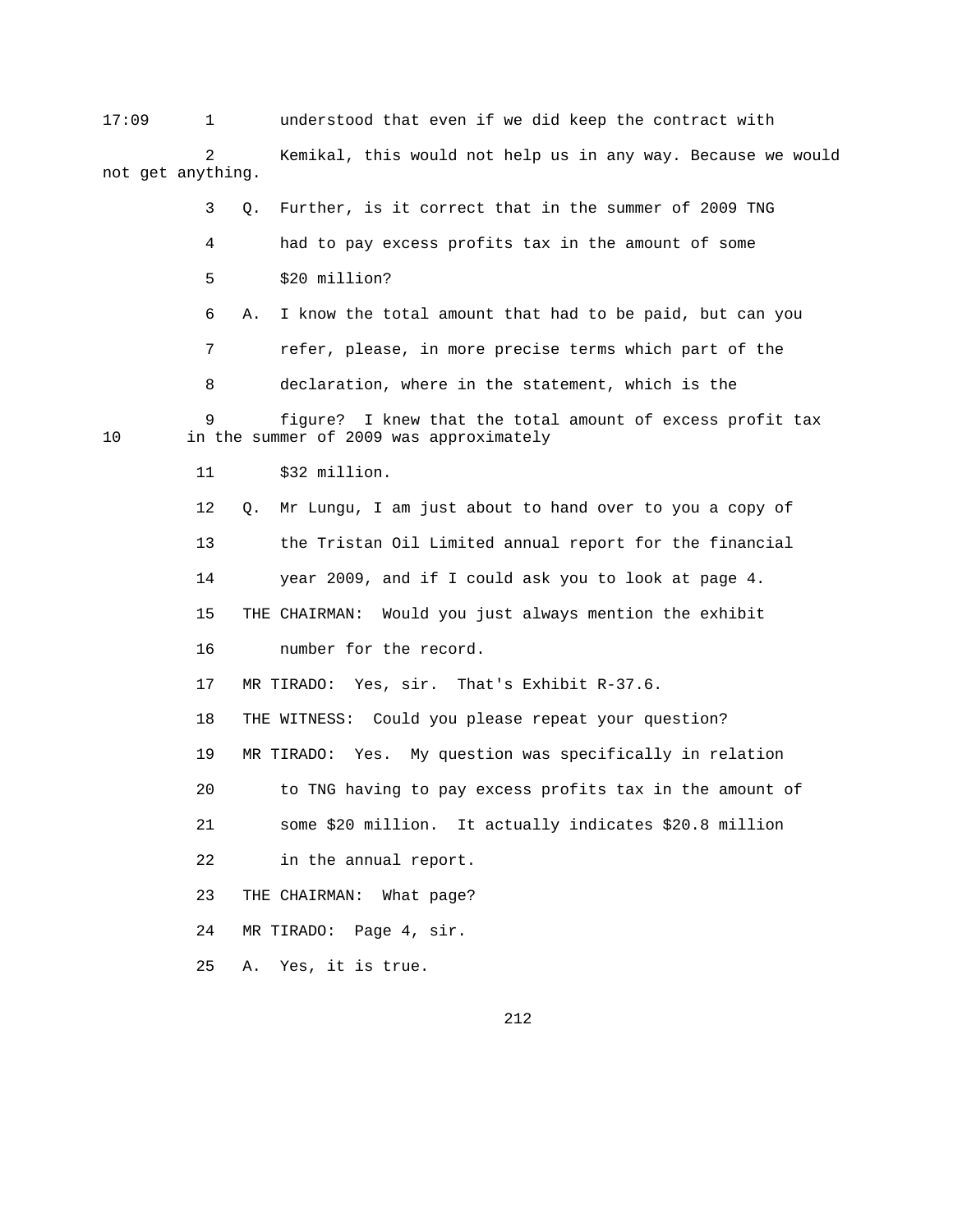17:09 1 understood that even if we did keep the contract with Kemikal, this would not help us in any way. Because we would not get anything.

3 Q. Further, is it correct that in the summer of 2009 TNG

4 had to pay excess profits tax in the amount of some

5 \$20 million?

6 A. I know the total amount that had to be paid, but can you

7 refer, please, in more precise terms which part of the

8 declaration, where in the statement, which is the

9 figure? I knew that the total amount of excess profit tax<br>10 in the summer of 2009 was approximately in the summer of 2009 was approximately

11 \$32 million.

 12 Q. Mr Lungu, I am just about to hand over to you a copy of 13 the Tristan Oil Limited annual report for the financial 14 year 2009, and if I could ask you to look at page 4. 15 THE CHAIRMAN: Would you just always mention the exhibit 16 number for the record.

17 MR TIRADO: Yes, sir. That's Exhibit R-37.6.

18 THE WITNESS: Could you please repeat your question?

19 MR TIRADO: Yes. My question was specifically in relation

20 to TNG having to pay excess profits tax in the amount of

21 some \$20 million. It actually indicates \$20.8 million

22 in the annual report.

23 THE CHAIRMAN: What page?

24 MR TIRADO: Page 4, sir.

25 A. Yes, it is true.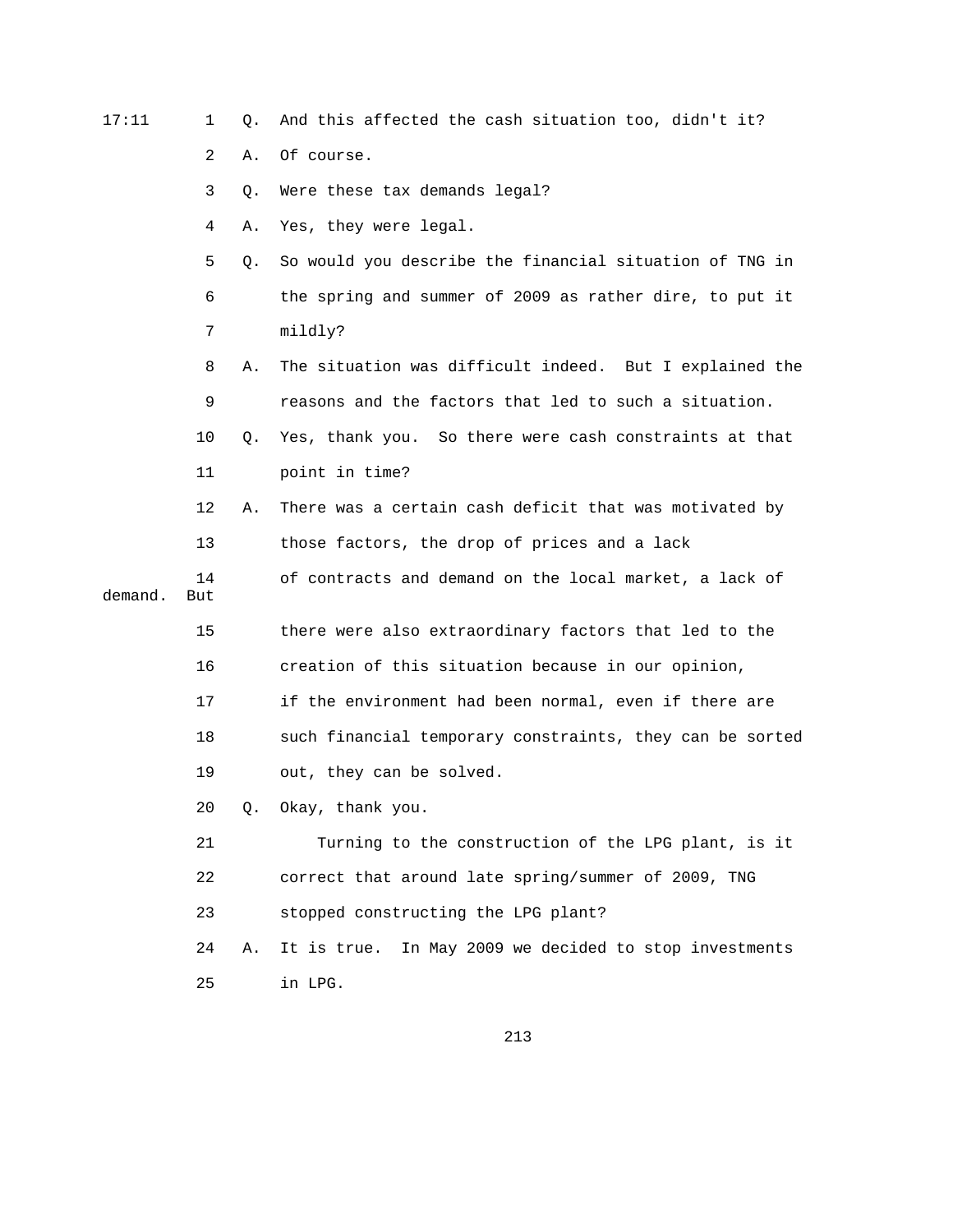| 17:11   | 1         | Q. | And this affected the cash situation too, didn't it?     |
|---------|-----------|----|----------------------------------------------------------|
|         | 2         | Α. | Of course.                                               |
|         | 3         | Q. | Were these tax demands legal?                            |
|         | 4         | Α. | Yes, they were legal.                                    |
|         | 5         | Q. | So would you describe the financial situation of TNG in  |
|         | 6         |    | the spring and summer of 2009 as rather dire, to put it  |
|         | 7         |    | mildly?                                                  |
|         | 8         | Α. | The situation was difficult indeed. But I explained the  |
|         | 9         |    | reasons and the factors that led to such a situation.    |
|         | 10        | Q. | Yes, thank you. So there were cash constraints at that   |
|         | 11        |    | point in time?                                           |
|         | 12        | Α. | There was a certain cash deficit that was motivated by   |
|         | 13        |    | those factors, the drop of prices and a lack             |
| demand. | 14<br>But |    | of contracts and demand on the local market, a lack of   |
|         | 15        |    | there were also extraordinary factors that led to the    |
|         | 16        |    | creation of this situation because in our opinion,       |
|         | 17        |    | if the environment had been normal, even if there are    |
|         | 18        |    | such financial temporary constraints, they can be sorted |
|         | 19        |    | out, they can be solved.                                 |
|         | 20        |    | Q. Okay, thank you.                                      |
|         | 21        |    | Turning to the construction of the LPG plant, is it      |
|         | 22        |    | correct that around late spring/summer of 2009, TNG      |
|         | 23        |    | stopped constructing the LPG plant?                      |
|         | 24        | Α. | It is true. In May 2009 we decided to stop investments   |
|         | 25        |    | in LPG.                                                  |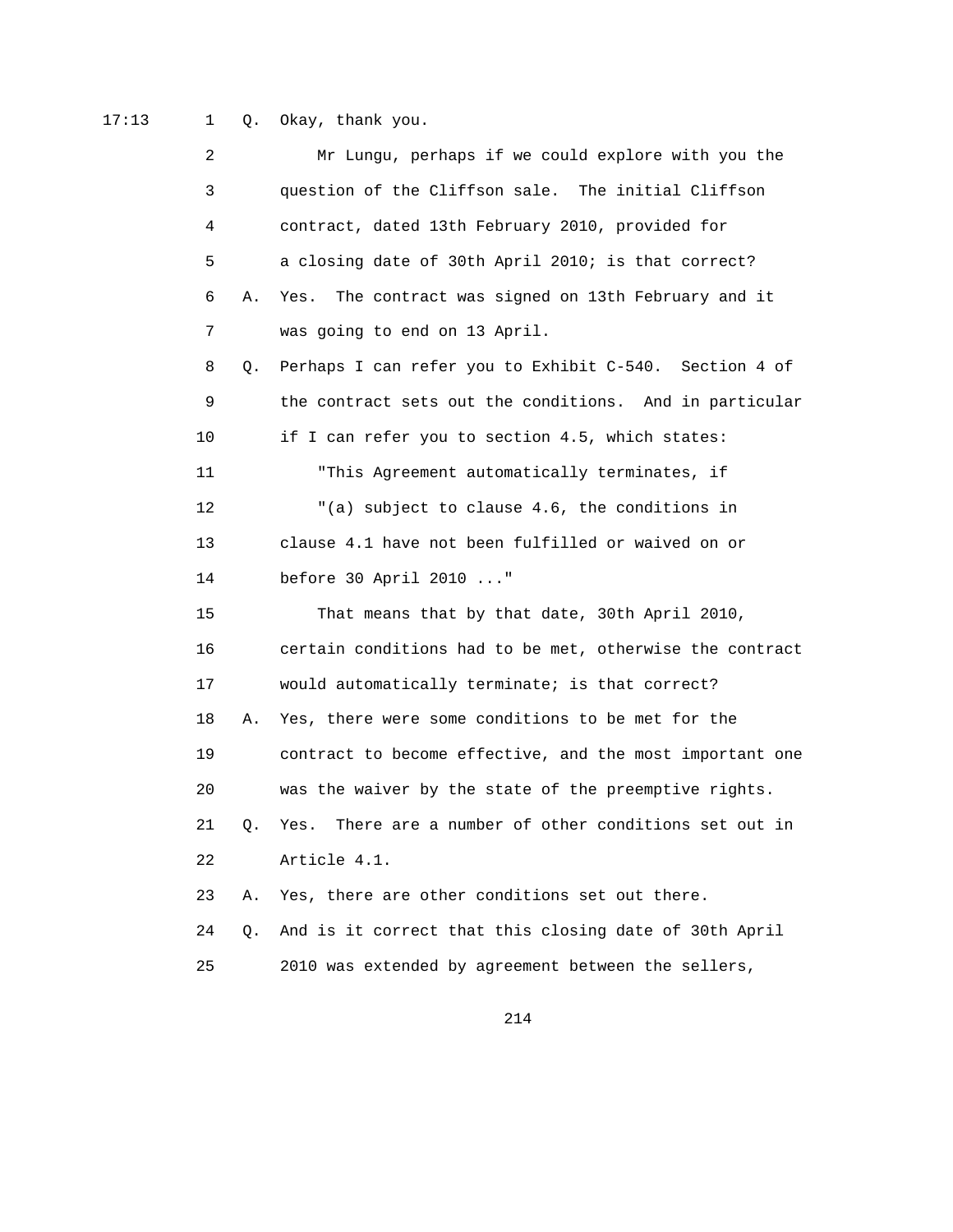17:13 1 Q. Okay, thank you.

| 2  |    | Mr Lungu, perhaps if we could explore with you the        |
|----|----|-----------------------------------------------------------|
| 3  |    | question of the Cliffson sale. The initial Cliffson       |
| 4  |    | contract, dated 13th February 2010, provided for          |
| 5  |    | a closing date of 30th April 2010; is that correct?       |
| 6  | Α. | The contract was signed on 13th February and it<br>Yes.   |
| 7  |    | was going to end on 13 April.                             |
| 8  | Q. | Perhaps I can refer you to Exhibit C-540. Section 4 of    |
| 9  |    | the contract sets out the conditions. And in particular   |
| 10 |    | if I can refer you to section 4.5, which states:          |
| 11 |    | "This Agreement automatically terminates, if              |
| 12 |    | "(a) subject to clause 4.6, the conditions in             |
| 13 |    | clause 4.1 have not been fulfilled or waived on or        |
| 14 |    | before 30 April 2010 "                                    |
| 15 |    | That means that by that date, 30th April 2010,            |
| 16 |    | certain conditions had to be met, otherwise the contract  |
| 17 |    | would automatically terminate; is that correct?           |
| 18 | Α. | Yes, there were some conditions to be met for the         |
| 19 |    | contract to become effective, and the most important one  |
| 20 |    | was the waiver by the state of the preemptive rights.     |
| 21 | Q. | There are a number of other conditions set out in<br>Yes. |
| 22 |    | Article 4.1.                                              |
| 23 | Α. | Yes, there are other conditions set out there.            |
| 24 | Q. | And is it correct that this closing date of 30th April    |
| 25 |    | 2010 was extended by agreement between the sellers,       |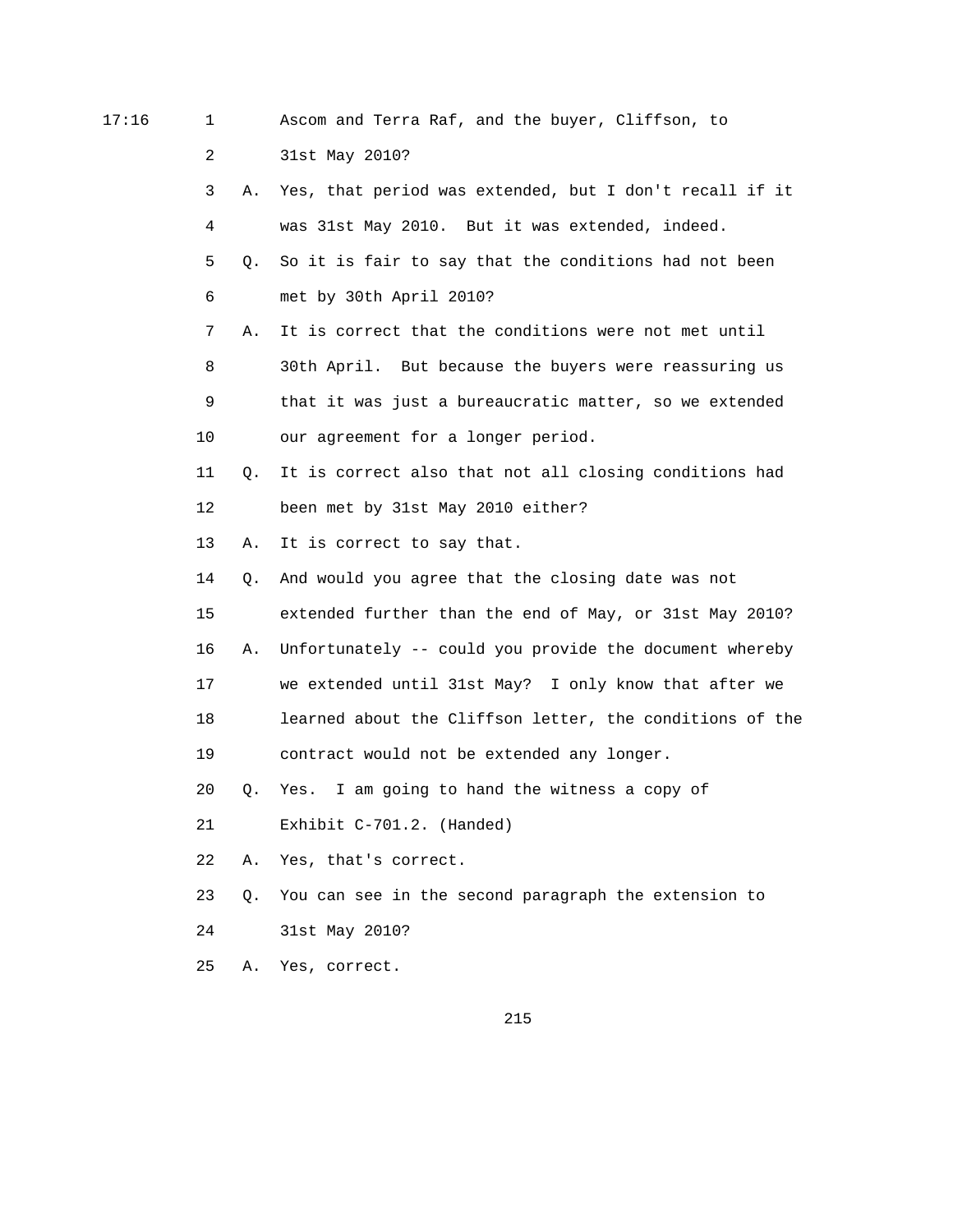17:16 1 Ascom and Terra Raf, and the buyer, Cliffson, to

2 31st May 2010?

 3 A. Yes, that period was extended, but I don't recall if it 4 was 31st May 2010. But it was extended, indeed. 5 Q. So it is fair to say that the conditions had not been 6 met by 30th April 2010? 7 A. It is correct that the conditions were not met until 8 30th April. But because the buyers were reassuring us

 9 that it was just a bureaucratic matter, so we extended 10 our agreement for a longer period.

 11 Q. It is correct also that not all closing conditions had 12 been met by 31st May 2010 either?

13 A. It is correct to say that.

14 Q. And would you agree that the closing date was not

15 extended further than the end of May, or 31st May 2010?

16 A. Unfortunately -- could you provide the document whereby

17 we extended until 31st May? I only know that after we

 18 learned about the Cliffson letter, the conditions of the 19 contract would not be extended any longer.

20 Q. Yes. I am going to hand the witness a copy of

21 Exhibit C-701.2. (Handed)

22 A. Yes, that's correct.

23 Q. You can see in the second paragraph the extension to

24 31st May 2010?

25 A. Yes, correct.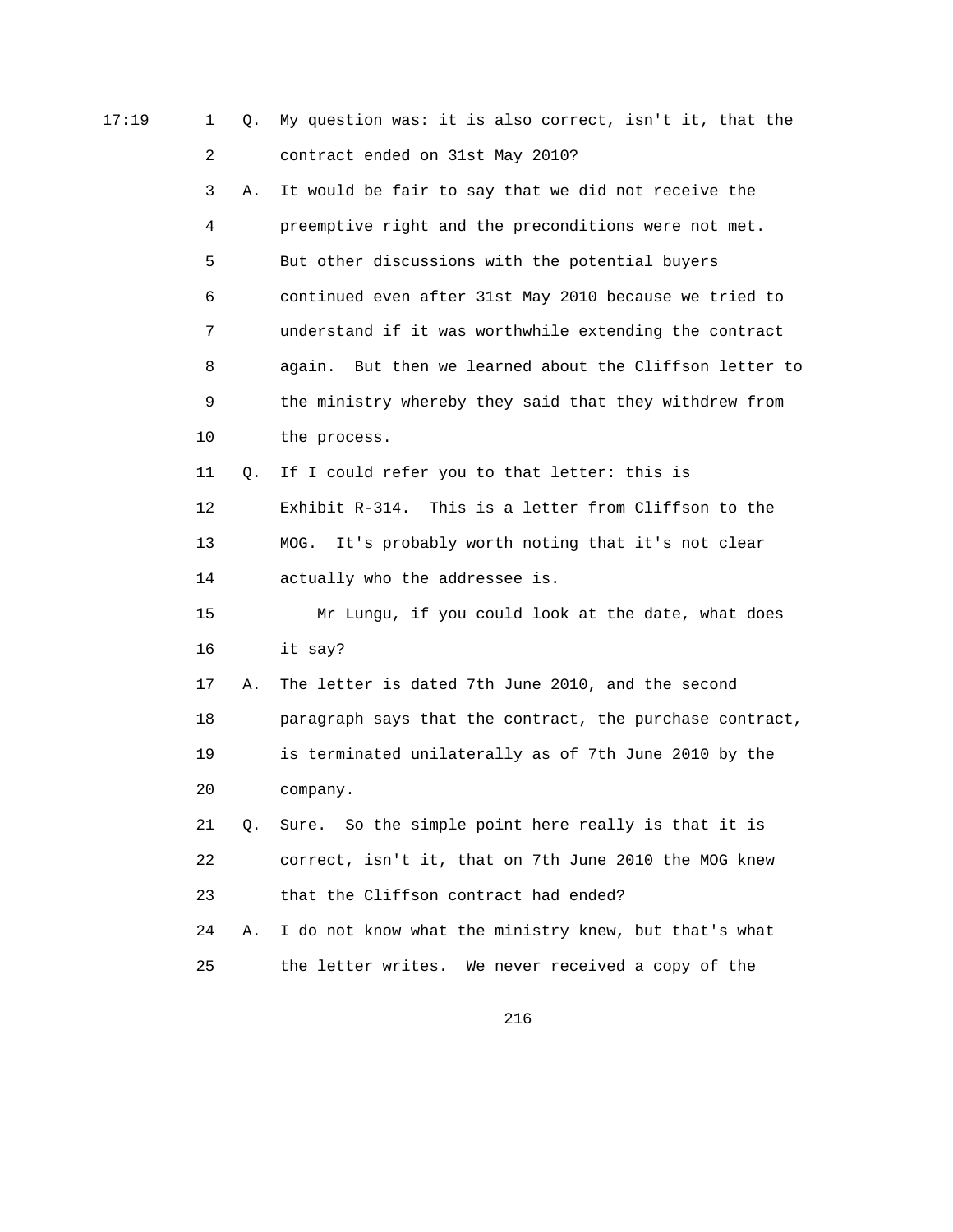| 17:19 | $\mathbf{1}$ | Q. | My question was: it is also correct, isn't it, that the  |
|-------|--------------|----|----------------------------------------------------------|
|       | 2            |    | contract ended on 31st May 2010?                         |
|       | 3            | Α. | It would be fair to say that we did not receive the      |
|       | 4            |    | preemptive right and the preconditions were not met.     |
|       | 5            |    | But other discussions with the potential buyers          |
|       | 6            |    | continued even after 31st May 2010 because we tried to   |
|       | 7            |    | understand if it was worthwhile extending the contract   |
|       | 8            |    | again. But then we learned about the Cliffson letter to  |
|       | 9            |    | the ministry whereby they said that they withdrew from   |
|       | 10           |    | the process.                                             |
|       | 11           | Q. | If I could refer you to that letter: this is             |
|       | 12           |    | Exhibit R-314. This is a letter from Cliffson to the     |
|       | 13           |    | It's probably worth noting that it's not clear<br>MOG.   |
|       | 14           |    | actually who the addressee is.                           |
|       | 15           |    | Mr Lungu, if you could look at the date, what does       |
|       | 16           |    | it say?                                                  |
|       | 17           | Α. | The letter is dated 7th June 2010, and the second        |
|       | 18           |    | paragraph says that the contract, the purchase contract, |
|       | 19           |    | is terminated unilaterally as of 7th June 2010 by the    |
|       | 20           |    | company.                                                 |
|       | 21           | Q. | Sure. So the simple point here really is that it is      |
|       | 22           |    | correct, isn't it, that on 7th June 2010 the MOG knew    |
|       | 23           |    | that the Cliffson contract had ended?                    |
|       | 24           | Α. | I do not know what the ministry knew, but that's what    |
|       | 25           |    | the letter writes. We never received a copy of the       |
|       |              |    |                                                          |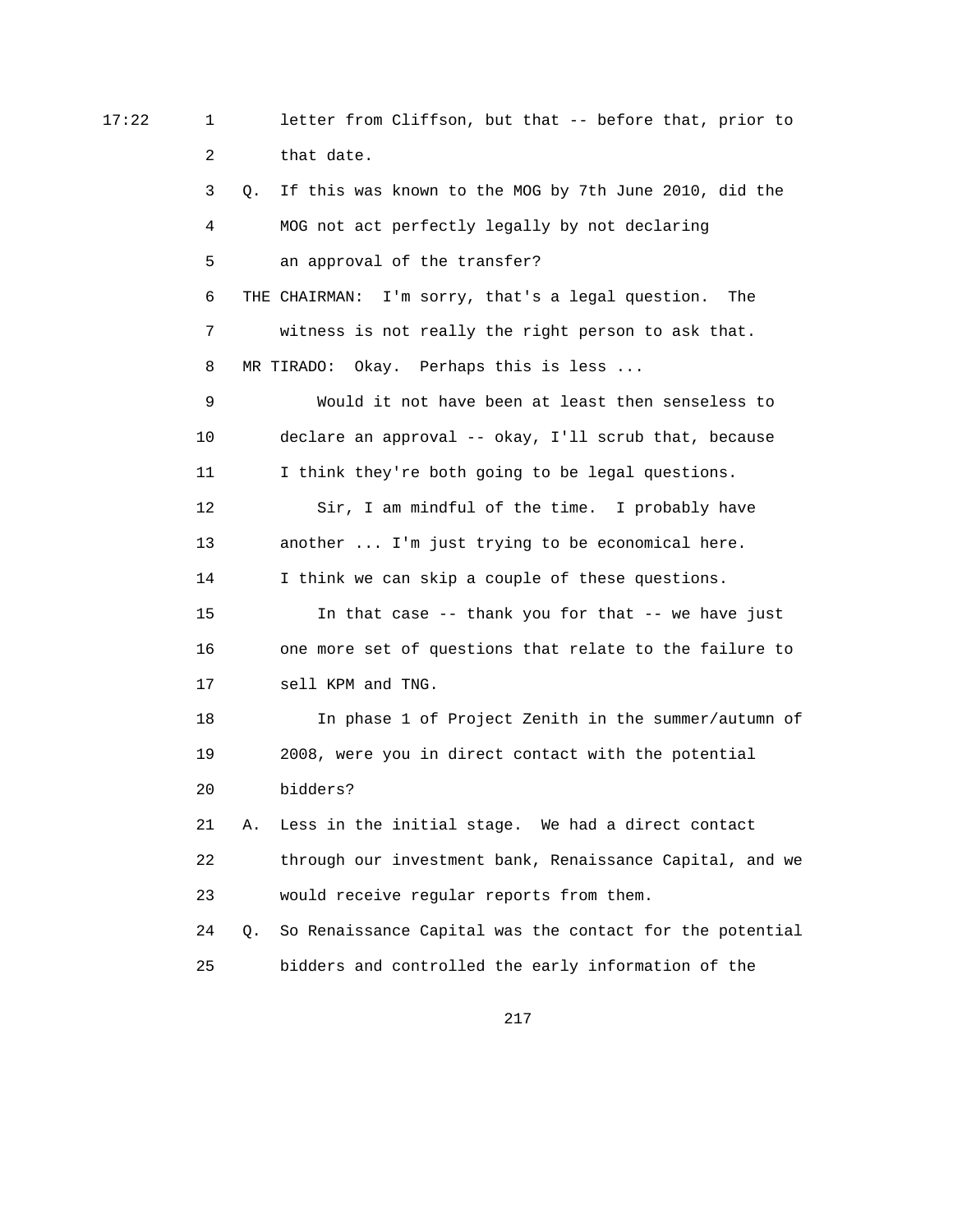17:22 1 letter from Cliffson, but that -- before that, prior to 2 that date.

> 3 Q. If this was known to the MOG by 7th June 2010, did the 4 MOG not act perfectly legally by not declaring 5 an approval of the transfer? 6 THE CHAIRMAN: I'm sorry, that's a legal question. The 7 witness is not really the right person to ask that. 8 MR TIRADO: Okay. Perhaps this is less ... 9 Would it not have been at least then senseless to 10 declare an approval -- okay, I'll scrub that, because 11 I think they're both going to be legal questions. 12 Sir, I am mindful of the time. I probably have 13 another ... I'm just trying to be economical here. 14 I think we can skip a couple of these questions. 15 In that case -- thank you for that -- we have just 16 one more set of questions that relate to the failure to 17 sell KPM and TNG. 18 In phase 1 of Project Zenith in the summer/autumn of 19 2008, were you in direct contact with the potential 20 bidders? 21 A. Less in the initial stage. We had a direct contact 22 through our investment bank, Renaissance Capital, and we 23 would receive regular reports from them. 24 Q. So Renaissance Capital was the contact for the potential

217

25 bidders and controlled the early information of the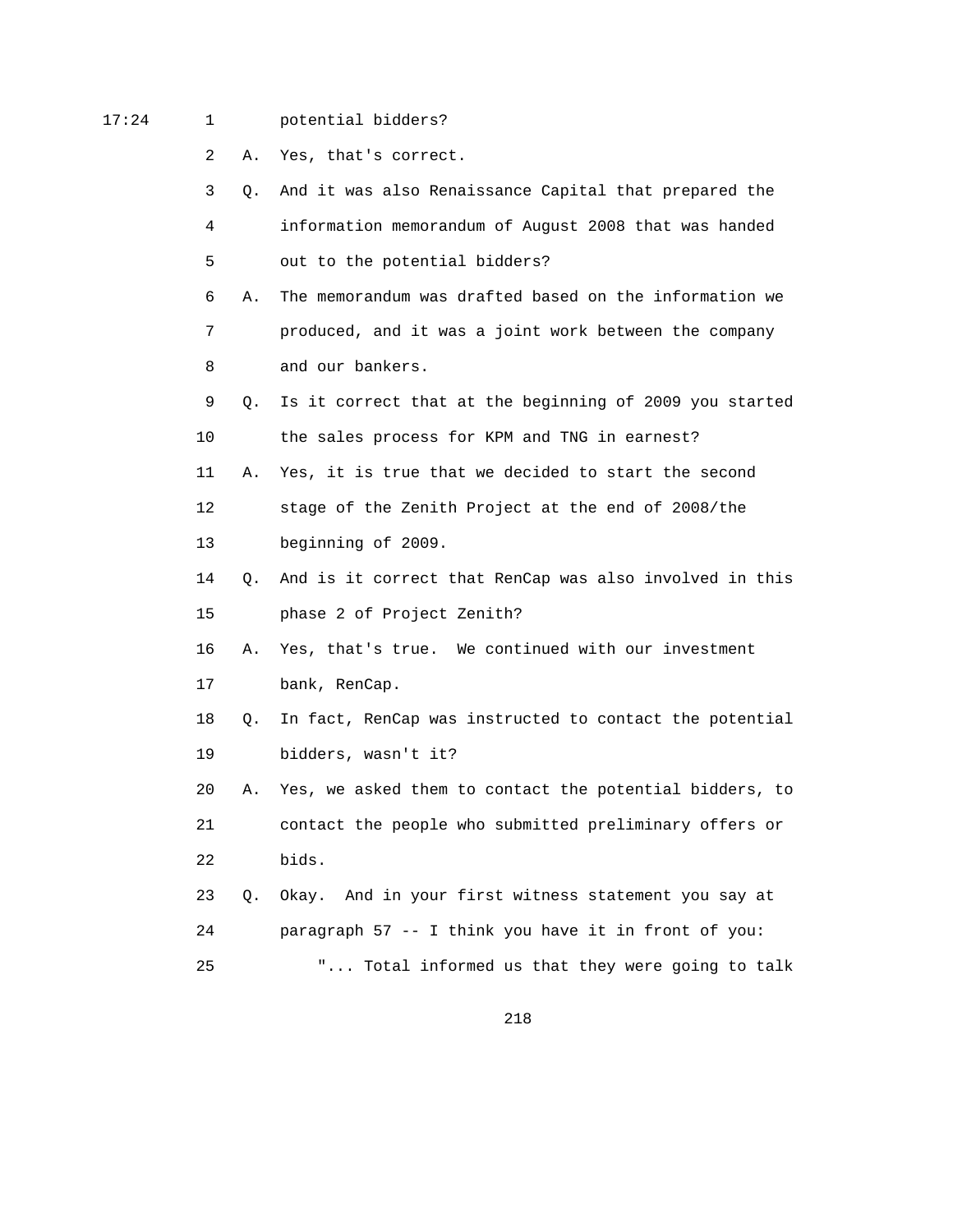# 17:24 1 potential bidders?

- 2 A. Yes, that's correct.
- 3 Q. And it was also Renaissance Capital that prepared the 4 information memorandum of August 2008 that was handed 5 out to the potential bidders?
- 6 A. The memorandum was drafted based on the information we 7 produced, and it was a joint work between the company 8 and our bankers.
- 9 Q. Is it correct that at the beginning of 2009 you started 10 the sales process for KPM and TNG in earnest?
- 11 A. Yes, it is true that we decided to start the second 12 stage of the Zenith Project at the end of 2008/the
- 13 beginning of 2009.
- 14 Q. And is it correct that RenCap was also involved in this 15 phase 2 of Project Zenith?
- 16 A. Yes, that's true. We continued with our investment 17 bank, RenCap.
- 18 Q. In fact, RenCap was instructed to contact the potential 19 bidders, wasn't it?
- 20 A. Yes, we asked them to contact the potential bidders, to 21 contact the people who submitted preliminary offers or 22 bids.
- 23 Q. Okay. And in your first witness statement you say at 24 paragraph 57 -- I think you have it in front of you: 25 "... Total informed us that they were going to talk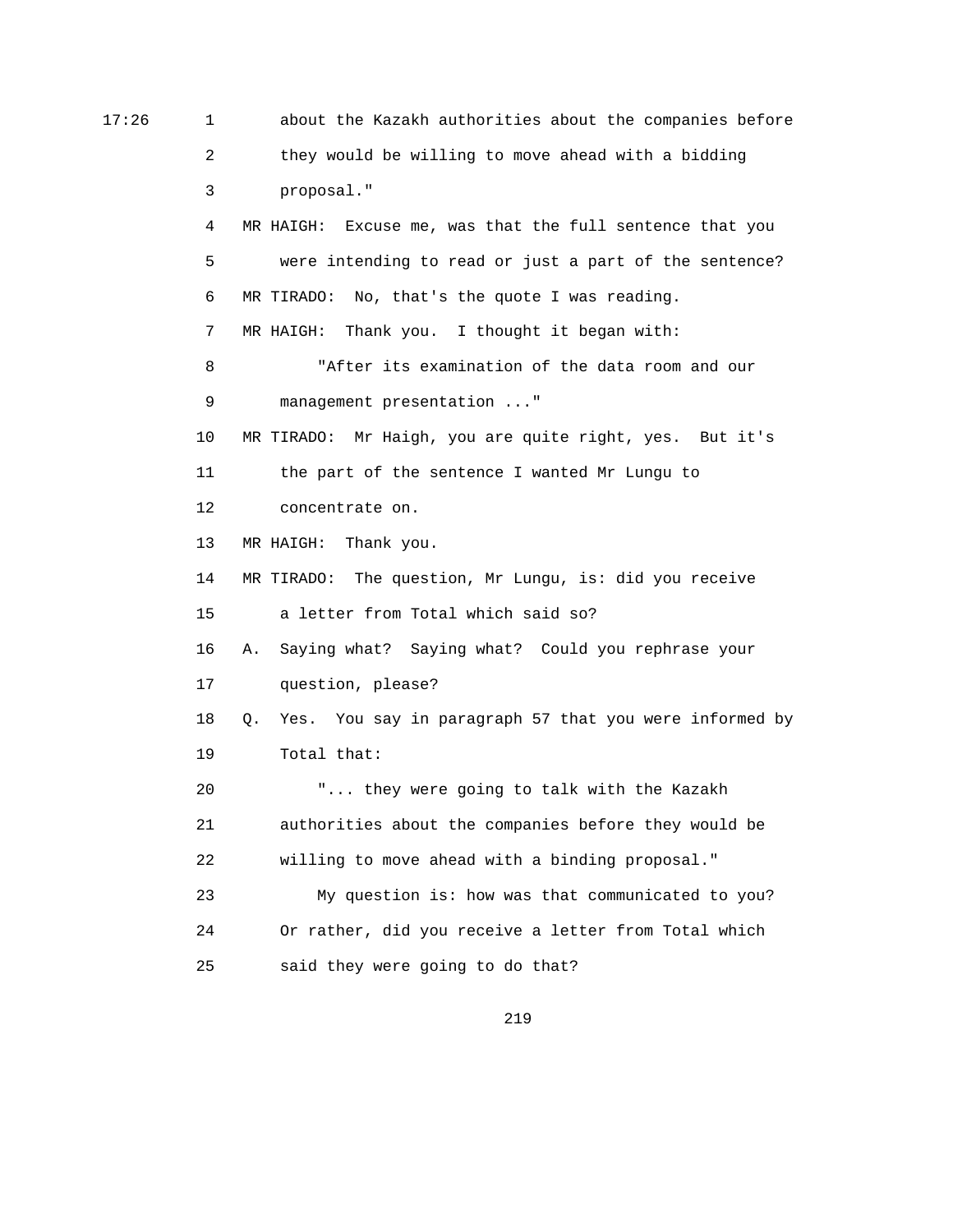17:26 1 about the Kazakh authorities about the companies before 2 they would be willing to move ahead with a bidding 3 proposal." 4 MR HAIGH: Excuse me, was that the full sentence that you 5 were intending to read or just a part of the sentence? 6 MR TIRADO: No, that's the quote I was reading. 7 MR HAIGH: Thank you. I thought it began with: 8 "After its examination of the data room and our 9 management presentation ..." 10 MR TIRADO: Mr Haigh, you are quite right, yes. But it's 11 the part of the sentence I wanted Mr Lungu to 12 concentrate on. 13 MR HAIGH: Thank you. 14 MR TIRADO: The question, Mr Lungu, is: did you receive 15 a letter from Total which said so? 16 A. Saying what? Saying what? Could you rephrase your 17 question, please? 18 Q. Yes. You say in paragraph 57 that you were informed by 19 Total that: 20 "... they were going to talk with the Kazakh 21 authorities about the companies before they would be 22 willing to move ahead with a binding proposal." 23 My question is: how was that communicated to you? 24 Or rather, did you receive a letter from Total which 25 said they were going to do that?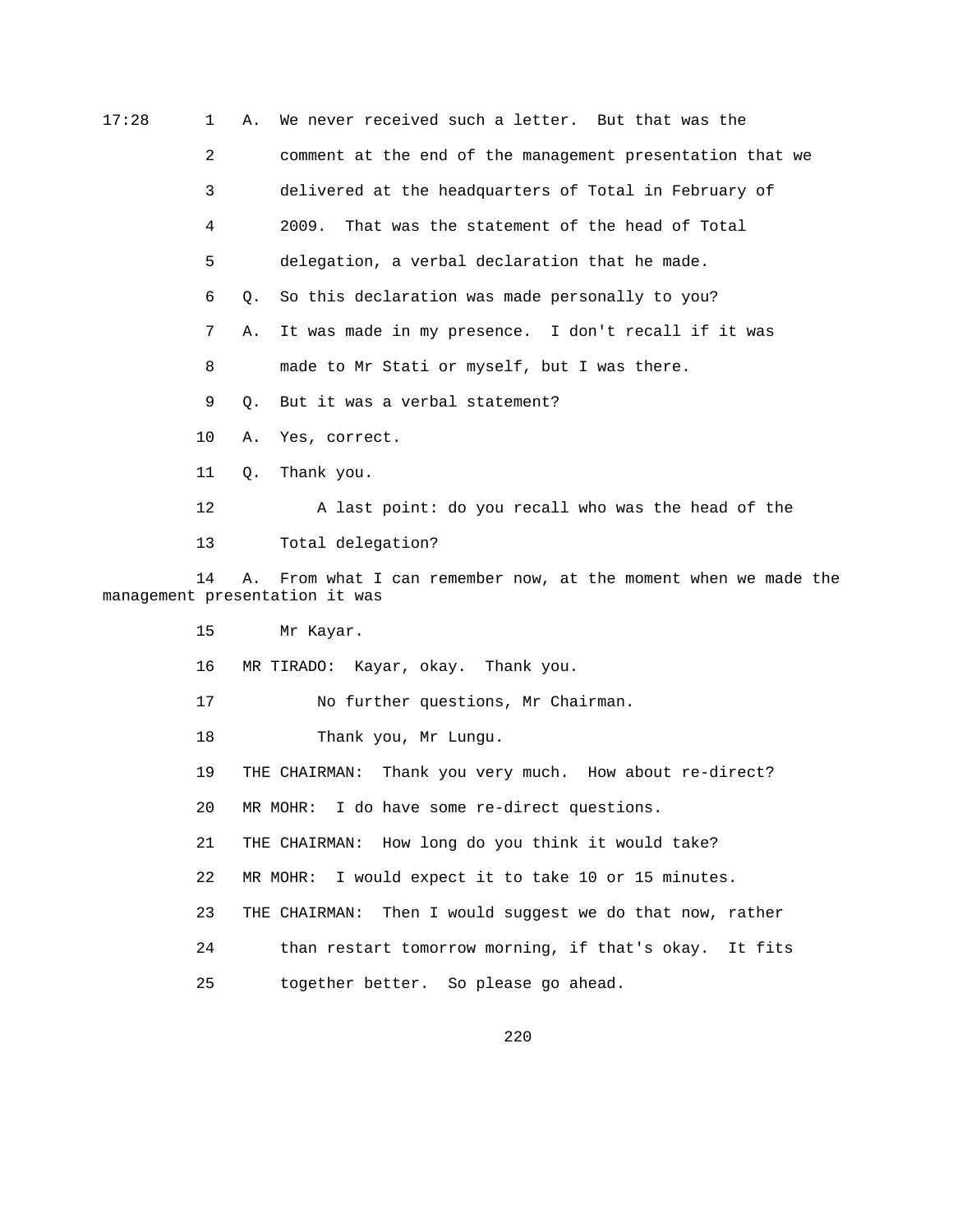| 17:28                                                                                                      | $\mathbf 1$    | Α.        | We never received such a letter. But that was the         |  |
|------------------------------------------------------------------------------------------------------------|----------------|-----------|-----------------------------------------------------------|--|
|                                                                                                            | $\overline{a}$ |           | comment at the end of the management presentation that we |  |
|                                                                                                            | 3              |           | delivered at the headquarters of Total in February of     |  |
|                                                                                                            | 4              |           | 2009.<br>That was the statement of the head of Total      |  |
|                                                                                                            | 5              |           | delegation, a verbal declaration that he made.            |  |
|                                                                                                            | 6              | $\circ$ . | So this declaration was made personally to you?           |  |
|                                                                                                            | 7              | Α.        | It was made in my presence. I don't recall if it was      |  |
|                                                                                                            | 8              |           | made to Mr Stati or myself, but I was there.              |  |
|                                                                                                            | 9              | О.        | But it was a verbal statement?                            |  |
|                                                                                                            | 10             | Α.        | Yes, correct.                                             |  |
|                                                                                                            | 11             | Q.        | Thank you.                                                |  |
|                                                                                                            | 12             |           | A last point: do you recall who was the head of the       |  |
|                                                                                                            | 13             |           | Total delegation?                                         |  |
| From what I can remember now, at the moment when we made the<br>14<br>Α.<br>management presentation it was |                |           |                                                           |  |
|                                                                                                            | 15             |           | Mr Kayar.                                                 |  |
|                                                                                                            | 16             |           | MR TIRADO: Kayar, okay. Thank you.                        |  |
|                                                                                                            | 17             |           | No further questions, Mr Chairman.                        |  |
|                                                                                                            | 18             |           | Thank you, Mr Lungu.                                      |  |

19 THE CHAIRMAN: Thank you very much. How about re-direct?

20 MR MOHR: I do have some re-direct questions.

21 THE CHAIRMAN: How long do you think it would take?

22 MR MOHR: I would expect it to take 10 or 15 minutes.

23 THE CHAIRMAN: Then I would suggest we do that now, rather

24 than restart tomorrow morning, if that's okay. It fits

25 together better. So please go ahead.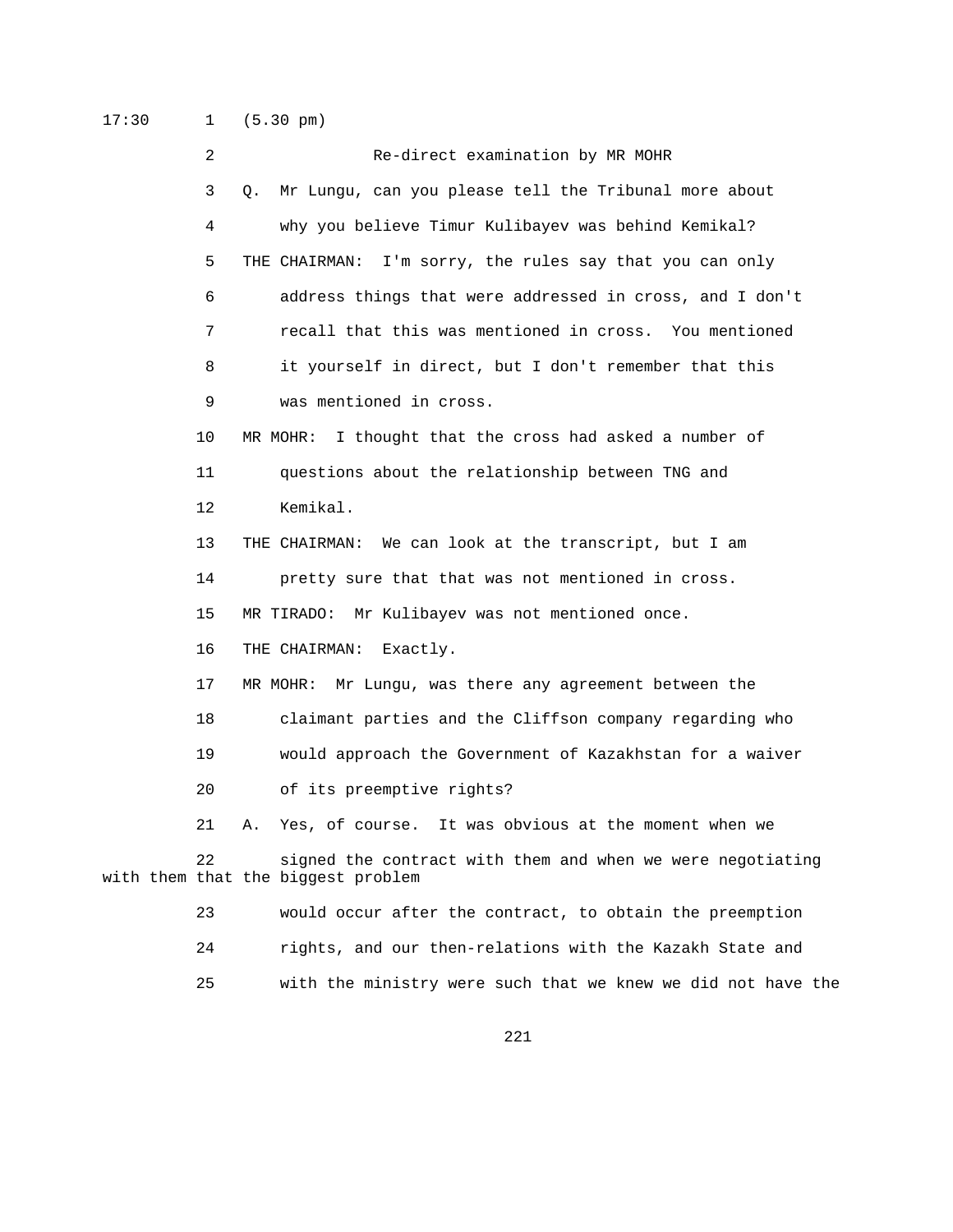17:30 1 (5.30 pm)

| $\overline{2}$ | Re-direct examination by MR MOHR                                                                 |
|----------------|--------------------------------------------------------------------------------------------------|
| 3              | Mr Lungu, can you please tell the Tribunal more about<br>Q.                                      |
| 4              | why you believe Timur Kulibayev was behind Kemikal?                                              |
| 5              | I'm sorry, the rules say that you can only<br>THE CHAIRMAN:                                      |
| 6              | address things that were addressed in cross, and I don't                                         |
| 7              | recall that this was mentioned in cross. You mentioned                                           |
| 8              | it yourself in direct, but I don't remember that this                                            |
| 9              | was mentioned in cross.                                                                          |
| 10             | I thought that the cross had asked a number of<br>MR MOHR:                                       |
| 11             | questions about the relationship between TNG and                                                 |
| 12             | Kemikal.                                                                                         |
| 13             | THE CHAIRMAN: We can look at the transcript, but I am                                            |
| 14             | pretty sure that that was not mentioned in cross.                                                |
| 15             | MR TIRADO: Mr Kulibayev was not mentioned once.                                                  |
| 16             | THE CHAIRMAN:<br>Exactly.                                                                        |
| 17             | Mr Lungu, was there any agreement between the<br>MR MOHR:                                        |
| 18             | claimant parties and the Cliffson company regarding who                                          |
| 19             | would approach the Government of Kazakhstan for a waiver                                         |
| 20             | of its preemptive rights?                                                                        |
| 21             | Yes, of course. It was obvious at the moment when we<br>Α.                                       |
| 22             | signed the contract with them and when we were negotiating<br>with them that the biggest problem |
| 23             | would occur after the contract, to obtain the preemption                                         |

- 24 rights, and our then-relations with the Kazakh State and
- 25 with the ministry were such that we knew we did not have the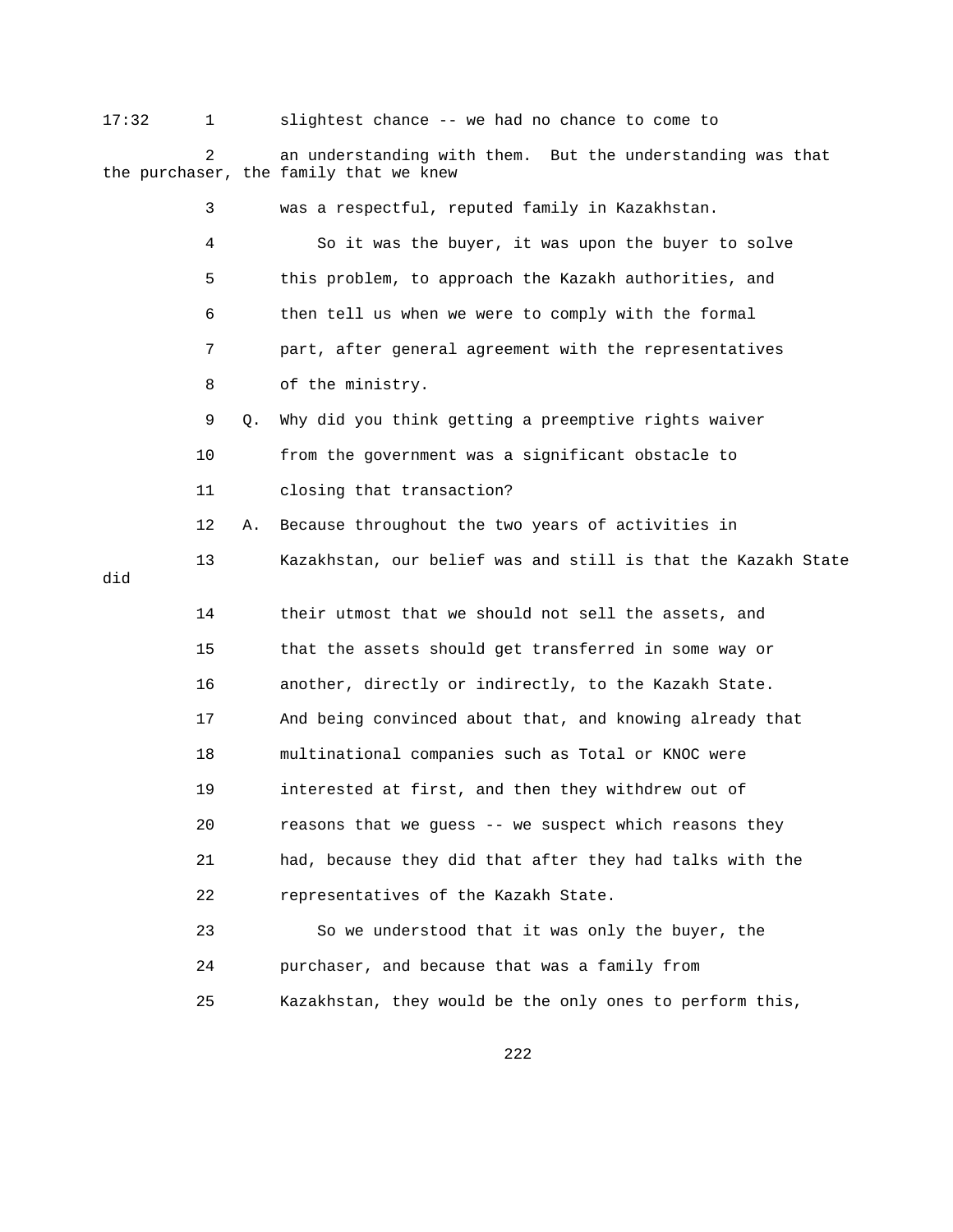17:32 1 slightest chance -- we had no chance to come to 2 an understanding with them. But the understanding was that the purchaser, the family that we knew 3 was a respectful, reputed family in Kazakhstan. 4 So it was the buyer, it was upon the buyer to solve 5 this problem, to approach the Kazakh authorities, and 6 then tell us when we were to comply with the formal 7 part, after general agreement with the representatives 8 of the ministry. 9 Q. Why did you think getting a preemptive rights waiver 10 from the government was a significant obstacle to 11 closing that transaction? 12 A. Because throughout the two years of activities in 13 Kazakhstan, our belief was and still is that the Kazakh State did 14 their utmost that we should not sell the assets, and 15 that the assets should get transferred in some way or 16 another, directly or indirectly, to the Kazakh State. 17 And being convinced about that, and knowing already that 18 multinational companies such as Total or KNOC were 19 interested at first, and then they withdrew out of 20 reasons that we guess -- we suspect which reasons they 21 had, because they did that after they had talks with the 22 representatives of the Kazakh State. 23 So we understood that it was only the buyer, the 24 purchaser, and because that was a family from 25 Kazakhstan, they would be the only ones to perform this,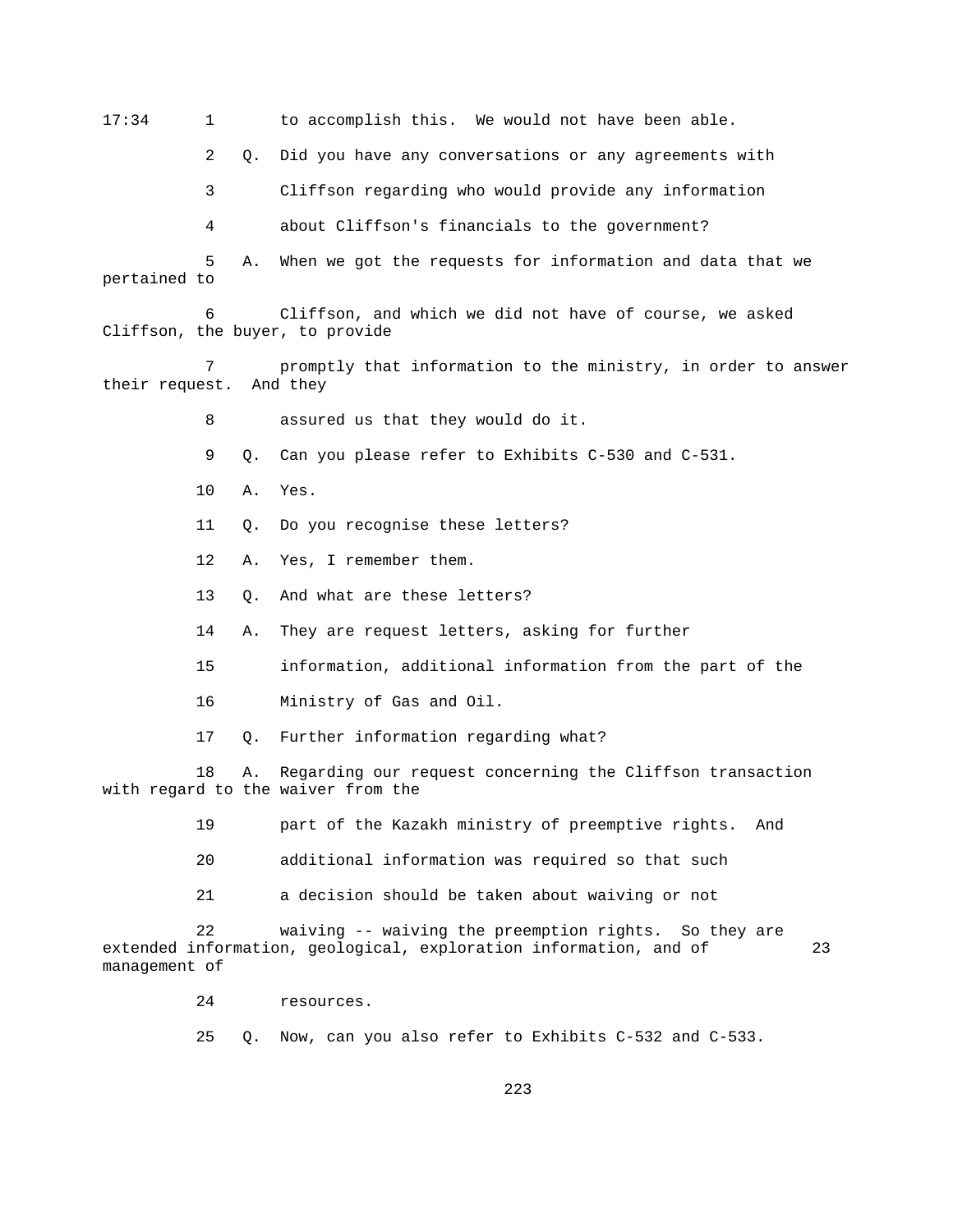17:34 1 to accomplish this. We would not have been able.

2 Q. Did you have any conversations or any agreements with

3 Cliffson regarding who would provide any information

4 about Cliffson's financials to the government?

 5 A. When we got the requests for information and data that we pertained to

 6 Cliffson, and which we did not have of course, we asked Cliffson, the buyer, to provide

 7 promptly that information to the ministry, in order to answer their request. And they

8 assured us that they would do it.

9 Q. Can you please refer to Exhibits C-530 and C-531.

10 A. Yes.

- 11 Q. Do you recognise these letters?
- 12 A. Yes, I remember them.
- 13 Q. And what are these letters?
- 14 A. They are request letters, asking for further
- 15 information, additional information from the part of the
- 16 Ministry of Gas and Oil.
- 17 Q. Further information regarding what?

 18 A. Regarding our request concerning the Cliffson transaction with regard to the waiver from the

- 19 part of the Kazakh ministry of preemptive rights. And
- 20 additional information was required so that such
- 21 a decision should be taken about waiving or not

 22 waiving -- waiving the preemption rights. So they are extended information, geological, exploration information, and of 23 management of

24 resources.

25 Q. Now, can you also refer to Exhibits C-532 and C-533.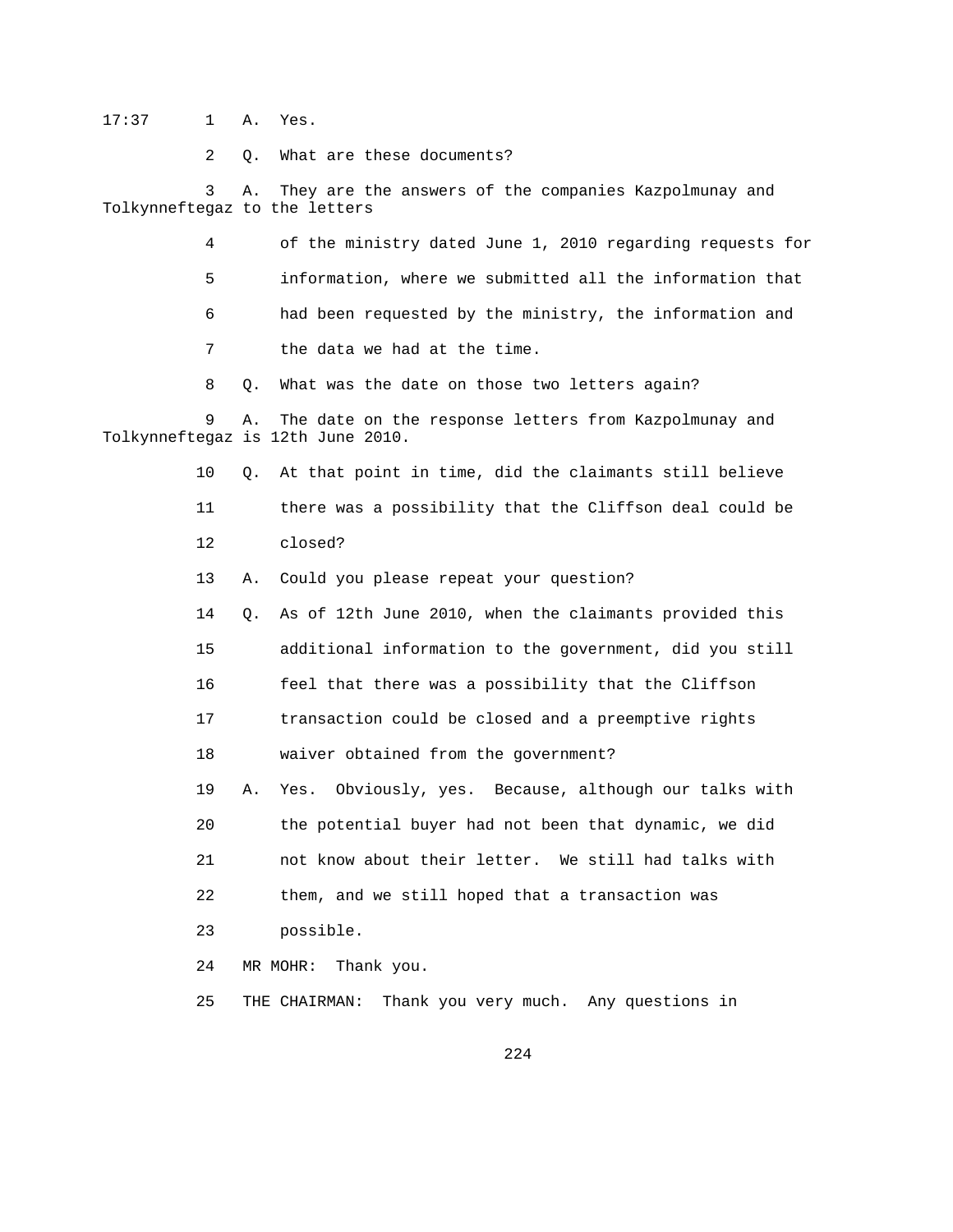17:37 1 A. Yes.

2 Q. What are these documents?

 3 A. They are the answers of the companies Kazpolmunay and Tolkynneftegaz to the letters

> 4 of the ministry dated June 1, 2010 regarding requests for 5 information, where we submitted all the information that 6 had been requested by the ministry, the information and 7 the data we had at the time.

8 Q. What was the date on those two letters again?

 9 A. The date on the response letters from Kazpolmunay and Tolkynneftegaz is 12th June 2010.

10 Q. At that point in time, did the claimants still believe

 11 there was a possibility that the Cliffson deal could be 12 closed?

13 A. Could you please repeat your question?

 14 Q. As of 12th June 2010, when the claimants provided this 15 additional information to the government, did you still 16 feel that there was a possibility that the Cliffson

17 transaction could be closed and a preemptive rights

18 waiver obtained from the government?

 19 A. Yes. Obviously, yes. Because, although our talks with 20 the potential buyer had not been that dynamic, we did 21 not know about their letter. We still had talks with 22 them, and we still hoped that a transaction was

23 possible.

24 MR MOHR: Thank you.

25 THE CHAIRMAN: Thank you very much. Any questions in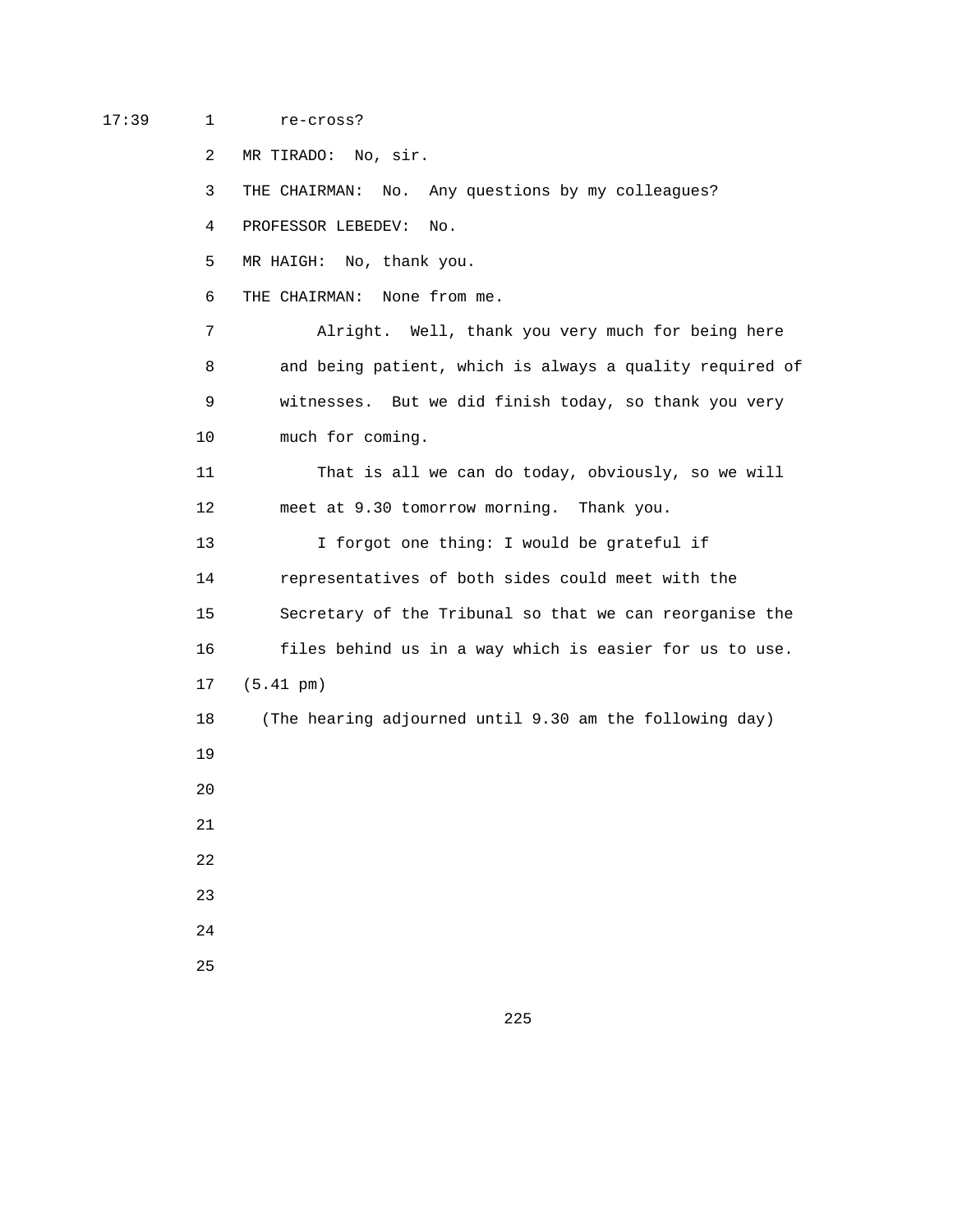## 17:39 1 re-cross?

2 MR TIRADO: No, sir.

3 THE CHAIRMAN: No. Any questions by my colleagues?

4 PROFESSOR LEBEDEV: No.

5 MR HAIGH: No, thank you.

6 THE CHAIRMAN: None from me.

 7 Alright. Well, thank you very much for being here 8 and being patient, which is always a quality required of 9 witnesses. But we did finish today, so thank you very 10 much for coming.

 11 That is all we can do today, obviously, so we will 12 meet at 9.30 tomorrow morning. Thank you.

13 I forgot one thing: I would be grateful if 14 representatives of both sides could meet with the 15 Secretary of the Tribunal so that we can reorganise the 16 files behind us in a way which is easier for us to use. 17 (5.41 pm) 18 (The hearing adjourned until 9.30 am the following day) 19

20

21

22

23

24

25

<u>225</u>